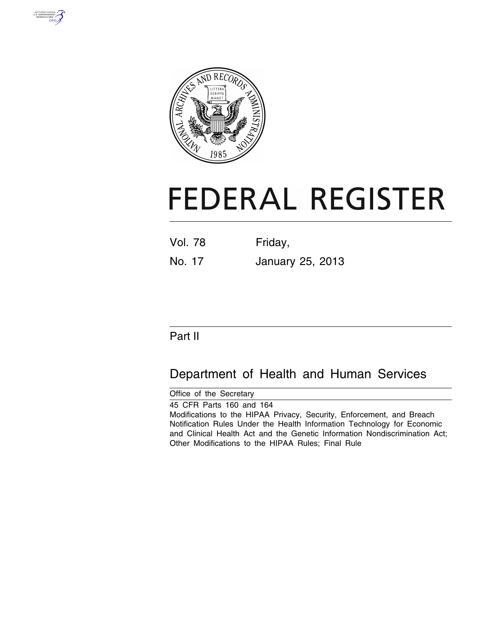



# **FEDERAL REGISTER**

| Friday, |
|---------|
|         |

No. 17 January 25, 2013

# Part II

# Department of Health and Human Services

Office of the Secretary 45 CFR Parts 160 and 164 Modifications to the HIPAA Privacy, Security, Enforcement, and Breach Notification Rules Under the Health Information Technology for Economic and Clinical Health Act and the Genetic Information Nondiscrimination Act; Other Modifications to the HIPAA Rules; Final Rule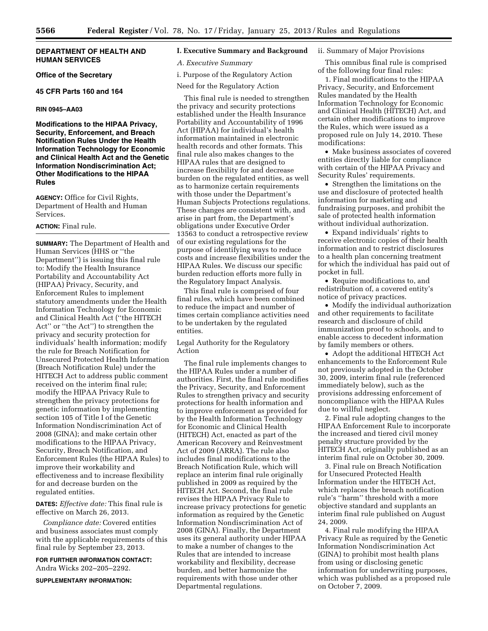# **DEPARTMENT OF HEALTH AND HUMAN SERVICES**

**Office of the Secretary** 

# **45 CFR Parts 160 and 164**

# **RIN 0945–AA03**

**Modifications to the HIPAA Privacy, Security, Enforcement, and Breach Notification Rules Under the Health Information Technology for Economic and Clinical Health Act and the Genetic Information Nondiscrimination Act; Other Modifications to the HIPAA Rules** 

**AGENCY:** Office for Civil Rights, Department of Health and Human Services.

# **ACTION:** Final rule.

**SUMMARY:** The Department of Health and Human Services (HHS or ''the Department'') is issuing this final rule to: Modify the Health Insurance Portability and Accountability Act (HIPAA) Privacy, Security, and Enforcement Rules to implement statutory amendments under the Health Information Technology for Economic and Clinical Health Act (''the HITECH Act'' or ''the Act'') to strengthen the privacy and security protection for individuals' health information; modify the rule for Breach Notification for Unsecured Protected Health Information (Breach Notification Rule) under the HITECH Act to address public comment received on the interim final rule; modify the HIPAA Privacy Rule to strengthen the privacy protections for genetic information by implementing section 105 of Title I of the Genetic Information Nondiscrimination Act of 2008 (GINA); and make certain other modifications to the HIPAA Privacy, Security, Breach Notification, and Enforcement Rules (the HIPAA Rules) to improve their workability and effectiveness and to increase flexibility for and decrease burden on the regulated entities.

**DATES:** *Effective date:* This final rule is effective on March 26, 2013.

*Compliance date:* Covered entities and business associates must comply with the applicable requirements of this final rule by September 23, 2013.

**FOR FURTHER INFORMATION CONTACT:**  Andra Wicks 202–205–2292.

**SUPPLEMENTARY INFORMATION:** 

# **I. Executive Summary and Background**

*A. Executive Summary* 

i. Purpose of the Regulatory Action

Need for the Regulatory Action

This final rule is needed to strengthen the privacy and security protections established under the Health Insurance Portability and Accountability of 1996 Act (HIPAA) for individual's health information maintained in electronic health records and other formats. This final rule also makes changes to the HIPAA rules that are designed to increase flexibility for and decrease burden on the regulated entities, as well as to harmonize certain requirements with those under the Department's Human Subjects Protections regulations. These changes are consistent with, and arise in part from, the Department's obligations under Executive Order 13563 to conduct a retrospective review of our existing regulations for the purpose of identifying ways to reduce costs and increase flexibilities under the HIPAA Rules. We discuss our specific burden reduction efforts more fully in the Regulatory Impact Analysis.

This final rule is comprised of four final rules, which have been combined to reduce the impact and number of times certain compliance activities need to be undertaken by the regulated entities.

Legal Authority for the Regulatory Action

The final rule implements changes to the HIPAA Rules under a number of authorities. First, the final rule modifies the Privacy, Security, and Enforcement Rules to strengthen privacy and security protections for health information and to improve enforcement as provided for by the Health Information Technology for Economic and Clinical Health (HITECH) Act, enacted as part of the American Recovery and Reinvestment Act of 2009 (ARRA). The rule also includes final modifications to the Breach Notification Rule, which will replace an interim final rule originally published in 2009 as required by the HITECH Act. Second, the final rule revises the HIPAA Privacy Rule to increase privacy protections for genetic information as required by the Genetic Information Nondiscrimination Act of 2008 (GINA). Finally, the Department uses its general authority under HIPAA to make a number of changes to the Rules that are intended to increase workability and flexibility, decrease burden, and better harmonize the requirements with those under other Departmental regulations.

ii. Summary of Major Provisions

This omnibus final rule is comprised of the following four final rules:

1. Final modifications to the HIPAA Privacy, Security, and Enforcement Rules mandated by the Health Information Technology for Economic and Clinical Health (HITECH) Act, and certain other modifications to improve the Rules, which were issued as a proposed rule on July 14, 2010. These modifications:

• Make business associates of covered entities directly liable for compliance with certain of the HIPAA Privacy and Security Rules' requirements.

• Strengthen the limitations on the use and disclosure of protected health information for marketing and fundraising purposes, and prohibit the sale of protected health information without individual authorization.

• Expand individuals' rights to receive electronic copies of their health information and to restrict disclosures to a health plan concerning treatment for which the individual has paid out of pocket in full.

• Require modifications to, and redistribution of, a covered entity's notice of privacy practices.

• Modify the individual authorization and other requirements to facilitate research and disclosure of child immunization proof to schools, and to enable access to decedent information by family members or others.

• Adopt the additional HITECH Act enhancements to the Enforcement Rule not previously adopted in the October 30, 2009, interim final rule (referenced immediately below), such as the provisions addressing enforcement of noncompliance with the HIPAA Rules due to willful neglect.

2. Final rule adopting changes to the HIPAA Enforcement Rule to incorporate the increased and tiered civil money penalty structure provided by the HITECH Act, originally published as an interim final rule on October 30, 2009.

3. Final rule on Breach Notification for Unsecured Protected Health Information under the HITECH Act, which replaces the breach notification rule's ''harm'' threshold with a more objective standard and supplants an interim final rule published on August 24, 2009.

4. Final rule modifying the HIPAA Privacy Rule as required by the Genetic Information Nondiscrimination Act (GINA) to prohibit most health plans from using or disclosing genetic information for underwriting purposes, which was published as a proposed rule on October 7, 2009.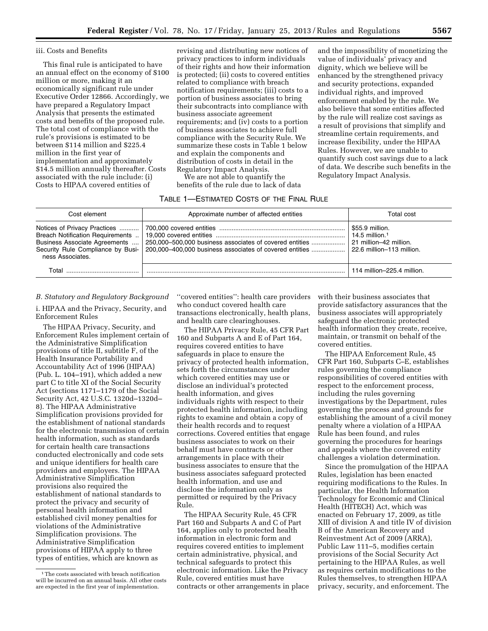# iii. Costs and Benefits

This final rule is anticipated to have an annual effect on the economy of \$100 million or more, making it an economically significant rule under Executive Order 12866. Accordingly, we have prepared a Regulatory Impact Analysis that presents the estimated costs and benefits of the proposed rule. The total cost of compliance with the rule's provisions is estimated to be between \$114 million and \$225.4 million in the first year of implementation and approximately \$14.5 million annually thereafter. Costs associated with the rule include: (i) Costs to HIPAA covered entities of

revising and distributing new notices of privacy practices to inform individuals of their rights and how their information is protected; (ii) costs to covered entities related to compliance with breach notification requirements; (iii) costs to a portion of business associates to bring their subcontracts into compliance with business associate agreement requirements; and (iv) costs to a portion of business associates to achieve full compliance with the Security Rule. We summarize these costs in Table 1 below and explain the components and distribution of costs in detail in the Regulatory Impact Analysis.

We are not able to quantify the benefits of the rule due to lack of data and the impossibility of monetizing the value of individuals' privacy and dignity, which we believe will be enhanced by the strengthened privacy and security protections, expanded individual rights, and improved enforcement enabled by the rule. We also believe that some entities affected by the rule will realize cost savings as a result of provisions that simplify and streamline certain requirements, and increase flexibility, under the HIPAA Rules. However, we are unable to quantify such cost savings due to a lack of data. We describe such benefits in the Regulatory Impact Analysis.

# TABLE 1—ESTIMATED COSTS OF THE FINAL RULE

| Cost element                                                                                                           | Approximate number of affected entities                 | Total cost                                                                |
|------------------------------------------------------------------------------------------------------------------------|---------------------------------------------------------|---------------------------------------------------------------------------|
| Notices of Privacy Practices<br>Business Associate Agreements<br>Security Rule Compliance by Busi-<br>ness Associates. | 250,000-500,000 business associates of covered entities | \$55.9 million.<br>$14.5$ million. <sup>1</sup><br>21 million-42 million. |
| Total                                                                                                                  |                                                         | 114 million-225.4 million.                                                |

# *B. Statutory and Regulatory Background*

i. HIPAA and the Privacy, Security, and Enforcement Rules

The HIPAA Privacy, Security, and Enforcement Rules implement certain of the Administrative Simplification provisions of title II, subtitle F, of the Health Insurance Portability and Accountability Act of 1996 (HIPAA) (Pub. L. 104–191), which added a new part C to title XI of the Social Security Act (sections 1171–1179 of the Social Security Act, 42 U.S.C. 1320d–1320d– 8). The HIPAA Administrative Simplification provisions provided for the establishment of national standards for the electronic transmission of certain health information, such as standards for certain health care transactions conducted electronically and code sets and unique identifiers for health care providers and employers. The HIPAA Administrative Simplification provisions also required the establishment of national standards to protect the privacy and security of personal health information and established civil money penalties for violations of the Administrative Simplification provisions. The Administrative Simplification provisions of HIPAA apply to three types of entities, which are known as

''covered entities'': health care providers who conduct covered health care transactions electronically, health plans, and health care clearinghouses.

The HIPAA Privacy Rule, 45 CFR Part 160 and Subparts A and E of Part 164, requires covered entities to have safeguards in place to ensure the privacy of protected health information, sets forth the circumstances under which covered entities may use or disclose an individual's protected health information, and gives individuals rights with respect to their protected health information, including rights to examine and obtain a copy of their health records and to request corrections. Covered entities that engage business associates to work on their behalf must have contracts or other arrangements in place with their business associates to ensure that the business associates safeguard protected health information, and use and disclose the information only as permitted or required by the Privacy Rule.

The HIPAA Security Rule, 45 CFR Part 160 and Subparts A and C of Part 164, applies only to protected health information in electronic form and requires covered entities to implement certain administrative, physical, and technical safeguards to protect this electronic information. Like the Privacy Rule, covered entities must have contracts or other arrangements in place with their business associates that provide satisfactory assurances that the business associates will appropriately safeguard the electronic protected health information they create, receive, maintain, or transmit on behalf of the covered entities.

The HIPAA Enforcement Rule, 45 CFR Part 160, Subparts C–E, establishes rules governing the compliance responsibilities of covered entities with respect to the enforcement process, including the rules governing investigations by the Department, rules governing the process and grounds for establishing the amount of a civil money penalty where a violation of a HIPAA Rule has been found, and rules governing the procedures for hearings and appeals where the covered entity challenges a violation determination.

Since the promulgation of the HIPAA Rules, legislation has been enacted requiring modifications to the Rules. In particular, the Health Information Technology for Economic and Clinical Health (HITECH) Act, which was enacted on February 17, 2009, as title XIII of division A and title IV of division B of the American Recovery and Reinvestment Act of 2009 (ARRA), Public Law 111–5, modifies certain provisions of the Social Security Act pertaining to the HIPAA Rules, as well as requires certain modifications to the Rules themselves, to strengthen HIPAA privacy, security, and enforcement. The

 $^{\rm 1}\!$  The costs associated with breach notification will be incurred on an annual basis. All other costs are expected in the first year of implementation.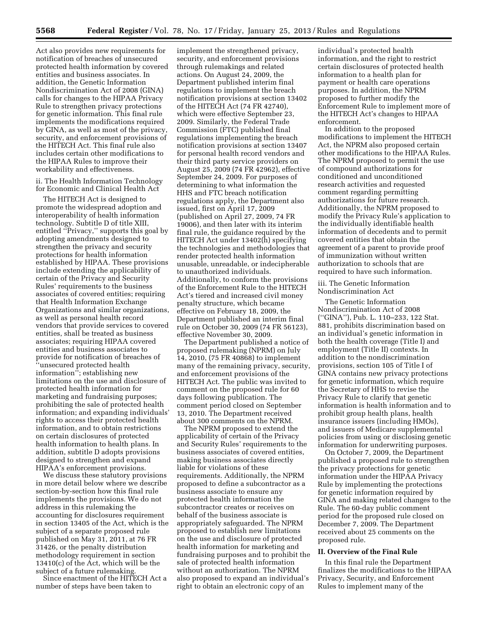Act also provides new requirements for notification of breaches of unsecured protected health information by covered entities and business associates. In addition, the Genetic Information Nondiscrimination Act of 2008 (GINA) calls for changes to the HIPAA Privacy Rule to strengthen privacy protections for genetic information. This final rule implements the modifications required by GINA, as well as most of the privacy, security, and enforcement provisions of the HITECH Act. This final rule also includes certain other modifications to the HIPAA Rules to improve their workability and effectiveness.

ii. The Health Information Technology for Economic and Clinical Health Act

The HITECH Act is designed to promote the widespread adoption and interoperability of health information technology. Subtitle D of title XIII, entitled "Privacy," supports this goal by adopting amendments designed to strengthen the privacy and security protections for health information established by HIPAA. These provisions include extending the applicability of certain of the Privacy and Security Rules' requirements to the business associates of covered entities; requiring that Health Information Exchange Organizations and similar organizations, as well as personal health record vendors that provide services to covered entities, shall be treated as business associates; requiring HIPAA covered entities and business associates to provide for notification of breaches of ''unsecured protected health information''; establishing new limitations on the use and disclosure of protected health information for marketing and fundraising purposes; prohibiting the sale of protected health information; and expanding individuals' rights to access their protected health information, and to obtain restrictions on certain disclosures of protected health information to health plans. In addition, subtitle D adopts provisions designed to strengthen and expand HIPAA's enforcement provisions.

We discuss these statutory provisions in more detail below where we describe section-by-section how this final rule implements the provisions. We do not address in this rulemaking the accounting for disclosures requirement in section 13405 of the Act, which is the subject of a separate proposed rule published on May 31, 2011, at 76 FR 31426, or the penalty distribution methodology requirement in section 13410(c) of the Act, which will be the subject of a future rulemaking.

Since enactment of the HITECH Act a number of steps have been taken to

implement the strengthened privacy, security, and enforcement provisions through rulemakings and related actions. On August 24, 2009, the Department published interim final regulations to implement the breach notification provisions at section 13402 of the HITECH Act (74 FR 42740), which were effective September 23, 2009. Similarly, the Federal Trade Commission (FTC) published final regulations implementing the breach notification provisions at section 13407 for personal health record vendors and their third party service providers on August 25, 2009 (74 FR 42962), effective September 24, 2009. For purposes of determining to what information the HHS and FTC breach notification regulations apply, the Department also issued, first on April 17, 2009 (published on April 27, 2009, 74 FR 19006), and then later with its interim final rule, the guidance required by the HITECH Act under 13402(h) specifying the technologies and methodologies that render protected health information unusable, unreadable, or indecipherable to unauthorized individuals. Additionally, to conform the provisions of the Enforcement Rule to the HITECH Act's tiered and increased civil money penalty structure, which became effective on February 18, 2009, the Department published an interim final rule on October 30, 2009 (74 FR 56123), effective November 30, 2009.

The Department published a notice of proposed rulemaking (NPRM) on July 14, 2010, (75 FR 40868) to implement many of the remaining privacy, security, and enforcement provisions of the HITECH Act. The public was invited to comment on the proposed rule for 60 days following publication. The comment period closed on September 13, 2010. The Department received about 300 comments on the NPRM.

The NPRM proposed to extend the applicability of certain of the Privacy and Security Rules' requirements to the business associates of covered entities, making business associates directly liable for violations of these requirements. Additionally, the NPRM proposed to define a subcontractor as a business associate to ensure any protected health information the subcontractor creates or receives on behalf of the business associate is appropriately safeguarded. The NPRM proposed to establish new limitations on the use and disclosure of protected health information for marketing and fundraising purposes and to prohibit the sale of protected health information without an authorization. The NPRM also proposed to expand an individual's right to obtain an electronic copy of an

individual's protected health information, and the right to restrict certain disclosures of protected health information to a health plan for payment or health care operations purposes. In addition, the NPRM proposed to further modify the Enforcement Rule to implement more of the HITECH Act's changes to HIPAA enforcement.

In addition to the proposed modifications to implement the HITECH Act, the NPRM also proposed certain other modifications to the HIPAA Rules. The NPRM proposed to permit the use of compound authorizations for conditioned and unconditioned research activities and requested comment regarding permitting authorizations for future research. Additionally, the NPRM proposed to modify the Privacy Rule's application to the individually identifiable health information of decedents and to permit covered entities that obtain the agreement of a parent to provide proof of immunization without written authorization to schools that are required to have such information.

iii. The Genetic Information Nondiscrimination Act

The Genetic Information Nondiscrimination Act of 2008 (''GINA''), Pub. L. 110–233, 122 Stat. 881, prohibits discrimination based on an individual's genetic information in both the health coverage (Title I) and employment (Title II) contexts. In addition to the nondiscrimination provisions, section 105 of Title I of GINA contains new privacy protections for genetic information, which require the Secretary of HHS to revise the Privacy Rule to clarify that genetic information is health information and to prohibit group health plans, health insurance issuers (including HMOs), and issuers of Medicare supplemental policies from using or disclosing genetic information for underwriting purposes.

On October 7, 2009, the Department published a proposed rule to strengthen the privacy protections for genetic information under the HIPAA Privacy Rule by implementing the protections for genetic information required by GINA and making related changes to the Rule. The 60-day public comment period for the proposed rule closed on December 7, 2009. The Department received about 25 comments on the proposed rule.

#### **II. Overview of the Final Rule**

In this final rule the Department finalizes the modifications to the HIPAA Privacy, Security, and Enforcement Rules to implement many of the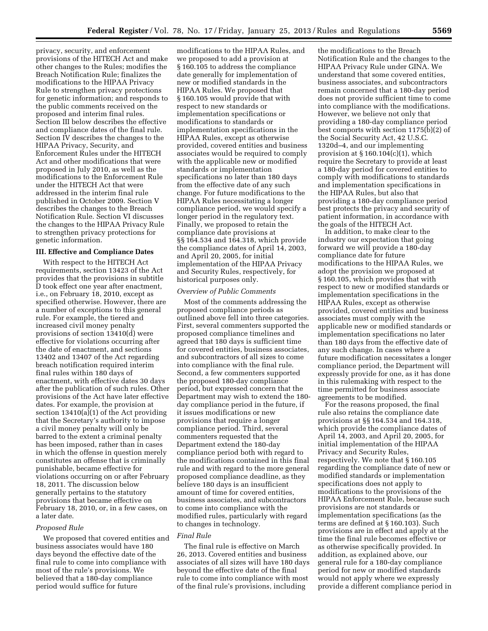privacy, security, and enforcement provisions of the HITECH Act and make other changes to the Rules; modifies the Breach Notification Rule; finalizes the modifications to the HIPAA Privacy Rule to strengthen privacy protections for genetic information; and responds to the public comments received on the proposed and interim final rules. Section III below describes the effective and compliance dates of the final rule. Section IV describes the changes to the HIPAA Privacy, Security, and Enforcement Rules under the HITECH Act and other modifications that were proposed in July 2010, as well as the modifications to the Enforcement Rule under the HITECH Act that were addressed in the interim final rule published in October 2009. Section V describes the changes to the Breach Notification Rule. Section VI discusses the changes to the HIPAA Privacy Rule to strengthen privacy protections for genetic information.

#### **III. Effective and Compliance Dates**

With respect to the HITECH Act requirements, section 13423 of the Act provides that the provisions in subtitle D took effect one year after enactment, i.e., on February 18, 2010, except as specified otherwise. However, there are a number of exceptions to this general rule. For example, the tiered and increased civil money penalty provisions of section 13410(d) were effective for violations occurring after the date of enactment, and sections 13402 and 13407 of the Act regarding breach notification required interim final rules within 180 days of enactment, with effective dates 30 days after the publication of such rules. Other provisions of the Act have later effective dates. For example, the provision at section 13410(a)(1) of the Act providing that the Secretary's authority to impose a civil money penalty will only be barred to the extent a criminal penalty has been imposed, rather than in cases in which the offense in question merely constitutes an offense that is criminally punishable, became effective for violations occurring on or after February 18, 2011. The discussion below generally pertains to the statutory provisions that became effective on February 18, 2010, or, in a few cases, on a later date.

# *Proposed Rule*

We proposed that covered entities and business associates would have 180 days beyond the effective date of the final rule to come into compliance with most of the rule's provisions. We believed that a 180-day compliance period would suffice for future

modifications to the HIPAA Rules, and we proposed to add a provision at § 160.105 to address the compliance date generally for implementation of new or modified standards in the HIPAA Rules. We proposed that § 160.105 would provide that with respect to new standards or implementation specifications or modifications to standards or implementation specifications in the HIPAA Rules, except as otherwise provided, covered entities and business associates would be required to comply with the applicable new or modified standards or implementation specifications no later than 180 days from the effective date of any such change. For future modifications to the HIPAA Rules necessitating a longer compliance period, we would specify a longer period in the regulatory text. Finally, we proposed to retain the compliance date provisions at §§ 164.534 and 164.318, which provide the compliance dates of April 14, 2003, and April 20, 2005, for initial implementation of the HIPAA Privacy and Security Rules, respectively, for historical purposes only.

# *Overview of Public Comments*

Most of the comments addressing the proposed compliance periods as outlined above fell into three categories. First, several commenters supported the proposed compliance timelines and agreed that 180 days is sufficient time for covered entities, business associates, and subcontractors of all sizes to come into compliance with the final rule. Second, a few commenters supported the proposed 180-day compliance period, but expressed concern that the Department may wish to extend the 180 day compliance period in the future, if it issues modifications or new provisions that require a longer compliance period. Third, several commenters requested that the Department extend the 180-day compliance period both with regard to the modifications contained in this final rule and with regard to the more general proposed compliance deadline, as they believe 180 days is an insufficient amount of time for covered entities, business associates, and subcontractors to come into compliance with the modified rules, particularly with regard to changes in technology.

#### *Final Rule*

The final rule is effective on March 26, 2013. Covered entities and business associates of all sizes will have 180 days beyond the effective date of the final rule to come into compliance with most of the final rule's provisions, including

the modifications to the Breach Notification Rule and the changes to the HIPAA Privacy Rule under GINA. We understand that some covered entities, business associates, and subcontractors remain concerned that a 180-day period does not provide sufficient time to come into compliance with the modifications. However, we believe not only that providing a 180-day compliance period best comports with section 1175(b)(2) of the Social Security Act, 42 U.S.C. 1320d–4, and our implementing provision at  $§ 160.104(c)(1)$ , which require the Secretary to provide at least a 180-day period for covered entities to comply with modifications to standards and implementation specifications in the HIPAA Rules, but also that providing a 180-day compliance period best protects the privacy and security of patient information, in accordance with the goals of the HITECH Act.

In addition, to make clear to the industry our expectation that going forward we will provide a 180-day compliance date for future modifications to the HIPAA Rules, we adopt the provision we proposed at § 160.105, which provides that with respect to new or modified standards or implementation specifications in the HIPAA Rules, except as otherwise provided, covered entities and business associates must comply with the applicable new or modified standards or implementation specifications no later than 180 days from the effective date of any such change. In cases where a future modification necessitates a longer compliance period, the Department will expressly provide for one, as it has done in this rulemaking with respect to the time permitted for business associate agreements to be modified.

For the reasons proposed, the final rule also retains the compliance date provisions at §§ 164.534 and 164.318, which provide the compliance dates of April 14, 2003, and April 20, 2005, for initial implementation of the HIPAA Privacy and Security Rules, respectively. We note that § 160.105 regarding the compliance date of new or modified standards or implementation specifications does not apply to modifications to the provisions of the HIPAA Enforcement Rule, because such provisions are not standards or implementation specifications (as the terms are defined at § 160.103). Such provisions are in effect and apply at the time the final rule becomes effective or as otherwise specifically provided. In addition, as explained above, our general rule for a 180-day compliance period for new or modified standards would not apply where we expressly provide a different compliance period in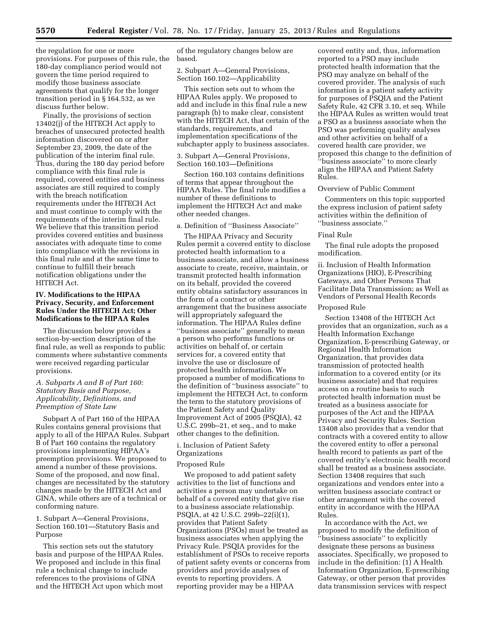the regulation for one or more provisions. For purposes of this rule, the 180-day compliance period would not govern the time period required to modify those business associate agreements that qualify for the longer transition period in § 164.532, as we discuss further below.

Finally, the provisions of section 13402(j) of the HITECH Act apply to breaches of unsecured protected health information discovered on or after September 23, 2009, the date of the publication of the interim final rule. Thus, during the 180 day period before compliance with this final rule is required, covered entities and business associates are still required to comply with the breach notification requirements under the HITECH Act and must continue to comply with the requirements of the interim final rule. We believe that this transition period provides covered entities and business associates with adequate time to come into compliance with the revisions in this final rule and at the same time to continue to fulfill their breach notification obligations under the HITECH Act.

# **IV. Modifications to the HIPAA Privacy, Security, and Enforcement Rules Under the HITECH Act; Other Modifications to the HIPAA Rules**

The discussion below provides a section-by-section description of the final rule, as well as responds to public comments where substantive comments were received regarding particular provisions.

# *A. Subparts A and B of Part 160: Statutory Basis and Purpose, Applicability, Definitions, and Preemption of State Law*

Subpart A of Part 160 of the HIPAA Rules contains general provisions that apply to all of the HIPAA Rules. Subpart B of Part 160 contains the regulatory provisions implementing HIPAA's preemption provisions. We proposed to amend a number of these provisions. Some of the proposed, and now final, changes are necessitated by the statutory changes made by the HITECH Act and GINA, while others are of a technical or conforming nature.

1. Subpart A—General Provisions, Section 160.101—Statutory Basis and Purpose

This section sets out the statutory basis and purpose of the HIPAA Rules. We proposed and include in this final rule a technical change to include references to the provisions of GINA and the HITECH Act upon which most of the regulatory changes below are based.

2. Subpart A—General Provisions, Section 160.102—Applicability

This section sets out to whom the HIPAA Rules apply. We proposed to add and include in this final rule a new paragraph (b) to make clear, consistent with the HITECH Act, that certain of the standards, requirements, and implementation specifications of the subchapter apply to business associates.

3. Subpart A—General Provisions, Section 160.103—Definitions

Section 160.103 contains definitions of terms that appear throughout the HIPAA Rules. The final rule modifies a number of these definitions to implement the HITECH Act and make other needed changes.

# a. Definition of ''Business Associate''

The HIPAA Privacy and Security Rules permit a covered entity to disclose protected health information to a business associate, and allow a business associate to create, receive, maintain, or transmit protected health information on its behalf, provided the covered entity obtains satisfactory assurances in the form of a contract or other arrangement that the business associate will appropriately safeguard the information. The HIPAA Rules define ''business associate'' generally to mean a person who performs functions or activities on behalf of, or certain services for, a covered entity that involve the use or disclosure of protected health information. We proposed a number of modifications to the definition of ''business associate'' to implement the HITECH Act, to conform the term to the statutory provisions of the Patient Safety and Quality Improvement Act of 2005 (PSQIA), 42 U.S.C. 299b–21, et seq., and to make other changes to the definition.

# i. Inclusion of Patient Safety Organizations

# Proposed Rule

We proposed to add patient safety activities to the list of functions and activities a person may undertake on behalf of a covered entity that give rise to a business associate relationship. PSQIA, at 42 U.S.C. 299b–22(i)(1), provides that Patient Safety Organizations (PSOs) must be treated as business associates when applying the Privacy Rule. PSQIA provides for the establishment of PSOs to receive reports of patient safety events or concerns from providers and provide analyses of events to reporting providers. A reporting provider may be a HIPAA

covered entity and, thus, information reported to a PSO may include protected health information that the PSO may analyze on behalf of the covered provider. The analysis of such information is a patient safety activity for purposes of PSQIA and the Patient Safety Rule, 42 CFR 3.10, et seq. While the HIPAA Rules as written would treat a PSO as a business associate when the PSO was performing quality analyses and other activities on behalf of a covered health care provider, we proposed this change to the definition of ''business associate'' to more clearly align the HIPAA and Patient Safety Rules.

#### Overview of Public Comment

Commenters on this topic supported the express inclusion of patient safety activities within the definition of ''business associate.''

#### Final Rule

The final rule adopts the proposed modification.

ii. Inclusion of Health Information Organizations (HIO), E-Prescribing Gateways, and Other Persons That Facilitate Data Transmission; as Well as Vendors of Personal Health Records

#### Proposed Rule

Section 13408 of the HITECH Act provides that an organization, such as a Health Information Exchange Organization, E-prescribing Gateway, or Regional Health Information Organization, that provides data transmission of protected health information to a covered entity (or its business associate) and that requires access on a routine basis to such protected health information must be treated as a business associate for purposes of the Act and the HIPAA Privacy and Security Rules. Section 13408 also provides that a vendor that contracts with a covered entity to allow the covered entity to offer a personal health record to patients as part of the covered entity's electronic health record shall be treated as a business associate. Section 13408 requires that such organizations and vendors enter into a written business associate contract or other arrangement with the covered entity in accordance with the HIPAA Rules.

In accordance with the Act, we proposed to modify the definition of ''business associate'' to explicitly designate these persons as business associates. Specifically, we proposed to include in the definition: (1) A Health Information Organization, E-prescribing Gateway, or other person that provides data transmission services with respect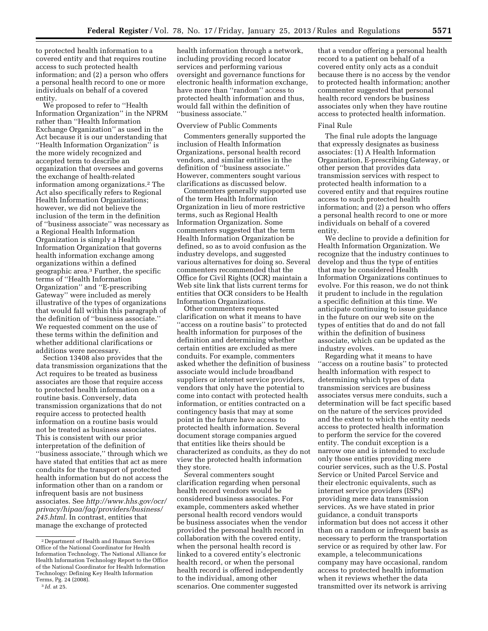to protected health information to a covered entity and that requires routine access to such protected health information; and (2) a person who offers a personal health record to one or more individuals on behalf of a covered entity.

We proposed to refer to ''Health Information Organization'' in the NPRM rather than ''Health Information Exchange Organization'' as used in the Act because it is our understanding that ''Health Information Organization'' is the more widely recognized and accepted term to describe an organization that oversees and governs the exchange of health-related information among organizations.2 The Act also specifically refers to Regional Health Information Organizations; however, we did not believe the inclusion of the term in the definition of ''business associate'' was necessary as a Regional Health Information Organization is simply a Health Information Organization that governs health information exchange among organizations within a defined geographic area.3 Further, the specific terms of ''Health Information Organization'' and ''E-prescribing Gateway'' were included as merely illustrative of the types of organizations that would fall within this paragraph of the definition of ''business associate.'' We requested comment on the use of these terms within the definition and whether additional clarifications or additions were necessary.

Section 13408 also provides that the data transmission organizations that the Act requires to be treated as business associates are those that require access to protected health information on a routine basis. Conversely, data transmission organizations that do not require access to protected health information on a routine basis would not be treated as business associates. This is consistent with our prior interpretation of the definition of ''business associate,'' through which we have stated that entities that act as mere conduits for the transport of protected health information but do not access the information other than on a random or infrequent basis are not business associates. See *[http://www.hhs.gov/ocr/](http://www.hhs.gov/ocr/privacy/hipaa/faq/providers/business/245.html) [privacy/hipaa/faq/providers/business/](http://www.hhs.gov/ocr/privacy/hipaa/faq/providers/business/245.html) [245.html](http://www.hhs.gov/ocr/privacy/hipaa/faq/providers/business/245.html)*. In contrast, entities that manage the exchange of protected

health information through a network, including providing record locator services and performing various oversight and governance functions for electronic health information exchange, have more than ''random'' access to protected health information and thus, would fall within the definition of ''business associate.''

# Overview of Public Comments

Commenters generally supported the inclusion of Health Information Organizations, personal health record vendors, and similar entities in the definition of ''business associate.'' However, commenters sought various clarifications as discussed below.

Commenters generally supported use of the term Health Information Organization in lieu of more restrictive terms, such as Regional Health Information Organization. Some commenters suggested that the term Health Information Organization be defined, so as to avoid confusion as the industry develops, and suggested various alternatives for doing so. Several commenters recommended that the Office for Civil Rights (OCR) maintain a Web site link that lists current terms for entities that OCR considers to be Health Information Organizations.

Other commenters requested clarification on what it means to have ''access on a routine basis'' to protected health information for purposes of the definition and determining whether certain entities are excluded as mere conduits. For example, commenters asked whether the definition of business associate would include broadband suppliers or internet service providers, vendors that only have the potential to come into contact with protected health information, or entities contracted on a contingency basis that may at some point in the future have access to protected health information. Several document storage companies argued that entities like theirs should be characterized as conduits, as they do not view the protected health information they store.

Several commenters sought clarification regarding when personal health record vendors would be considered business associates. For example, commenters asked whether personal health record vendors would be business associates when the vendor provided the personal health record in collaboration with the covered entity, when the personal health record is linked to a covered entity's electronic health record, or when the personal health record is offered independently to the individual, among other scenarios. One commenter suggested

that a vendor offering a personal health record to a patient on behalf of a covered entity only acts as a conduit because there is no access by the vendor to protected health information; another commenter suggested that personal health record vendors be business associates only when they have routine access to protected health information.

# Final Rule

The final rule adopts the language that expressly designates as business associates: (1) A Health Information Organization, E-prescribing Gateway, or other person that provides data transmission services with respect to protected health information to a covered entity and that requires routine access to such protected health information; and (2) a person who offers a personal health record to one or more individuals on behalf of a covered entity.

We decline to provide a definition for Health Information Organization. We recognize that the industry continues to develop and thus the type of entities that may be considered Health Information Organizations continues to evolve. For this reason, we do not think it prudent to include in the regulation a specific definition at this time. We anticipate continuing to issue guidance in the future on our web site on the types of entities that do and do not fall within the definition of business associate, which can be updated as the industry evolves.

Regarding what it means to have ''access on a routine basis'' to protected health information with respect to determining which types of data transmission services are business associates versus mere conduits, such a determination will be fact specific based on the nature of the services provided and the extent to which the entity needs access to protected health information to perform the service for the covered entity. The conduit exception is a narrow one and is intended to exclude only those entities providing mere courier services, such as the U.S. Postal Service or United Parcel Service and their electronic equivalents, such as internet service providers (ISPs) providing mere data transmission services. As we have stated in prior guidance, a conduit transports information but does not access it other than on a random or infrequent basis as necessary to perform the transportation service or as required by other law. For example, a telecommunications company may have occasional, random access to protected health information when it reviews whether the data transmitted over its network is arriving

<sup>2</sup> Department of Health and Human Services Office of the National Coordinator for Health Information Technology, The National Alliance for Health Information Technology Report to the Office of the National Coordinator for Health Information Technology: Defining Key Health Information Terms, Pg. 24 (2008).

<sup>3</sup> *Id.* at 25.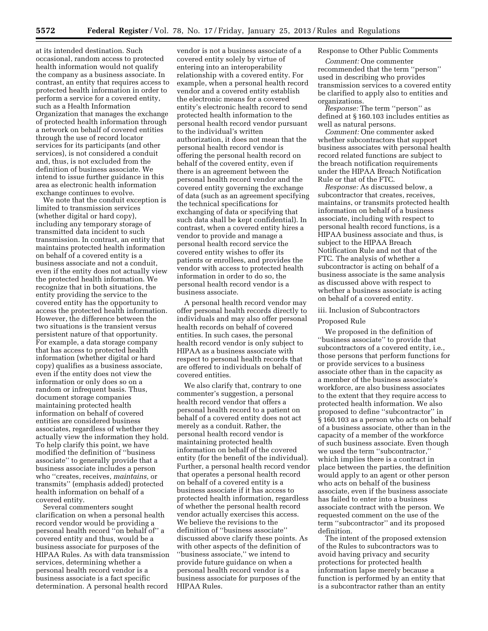at its intended destination. Such occasional, random access to protected health information would not qualify the company as a business associate. In contrast, an entity that requires access to protected health information in order to perform a service for a covered entity, such as a Health Information Organization that manages the exchange of protected health information through a network on behalf of covered entities through the use of record locator services for its participants (and other services), is not considered a conduit and, thus, is not excluded from the definition of business associate. We intend to issue further guidance in this area as electronic health information exchange continues to evolve.

We note that the conduit exception is limited to transmission services (whether digital or hard copy), including any temporary storage of transmitted data incident to such transmission. In contrast, an entity that maintains protected health information on behalf of a covered entity is a business associate and not a conduit, even if the entity does not actually view the protected health information. We recognize that in both situations, the entity providing the service to the covered entity has the opportunity to access the protected health information. However, the difference between the two situations is the transient versus persistent nature of that opportunity. For example, a data storage company that has access to protected health information (whether digital or hard copy) qualifies as a business associate, even if the entity does not view the information or only does so on a random or infrequent basis. Thus, document storage companies maintaining protected health information on behalf of covered entities are considered business associates, regardless of whether they actually view the information they hold. To help clarify this point, we have modified the definition of ''business associate'' to generally provide that a business associate includes a person who ''creates, receives, *maintains,* or transmits'' (emphasis added) protected health information on behalf of a covered entity.

Several commenters sought clarification on when a personal health record vendor would be providing a personal health record ''on behalf of'' a covered entity and thus, would be a business associate for purposes of the HIPAA Rules. As with data transmission services, determining whether a personal health record vendor is a business associate is a fact specific determination. A personal health record

vendor is not a business associate of a covered entity solely by virtue of entering into an interoperability relationship with a covered entity. For example, when a personal health record vendor and a covered entity establish the electronic means for a covered entity's electronic health record to send protected health information to the personal health record vendor pursuant to the individual's written authorization, it does not mean that the personal health record vendor is offering the personal health record on behalf of the covered entity, even if there is an agreement between the personal health record vendor and the covered entity governing the exchange of data (such as an agreement specifying the technical specifications for exchanging of data or specifying that such data shall be kept confidential). In contrast, when a covered entity hires a vendor to provide and manage a personal health record service the covered entity wishes to offer its patients or enrollees, and provides the vendor with access to protected health information in order to do so, the personal health record vendor is a business associate.

A personal health record vendor may offer personal health records directly to individuals and may also offer personal health records on behalf of covered entities. In such cases, the personal health record vendor is only subject to HIPAA as a business associate with respect to personal health records that are offered to individuals on behalf of covered entities.

We also clarify that, contrary to one commenter's suggestion, a personal health record vendor that offers a personal health record to a patient on behalf of a covered entity does not act merely as a conduit. Rather, the personal health record vendor is maintaining protected health information on behalf of the covered entity (for the benefit of the individual). Further, a personal health record vendor that operates a personal health record on behalf of a covered entity is a business associate if it has access to protected health information, regardless of whether the personal health record vendor actually exercises this access. We believe the revisions to the definition of ''business associate'' discussed above clarify these points. As with other aspects of the definition of ''business associate,'' we intend to provide future guidance on when a personal health record vendor is a business associate for purposes of the HIPAA Rules.

# Response to Other Public Comments

*Comment:* One commenter recommended that the term ''person'' used in describing who provides transmission services to a covered entity be clarified to apply also to entities and organizations.

*Response:* The term ''person'' as defined at § 160.103 includes entities as well as natural persons.

*Comment:* One commenter asked whether subcontractors that support business associates with personal health record related functions are subject to the breach notification requirements under the HIPAA Breach Notification Rule or that of the FTC.

*Response:* As discussed below, a subcontractor that creates, receives, maintains, or transmits protected health information on behalf of a business associate, including with respect to personal health record functions, is a HIPAA business associate and thus, is subject to the HIPAA Breach Notification Rule and not that of the FTC. The analysis of whether a subcontractor is acting on behalf of a business associate is the same analysis as discussed above with respect to whether a business associate is acting on behalf of a covered entity.

# iii. Inclusion of Subcontractors

#### Proposed Rule

We proposed in the definition of ''business associate'' to provide that subcontractors of a covered entity, i.e., those persons that perform functions for or provide services to a business associate other than in the capacity as a member of the business associate's workforce, are also business associates to the extent that they require access to protected health information. We also proposed to define ''subcontractor'' in § 160.103 as a person who acts on behalf of a business associate, other than in the capacity of a member of the workforce of such business associate. Even though we used the term ''subcontractor,'' which implies there is a contract in place between the parties, the definition would apply to an agent or other person who acts on behalf of the business associate, even if the business associate has failed to enter into a business associate contract with the person. We requested comment on the use of the term ''subcontractor'' and its proposed definition.

The intent of the proposed extension of the Rules to subcontractors was to avoid having privacy and security protections for protected health information lapse merely because a function is performed by an entity that is a subcontractor rather than an entity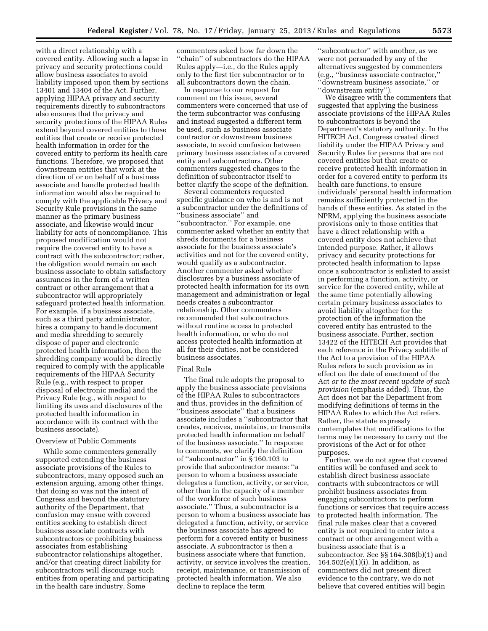with a direct relationship with a covered entity. Allowing such a lapse in privacy and security protections could allow business associates to avoid liability imposed upon them by sections 13401 and 13404 of the Act. Further, applying HIPAA privacy and security requirements directly to subcontractors also ensures that the privacy and security protections of the HIPAA Rules extend beyond covered entities to those entities that create or receive protected health information in order for the covered entity to perform its health care functions. Therefore, we proposed that downstream entities that work at the direction of or on behalf of a business associate and handle protected health information would also be required to comply with the applicable Privacy and Security Rule provisions in the same manner as the primary business associate, and likewise would incur liability for acts of noncompliance. This proposed modification would not require the covered entity to have a contract with the subcontractor; rather, the obligation would remain on each business associate to obtain satisfactory assurances in the form of a written contract or other arrangement that a subcontractor will appropriately safeguard protected health information. For example, if a business associate, such as a third party administrator, hires a company to handle document and media shredding to securely dispose of paper and electronic protected health information, then the shredding company would be directly required to comply with the applicable requirements of the HIPAA Security Rule (e.g., with respect to proper disposal of electronic media) and the Privacy Rule (e.g., with respect to limiting its uses and disclosures of the protected health information in accordance with its contract with the business associate).

# Overview of Public Comments

While some commenters generally supported extending the business associate provisions of the Rules to subcontractors, many opposed such an extension arguing, among other things, that doing so was not the intent of Congress and beyond the statutory authority of the Department, that confusion may ensue with covered entities seeking to establish direct business associate contracts with subcontractors or prohibiting business associates from establishing subcontractor relationships altogether, and/or that creating direct liability for subcontractors will discourage such entities from operating and participating in the health care industry. Some

commenters asked how far down the ''chain'' of subcontractors do the HIPAA Rules apply—i.e., do the Rules apply only to the first tier subcontractor or to all subcontractors down the chain.

In response to our request for comment on this issue, several commenters were concerned that use of the term subcontractor was confusing and instead suggested a different term be used, such as business associate contractor or downstream business associate, to avoid confusion between primary business associates of a covered entity and subcontractors. Other commenters suggested changes to the definition of subcontractor itself to better clarify the scope of the definition.

Several commenters requested specific guidance on who is and is not a subcontractor under the definitions of ''business associate'' and ''subcontractor.'' For example, one commenter asked whether an entity that shreds documents for a business associate for the business associate's activities and not for the covered entity, would qualify as a subcontractor. Another commenter asked whether disclosures by a business associate of protected health information for its own management and administration or legal needs creates a subcontractor relationship. Other commenters recommended that subcontractors without routine access to protected health information, or who do not access protected health information at all for their duties, not be considered business associates.

#### Final Rule

The final rule adopts the proposal to apply the business associate provisions of the HIPAA Rules to subcontractors and thus, provides in the definition of ''business associate'' that a business associate includes a ''subcontractor that creates, receives, maintains, or transmits protected health information on behalf of the business associate.'' In response to comments, we clarify the definition of ''subcontractor'' in § 160.103 to provide that subcontractor means: ''a person to whom a business associate delegates a function, activity, or service, other than in the capacity of a member of the workforce of such business associate.'' Thus, a subcontractor is a person to whom a business associate has delegated a function, activity, or service the business associate has agreed to perform for a covered entity or business associate. A subcontractor is then a business associate where that function, activity, or service involves the creation, receipt, maintenance, or transmission of protected health information. We also decline to replace the term

''subcontractor'' with another, as we were not persuaded by any of the alternatives suggested by commenters (e.g., ''business associate contractor,'' ''downstream business associate,'' or ''downstream entity'').

We disagree with the commenters that suggested that applying the business associate provisions of the HIPAA Rules to subcontractors is beyond the Department's statutory authority. In the HITECH Act, Congress created direct liability under the HIPAA Privacy and Security Rules for persons that are not covered entities but that create or receive protected health information in order for a covered entity to perform its health care functions, to ensure individuals' personal health information remains sufficiently protected in the hands of these entities. As stated in the NPRM, applying the business associate provisions only to those entities that have a direct relationship with a covered entity does not achieve that intended purpose. Rather, it allows privacy and security protections for protected health information to lapse once a subcontractor is enlisted to assist in performing a function, activity, or service for the covered entity, while at the same time potentially allowing certain primary business associates to avoid liability altogether for the protection of the information the covered entity has entrusted to the business associate. Further, section 13422 of the HITECH Act provides that each reference in the Privacy subtitle of the Act to a provision of the HIPAA Rules refers to such provision as in effect on the date of enactment of the Act *or to the most recent update of such provision* (emphasis added). Thus, the Act does not bar the Department from modifying definitions of terms in the HIPAA Rules to which the Act refers. Rather, the statute expressly contemplates that modifications to the terms may be necessary to carry out the provisions of the Act or for other purposes.

Further, we do not agree that covered entities will be confused and seek to establish direct business associate contracts with subcontractors or will prohibit business associates from engaging subcontractors to perform functions or services that require access to protected health information. The final rule makes clear that a covered entity is not required to enter into a contract or other arrangement with a business associate that is a subcontractor. See §§ 164.308(b)(1) and  $164.502(e)(1)(i)$ . In addition, as commenters did not present direct evidence to the contrary, we do not believe that covered entities will begin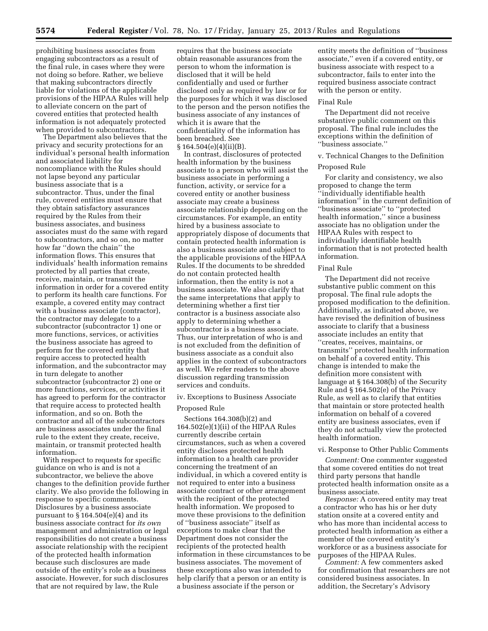prohibiting business associates from engaging subcontractors as a result of the final rule, in cases where they were not doing so before. Rather, we believe that making subcontractors directly liable for violations of the applicable provisions of the HIPAA Rules will help to alleviate concern on the part of covered entities that protected health information is not adequately protected when provided to subcontractors.

The Department also believes that the privacy and security protections for an individual's personal health information and associated liability for noncompliance with the Rules should not lapse beyond any particular business associate that is a subcontractor. Thus, under the final rule, covered entities must ensure that they obtain satisfactory assurances required by the Rules from their business associates, and business associates must do the same with regard to subcontractors, and so on, no matter how far ''down the chain'' the information flows. This ensures that individuals' health information remains protected by all parties that create, receive, maintain, or transmit the information in order for a covered entity to perform its health care functions. For example, a covered entity may contract with a business associate (contractor), the contractor may delegate to a subcontractor (subcontractor 1) one or more functions, services, or activities the business associate has agreed to perform for the covered entity that require access to protected health information, and the subcontractor may in turn delegate to another subcontractor (subcontractor 2) one or more functions, services, or activities it has agreed to perform for the contractor that require access to protected health information, and so on. Both the contractor and all of the subcontractors are business associates under the final rule to the extent they create, receive, maintain, or transmit protected health information.

With respect to requests for specific guidance on who is and is not a subcontractor, we believe the above changes to the definition provide further clarity. We also provide the following in response to specific comments. Disclosures by a business associate pursuant to  $\S 164.504(e)(4)$  and its business associate contract for *its own*  management and administration or legal responsibilities do not create a business associate relationship with the recipient of the protected health information because such disclosures are made outside of the entity's role as a business associate. However, for such disclosures that are not required by law, the Rule

requires that the business associate obtain reasonable assurances from the person to whom the information is disclosed that it will be held confidentially and used or further disclosed only as required by law or for the purposes for which it was disclosed to the person and the person notifies the business associate of any instances of which it is aware that the confidentiality of the information has been breached. See  $§ 164.504(e)(4)(ii)(B).$ 

In contrast, disclosures of protected health information by the business associate to a person who will assist the business associate in performing a function, activity, or service for a covered entity or another business associate may create a business associate relationship depending on the circumstances. For example, an entity hired by a business associate to appropriately dispose of documents that contain protected health information is also a business associate and subject to the applicable provisions of the HIPAA Rules. If the documents to be shredded do not contain protected health information, then the entity is not a business associate. We also clarify that the same interpretations that apply to determining whether a first tier contractor is a business associate also apply to determining whether a subcontractor is a business associate. Thus, our interpretation of who is and is not excluded from the definition of business associate as a conduit also applies in the context of subcontractors as well. We refer readers to the above discussion regarding transmission services and conduits.

iv. Exceptions to Business Associate Proposed Rule

Sections 164.308(b)(2) and 164.502(e)(1)(ii) of the HIPAA Rules currently describe certain circumstances, such as when a covered entity discloses protected health information to a health care provider concerning the treatment of an individual, in which a covered entity is not required to enter into a business associate contract or other arrangement with the recipient of the protected health information. We proposed to move these provisions to the definition of ''business associate'' itself as exceptions to make clear that the Department does not consider the recipients of the protected health information in these circumstances to be business associates. The movement of these exceptions also was intended to help clarify that a person or an entity is a business associate if the person or

entity meets the definition of ''business associate,'' even if a covered entity, or business associate with respect to a subcontractor, fails to enter into the required business associate contract with the person or entity.

#### Final Rule

The Department did not receive substantive public comment on this proposal. The final rule includes the exceptions within the definition of ''business associate.''

v. Technical Changes to the Definition

#### Proposed Rule

For clarity and consistency, we also proposed to change the term ''individually identifiable health information'' in the current definition of ''business associate'' to ''protected health information,'' since a business associate has no obligation under the HIPAA Rules with respect to individually identifiable health information that is not protected health information.

#### Final Rule

The Department did not receive substantive public comment on this proposal. The final rule adopts the proposed modification to the definition. Additionally, as indicated above, we have revised the definition of business associate to clarify that a business associate includes an entity that ''creates, receives, maintains, or transmits'' protected health information on behalf of a covered entity. This change is intended to make the definition more consistent with language at § 164.308(b) of the Security Rule and § 164.502(e) of the Privacy Rule, as well as to clarify that entities that maintain or store protected health information on behalf of a covered entity are business associates, even if they do not actually view the protected health information.

#### vi. Response to Other Public Comments

*Comment:* One commenter suggested that some covered entities do not treat third party persons that handle protected health information onsite as a business associate.

*Response:* A covered entity may treat a contractor who has his or her duty station onsite at a covered entity and who has more than incidental access to protected health information as either a member of the covered entity's workforce or as a business associate for purposes of the HIPAA Rules.

*Comment:* A few commenters asked for confirmation that researchers are not considered business associates. In addition, the Secretary's Advisory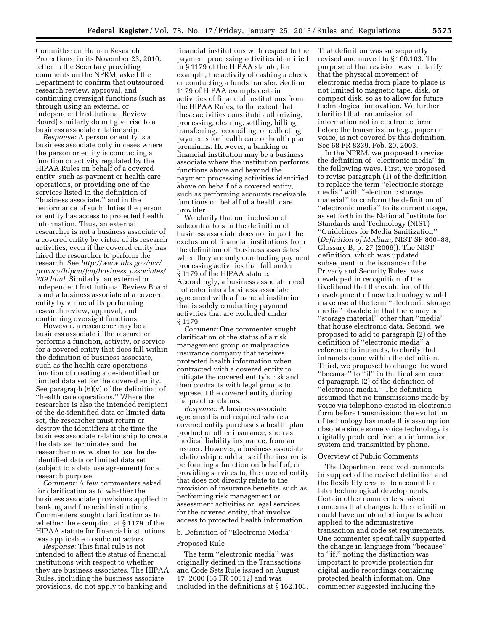Committee on Human Research Protections, in its November 23, 2010, letter to the Secretary providing comments on the NPRM, asked the Department to confirm that outsourced research review, approval, and continuing oversight functions (such as through using an external or independent Institutional Review Board) similarly do not give rise to a business associate relationship.

*Response:* A person or entity is a business associate only in cases where the person or entity is conducting a function or activity regulated by the HIPAA Rules on behalf of a covered entity, such as payment or health care operations, or providing one of the services listed in the definition of ''business associate,'' and in the performance of such duties the person or entity has access to protected health information. Thus, an external researcher is not a business associate of a covered entity by virtue of its research activities, even if the covered entity has hired the researcher to perform the research. See *[http://www.hhs.gov/ocr/](http://www.hhs.gov/ocr/privacy/hipaa/faq/business_associates/239.html)  [privacy/hipaa/faq/business](http://www.hhs.gov/ocr/privacy/hipaa/faq/business_associates/239.html)*\_*associates/ [239.html](http://www.hhs.gov/ocr/privacy/hipaa/faq/business_associates/239.html)*. Similarly, an external or independent Institutional Review Board is not a business associate of a covered entity by virtue of its performing research review, approval, and continuing oversight functions.

However, a researcher may be a business associate if the researcher performs a function, activity, or service for a covered entity that does fall within the definition of business associate, such as the health care operations function of creating a de-identified or limited data set for the covered entity. See paragraph (6)(v) of the definition of ''health care operations.'' Where the researcher is also the intended recipient of the de-identified data or limited data set, the researcher must return or destroy the identifiers at the time the business associate relationship to create the data set terminates and the researcher now wishes to use the deidentified data or limited data set (subject to a data use agreement) for a research purpose.

*Comment:* A few commenters asked for clarification as to whether the business associate provisions applied to banking and financial institutions. Commenters sought clarification as to whether the exemption at § 1179 of the HIPAA statute for financial institutions was applicable to subcontractors.

*Response:* This final rule is not intended to affect the status of financial institutions with respect to whether they are business associates. The HIPAA Rules, including the business associate provisions, do not apply to banking and

financial institutions with respect to the payment processing activities identified in § 1179 of the HIPAA statute, for example, the activity of cashing a check or conducting a funds transfer. Section 1179 of HIPAA exempts certain activities of financial institutions from the HIPAA Rules, to the extent that these activities constitute authorizing, processing, clearing, settling, billing, transferring, reconciling, or collecting payments for health care or health plan premiums. However, a banking or financial institution may be a business associate where the institution performs functions above and beyond the payment processing activities identified above on behalf of a covered entity, such as performing accounts receivable functions on behalf of a health care provider.

We clarify that our inclusion of subcontractors in the definition of business associate does not impact the exclusion of financial institutions from the definition of ''business associates'' when they are only conducting payment processing activities that fall under § 1179 of the HIPAA statute. Accordingly, a business associate need not enter into a business associate agreement with a financial institution that is solely conducting payment activities that are excluded under § 1179.

*Comment:* One commenter sought clarification of the status of a risk management group or malpractice insurance company that receives protected health information when contracted with a covered entity to mitigate the covered entity's risk and then contracts with legal groups to represent the covered entity during malpractice claims.

*Response:* A business associate agreement is not required where a covered entity purchases a health plan product or other insurance, such as medical liability insurance, from an insurer. However, a business associate relationship could arise if the insurer is performing a function on behalf of, or providing services to, the covered entity that does not directly relate to the provision of insurance benefits, such as performing risk management or assessment activities or legal services for the covered entity, that involve access to protected health information.

#### b. Definition of ''Electronic Media''

#### Proposed Rule

The term ''electronic media'' was originally defined in the Transactions and Code Sets Rule issued on August 17, 2000 (65 FR 50312) and was included in the definitions at § 162.103. That definition was subsequently revised and moved to § 160.103. The purpose of that revision was to clarify that the physical movement of electronic media from place to place is not limited to magnetic tape, disk, or compact disk, so as to allow for future technological innovation. We further clarified that transmission of information not in electronic form before the transmission (e.g., paper or voice) is not covered by this definition. See 68 FR 8339, Feb. 20, 2003.

In the NPRM, we proposed to revise the definition of ''electronic media'' in the following ways. First, we proposed to revise paragraph (1) of the definition to replace the term ''electronic storage media'' with ''electronic storage material'' to conform the definition of ''electronic media'' to its current usage, as set forth in the National Institute for Standards and Technology (NIST) ''Guidelines for Media Sanitization'' (*Definition of Medium,* NIST SP 800–88, Glossary B, p. 27 (2006)). The NIST definition, which was updated subsequent to the issuance of the Privacy and Security Rules, was developed in recognition of the likelihood that the evolution of the development of new technology would make use of the term ''electronic storage media'' obsolete in that there may be ''storage material'' other than ''media'' that house electronic data. Second, we proposed to add to paragraph (2) of the definition of ''electronic media'' a reference to intranets, to clarify that intranets come within the definition. Third, we proposed to change the word ''because'' to ''if'' in the final sentence of paragraph (2) of the definition of ''electronic media.'' The definition assumed that no transmissions made by voice via telephone existed in electronic form before transmission; the evolution of technology has made this assumption obsolete since some voice technology is digitally produced from an information system and transmitted by phone.

#### Overview of Public Comments

The Department received comments in support of the revised definition and the flexibility created to account for later technological developments. Certain other commenters raised concerns that changes to the definition could have unintended impacts when applied to the administrative transaction and code set requirements. One commenter specifically supported the change in language from ''because'' to ''if,'' noting the distinction was important to provide protection for digital audio recordings containing protected health information. One commenter suggested including the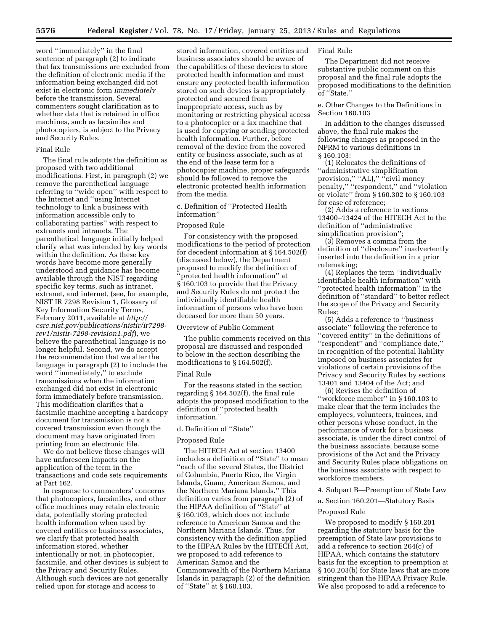word ''immediately'' in the final sentence of paragraph (2) to indicate that fax transmissions are excluded from the definition of electronic media if the information being exchanged did not exist in electronic form *immediately*  before the transmission. Several commenters sought clarification as to whether data that is retained in office machines, such as facsimiles and photocopiers, is subject to the Privacy and Security Rules.

# Final Rule

The final rule adopts the definition as proposed with two additional modifications. First, in paragraph (2) we remove the parenthetical language referring to ''wide open'' with respect to the Internet and ''using Internet technology to link a business with information accessible only to collaborating parties'' with respect to extranets and intranets. The parenthetical language initially helped clarify what was intended by key words within the definition. As these key words have become more generally understood and guidance has become available through the NIST regarding specific key terms, such as intranet, extranet, and internet, (see, for example, NIST IR 7298 Revision 1, Glossary of Key Information Security Terms, February 2011, available at *[http://](http://csrc.nist.gov/publications/nistir/ir7298-rev1/nistir-7298-revision1.pdf) [csrc.nist.gov/publications/nistir/ir7298](http://csrc.nist.gov/publications/nistir/ir7298-rev1/nistir-7298-revision1.pdf) [rev1/nistir-7298-revision1.pdf](http://csrc.nist.gov/publications/nistir/ir7298-rev1/nistir-7298-revision1.pdf)*), we believe the parenthetical language is no longer helpful. Second, we do accept the recommendation that we alter the language in paragraph (2) to include the word ''immediately,'' to exclude transmissions when the information exchanged did not exist in electronic form immediately before transmission. This modification clarifies that a facsimile machine accepting a hardcopy document for transmission is not a covered transmission even though the document may have originated from printing from an electronic file.

We do not believe these changes will have unforeseen impacts on the application of the term in the transactions and code sets requirements at Part 162.

In response to commenters' concerns that photocopiers, facsimiles, and other office machines may retain electronic data, potentially storing protected health information when used by covered entities or business associates, we clarify that protected health information stored, whether intentionally or not, in photocopier, facsimile, and other devices is subject to the Privacy and Security Rules. Although such devices are not generally relied upon for storage and access to

stored information, covered entities and business associates should be aware of the capabilities of these devices to store protected health information and must ensure any protected health information stored on such devices is appropriately protected and secured from inappropriate access, such as by monitoring or restricting physical access to a photocopier or a fax machine that is used for copying or sending protected health information. Further, before removal of the device from the covered entity or business associate, such as at the end of the lease term for a photocopier machine, proper safeguards should be followed to remove the electronic protected health information from the media.

c. Definition of ''Protected Health Information''

# Proposed Rule

For consistency with the proposed modifications to the period of protection for decedent information at § 164.502(f) (discussed below), the Department proposed to modify the definition of 'protected health information" at § 160.103 to provide that the Privacy and Security Rules do not protect the individually identifiable health information of persons who have been deceased for more than 50 years.

Overview of Public Comment

The public comments received on this proposal are discussed and responded to below in the section describing the modifications to § 164.502(f).

# Final Rule

For the reasons stated in the section regarding § 164.502(f), the final rule adopts the proposed modification to the definition of ''protected health information.''

# d. Definition of ''State''

#### Proposed Rule

The HITECH Act at section 13400 includes a definition of ''State'' to mean ''each of the several States, the District of Columbia, Puerto Rico, the Virgin Islands, Guam, American Samoa, and the Northern Mariana Islands.'' This definition varies from paragraph (2) of the HIPAA definition of ''State'' at § 160.103, which does not include reference to American Samoa and the Northern Mariana Islands. Thus, for consistency with the definition applied to the HIPAA Rules by the HITECH Act, we proposed to add reference to American Samoa and the Commonwealth of the Northern Mariana Islands in paragraph (2) of the definition of ''State'' at § 160.103.

#### Final Rule

The Department did not receive substantive public comment on this proposal and the final rule adopts the proposed modifications to the definition of ''State.''

e. Other Changes to the Definitions in Section 160.103

In addition to the changes discussed above, the final rule makes the following changes as proposed in the NPRM to various definitions in § 160.103:

(1) Relocates the definitions of ''administrative simplification provision," "ALJ," "civil money penalty,'' ''respondent,'' and ''violation or violate'' from § 160.302 to § 160.103 for ease of reference;

(2) Adds a reference to sections 13400–13424 of the HITECH Act to the definition of ''administrative simplification provision'';

(3) Removes a comma from the definition of ''disclosure'' inadvertently inserted into the definition in a prior rulemaking;

(4) Replaces the term ''individually identifiable health information'' with ''protected health information'' in the definition of ''standard'' to better reflect the scope of the Privacy and Security Rules;

(5) Adds a reference to ''business associate'' following the reference to "covered entity" in the definitions of ''respondent'' and ''compliance date,'' in recognition of the potential liability imposed on business associates for violations of certain provisions of the Privacy and Security Rules by sections 13401 and 13404 of the Act; and

(6) Revises the definition of ''workforce member'' in § 160.103 to make clear that the term includes the employees, volunteers, trainees, and other persons whose conduct, in the performance of work for a business associate, is under the direct control of the business associate, because some provisions of the Act and the Privacy and Security Rules place obligations on the business associate with respect to workforce members.

4. Subpart B—Preemption of State Law

a. Section 160.201—Statutory Basis

# Proposed Rule

We proposed to modify § 160.201 regarding the statutory basis for the preemption of State law provisions to add a reference to section 264(c) of HIPAA, which contains the statutory basis for the exception to preemption at § 160.203(b) for State laws that are more stringent than the HIPAA Privacy Rule. We also proposed to add a reference to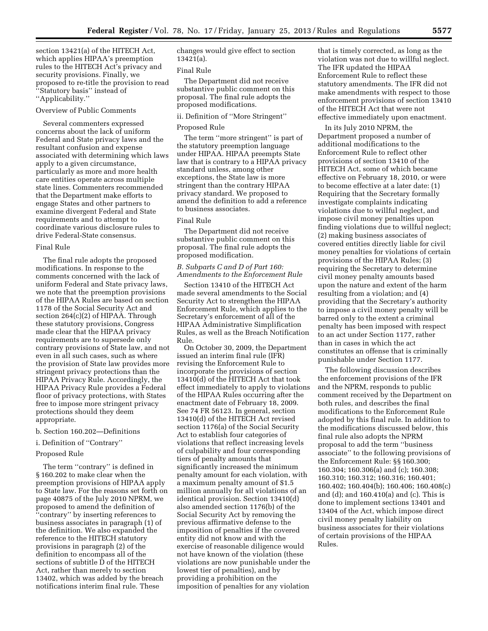section 13421(a) of the HITECH Act, which applies HIPAA's preemption rules to the HITECH Act's privacy and security provisions. Finally, we proposed to re-title the provision to read ''Statutory basis'' instead of ''Applicability.''

# Overview of Public Comments

Several commenters expressed concerns about the lack of uniform Federal and State privacy laws and the resultant confusion and expense associated with determining which laws apply to a given circumstance, particularly as more and more health care entities operate across multiple state lines. Commenters recommended that the Department make efforts to engage States and other partners to examine divergent Federal and State requirements and to attempt to coordinate various disclosure rules to drive Federal-State consensus.

#### Final Rule

The final rule adopts the proposed modifications. In response to the comments concerned with the lack of uniform Federal and State privacy laws, we note that the preemption provisions of the HIPAA Rules are based on section 1178 of the Social Security Act and section 264(c)(2) of HIPAA. Through these statutory provisions, Congress made clear that the HIPAA privacy requirements are to supersede only contrary provisions of State law, and not even in all such cases, such as where the provision of State law provides more stringent privacy protections than the HIPAA Privacy Rule. Accordingly, the HIPAA Privacy Rule provides a Federal floor of privacy protections, with States free to impose more stringent privacy protections should they deem appropriate.

# b. Section 160.202—Definitions

# i. Definition of ''Contrary''

# Proposed Rule

The term ''contrary'' is defined in § 160.202 to make clear when the preemption provisions of HIPAA apply to State law. For the reasons set forth on page 40875 of the July 2010 NPRM, we proposed to amend the definition of ''contrary'' by inserting references to business associates in paragraph (1) of the definition. We also expanded the reference to the HITECH statutory provisions in paragraph (2) of the definition to encompass all of the sections of subtitle D of the HITECH Act, rather than merely to section 13402, which was added by the breach notifications interim final rule. These

changes would give effect to section 13421(a).

# Final Rule

The Department did not receive substantive public comment on this proposal. The final rule adopts the proposed modifications.

# ii. Definition of ''More Stringent''

#### Proposed Rule

The term ''more stringent'' is part of the statutory preemption language under HIPAA. HIPAA preempts State law that is contrary to a HIPAA privacy standard unless, among other exceptions, the State law is more stringent than the contrary HIPAA privacy standard. We proposed to amend the definition to add a reference to business associates.

# Final Rule

The Department did not receive substantive public comment on this proposal. The final rule adopts the proposed modification.

# *B. Subparts C and D of Part 160: Amendments to the Enforcement Rule*

Section 13410 of the HITECH Act made several amendments to the Social Security Act to strengthen the HIPAA Enforcement Rule, which applies to the Secretary's enforcement of all of the HIPAA Administrative Simplification Rules, as well as the Breach Notification Rule.

On October 30, 2009, the Department issued an interim final rule (IFR) revising the Enforcement Rule to incorporate the provisions of section 13410(d) of the HITECH Act that took effect immediately to apply to violations of the HIPAA Rules occurring after the enactment date of February 18, 2009. See 74 FR 56123. In general, section 13410(d) of the HITECH Act revised section 1176(a) of the Social Security Act to establish four categories of violations that reflect increasing levels of culpability and four corresponding tiers of penalty amounts that significantly increased the minimum penalty amount for each violation, with a maximum penalty amount of \$1.5 million annually for all violations of an identical provision. Section 13410(d) also amended section 1176(b) of the Social Security Act by removing the previous affirmative defense to the imposition of penalties if the covered entity did not know and with the exercise of reasonable diligence would not have known of the violation (these violations are now punishable under the lowest tier of penalties), and by providing a prohibition on the imposition of penalties for any violation

that is timely corrected, as long as the violation was not due to willful neglect. The IFR updated the HIPAA Enforcement Rule to reflect these statutory amendments. The IFR did not make amendments with respect to those enforcement provisions of section 13410 of the HITECH Act that were not effective immediately upon enactment.

In its July 2010 NPRM, the Department proposed a number of additional modifications to the Enforcement Rule to reflect other provisions of section 13410 of the HITECH Act, some of which became effective on February 18, 2010, or were to become effective at a later date: (1) Requiring that the Secretary formally investigate complaints indicating violations due to willful neglect, and impose civil money penalties upon finding violations due to willful neglect; (2) making business associates of covered entities directly liable for civil money penalties for violations of certain provisions of the HIPAA Rules; (3) requiring the Secretary to determine civil money penalty amounts based upon the nature and extent of the harm resulting from a violation; and (4) providing that the Secretary's authority to impose a civil money penalty will be barred only to the extent a criminal penalty has been imposed with respect to an act under Section 1177, rather than in cases in which the act constitutes an offense that is criminally punishable under Section 1177.

The following discussion describes the enforcement provisions of the IFR and the NPRM, responds to public comment received by the Department on both rules, and describes the final modifications to the Enforcement Rule adopted by this final rule. In addition to the modifications discussed below, this final rule also adopts the NPRM proposal to add the term ''business associate'' to the following provisions of the Enforcement Rule: §§ 160.300; 160.304; 160.306(a) and (c); 160.308; 160.310; 160.312; 160.316; 160.401; 160.402; 160.404(b); 160.406; 160.408(c) and (d); and 160.410(a) and (c). This is done to implement sections 13401 and 13404 of the Act, which impose direct civil money penalty liability on business associates for their violations of certain provisions of the HIPAA Rules.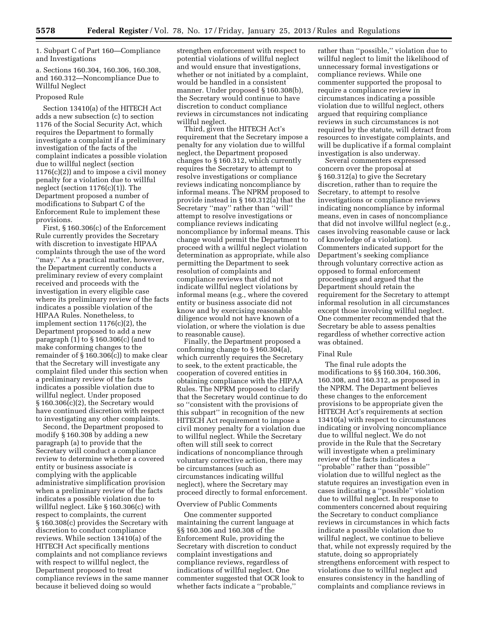1. Subpart C of Part 160—Compliance and Investigations

a. Sections 160.304, 160.306, 160.308, and 160.312—Noncompliance Due to Willful Neglect

# Proposed Rule

Section 13410(a) of the HITECH Act adds a new subsection (c) to section 1176 of the Social Security Act, which requires the Department to formally investigate a complaint if a preliminary investigation of the facts of the complaint indicates a possible violation due to willful neglect (section  $1176(c)(2)$  and to impose a civil money penalty for a violation due to willful neglect (section 1176(c)(1)). The Department proposed a number of modifications to Subpart C of the Enforcement Rule to implement these provisions.

First, § 160.306(c) of the Enforcement Rule currently provides the Secretary with discretion to investigate HIPAA complaints through the use of the word ''may.'' As a practical matter, however, the Department currently conducts a preliminary review of every complaint received and proceeds with the investigation in every eligible case where its preliminary review of the facts indicates a possible violation of the HIPAA Rules. Nonetheless, to implement section 1176(c)(2), the Department proposed to add a new paragraph (1) to § 160.306(c) (and to make conforming changes to the remainder of § 160.306(c)) to make clear that the Secretary will investigate any complaint filed under this section when a preliminary review of the facts indicates a possible violation due to willful neglect. Under proposed § 160.306(c)(2), the Secretary would have continued discretion with respect to investigating any other complaints.

Second, the Department proposed to modify § 160.308 by adding a new paragraph (a) to provide that the Secretary will conduct a compliance review to determine whether a covered entity or business associate is complying with the applicable administrative simplification provision when a preliminary review of the facts indicates a possible violation due to willful neglect. Like § 160.306(c) with respect to complaints, the current § 160.308(c) provides the Secretary with discretion to conduct compliance reviews. While section 13410(a) of the HITECH Act specifically mentions complaints and not compliance reviews with respect to willful neglect, the Department proposed to treat compliance reviews in the same manner because it believed doing so would

strengthen enforcement with respect to potential violations of willful neglect and would ensure that investigations, whether or not initiated by a complaint, would be handled in a consistent manner. Under proposed § 160.308(b), the Secretary would continue to have discretion to conduct compliance reviews in circumstances not indicating willful neglect.

Third, given the HITECH Act's requirement that the Secretary impose a penalty for any violation due to willful neglect, the Department proposed changes to § 160.312, which currently requires the Secretary to attempt to resolve investigations or compliance reviews indicating noncompliance by informal means. The NPRM proposed to provide instead in § 160.312(a) that the Secretary ''may'' rather than ''will'' attempt to resolve investigations or compliance reviews indicating noncompliance by informal means. This change would permit the Department to proceed with a willful neglect violation determination as appropriate, while also permitting the Department to seek resolution of complaints and compliance reviews that did not indicate willful neglect violations by informal means (e.g., where the covered entity or business associate did not know and by exercising reasonable diligence would not have known of a violation, or where the violation is due to reasonable cause).

Finally, the Department proposed a conforming change to § 160.304(a), which currently requires the Secretary to seek, to the extent practicable, the cooperation of covered entities in obtaining compliance with the HIPAA Rules. The NPRM proposed to clarify that the Secretary would continue to do so ''consistent with the provisions of this subpart'' in recognition of the new HITECH Act requirement to impose a civil money penalty for a violation due to willful neglect. While the Secretary often will still seek to correct indications of noncompliance through voluntary corrective action, there may be circumstances (such as circumstances indicating willful neglect), where the Secretary may proceed directly to formal enforcement.

# Overview of Public Comments

One commenter supported maintaining the current language at §§ 160.306 and 160.308 of the Enforcement Rule, providing the Secretary with discretion to conduct complaint investigations and compliance reviews, regardless of indications of willful neglect. One commenter suggested that OCR look to whether facts indicate a ''probable,''

rather than ''possible,'' violation due to willful neglect to limit the likelihood of unnecessary formal investigations or compliance reviews. While one commenter supported the proposal to require a compliance review in circumstances indicating a possible violation due to willful neglect, others argued that requiring compliance reviews in such circumstances is not required by the statute, will detract from resources to investigate complaints, and will be duplicative if a formal complaint investigation is also underway.

Several commenters expressed concern over the proposal at § 160.312(a) to give the Secretary discretion, rather than to require the Secretary, to attempt to resolve investigations or compliance reviews indicating noncompliance by informal means, even in cases of noncompliance that did not involve willful neglect (e.g., cases involving reasonable cause or lack of knowledge of a violation). Commenters indicated support for the Department's seeking compliance through voluntary corrective action as opposed to formal enforcement proceedings and argued that the Department should retain the requirement for the Secretary to attempt informal resolution in all circumstances except those involving willful neglect. One commenter recommended that the Secretary be able to assess penalties regardless of whether corrective action was obtained.

# Final Rule

The final rule adopts the modifications to §§ 160.304, 160.306, 160.308, and 160.312, as proposed in the NPRM. The Department believes these changes to the enforcement provisions to be appropriate given the HITECH Act's requirements at section 13410(a) with respect to circumstances indicating or involving noncompliance due to willful neglect. We do not provide in the Rule that the Secretary will investigate when a preliminary review of the facts indicates a ''probable'' rather than ''possible'' violation due to willful neglect as the statute requires an investigation even in cases indicating a ''possible'' violation due to willful neglect. In response to commenters concerned about requiring the Secretary to conduct compliance reviews in circumstances in which facts indicate a possible violation due to willful neglect, we continue to believe that, while not expressly required by the statute, doing so appropriately strengthens enforcement with respect to violations due to willful neglect and ensures consistency in the handling of complaints and compliance reviews in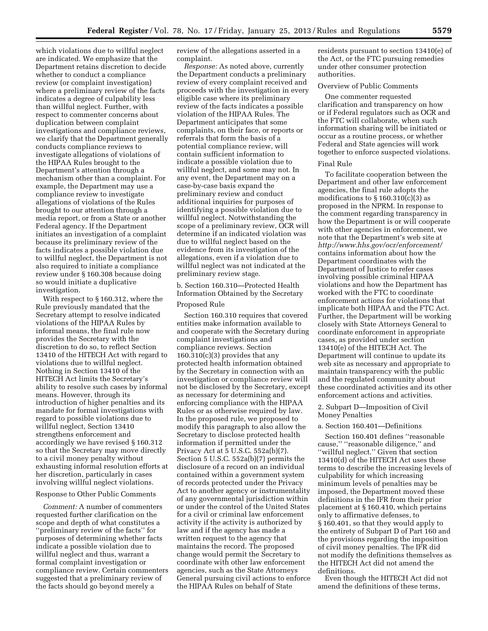which violations due to willful neglect are indicated. We emphasize that the Department retains discretion to decide whether to conduct a compliance review (or complaint investigation) where a preliminary review of the facts indicates a degree of culpability less than willful neglect. Further, with respect to commenter concerns about duplication between complaint investigations and compliance reviews, we clarify that the Department generally conducts compliance reviews to investigate allegations of violations of the HIPAA Rules brought to the Department's attention through a mechanism other than a complaint. For example, the Department may use a compliance review to investigate allegations of violations of the Rules brought to our attention through a media report, or from a State or another Federal agency. If the Department initiates an investigation of a complaint because its preliminary review of the facts indicates a possible violation due to willful neglect, the Department is not also required to initiate a compliance review under § 160.308 because doing so would initiate a duplicative investigation.

With respect to § 160.312, where the Rule previously mandated that the Secretary attempt to resolve indicated violations of the HIPAA Rules by informal means, the final rule now provides the Secretary with the discretion to do so, to reflect Section 13410 of the HITECH Act with regard to violations due to willful neglect. Nothing in Section 13410 of the HITECH Act limits the Secretary's ability to resolve such cases by informal means. However, through its introduction of higher penalties and its mandate for formal investigations with regard to possible violations due to willful neglect, Section 13410 strengthens enforcement and accordingly we have revised § 160.312 so that the Secretary may move directly to a civil money penalty without exhausting informal resolution efforts at her discretion, particularly in cases involving willful neglect violations.

#### Response to Other Public Comments

*Comment:* A number of commenters requested further clarification on the scope and depth of what constitutes a ''preliminary review of the facts'' for purposes of determining whether facts indicate a possible violation due to willful neglect and thus, warrant a formal complaint investigation or compliance review. Certain commenters suggested that a preliminary review of the facts should go beyond merely a

review of the allegations asserted in a complaint.

*Response:* As noted above, currently the Department conducts a preliminary review of every complaint received and proceeds with the investigation in every eligible case where its preliminary review of the facts indicates a possible violation of the HIPAA Rules. The Department anticipates that some complaints, on their face, or reports or referrals that form the basis of a potential compliance review, will contain sufficient information to indicate a possible violation due to willful neglect, and some may not. In any event, the Department may on a case-by-case basis expand the preliminary review and conduct additional inquiries for purposes of identifying a possible violation due to willful neglect. Notwithstanding the scope of a preliminary review, OCR will determine if an indicated violation was due to willful neglect based on the evidence from its investigation of the allegations, even if a violation due to willful neglect was not indicated at the preliminary review stage.

b. Section 160.310—Protected Health Information Obtained by the Secretary

# Proposed Rule

Section 160.310 requires that covered entities make information available to and cooperate with the Secretary during complaint investigations and compliance reviews. Section  $160.310(c)(3)$  provides that any protected health information obtained by the Secretary in connection with an investigation or compliance review will not be disclosed by the Secretary, except as necessary for determining and enforcing compliance with the HIPAA Rules or as otherwise required by law. In the proposed rule, we proposed to modify this paragraph to also allow the Secretary to disclose protected health information if permitted under the Privacy Act at 5 U.S.C. 552a(b)(7). Section 5 U.S.C. 552a(b)(7) permits the disclosure of a record on an individual contained within a government system of records protected under the Privacy Act to another agency or instrumentality of any governmental jurisdiction within or under the control of the United States for a civil or criminal law enforcement activity if the activity is authorized by law and if the agency has made a written request to the agency that maintains the record. The proposed change would permit the Secretary to coordinate with other law enforcement agencies, such as the State Attorneys General pursuing civil actions to enforce the HIPAA Rules on behalf of State

residents pursuant to section 13410(e) of the Act, or the FTC pursuing remedies under other consumer protection authorities.

# Overview of Public Comments

One commenter requested clarification and transparency on how or if Federal regulators such as OCR and the FTC will collaborate, when such information sharing will be initiated or occur as a routine process, or whether Federal and State agencies will work together to enforce suspected violations.

# Final Rule

To facilitate cooperation between the Department and other law enforcement agencies, the final rule adopts the modifications to  $\S 160.310(c)(3)$  as proposed in the NPRM. In response to the comment regarding transparency in how the Department is or will cooperate with other agencies in enforcement, we note that the Department's web site at *<http://www.hhs.gov/ocr/enforcement/>*  contains information about how the Department coordinates with the Department of Justice to refer cases involving possible criminal HIPAA violations and how the Department has worked with the FTC to coordinate enforcement actions for violations that implicate both HIPAA and the FTC Act. Further, the Department will be working closely with State Attorneys General to coordinate enforcement in appropriate cases, as provided under section 13410(e) of the HITECH Act. The Department will continue to update its web site as necessary and appropriate to maintain transparency with the public and the regulated community about these coordinated activities and its other enforcement actions and activities.

# 2. Subpart D—Imposition of Civil Money Penalties

#### a. Section 160.401—Definitions

Section 160.401 defines ''reasonable cause," "reasonable diligence," and ''willful neglect.'' Given that section 13410(d) of the HITECH Act uses these terms to describe the increasing levels of culpability for which increasing minimum levels of penalties may be imposed, the Department moved these definitions in the IFR from their prior placement at § 160.410, which pertains only to affirmative defenses, to § 160.401, so that they would apply to the entirety of Subpart D of Part 160 and the provisions regarding the imposition of civil money penalties. The IFR did not modify the definitions themselves as the HITECH Act did not amend the definitions.

Even though the HITECH Act did not amend the definitions of these terms,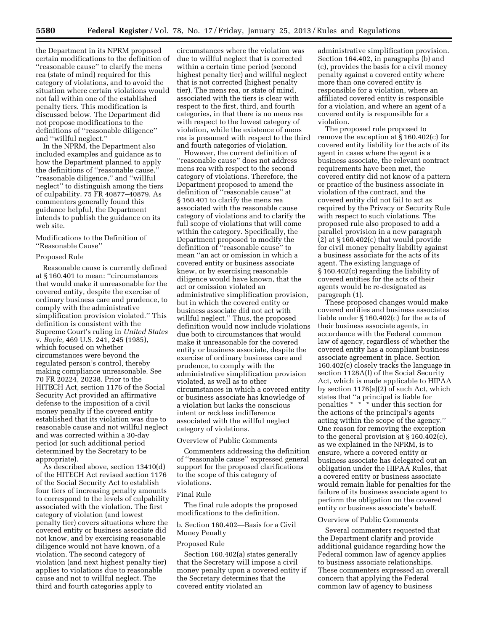the Department in its NPRM proposed certain modifications to the definition of ''reasonable cause'' to clarify the mens rea (state of mind) required for this category of violations, and to avoid the situation where certain violations would not fall within one of the established penalty tiers. This modification is discussed below. The Department did not propose modifications to the definitions of ''reasonable diligence'' and ''willful neglect.''

In the NPRM, the Department also included examples and guidance as to how the Department planned to apply the definitions of ''reasonable cause,'' ''reasonable diligence,'' and ''willful neglect'' to distinguish among the tiers of culpability. 75 FR 40877–40879. As commenters generally found this guidance helpful, the Department intends to publish the guidance on its web site.

Modifications to the Definition of ''Reasonable Cause''

#### Proposed Rule

Reasonable cause is currently defined at § 160.401 to mean: ''circumstances that would make it unreasonable for the covered entity, despite the exercise of ordinary business care and prudence, to comply with the administrative simplification provision violated.'' This definition is consistent with the Supreme Court's ruling in *United States*  v. *Boyle,* 469 U.S. 241, 245 (1985), which focused on whether circumstances were beyond the regulated person's control, thereby making compliance unreasonable. See 70 FR 20224, 20238. Prior to the HITECH Act, section 1176 of the Social Security Act provided an affirmative defense to the imposition of a civil money penalty if the covered entity established that its violation was due to reasonable cause and not willful neglect and was corrected within a 30-day period (or such additional period determined by the Secretary to be appropriate).

As described above, section 13410(d) of the HITECH Act revised section 1176 of the Social Security Act to establish four tiers of increasing penalty amounts to correspond to the levels of culpability associated with the violation. The first category of violation (and lowest penalty tier) covers situations where the covered entity or business associate did not know, and by exercising reasonable diligence would not have known, of a violation. The second category of violation (and next highest penalty tier) applies to violations due to reasonable cause and not to willful neglect. The third and fourth categories apply to

circumstances where the violation was due to willful neglect that is corrected within a certain time period (second highest penalty tier) and willful neglect that is not corrected (highest penalty tier). The mens rea, or state of mind, associated with the tiers is clear with respect to the first, third, and fourth categories, in that there is no mens rea with respect to the lowest category of violation, while the existence of mens rea is presumed with respect to the third and fourth categories of violation.

However, the current definition of ''reasonable cause'' does not address mens rea with respect to the second category of violations. Therefore, the Department proposed to amend the definition of ''reasonable cause'' at § 160.401 to clarify the mens rea associated with the reasonable cause category of violations and to clarify the full scope of violations that will come within the category. Specifically, the Department proposed to modify the definition of ''reasonable cause'' to mean ''an act or omission in which a covered entity or business associate knew, or by exercising reasonable diligence would have known, that the act or omission violated an administrative simplification provision, but in which the covered entity or business associate did not act with willful neglect.'' Thus, the proposed definition would now include violations due both to circumstances that would make it unreasonable for the covered entity or business associate, despite the exercise of ordinary business care and prudence, to comply with the administrative simplification provision violated, as well as to other circumstances in which a covered entity or business associate has knowledge of a violation but lacks the conscious intent or reckless indifference associated with the willful neglect category of violations.

# Overview of Public Comments

Commenters addressing the definition of ''reasonable cause'' expressed general support for the proposed clarifications to the scope of this category of violations.

#### Final Rule

The final rule adopts the proposed modifications to the definition.

b. Section 160.402—Basis for a Civil Money Penalty

# Proposed Rule

Section 160.402(a) states generally that the Secretary will impose a civil money penalty upon a covered entity if the Secretary determines that the covered entity violated an

administrative simplification provision. Section 164.402, in paragraphs (b) and (c), provides the basis for a civil money penalty against a covered entity where more than one covered entity is responsible for a violation, where an affiliated covered entity is responsible for a violation, and where an agent of a covered entity is responsible for a violation.

The proposed rule proposed to remove the exception at § 160.402(c) for covered entity liability for the acts of its agent in cases where the agent is a business associate, the relevant contract requirements have been met, the covered entity did not know of a pattern or practice of the business associate in violation of the contract, and the covered entity did not fail to act as required by the Privacy or Security Rule with respect to such violations. The proposed rule also proposed to add a parallel provision in a new paragraph (2) at § 160.402(c) that would provide for civil money penalty liability against a business associate for the acts of its agent. The existing language of § 160.402(c) regarding the liability of covered entities for the acts of their agents would be re-designated as paragraph (1).

These proposed changes would make covered entities and business associates liable under § 160.402(c) for the acts of their business associate agents, in accordance with the Federal common law of agency, regardless of whether the covered entity has a compliant business associate agreement in place. Section 160.402(c) closely tracks the language in section 1128A(l) of the Social Security Act, which is made applicable to HIPAA by section  $1176(a)(2)$  of such Act, which states that ''a principal is liable for penalties \* \* \* under this section for the actions of the principal's agents acting within the scope of the agency.'' One reason for removing the exception to the general provision at § 160.402(c), as we explained in the NPRM, is to ensure, where a covered entity or business associate has delegated out an obligation under the HIPAA Rules, that a covered entity or business associate would remain liable for penalties for the failure of its business associate agent to perform the obligation on the covered entity or business associate's behalf.

# Overview of Public Comments

Several commenters requested that the Department clarify and provide additional guidance regarding how the Federal common law of agency applies to business associate relationships. These commenters expressed an overall concern that applying the Federal common law of agency to business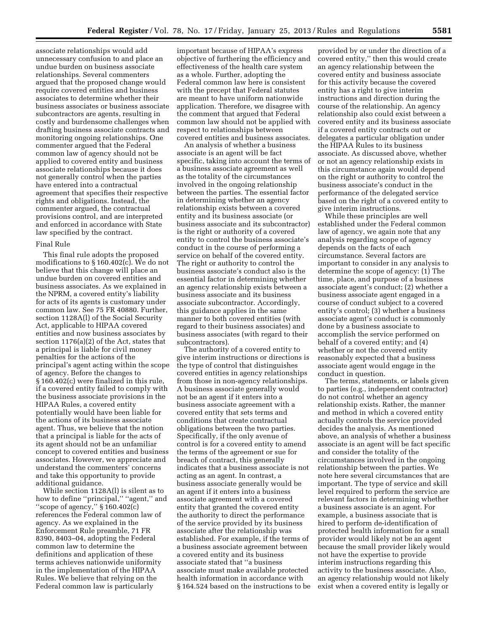associate relationships would add unnecessary confusion to and place an undue burden on business associate relationships. Several commenters argued that the proposed change would require covered entities and business associates to determine whether their business associates or business associate subcontractors are agents, resulting in costly and burdensome challenges when drafting business associate contracts and monitoring ongoing relationships. One commenter argued that the Federal common law of agency should not be applied to covered entity and business associate relationships because it does not generally control when the parties have entered into a contractual agreement that specifies their respective rights and obligations. Instead, the commenter argued, the contractual provisions control, and are interpreted and enforced in accordance with State law specified by the contract.

# Final Rule

This final rule adopts the proposed modifications to § 160.402(c). We do not believe that this change will place an undue burden on covered entities and business associates. As we explained in the NPRM, a covered entity's liability for acts of its agents is customary under common law. See 75 FR 40880. Further, section 1128A(l) of the Social Security Act, applicable to HIPAA covered entities and now business associates by section 1176(a)(2) of the Act, states that a principal is liable for civil money penalties for the actions of the principal's agent acting within the scope of agency. Before the changes to § 160.402(c) were finalized in this rule, if a covered entity failed to comply with the business associate provisions in the HIPAA Rules, a covered entity potentially would have been liable for the actions of its business associate agent. Thus, we believe that the notion that a principal is liable for the acts of its agent should not be an unfamiliar concept to covered entities and business associates. However, we appreciate and understand the commenters' concerns and take this opportunity to provide additional guidance.

While section 1128A(l) is silent as to how to define "principal," "agent," and ''scope of agency,'' § 160.402(c) references the Federal common law of agency. As we explained in the Enforcement Rule preamble, 71 FR 8390, 8403–04, adopting the Federal common law to determine the definitions and application of these terms achieves nationwide uniformity in the implementation of the HIPAA Rules. We believe that relying on the Federal common law is particularly

important because of HIPAA's express objective of furthering the efficiency and effectiveness of the health care system as a whole. Further, adopting the Federal common law here is consistent with the precept that Federal statutes are meant to have uniform nationwide application. Therefore, we disagree with the comment that argued that Federal common law should not be applied with respect to relationships between covered entities and business associates.

An analysis of whether a business associate is an agent will be fact specific, taking into account the terms of a business associate agreement as well as the totality of the circumstances involved in the ongoing relationship between the parties. The essential factor in determining whether an agency relationship exists between a covered entity and its business associate (or business associate and its subcontractor) is the right or authority of a covered entity to control the business associate's conduct in the course of performing a service on behalf of the covered entity. The right or authority to control the business associate's conduct also is the essential factor in determining whether an agency relationship exists between a business associate and its business associate subcontractor. Accordingly, this guidance applies in the same manner to both covered entities (with regard to their business associates) and business associates (with regard to their subcontractors).

The authority of a covered entity to give interim instructions or directions is the type of control that distinguishes covered entities in agency relationships from those in non-agency relationships. A business associate generally would not be an agent if it enters into a business associate agreement with a covered entity that sets terms and conditions that create contractual obligations between the two parties. Specifically, if the only avenue of control is for a covered entity to amend the terms of the agreement or sue for breach of contract, this generally indicates that a business associate is not acting as an agent. In contrast, a business associate generally would be an agent if it enters into a business associate agreement with a covered entity that granted the covered entity the authority to direct the performance of the service provided by its business associate after the relationship was established. For example, if the terms of a business associate agreement between a covered entity and its business associate stated that ''a business associate must make available protected health information in accordance with § 164.524 based on the instructions to be

provided by or under the direction of a covered entity,'' then this would create an agency relationship between the covered entity and business associate for this activity because the covered entity has a right to give interim instructions and direction during the course of the relationship. An agency relationship also could exist between a covered entity and its business associate if a covered entity contracts out or delegates a particular obligation under the HIPAA Rules to its business associate. As discussed above, whether or not an agency relationship exists in this circumstance again would depend on the right or authority to control the business associate's conduct in the performance of the delegated service based on the right of a covered entity to give interim instructions.

While these principles are well established under the Federal common law of agency, we again note that any analysis regarding scope of agency depends on the facts of each circumstance. Several factors are important to consider in any analysis to determine the scope of agency: (1) The time, place, and purpose of a business associate agent's conduct; (2) whether a business associate agent engaged in a course of conduct subject to a covered entity's control; (3) whether a business associate agent's conduct is commonly done by a business associate to accomplish the service performed on behalf of a covered entity; and (4) whether or not the covered entity reasonably expected that a business associate agent would engage in the conduct in question.

The terms, statements, or labels given to parties (e.g., independent contractor) do not control whether an agency relationship exists. Rather, the manner and method in which a covered entity actually controls the service provided decides the analysis. As mentioned above, an analysis of whether a business associate is an agent will be fact specific and consider the totality of the circumstances involved in the ongoing relationship between the parties. We note here several circumstances that are important. The type of service and skill level required to perform the service are relevant factors in determining whether a business associate is an agent. For example, a business associate that is hired to perform de-identification of protected health information for a small provider would likely not be an agent because the small provider likely would not have the expertise to provide interim instructions regarding this activity to the business associate. Also, an agency relationship would not likely exist when a covered entity is legally or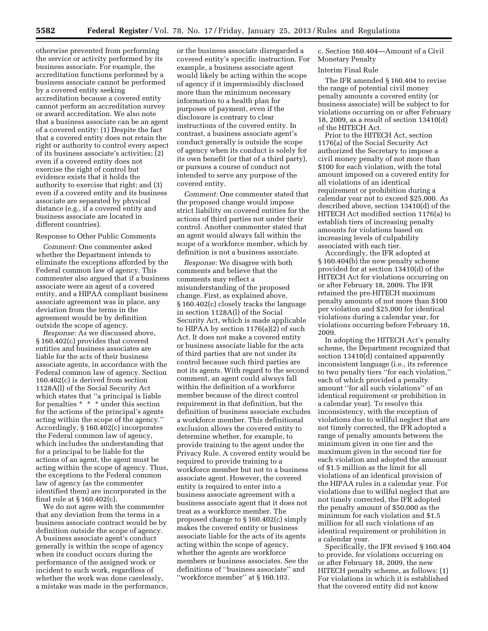otherwise prevented from performing the service or activity performed by its business associate. For example, the accreditation functions performed by a business associate cannot be performed by a covered entity seeking accreditation because a covered entity cannot perform an accreditation survey or award accreditation. We also note that a business associate can be an agent of a covered entity: (1) Despite the fact that a covered entity does not retain the right or authority to control every aspect of its business associate's activities; (2) even if a covered entity does not exercise the right of control but evidence exists that it holds the authority to exercise that right; and (3) even if a covered entity and its business associate are separated by physical distance (e.g., if a covered entity and business associate are located in different countries).

# Response to Other Public Comments

*Comment:* One commenter asked whether the Department intends to eliminate the exceptions afforded by the Federal common law of agency. This commenter also argued that if a business associate were an agent of a covered entity, and a HIPAA compliant business associate agreement was in place, any deviation from the terms in the agreement would be by definition outside the scope of agency.

*Response:* As we discussed above, § 160.402(c) provides that covered entities and business associates are liable for the acts of their business associate agents, in accordance with the Federal common law of agency. Section 160.402(c) is derived from section 1128A(l) of the Social Security Act which states that ''a principal is liable for penalties  $* * *$  under this section for the actions of the principal's agents acting within the scope of the agency.'' Accordingly, § 160.402(c) incorporates the Federal common law of agency, which includes the understanding that for a principal to be liable for the actions of an agent, the agent must be acting within the scope of agency. Thus, the exceptions to the Federal common law of agency (as the commenter identified them) are incorporated in the final rule at § 160.402(c).

We do not agree with the commenter that any deviation from the terms in a business associate contract would be by definition outside the scope of agency. A business associate agent's conduct generally is within the scope of agency when its conduct occurs during the performance of the assigned work or incident to such work, regardless of whether the work was done carelessly, a mistake was made in the performance, or the business associate disregarded a covered entity's specific instruction. For example, a business associate agent would likely be acting within the scope of agency if it impermissibly disclosed more than the minimum necessary information to a health plan for purposes of payment, even if the disclosure is contrary to clear instructions of the covered entity. In contrast, a business associate agent's conduct generally is outside the scope of agency when its conduct is solely for its own benefit (or that of a third party), or pursues a course of conduct not intended to serve any purpose of the covered entity.

*Comment:* One commenter stated that the proposed change would impose strict liability on covered entities for the actions of third parties not under their control. Another commenter stated that an agent would always fall within the scope of a workforce member, which by definition is not a business associate.

*Response:* We disagree with both comments and believe that the comments may reflect a misunderstanding of the proposed change. First, as explained above, § 160.402(c) closely tracks the language in section 1128A(l) of the Social Security Act, which is made applicable to HIPAA by section 1176(a)(2) of such Act. It does not make a covered entity or business associate liable for the acts of third parties that are not under its control because such third parties are not its agents. With regard to the second comment, an agent could always fall within the definition of a workforce member because of the direct control requirement in that definition, but the definition of business associate excludes a workforce member. This definitional exclusion allows the covered entity to determine whether, for example, to provide training to the agent under the Privacy Rule. A covered entity would be required to provide training to a workforce member but not to a business associate agent. However, the covered entity is required to enter into a business associate agreement with a business associate agent that it does not treat as a workforce member. The proposed change to § 160.402(c) simply makes the covered entity or business associate liable for the acts of its agents acting within the scope of agency, whether the agents are workforce members or business associates. See the definitions of ''business associate'' and ''workforce member'' at § 160.103.

c. Section 160.404—Amount of a Civil Monetary Penalty

# Interim Final Rule

The IFR amended § 160.404 to revise the range of potential civil money penalty amounts a covered entity (or business associate) will be subject to for violations occurring on or after February 18, 2009, as a result of section 13410(d) of the HITECH Act.

Prior to the HITECH Act, section 1176(a) of the Social Security Act authorized the Secretary to impose a civil money penalty of not more than \$100 for each violation, with the total amount imposed on a covered entity for all violations of an identical requirement or prohibition during a calendar year not to exceed \$25,000. As described above, section 13410(d) of the HITECH Act modified section 1176(a) to establish tiers of increasing penalty amounts for violations based on increasing levels of culpability associated with each tier.

Accordingly, the IFR adopted at § 160.404(b) the new penalty scheme provided for at section 13410(d) of the HITECH Act for violations occurring on or after February 18, 2009. The IFR retained the pre-HITECH maximum penalty amounts of not more than \$100 per violation and \$25,000 for identical violations during a calendar year, for violations occurring before February 18, 2009.

In adopting the HITECH Act's penalty scheme, the Department recognized that section 13410(d) contained apparently inconsistent language (i.e., its reference to two penalty tiers ''for each violation,'' each of which provided a penalty amount ''for all such violations'' of an identical requirement or prohibition in a calendar year). To resolve this inconsistency, with the exception of violations due to willful neglect that are not timely corrected, the IFR adopted a range of penalty amounts between the minimum given in one tier and the maximum given in the second tier for each violation and adopted the amount of \$1.5 million as the limit for all violations of an identical provision of the HIPAA rules in a calendar year. For violations due to willful neglect that are not timely corrected, the IFR adopted the penalty amount of \$50,000 as the minimum for each violation and \$1.5 million for all such violations of an identical requirement or prohibition in a calendar year.

Specifically, the IFR revised § 160.404 to provide, for violations occurring on or after February 18, 2009, the new HITECH penalty scheme, as follows: (1) For violations in which it is established that the covered entity did not know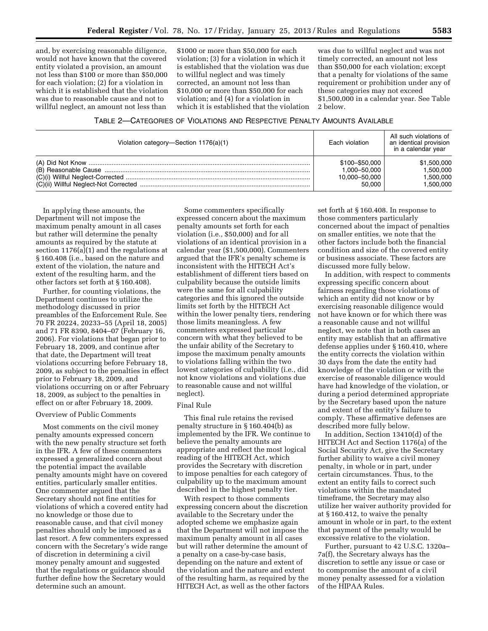and, by exercising reasonable diligence, would not have known that the covered entity violated a provision, an amount not less than \$100 or more than \$50,000 for each violation; (2) for a violation in which it is established that the violation was due to reasonable cause and not to willful neglect, an amount not less than

\$1000 or more than \$50,000 for each violation; (3) for a violation in which it is established that the violation was due to willful neglect and was timely corrected, an amount not less than \$10,000 or more than \$50,000 for each violation; and (4) for a violation in which it is established that the violation

was due to willful neglect and was not timely corrected, an amount not less than \$50,000 for each violation; except that a penalty for violations of the same requirement or prohibition under any of these categories may not exceed \$1,500,000 in a calendar year. See Table 2 below.

# TABLE 2—CATEGORIES OF VIOLATIONS AND RESPECTIVE PENALTY AMOUNTS AVAILABLE

| Violation category-Section 1176(a)(1) | Each violation | All such violations of<br>an identical provision<br>in a calendar year |
|---------------------------------------|----------------|------------------------------------------------------------------------|
|                                       | \$100-\$50,000 | \$1,500,000                                                            |
|                                       | 1.000–50.000   | 1.500.000                                                              |
|                                       | 10,000-50,000  | 1,500,000                                                              |
|                                       | 50,000         | 1.500.000                                                              |

In applying these amounts, the Department will not impose the maximum penalty amount in all cases but rather will determine the penalty amounts as required by the statute at section 1176(a)(1) and the regulations at § 160.408 (i.e., based on the nature and extent of the violation, the nature and extent of the resulting harm, and the other factors set forth at § 160.408).

Further, for counting violations, the Department continues to utilize the methodology discussed in prior preambles of the Enforcement Rule. See 70 FR 20224, 20233–55 (April 18, 2005) and 71 FR 8390, 8404–07 (February 16, 2006). For violations that began prior to February 18, 2009, and continue after that date, the Department will treat violations occurring before February 18, 2009, as subject to the penalties in effect prior to February 18, 2009, and violations occurring on or after February 18, 2009, as subject to the penalties in effect on or after February 18, 2009.

# Overview of Public Comments

Most comments on the civil money penalty amounts expressed concern with the new penalty structure set forth in the IFR. A few of these commenters expressed a generalized concern about the potential impact the available penalty amounts might have on covered entities, particularly smaller entities. One commenter argued that the Secretary should not fine entities for violations of which a covered entity had no knowledge or those due to reasonable cause, and that civil money penalties should only be imposed as a last resort. A few commenters expressed concern with the Secretary's wide range of discretion in determining a civil money penalty amount and suggested that the regulations or guidance should further define how the Secretary would determine such an amount.

Some commenters specifically expressed concern about the maximum penalty amounts set forth for each violation (i.e., \$50,000) and for all violations of an identical provision in a calendar year (\$1,500,000). Commenters argued that the IFR's penalty scheme is inconsistent with the HITECH Act's establishment of different tiers based on culpability because the outside limits were the same for all culpability categories and this ignored the outside limits set forth by the HITECH Act within the lower penalty tiers, rendering those limits meaningless. A few commenters expressed particular concern with what they believed to be the unfair ability of the Secretary to impose the maximum penalty amounts to violations falling within the two lowest categories of culpability (i.e., did not know violations and violations due to reasonable cause and not willful neglect).

# Final Rule

This final rule retains the revised penalty structure in § 160.404(b) as implemented by the IFR. We continue to believe the penalty amounts are appropriate and reflect the most logical reading of the HITECH Act, which provides the Secretary with discretion to impose penalties for each category of culpability up to the maximum amount described in the highest penalty tier.

With respect to those comments expressing concern about the discretion available to the Secretary under the adopted scheme we emphasize again that the Department will not impose the maximum penalty amount in all cases but will rather determine the amount of a penalty on a case-by-case basis, depending on the nature and extent of the violation and the nature and extent of the resulting harm, as required by the HITECH Act, as well as the other factors set forth at § 160.408. In response to those commenters particularly concerned about the impact of penalties on smaller entities, we note that the other factors include both the financial condition and size of the covered entity or business associate. These factors are discussed more fully below.

In addition, with respect to comments expressing specific concern about fairness regarding those violations of which an entity did not know or by exercising reasonable diligence would not have known or for which there was a reasonable cause and not willful neglect, we note that in both cases an entity may establish that an affirmative defense applies under § 160.410, where the entity corrects the violation within 30 days from the date the entity had knowledge of the violation or with the exercise of reasonable diligence would have had knowledge of the violation, or during a period determined appropriate by the Secretary based upon the nature and extent of the entity's failure to comply. These affirmative defenses are described more fully below.

In addition, Section 13410(d) of the HITECH Act and Section 1176(a) of the Social Security Act, give the Secretary further ability to waive a civil money penalty, in whole or in part, under certain circumstances. Thus, to the extent an entity fails to correct such violations within the mandated timeframe, the Secretary may also utilize her waiver authority provided for at § 160.412, to waive the penalty amount in whole or in part, to the extent that payment of the penalty would be excessive relative to the violation.

Further, pursuant to 42 U.S.C. 1320a– 7a(f), the Secretary always has the discretion to settle any issue or case or to compromise the amount of a civil money penalty assessed for a violation of the HIPAA Rules.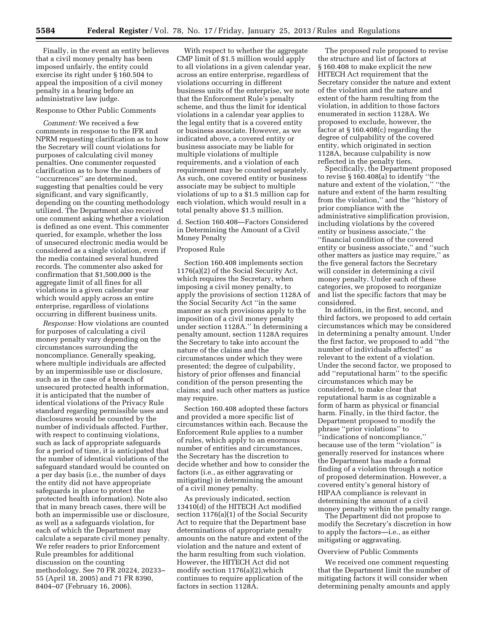Finally, in the event an entity believes that a civil money penalty has been imposed unfairly, the entity could exercise its right under § 160.504 to appeal the imposition of a civil money penalty in a hearing before an administrative law judge.

#### Response to Other Public Comments

*Comment:* We received a few comments in response to the IFR and NPRM requesting clarification as to how the Secretary will count violations for purposes of calculating civil money penalties. One commenter requested clarification as to how the numbers of ''occurrences'' are determined, suggesting that penalties could be very significant, and vary significantly, depending on the counting methodology utilized. The Department also received one comment asking whether a violation is defined as one event. This commenter queried, for example, whether the loss of unsecured electronic media would be considered as a single violation, even if the media contained several hundred records. The commenter also asked for confirmation that \$1,500,000 is the aggregate limit of all fines for all violations in a given calendar year which would apply across an entire enterprise, regardless of violations occurring in different business units.

*Response:* How violations are counted for purposes of calculating a civil money penalty vary depending on the circumstances surrounding the noncompliance. Generally speaking, where multiple individuals are affected by an impermissible use or disclosure, such as in the case of a breach of unsecured protected health information, it is anticipated that the number of identical violations of the Privacy Rule standard regarding permissible uses and disclosures would be counted by the number of individuals affected. Further, with respect to continuing violations, such as lack of appropriate safeguards for a period of time, it is anticipated that the number of identical violations of the safeguard standard would be counted on a per day basis (i.e., the number of days the entity did not have appropriate safeguards in place to protect the protected health information). Note also that in many breach cases, there will be both an impermissible use or disclosure, as well as a safeguards violation, for each of which the Department may calculate a separate civil money penalty. We refer readers to prior Enforcement Rule preambles for additional discussion on the counting methodology. See 70 FR 20224, 20233– 55 (April 18, 2005) and 71 FR 8390, 8404–07 (February 16, 2006).

With respect to whether the aggregate CMP limit of \$1.5 million would apply to all violations in a given calendar year, across an entire enterprise, regardless of violations occurring in different business units of the enterprise, we note that the Enforcement Rule's penalty scheme, and thus the limit for identical violations in a calendar year applies to the legal entity that is a covered entity or business associate. However, as we indicated above, a covered entity or business associate may be liable for multiple violations of multiple requirements, and a violation of each requirement may be counted separately. As such, one covered entity or business associate may be subject to multiple violations of up to a \$1.5 million cap for each violation, which would result in a total penalty above \$1.5 million.

d. Section 160.408—Factors Considered in Determining the Amount of a Civil Money Penalty

# Proposed Rule

Section 160.408 implements section 1176(a)(2) of the Social Security Act, which requires the Secretary, when imposing a civil money penalty, to apply the provisions of section 1128A of the Social Security Act ''in the same manner as such provisions apply to the imposition of a civil money penalty under section 1128A.'' In determining a penalty amount, section 1128A requires the Secretary to take into account the nature of the claims and the circumstances under which they were presented; the degree of culpability, history of prior offenses and financial condition of the person presenting the claims; and such other matters as justice may require.

Section 160.408 adopted these factors and provided a more specific list of circumstances within each. Because the Enforcement Rule applies to a number of rules, which apply to an enormous number of entities and circumstances, the Secretary has the discretion to decide whether and how to consider the factors (i.e., as either aggravating or mitigating) in determining the amount of a civil money penalty.

As previously indicated, section 13410(d) of the HITECH Act modified section 1176(a)(1) of the Social Security Act to require that the Department base determinations of appropriate penalty amounts on the nature and extent of the violation and the nature and extent of the harm resulting from such violation. However, the HITECH Act did not modify section 1176(a)(2),which continues to require application of the factors in section 1128A.

The proposed rule proposed to revise the structure and list of factors at § 160.408 to make explicit the new HITECH Act requirement that the Secretary consider the nature and extent of the violation and the nature and extent of the harm resulting from the violation, in addition to those factors enumerated in section 1128A. We proposed to exclude, however, the factor at § 160.408(c) regarding the degree of culpability of the covered entity, which originated in section 1128A, because culpability is now reflected in the penalty tiers.

Specifically, the Department proposed to revise § 160.408(a) to identify ''the nature and extent of the violation,'' ''the nature and extent of the harm resulting from the violation,'' and the ''history of prior compliance with the administrative simplification provision, including violations by the covered entity or business associate,'' the ''financial condition of the covered entity or business associate,'' and ''such other matters as justice may require,'' as the five general factors the Secretary will consider in determining a civil money penalty. Under each of these categories, we proposed to reorganize and list the specific factors that may be considered.

In addition, in the first, second, and third factors, we proposed to add certain circumstances which may be considered in determining a penalty amount. Under the first factor, we proposed to add ''the number of individuals affected'' as relevant to the extent of a violation. Under the second factor, we proposed to add ''reputational harm'' to the specific circumstances which may be considered, to make clear that reputational harm is as cognizable a form of harm as physical or financial harm. Finally, in the third factor, the Department proposed to modify the phrase ''prior violations'' to ''indications of noncompliance,'' because use of the term ''violation'' is generally reserved for instances where the Department has made a formal finding of a violation through a notice of proposed determination. However, a covered entity's general history of HIPAA compliance is relevant in determining the amount of a civil money penalty within the penalty range.

The Department did not propose to modify the Secretary's discretion in how to apply the factors—i.e., as either mitigating or aggravating.

#### Overview of Public Comments

We received one comment requesting that the Department limit the number of mitigating factors it will consider when determining penalty amounts and apply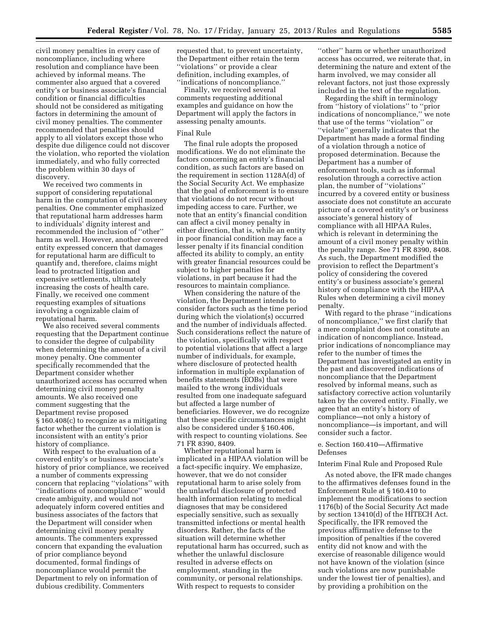civil money penalties in every case of noncompliance, including where resolution and compliance have been achieved by informal means. The commenter also argued that a covered entity's or business associate's financial condition or financial difficulties should not be considered as mitigating factors in determining the amount of civil money penalties. The commenter recommended that penalties should apply to all violators except those who despite due diligence could not discover the violation, who reported the violation immediately, and who fully corrected the problem within 30 days of discovery.

We received two comments in support of considering reputational harm in the computation of civil money penalties. One commenter emphasized that reputational harm addresses harm to individuals' dignity interest and recommended the inclusion of ''other'' harm as well. However, another covered entity expressed concern that damages for reputational harm are difficult to quantify and, therefore, claims might lead to protracted litigation and expensive settlements, ultimately increasing the costs of health care. Finally, we received one comment requesting examples of situations involving a cognizable claim of reputational harm.

We also received several comments requesting that the Department continue to consider the degree of culpability when determining the amount of a civil money penalty. One commenter specifically recommended that the Department consider whether unauthorized access has occurred when determining civil money penalty amounts. We also received one comment suggesting that the Department revise proposed § 160.408(c) to recognize as a mitigating factor whether the current violation is inconsistent with an entity's prior history of compliance.

With respect to the evaluation of a covered entity's or business associate's history of prior compliance, we received a number of comments expressing concern that replacing ''violations'' with ''indications of noncompliance'' would create ambiguity, and would not adequately inform covered entities and business associates of the factors that the Department will consider when determining civil money penalty amounts. The commenters expressed concern that expanding the evaluation of prior compliance beyond documented, formal findings of noncompliance would permit the Department to rely on information of dubious credibility. Commenters

requested that, to prevent uncertainty, the Department either retain the term ''violations'' or provide a clear definition, including examples, of ''indications of noncompliance.''

Finally, we received several comments requesting additional examples and guidance on how the Department will apply the factors in assessing penalty amounts.

#### Final Rule

The final rule adopts the proposed modifications. We do not eliminate the factors concerning an entity's financial condition, as such factors are based on the requirement in section 1128A(d) of the Social Security Act. We emphasize that the goal of enforcement is to ensure that violations do not recur without impeding access to care. Further, we note that an entity's financial condition can affect a civil money penalty in either direction, that is, while an entity in poor financial condition may face a lesser penalty if its financial condition affected its ability to comply, an entity with greater financial resources could be subject to higher penalties for violations, in part because it had the resources to maintain compliance.

When considering the nature of the violation, the Department intends to consider factors such as the time period during which the violation(s) occurred and the number of individuals affected. Such considerations reflect the nature of the violation, specifically with respect to potential violations that affect a large number of individuals, for example, where disclosure of protected health information in multiple explanation of benefits statements (EOBs) that were mailed to the wrong individuals resulted from one inadequate safeguard but affected a large number of beneficiaries. However, we do recognize that these specific circumstances might also be considered under § 160.406, with respect to counting violations. See 71 FR 8390, 8409.

Whether reputational harm is implicated in a HIPAA violation will be a fact-specific inquiry. We emphasize, however, that we do not consider reputational harm to arise solely from the unlawful disclosure of protected health information relating to medical diagnoses that may be considered especially sensitive, such as sexually transmitted infections or mental health disorders. Rather, the facts of the situation will determine whether reputational harm has occurred, such as whether the unlawful disclosure resulted in adverse effects on employment, standing in the community, or personal relationships. With respect to requests to consider

''other'' harm or whether unauthorized access has occurred, we reiterate that, in determining the nature and extent of the harm involved, we may consider all relevant factors, not just those expressly included in the text of the regulation.

Regarding the shift in terminology from ''history of violations'' to ''prior indications of noncompliance,'' we note that use of the terms ''violation'' or ''violate'' generally indicates that the Department has made a formal finding of a violation through a notice of proposed determination. Because the Department has a number of enforcement tools, such as informal resolution through a corrective action plan, the number of ''violations'' incurred by a covered entity or business associate does not constitute an accurate picture of a covered entity's or business associate's general history of compliance with all HIPAA Rules, which is relevant in determining the amount of a civil money penalty within the penalty range. See 71 FR 8390, 8408. As such, the Department modified the provision to reflect the Department's policy of considering the covered entity's or business associate's general history of compliance with the HIPAA Rules when determining a civil money penalty.

With regard to the phrase ''indications of noncompliance,'' we first clarify that a mere complaint does not constitute an indication of noncompliance. Instead, prior indications of noncompliance may refer to the number of times the Department has investigated an entity in the past and discovered indications of noncompliance that the Department resolved by informal means, such as satisfactory corrective action voluntarily taken by the covered entity. Finally, we agree that an entity's history of compliance—not only a history of noncompliance—is important, and will consider such a factor.

# e. Section 160.410—Affirmative Defenses

#### Interim Final Rule and Proposed Rule

As noted above, the IFR made changes to the affirmatives defenses found in the Enforcement Rule at § 160.410 to implement the modifications to section 1176(b) of the Social Security Act made by section 13410(d) of the HITECH Act. Specifically, the IFR removed the previous affirmative defense to the imposition of penalties if the covered entity did not know and with the exercise of reasonable diligence would not have known of the violation (since such violations are now punishable under the lowest tier of penalties), and by providing a prohibition on the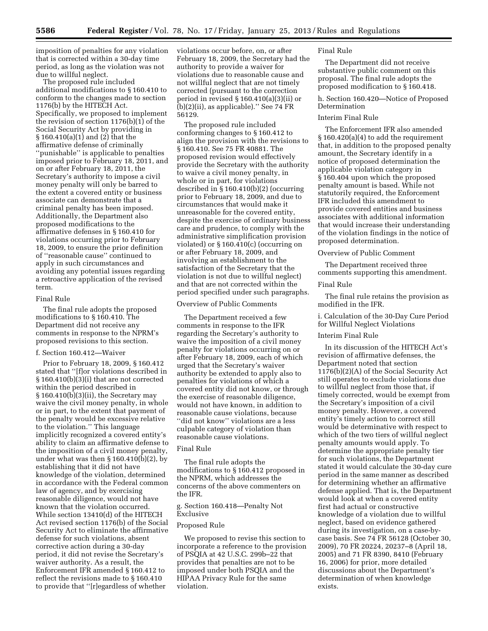imposition of penalties for any violation that is corrected within a 30-day time period, as long as the violation was not due to willful neglect.

The proposed rule included additional modifications to § 160.410 to conform to the changes made to section 1176(b) by the HITECH Act. Specifically, we proposed to implement the revision of section 1176(b)(1) of the Social Security Act by providing in § 160.410(a)(1) and (2) that the affirmative defense of criminally ''punishable'' is applicable to penalties imposed prior to February 18, 2011, and on or after February 18, 2011, the Secretary's authority to impose a civil money penalty will only be barred to the extent a covered entity or business associate can demonstrate that a criminal penalty has been imposed. Additionally, the Department also proposed modifications to the affirmative defenses in § 160.410 for violations occurring prior to February 18, 2009, to ensure the prior definition of ''reasonable cause'' continued to apply in such circumstances and avoiding any potential issues regarding a retroactive application of the revised term.

# Final Rule

The final rule adopts the proposed modifications to § 160.410. The Department did not receive any comments in response to the NPRM's proposed revisions to this section.

#### f. Section 160.412—Waiver

Prior to February 18, 2009, § 160.412 stated that ''[f]or violations described in § 160.410(b)(3)(i) that are not corrected within the period described in § 160.410(b)(3)(ii), the Secretary may waive the civil money penalty, in whole or in part, to the extent that payment of the penalty would be excessive relative to the violation.'' This language implicitly recognized a covered entity's ability to claim an affirmative defense to the imposition of a civil money penalty, under what was then  $\S 160.410(b)(2)$ , by establishing that it did not have knowledge of the violation, determined in accordance with the Federal common law of agency, and by exercising reasonable diligence, would not have known that the violation occurred. While section 13410(d) of the HITECH Act revised section 1176(b) of the Social Security Act to eliminate the affirmative defense for such violations, absent corrective action during a 30-day period, it did not revise the Secretary's waiver authority. As a result, the Enforcement IFR amended § 160.412 to reflect the revisions made to § 160.410 to provide that ''[r]egardless of whether

violations occur before, on, or after February 18, 2009, the Secretary had the authority to provide a waiver for violations due to reasonable cause and not willful neglect that are not timely corrected (pursuant to the correction period in revised § 160.410(a)(3)(ii) or (b)(2)(ii), as applicable).'' See 74 FR 56129.

The proposed rule included conforming changes to § 160.412 to align the provision with the revisions to § 160.410. See 75 FR 40881. The proposed revision would effectively provide the Secretary with the authority to waive a civil money penalty, in whole or in part, for violations described in § 160.410(b)(2) (occurring prior to February 18, 2009, and due to circumstances that would make it unreasonable for the covered entity, despite the exercise of ordinary business care and prudence, to comply with the administrative simplification provision violated) or § 160.410(c) (occurring on or after February 18, 2009, and involving an establishment to the satisfaction of the Secretary that the violation is not due to willful neglect) and that are not corrected within the period specified under such paragraphs.

#### Overview of Public Comments

The Department received a few comments in response to the IFR regarding the Secretary's authority to waive the imposition of a civil money penalty for violations occurring on or after February 18, 2009, each of which urged that the Secretary's waiver authority be extended to apply also to penalties for violations of which a covered entity did not know, or through the exercise of reasonable diligence, would not have known, in addition to reasonable cause violations, because ''did not know'' violations are a less culpable category of violation than reasonable cause violations.

# Final Rule

The final rule adopts the modifications to § 160.412 proposed in the NPRM, which addresses the concerns of the above commenters on the IFR.

# g. Section 160.418—Penalty Not Exclusive

# Proposed Rule

We proposed to revise this section to incorporate a reference to the provision of PSQIA at 42 U.S.C. 299b–22 that provides that penalties are not to be imposed under both PSQIA and the HIPAA Privacy Rule for the same violation.

#### Final Rule

The Department did not receive substantive public comment on this proposal. The final rule adopts the proposed modification to § 160.418.

h. Section 160.420—Notice of Proposed Determination

# Interim Final Rule

The Enforcement IFR also amended § 160.420(a)(4) to add the requirement that, in addition to the proposed penalty amount, the Secretary identify in a notice of proposed determination the applicable violation category in § 160.404 upon which the proposed penalty amount is based. While not statutorily required, the Enforcement IFR included this amendment to provide covered entities and business associates with additional information that would increase their understanding of the violation findings in the notice of proposed determination.

#### Overview of Public Comment

The Department received three comments supporting this amendment.

# Final Rule

The final rule retains the provision as modified in the IFR.

i. Calculation of the 30-Day Cure Period for Willful Neglect Violations

# Interim Final Rule

In its discussion of the HITECH Act's revision of affirmative defenses, the Department noted that section 1176(b)(2)(A) of the Social Security Act still operates to exclude violations due to willful neglect from those that, if timely corrected, would be exempt from the Secretary's imposition of a civil money penalty. However, a covered entity's timely action to correct still would be determinative with respect to which of the two tiers of willful neglect penalty amounts would apply. To determine the appropriate penalty tier for such violations, the Department stated it would calculate the 30-day cure period in the same manner as described for determining whether an affirmative defense applied. That is, the Department would look at when a covered entity first had actual or constructive knowledge of a violation due to willful neglect, based on evidence gathered during its investigation, on a case-bycase basis. See 74 FR 56128 (October 30, 2009), 70 FR 20224, 20237–8 (April 18, 2005) and 71 FR 8390, 8410 (February 16, 2006) for prior, more detailed discussions about the Department's determination of when knowledge exists.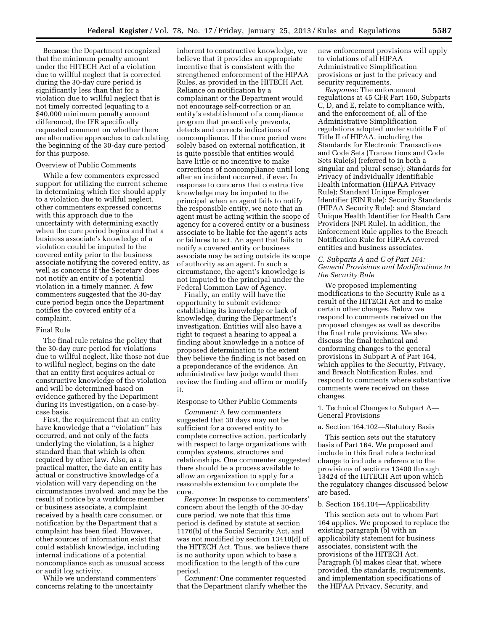Because the Department recognized that the minimum penalty amount under the HITECH Act of a violation due to willful neglect that is corrected during the 30-day cure period is significantly less than that for a violation due to willful neglect that is not timely corrected (equating to a \$40,000 minimum penalty amount difference), the IFR specifically requested comment on whether there are alternative approaches to calculating the beginning of the 30-day cure period for this purpose.

# Overview of Public Comments

While a few commenters expressed support for utilizing the current scheme in determining which tier should apply to a violation due to willful neglect, other commenters expressed concerns with this approach due to the uncertainty with determining exactly when the cure period begins and that a business associate's knowledge of a violation could be imputed to the covered entity prior to the business associate notifying the covered entity, as well as concerns if the Secretary does not notify an entity of a potential violation in a timely manner. A few commenters suggested that the 30-day cure period begin once the Department notifies the covered entity of a complaint.

#### Final Rule

The final rule retains the policy that the 30-day cure period for violations due to willful neglect, like those not due to willful neglect, begins on the date that an entity first acquires actual or constructive knowledge of the violation and will be determined based on evidence gathered by the Department during its investigation, on a case-bycase basis.

First, the requirement that an entity have knowledge that a ''violation'' has occurred, and not only of the facts underlying the violation, is a higher standard than that which is often required by other law. Also, as a practical matter, the date an entity has actual or constructive knowledge of a violation will vary depending on the circumstances involved, and may be the result of notice by a workforce member or business associate, a complaint received by a health care consumer, or notification by the Department that a complaint has been filed. However, other sources of information exist that could establish knowledge, including internal indications of a potential noncompliance such as unusual access or audit log activity.

While we understand commenters' concerns relating to the uncertainty

inherent to constructive knowledge, we believe that it provides an appropriate incentive that is consistent with the strengthened enforcement of the HIPAA Rules, as provided in the HITECH Act. Reliance on notification by a complainant or the Department would not encourage self-correction or an entity's establishment of a compliance program that proactively prevents, detects and corrects indications of noncompliance. If the cure period were solely based on external notification, it is quite possible that entities would have little or no incentive to make corrections of noncompliance until long after an incident occurred, if ever. In response to concerns that constructive knowledge may be imputed to the principal when an agent fails to notify the responsible entity, we note that an agent must be acting within the scope of agency for a covered entity or a business associate to be liable for the agent's acts or failures to act. An agent that fails to notify a covered entity or business associate may be acting outside its scope of authority as an agent. In such a circumstance, the agent's knowledge is not imputed to the principal under the Federal Common Law of Agency.

Finally, an entity will have the opportunity to submit evidence establishing its knowledge or lack of knowledge, during the Department's investigation. Entities will also have a right to request a hearing to appeal a finding about knowledge in a notice of proposed determination to the extent they believe the finding is not based on a preponderance of the evidence. An administrative law judge would then review the finding and affirm or modify it.

# Response to Other Public Comments

*Comment:* A few commenters suggested that 30 days may not be sufficient for a covered entity to complete corrective action, particularly with respect to large organizations with complex systems, structures and relationships. One commenter suggested there should be a process available to allow an organization to apply for a reasonable extension to complete the cure.

*Response:* In response to commenters' concern about the length of the 30-day cure period, we note that this time period is defined by statute at section 1176(b) of the Social Security Act, and was not modified by section 13410(d) of the HITECH Act. Thus, we believe there is no authority upon which to base a modification to the length of the cure period.

*Comment:* One commenter requested that the Department clarify whether the new enforcement provisions will apply to violations of all HIPAA Administrative Simplification provisions or just to the privacy and security requirements.

*Response:* The enforcement regulations at 45 CFR Part 160, Subparts C, D, and E, relate to compliance with, and the enforcement of, all of the Administrative Simplification regulations adopted under subtitle F of Title II of HIPAA, including the Standards for Electronic Transactions and Code Sets (Transactions and Code Sets Rule(s) (referred to in both a singular and plural sense); Standards for Privacy of Individually Identifiable Health Information (HIPAA Privacy Rule); Standard Unique Employer Identifier (EIN Rule); Security Standards (HIPAA Security Rule); and Standard Unique Health Identifier for Health Care Providers (NPI Rule). In addition, the Enforcement Rule applies to the Breach Notification Rule for HIPAA covered entities and business associates.

# *C. Subparts A and C of Part 164: General Provisions and Modifications to the Security Rule*

We proposed implementing modifications to the Security Rule as a result of the HITECH Act and to make certain other changes. Below we respond to comments received on the proposed changes as well as describe the final rule provisions. We also discuss the final technical and conforming changes to the general provisions in Subpart A of Part 164, which applies to the Security, Privacy, and Breach Notification Rules, and respond to comments where substantive comments were received on these changes.

# 1. Technical Changes to Subpart A— General Provisions

# a. Section 164.102—Statutory Basis

This section sets out the statutory basis of Part 164. We proposed and include in this final rule a technical change to include a reference to the provisions of sections 13400 through 13424 of the HITECH Act upon which the regulatory changes discussed below are based.

#### b. Section 164.104—Applicability

This section sets out to whom Part 164 applies. We proposed to replace the existing paragraph (b) with an applicability statement for business associates, consistent with the provisions of the HITECH Act. Paragraph (b) makes clear that, where provided, the standards, requirements, and implementation specifications of the HIPAA Privacy, Security, and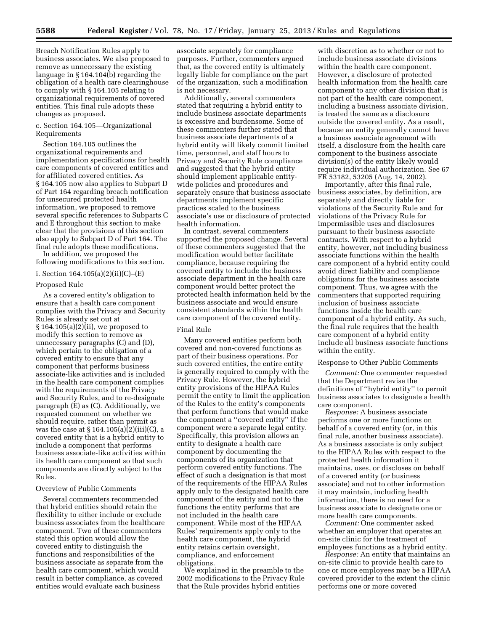Breach Notification Rules apply to business associates. We also proposed to remove as unnecessary the existing language in § 164.104(b) regarding the obligation of a health care clearinghouse to comply with § 164.105 relating to organizational requirements of covered entities. This final rule adopts these changes as proposed.

c. Section 164.105—Organizational Requirements

Section 164.105 outlines the organizational requirements and implementation specifications for health care components of covered entities and for affiliated covered entities. As § 164.105 now also applies to Subpart D of Part 164 regarding breach notification for unsecured protected health information, we proposed to remove several specific references to Subparts C and E throughout this section to make clear that the provisions of this section also apply to Subpart D of Part 164. The final rule adopts these modifications.

In addition, we proposed the following modifications to this section.

i. Section 164.105(a)(2)(ii)(C)–(E)

# Proposed Rule

As a covered entity's obligation to ensure that a health care component complies with the Privacy and Security Rules is already set out at § 164.105(a)(2)(ii), we proposed to modify this section to remove as unnecessary paragraphs (C) and (D), which pertain to the obligation of a covered entity to ensure that any component that performs business associate-like activities and is included in the health care component complies with the requirements of the Privacy and Security Rules, and to re-designate paragraph (E) as (C). Additionally, we requested comment on whether we should require, rather than permit as was the case at  $\S 164.105(a)(2)(iii)(C)$ , a covered entity that is a hybrid entity to include a component that performs business associate-like activities within its health care component so that such components are directly subject to the Rules.

#### Overview of Public Comments

Several commenters recommended that hybrid entities should retain the flexibility to either include or exclude business associates from the healthcare component. Two of these commenters stated this option would allow the covered entity to distinguish the functions and responsibilities of the business associate as separate from the health care component, which would result in better compliance, as covered entities would evaluate each business

associate separately for compliance purposes. Further, commenters argued that, as the covered entity is ultimately legally liable for compliance on the part of the organization, such a modification is not necessary.

Additionally, several commenters stated that requiring a hybrid entity to include business associate departments is excessive and burdensome. Some of these commenters further stated that business associate departments of a hybrid entity will likely commit limited time, personnel, and staff hours to Privacy and Security Rule compliance and suggested that the hybrid entity should implement applicable entitywide policies and procedures and separately ensure that business associate departments implement specific practices scaled to the business associate's use or disclosure of protected health information.

In contrast, several commenters supported the proposed change. Several of these commenters suggested that the modification would better facilitate compliance, because requiring the covered entity to include the business associate department in the health care component would better protect the protected health information held by the business associate and would ensure consistent standards within the health care component of the covered entity.

# Final Rule

Many covered entities perform both covered and non-covered functions as part of their business operations. For such covered entities, the entire entity is generally required to comply with the Privacy Rule. However, the hybrid entity provisions of the HIPAA Rules permit the entity to limit the application of the Rules to the entity's components that perform functions that would make the component a ''covered entity'' if the component were a separate legal entity. Specifically, this provision allows an entity to designate a health care component by documenting the components of its organization that perform covered entity functions. The effect of such a designation is that most of the requirements of the HIPAA Rules apply only to the designated health care component of the entity and not to the functions the entity performs that are not included in the health care component. While most of the HIPAA Rules' requirements apply only to the health care component, the hybrid entity retains certain oversight, compliance, and enforcement obligations.

We explained in the preamble to the 2002 modifications to the Privacy Rule that the Rule provides hybrid entities

with discretion as to whether or not to include business associate divisions within the health care component. However, a disclosure of protected health information from the health care component to any other division that is not part of the health care component, including a business associate division, is treated the same as a disclosure outside the covered entity. As a result, because an entity generally cannot have a business associate agreement with itself, a disclosure from the health care component to the business associate division(s) of the entity likely would require individual authorization. See 67 FR 53182, 53205 (Aug. 14, 2002).

Importantly, after this final rule, business associates, by definition, are separately and directly liable for violations of the Security Rule and for violations of the Privacy Rule for impermissible uses and disclosures pursuant to their business associate contracts. With respect to a hybrid entity, however, not including business associate functions within the health care component of a hybrid entity could avoid direct liability and compliance obligations for the business associate component. Thus, we agree with the commenters that supported requiring inclusion of business associate functions inside the health care component of a hybrid entity. As such, the final rule requires that the health care component of a hybrid entity include all business associate functions within the entity.

#### Response to Other Public Comments

*Comment:* One commenter requested that the Department revise the definitions of ''hybrid entity'' to permit business associates to designate a health care component.

*Response:* A business associate performs one or more functions on behalf of a covered entity (or, in this final rule, another business associate). As a business associate is only subject to the HIPAA Rules with respect to the protected health information it maintains, uses, or discloses on behalf of a covered entity (or business associate) and not to other information it may maintain, including health information, there is no need for a business associate to designate one or more health care components.

*Comment:* One commenter asked whether an employer that operates an on-site clinic for the treatment of employees functions as a hybrid entity.

*Response:* An entity that maintains an on-site clinic to provide health care to one or more employees may be a HIPAA covered provider to the extent the clinic performs one or more covered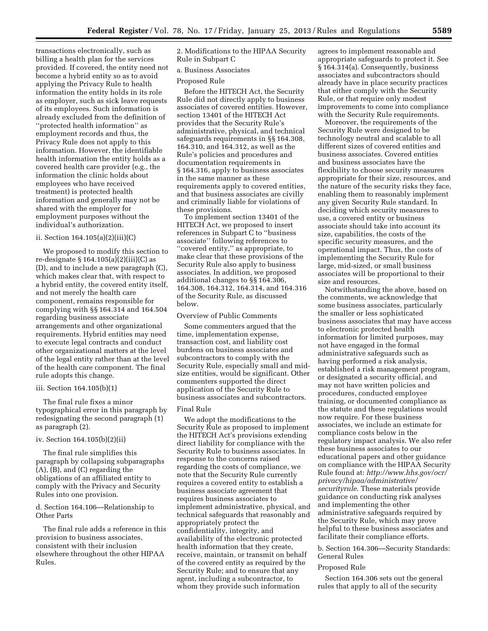transactions electronically, such as billing a health plan for the services provided. If covered, the entity need not become a hybrid entity so as to avoid applying the Privacy Rule to health information the entity holds in its role as employer, such as sick leave requests of its employees. Such information is already excluded from the definition of ''protected health information'' as employment records and thus, the Privacy Rule does not apply to this information. However, the identifiable health information the entity holds as a covered health care provider (e.g., the information the clinic holds about employees who have received treatment) is protected health information and generally may not be shared with the employer for employment purposes without the individual's authorization.

# ii. Section 164.105(a)(2)(iii)(C)

We proposed to modify this section to re-designate § 164.105(a)(2)(iii)(C) as (D), and to include a new paragraph (C), which makes clear that, with respect to a hybrid entity, the covered entity itself, and not merely the health care component, remains responsible for complying with §§ 164.314 and 164.504 regarding business associate arrangements and other organizational requirements. Hybrid entities may need to execute legal contracts and conduct other organizational matters at the level of the legal entity rather than at the level of the health care component. The final rule adopts this change.

# iii. Section 164.105(b)(1)

The final rule fixes a minor typographical error in this paragraph by redesignating the second paragraph (1) as paragraph (2).

# iv. Section 164.105(b)(2)(ii)

The final rule simplifies this paragraph by collapsing subparagraphs (A), (B), and (C) regarding the obligations of an affiliated entity to comply with the Privacy and Security Rules into one provision.

# d. Section 164.106—Relationship to Other Parts

The final rule adds a reference in this provision to business associates, consistent with their inclusion elsewhere throughout the other HIPAA Rules.

2. Modifications to the HIPAA Security Rule in Subpart C

#### a. Business Associates

#### Proposed Rule

Before the HITECH Act, the Security Rule did not directly apply to business associates of covered entities. However, section 13401 of the HITECH Act provides that the Security Rule's administrative, physical, and technical safeguards requirements in §§ 164.308, 164.310, and 164.312, as well as the Rule's policies and procedures and documentation requirements in § 164.316, apply to business associates in the same manner as these requirements apply to covered entities, and that business associates are civilly and criminally liable for violations of these provisions.

To implement section 13401 of the HITECH Act, we proposed to insert references in Subpart C to ''business associate'' following references to ''covered entity,'' as appropriate, to make clear that these provisions of the Security Rule also apply to business associates. In addition, we proposed additional changes to §§ 164.306, 164.308, 164.312, 164.314, and 164.316 of the Security Rule, as discussed below.

# Overview of Public Comments

Some commenters argued that the time, implementation expense, transaction cost, and liability cost burdens on business associates and subcontractors to comply with the Security Rule, especially small and midsize entities, would be significant. Other commenters supported the direct application of the Security Rule to business associates and subcontractors.

# Final Rule

We adopt the modifications to the Security Rule as proposed to implement the HITECH Act's provisions extending direct liability for compliance with the Security Rule to business associates. In response to the concerns raised regarding the costs of compliance, we note that the Security Rule currently requires a covered entity to establish a business associate agreement that requires business associates to implement administrative, physical, and technical safeguards that reasonably and appropriately protect the confidentiality, integrity, and availability of the electronic protected health information that they create, receive, maintain, or transmit on behalf of the covered entity as required by the Security Rule; and to ensure that any agent, including a subcontractor, to whom they provide such information

agrees to implement reasonable and appropriate safeguards to protect it. See § 164.314(a). Consequently, business associates and subcontractors should already have in place security practices that either comply with the Security Rule, or that require only modest improvements to come into compliance with the Security Rule requirements.

Moreover, the requirements of the Security Rule were designed to be technology neutral and scalable to all different sizes of covered entities and business associates. Covered entities and business associates have the flexibility to choose security measures appropriate for their size, resources, and the nature of the security risks they face, enabling them to reasonably implement any given Security Rule standard. In deciding which security measures to use, a covered entity or business associate should take into account its size, capabilities, the costs of the specific security measures, and the operational impact. Thus, the costs of implementing the Security Rule for large, mid-sized, or small business associates will be proportional to their size and resources.

Notwithstanding the above, based on the comments, we acknowledge that some business associates, particularly the smaller or less sophisticated business associates that may have access to electronic protected health information for limited purposes, may not have engaged in the formal administrative safeguards such as having performed a risk analysis, established a risk management program, or designated a security official, and may not have written policies and procedures, conducted employee training, or documented compliance as the statute and these regulations would now require. For these business associates, we include an estimate for compliance costs below in the regulatory impact analysis. We also refer these business associates to our educational papers and other guidance on compliance with the HIPAA Security Rule found at: *[http://www.hhs.gov/ocr/](http://www.hhs.gov/ocr/privacy/hipaa/administrative/securityrule) [privacy/hipaa/administrative/](http://www.hhs.gov/ocr/privacy/hipaa/administrative/securityrule) [securityrule](http://www.hhs.gov/ocr/privacy/hipaa/administrative/securityrule)*. These materials provide guidance on conducting risk analyses and implementing the other administrative safeguards required by the Security Rule, which may prove helpful to these business associates and facilitate their compliance efforts.

b. Section 164.306—Security Standards: General Rules

# Proposed Rule

Section 164.306 sets out the general rules that apply to all of the security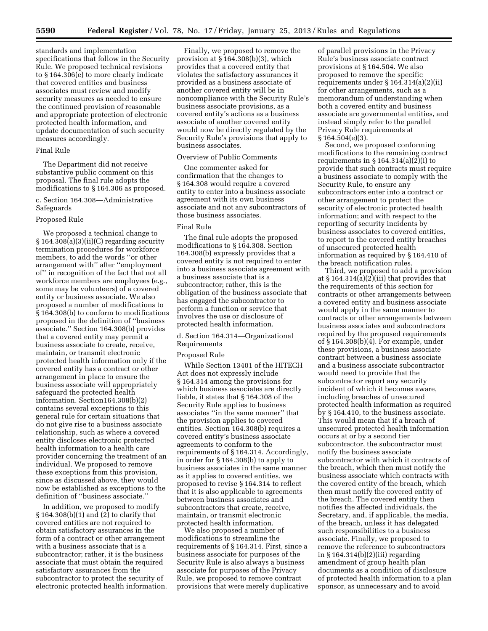standards and implementation specifications that follow in the Security Rule. We proposed technical revisions to § 164.306(e) to more clearly indicate that covered entities and business associates must review and modify security measures as needed to ensure the continued provision of reasonable and appropriate protection of electronic protected health information, and update documentation of such security measures accordingly.

#### Final Rule

The Department did not receive substantive public comment on this proposal. The final rule adopts the modifications to § 164.306 as proposed.

# c. Section 164.308—Administrative Safeguards

#### Proposed Rule

We proposed a technical change to § 164.308(a)(3)(ii)(C) regarding security termination procedures for workforce members, to add the words ''or other arrangement with'' after ''employment of'' in recognition of the fact that not all workforce members are employees (e.g., some may be volunteers) of a covered entity or business associate. We also proposed a number of modifications to § 164.308(b) to conform to modifications proposed in the definition of ''business associate.'' Section 164.308(b) provides that a covered entity may permit a business associate to create, receive, maintain, or transmit electronic protected health information only if the covered entity has a contract or other arrangement in place to ensure the business associate will appropriately safeguard the protected health information. Section164.308(b)(2) contains several exceptions to this general rule for certain situations that do not give rise to a business associate relationship, such as where a covered entity discloses electronic protected health information to a health care provider concerning the treatment of an individual. We proposed to remove these exceptions from this provision, since as discussed above, they would now be established as exceptions to the definition of ''business associate.''

In addition, we proposed to modify § 164.308(b)(1) and (2) to clarify that covered entities are not required to obtain satisfactory assurances in the form of a contract or other arrangement with a business associate that is a subcontractor; rather, it is the business associate that must obtain the required satisfactory assurances from the subcontractor to protect the security of electronic protected health information.

Finally, we proposed to remove the provision at § 164.308(b)(3), which provides that a covered entity that violates the satisfactory assurances it provided as a business associate of another covered entity will be in noncompliance with the Security Rule's business associate provisions, as a covered entity's actions as a business associate of another covered entity would now be directly regulated by the Security Rule's provisions that apply to business associates.

# Overview of Public Comments

One commenter asked for confirmation that the changes to § 164.308 would require a covered entity to enter into a business associate agreement with its own business associate and not any subcontractors of those business associates.

# Final Rule

The final rule adopts the proposed modifications to § 164.308. Section 164.308(b) expressly provides that a covered entity is not required to enter into a business associate agreement with a business associate that is a subcontractor; rather, this is the obligation of the business associate that has engaged the subcontractor to perform a function or service that involves the use or disclosure of protected health information.

# d. Section 164.314—Organizational Requirements

# Proposed Rule

While Section 13401 of the HITECH Act does not expressly include § 164.314 among the provisions for which business associates are directly liable, it states that § 164.308 of the Security Rule applies to business associates ''in the same manner'' that the provision applies to covered entities. Section 164.308(b) requires a covered entity's business associate agreements to conform to the requirements of § 164.314. Accordingly, in order for § 164.308(b) to apply to business associates in the same manner as it applies to covered entities, we proposed to revise § 164.314 to reflect that it is also applicable to agreements between business associates and subcontractors that create, receive, maintain, or transmit electronic protected health information.

We also proposed a number of modifications to streamline the requirements of § 164.314. First, since a business associate for purposes of the Security Rule is also always a business associate for purposes of the Privacy Rule, we proposed to remove contract provisions that were merely duplicative

of parallel provisions in the Privacy Rule's business associate contract provisions at § 164.504. We also proposed to remove the specific requirements under § 164.314(a)(2)(ii) for other arrangements, such as a memorandum of understanding when both a covered entity and business associate are governmental entities, and instead simply refer to the parallel Privacy Rule requirements at § 164.504(e)(3).

Second, we proposed conforming modifications to the remaining contract requirements in  $\S 164.314(a)(2)(i)$  to provide that such contracts must require a business associate to comply with the Security Rule, to ensure any subcontractors enter into a contract or other arrangement to protect the security of electronic protected health information; and with respect to the reporting of security incidents by business associates to covered entities, to report to the covered entity breaches of unsecured protected health information as required by § 164.410 of the breach notification rules.

Third, we proposed to add a provision at § 164.314(a)(2)(iii) that provides that the requirements of this section for contracts or other arrangements between a covered entity and business associate would apply in the same manner to contracts or other arrangements between business associates and subcontractors required by the proposed requirements of § 164.308(b)(4). For example, under these provisions, a business associate contract between a business associate and a business associate subcontractor would need to provide that the subcontractor report any security incident of which it becomes aware, including breaches of unsecured protected health information as required by § 164.410, to the business associate. This would mean that if a breach of unsecured protected health information occurs at or by a second tier subcontractor, the subcontractor must notify the business associate subcontractor with which it contracts of the breach, which then must notify the business associate which contracts with the covered entity of the breach, which then must notify the covered entity of the breach. The covered entity then notifies the affected individuals, the Secretary, and, if applicable, the media, of the breach, unless it has delegated such responsibilities to a business associate. Finally, we proposed to remove the reference to subcontractors in § 164.314(b)(2)(iii) regarding amendment of group health plan documents as a condition of disclosure of protected health information to a plan sponsor, as unnecessary and to avoid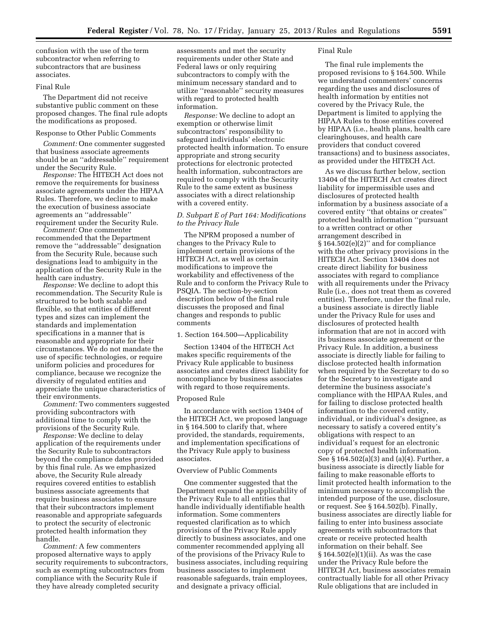confusion with the use of the term subcontractor when referring to subcontractors that are business associates.

# Final Rule

The Department did not receive substantive public comment on these proposed changes. The final rule adopts the modifications as proposed.

#### Response to Other Public Comments

*Comment:* One commenter suggested that business associate agreements should be an ''addressable'' requirement under the Security Rule.

*Response:* The HITECH Act does not remove the requirements for business associate agreements under the HIPAA Rules. Therefore, we decline to make the execution of business associate agreements an ''addressable'' requirement under the Security Rule.

*Comment:* One commenter recommended that the Department remove the ''addressable'' designation from the Security Rule, because such designations lead to ambiguity in the application of the Security Rule in the health care industry.

*Response:* We decline to adopt this recommendation. The Security Rule is structured to be both scalable and flexible, so that entities of different types and sizes can implement the standards and implementation specifications in a manner that is reasonable and appropriate for their circumstances. We do not mandate the use of specific technologies, or require uniform policies and procedures for compliance, because we recognize the diversity of regulated entities and appreciate the unique characteristics of their environments.

*Comment:* Two commenters suggested providing subcontractors with additional time to comply with the provisions of the Security Rule.

*Response:* We decline to delay application of the requirements under the Security Rule to subcontractors beyond the compliance dates provided by this final rule. As we emphasized above, the Security Rule already requires covered entities to establish business associate agreements that require business associates to ensure that their subcontractors implement reasonable and appropriate safeguards to protect the security of electronic protected health information they handle.

*Comment:* A few commenters proposed alternative ways to apply security requirements to subcontractors, such as exempting subcontractors from compliance with the Security Rule if they have already completed security

assessments and met the security requirements under other State and Federal laws or only requiring subcontractors to comply with the minimum necessary standard and to utilize ''reasonable'' security measures with regard to protected health information.

*Response:* We decline to adopt an exemption or otherwise limit subcontractors' responsibility to safeguard individuals' electronic protected health information. To ensure appropriate and strong security protections for electronic protected health information, subcontractors are required to comply with the Security Rule to the same extent as business associates with a direct relationship with a covered entity.

# *D. Subpart E of Part 164: Modifications to the Privacy Rule*

The NPRM proposed a number of changes to the Privacy Rule to implement certain provisions of the HITECH Act, as well as certain modifications to improve the workability and effectiveness of the Rule and to conform the Privacy Rule to PSQIA. The section-by-section description below of the final rule discusses the proposed and final changes and responds to public comments

1. Section 164.500—Applicability

Section 13404 of the HITECH Act makes specific requirements of the Privacy Rule applicable to business associates and creates direct liability for noncompliance by business associates with regard to those requirements.

#### Proposed Rule

In accordance with section 13404 of the HITECH Act, we proposed language in § 164.500 to clarify that, where provided, the standards, requirements, and implementation specifications of the Privacy Rule apply to business associates.

# Overview of Public Comments

One commenter suggested that the Department expand the applicability of the Privacy Rule to all entities that handle individually identifiable health information. Some commenters requested clarification as to which provisions of the Privacy Rule apply directly to business associates, and one commenter recommended applying all of the provisions of the Privacy Rule to business associates, including requiring business associates to implement reasonable safeguards, train employees, and designate a privacy official.

#### Final Rule

The final rule implements the proposed revisions to § 164.500. While we understand commenters' concerns regarding the uses and disclosures of health information by entities not covered by the Privacy Rule, the Department is limited to applying the HIPAA Rules to those entities covered by HIPAA (i.e., health plans, health care clearinghouses, and health care providers that conduct covered transactions) and to business associates, as provided under the HITECH Act.

As we discuss further below, section 13404 of the HITECH Act creates direct liability for impermissible uses and disclosures of protected health information by a business associate of a covered entity ''that obtains or creates'' protected health information ''pursuant to a written contract or other arrangement described in  $§ 164.502(e)(2)"$  and for compliance with the other privacy provisions in the HITECH Act. Section 13404 does not create direct liability for business associates with regard to compliance with all requirements under the Privacy Rule (i.e., does not treat them as covered entities). Therefore, under the final rule, a business associate is directly liable under the Privacy Rule for uses and disclosures of protected health information that are not in accord with its business associate agreement or the Privacy Rule. In addition, a business associate is directly liable for failing to disclose protected health information when required by the Secretary to do so for the Secretary to investigate and determine the business associate's compliance with the HIPAA Rules, and for failing to disclose protected health information to the covered entity, individual, or individual's designee, as necessary to satisfy a covered entity's obligations with respect to an individual's request for an electronic copy of protected health information. See § 164.502(a)(3) and (a)(4). Further, a business associate is directly liable for failing to make reasonable efforts to limit protected health information to the minimum necessary to accomplish the intended purpose of the use, disclosure, or request. See § 164.502(b). Finally, business associates are directly liable for failing to enter into business associate agreements with subcontractors that create or receive protected health information on their behalf. See § 164.502(e)(1)(ii). As was the case under the Privacy Rule before the HITECH Act, business associates remain contractually liable for all other Privacy Rule obligations that are included in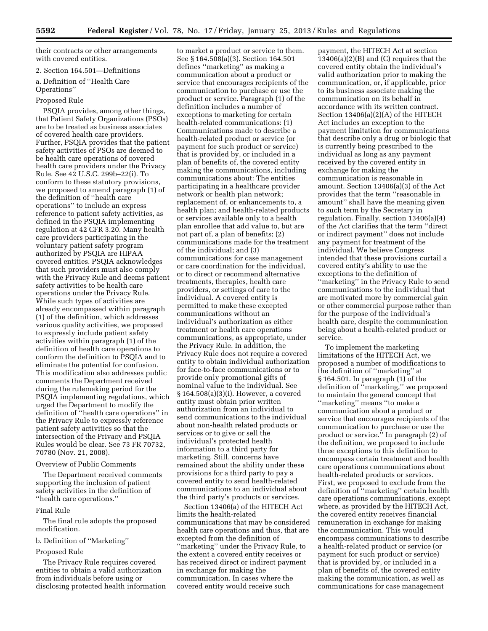their contracts or other arrangements with covered entities.

# 2. Section 164.501—Definitions

a. Definition of ''Health Care Operations''

# Proposed Rule

PSQIA provides, among other things, that Patient Safety Organizations (PSOs) are to be treated as business associates of covered health care providers. Further, PSQIA provides that the patient safety activities of PSOs are deemed to be health care operations of covered health care providers under the Privacy Rule. See 42 U.S.C. 299b–22(i). To conform to these statutory provisions, we proposed to amend paragraph (1) of the definition of ''health care operations'' to include an express reference to patient safety activities, as defined in the PSQIA implementing regulation at 42 CFR 3.20. Many health care providers participating in the voluntary patient safety program authorized by PSQIA are HIPAA covered entities. PSQIA acknowledges that such providers must also comply with the Privacy Rule and deems patient safety activities to be health care operations under the Privacy Rule. While such types of activities are already encompassed within paragraph (1) of the definition, which addresses various quality activities, we proposed to expressly include patient safety activities within paragraph (1) of the definition of health care operations to conform the definition to PSQIA and to eliminate the potential for confusion. This modification also addresses public comments the Department received during the rulemaking period for the PSQIA implementing regulations, which urged the Department to modify the definition of ''health care operations'' in the Privacy Rule to expressly reference patient safety activities so that the intersection of the Privacy and PSQIA Rules would be clear. See 73 FR 70732, 70780 (Nov. 21, 2008).

# Overview of Public Comments

The Department received comments supporting the inclusion of patient safety activities in the definition of ''health care operations.''

# Final Rule

The final rule adopts the proposed modification.

# b. Definition of ''Marketing''

# Proposed Rule

The Privacy Rule requires covered entities to obtain a valid authorization from individuals before using or disclosing protected health information

to market a product or service to them. See § 164.508(a)(3). Section 164.501 defines ''marketing'' as making a communication about a product or service that encourages recipients of the communication to purchase or use the product or service. Paragraph (1) of the definition includes a number of exceptions to marketing for certain health-related communications: (1) Communications made to describe a health-related product or service (or payment for such product or service) that is provided by, or included in a plan of benefits of, the covered entity making the communications, including communications about: The entities participating in a healthcare provider network or health plan network; replacement of, or enhancements to, a health plan; and health-related products or services available only to a health plan enrollee that add value to, but are not part of, a plan of benefits; (2) communications made for the treatment of the individual; and (3) communications for case management or care coordination for the individual, or to direct or recommend alternative treatments, therapies, health care providers, or settings of care to the individual. A covered entity is permitted to make these excepted communications without an individual's authorization as either treatment or health care operations communications, as appropriate, under the Privacy Rule. In addition, the Privacy Rule does not require a covered entity to obtain individual authorization for face-to-face communications or to provide only promotional gifts of nominal value to the individual. See § 164.508(a)(3)(i). However, a covered entity must obtain prior written authorization from an individual to send communications to the individual about non-health related products or services or to give or sell the individual's protected health information to a third party for marketing. Still, concerns have remained about the ability under these provisions for a third party to pay a covered entity to send health-related communications to an individual about the third party's products or services.

Section 13406(a) of the HITECH Act limits the health-related communications that may be considered health care operations and thus, that are excepted from the definition of ''marketing'' under the Privacy Rule, to the extent a covered entity receives or has received direct or indirect payment in exchange for making the communication. In cases where the covered entity would receive such

payment, the HITECH Act at section 13406(a)(2)(B) and (C) requires that the covered entity obtain the individual's valid authorization prior to making the communication, or, if applicable, prior to its business associate making the communication on its behalf in accordance with its written contract. Section 13406(a)(2)(A) of the HITECH Act includes an exception to the payment limitation for communications that describe only a drug or biologic that is currently being prescribed to the individual as long as any payment received by the covered entity in exchange for making the communication is reasonable in amount. Section 13406(a)(3) of the Act provides that the term ''reasonable in amount'' shall have the meaning given to such term by the Secretary in regulation. Finally, section 13406(a)(4) of the Act clarifies that the term ''direct or indirect payment'' does not include any payment for treatment of the individual. We believe Congress intended that these provisions curtail a covered entity's ability to use the exceptions to the definition of ''marketing'' in the Privacy Rule to send communications to the individual that are motivated more by commercial gain or other commercial purpose rather than for the purpose of the individual's health care, despite the communication being about a health-related product or service.

To implement the marketing limitations of the HITECH Act, we proposed a number of modifications to the definition of ''marketing'' at § 164.501. In paragraph (1) of the definition of ''marketing,'' we proposed to maintain the general concept that ''marketing'' means ''to make a communication about a product or service that encourages recipients of the communication to purchase or use the product or service.'' In paragraph (2) of the definition, we proposed to include three exceptions to this definition to encompass certain treatment and health care operations communications about health-related products or services. First, we proposed to exclude from the definition of ''marketing'' certain health care operations communications, except where, as provided by the HITECH Act, the covered entity receives financial remuneration in exchange for making the communication. This would encompass communications to describe a health-related product or service (or payment for such product or service) that is provided by, or included in a plan of benefits of, the covered entity making the communication, as well as communications for case management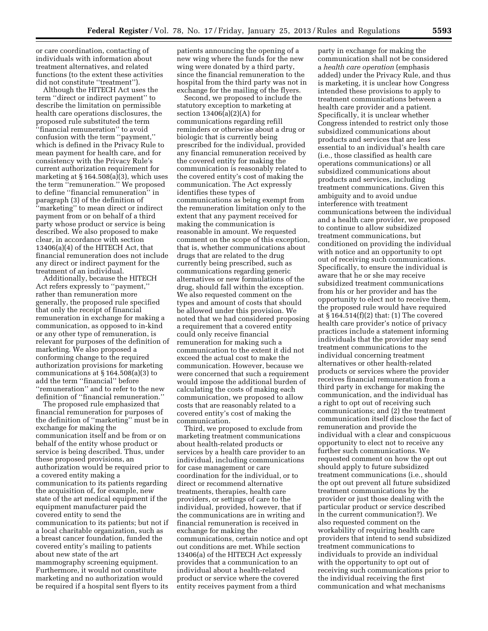or care coordination, contacting of individuals with information about treatment alternatives, and related functions (to the extent these activities did not constitute ''treatment'').

Although the HITECH Act uses the term ''direct or indirect payment'' to describe the limitation on permissible health care operations disclosures, the proposed rule substituted the term ''financial remuneration'' to avoid confusion with the term ''payment,'' which is defined in the Privacy Rule to mean payment for health care, and for consistency with the Privacy Rule's current authorization requirement for marketing at § 164.508(a)(3), which uses the term ''remuneration.'' We proposed to define ''financial remuneration'' in paragraph (3) of the definition of ''marketing'' to mean direct or indirect payment from or on behalf of a third party whose product or service is being described. We also proposed to make clear, in accordance with section 13406(a)(4) of the HITECH Act, that financial remuneration does not include any direct or indirect payment for the treatment of an individual.

Additionally, because the HITECH Act refers expressly to ''payment,'' rather than remuneration more generally, the proposed rule specified that only the receipt of financial remuneration in exchange for making a communication, as opposed to in-kind or any other type of remuneration, is relevant for purposes of the definition of marketing. We also proposed a conforming change to the required authorization provisions for marketing communications at § 164.508(a)(3) to add the term ''financial'' before ''remuneration'' and to refer to the new definition of ''financial remuneration.''

The proposed rule emphasized that financial remuneration for purposes of the definition of ''marketing'' must be in exchange for making the communication itself and be from or on behalf of the entity whose product or service is being described. Thus, under these proposed provisions, an authorization would be required prior to a covered entity making a communication to its patients regarding the acquisition of, for example, new state of the art medical equipment if the equipment manufacturer paid the covered entity to send the communication to its patients; but not if a local charitable organization, such as a breast cancer foundation, funded the covered entity's mailing to patients about new state of the art mammography screening equipment. Furthermore, it would not constitute marketing and no authorization would be required if a hospital sent flyers to its

patients announcing the opening of a new wing where the funds for the new wing were donated by a third party, since the financial remuneration to the hospital from the third party was not in exchange for the mailing of the flyers.

Second, we proposed to include the statutory exception to marketing at section 13406(a)(2)(A) for communications regarding refill reminders or otherwise about a drug or biologic that is currently being prescribed for the individual, provided any financial remuneration received by the covered entity for making the communication is reasonably related to the covered entity's cost of making the communication. The Act expressly identifies these types of communications as being exempt from the remuneration limitation only to the extent that any payment received for making the communication is reasonable in amount. We requested comment on the scope of this exception, that is, whether communications about drugs that are related to the drug currently being prescribed, such as communications regarding generic alternatives or new formulations of the drug, should fall within the exception. We also requested comment on the types and amount of costs that should be allowed under this provision. We noted that we had considered proposing a requirement that a covered entity could only receive financial remuneration for making such a communication to the extent it did not exceed the actual cost to make the communication. However, because we were concerned that such a requirement would impose the additional burden of calculating the costs of making each communication, we proposed to allow costs that are reasonably related to a covered entity's cost of making the communication.

Third, we proposed to exclude from marketing treatment communications about health-related products or services by a health care provider to an individual, including communications for case management or care coordination for the individual, or to direct or recommend alternative treatments, therapies, health care providers, or settings of care to the individual, provided, however, that if the communications are in writing and financial remuneration is received in exchange for making the communications, certain notice and opt out conditions are met. While section 13406(a) of the HITECH Act expressly provides that a communication to an individual about a health-related product or service where the covered entity receives payment from a third

party in exchange for making the communication shall not be considered a *health care operation* (emphasis added) under the Privacy Rule, and thus is marketing, it is unclear how Congress intended these provisions to apply to treatment communications between a health care provider and a patient. Specifically, it is unclear whether Congress intended to restrict only those subsidized communications about products and services that are less essential to an individual's health care (i.e., those classified as health care operations communications) or all subsidized communications about products and services, including treatment communications. Given this ambiguity and to avoid undue interference with treatment communications between the individual and a health care provider, we proposed to continue to allow subsidized treatment communications, but conditioned on providing the individual with notice and an opportunity to opt out of receiving such communications. Specifically, to ensure the individual is aware that he or she may receive subsidized treatment communications from his or her provider and has the opportunity to elect not to receive them, the proposed rule would have required at § 164.514(f)(2) that: (1) The covered health care provider's notice of privacy practices include a statement informing individuals that the provider may send treatment communications to the individual concerning treatment alternatives or other health-related products or services where the provider receives financial remuneration from a third party in exchange for making the communication, and the individual has a right to opt out of receiving such communications; and (2) the treatment communication itself disclose the fact of remuneration and provide the individual with a clear and conspicuous opportunity to elect not to receive any further such communications. We requested comment on how the opt out should apply to future subsidized treatment communications (i.e., should the opt out prevent all future subsidized treatment communications by the provider or just those dealing with the particular product or service described in the current communication?). We also requested comment on the workability of requiring health care providers that intend to send subsidized treatment communications to individuals to provide an individual with the opportunity to opt out of receiving such communications prior to the individual receiving the first communication and what mechanisms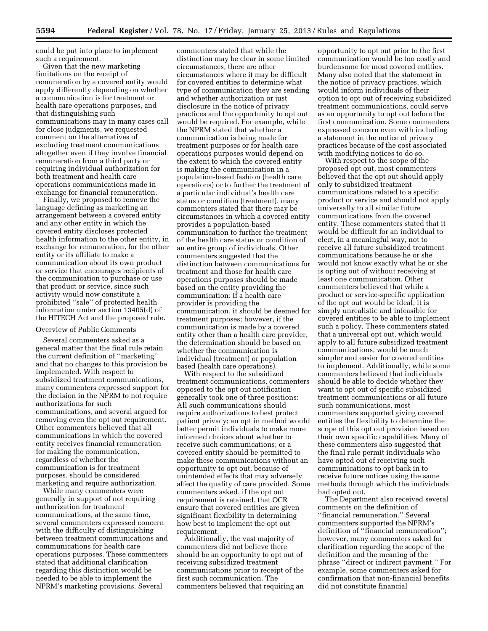could be put into place to implement such a requirement.

Given that the new marketing limitations on the receipt of remuneration by a covered entity would apply differently depending on whether a communication is for treatment or health care operations purposes, and that distinguishing such communications may in many cases call for close judgments, we requested comment on the alternatives of excluding treatment communications altogether even if they involve financial remuneration from a third party or requiring individual authorization for both treatment and health care operations communications made in exchange for financial remuneration.

Finally, we proposed to remove the language defining as marketing an arrangement between a covered entity and any other entity in which the covered entity discloses protected health information to the other entity, in exchange for remuneration, for the other entity or its affiliate to make a communication about its own product or service that encourages recipients of the communication to purchase or use that product or service, since such activity would now constitute a prohibited ''sale'' of protected health information under section 13405(d) of the HITECH Act and the proposed rule.

#### Overview of Public Comments

Several commenters asked as a general matter that the final rule retain the current definition of ''marketing'' and that no changes to this provision be implemented. With respect to subsidized treatment communications, many commenters expressed support for the decision in the NPRM to not require authorizations for such communications, and several argued for removing even the opt out requirement. Other commenters believed that all communications in which the covered entity receives financial remuneration for making the communication, regardless of whether the communication is for treatment purposes, should be considered marketing and require authorization.

While many commenters were generally in support of not requiring authorization for treatment communications, at the same time, several commenters expressed concern with the difficulty of distinguishing between treatment communications and communications for health care operations purposes. These commenters stated that additional clarification regarding this distinction would be needed to be able to implement the NPRM's marketing provisions. Several

commenters stated that while the distinction may be clear in some limited circumstances, there are other circumstances where it may be difficult for covered entities to determine what type of communication they are sending and whether authorization or just disclosure in the notice of privacy practices and the opportunity to opt out would be required. For example, while the NPRM stated that whether a communication is being made for treatment purposes or for health care operations purposes would depend on the extent to which the covered entity is making the communication in a population-based fashion (health care operations) or to further the treatment of a particular individual's health care status or condition (treatment), many commenters stated that there may be circumstances in which a covered entity provides a population-based communication to further the treatment of the health care status or condition of an entire group of individuals. Other commenters suggested that the distinction between communications for treatment and those for health care operations purposes should be made based on the entity providing the communication: If a health care provider is providing the communication, it should be deemed for treatment purposes; however, if the communication is made by a covered entity other than a health care provider, the determination should be based on whether the communication is individual (treatment) or population based (health care operations).

With respect to the subsidized treatment communications, commenters opposed to the opt out notification generally took one of three positions: All such communications should require authorizations to best protect patient privacy; an opt in method would better permit individuals to make more informed choices about whether to receive such communications; or a covered entity should be permitted to make these communications without an opportunity to opt out, because of unintended effects that may adversely affect the quality of care provided. Some commenters asked, if the opt out requirement is retained, that OCR ensure that covered entities are given significant flexibility in determining how best to implement the opt out requirement.

Additionally, the vast majority of commenters did not believe there should be an opportunity to opt out of receiving subsidized treatment communications prior to receipt of the first such communication. The commenters believed that requiring an

opportunity to opt out prior to the first communication would be too costly and burdensome for most covered entities. Many also noted that the statement in the notice of privacy practices, which would inform individuals of their option to opt out of receiving subsidized treatment communications, could serve as an opportunity to opt out before the first communication. Some commenters expressed concern even with including a statement in the notice of privacy practices because of the cost associated with modifying notices to do so.

With respect to the scope of the proposed opt out, most commenters believed that the opt out should apply only to subsidized treatment communications related to a specific product or service and should not apply universally to all similar future communications from the covered entity. These commenters stated that it would be difficult for an individual to elect, in a meaningful way, not to receive all future subsidized treatment communications because he or she would not know exactly what he or she is opting out of without receiving at least one communication. Other commenters believed that while a product or service-specific application of the opt out would be ideal, it is simply unrealistic and infeasible for covered entities to be able to implement such a policy. These commenters stated that a universal opt out, which would apply to all future subsidized treatment communications, would be much simpler and easier for covered entities to implement. Additionally, while some commenters believed that individuals should be able to decide whether they want to opt out of specific subsidized treatment communications or all future such communications, most commenters supported giving covered entities the flexibility to determine the scope of this opt out provision based on their own specific capabilities. Many of these commenters also suggested that the final rule permit individuals who have opted out of receiving such communications to opt back in to receive future notices using the same methods through which the individuals had opted out.

The Department also received several comments on the definition of ''financial remuneration.'' Several commenters supported the NPRM's definition of ''financial remuneration''; however, many commenters asked for clarification regarding the scope of the definition and the meaning of the phrase ''direct or indirect payment.'' For example, some commenters asked for confirmation that non-financial benefits did not constitute financial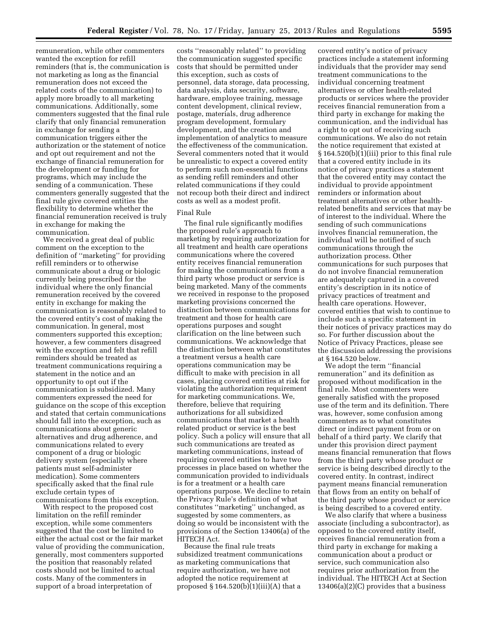remuneration, while other commenters wanted the exception for refill reminders (that is, the communication is not marketing as long as the financial remuneration does not exceed the related costs of the communication) to apply more broadly to all marketing communications. Additionally, some commenters suggested that the final rule clarify that only financial remuneration in exchange for sending a communication triggers either the authorization or the statement of notice and opt out requirement and not the exchange of financial remuneration for the development or funding for programs, which may include the sending of a communication. These commenters generally suggested that the final rule give covered entities the flexibility to determine whether the financial remuneration received is truly in exchange for making the communication.

We received a great deal of public comment on the exception to the definition of ''marketing'' for providing refill reminders or to otherwise communicate about a drug or biologic currently being prescribed for the individual where the only financial remuneration received by the covered entity in exchange for making the communication is reasonably related to the covered entity's cost of making the communication. In general, most commenters supported this exception; however, a few commenters disagreed with the exception and felt that refill reminders should be treated as treatment communications requiring a statement in the notice and an opportunity to opt out if the communication is subsidized. Many commenters expressed the need for guidance on the scope of this exception and stated that certain communications should fall into the exception, such as communications about generic alternatives and drug adherence, and communications related to every component of a drug or biologic delivery system (especially where patients must self-administer medication). Some commenters specifically asked that the final rule exclude certain types of communications from this exception.

With respect to the proposed cost limitation on the refill reminder exception, while some commenters suggested that the cost be limited to either the actual cost or the fair market value of providing the communication, generally, most commenters supported the position that reasonably related costs should not be limited to actual costs. Many of the commenters in support of a broad interpretation of

costs ''reasonably related'' to providing the communication suggested specific costs that should be permitted under this exception, such as costs of personnel, data storage, data processing, data analysis, data security, software, hardware, employee training, message content development, clinical review, postage, materials, drug adherence program development, formulary development, and the creation and implementation of analytics to measure the effectiveness of the communication. Several commenters noted that it would be unrealistic to expect a covered entity to perform such non-essential functions as sending refill reminders and other related communications if they could not recoup both their direct and indirect costs as well as a modest profit.

# Final Rule

The final rule significantly modifies the proposed rule's approach to marketing by requiring authorization for all treatment and health care operations communications where the covered entity receives financial remuneration for making the communications from a third party whose product or service is being marketed. Many of the comments we received in response to the proposed marketing provisions concerned the distinction between communications for treatment and those for health care operations purposes and sought clarification on the line between such communications. We acknowledge that the distinction between what constitutes a treatment versus a health care operations communication may be difficult to make with precision in all cases, placing covered entities at risk for violating the authorization requirement for marketing communications. We, therefore, believe that requiring authorizations for all subsidized communications that market a health related product or service is the best policy. Such a policy will ensure that all such communications are treated as marketing communications, instead of requiring covered entities to have two processes in place based on whether the communication provided to individuals is for a treatment or a health care operations purpose. We decline to retain the Privacy Rule's definition of what constitutes ''marketing'' unchanged, as suggested by some commenters, as doing so would be inconsistent with the provisions of the Section 13406(a) of the HITECH Act.

Because the final rule treats subsidized treatment communications as marketing communications that require authorization, we have not adopted the notice requirement at proposed  $§ 164.520(b)(1)(iii)(A)$  that a

covered entity's notice of privacy practices include a statement informing individuals that the provider may send treatment communications to the individual concerning treatment alternatives or other health-related products or services where the provider receives financial remuneration from a third party in exchange for making the communication, and the individual has a right to opt out of receiving such communications. We also do not retain the notice requirement that existed at § 164.520(b)(1)(iii) prior to this final rule that a covered entity include in its notice of privacy practices a statement that the covered entity may contact the individual to provide appointment reminders or information about treatment alternatives or other healthrelated benefits and services that may be of interest to the individual. Where the sending of such communications involves financial remuneration, the individual will be notified of such communications through the authorization process. Other communications for such purposes that do not involve financial remuneration are adequately captured in a covered entity's description in its notice of privacy practices of treatment and health care operations. However, covered entities that wish to continue to include such a specific statement in their notices of privacy practices may do so. For further discussion about the Notice of Privacy Practices, please see the discussion addressing the provisions at § 164.520 below.

We adopt the term ''financial remuneration'' and its definition as proposed without modification in the final rule. Most commenters were generally satisfied with the proposed use of the term and its definition. There was, however, some confusion among commenters as to what constitutes direct or indirect payment from or on behalf of a third party. We clarify that under this provision direct payment means financial remuneration that flows from the third party whose product or service is being described directly to the covered entity. In contrast, indirect payment means financial remuneration that flows from an entity on behalf of the third party whose product or service is being described to a covered entity.

We also clarify that where a business associate (including a subcontractor), as opposed to the covered entity itself, receives financial remuneration from a third party in exchange for making a communication about a product or service, such communication also requires prior authorization from the individual. The HITECH Act at Section 13406(a)(2)(C) provides that a business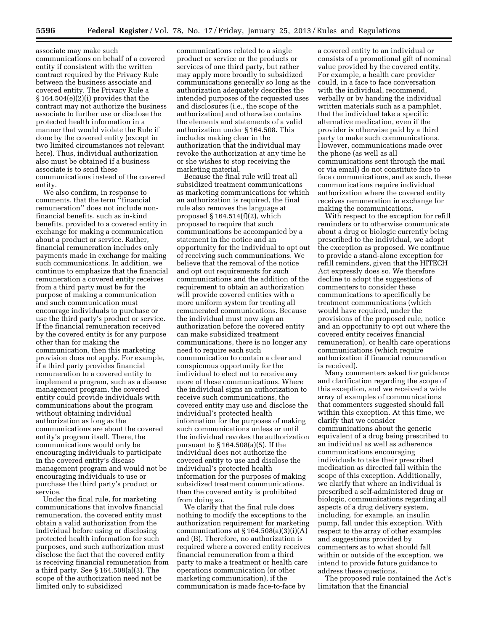associate may make such communications on behalf of a covered entity if consistent with the written contract required by the Privacy Rule between the business associate and covered entity. The Privacy Rule a  $§ 164.504(e)(2)(i)$  provides that the contract may not authorize the business associate to further use or disclose the protected health information in a manner that would violate the Rule if done by the covered entity (except in two limited circumstances not relevant here). Thus, individual authorization also must be obtained if a business associate is to send these communications instead of the covered entity.

We also confirm, in response to comments, that the term ''financial remuneration'' does not include nonfinancial benefits, such as in-kind benefits, provided to a covered entity in exchange for making a communication about a product or service. Rather, financial remuneration includes only payments made in exchange for making such communications. In addition, we continue to emphasize that the financial remuneration a covered entity receives from a third party must be for the purpose of making a communication and such communication must encourage individuals to purchase or use the third party's product or service. If the financial remuneration received by the covered entity is for any purpose other than for making the communication, then this marketing provision does not apply. For example, if a third party provides financial remuneration to a covered entity to implement a program, such as a disease management program, the covered entity could provide individuals with communications about the program without obtaining individual authorization as long as the communications are about the covered entity's program itself. There, the communications would only be encouraging individuals to participate in the covered entity's disease management program and would not be encouraging individuals to use or purchase the third party's product or service.

Under the final rule, for marketing communications that involve financial remuneration, the covered entity must obtain a valid authorization from the individual before using or disclosing protected health information for such purposes, and such authorization must disclose the fact that the covered entity is receiving financial remuneration from a third party. See § 164.508(a)(3). The scope of the authorization need not be limited only to subsidized

communications related to a single product or service or the products or services of one third party, but rather may apply more broadly to subsidized communications generally so long as the authorization adequately describes the intended purposes of the requested uses and disclosures (i.e., the scope of the authorization) and otherwise contains the elements and statements of a valid authorization under § 164.508. This includes making clear in the authorization that the individual may revoke the authorization at any time he or she wishes to stop receiving the marketing material.

Because the final rule will treat all subsidized treatment communications as marketing communications for which an authorization is required, the final rule also removes the language at proposed  $\S 164.514(f)(2)$ , which proposed to require that such communications be accompanied by a statement in the notice and an opportunity for the individual to opt out of receiving such communications. We believe that the removal of the notice and opt out requirements for such communications and the addition of the requirement to obtain an authorization will provide covered entities with a more uniform system for treating all remunerated communications. Because the individual must now sign an authorization before the covered entity can make subsidized treatment communications, there is no longer any need to require each such communication to contain a clear and conspicuous opportunity for the individual to elect not to receive any more of these communications. Where the individual signs an authorization to receive such communications, the covered entity may use and disclose the individual's protected health information for the purposes of making such communications unless or until the individual revokes the authorization pursuant to § 164.508(a)(5). If the individual does not authorize the covered entity to use and disclose the individual's protected health information for the purposes of making subsidized treatment communications, then the covered entity is prohibited from doing so.

We clarify that the final rule does nothing to modify the exceptions to the authorization requirement for marketing communications at  $\S 164.508(a)(3)(i)(A)$ and (B). Therefore, no authorization is required where a covered entity receives financial remuneration from a third party to make a treatment or health care operations communication (or other marketing communication), if the communication is made face-to-face by

a covered entity to an individual or consists of a promotional gift of nominal value provided by the covered entity. For example, a health care provider could, in a face to face conversation with the individual, recommend, verbally or by handing the individual written materials such as a pamphlet, that the individual take a specific alternative medication, even if the provider is otherwise paid by a third party to make such communications. However, communications made over the phone (as well as all communications sent through the mail or via email) do not constitute face to face communications, and as such, these communications require individual authorization where the covered entity receives remuneration in exchange for making the communications.

With respect to the exception for refill reminders or to otherwise communicate about a drug or biologic currently being prescribed to the individual, we adopt the exception as proposed. We continue to provide a stand-alone exception for refill reminders, given that the HITECH Act expressly does so. We therefore decline to adopt the suggestions of commenters to consider these communications to specifically be treatment communications (which would have required, under the provisions of the proposed rule, notice and an opportunity to opt out where the covered entity receives financial remuneration), or health care operations communications (which require authorization if financial remuneration is received).

Many commenters asked for guidance and clarification regarding the scope of this exception, and we received a wide array of examples of communications that commenters suggested should fall within this exception. At this time, we clarify that we consider communications about the generic equivalent of a drug being prescribed to an individual as well as adherence communications encouraging individuals to take their prescribed medication as directed fall within the scope of this exception. Additionally, we clarify that where an individual is prescribed a self-administered drug or biologic, communications regarding all aspects of a drug delivery system, including, for example, an insulin pump, fall under this exception. With respect to the array of other examples and suggestions provided by commenters as to what should fall within or outside of the exception, we intend to provide future guidance to address these questions.

The proposed rule contained the Act's limitation that the financial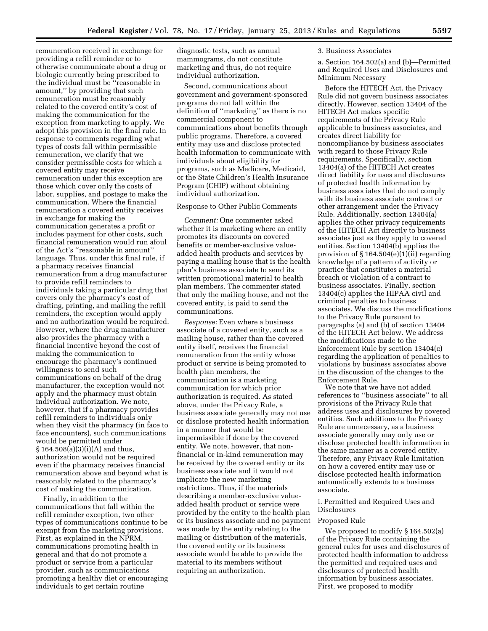remuneration received in exchange for providing a refill reminder or to otherwise communicate about a drug or biologic currently being prescribed to the individual must be ''reasonable in amount,'' by providing that such remuneration must be reasonably related to the covered entity's cost of making the communication for the exception from marketing to apply. We adopt this provision in the final rule. In response to comments regarding what types of costs fall within permissible remuneration, we clarify that we consider permissible costs for which a covered entity may receive remuneration under this exception are those which cover only the costs of labor, supplies, and postage to make the communication. Where the financial remuneration a covered entity receives in exchange for making the communication generates a profit or includes payment for other costs, such financial remuneration would run afoul of the Act's ''reasonable in amount'' language. Thus, under this final rule, if a pharmacy receives financial remuneration from a drug manufacturer to provide refill reminders to individuals taking a particular drug that covers only the pharmacy's cost of drafting, printing, and mailing the refill reminders, the exception would apply and no authorization would be required. However, where the drug manufacturer also provides the pharmacy with a financial incentive beyond the cost of making the communication to encourage the pharmacy's continued willingness to send such communications on behalf of the drug manufacturer, the exception would not apply and the pharmacy must obtain individual authorization. We note, however, that if a pharmacy provides refill reminders to individuals only when they visit the pharmacy (in face to face encounters), such communications would be permitted under § 164.508(a)(3)(i)(A) and thus, authorization would not be required even if the pharmacy receives financial remuneration above and beyond what is reasonably related to the pharmacy's cost of making the communication.

Finally, in addition to the communications that fall within the refill reminder exception, two other types of communications continue to be exempt from the marketing provisions. First, as explained in the NPRM, communications promoting health in general and that do not promote a product or service from a particular provider, such as communications promoting a healthy diet or encouraging individuals to get certain routine

diagnostic tests, such as annual mammograms, do not constitute marketing and thus, do not require individual authorization.

Second, communications about government and government-sponsored programs do not fall within the definition of ''marketing'' as there is no commercial component to communications about benefits through public programs. Therefore, a covered entity may use and disclose protected health information to communicate with individuals about eligibility for programs, such as Medicare, Medicaid, or the State Children's Health Insurance Program (CHIP) without obtaining individual authorization.

# Response to Other Public Comments

*Comment:* One commenter asked whether it is marketing where an entity promotes its discounts on covered benefits or member-exclusive valueadded health products and services by paying a mailing house that is the health plan's business associate to send its written promotional material to health plan members. The commenter stated that only the mailing house, and not the covered entity, is paid to send the communications.

*Response:* Even where a business associate of a covered entity, such as a mailing house, rather than the covered entity itself, receives the financial remuneration from the entity whose product or service is being promoted to health plan members, the communication is a marketing communication for which prior authorization is required. As stated above, under the Privacy Rule, a business associate generally may not use or disclose protected health information in a manner that would be impermissible if done by the covered entity. We note, however, that nonfinancial or in-kind remuneration may be received by the covered entity or its business associate and it would not implicate the new marketing restrictions. Thus, if the materials describing a member-exclusive valueadded health product or service were provided by the entity to the health plan or its business associate and no payment was made by the entity relating to the mailing or distribution of the materials, the covered entity or its business associate would be able to provide the material to its members without requiring an authorization.

#### 3. Business Associates

a. Section 164.502(a) and (b)—Permitted and Required Uses and Disclosures and Minimum Necessary

Before the HITECH Act, the Privacy Rule did not govern business associates directly. However, section 13404 of the HITECH Act makes specific requirements of the Privacy Rule applicable to business associates, and creates direct liability for noncompliance by business associates with regard to those Privacy Rule requirements. Specifically, section 13404(a) of the HITECH Act creates direct liability for uses and disclosures of protected health information by business associates that do not comply with its business associate contract or other arrangement under the Privacy Rule. Additionally, section 13404(a) applies the other privacy requirements of the HITECH Act directly to business associates just as they apply to covered entities. Section 13404(b) applies the provision of § 164.504(e)(1)(ii) regarding knowledge of a pattern of activity or practice that constitutes a material breach or violation of a contract to business associates. Finally, section 13404(c) applies the HIPAA civil and criminal penalties to business associates. We discuss the modifications to the Privacy Rule pursuant to paragraphs (a) and (b) of section 13404 of the HITECH Act below. We address the modifications made to the Enforcement Rule by section 13404(c) regarding the application of penalties to violations by business associates above in the discussion of the changes to the Enforcement Rule.

We note that we have not added references to ''business associate'' to all provisions of the Privacy Rule that address uses and disclosures by covered entities. Such additions to the Privacy Rule are unnecessary, as a business associate generally may only use or disclose protected health information in the same manner as a covered entity. Therefore, any Privacy Rule limitation on how a covered entity may use or disclose protected health information automatically extends to a business associate.

i. Permitted and Required Uses and Disclosures

# Proposed Rule

We proposed to modify § 164.502(a) of the Privacy Rule containing the general rules for uses and disclosures of protected health information to address the permitted and required uses and disclosures of protected health information by business associates. First, we proposed to modify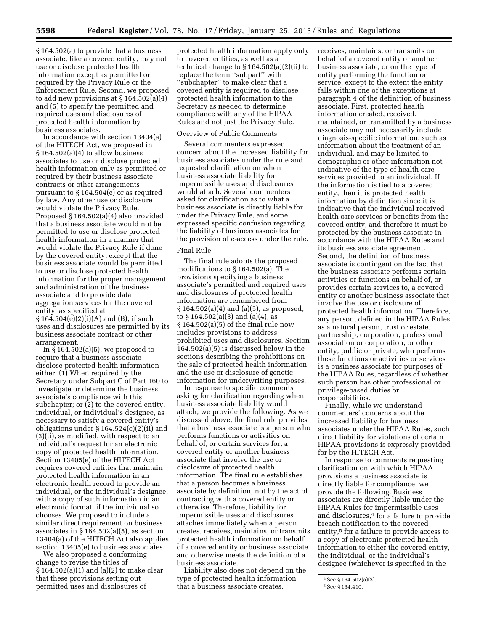§ 164.502(a) to provide that a business associate, like a covered entity, may not use or disclose protected health information except as permitted or required by the Privacy Rule or the Enforcement Rule. Second, we proposed to add new provisions at § 164.502(a)(4) and (5) to specify the permitted and required uses and disclosures of protected health information by business associates.

In accordance with section 13404(a) of the HITECH Act, we proposed in  $§ 164.502(a)(4)$  to allow business associates to use or disclose protected health information only as permitted or required by their business associate contracts or other arrangements pursuant to § 164.504(e) or as required by law. Any other use or disclosure would violate the Privacy Rule. Proposed § 164.502(a)(4) also provided that a business associate would not be permitted to use or disclose protected health information in a manner that would violate the Privacy Rule if done by the covered entity, except that the business associate would be permitted to use or disclose protected health information for the proper management and administration of the business associate and to provide data aggregation services for the covered entity, as specified at § 164.504(e)(2)(i)(A) and (B), if such uses and disclosures are permitted by its business associate contract or other arrangement.

In  $\S$  164.502(a)(5), we proposed to require that a business associate disclose protected health information either: (1) When required by the Secretary under Subpart C of Part 160 to investigate or determine the business associate's compliance with this subchapter; or (2) to the covered entity, individual, or individual's designee, as necessary to satisfy a covered entity's obligations under § 164.524(c)(2)(ii) and (3)(ii), as modified, with respect to an individual's request for an electronic copy of protected health information. Section 13405(e) of the HITECH Act requires covered entities that maintain protected health information in an electronic health record to provide an individual, or the individual's designee, with a copy of such information in an electronic format, if the individual so chooses. We proposed to include a similar direct requirement on business associates in § 164.502(a)(5), as section 13404(a) of the HITECH Act also applies section 13405(e) to business associates.

We also proposed a conforming change to revise the titles of § 164.502(a)(1) and (a)(2) to make clear that these provisions setting out permitted uses and disclosures of

protected health information apply only to covered entities, as well as a technical change to § 164.502(a)(2)(ii) to replace the term ''subpart'' with ''subchapter'' to make clear that a covered entity is required to disclose protected health information to the Secretary as needed to determine compliance with any of the HIPAA Rules and not just the Privacy Rule.

#### Overview of Public Comments

Several commenters expressed concern about the increased liability for business associates under the rule and requested clarification on when business associate liability for impermissible uses and disclosures would attach. Several commenters asked for clarification as to what a business associate is directly liable for under the Privacy Rule, and some expressed specific confusion regarding the liability of business associates for the provision of e-access under the rule.

# Final Rule

The final rule adopts the proposed modifications to § 164.502(a). The provisions specifying a business associate's permitted and required uses and disclosures of protected health information are renumbered from § 164.502(a)(4) and (a)(5), as proposed, to § 164.502(a)(3) and (a)(4), as § 164.502(a)(5) of the final rule now includes provisions to address prohibited uses and disclosures. Section 164.502(a)(5) is discussed below in the sections describing the prohibitions on the sale of protected health information and the use or disclosure of genetic information for underwriting purposes.

In response to specific comments asking for clarification regarding when business associate liability would attach, we provide the following. As we discussed above, the final rule provides that a business associate is a person who performs functions or activities on behalf of, or certain services for, a covered entity or another business associate that involve the use or disclosure of protected health information. The final rule establishes that a person becomes a business associate by definition, not by the act of contracting with a covered entity or otherwise. Therefore, liability for impermissible uses and disclosures attaches immediately when a person creates, receives, maintains, or transmits protected health information on behalf of a covered entity or business associate and otherwise meets the definition of a business associate.

Liability also does not depend on the type of protected health information that a business associate creates,

receives, maintains, or transmits on behalf of a covered entity or another business associate, or on the type of entity performing the function or service, except to the extent the entity falls within one of the exceptions at paragraph 4 of the definition of business associate. First, protected health information created, received, maintained, or transmitted by a business associate may not necessarily include diagnosis-specific information, such as information about the treatment of an individual, and may be limited to demographic or other information not indicative of the type of health care services provided to an individual. If the information is tied to a covered entity, then it is protected health information by definition since it is indicative that the individual received health care services or benefits from the covered entity, and therefore it must be protected by the business associate in accordance with the HIPAA Rules and its business associate agreement. Second, the definition of business associate is contingent on the fact that the business associate performs certain activities or functions on behalf of, or provides certain services to, a covered entity or another business associate that involve the use or disclosure of protected health information. Therefore, any person, defined in the HIPAA Rules as a natural person, trust or estate, partnership, corporation, professional association or corporation, or other entity, public or private, who performs these functions or activities or services is a business associate for purposes of the HIPAA Rules, regardless of whether such person has other professional or privilege-based duties or responsibilities.

Finally, while we understand commenters' concerns about the increased liability for business associates under the HIPAA Rules, such direct liability for violations of certain HIPAA provisions is expressly provided for by the HITECH Act.

In response to comments requesting clarification on with which HIPAA provisions a business associate is directly liable for compliance, we provide the following. Business associates are directly liable under the HIPAA Rules for impermissible uses and disclosures,<sup>4</sup> for a failure to provide breach notification to the covered entity,<sup>5</sup> for a failure to provide access to a copy of electronic protected health information to either the covered entity, the individual, or the individual's designee (whichever is specified in the

<sup>4</sup>See § 164.502(a)(3).

<sup>5</sup>See § 164.410.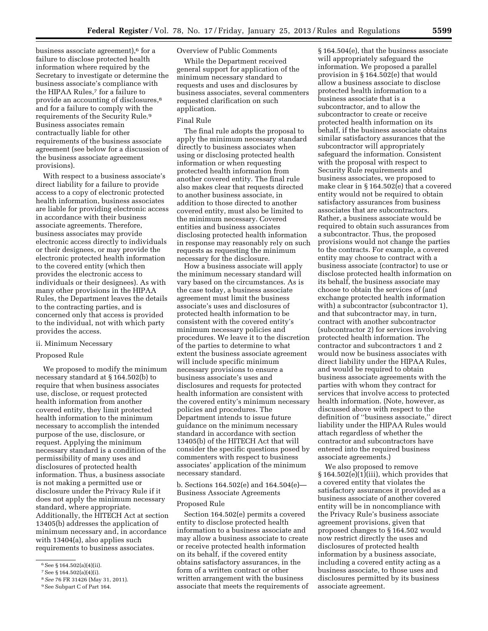business associate agreement),<sup>6</sup> for a failure to disclose protected health information where required by the Secretary to investigate or determine the business associate's compliance with the HIPAA Rules,<sup>7</sup> for a failure to provide an accounting of disclosures,8 and for a failure to comply with the requirements of the Security Rule.9 Business associates remain contractually liable for other requirements of the business associate agreement (see below for a discussion of the business associate agreement provisions).

With respect to a business associate's direct liability for a failure to provide access to a copy of electronic protected health information, business associates are liable for providing electronic access in accordance with their business associate agreements. Therefore, business associates may provide electronic access directly to individuals or their designees, or may provide the electronic protected health information to the covered entity (which then provides the electronic access to individuals or their designees). As with many other provisions in the HIPAA Rules, the Department leaves the details to the contracting parties, and is concerned only that access is provided to the individual, not with which party provides the access.

# ii. Minimum Necessary

# Proposed Rule

We proposed to modify the minimum necessary standard at § 164.502(b) to require that when business associates use, disclose, or request protected health information from another covered entity, they limit protected health information to the minimum necessary to accomplish the intended purpose of the use, disclosure, or request. Applying the minimum necessary standard is a condition of the permissibility of many uses and disclosures of protected health information. Thus, a business associate is not making a permitted use or disclosure under the Privacy Rule if it does not apply the minimum necessary standard, where appropriate. Additionally, the HITECH Act at section 13405(b) addresses the application of minimum necessary and, in accordance with 13404(a), also applies such requirements to business associates.

# Overview of Public Comments

While the Department received general support for application of the minimum necessary standard to requests and uses and disclosures by business associates, several commenters requested clarification on such application.

# Final Rule

The final rule adopts the proposal to apply the minimum necessary standard directly to business associates when using or disclosing protected health information or when requesting protected health information from another covered entity. The final rule also makes clear that requests directed to another business associate, in addition to those directed to another covered entity, must also be limited to the minimum necessary. Covered entities and business associates disclosing protected health information in response may reasonably rely on such requests as requesting the minimum necessary for the disclosure.

How a business associate will apply the minimum necessary standard will vary based on the circumstances. As is the case today, a business associate agreement must limit the business associate's uses and disclosures of protected health information to be consistent with the covered entity's minimum necessary policies and procedures. We leave it to the discretion of the parties to determine to what extent the business associate agreement will include specific minimum necessary provisions to ensure a business associate's uses and disclosures and requests for protected health information are consistent with the covered entity's minimum necessary policies and procedures. The Department intends to issue future guidance on the minimum necessary standard in accordance with section 13405(b) of the HITECH Act that will consider the specific questions posed by commenters with respect to business associates' application of the minimum necessary standard.

b. Sections 164.502(e) and 164.504(e)— Business Associate Agreements

# Proposed Rule

Section 164.502(e) permits a covered entity to disclose protected health information to a business associate and may allow a business associate to create or receive protected health information on its behalf, if the covered entity obtains satisfactory assurances, in the form of a written contract or other written arrangement with the business associate that meets the requirements of

§ 164.504(e), that the business associate will appropriately safeguard the information. We proposed a parallel provision in § 164.502(e) that would allow a business associate to disclose protected health information to a business associate that is a subcontractor, and to allow the subcontractor to create or receive protected health information on its behalf, if the business associate obtains similar satisfactory assurances that the subcontractor will appropriately safeguard the information. Consistent with the proposal with respect to Security Rule requirements and business associates, we proposed to make clear in § 164.502(e) that a covered entity would not be required to obtain satisfactory assurances from business associates that are subcontractors. Rather, a business associate would be required to obtain such assurances from a subcontractor. Thus, the proposed provisions would not change the parties to the contracts. For example, a covered entity may choose to contract with a business associate (contractor) to use or disclose protected health information on its behalf, the business associate may choose to obtain the services of (and exchange protected health information with) a subcontractor (subcontractor 1), and that subcontractor may, in turn, contract with another subcontractor (subcontractor 2) for services involving protected health information. The contractor and subcontractors 1 and 2 would now be business associates with direct liability under the HIPAA Rules, and would be required to obtain business associate agreements with the parties with whom they contract for services that involve access to protected health information. (Note, however, as discussed above with respect to the definition of ''business associate,'' direct liability under the HIPAA Rules would attach regardless of whether the contractor and subcontractors have entered into the required business associate agreements.)

We also proposed to remove § 164.502(e)(1)(iii), which provides that a covered entity that violates the satisfactory assurances it provided as a business associate of another covered entity will be in noncompliance with the Privacy Rule's business associate agreement provisions, given that proposed changes to § 164.502 would now restrict directly the uses and disclosures of protected health information by a business associate, including a covered entity acting as a business associate, to those uses and disclosures permitted by its business associate agreement.

<sup>6</sup>See § 164.502(a)(4)(ii).

<sup>7</sup>See § 164.502(a)(4)(i).

<sup>8</sup>*See* 76 FR 31426 (May 31, 2011).

<sup>9</sup>See Subpart C of Part 164.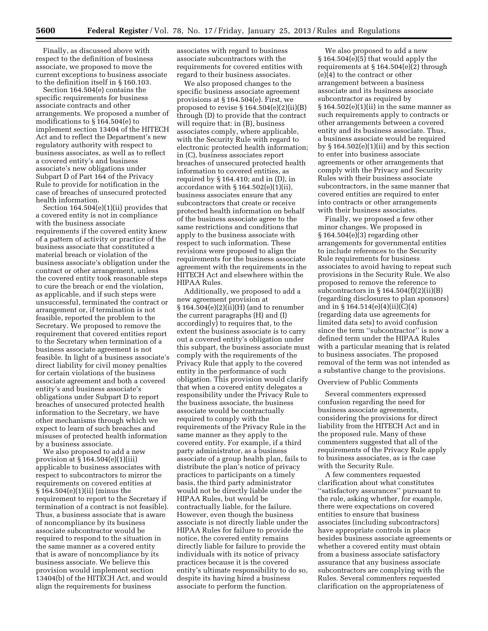Finally, as discussed above with respect to the definition of business associate, we proposed to move the current exceptions to business associate to the definition itself in § 160.103.

Section 164.504(e) contains the specific requirements for business associate contracts and other arrangements. We proposed a number of modifications to § 164.504(e) to implement section 13404 of the HITECH Act and to reflect the Department's new regulatory authority with respect to business associates, as well as to reflect a covered entity's and business associate's new obligations under Subpart D of Part 164 of the Privacy Rule to provide for notification in the case of breaches of unsecured protected health information.

Section 164.504(e)(1)(ii) provides that a covered entity is not in compliance with the business associate requirements if the covered entity knew of a pattern of activity or practice of the business associate that constituted a material breach or violation of the business associate's obligation under the contract or other arrangement, unless the covered entity took reasonable steps to cure the breach or end the violation, as applicable, and if such steps were unsuccessful, terminated the contract or arrangement or, if termination is not feasible, reported the problem to the Secretary. We proposed to remove the requirement that covered entities report to the Secretary when termination of a business associate agreement is not feasible. In light of a business associate's direct liability for civil money penalties for certain violations of the business associate agreement and both a covered entity's and business associate's obligations under Subpart D to report breaches of unsecured protected health information to the Secretary, we have other mechanisms through which we expect to learn of such breaches and misuses of protected health information by a business associate.

We also proposed to add a new provision at § 164.504(e)(1)(iii) applicable to business associates with respect to subcontractors to mirror the requirements on covered entities at § 164.504(e)(1)(ii) (minus the requirement to report to the Secretary if termination of a contract is not feasible). Thus, a business associate that is aware of noncompliance by its business associate subcontractor would be required to respond to the situation in the same manner as a covered entity that is aware of noncompliance by its business associate. We believe this provision would implement section 13404(b) of the HITECH Act, and would align the requirements for business

associates with regard to business associate subcontractors with the requirements for covered entities with regard to their business associates.

We also proposed changes to the specific business associate agreement provisions at § 164.504(e). First, we proposed to revise  $\S 164.504(e)(2)(ii)(B)$ through (D) to provide that the contract will require that: in (B), business associates comply, where applicable, with the Security Rule with regard to electronic protected health information; in (C), business associates report breaches of unsecured protected health information to covered entities, as required by  $\S$  164.410; and in (D), in accordance with  $§ 164.502(e)(1)(ii)$ , business associates ensure that any subcontractors that create or receive protected health information on behalf of the business associate agree to the same restrictions and conditions that apply to the business associate with respect to such information. These revisions were proposed to align the requirements for the business associate agreement with the requirements in the HITECH Act and elsewhere within the HIPAA Rules.

Additionally, we proposed to add a new agreement provision at § 164.504(e)(2)(ii)(H) (and to renumber the current paragraphs (H) and (I) accordingly) to requires that, to the extent the business associate is to carry out a covered entity's obligation under this subpart, the business associate must comply with the requirements of the Privacy Rule that apply to the covered entity in the performance of such obligation. This provision would clarify that when a covered entity delegates a responsibility under the Privacy Rule to the business associate, the business associate would be contractually required to comply with the requirements of the Privacy Rule in the same manner as they apply to the covered entity. For example, if a third party administrator, as a business associate of a group health plan, fails to distribute the plan's notice of privacy practices to participants on a timely basis, the third party administrator would not be directly liable under the HIPAA Rules, but would be contractually liable, for the failure. However, even though the business associate is not directly liable under the HIPAA Rules for failure to provide the notice, the covered entity remains directly liable for failure to provide the individuals with its notice of privacy practices because it is the covered entity's ultimate responsibility to do so, despite its having hired a business associate to perform the function.

We also proposed to add a new § 164.504(e)(5) that would apply the requirements at § 164.504(e)(2) through (e)(4) to the contract or other arrangement between a business associate and its business associate subcontractor as required by  $§ 164.502(e)(1)(ii)$  in the same manner as such requirements apply to contracts or other arrangements between a covered entity and its business associate. Thus, a business associate would be required by  $\S 164.502(e)(1)(ii)$  and by this section to enter into business associate agreements or other arrangements that comply with the Privacy and Security Rules with their business associate subcontractors, in the same manner that covered entities are required to enter into contracts or other arrangements with their business associates.

Finally, we proposed a few other minor changes. We proposed in § 164.504(e)(3) regarding other arrangements for governmental entities to include references to the Security Rule requirements for business associates to avoid having to repeat such provisions in the Security Rule. We also proposed to remove the reference to subcontractors in § 164.504(f)(2)(ii)(B) (regarding disclosures to plan sponsors) and in § 164.514(e)(4)(ii)(C)(4) (regarding data use agreements for limited data sets) to avoid confusion since the term ''subcontractor'' is now a defined term under the HIPAA Rules with a particular meaning that is related to business associates. The proposed removal of the term was not intended as a substantive change to the provisions.

#### Overview of Public Comments

Several commenters expressed confusion regarding the need for business associate agreements, considering the provisions for direct liability from the HITECH Act and in the proposed rule. Many of these commenters suggested that all of the requirements of the Privacy Rule apply to business associates, as is the case with the Security Rule.

A few commenters requested clarification about what constitutes ''satisfactory assurances'' pursuant to the rule, asking whether, for example, there were expectations on covered entities to ensure that business associates (including subcontractors) have appropriate controls in place besides business associate agreements or whether a covered entity must obtain from a business associate satisfactory assurance that any business associate subcontractors are complying with the Rules. Several commenters requested clarification on the appropriateness of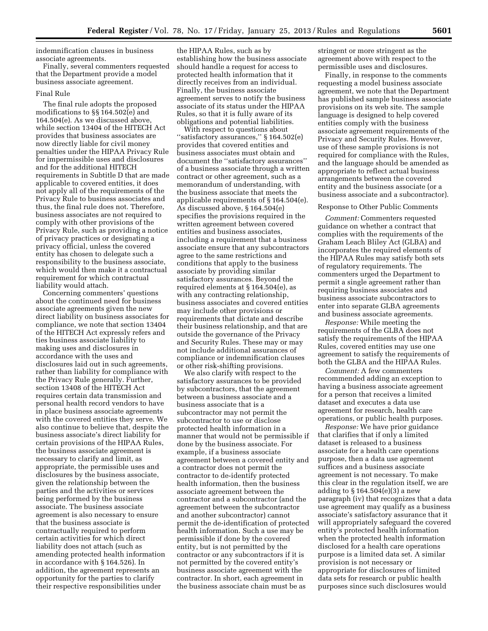indemnification clauses in business associate agreements.

Finally, several commenters requested that the Department provide a model business associate agreement.

### Final Rule

The final rule adopts the proposed modifications to §§ 164.502(e) and 164.504(e). As we discussed above, while section 13404 of the HITECH Act provides that business associates are now directly liable for civil money penalties under the HIPAA Privacy Rule for impermissible uses and disclosures and for the additional HITECH requirements in Subtitle D that are made applicable to covered entities, it does not apply all of the requirements of the Privacy Rule to business associates and thus, the final rule does not. Therefore, business associates are not required to comply with other provisions of the Privacy Rule, such as providing a notice of privacy practices or designating a privacy official, unless the covered entity has chosen to delegate such a responsibility to the business associate, which would then make it a contractual requirement for which contractual liability would attach.

Concerning commenters' questions about the continued need for business associate agreements given the new direct liability on business associates for compliance, we note that section 13404 of the HITECH Act expressly refers and ties business associate liability to making uses and disclosures in accordance with the uses and disclosures laid out in such agreements, rather than liability for compliance with the Privacy Rule generally. Further, section 13408 of the HITECH Act requires certain data transmission and personal health record vendors to have in place business associate agreements with the covered entities they serve. We also continue to believe that, despite the business associate's direct liability for certain provisions of the HIPAA Rules, the business associate agreement is necessary to clarify and limit, as appropriate, the permissible uses and disclosures by the business associate, given the relationship between the parties and the activities or services being performed by the business associate. The business associate agreement is also necessary to ensure that the business associate is contractually required to perform certain activities for which direct liability does not attach (such as amending protected health information in accordance with § 164.526). In addition, the agreement represents an opportunity for the parties to clarify their respective responsibilities under

the HIPAA Rules, such as by establishing how the business associate should handle a request for access to protected health information that it directly receives from an individual. Finally, the business associate agreement serves to notify the business associate of its status under the HIPAA Rules, so that it is fully aware of its obligations and potential liabilities.

With respect to questions about ''satisfactory assurances,'' § 164.502(e) provides that covered entities and business associates must obtain and document the ''satisfactory assurances'' of a business associate through a written contract or other agreement, such as a memorandum of understanding, with the business associate that meets the applicable requirements of § 164.504(e). As discussed above, § 164.504(e) specifies the provisions required in the written agreement between covered entities and business associates, including a requirement that a business associate ensure that any subcontractors agree to the same restrictions and conditions that apply to the business associate by providing similar satisfactory assurances. Beyond the required elements at § 164.504(e), as with any contracting relationship, business associates and covered entities may include other provisions or requirements that dictate and describe their business relationship, and that are outside the governance of the Privacy and Security Rules. These may or may not include additional assurances of compliance or indemnification clauses or other risk-shifting provisions.

We also clarify with respect to the satisfactory assurances to be provided by subcontractors, that the agreement between a business associate and a business associate that is a subcontractor may not permit the subcontractor to use or disclose protected health information in a manner that would not be permissible if done by the business associate. For example, if a business associate agreement between a covered entity and a contractor does not permit the contractor to de-identify protected health information, then the business associate agreement between the contractor and a subcontractor (and the agreement between the subcontractor and another subcontractor) cannot permit the de-identification of protected health information. Such a use may be permissible if done by the covered entity, but is not permitted by the contractor or any subcontractors if it is not permitted by the covered entity's business associate agreement with the contractor. In short, each agreement in the business associate chain must be as

stringent or more stringent as the agreement above with respect to the permissible uses and disclosures.

Finally, in response to the comments requesting a model business associate agreement, we note that the Department has published sample business associate provisions on its web site. The sample language is designed to help covered entities comply with the business associate agreement requirements of the Privacy and Security Rules. However, use of these sample provisions is not required for compliance with the Rules, and the language should be amended as appropriate to reflect actual business arrangements between the covered entity and the business associate (or a business associate and a subcontractor).

### Response to Other Public Comments

*Comment:* Commenters requested guidance on whether a contract that complies with the requirements of the Graham Leach Bliley Act (GLBA) and incorporates the required elements of the HIPAA Rules may satisfy both sets of regulatory requirements. The commenters urged the Department to permit a single agreement rather than requiring business associates and business associate subcontractors to enter into separate GLBA agreements and business associate agreements.

*Response:* While meeting the requirements of the GLBA does not satisfy the requirements of the HIPAA Rules, covered entities may use one agreement to satisfy the requirements of both the GLBA and the HIPAA Rules.

*Comment:* A few commenters recommended adding an exception to having a business associate agreement for a person that receives a limited dataset and executes a data use agreement for research, health care operations, or public health purposes.

*Response:* We have prior guidance that clarifies that if only a limited dataset is released to a business associate for a health care operations purpose, then a data use agreement suffices and a business associate agreement is not necessary. To make this clear in the regulation itself, we are adding to § 164.504(e)(3) a new paragraph (iv) that recognizes that a data use agreement may qualify as a business associate's satisfactory assurance that it will appropriately safeguard the covered entity's protected health information when the protected health information disclosed for a health care operations purpose is a limited data set. A similar provision is not necessary or appropriate for disclosures of limited data sets for research or public health purposes since such disclosures would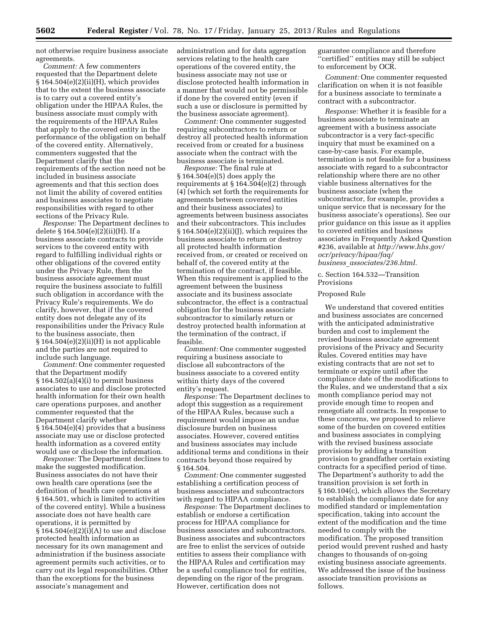not otherwise require business associate agreements.

*Comment:* A few commenters requested that the Department delete § 164.504(e)(2)(ii)(H), which provides that to the extent the business associate is to carry out a covered entity's obligation under the HIPAA Rules, the business associate must comply with the requirements of the HIPAA Rules that apply to the covered entity in the performance of the obligation on behalf of the covered entity. Alternatively, commenters suggested that the Department clarify that the requirements of the section need not be included in business associate agreements and that this section does not limit the ability of covered entities and business associates to negotiate responsibilities with regard to other sections of the Privacy Rule.

*Response:* The Department declines to delete § 164.504(e)(2)(ii)(H). If a business associate contracts to provide services to the covered entity with regard to fulfilling individual rights or other obligations of the covered entity under the Privacy Rule, then the business associate agreement must require the business associate to fulfill such obligation in accordance with the Privacy Rule's requirements. We do clarify, however, that if the covered entity does not delegate any of its responsibilities under the Privacy Rule to the business associate, then  $§ 164.504(e)(2)(ii)(H)$  is not applicable and the parties are not required to include such language.

*Comment:* One commenter requested that the Department modify  $§ 164.502(a)(4)(i)$  to permit business associates to use and disclose protected health information for their own health care operations purposes, and another commenter requested that the Department clarify whether § 164.504(e)(4) provides that a business associate may use or disclose protected health information as a covered entity would use or disclose the information.

*Response:* The Department declines to make the suggested modification. Business associates do not have their own health care operations (see the definition of health care operations at § 164.501, which is limited to activities of the covered entity). While a business associate does not have health care operations, it is permitted by § 164.504(e)(2)(i)(A) to use and disclose protected health information as necessary for its own management and administration if the business associate agreement permits such activities, or to carry out its legal responsibilities. Other than the exceptions for the business associate's management and

administration and for data aggregation services relating to the health care operations of the covered entity, the business associate may not use or disclose protected health information in a manner that would not be permissible if done by the covered entity (even if such a use or disclosure is permitted by the business associate agreement).

*Comment:* One commenter suggested requiring subcontractors to return or destroy all protected health information received from or created for a business associate when the contract with the business associate is terminated.

*Response:* The final rule at § 164.504(e)(5) does apply the requirements at § 164.504(e)(2) through (4) (which set forth the requirements for agreements between covered entities and their business associates) to agreements between business associates and their subcontractors. This includes  $§ 164.504(e)(2)(ii)(J)$ , which requires the business associate to return or destroy all protected health information received from, or created or received on behalf of, the covered entity at the termination of the contract, if feasible. When this requirement is applied to the agreement between the business associate and its business associate subcontractor, the effect is a contractual obligation for the business associate subcontractor to similarly return or destroy protected health information at the termination of the contract, if feasible.

*Comment:* One commenter suggested requiring a business associate to disclose all subcontractors of the business associate to a covered entity within thirty days of the covered entity's request.

*Response:* The Department declines to adopt this suggestion as a requirement of the HIPAA Rules, because such a requirement would impose an undue disclosure burden on business associates. However, covered entities and business associates may include additional terms and conditions in their contracts beyond those required by § 164.504.

*Comment:* One commenter suggested establishing a certification process of business associates and subcontractors with regard to HIPAA compliance.

*Response:* The Department declines to establish or endorse a certification process for HIPAA compliance for business associates and subcontractors. Business associates and subcontractors are free to enlist the services of outside entities to assess their compliance with the HIPAA Rules and certification may be a useful compliance tool for entities, depending on the rigor of the program. However, certification does not

guarantee compliance and therefore ''certified'' entities may still be subject to enforcement by OCR.

*Comment:* One commenter requested clarification on when it is not feasible for a business associate to terminate a contract with a subcontractor.

*Response:* Whether it is feasible for a business associate to terminate an agreement with a business associate subcontractor is a very fact-specific inquiry that must be examined on a case-by-case basis. For example, termination is not feasible for a business associate with regard to a subcontractor relationship where there are no other viable business alternatives for the business associate (when the subcontractor, for example, provides a unique service that is necessary for the business associate's operations). See our prior guidance on this issue as it applies to covered entities and business associates in Frequently Asked Question #236, available at *[http://www.hhs.gov/](http://www.hhs.gov/ocr/privacy/hipaa/faq/business_associates/236.html) [ocr/privacy/hipaa/faq/](http://www.hhs.gov/ocr/privacy/hipaa/faq/business_associates/236.html)  business*\_*[associates/236.html.](http://www.hhs.gov/ocr/privacy/hipaa/faq/business_associates/236.html)* 

c. Section 164.532—Transition Provisions

### Proposed Rule

We understand that covered entities and business associates are concerned with the anticipated administrative burden and cost to implement the revised business associate agreement provisions of the Privacy and Security Rules. Covered entities may have existing contracts that are not set to terminate or expire until after the compliance date of the modifications to the Rules, and we understand that a six month compliance period may not provide enough time to reopen and renegotiate all contracts. In response to these concerns, we proposed to relieve some of the burden on covered entities and business associates in complying with the revised business associate provisions by adding a transition provision to grandfather certain existing contracts for a specified period of time. The Department's authority to add the transition provision is set forth in § 160.104(c), which allows the Secretary to establish the compliance date for any modified standard or implementation specification, taking into account the extent of the modification and the time needed to comply with the modification. The proposed transition period would prevent rushed and hasty changes to thousands of on-going existing business associate agreements. We addressed the issue of the business associate transition provisions as follows.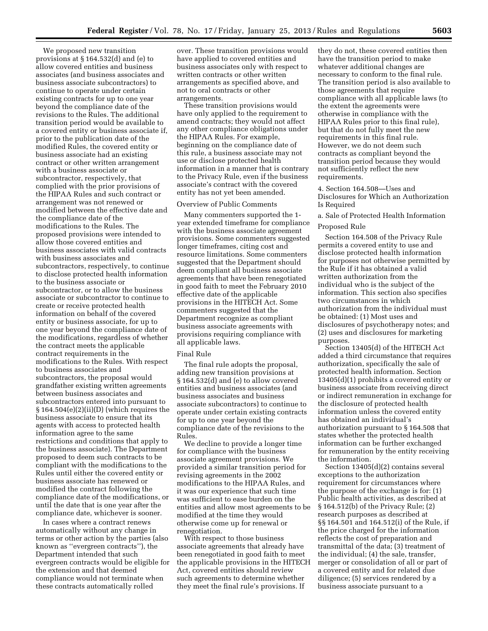We proposed new transition provisions at § 164.532(d) and (e) to allow covered entities and business associates (and business associates and business associate subcontractors) to continue to operate under certain existing contracts for up to one year beyond the compliance date of the revisions to the Rules. The additional transition period would be available to a covered entity or business associate if, prior to the publication date of the modified Rules, the covered entity or business associate had an existing contract or other written arrangement with a business associate or subcontractor, respectively, that complied with the prior provisions of the HIPAA Rules and such contract or arrangement was not renewed or modified between the effective date and the compliance date of the modifications to the Rules. The proposed provisions were intended to allow those covered entities and business associates with valid contracts with business associates and subcontractors, respectively, to continue to disclose protected health information to the business associate or subcontractor, or to allow the business associate or subcontractor to continue to create or receive protected health information on behalf of the covered entity or business associate, for up to one year beyond the compliance date of the modifications, regardless of whether the contract meets the applicable contract requirements in the modifications to the Rules. With respect to business associates and subcontractors, the proposal would grandfather existing written agreements between business associates and subcontractors entered into pursuant to  $§ 164.504(e)(2)(ii)(D)$  (which requires the business associate to ensure that its agents with access to protected health information agree to the same restrictions and conditions that apply to the business associate). The Department proposed to deem such contracts to be compliant with the modifications to the Rules until either the covered entity or business associate has renewed or modified the contract following the compliance date of the modifications, or until the date that is one year after the compliance date, whichever is sooner.

In cases where a contract renews automatically without any change in terms or other action by the parties (also known as ''evergreen contracts''), the Department intended that such evergreen contracts would be eligible for the extension and that deemed compliance would not terminate when these contracts automatically rolled

over. These transition provisions would have applied to covered entities and business associates only with respect to written contracts or other written arrangements as specified above, and not to oral contracts or other arrangements.

These transition provisions would have only applied to the requirement to amend contracts; they would not affect any other compliance obligations under the HIPAA Rules. For example, beginning on the compliance date of this rule, a business associate may not use or disclose protected health information in a manner that is contrary to the Privacy Rule, even if the business associate's contract with the covered entity has not yet been amended.

### Overview of Public Comments

Many commenters supported the 1 year extended timeframe for compliance with the business associate agreement provisions. Some commenters suggested longer timeframes, citing cost and resource limitations. Some commenters suggested that the Department should deem compliant all business associate agreements that have been renegotiated in good faith to meet the February 2010 effective date of the applicable provisions in the HITECH Act. Some commenters suggested that the Department recognize as compliant business associate agreements with provisions requiring compliance with all applicable laws.

## Final Rule

The final rule adopts the proposal, adding new transition provisions at § 164.532(d) and (e) to allow covered entities and business associates (and business associates and business associate subcontractors) to continue to operate under certain existing contracts for up to one year beyond the compliance date of the revisions to the Rules.

We decline to provide a longer time for compliance with the business associate agreement provisions. We provided a similar transition period for revising agreements in the 2002 modifications to the HIPAA Rules, and it was our experience that such time was sufficient to ease burden on the entities and allow most agreements to be modified at the time they would otherwise come up for renewal or renegotiation.

With respect to those business associate agreements that already have been renegotiated in good faith to meet the applicable provisions in the HITECH Act, covered entities should review such agreements to determine whether they meet the final rule's provisions. If

they do not, these covered entities then have the transition period to make whatever additional changes are necessary to conform to the final rule. The transition period is also available to those agreements that require compliance with all applicable laws (to the extent the agreements were otherwise in compliance with the HIPAA Rules prior to this final rule), but that do not fully meet the new requirements in this final rule. However, we do not deem such contracts as compliant beyond the transition period because they would not sufficiently reflect the new requirements.

### 4. Section 164.508—Uses and Disclosures for Which an Authorization Is Required

a. Sale of Protected Health Information

## Proposed Rule

Section 164.508 of the Privacy Rule permits a covered entity to use and disclose protected health information for purposes not otherwise permitted by the Rule if it has obtained a valid written authorization from the individual who is the subject of the information. This section also specifies two circumstances in which authorization from the individual must be obtained: (1) Most uses and disclosures of psychotherapy notes; and (2) uses and disclosures for marketing purposes.

Section 13405(d) of the HITECH Act added a third circumstance that requires authorization, specifically the sale of protected health information. Section 13405(d)(1) prohibits a covered entity or business associate from receiving direct or indirect remuneration in exchange for the disclosure of protected health information unless the covered entity has obtained an individual's authorization pursuant to § 164.508 that states whether the protected health information can be further exchanged for remuneration by the entity receiving the information.

Section 13405(d)(2) contains several exceptions to the authorization requirement for circumstances where the purpose of the exchange is for: (1) Public health activities, as described at § 164.512(b) of the Privacy Rule; (2) research purposes as described at §§ 164.501 and 164.512(i) of the Rule, if the price charged for the information reflects the cost of preparation and transmittal of the data; (3) treatment of the individual; (4) the sale, transfer, merger or consolidation of all or part of a covered entity and for related due diligence; (5) services rendered by a business associate pursuant to a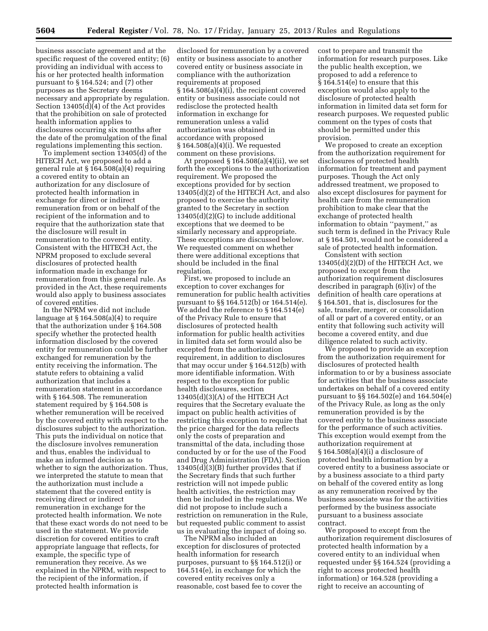business associate agreement and at the specific request of the covered entity; (6) providing an individual with access to his or her protected health information pursuant to § 164.524; and (7) other purposes as the Secretary deems necessary and appropriate by regulation. Section 13405(d)(4) of the Act provides that the prohibition on sale of protected health information applies to disclosures occurring six months after the date of the promulgation of the final regulations implementing this section.

To implement section 13405(d) of the HITECH Act, we proposed to add a general rule at § 164.508(a)(4) requiring a covered entity to obtain an authorization for any disclosure of protected health information in exchange for direct or indirect remuneration from or on behalf of the recipient of the information and to require that the authorization state that the disclosure will result in remuneration to the covered entity. Consistent with the HITECH Act, the NPRM proposed to exclude several disclosures of protected health information made in exchange for remuneration from this general rule. As provided in the Act, these requirements would also apply to business associates of covered entities.

In the NPRM we did not include language at § 164.508(a)(4) to require that the authorization under § 164.508 specify whether the protected health information disclosed by the covered entity for remuneration could be further exchanged for remuneration by the entity receiving the information. The statute refers to obtaining a valid authorization that includes a remuneration statement in accordance with § 164.508. The remuneration statement required by § 164.508 is whether remuneration will be received by the covered entity with respect to the disclosures subject to the authorization. This puts the individual on notice that the disclosure involves remuneration and thus, enables the individual to make an informed decision as to whether to sign the authorization. Thus, we interpreted the statute to mean that the authorization must include a statement that the covered entity is receiving direct or indirect remuneration in exchange for the protected health information. We note that these exact words do not need to be used in the statement. We provide discretion for covered entities to craft appropriate language that reflects, for example, the specific type of remuneration they receive. As we explained in the NPRM, with respect to the recipient of the information, if protected health information is

disclosed for remuneration by a covered entity or business associate to another covered entity or business associate in compliance with the authorization requirements at proposed § 164.508(a)(4)(i), the recipient covered entity or business associate could not redisclose the protected health information in exchange for remuneration unless a valid authorization was obtained in accordance with proposed § 164.508(a)(4)(i). We requested comment on these provisions.

At proposed § 164.508(a)(4)(ii), we set forth the exceptions to the authorization requirement. We proposed the exceptions provided for by section 13405(d)(2) of the HITECH Act, and also proposed to exercise the authority granted to the Secretary in section 13405(d)(2)(G) to include additional exceptions that we deemed to be similarly necessary and appropriate. These exceptions are discussed below. We requested comment on whether there were additional exceptions that should be included in the final regulation.

First, we proposed to include an exception to cover exchanges for remuneration for public health activities pursuant to §§ 164.512(b) or 164.514(e). We added the reference to § 164.514(e) of the Privacy Rule to ensure that disclosures of protected health information for public health activities in limited data set form would also be excepted from the authorization requirement, in addition to disclosures that may occur under § 164.512(b) with more identifiable information. With respect to the exception for public health disclosures, section 13405(d)(3)(A) of the HITECH Act requires that the Secretary evaluate the impact on public health activities of restricting this exception to require that the price charged for the data reflects only the costs of preparation and transmittal of the data, including those conducted by or for the use of the Food and Drug Administration (FDA). Section 13405(d)(3)(B) further provides that if the Secretary finds that such further restriction will not impede public health activities, the restriction may then be included in the regulations. We did not propose to include such a restriction on remuneration in the Rule, but requested public comment to assist us in evaluating the impact of doing so.

The NPRM also included an exception for disclosures of protected health information for research purposes, pursuant to §§ 164.512(i) or 164.514(e), in exchange for which the covered entity receives only a reasonable, cost based fee to cover the cost to prepare and transmit the information for research purposes. Like the public health exception, we proposed to add a reference to § 164.514(e) to ensure that this exception would also apply to the disclosure of protected health information in limited data set form for research purposes. We requested public comment on the types of costs that should be permitted under this provision.

We proposed to create an exception from the authorization requirement for disclosures of protected health information for treatment and payment purposes. Though the Act only addressed treatment, we proposed to also except disclosures for payment for health care from the remuneration prohibition to make clear that the exchange of protected health information to obtain ''payment,'' as such term is defined in the Privacy Rule at § 164.501, would not be considered a sale of protected health information.

Consistent with section  $13405(d)(2)(D)$  of the HITECH Act, we proposed to except from the authorization requirement disclosures described in paragraph (6)(iv) of the definition of health care operations at § 164.501, that is, disclosures for the sale, transfer, merger, or consolidation of all or part of a covered entity, or an entity that following such activity will become a covered entity, and due diligence related to such activity.

We proposed to provide an exception from the authorization requirement for disclosures of protected health information to or by a business associate for activities that the business associate undertakes on behalf of a covered entity pursuant to §§ 164.502(e) and 164.504(e) of the Privacy Rule, as long as the only remuneration provided is by the covered entity to the business associate for the performance of such activities. This exception would exempt from the authorization requirement at § 164.508(a)(4)(i) a disclosure of protected health information by a covered entity to a business associate or by a business associate to a third party on behalf of the covered entity as long as any remuneration received by the business associate was for the activities performed by the business associate pursuant to a business associate contract.

We proposed to except from the authorization requirement disclosures of protected health information by a covered entity to an individual when requested under §§ 164.524 (providing a right to access protected health information) or 164.528 (providing a right to receive an accounting of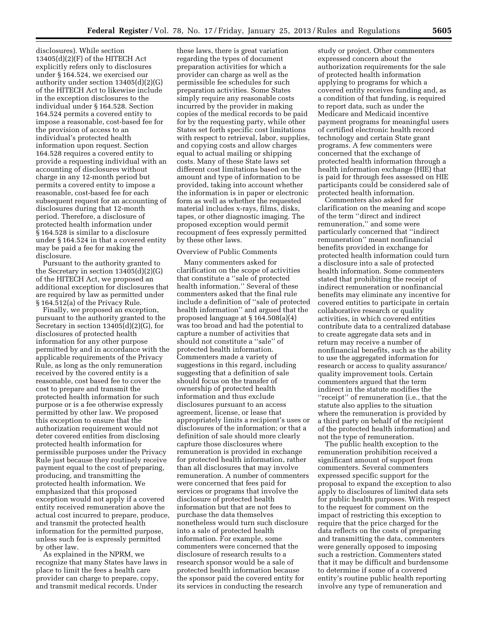disclosures). While section 13405(d)(2)(F) of the HITECH Act explicitly refers only to disclosures under § 164.524, we exercised our authority under section 13405(d)(2)(G) of the HITECH Act to likewise include in the exception disclosures to the individual under § 164.528. Section 164.524 permits a covered entity to impose a reasonable, cost-based fee for the provision of access to an individual's protected health information upon request. Section 164.528 requires a covered entity to provide a requesting individual with an accounting of disclosures without charge in any 12-month period but permits a covered entity to impose a reasonable, cost-based fee for each subsequent request for an accounting of disclosures during that 12-month period. Therefore, a disclosure of protected health information under § 164.528 is similar to a disclosure under § 164.524 in that a covered entity may be paid a fee for making the disclosure.

Pursuant to the authority granted to the Secretary in section 13405(d)(2)(G) of the HITECH Act, we proposed an additional exception for disclosures that are required by law as permitted under § 164.512(a) of the Privacy Rule.

Finally, we proposed an exception, pursuant to the authority granted to the Secretary in section  $13405(d)(2)(G)$ , for disclosures of protected health information for any other purpose permitted by and in accordance with the applicable requirements of the Privacy Rule, as long as the only remuneration received by the covered entity is a reasonable, cost based fee to cover the cost to prepare and transmit the protected health information for such purpose or is a fee otherwise expressly permitted by other law. We proposed this exception to ensure that the authorization requirement would not deter covered entities from disclosing protected health information for permissible purposes under the Privacy Rule just because they routinely receive payment equal to the cost of preparing, producing, and transmitting the protected health information. We emphasized that this proposed exception would not apply if a covered entity received remuneration above the actual cost incurred to prepare, produce, and transmit the protected health information for the permitted purpose, unless such fee is expressly permitted by other law.

As explained in the NPRM, we recognize that many States have laws in place to limit the fees a health care provider can charge to prepare, copy, and transmit medical records. Under

these laws, there is great variation regarding the types of document preparation activities for which a provider can charge as well as the permissible fee schedules for such preparation activities. Some States simply require any reasonable costs incurred by the provider in making copies of the medical records to be paid for by the requesting party, while other States set forth specific cost limitations with respect to retrieval, labor, supplies, and copying costs and allow charges equal to actual mailing or shipping costs. Many of these State laws set different cost limitations based on the amount and type of information to be provided, taking into account whether the information is in paper or electronic form as well as whether the requested material includes x-rays, films, disks, tapes, or other diagnostic imaging. The proposed exception would permit recoupment of fees expressly permitted by these other laws.

#### Overview of Public Comments

Many commenters asked for clarification on the scope of activities that constitute a ''sale of protected health information.'' Several of these commenters asked that the final rule include a definition of ''sale of protected health information'' and argued that the proposed language at § 164.508(a)(4) was too broad and had the potential to capture a number of activities that should not constitute a ''sale'' of protected health information. Commenters made a variety of suggestions in this regard, including suggesting that a definition of sale should focus on the transfer of ownership of protected health information and thus exclude disclosures pursuant to an access agreement, license, or lease that appropriately limits a recipient's uses or disclosures of the information; or that a definition of sale should more clearly capture those disclosures where remuneration is provided in exchange for protected health information, rather than all disclosures that may involve remuneration. A number of commenters were concerned that fees paid for services or programs that involve the disclosure of protected health information but that are not fees to purchase the data themselves nonetheless would turn such disclosure into a sale of protected health information. For example, some commenters were concerned that the disclosure of research results to a research sponsor would be a sale of protected health information because the sponsor paid the covered entity for its services in conducting the research

study or project. Other commenters expressed concern about the authorization requirements for the sale of protected health information applying to programs for which a covered entity receives funding and, as a condition of that funding, is required to report data, such as under the Medicare and Medicaid incentive payment programs for meaningful users of certified electronic health record technology and certain State grant programs. A few commenters were concerned that the exchange of protected health information through a health information exchange (HIE) that is paid for through fees assessed on HIE participants could be considered sale of protected health information.

Commenters also asked for clarification on the meaning and scope of the term ''direct and indirect remuneration,'' and some were particularly concerned that ''indirect remuneration'' meant nonfinancial benefits provided in exchange for protected health information could turn a disclosure into a sale of protected health information. Some commenters stated that prohibiting the receipt of indirect remuneration or nonfinancial benefits may eliminate any incentive for covered entities to participate in certain collaborative research or quality activities, in which covered entities contribute data to a centralized database to create aggregate data sets and in return may receive a number of nonfinancial benefits, such as the ability to use the aggregated information for research or access to quality assurance/ quality improvement tools. Certain commenters argued that the term indirect in the statute modifies the ''receipt'' of remuneration (i.e., that the statute also applies to the situation where the remuneration is provided by a third party on behalf of the recipient of the protected health information) and not the type of remuneration.

The public health exception to the remuneration prohibition received a significant amount of support from commenters. Several commenters expressed specific support for the proposal to expand the exception to also apply to disclosures of limited data sets for public health purposes. With respect to the request for comment on the impact of restricting this exception to require that the price charged for the data reflects on the costs of preparing and transmitting the data, commenters were generally opposed to imposing such a restriction. Commenters stated that it may be difficult and burdensome to determine if some of a covered entity's routine public health reporting involve any type of remuneration and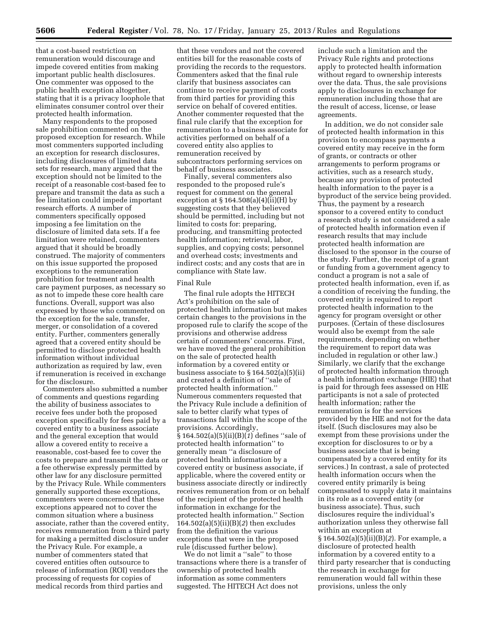that a cost-based restriction on remuneration would discourage and impede covered entities from making important public health disclosures. One commenter was opposed to the public health exception altogether, stating that it is a privacy loophole that eliminates consumer control over their protected health information.

Many respondents to the proposed sale prohibition commented on the proposed exception for research. While most commenters supported including an exception for research disclosures, including disclosures of limited data sets for research, many argued that the exception should not be limited to the receipt of a reasonable cost-based fee to prepare and transmit the data as such a fee limitation could impede important research efforts. A number of commenters specifically opposed imposing a fee limitation on the disclosure of limited data sets. If a fee limitation were retained, commenters argued that it should be broadly construed. The majority of commenters on this issue supported the proposed exceptions to the remuneration prohibition for treatment and health care payment purposes, as necessary so as not to impede these core health care functions. Overall, support was also expressed by those who commented on the exception for the sale, transfer, merger, or consolidation of a covered entity. Further, commenters generally agreed that a covered entity should be permitted to disclose protected health information without individual authorization as required by law, even if remuneration is received in exchange for the disclosure.

Commenters also submitted a number of comments and questions regarding the ability of business associates to receive fees under both the proposed exception specifically for fees paid by a covered entity to a business associate and the general exception that would allow a covered entity to receive a reasonable, cost-based fee to cover the costs to prepare and transmit the data or a fee otherwise expressly permitted by other law for any disclosure permitted by the Privacy Rule. While commenters generally supported these exceptions, commenters were concerned that these exceptions appeared not to cover the common situation where a business associate, rather than the covered entity, receives remuneration from a third party for making a permitted disclosure under the Privacy Rule. For example, a number of commenters stated that covered entities often outsource to release of information (ROI) vendors the processing of requests for copies of medical records from third parties and

that these vendors and not the covered entities bill for the reasonable costs of providing the records to the requestors. Commenters asked that the final rule clarify that business associates can continue to receive payment of costs from third parties for providing this service on behalf of covered entities. Another commenter requested that the final rule clarify that the exception for remuneration to a business associate for activities performed on behalf of a covered entity also applies to remuneration received by subcontractors performing services on behalf of business associates.

Finally, several commenters also responded to the proposed rule's request for comment on the general exception at  $§ 164.508(a)(4)(ii)(H)$  by suggesting costs that they believed should be permitted, including but not limited to costs for: preparing, producing, and transmitting protected health information; retrieval, labor, supplies, and copying costs; personnel and overhead costs; investments and indirect costs; and any costs that are in compliance with State law.

### Final Rule

The final rule adopts the HITECH Act's prohibition on the sale of protected health information but makes certain changes to the provisions in the proposed rule to clarify the scope of the provisions and otherwise address certain of commenters' concerns. First, we have moved the general prohibition on the sale of protected health information by a covered entity or business associate to § 164.502(a)(5)(ii) and created a definition of ''sale of protected health information.'' Numerous commenters requested that the Privacy Rule include a definition of sale to better clarify what types of transactions fall within the scope of the provisions. Accordingly, § 164.502(a)(5)(ii)(B)(*1*) defines ''sale of protected health information'' to generally mean ''a disclosure of protected health information by a covered entity or business associate, if applicable, where the covered entity or business associate directly or indirectly receives remuneration from or on behalf of the recipient of the protected health information in exchange for the protected health information.'' Section 164.502(a)(5)(ii)(B)(*2*) then excludes from the definition the various exceptions that were in the proposed rule (discussed further below).

We do not limit a ''sale'' to those transactions where there is a transfer of ownership of protected health information as some commenters suggested. The HITECH Act does not

include such a limitation and the Privacy Rule rights and protections apply to protected health information without regard to ownership interests over the data. Thus, the sale provisions apply to disclosures in exchange for remuneration including those that are the result of access, license, or lease agreements.

In addition, we do not consider sale of protected health information in this provision to encompass payments a covered entity may receive in the form of grants, or contracts or other arrangements to perform programs or activities, such as a research study, because any provision of protected health information to the payer is a byproduct of the service being provided. Thus, the payment by a research sponsor to a covered entity to conduct a research study is not considered a sale of protected health information even if research results that may include protected health information are disclosed to the sponsor in the course of the study. Further, the receipt of a grant or funding from a government agency to conduct a program is not a sale of protected health information, even if, as a condition of receiving the funding, the covered entity is required to report protected health information to the agency for program oversight or other purposes. (Certain of these disclosures would also be exempt from the sale requirements, depending on whether the requirement to report data was included in regulation or other law.) Similarly, we clarify that the exchange of protected health information through a health information exchange (HIE) that is paid for through fees assessed on HIE participants is not a sale of protected health information; rather the remuneration is for the services provided by the HIE and not for the data itself. (Such disclosures may also be exempt from these provisions under the exception for disclosures to or by a business associate that is being compensated by a covered entity for its services.) In contrast, a sale of protected health information occurs when the covered entity primarily is being compensated to supply data it maintains in its role as a covered entity (or business associate). Thus, such disclosures require the individual's authorization unless they otherwise fall within an exception at § 164.502(a)(5)(ii)(B)(*2*). For example, a disclosure of protected health information by a covered entity to a third party researcher that is conducting the research in exchange for remuneration would fall within these provisions, unless the only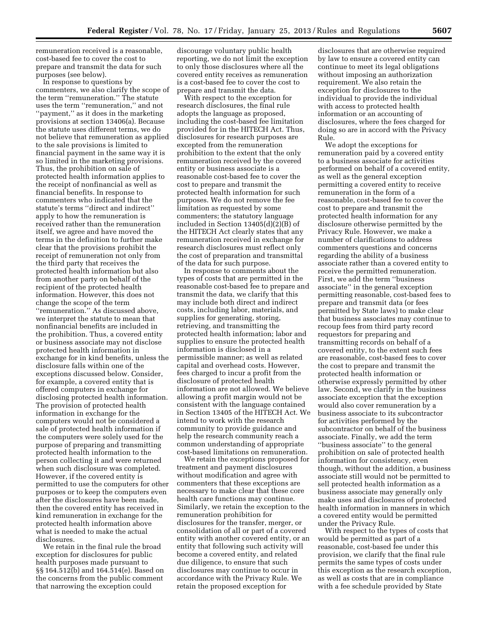remuneration received is a reasonable, cost-based fee to cover the cost to prepare and transmit the data for such purposes (see below).

In response to questions by commenters, we also clarify the scope of the term ''remuneration.'' The statute uses the term ''remuneration,'' and not ''payment,'' as it does in the marketing provisions at section 13406(a). Because the statute uses different terms, we do not believe that remuneration as applied to the sale provisions is limited to financial payment in the same way it is so limited in the marketing provisions. Thus, the prohibition on sale of protected health information applies to the receipt of nonfinancial as well as financial benefits. In response to commenters who indicated that the statute's terms ''direct and indirect'' apply to how the remuneration is received rather than the remuneration itself, we agree and have moved the terms in the definition to further make clear that the provisions prohibit the receipt of remuneration not only from the third party that receives the protected health information but also from another party on behalf of the recipient of the protected health information. However, this does not change the scope of the term "remuneration." As discussed above, we interpret the statute to mean that nonfinancial benefits are included in the prohibition. Thus, a covered entity or business associate may not disclose protected health information in exchange for in kind benefits, unless the disclosure falls within one of the exceptions discussed below. Consider, for example, a covered entity that is offered computers in exchange for disclosing protected health information. The provision of protected health information in exchange for the computers would not be considered a sale of protected health information if the computers were solely used for the purpose of preparing and transmitting protected health information to the person collecting it and were returned when such disclosure was completed. However, if the covered entity is permitted to use the computers for other purposes or to keep the computers even after the disclosures have been made, then the covered entity has received in kind remuneration in exchange for the protected health information above what is needed to make the actual disclosures.

We retain in the final rule the broad exception for disclosures for public health purposes made pursuant to §§ 164.512(b) and 164.514(e). Based on the concerns from the public comment that narrowing the exception could

discourage voluntary public health reporting, we do not limit the exception to only those disclosures where all the covered entity receives as remuneration is a cost-based fee to cover the cost to prepare and transmit the data.

With respect to the exception for research disclosures, the final rule adopts the language as proposed, including the cost-based fee limitation provided for in the HITECH Act. Thus, disclosures for research purposes are excepted from the remuneration prohibition to the extent that the only remuneration received by the covered entity or business associate is a reasonable cost-based fee to cover the cost to prepare and transmit the protected health information for such purposes. We do not remove the fee limitation as requested by some commenters; the statutory language included in Section 13405(d)(2)(B) of the HITECH Act clearly states that any remuneration received in exchange for research disclosures must reflect only the cost of preparation and transmittal of the data for such purpose.

In response to comments about the types of costs that are permitted in the reasonable cost-based fee to prepare and transmit the data, we clarify that this may include both direct and indirect costs, including labor, materials, and supplies for generating, storing, retrieving, and transmitting the protected health information; labor and supplies to ensure the protected health information is disclosed in a permissible manner; as well as related capital and overhead costs. However, fees charged to incur a profit from the disclosure of protected health information are not allowed. We believe allowing a profit margin would not be consistent with the language contained in Section 13405 of the HITECH Act. We intend to work with the research community to provide guidance and help the research community reach a common understanding of appropriate cost-based limitations on remuneration.

We retain the exceptions proposed for treatment and payment disclosures without modification and agree with commenters that these exceptions are necessary to make clear that these core health care functions may continue. Similarly, we retain the exception to the remuneration prohibition for disclosures for the transfer, merger, or consolidation of all or part of a covered entity with another covered entity, or an entity that following such activity will become a covered entity, and related due diligence, to ensure that such disclosures may continue to occur in accordance with the Privacy Rule. We retain the proposed exception for

disclosures that are otherwise required by law to ensure a covered entity can continue to meet its legal obligations without imposing an authorization requirement. We also retain the exception for disclosures to the individual to provide the individual with access to protected health information or an accounting of disclosures, where the fees charged for doing so are in accord with the Privacy Rule.

We adopt the exceptions for remuneration paid by a covered entity to a business associate for activities performed on behalf of a covered entity, as well as the general exception permitting a covered entity to receive remuneration in the form of a reasonable, cost-based fee to cover the cost to prepare and transmit the protected health information for any disclosure otherwise permitted by the Privacy Rule. However, we make a number of clarifications to address commenters questions and concerns regarding the ability of a business associate rather than a covered entity to receive the permitted remuneration. First, we add the term ''business associate'' in the general exception permitting reasonable, cost-based fees to prepare and transmit data (or fees permitted by State laws) to make clear that business associates may continue to recoup fees from third party record requestors for preparing and transmitting records on behalf of a covered entity, to the extent such fees are reasonable, cost-based fees to cover the cost to prepare and transmit the protected health information or otherwise expressly permitted by other law. Second, we clarify in the business associate exception that the exception would also cover remuneration by a business associate to its subcontractor for activities performed by the subcontractor on behalf of the business associate. Finally, we add the term ''business associate'' to the general prohibition on sale of protected health information for consistency, even though, without the addition, a business associate still would not be permitted to sell protected health information as a business associate may generally only make uses and disclosures of protected health information in manners in which a covered entity would be permitted under the Privacy Rule.

With respect to the types of costs that would be permitted as part of a reasonable, cost-based fee under this provision, we clarify that the final rule permits the same types of costs under this exception as the research exception, as well as costs that are in compliance with a fee schedule provided by State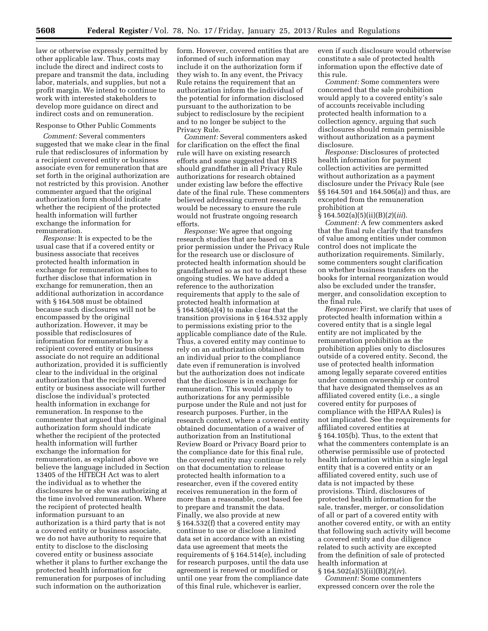law or otherwise expressly permitted by other applicable law. Thus, costs may include the direct and indirect costs to prepare and transmit the data, including labor, materials, and supplies, but not a profit margin. We intend to continue to work with interested stakeholders to develop more guidance on direct and indirect costs and on remuneration.

## Response to Other Public Comments

*Comment:* Several commenters suggested that we make clear in the final rule that redisclosures of information by a recipient covered entity or business associate even for remuneration that are set forth in the original authorization are not restricted by this provision. Another commenter argued that the original authorization form should indicate whether the recipient of the protected health information will further exchange the information for remuneration.

*Response:* It is expected to be the usual case that if a covered entity or business associate that receives protected health information in exchange for remuneration wishes to further disclose that information in exchange for remuneration, then an additional authorization in accordance with § 164.508 must be obtained because such disclosures will not be encompassed by the original authorization. However, it may be possible that redisclosures of information for remuneration by a recipient covered entity or business associate do not require an additional authorization, provided it is sufficiently clear to the individual in the original authorization that the recipient covered entity or business associate will further disclose the individual's protected health information in exchange for remuneration. In response to the commenter that argued that the original authorization form should indicate whether the recipient of the protected health information will further exchange the information for remuneration, as explained above we believe the language included in Section 13405 of the HITECH Act was to alert the individual as to whether the disclosures he or she was authorizing at the time involved remuneration. Where the recipient of protected health information pursuant to an authorization is a third party that is not a covered entity or business associate, we do not have authority to require that entity to disclose to the disclosing covered entity or business associate whether it plans to further exchange the protected health information for remuneration for purposes of including such information on the authorization

form. However, covered entities that are informed of such information may include it on the authorization form if they wish to. In any event, the Privacy Rule retains the requirement that an authorization inform the individual of the potential for information disclosed pursuant to the authorization to be subject to redisclosure by the recipient and to no longer be subject to the Privacy Rule.

*Comment:* Several commenters asked for clarification on the effect the final rule will have on existing research efforts and some suggested that HHS should grandfather in all Privacy Rule authorizations for research obtained under existing law before the effective date of the final rule. These commenters believed addressing current research would be necessary to ensure the rule would not frustrate ongoing research efforts.

*Response:* We agree that ongoing research studies that are based on a prior permission under the Privacy Rule for the research use or disclosure of protected health information should be grandfathered so as not to disrupt these ongoing studies. We have added a reference to the authorization requirements that apply to the sale of protected health information at § 164.508(a)(4) to make clear that the transition provisions in § 164.532 apply to permissions existing prior to the applicable compliance date of the Rule. Thus, a covered entity may continue to rely on an authorization obtained from an individual prior to the compliance date even if remuneration is involved but the authorization does not indicate that the disclosure is in exchange for remuneration. This would apply to authorizations for any permissible purpose under the Rule and not just for research purposes. Further, in the research context, where a covered entity obtained documentation of a waiver of authorization from an Institutional Review Board or Privacy Board prior to the compliance date for this final rule, the covered entity may continue to rely on that documentation to release protected health information to a researcher, even if the covered entity receives remuneration in the form of more than a reasonable, cost based fee to prepare and transmit the data. Finally, we also provide at new § 164.532(f) that a covered entity may continue to use or disclose a limited data set in accordance with an existing data use agreement that meets the requirements of § 164.514(e), including for research purposes, until the data use agreement is renewed or modified or until one year from the compliance date of this final rule, whichever is earlier,

even if such disclosure would otherwise constitute a sale of protected health information upon the effective date of this rule.

*Comment:* Some commenters were concerned that the sale prohibition would apply to a covered entity's sale of accounts receivable including protected health information to a collection agency, arguing that such disclosures should remain permissible without authorization as a payment disclosure.

*Response:* Disclosures of protected health information for payment collection activities are permitted without authorization as a payment disclosure under the Privacy Rule (see §§ 164.501 and 164.506(a)) and thus, are excepted from the remuneration prohibition at

§ 164.502(a)(5)(ii)(B)(*2*)(*iii*).

*Comment:* A few commenters asked that the final rule clarify that transfers of value among entities under common control does not implicate the authorization requirements. Similarly, some commenters sought clarification on whether business transfers on the books for internal reorganization would also be excluded under the transfer, merger, and consolidation exception to the final rule.

*Response:* First, we clarify that uses of protected health information within a covered entity that is a single legal entity are not implicated by the remuneration prohibition as the prohibition applies only to disclosures outside of a covered entity. Second, the use of protected health information among legally separate covered entities under common ownership or control that have designated themselves as an affiliated covered entity (i.e., a single covered entity for purposes of compliance with the HIPAA Rules) is not implicated. See the requirements for affiliated covered entities at § 164.105(b). Thus, to the extent that what the commenters contemplate is an otherwise permissible use of protected health information within a single legal entity that is a covered entity or an affiliated covered entity, such use of data is not impacted by these provisions. Third, disclosures of protected health information for the sale, transfer, merger, or consolidation of all or part of a covered entity with another covered entity, or with an entity that following such activity will become a covered entity and due diligence related to such activity are excepted from the definition of sale of protected health information at

§ 164.502(a)(5)(ii)(B)(*2*)(*iv*). *Comment:* Some commenters expressed concern over the role the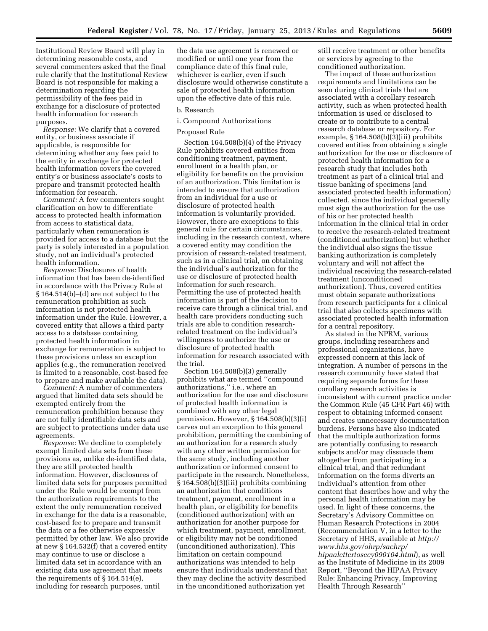Institutional Review Board will play in determining reasonable costs, and several commenters asked that the final rule clarify that the Institutional Review Board is not responsible for making a determination regarding the permissibility of the fees paid in exchange for a disclosure of protected health information for research purposes.

*Response:* We clarify that a covered entity, or business associate if applicable, is responsible for determining whether any fees paid to the entity in exchange for protected health information covers the covered entity's or business associate's costs to prepare and transmit protected health information for research.

*Comment:* A few commenters sought clarification on how to differentiate access to protected health information from access to statistical data, particularly when remuneration is provided for access to a database but the party is solely interested in a population study, not an individual's protected health information.

*Response:* Disclosures of health information that has been de-identified in accordance with the Privacy Rule at § 164.514(b)–(d) are not subject to the remuneration prohibition as such information is not protected health information under the Rule. However, a covered entity that allows a third party access to a database containing protected health information in exchange for remuneration is subject to these provisions unless an exception applies (e.g., the remuneration received is limited to a reasonable, cost-based fee to prepare and make available the data).

*Comment:* A number of commenters argued that limited data sets should be exempted entirely from the remuneration prohibition because they are not fully identifiable data sets and are subject to protections under data use agreements.

*Response:* We decline to completely exempt limited data sets from these provisions as, unlike de-identified data, they are still protected health information. However, disclosures of limited data sets for purposes permitted under the Rule would be exempt from the authorization requirements to the extent the only remuneration received in exchange for the data is a reasonable, cost-based fee to prepare and transmit the data or a fee otherwise expressly permitted by other law. We also provide at new § 164.532(f) that a covered entity may continue to use or disclose a limited data set in accordance with an existing data use agreement that meets the requirements of § 164.514(e), including for research purposes, until

the data use agreement is renewed or modified or until one year from the compliance date of this final rule, whichever is earlier, even if such disclosure would otherwise constitute a sale of protected health information upon the effective date of this rule.

#### b. Research

i. Compound Authorizations

### Proposed Rule

Section 164.508(b)(4) of the Privacy Rule prohibits covered entities from conditioning treatment, payment, enrollment in a health plan, or eligibility for benefits on the provision of an authorization. This limitation is intended to ensure that authorization from an individual for a use or disclosure of protected health information is voluntarily provided. However, there are exceptions to this general rule for certain circumstances, including in the research context, where a covered entity may condition the provision of research-related treatment, such as in a clinical trial, on obtaining the individual's authorization for the use or disclosure of protected health information for such research. Permitting the use of protected health information is part of the decision to receive care through a clinical trial, and health care providers conducting such trials are able to condition researchrelated treatment on the individual's willingness to authorize the use or disclosure of protected health information for research associated with the trial.

Section 164.508(b)(3) generally prohibits what are termed ''compound authorizations,'' i.e., where an authorization for the use and disclosure of protected health information is combined with any other legal permission. However, § 164.508(b)(3)(i) carves out an exception to this general prohibition, permitting the combining of an authorization for a research study with any other written permission for the same study, including another authorization or informed consent to participate in the research. Nonetheless, § 164.508(b)(3)(iii) prohibits combining an authorization that conditions treatment, payment, enrollment in a health plan, or eligibility for benefits (conditioned authorization) with an authorization for another purpose for which treatment, payment, enrollment, or eligibility may not be conditioned (unconditioned authorization). This limitation on certain compound authorizations was intended to help ensure that individuals understand that they may decline the activity described in the unconditioned authorization yet

still receive treatment or other benefits or services by agreeing to the conditioned authorization.

The impact of these authorization requirements and limitations can be seen during clinical trials that are associated with a corollary research activity, such as when protected health information is used or disclosed to create or to contribute to a central research database or repository. For example,  $§ 164.508(b)(3)(iii)$  prohibits covered entities from obtaining a single authorization for the use or disclosure of protected health information for a research study that includes both treatment as part of a clinical trial and tissue banking of specimens (and associated protected health information) collected, since the individual generally must sign the authorization for the use of his or her protected health information in the clinical trial in order to receive the research-related treatment (conditioned authorization) but whether the individual also signs the tissue banking authorization is completely voluntary and will not affect the individual receiving the research-related treatment (unconditioned authorization). Thus, covered entities must obtain separate authorizations from research participants for a clinical trial that also collects specimens with associated protected health information for a central repository.

As stated in the NPRM, various groups, including researchers and professional organizations, have expressed concern at this lack of integration. A number of persons in the research community have stated that requiring separate forms for these corollary research activities is inconsistent with current practice under the Common Rule (45 CFR Part 46) with respect to obtaining informed consent and creates unnecessary documentation burdens. Persons have also indicated that the multiple authorization forms are potentially confusing to research subjects and/or may dissuade them altogether from participating in a clinical trial, and that redundant information on the forms diverts an individual's attention from other content that describes how and why the personal health information may be used. In light of these concerns, the Secretary's Advisory Committee on Human Research Protections in 2004 (Recommendation V, in a letter to the Secretary of HHS, available at *[http://](http://www.hhs.gov/ohrp/sachrp/hipaalettertosecy090104.html)  [www.hhs.gov/ohrp/sachrp/](http://www.hhs.gov/ohrp/sachrp/hipaalettertosecy090104.html)  [hipaalettertosecy090104.html](http://www.hhs.gov/ohrp/sachrp/hipaalettertosecy090104.html)*), as well as the Institute of Medicine in its 2009 Report, ''Beyond the HIPAA Privacy Rule: Enhancing Privacy, Improving Health Through Research''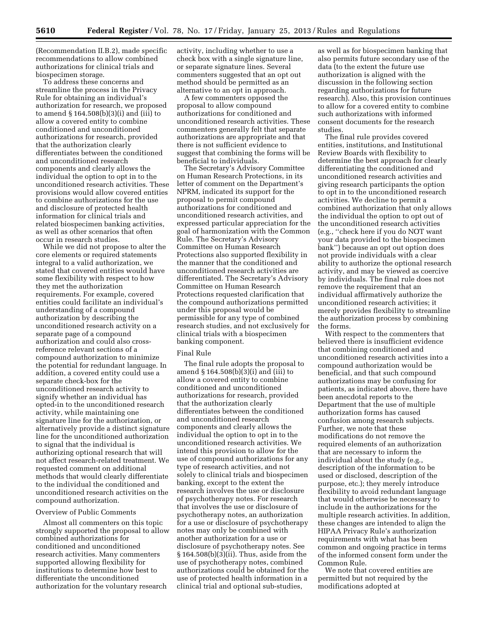(Recommendation II.B.2), made specific recommendations to allow combined authorizations for clinical trials and biospecimen storage.

To address these concerns and streamline the process in the Privacy Rule for obtaining an individual's authorization for research, we proposed to amend § 164.508(b)(3)(i) and (iii) to allow a covered entity to combine conditioned and unconditioned authorizations for research, provided that the authorization clearly differentiates between the conditioned and unconditioned research components and clearly allows the individual the option to opt in to the unconditioned research activities. These provisions would allow covered entities to combine authorizations for the use and disclosure of protected health information for clinical trials and related biospecimen banking activities, as well as other scenarios that often occur in research studies.

While we did not propose to alter the core elements or required statements integral to a valid authorization, we stated that covered entities would have some flexibility with respect to how they met the authorization requirements. For example, covered entities could facilitate an individual's understanding of a compound authorization by describing the unconditioned research activity on a separate page of a compound authorization and could also crossreference relevant sections of a compound authorization to minimize the potential for redundant language. In addition, a covered entity could use a separate check-box for the unconditioned research activity to signify whether an individual has opted-in to the unconditioned research activity, while maintaining one signature line for the authorization, or alternatively provide a distinct signature line for the unconditioned authorization to signal that the individual is authorizing optional research that will not affect research-related treatment. We requested comment on additional methods that would clearly differentiate to the individual the conditioned and unconditioned research activities on the compound authorization.

### Overview of Public Comments

Almost all commenters on this topic strongly supported the proposal to allow combined authorizations for conditioned and unconditioned research activities. Many commenters supported allowing flexibility for institutions to determine how best to differentiate the unconditioned authorization for the voluntary research

activity, including whether to use a check box with a single signature line, or separate signature lines. Several commenters suggested that an opt out method should be permitted as an alternative to an opt in approach.

A few commenters opposed the proposal to allow compound authorizations for conditioned and unconditioned research activities. These commenters generally felt that separate authorizations are appropriate and that there is not sufficient evidence to suggest that combining the forms will be beneficial to individuals.

The Secretary's Advisory Committee on Human Research Protections, in its letter of comment on the Department's NPRM, indicated its support for the proposal to permit compound authorizations for conditioned and unconditioned research activities, and expressed particular appreciation for the goal of harmonization with the Common Rule. The Secretary's Advisory Committee on Human Research Protections also supported flexibility in the manner that the conditioned and unconditioned research activities are differentiated. The Secretary's Advisory Committee on Human Research Protections requested clarification that the compound authorizations permitted under this proposal would be permissible for any type of combined research studies, and not exclusively for clinical trials with a biospecimen banking component.

### Final Rule

The final rule adopts the proposal to amend § 164.508(b)(3)(i) and (iii) to allow a covered entity to combine conditioned and unconditioned authorizations for research, provided that the authorization clearly differentiates between the conditioned and unconditioned research components and clearly allows the individual the option to opt in to the unconditioned research activities. We intend this provision to allow for the use of compound authorizations for any type of research activities, and not solely to clinical trials and biospecimen banking, except to the extent the research involves the use or disclosure of psychotherapy notes. For research that involves the use or disclosure of psychotherapy notes, an authorization for a use or disclosure of psychotherapy notes may only be combined with another authorization for a use or disclosure of psychotherapy notes. See § 164.508(b)(3)(ii). Thus, aside from the use of psychotherapy notes, combined authorizations could be obtained for the use of protected health information in a clinical trial and optional sub-studies,

as well as for biospecimen banking that also permits future secondary use of the data (to the extent the future use authorization is aligned with the discussion in the following section regarding authorizations for future research). Also, this provision continues to allow for a covered entity to combine such authorizations with informed consent documents for the research studies.

The final rule provides covered entities, institutions, and Institutional Review Boards with flexibility to determine the best approach for clearly differentiating the conditioned and unconditioned research activities and giving research participants the option to opt in to the unconditioned research activities. We decline to permit a combined authorization that only allows the individual the option to opt out of the unconditioned research activities (e.g., ''check here if you do NOT want your data provided to the biospecimen bank'') because an opt out option does not provide individuals with a clear ability to authorize the optional research activity, and may be viewed as coercive by individuals. The final rule does not remove the requirement that an individual affirmatively authorize the unconditioned research activities; it merely provides flexibility to streamline the authorization process by combining the forms.

With respect to the commenters that believed there is insufficient evidence that combining conditioned and unconditioned research activities into a compound authorization would be beneficial, and that such compound authorizations may be confusing for patients, as indicated above, there have been anecdotal reports to the Department that the use of multiple authorization forms has caused confusion among research subjects. Further, we note that these modifications do not remove the required elements of an authorization that are necessary to inform the individual about the study (e.g., description of the information to be used or disclosed, description of the purpose, etc.); they merely introduce flexibility to avoid redundant language that would otherwise be necessary to include in the authorizations for the multiple research activities. In addition, these changes are intended to align the HIPAA Privacy Rule's authorization requirements with what has been common and ongoing practice in terms of the informed consent form under the Common Rule.

We note that covered entities are permitted but not required by the modifications adopted at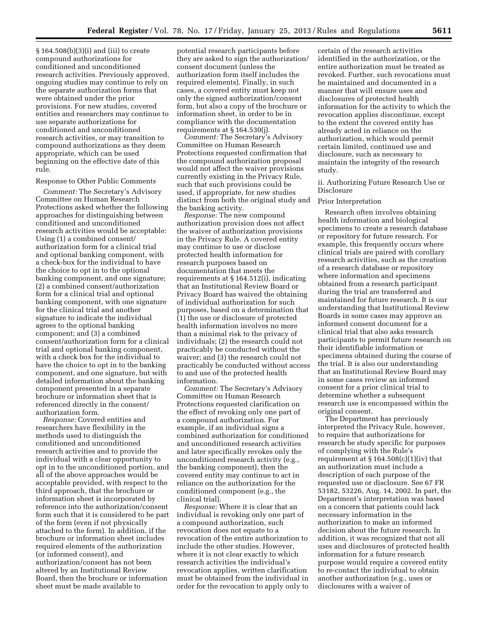§ 164.508(b)(3)(i) and (iii) to create compound authorizations for conditioned and unconditioned research activities. Previously approved, ongoing studies may continue to rely on the separate authorization forms that were obtained under the prior provisions. For new studies, covered entities and researchers may continue to use separate authorizations for conditioned and unconditioned research activities, or may transition to compound authorizations as they deem appropriate, which can be used beginning on the effective date of this rule.

### Response to Other Public Comments

*Comment:* The Secretary's Advisory Committee on Human Research Protections asked whether the following approaches for distinguishing between conditioned and unconditioned research activities would be acceptable: Using (1) a combined consent/ authorization form for a clinical trial and optional banking component, with a check-box for the individual to have the choice to opt in to the optional banking component, and one signature; (2) a combined consent/authorization form for a clinical trial and optional banking component, with one signature for the clinical trial and another signature to indicate the individual agrees to the optional banking component; and (3) a combined consent/authorization form for a clinical trial and optional banking component, with a check box for the individual to have the choice to opt in to the banking component, and one signature, but with detailed information about the banking component presented in a separate brochure or information sheet that is referenced directly in the consent/ authorization form.

*Response:* Covered entities and researchers have flexibility in the methods used to distinguish the conditioned and unconditioned research activities and to provide the individual with a clear opportunity to opt in to the unconditioned portion, and all of the above approaches would be acceptable provided, with respect to the third approach, that the brochure or information sheet is incorporated by reference into the authorization/consent form such that it is considered to be part of the form (even if not physically attached to the form). In addition, if the brochure or information sheet includes required elements of the authorization (or informed consent), and authorization/consent has not been altered by an Institutional Review Board, then the brochure or information sheet must be made available to

potential research participants before they are asked to sign the authorization/ consent document (unless the authorization form itself includes the required elements). Finally, in such cases, a covered entity must keep not only the signed authorization/consent form, but also a copy of the brochure or information sheet, in order to be in compliance with the documentation requirements at § 164.530(j).

*Comment:* The Secretary's Advisory Committee on Human Research Protections requested confirmation that the compound authorization proposal would not affect the waiver provisions currently existing in the Privacy Rule, such that such provisions could be used, if appropriate, for new studies distinct from both the original study and the banking activity.

*Response:* The new compound authorization provision does not affect the waiver of authorization provisions in the Privacy Rule. A covered entity may continue to use or disclose protected health information for research purposes based on documentation that meets the requirements at § 164.512(i), indicating that an Institutional Review Board or Privacy Board has waived the obtaining of individual authorization for such purposes, based on a determination that (1) the use or disclosure of protected health information involves no more than a minimal risk to the privacy of individuals; (2) the research could not practicably be conducted without the waiver; and (3) the research could not practicably be conducted without access to and use of the protected health information.

*Comment:* The Secretary's Advisory Committee on Human Research Protections requested clarification on the effect of revoking only one part of a compound authorization. For example, if an individual signs a combined authorization for conditioned and unconditioned research activities and later specifically revokes only the unconditioned research activity (e.g., the banking component), then the covered entity may continue to act in reliance on the authorization for the conditioned component (e.g., the clinical trial).

*Response:* Where it is clear that an individual is revoking only one part of a compound authorization, such revocation does not equate to a revocation of the entire authorization to include the other studies. However, where it is not clear exactly to which research activities the individual's revocation applies, written clarification must be obtained from the individual in order for the revocation to apply only to

certain of the research activities identified in the authorization, or the entire authorization must be treated as revoked. Further, such revocations must be maintained and documented in a manner that will ensure uses and disclosures of protected health information for the activity to which the revocation applies discontinue, except to the extent the covered entity has already acted in reliance on the authorization, which would permit certain limited, continued use and disclosure, such as necessary to maintain the integrity of the research study.

ii. Authorizing Future Research Use or Disclosure

### Prior Interpretation

Research often involves obtaining health information and biological specimens to create a research database or repository for future research. For example, this frequently occurs where clinical trials are paired with corollary research activities, such as the creation of a research database or repository where information and specimens obtained from a research participant during the trial are transferred and maintained for future research. It is our understanding that Institutional Review Boards in some cases may approve an informed consent document for a clinical trial that also asks research participants to permit future research on their identifiable information or specimens obtained during the course of the trial. It is also our understanding that an Institutional Review Board may in some cases review an informed consent for a prior clinical trial to determine whether a subsequent research use is encompassed within the original consent.

The Department has previously interpreted the Privacy Rule, however, to require that authorizations for research be study specific for purposes of complying with the Rule's requirement at  $§ 164.508(c)(1)(iv)$  that an authorization must include a description of each purpose of the requested use or disclosure. See 67 FR 53182, 53226, Aug. 14, 2002. In part, the Department's interpretation was based on a concern that patients could lack necessary information in the authorization to make an informed decision about the future research. In addition, it was recognized that not all uses and disclosures of protected health information for a future research purpose would require a covered entity to re-contact the individual to obtain another authorization (e.g., uses or disclosures with a waiver of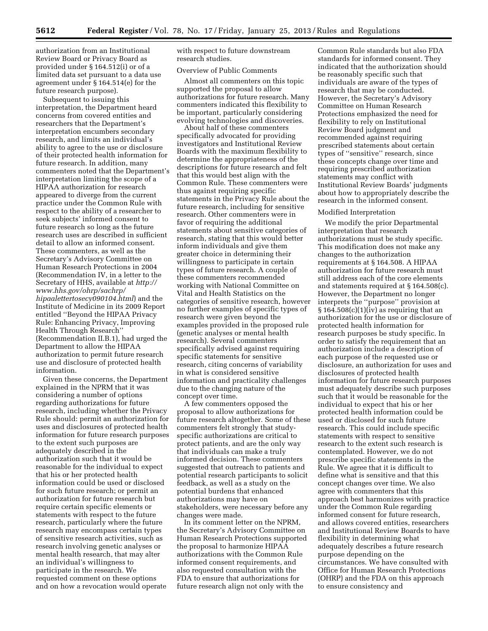authorization from an Institutional Review Board or Privacy Board as provided under § 164.512(i) or of a limited data set pursuant to a data use agreement under § 164.514(e) for the future research purpose).

Subsequent to issuing this interpretation, the Department heard concerns from covered entities and researchers that the Department's interpretation encumbers secondary research, and limits an individual's ability to agree to the use or disclosure of their protected health information for future research. In addition, many commenters noted that the Department's interpretation limiting the scope of a HIPAA authorization for research appeared to diverge from the current practice under the Common Rule with respect to the ability of a researcher to seek subjects' informed consent to future research so long as the future research uses are described in sufficient detail to allow an informed consent. These commenters, as well as the Secretary's Advisory Committee on Human Research Protections in 2004 (Recommendation IV, in a letter to the Secretary of HHS, available at *[http://](http://www.hhs.gov/ohrp/sachrp/hipaalettertosecy090104.html)  [www.hhs.gov/ohrp/sachrp/](http://www.hhs.gov/ohrp/sachrp/hipaalettertosecy090104.html)  [hipaalettertosecy090104.html](http://www.hhs.gov/ohrp/sachrp/hipaalettertosecy090104.html)*) and the Institute of Medicine in its 2009 Report entitled ''Beyond the HIPAA Privacy Rule: Enhancing Privacy, Improving Health Through Research'' (Recommendation II.B.1), had urged the Department to allow the HIPAA authorization to permit future research use and disclosure of protected health information.

Given these concerns, the Department explained in the NPRM that it was considering a number of options regarding authorizations for future research, including whether the Privacy Rule should: permit an authorization for uses and disclosures of protected health information for future research purposes to the extent such purposes are adequately described in the authorization such that it would be reasonable for the individual to expect that his or her protected health information could be used or disclosed for such future research; or permit an authorization for future research but require certain specific elements or statements with respect to the future research, particularly where the future research may encompass certain types of sensitive research activities, such as research involving genetic analyses or mental health research, that may alter an individual's willingness to participate in the research. We requested comment on these options and on how a revocation would operate

with respect to future downstream research studies.

### Overview of Public Comments

Almost all commenters on this topic supported the proposal to allow authorizations for future research. Many commenters indicated this flexibility to be important, particularly considering evolving technologies and discoveries.

About half of these commenters specifically advocated for providing investigators and Institutional Review Boards with the maximum flexibility to determine the appropriateness of the descriptions for future research and felt that this would best align with the Common Rule. These commenters were thus against requiring specific statements in the Privacy Rule about the future research, including for sensitive research. Other commenters were in favor of requiring the additional statements about sensitive categories of research, stating that this would better inform individuals and give them greater choice in determining their willingness to participate in certain types of future research. A couple of these commenters recommended working with National Committee on Vital and Health Statistics on the categories of sensitive research, however no further examples of specific types of research were given beyond the examples provided in the proposed rule (genetic analyses or mental health research). Several commenters specifically advised against requiring specific statements for sensitive research, citing concerns of variability in what is considered sensitive information and practicality challenges due to the changing nature of the concept over time.

A few commenters opposed the proposal to allow authorizations for future research altogether. Some of these commenters felt strongly that studyspecific authorizations are critical to protect patients, and are the only way that individuals can make a truly informed decision. These commenters suggested that outreach to patients and potential research participants to solicit feedback, as well as a study on the potential burdens that enhanced authorizations may have on stakeholders, were necessary before any changes were made.

In its comment letter on the NPRM, the Secretary's Advisory Committee on Human Research Protections supported the proposal to harmonize HIPAA authorizations with the Common Rule informed consent requirements, and also requested consultation with the FDA to ensure that authorizations for future research align not only with the

Common Rule standards but also FDA standards for informed consent. They indicated that the authorization should be reasonably specific such that individuals are aware of the types of research that may be conducted. However, the Secretary's Advisory Committee on Human Research Protections emphasized the need for flexibility to rely on Institutional Review Board judgment and recommended against requiring prescribed statements about certain types of ''sensitive'' research, since these concepts change over time and requiring prescribed authorization statements may conflict with Institutional Review Boards' judgments about how to appropriately describe the research in the informed consent.

### Modified Interpretation

We modify the prior Departmental interpretation that research authorizations must be study specific. This modification does not make any changes to the authorization requirements at § 164.508. A HIPAA authorization for future research must still address each of the core elements and statements required at § 164.508(c). However, the Department no longer interprets the ''purpose'' provision at  $§ 164.508(c)(1)(iv)$  as requiring that an authorization for the use or disclosure of protected health information for research purposes be study specific. In order to satisfy the requirement that an authorization include a description of each purpose of the requested use or disclosure, an authorization for uses and disclosures of protected health information for future research purposes must adequately describe such purposes such that it would be reasonable for the individual to expect that his or her protected health information could be used or disclosed for such future research. This could include specific statements with respect to sensitive research to the extent such research is contemplated. However, we do not prescribe specific statements in the Rule. We agree that it is difficult to define what is sensitive and that this concept changes over time. We also agree with commenters that this approach best harmonizes with practice under the Common Rule regarding informed consent for future research, and allows covered entities, researchers and Institutional Review Boards to have flexibility in determining what adequately describes a future research purpose depending on the circumstances. We have consulted with Office for Human Research Protections (OHRP) and the FDA on this approach to ensure consistency and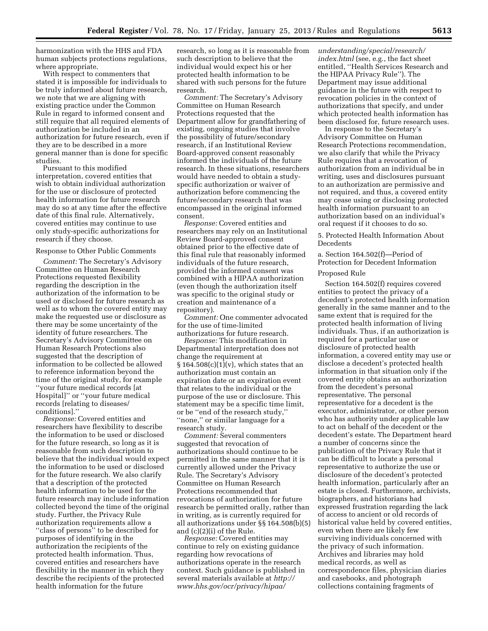harmonization with the HHS and FDA human subjects protections regulations, where appropriate.

With respect to commenters that stated it is impossible for individuals to be truly informed about future research, we note that we are aligning with existing practice under the Common Rule in regard to informed consent and still require that all required elements of authorization be included in an authorization for future research, even if they are to be described in a more general manner than is done for specific studies.

Pursuant to this modified interpretation, covered entities that wish to obtain individual authorization for the use or disclosure of protected health information for future research may do so at any time after the effective date of this final rule. Alternatively, covered entities may continue to use only study-specific authorizations for research if they choose.

#### Response to Other Public Comments

*Comment:* The Secretary's Advisory Committee on Human Research Protections requested flexibility regarding the description in the authorization of the information to be used or disclosed for future research as well as to whom the covered entity may make the requested use or disclosure as there may be some uncertainty of the identity of future researchers. The Secretary's Advisory Committee on Human Research Protections also suggested that the description of information to be collected be allowed to reference information beyond the time of the original study, for example ''your future medical records [at Hospital]'' or ''your future medical records [relating to diseases/ conditions].''

*Response:* Covered entities and researchers have flexibility to describe the information to be used or disclosed for the future research, so long as it is reasonable from such description to believe that the individual would expect the information to be used or disclosed for the future research. We also clarify that a description of the protected health information to be used for the future research may include information collected beyond the time of the original study. Further, the Privacy Rule authorization requirements allow a ''class of persons'' to be described for purposes of identifying in the authorization the recipients of the protected health information. Thus, covered entities and researchers have flexibility in the manner in which they describe the recipients of the protected health information for the future

research, so long as it is reasonable from such description to believe that the individual would expect his or her protected health information to be shared with such persons for the future research.

*Comment:* The Secretary's Advisory Committee on Human Research Protections requested that the Department allow for grandfathering of existing, ongoing studies that involve the possibility of future/secondary research, if an Institutional Review Board-approved consent reasonably informed the individuals of the future research. In these situations, researchers would have needed to obtain a studyspecific authorization or waiver of authorization before commencing the future/secondary research that was encompassed in the original informed consent.

*Response:* Covered entities and researchers may rely on an Institutional Review Board-approved consent obtained prior to the effective date of this final rule that reasonably informed individuals of the future research, provided the informed consent was combined with a HIPAA authorization (even though the authorization itself was specific to the original study or creation and maintenance of a repository).

*Comment:* One commenter advocated for the use of time-limited authorizations for future research.

*Response:* This modification in Departmental interpretation does not change the requirement at  $§ 164.508(c)(1)(v)$ , which states that an authorization must contain an expiration date or an expiration event that relates to the individual or the purpose of the use or disclosure. This statement may be a specific time limit, or be ''end of the research study,'' ''none,'' or similar language for a research study.

*Comment:* Several commenters suggested that revocation of authorizations should continue to be permitted in the same manner that it is currently allowed under the Privacy Rule. The Secretary's Advisory Committee on Human Research Protections recommended that revocations of authorization for future research be permitted orally, rather than in writing, as is currently required for all authorizations under §§ 164.508(b)(5) and (c)(2)(i) of the Rule.

*Response:* Covered entities may continue to rely on existing guidance regarding how revocations of authorizations operate in the research context. Such guidance is published in several materials available at *[http://](http://www.hhs.gov/ocr/privacy/hipaa/understanding/special/research/index.html)  [www.hhs.gov/ocr/privacy/hipaa/](http://www.hhs.gov/ocr/privacy/hipaa/understanding/special/research/index.html)* 

*[understanding/special/research/](http://www.hhs.gov/ocr/privacy/hipaa/understanding/special/research/index.html) [index.html](http://www.hhs.gov/ocr/privacy/hipaa/understanding/special/research/index.html)* (see, e.g., the fact sheet entitled, ''Health Services Research and the HIPAA Privacy Rule''). The Department may issue additional guidance in the future with respect to revocation policies in the context of authorizations that specify, and under which protected health information has been disclosed for, future research uses.

In response to the Secretary's Advisory Committee on Human Research Protections recommendation, we also clarify that while the Privacy Rule requires that a revocation of authorization from an individual be in writing, uses and disclosures pursuant to an authorization are permissive and not required, and thus, a covered entity may cease using or disclosing protected health information pursuant to an authorization based on an individual's oral request if it chooses to do so.

5. Protected Health Information About Decedents

a. Section 164.502(f)—Period of Protection for Decedent Information

#### Proposed Rule

Section 164.502(f) requires covered entities to protect the privacy of a decedent's protected health information generally in the same manner and to the same extent that is required for the protected health information of living individuals. Thus, if an authorization is required for a particular use or disclosure of protected health information, a covered entity may use or disclose a decedent's protected health information in that situation only if the covered entity obtains an authorization from the decedent's personal representative. The personal representative for a decedent is the executor, administrator, or other person who has authority under applicable law to act on behalf of the decedent or the decedent's estate. The Department heard a number of concerns since the publication of the Privacy Rule that it can be difficult to locate a personal representative to authorize the use or disclosure of the decedent's protected health information, particularly after an estate is closed. Furthermore, archivists, biographers, and historians had expressed frustration regarding the lack of access to ancient or old records of historical value held by covered entities, even when there are likely few surviving individuals concerned with the privacy of such information. Archives and libraries may hold medical records, as well as correspondence files, physician diaries and casebooks, and photograph collections containing fragments of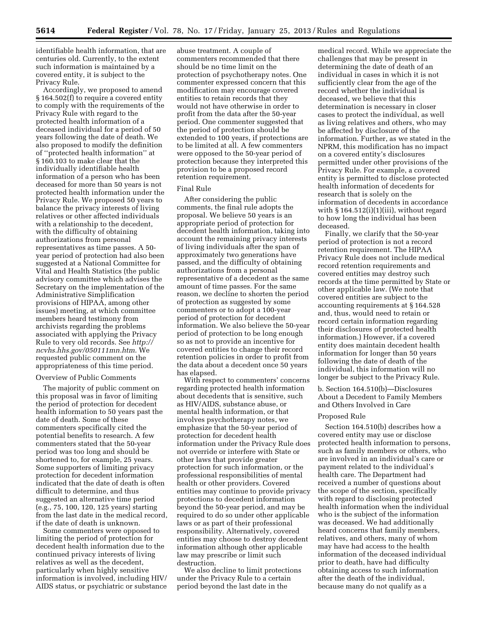identifiable health information, that are centuries old. Currently, to the extent such information is maintained by a covered entity, it is subject to the Privacy Rule.

Accordingly, we proposed to amend § 164.502(f) to require a covered entity to comply with the requirements of the Privacy Rule with regard to the protected health information of a deceased individual for a period of 50 years following the date of death. We also proposed to modify the definition of ''protected health information'' at § 160.103 to make clear that the individually identifiable health information of a person who has been deceased for more than 50 years is not protected health information under the Privacy Rule. We proposed 50 years to balance the privacy interests of living relatives or other affected individuals with a relationship to the decedent, with the difficulty of obtaining authorizations from personal representatives as time passes. A 50 year period of protection had also been suggested at a National Committee for Vital and Health Statistics (the public advisory committee which advises the Secretary on the implementation of the Administrative Simplification provisions of HIPAA, among other issues) meeting, at which committee members heard testimony from archivists regarding the problems associated with applying the Privacy Rule to very old records. See *[http://](http://ncvhs.hhs.gov/050111mn.htm) [ncvhs.hhs.gov/050111mn.htm](http://ncvhs.hhs.gov/050111mn.htm)*. We requested public comment on the appropriateness of this time period.

#### Overview of Public Comments

The majority of public comment on this proposal was in favor of limiting the period of protection for decedent health information to 50 years past the date of death. Some of these commenters specifically cited the potential benefits to research. A few commenters stated that the 50-year period was too long and should be shortened to, for example, 25 years. Some supporters of limiting privacy protection for decedent information indicated that the date of death is often difficult to determine, and thus suggested an alternative time period (e.g., 75, 100, 120, 125 years) starting from the last date in the medical record, if the date of death is unknown.

Some commenters were opposed to limiting the period of protection for decedent health information due to the continued privacy interests of living relatives as well as the decedent, particularly when highly sensitive information is involved, including HIV/ AIDS status, or psychiatric or substance abuse treatment. A couple of commenters recommended that there should be no time limit on the protection of psychotherapy notes. One commenter expressed concern that this modification may encourage covered entities to retain records that they would not have otherwise in order to profit from the data after the 50-year period. One commenter suggested that the period of protection should be extended to 100 years, if protections are to be limited at all. A few commenters were opposed to the 50-year period of protection because they interpreted this provision to be a proposed record retention requirement.

### Final Rule

After considering the public comments, the final rule adopts the proposal. We believe 50 years is an appropriate period of protection for decedent health information, taking into account the remaining privacy interests of living individuals after the span of approximately two generations have passed, and the difficulty of obtaining authorizations from a personal representative of a decedent as the same amount of time passes. For the same reason, we decline to shorten the period of protection as suggested by some commenters or to adopt a 100-year period of protection for decedent information. We also believe the 50-year period of protection to be long enough so as not to provide an incentive for covered entities to change their record retention policies in order to profit from the data about a decedent once 50 years has elapsed.

With respect to commenters' concerns regarding protected health information about decedents that is sensitive, such as HIV/AIDS, substance abuse, or mental health information, or that involves psychotherapy notes, we emphasize that the 50-year period of protection for decedent health information under the Privacy Rule does not override or interfere with State or other laws that provide greater protection for such information, or the professional responsibilities of mental health or other providers. Covered entities may continue to provide privacy protections to decedent information beyond the 50-year period, and may be required to do so under other applicable laws or as part of their professional responsibility. Alternatively, covered entities may choose to destroy decedent information although other applicable law may prescribe or limit such destruction.

We also decline to limit protections under the Privacy Rule to a certain period beyond the last date in the

medical record. While we appreciate the challenges that may be present in determining the date of death of an individual in cases in which it is not sufficiently clear from the age of the record whether the individual is deceased, we believe that this determination is necessary in closer cases to protect the individual, as well as living relatives and others, who may be affected by disclosure of the information. Further, as we stated in the NPRM, this modification has no impact on a covered entity's disclosures permitted under other provisions of the Privacy Rule. For example, a covered entity is permitted to disclose protected health information of decedents for research that is solely on the information of decedents in accordance with  $§ 164.512(i)(1)(iii)$ , without regard to how long the individual has been deceased.

Finally, we clarify that the 50-year period of protection is not a record retention requirement. The HIPAA Privacy Rule does not include medical record retention requirements and covered entities may destroy such records at the time permitted by State or other applicable law. (We note that covered entities are subject to the accounting requirements at § 164.528 and, thus, would need to retain or record certain information regarding their disclosures of protected health information.) However, if a covered entity does maintain decedent health information for longer than 50 years following the date of death of the individual, this information will no longer be subject to the Privacy Rule.

b. Section 164.510(b)—Disclosures About a Decedent to Family Members and Others Involved in Care

### Proposed Rule

Section 164.510(b) describes how a covered entity may use or disclose protected health information to persons, such as family members or others, who are involved in an individual's care or payment related to the individual's health care. The Department had received a number of questions about the scope of the section, specifically with regard to disclosing protected health information when the individual who is the subject of the information was deceased. We had additionally heard concerns that family members, relatives, and others, many of whom may have had access to the health information of the deceased individual prior to death, have had difficulty obtaining access to such information after the death of the individual, because many do not qualify as a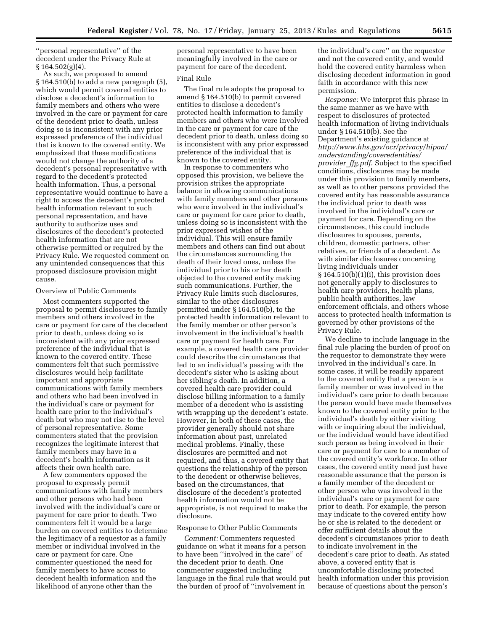''personal representative'' of the decedent under the Privacy Rule at  $§ 164.502(g)(4).$ 

As such, we proposed to amend § 164.510(b) to add a new paragraph (5), which would permit covered entities to disclose a decedent's information to family members and others who were involved in the care or payment for care of the decedent prior to death, unless doing so is inconsistent with any prior expressed preference of the individual that is known to the covered entity. We emphasized that these modifications would not change the authority of a decedent's personal representative with regard to the decedent's protected health information. Thus, a personal representative would continue to have a right to access the decedent's protected health information relevant to such personal representation, and have authority to authorize uses and disclosures of the decedent's protected health information that are not otherwise permitted or required by the Privacy Rule. We requested comment on any unintended consequences that this proposed disclosure provision might cause.

### Overview of Public Comments

Most commenters supported the proposal to permit disclosures to family members and others involved in the care or payment for care of the decedent prior to death, unless doing so is inconsistent with any prior expressed preference of the individual that is known to the covered entity. These commenters felt that such permissive disclosures would help facilitate important and appropriate communications with family members and others who had been involved in the individual's care or payment for health care prior to the individual's death but who may not rise to the level of personal representative. Some commenters stated that the provision recognizes the legitimate interest that family members may have in a decedent's health information as it affects their own health care.

A few commenters opposed the proposal to expressly permit communications with family members and other persons who had been involved with the individual's care or payment for care prior to death. Two commenters felt it would be a large burden on covered entities to determine the legitimacy of a requestor as a family member or individual involved in the care or payment for care. One commenter questioned the need for family members to have access to decedent health information and the likelihood of anyone other than the

personal representative to have been meaningfully involved in the care or payment for care of the decedent.

### Final Rule

The final rule adopts the proposal to amend § 164.510(b) to permit covered entities to disclose a decedent's protected health information to family members and others who were involved in the care or payment for care of the decedent prior to death, unless doing so is inconsistent with any prior expressed preference of the individual that is known to the covered entity.

In response to commenters who opposed this provision, we believe the provision strikes the appropriate balance in allowing communications with family members and other persons who were involved in the individual's care or payment for care prior to death, unless doing so is inconsistent with the prior expressed wishes of the individual. This will ensure family members and others can find out about the circumstances surrounding the death of their loved ones, unless the individual prior to his or her death objected to the covered entity making such communications. Further, the Privacy Rule limits such disclosures, similar to the other disclosures permitted under § 164.510(b), to the protected health information relevant to the family member or other person's involvement in the individual's health care or payment for health care. For example, a covered health care provider could describe the circumstances that led to an individual's passing with the decedent's sister who is asking about her sibling's death. In addition, a covered health care provider could disclose billing information to a family member of a decedent who is assisting with wrapping up the decedent's estate. However, in both of these cases, the provider generally should not share information about past, unrelated medical problems. Finally, these disclosures are permitted and not required, and thus, a covered entity that questions the relationship of the person to the decedent or otherwise believes, based on the circumstances, that disclosure of the decedent's protected health information would not be appropriate, is not required to make the disclosure.

### Response to Other Public Comments

*Comment:* Commenters requested guidance on what it means for a person to have been ''involved in the care'' of the decedent prior to death. One commenter suggested including language in the final rule that would put the burden of proof of ''involvement in

the individual's care'' on the requestor and not the covered entity, and would hold the covered entity harmless when disclosing decedent information in good faith in accordance with this new permission.

*Response:* We interpret this phrase in the same manner as we have with respect to disclosures of protected health information of living individuals under § 164.510(b). See the Department's existing guidance at *[http://www.hhs.gov/ocr/privacy/hipaa/](http://www.hhs.gov/ocr/privacy/hipaa/understanding/coveredentities/provider_ffg.pdf)  [understanding/coveredentities/](http://www.hhs.gov/ocr/privacy/hipaa/understanding/coveredentities/provider_ffg.pdf)  [provider](http://www.hhs.gov/ocr/privacy/hipaa/understanding/coveredentities/provider_ffg.pdf)*\_*ffg.pdf*. Subject to the specified conditions, disclosures may be made under this provision to family members, as well as to other persons provided the covered entity has reasonable assurance the individual prior to death was involved in the individual's care or payment for care. Depending on the circumstances, this could include disclosures to spouses, parents, children, domestic partners, other relatives, or friends of a decedent. As with similar disclosures concerning living individuals under  $§ 164.510(b)(1)(i)$ , this provision does not generally apply to disclosures to health care providers, health plans, public health authorities, law enforcement officials, and others whose access to protected health information is governed by other provisions of the Privacy Rule.

We decline to include language in the final rule placing the burden of proof on the requestor to demonstrate they were involved in the individual's care. In some cases, it will be readily apparent to the covered entity that a person is a family member or was involved in the individual's care prior to death because the person would have made themselves known to the covered entity prior to the individual's death by either visiting with or inquiring about the individual, or the individual would have identified such person as being involved in their care or payment for care to a member of the covered entity's workforce. In other cases, the covered entity need just have reasonable assurance that the person is a family member of the decedent or other person who was involved in the individual's care or payment for care prior to death. For example, the person may indicate to the covered entity how he or she is related to the decedent or offer sufficient details about the decedent's circumstances prior to death to indicate involvement in the decedent's care prior to death. As stated above, a covered entity that is uncomfortable disclosing protected health information under this provision because of questions about the person's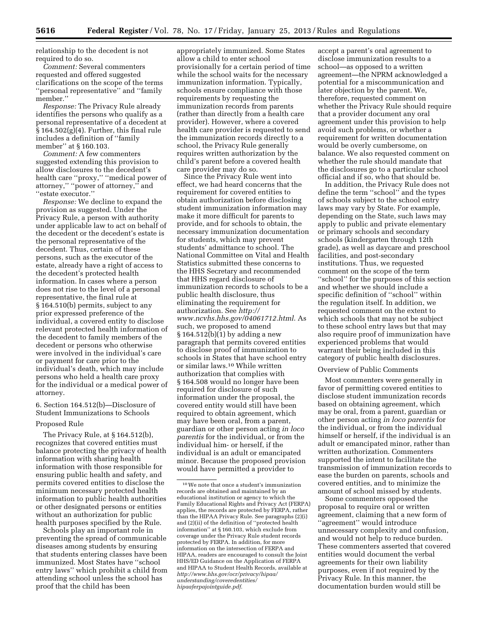relationship to the decedent is not required to do so.

*Comment:* Several commenters requested and offered suggested clarifications on the scope of the terms ''personal representative'' and ''family member.''

*Response:* The Privacy Rule already identifies the persons who qualify as a personal representative of a decedent at  $\hat{\S}$  164.502(g)(4). Further, this final rule includes a definition of ''family member'' at § 160.103.

*Comment:* A few commenters suggested extending this provision to allow disclosures to the decedent's health care ''proxy,'' ''medical power of attorney,'' ''power of attorney,'' and ''estate executor.''

*Response:* We decline to expand the provision as suggested. Under the Privacy Rule, a person with authority under applicable law to act on behalf of the decedent or the decedent's estate is the personal representative of the decedent. Thus, certain of these persons, such as the executor of the estate, already have a right of access to the decedent's protected health information. In cases where a person does not rise to the level of a personal representative, the final rule at § 164.510(b) permits, subject to any prior expressed preference of the individual, a covered entity to disclose relevant protected health information of the decedent to family members of the decedent or persons who otherwise were involved in the individual's care or payment for care prior to the individual's death, which may include persons who held a health care proxy for the individual or a medical power of attorney.

6. Section 164.512(b)—Disclosure of Student Immunizations to Schools

### Proposed Rule

The Privacy Rule, at § 164.512(b), recognizes that covered entities must balance protecting the privacy of health information with sharing health information with those responsible for ensuring public health and safety, and permits covered entities to disclose the minimum necessary protected health information to public health authorities or other designated persons or entities without an authorization for public health purposes specified by the Rule.

Schools play an important role in preventing the spread of communicable diseases among students by ensuring that students entering classes have been immunized. Most States have ''school entry laws'' which prohibit a child from attending school unless the school has proof that the child has been

appropriately immunized. Some States allow a child to enter school provisionally for a certain period of time while the school waits for the necessary immunization information. Typically, schools ensure compliance with those requirements by requesting the immunization records from parents (rather than directly from a health care provider). However, where a covered health care provider is requested to send the immunization records directly to a school, the Privacy Rule generally requires written authorization by the child's parent before a covered health care provider may do so.

Since the Privacy Rule went into effect, we had heard concerns that the requirement for covered entities to obtain authorization before disclosing student immunization information may make it more difficult for parents to provide, and for schools to obtain, the necessary immunization documentation for students, which may prevent students' admittance to school. The National Committee on Vital and Health Statistics submitted these concerns to the HHS Secretary and recommended that HHS regard disclosure of immunization records to schools to be a public health disclosure, thus eliminating the requirement for authorization. See *[http://](http://www.ncvhs.hhs.gov/04061712.html)  [www.ncvhs.hhs.gov/04061712.html](http://www.ncvhs.hhs.gov/04061712.html)*. As such, we proposed to amend § 164.512(b)(1) by adding a new paragraph that permits covered entities to disclose proof of immunization to schools in States that have school entry or similar laws.10 While written authorization that complies with § 164.508 would no longer have been required for disclosure of such information under the proposal, the covered entity would still have been required to obtain agreement, which may have been oral, from a parent, guardian or other person acting *in loco parentis* for the individual, or from the individual him- or herself, if the individual is an adult or emancipated minor. Because the proposed provision would have permitted a provider to

accept a parent's oral agreement to disclose immunization results to a school—as opposed to a written agreement—the NPRM acknowledged a potential for a miscommunication and later objection by the parent. We, therefore, requested comment on whether the Privacy Rule should require that a provider document any oral agreement under this provision to help avoid such problems, or whether a requirement for written documentation would be overly cumbersome, on balance. We also requested comment on whether the rule should mandate that the disclosures go to a particular school official and if so, who that should be.

In addition, the Privacy Rule does not define the term ''school'' and the types of schools subject to the school entry laws may vary by State. For example, depending on the State, such laws may apply to public and private elementary or primary schools and secondary schools (kindergarten through 12th grade), as well as daycare and preschool facilities, and post-secondary institutions. Thus, we requested comment on the scope of the term ''school'' for the purposes of this section and whether we should include a specific definition of ''school'' within the regulation itself. In addition, we requested comment on the extent to which schools that may not be subject to these school entry laws but that may also require proof of immunization have experienced problems that would warrant their being included in this category of public health disclosures.

### Overview of Public Comments

Most commenters were generally in favor of permitting covered entities to disclose student immunization records based on obtaining agreement, which may be oral, from a parent, guardian or other person acting *in loco parentis* for the individual, or from the individual himself or herself, if the individual is an adult or emancipated minor, rather than written authorization. Commenters supported the intent to facilitate the transmission of immunization records to ease the burden on parents, schools and covered entities, and to minimize the amount of school missed by students.

Some commenters opposed the proposal to require oral or written agreement, claiming that a new form of ''agreement'' would introduce unnecessary complexity and confusion, and would not help to reduce burden. These commenters asserted that covered entities would document the verbal agreements for their own liability purposes, even if not required by the Privacy Rule. In this manner, the documentation burden would still be

 $^{\rm 10}\!$  We note that once a student's immunization records are obtained and maintained by an educational institution or agency to which the Family Educational Rights and Privacy Act (FERPA) applies, the records are protected by FERPA, rather than the HIPAA Privacy Rule. See paragraphs (2)(i) and (2)(ii) of the definition of ''protected health information'' at § 160.103, which exclude from coverage under the Privacy Rule student records protected by FERPA. In addition, for more information on the intersection of FERPA and HIPAA, readers are encouraged to consult the Joint HHS/ED Guidance on the Application of FERPA and HIPAA to Student Health Records, available at *[http://www.hhs.gov/ocr/privacy/hipaa/](http://www.hhs.gov/ocr/privacy/hipaa/understanding/coveredentities/hipaaferpajointguide.pdf)  [understanding/coveredentities/](http://www.hhs.gov/ocr/privacy/hipaa/understanding/coveredentities/hipaaferpajointguide.pdf)  [hipaaferpajointguide.pdf](http://www.hhs.gov/ocr/privacy/hipaa/understanding/coveredentities/hipaaferpajointguide.pdf)*.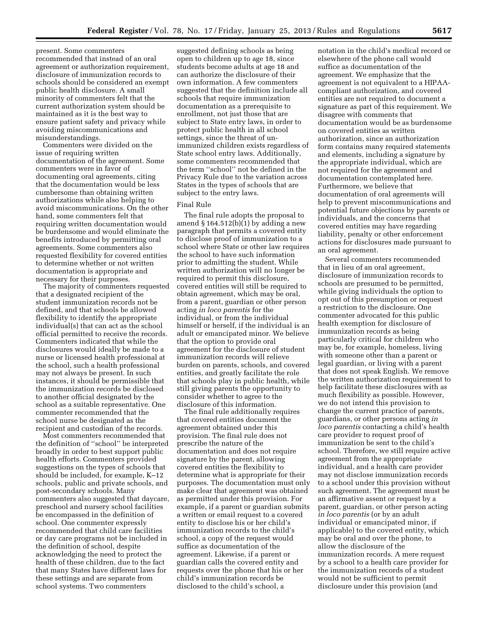present. Some commenters recommended that instead of an oral agreement or authorization requirement, disclosure of immunization records to schools should be considered an exempt public health disclosure. A small minority of commenters felt that the current authorization system should be maintained as it is the best way to ensure patient safety and privacy while avoiding miscommunications and misunderstandings.

Commenters were divided on the issue of requiring written documentation of the agreement. Some commenters were in favor of documenting oral agreements, citing that the documentation would be less cumbersome than obtaining written authorizations while also helping to avoid miscommunications. On the other hand, some commenters felt that requiring written documentation would be burdensome and would eliminate the benefits introduced by permitting oral agreements. Some commenters also requested flexibility for covered entities to determine whether or not written documentation is appropriate and necessary for their purposes.

The majority of commenters requested that a designated recipient of the student immunization records not be defined, and that schools be allowed flexibility to identify the appropriate individual(s) that can act as the school official permitted to receive the records. Commenters indicated that while the disclosures would ideally be made to a nurse or licensed health professional at the school, such a health professional may not always be present. In such instances, it should be permissible that the immunization records be disclosed to another official designated by the school as a suitable representative. One commenter recommended that the school nurse be designated as the recipient and custodian of the records.

Most commenters recommended that the definition of ''school'' be interpreted broadly in order to best support public health efforts. Commenters provided suggestions on the types of schools that should be included, for example, K–12 schools, public and private schools, and post-secondary schools. Many commenters also suggested that daycare, preschool and nursery school facilities be encompassed in the definition of school. One commenter expressly recommended that child care facilities or day care programs not be included in the definition of school, despite acknowledging the need to protect the health of these children, due to the fact that many States have different laws for these settings and are separate from school systems. Two commenters

suggested defining schools as being open to children up to age 18, since students become adults at age 18 and can authorize the disclosure of their own information. A few commenters suggested that the definition include all schools that require immunization documentation as a prerequisite to enrollment, not just those that are subject to State entry laws, in order to protect public health in all school settings, since the threat of unimmunized children exists regardless of State school entry laws. Additionally, some commenters recommended that the term ''school'' not be defined in the Privacy Rule due to the variation across States in the types of schools that are subject to the entry laws.

### Final Rule

The final rule adopts the proposal to amend  $§$  164.512(b)(1) by adding a new paragraph that permits a covered entity to disclose proof of immunization to a school where State or other law requires the school to have such information prior to admitting the student. While written authorization will no longer be required to permit this disclosure, covered entities will still be required to obtain agreement, which may be oral, from a parent, guardian or other person acting *in loco parentis* for the individual, or from the individual himself or herself, if the individual is an adult or emancipated minor. We believe that the option to provide oral agreement for the disclosure of student immunization records will relieve burden on parents, schools, and covered entities, and greatly facilitate the role that schools play in public health, while still giving parents the opportunity to consider whether to agree to the disclosure of this information.

The final rule additionally requires that covered entities document the agreement obtained under this provision. The final rule does not prescribe the nature of the documentation and does not require signature by the parent, allowing covered entities the flexibility to determine what is appropriate for their purposes. The documentation must only make clear that agreement was obtained as permitted under this provision. For example, if a parent or guardian submits a written or email request to a covered entity to disclose his or her child's immunization records to the child's school, a copy of the request would suffice as documentation of the agreement. Likewise, if a parent or guardian calls the covered entity and requests over the phone that his or her child's immunization records be disclosed to the child's school, a

notation in the child's medical record or elsewhere of the phone call would suffice as documentation of the agreement. We emphasize that the agreement is not equivalent to a HIPAAcompliant authorization, and covered entities are not required to document a signature as part of this requirement. We disagree with comments that documentation would be as burdensome on covered entities as written authorization, since an authorization form contains many required statements and elements, including a signature by the appropriate individual, which are not required for the agreement and documentation contemplated here. Furthermore, we believe that documentation of oral agreements will help to prevent miscommunications and potential future objections by parents or individuals, and the concerns that covered entities may have regarding liability, penalty or other enforcement actions for disclosures made pursuant to an oral agreement.

Several commenters recommended that in lieu of an oral agreement, disclosure of immunization records to schools are presumed to be permitted, while giving individuals the option to opt out of this presumption or request a restriction to the disclosure. One commenter advocated for this public health exemption for disclosure of immunization records as being particularly critical for children who may be, for example, homeless, living with someone other than a parent or legal guardian, or living with a parent that does not speak English. We remove the written authorization requirement to help facilitate these disclosures with as much flexibility as possible. However, we do not intend this provision to change the current practice of parents, guardians, or other persons acting *in loco parentis* contacting a child's health care provider to request proof of immunization be sent to the child's school. Therefore, we still require active agreement from the appropriate individual, and a health care provider may not disclose immunization records to a school under this provision without such agreement. The agreement must be an affirmative assent or request by a parent, guardian, or other person acting *in loco parentis* (or by an adult individual or emancipated minor, if applicable) to the covered entity, which may be oral and over the phone, to allow the disclosure of the immunization records. A mere request by a school to a health care provider for the immunization records of a student would not be sufficient to permit disclosure under this provision (and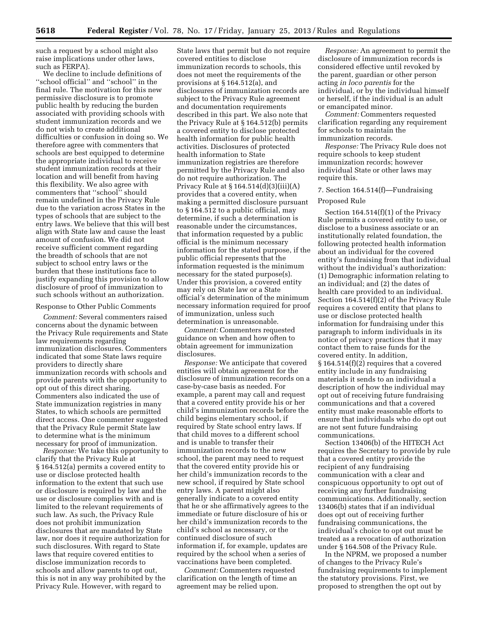such a request by a school might also raise implications under other laws, such as FERPA).

We decline to include definitions of ''school official'' and ''school'' in the final rule. The motivation for this new permissive disclosure is to promote public health by reducing the burden associated with providing schools with student immunization records and we do not wish to create additional difficulties or confusion in doing so. We therefore agree with commenters that schools are best equipped to determine the appropriate individual to receive student immunization records at their location and will benefit from having this flexibility. We also agree with commenters that "school" should remain undefined in the Privacy Rule due to the variation across States in the types of schools that are subject to the entry laws. We believe that this will best align with State law and cause the least amount of confusion. We did not receive sufficient comment regarding the breadth of schools that are not subject to school entry laws or the burden that these institutions face to justify expanding this provision to allow disclosure of proof of immunization to such schools without an authorization.

### Response to Other Public Comments

*Comment:* Several commenters raised concerns about the dynamic between the Privacy Rule requirements and State law requirements regarding immunization disclosures. Commenters indicated that some State laws require providers to directly share immunization records with schools and provide parents with the opportunity to opt out of this direct sharing. Commenters also indicated the use of State immunization registries in many States, to which schools are permitted direct access. One commenter suggested that the Privacy Rule permit State law to determine what is the minimum necessary for proof of immunization.

*Response:* We take this opportunity to clarify that the Privacy Rule at § 164.512(a) permits a covered entity to use or disclose protected health information to the extent that such use or disclosure is required by law and the use or disclosure complies with and is limited to the relevant requirements of such law. As such, the Privacy Rule does not prohibit immunization disclosures that are mandated by State law, nor does it require authorization for such disclosures. With regard to State laws that require covered entities to disclose immunization records to schools and allow parents to opt out, this is not in any way prohibited by the Privacy Rule. However, with regard to

State laws that permit but do not require covered entities to disclose immunization records to schools, this does not meet the requirements of the provisions at § 164.512(a), and disclosures of immunization records are subject to the Privacy Rule agreement and documentation requirements described in this part. We also note that the Privacy Rule at § 164.512(b) permits a covered entity to disclose protected health information for public health activities. Disclosures of protected health information to State immunization registries are therefore permitted by the Privacy Rule and also do not require authorization. The Privacy Rule at § 164.514(d)(3)(iii)(A) provides that a covered entity, when making a permitted disclosure pursuant to § 164.512 to a public official, may determine, if such a determination is reasonable under the circumstances, that information requested by a public official is the minimum necessary information for the stated purpose, if the public official represents that the information requested is the minimum necessary for the stated purpose(s). Under this provision, a covered entity may rely on State law or a State official's determination of the minimum necessary information required for proof of immunization, unless such determination is unreasonable.

*Comment:* Commenters requested guidance on when and how often to obtain agreement for immunization disclosures.

*Response:* We anticipate that covered entities will obtain agreement for the disclosure of immunization records on a case-by-case basis as needed. For example, a parent may call and request that a covered entity provide his or her child's immunization records before the child begins elementary school, if required by State school entry laws. If that child moves to a different school and is unable to transfer their immunization records to the new school, the parent may need to request that the covered entity provide his or her child's immunization records to the new school, if required by State school entry laws. A parent might also generally indicate to a covered entity that he or she affirmatively agrees to the immediate or future disclosure of his or her child's immunization records to the child's school as necessary, or the continued disclosure of such information if, for example, updates are required by the school when a series of vaccinations have been completed.

*Comment:* Commenters requested clarification on the length of time an agreement may be relied upon.

*Response:* An agreement to permit the disclosure of immunization records is considered effective until revoked by the parent, guardian or other person acting *in loco parentis* for the individual, or by the individual himself or herself, if the individual is an adult or emancipated minor.

*Comment:* Commenters requested clarification regarding any requirement for schools to maintain the immunization records.

*Response:* The Privacy Rule does not require schools to keep student immunization records; however individual State or other laws may require this.

### 7. Section 164.514(f)—Fundraising

### Proposed Rule

Section 164.514(f)(1) of the Privacy Rule permits a covered entity to use, or disclose to a business associate or an institutionally related foundation, the following protected health information about an individual for the covered entity's fundraising from that individual without the individual's authorization: (1) Demographic information relating to an individual; and (2) the dates of health care provided to an individual. Section 164.514(f)(2) of the Privacy Rule requires a covered entity that plans to use or disclose protected health information for fundraising under this paragraph to inform individuals in its notice of privacy practices that it may contact them to raise funds for the covered entity. In addition, § 164.514(f)(2) requires that a covered entity include in any fundraising materials it sends to an individual a description of how the individual may opt out of receiving future fundraising communications and that a covered entity must make reasonable efforts to ensure that individuals who do opt out are not sent future fundraising communications.

Section 13406(b) of the HITECH Act requires the Secretary to provide by rule that a covered entity provide the recipient of any fundraising communication with a clear and conspicuous opportunity to opt out of receiving any further fundraising communications. Additionally, section 13406(b) states that if an individual does opt out of receiving further fundraising communications, the individual's choice to opt out must be treated as a revocation of authorization under § 164.508 of the Privacy Rule.

In the NPRM, we proposed a number of changes to the Privacy Rule's fundraising requirements to implement the statutory provisions. First, we proposed to strengthen the opt out by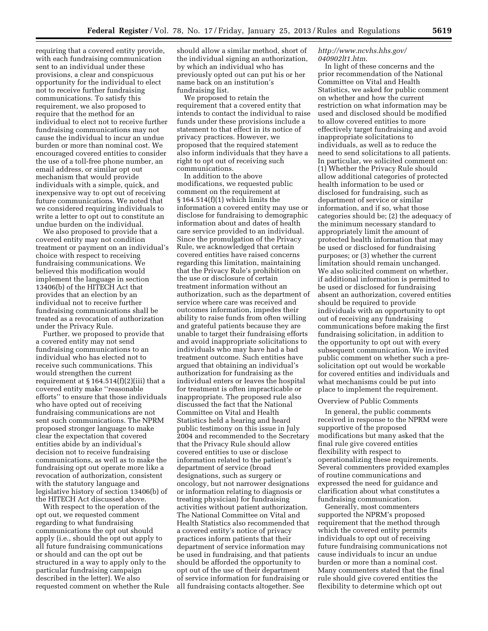requiring that a covered entity provide, with each fundraising communication sent to an individual under these provisions, a clear and conspicuous opportunity for the individual to elect not to receive further fundraising communications. To satisfy this requirement, we also proposed to require that the method for an individual to elect not to receive further fundraising communications may not cause the individual to incur an undue burden or more than nominal cost. We encouraged covered entities to consider the use of a toll-free phone number, an email address, or similar opt out mechanism that would provide individuals with a simple, quick, and inexpensive way to opt out of receiving future communications. We noted that we considered requiring individuals to write a letter to opt out to constitute an undue burden on the individual.

We also proposed to provide that a covered entity may not condition treatment or payment on an individual's choice with respect to receiving fundraising communications. We believed this modification would implement the language in section 13406(b) of the HITECH Act that provides that an election by an individual not to receive further fundraising communications shall be treated as a revocation of authorization under the Privacy Rule.

Further, we proposed to provide that a covered entity may not send fundraising communications to an individual who has elected not to receive such communications. This would strengthen the current requirement at  $\S 164.514(f)(2)(iii)$  that a covered entity make ''reasonable efforts'' to ensure that those individuals who have opted out of receiving fundraising communications are not sent such communications. The NPRM proposed stronger language to make clear the expectation that covered entities abide by an individual's decision not to receive fundraising communications, as well as to make the fundraising opt out operate more like a revocation of authorization, consistent with the statutory language and legislative history of section 13406(b) of the HITECH Act discussed above.

With respect to the operation of the opt out, we requested comment regarding to what fundraising communications the opt out should apply (i.e., should the opt out apply to all future fundraising communications or should and can the opt out be structured in a way to apply only to the particular fundraising campaign described in the letter). We also requested comment on whether the Rule

should allow a similar method, short of the individual signing an authorization, by which an individual who has previously opted out can put his or her name back on an institution's fundraising list.

We proposed to retain the requirement that a covered entity that intends to contact the individual to raise funds under these provisions include a statement to that effect in its notice of privacy practices. However, we proposed that the required statement also inform individuals that they have a right to opt out of receiving such communications.

In addition to the above modifications, we requested public comment on the requirement at § 164.514(f)(1) which limits the information a covered entity may use or disclose for fundraising to demographic information about and dates of health care service provided to an individual. Since the promulgation of the Privacy Rule, we acknowledged that certain covered entities have raised concerns regarding this limitation, maintaining that the Privacy Rule's prohibition on the use or disclosure of certain treatment information without an authorization, such as the department of service where care was received and outcomes information, impedes their ability to raise funds from often willing and grateful patients because they are unable to target their fundraising efforts and avoid inappropriate solicitations to individuals who may have had a bad treatment outcome. Such entities have argued that obtaining an individual's authorization for fundraising as the individual enters or leaves the hospital for treatment is often impracticable or inappropriate. The proposed rule also discussed the fact that the National Committee on Vital and Health Statistics held a hearing and heard public testimony on this issue in July 2004 and recommended to the Secretary that the Privacy Rule should allow covered entities to use or disclose information related to the patient's department of service (broad designations, such as surgery or oncology, but not narrower designations or information relating to diagnosis or treating physician) for fundraising activities without patient authorization. The National Committee on Vital and Health Statistics also recommended that a covered entity's notice of privacy practices inform patients that their department of service information may be used in fundraising, and that patients should be afforded the opportunity to opt out of the use of their department of service information for fundraising or all fundraising contacts altogether. See

### *[http://www.ncvhs.hhs.gov/](http://www.ncvhs.hhs.gov/040902lt1.htm) [040902lt1.htm](http://www.ncvhs.hhs.gov/040902lt1.htm)*.

In light of these concerns and the prior recommendation of the National Committee on Vital and Health Statistics, we asked for public comment on whether and how the current restriction on what information may be used and disclosed should be modified to allow covered entities to more effectively target fundraising and avoid inappropriate solicitations to individuals, as well as to reduce the need to send solicitations to all patients. In particular, we solicited comment on: (1) Whether the Privacy Rule should allow additional categories of protected health information to be used or disclosed for fundraising, such as department of service or similar information, and if so, what those categories should be; (2) the adequacy of the minimum necessary standard to appropriately limit the amount of protected health information that may be used or disclosed for fundraising purposes; or (3) whether the current limitation should remain unchanged. We also solicited comment on whether, if additional information is permitted to be used or disclosed for fundraising absent an authorization, covered entities should be required to provide individuals with an opportunity to opt out of receiving any fundraising communications before making the first fundraising solicitation, in addition to the opportunity to opt out with every subsequent communication. We invited public comment on whether such a presolicitation opt out would be workable for covered entities and individuals and what mechanisms could be put into place to implement the requirement.

#### Overview of Public Comments

In general, the public comments received in response to the NPRM were supportive of the proposed modifications but many asked that the final rule give covered entities flexibility with respect to operationalizing these requirements. Several commenters provided examples of routine communications and expressed the need for guidance and clarification about what constitutes a fundraising communication.

Generally, most commenters supported the NPRM's proposed requirement that the method through which the covered entity permits individuals to opt out of receiving future fundraising communications not cause individuals to incur an undue burden or more than a nominal cost. Many commenters stated that the final rule should give covered entities the flexibility to determine which opt out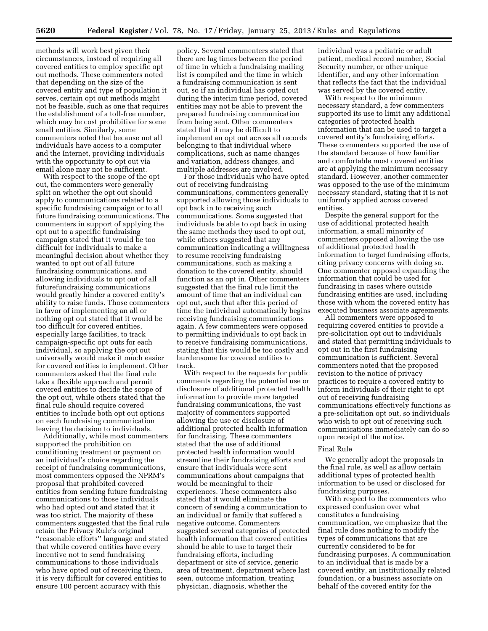methods will work best given their circumstances, instead of requiring all covered entities to employ specific opt out methods. These commenters noted that depending on the size of the covered entity and type of population it serves, certain opt out methods might not be feasible, such as one that requires the establishment of a toll-free number, which may be cost prohibitive for some small entities. Similarly, some commenters noted that because not all individuals have access to a computer and the Internet, providing individuals with the opportunity to opt out via email alone may not be sufficient.

With respect to the scope of the opt out, the commenters were generally split on whether the opt out should apply to communications related to a specific fundraising campaign or to all future fundraising communications. The commenters in support of applying the opt out to a specific fundraising campaign stated that it would be too difficult for individuals to make a meaningful decision about whether they wanted to opt out of all future fundraising communications, and allowing individuals to opt out of all futurefundraising communications would greatly hinder a covered entity's ability to raise funds. Those commenters in favor of implementing an all or nothing opt out stated that it would be too difficult for covered entities, especially large facilities, to track campaign-specific opt outs for each individual, so applying the opt out universally would make it much easier for covered entities to implement. Other commenters asked that the final rule take a flexible approach and permit covered entities to decide the scope of the opt out, while others stated that the final rule should require covered entities to include both opt out options on each fundraising communication leaving the decision to individuals.

Additionally, while most commenters supported the prohibition on conditioning treatment or payment on an individual's choice regarding the receipt of fundraising communications, most commenters opposed the NPRM's proposal that prohibited covered entities from sending future fundraising communications to those individuals who had opted out and stated that it was too strict. The majority of these commenters suggested that the final rule retain the Privacy Rule's original ''reasonable efforts'' language and stated that while covered entities have every incentive not to send fundraising communications to those individuals who have opted out of receiving them, it is very difficult for covered entities to ensure 100 percent accuracy with this

policy. Several commenters stated that there are lag times between the period of time in which a fundraising mailing list is compiled and the time in which a fundraising communication is sent out, so if an individual has opted out during the interim time period, covered entities may not be able to prevent the prepared fundraising communication from being sent. Other commenters stated that it may be difficult to implement an opt out across all records belonging to that individual where complications, such as name changes and variation, address changes, and multiple addresses are involved.

For those individuals who have opted out of receiving fundraising communications, commenters generally supported allowing those individuals to opt back in to receiving such communications. Some suggested that individuals be able to opt back in using the same methods they used to opt out, while others suggested that any communication indicating a willingness to resume receiving fundraising communications, such as making a donation to the covered entity, should function as an opt in. Other commenters suggested that the final rule limit the amount of time that an individual can opt out, such that after this period of time the individual automatically begins receiving fundraising communications again. A few commenters were opposed to permitting individuals to opt back in to receive fundraising communications, stating that this would be too costly and burdensome for covered entities to track.

With respect to the requests for public comments regarding the potential use or disclosure of additional protected health information to provide more targeted fundraising communications, the vast majority of commenters supported allowing the use or disclosure of additional protected health information for fundraising. These commenters stated that the use of additional protected health information would streamline their fundraising efforts and ensure that individuals were sent communications about campaigns that would be meaningful to their experiences. These commenters also stated that it would eliminate the concern of sending a communication to an individual or family that suffered a negative outcome. Commenters suggested several categories of protected health information that covered entities should be able to use to target their fundraising efforts, including department or site of service, generic area of treatment, department where last seen, outcome information, treating physician, diagnosis, whether the

individual was a pediatric or adult patient, medical record number, Social Security number, or other unique identifier, and any other information that reflects the fact that the individual was served by the covered entity.

With respect to the minimum necessary standard, a few commenters supported its use to limit any additional categories of protected health information that can be used to target a covered entity's fundraising efforts. These commenters supported the use of the standard because of how familiar and comfortable most covered entities are at applying the minimum necessary standard. However, another commenter was opposed to the use of the minimum necessary standard, stating that it is not uniformly applied across covered entities.

Despite the general support for the use of additional protected health information, a small minority of commenters opposed allowing the use of additional protected health information to target fundraising efforts, citing privacy concerns with doing so. One commenter opposed expanding the information that could be used for fundraising in cases where outside fundraising entities are used, including those with whom the covered entity has executed business associate agreements.

All commenters were opposed to requiring covered entities to provide a pre-solicitation opt out to individuals and stated that permitting individuals to opt out in the first fundraising communication is sufficient. Several commenters noted that the proposed revision to the notice of privacy practices to require a covered entity to inform individuals of their right to opt out of receiving fundraising communications effectively functions as a pre-solicitation opt out, so individuals who wish to opt out of receiving such communications immediately can do so upon receipt of the notice.

#### Final Rule

We generally adopt the proposals in the final rule, as well as allow certain additional types of protected health information to be used or disclosed for fundraising purposes.

With respect to the commenters who expressed confusion over what constitutes a fundraising communication, we emphasize that the final rule does nothing to modify the types of communications that are currently considered to be for fundraising purposes. A communication to an individual that is made by a covered entity, an institutionally related foundation, or a business associate on behalf of the covered entity for the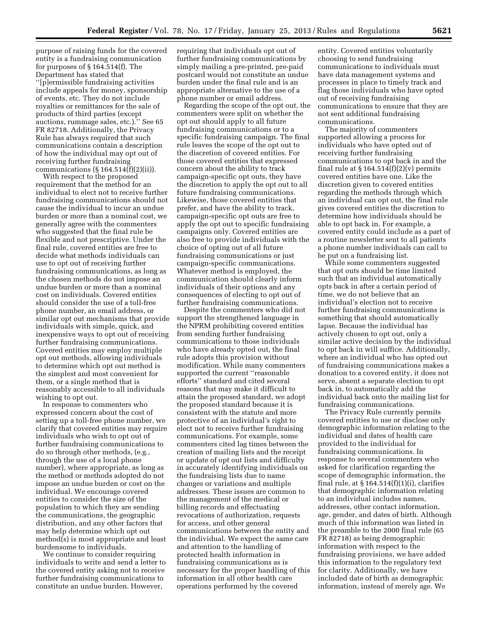purpose of raising funds for the covered entity is a fundraising communication for purposes of § 164.514(f). The Department has stated that ''[p]ermissible fundraising activities include appeals for money, sponsorship of events, etc. They do not include royalties or remittances for the sale of products of third parties (except auctions, rummage sales, etc.).'' See 65 FR 82718. Additionally, the Privacy Rule has always required that such communications contain a description of how the individual may opt out of receiving further fundraising communications  $(\S 164.514(f)(2)(ii)).$ 

With respect to the proposed requirement that the method for an individual to elect not to receive further fundraising communications should not cause the individual to incur an undue burden or more than a nominal cost, we generally agree with the commenters who suggested that the final rule be flexible and not prescriptive. Under the final rule, covered entities are free to decide what methods individuals can use to opt out of receiving further fundraising communications, as long as the chosen methods do not impose an undue burden or more than a nominal cost on individuals. Covered entities should consider the use of a toll-free phone number, an email address, or similar opt out mechanisms that provide individuals with simple, quick, and inexpensive ways to opt out of receiving further fundraising communications. Covered entities may employ multiple opt out methods, allowing individuals to determine which opt out method is the simplest and most convenient for them, or a single method that is reasonably accessible to all individuals wishing to opt out.

In response to commenters who expressed concern about the cost of setting up a toll-free phone number, we clarify that covered entities may require individuals who wish to opt out of further fundraising communications to do so through other methods, (e.g., through the use of a local phone number), where appropriate, as long as the method or methods adopted do not impose an undue burden or cost on the individual. We encourage covered entities to consider the size of the population to which they are sending the communications, the geographic distribution, and any other factors that may help determine which opt out method(s) is most appropriate and least burdensome to individuals.

We continue to consider requiring individuals to write and send a letter to the covered entity asking not to receive further fundraising communications to constitute an undue burden. However,

requiring that individuals opt out of further fundraising communications by simply mailing a pre-printed, pre-paid postcard would not constitute an undue burden under the final rule and is an appropriate alternative to the use of a phone number or email address.

Regarding the scope of the opt out, the commenters were split on whether the opt out should apply to all future fundraising communications or to a specific fundraising campaign. The final rule leaves the scope of the opt out to the discretion of covered entities. For those covered entities that expressed concern about the ability to track campaign-specific opt outs, they have the discretion to apply the opt out to all future fundraising communications. Likewise, those covered entities that prefer, and have the ability to track, campaign-specific opt outs are free to apply the opt out to specific fundraising campaigns only. Covered entities are also free to provide individuals with the choice of opting out of all future fundraising communications or just campaign-specific communications. Whatever method is employed, the communication should clearly inform individuals of their options and any consequences of electing to opt out of further fundraising communications.

Despite the commenters who did not support the strengthened language in the NPRM prohibiting covered entities from sending further fundraising communications to those individuals who have already opted out, the final rule adopts this provision without modification. While many commenters supported the current ''reasonable efforts'' standard and cited several reasons that may make it difficult to attain the proposed standard, we adopt the proposed standard because it is consistent with the statute and more protective of an individual's right to elect not to receive further fundraising communications. For example, some commenters cited lag times between the creation of mailing lists and the receipt or update of opt out lists and difficulty in accurately identifying individuals on the fundraising lists due to name changes or variations and multiple addresses. These issues are common to the management of the medical or billing records and effectuating revocations of authorization, requests for access, and other general communications between the entity and the individual. We expect the same care and attention to the handling of protected health information in fundraising communications as is necessary for the proper handling of this information in all other health care operations performed by the covered

entity. Covered entities voluntarily choosing to send fundraising communications to individuals must have data management systems and processes in place to timely track and flag those individuals who have opted out of receiving fundraising communications to ensure that they are not sent additional fundraising communications.

The majority of commenters supported allowing a process for individuals who have opted out of receiving further fundraising communications to opt back in and the final rule at  $\S 164.514(f)(2)(v)$  permits covered entities have one. Like the discretion given to covered entities regarding the methods through which an individual can opt out, the final rule gives covered entities the discretion to determine how individuals should be able to opt back in. For example, a covered entity could include as a part of a routine newsletter sent to all patients a phone number individuals can call to be put on a fundraising list.

While some commenters suggested that opt outs should be time limited such that an individual automatically opts back in after a certain period of time, we do not believe that an individual's election not to receive further fundraising communications is something that should automatically lapse. Because the individual has actively chosen to opt out, only a similar active decision by the individual to opt back in will suffice. Additionally, where an individual who has opted out of fundraising communications makes a donation to a covered entity, it does not serve, absent a separate election to opt back in, to automatically add the individual back onto the mailing list for fundraising communications.

The Privacy Rule currently permits covered entities to use or disclose only demographic information relating to the individual and dates of health care provided to the individual for fundraising communications. In response to several commenters who asked for clarification regarding the scope of demographic information, the final rule, at  $\S 164.514(f)(1)(i)$ , clarifies that demographic information relating to an individual includes names, addresses, other contact information, age, gender, and dates of birth. Although much of this information was listed in the preamble to the 2000 final rule (65 FR 82718) as being demographic information with respect to the fundraising provisions, we have added this information to the regulatory text for clarity. Additionally, we have included date of birth as demographic information, instead of merely age. We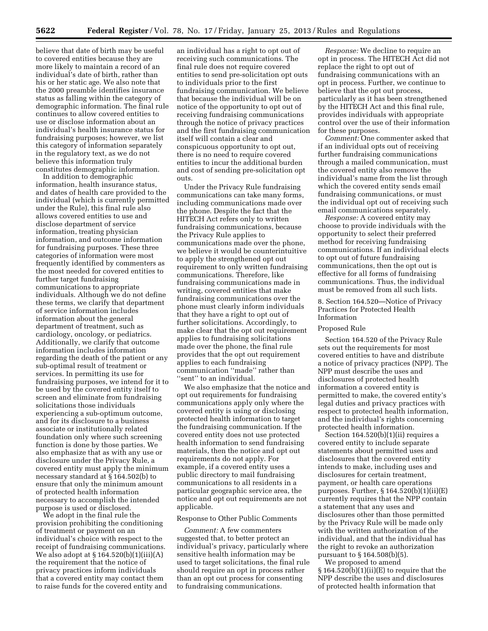believe that date of birth may be useful to covered entities because they are more likely to maintain a record of an individual's date of birth, rather than his or her static age. We also note that the 2000 preamble identifies insurance status as falling within the category of demographic information. The final rule continues to allow covered entities to use or disclose information about an individual's health insurance status for fundraising purposes; however, we list this category of information separately in the regulatory text, as we do not believe this information truly constitutes demographic information.

In addition to demographic information, health insurance status, and dates of health care provided to the individual (which is currently permitted under the Rule), this final rule also allows covered entities to use and disclose department of service information, treating physician information, and outcome information for fundraising purposes. These three categories of information were most frequently identified by commenters as the most needed for covered entities to further target fundraising communications to appropriate individuals. Although we do not define these terms, we clarify that department of service information includes information about the general department of treatment, such as cardiology, oncology, or pediatrics. Additionally, we clarify that outcome information includes information regarding the death of the patient or any sub-optimal result of treatment or services. In permitting its use for fundraising purposes, we intend for it to be used by the covered entity itself to screen and eliminate from fundraising solicitations those individuals experiencing a sub-optimum outcome, and for its disclosure to a business associate or institutionally related foundation only where such screening function is done by those parties. We also emphasize that as with any use or disclosure under the Privacy Rule, a covered entity must apply the minimum necessary standard at § 164.502(b) to ensure that only the minimum amount of protected health information necessary to accomplish the intended purpose is used or disclosed.

We adopt in the final rule the provision prohibiting the conditioning of treatment or payment on an individual's choice with respect to the receipt of fundraising communications. We also adopt at  $\S 164.520(b)(1)(iii)(A)$ the requirement that the notice of privacy practices inform individuals that a covered entity may contact them to raise funds for the covered entity and

an individual has a right to opt out of receiving such communications. The final rule does not require covered entities to send pre-solicitation opt outs to individuals prior to the first fundraising communication. We believe that because the individual will be on notice of the opportunity to opt out of receiving fundraising communications through the notice of privacy practices and the first fundraising communication itself will contain a clear and conspicuous opportunity to opt out, there is no need to require covered entities to incur the additional burden and cost of sending pre-solicitation opt outs.

Under the Privacy Rule fundraising communications can take many forms, including communications made over the phone. Despite the fact that the HITECH Act refers only to written fundraising communications, because the Privacy Rule applies to communications made over the phone, we believe it would be counterintuitive to apply the strengthened opt out requirement to only written fundraising communications. Therefore, like fundraising communications made in writing, covered entities that make fundraising communications over the phone must clearly inform individuals that they have a right to opt out of further solicitations. Accordingly, to make clear that the opt out requirement applies to fundraising solicitations made over the phone, the final rule provides that the opt out requirement applies to each fundraising communication ''made'' rather than "sent" to an individual.

We also emphasize that the notice and opt out requirements for fundraising communications apply only where the covered entity is using or disclosing protected health information to target the fundraising communication. If the covered entity does not use protected health information to send fundraising materials, then the notice and opt out requirements do not apply. For example, if a covered entity uses a public directory to mail fundraising communications to all residents in a particular geographic service area, the notice and opt out requirements are not applicable.

#### Response to Other Public Comments

*Comment:* A few commenters suggested that, to better protect an individual's privacy, particularly where sensitive health information may be used to target solicitations, the final rule should require an opt in process rather than an opt out process for consenting to fundraising communications.

*Response:* We decline to require an opt in process. The HITECH Act did not replace the right to opt out of fundraising communications with an opt in process. Further, we continue to believe that the opt out process, particularly as it has been strengthened by the HITECH Act and this final rule, provides individuals with appropriate control over the use of their information for these purposes.

*Comment:* One commenter asked that if an individual opts out of receiving further fundraising communications through a mailed communication, must the covered entity also remove the individual's name from the list through which the covered entity sends email fundraising communications, or must the individual opt out of receiving such email communications separately.

*Response:* A covered entity may choose to provide individuals with the opportunity to select their preferred method for receiving fundraising communications. If an individual elects to opt out of future fundraising communications, then the opt out is effective for all forms of fundraising communications. Thus, the individual must be removed from all such lists.

8. Section 164.520—Notice of Privacy Practices for Protected Health Information

### Proposed Rule

Section 164.520 of the Privacy Rule sets out the requirements for most covered entities to have and distribute a notice of privacy practices (NPP). The NPP must describe the uses and disclosures of protected health information a covered entity is permitted to make, the covered entity's legal duties and privacy practices with respect to protected health information, and the individual's rights concerning protected health information.

Section  $164.520(b)(1)(ii)$  requires a covered entity to include separate statements about permitted uses and disclosures that the covered entity intends to make, including uses and disclosures for certain treatment, payment, or health care operations purposes. Further, § 164.520(b)(1)(ii)(E) currently requires that the NPP contain a statement that any uses and disclosures other than those permitted by the Privacy Rule will be made only with the written authorization of the individual, and that the individual has the right to revoke an authorization pursuant to § 164.508(b)(5).

We proposed to amend  $§ 164.520(b)(1)(ii)(E)$  to require that the NPP describe the uses and disclosures of protected health information that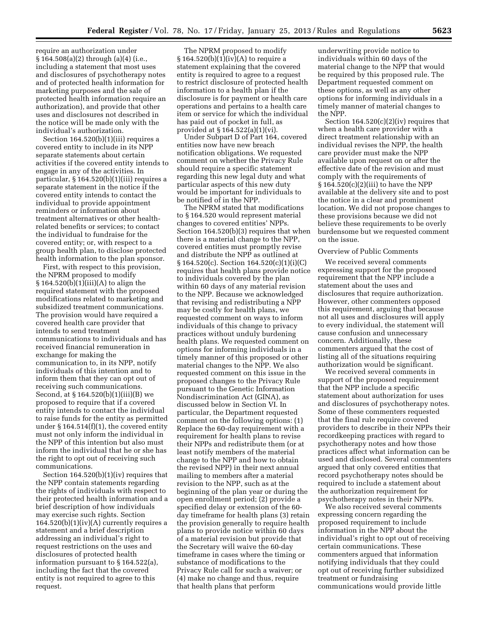require an authorization under § 164.508(a)(2) through (a)(4) (i.e., including a statement that most uses and disclosures of psychotherapy notes and of protected health information for marketing purposes and the sale of protected health information require an authorization), and provide that other uses and disclosures not described in the notice will be made only with the individual's authorization.

Section 164.520(b)(1)(iii) requires a covered entity to include in its NPP separate statements about certain activities if the covered entity intends to engage in any of the activities. In particular, § 164.520(b)(1)(iii) requires a separate statement in the notice if the covered entity intends to contact the individual to provide appointment reminders or information about treatment alternatives or other healthrelated benefits or services; to contact the individual to fundraise for the covered entity; or, with respect to a group health plan, to disclose protected health information to the plan sponsor.

First, with respect to this provision, the NPRM proposed to modify § 164.520(b)(1)(iii)(A) to align the required statement with the proposed modifications related to marketing and subsidized treatment communications. The provision would have required a covered health care provider that intends to send treatment communications to individuals and has received financial remuneration in exchange for making the communication to, in its NPP, notify individuals of this intention and to inform them that they can opt out of receiving such communications. Second, at § 164.520(b)(1)(iii)(B) we proposed to require that if a covered entity intends to contact the individual to raise funds for the entity as permitted under § 164.514(f)(1), the covered entity must not only inform the individual in the NPP of this intention but also must inform the individual that he or she has the right to opt out of receiving such communications.

Section 164.520(b)(1)(iv) requires that the NPP contain statements regarding the rights of individuals with respect to their protected health information and a brief description of how individuals may exercise such rights. Section  $164.520(b)(1)(iv)(A)$  currently requires a statement and a brief description addressing an individual's right to request restrictions on the uses and disclosures of protected health information pursuant to § 164.522(a), including the fact that the covered entity is not required to agree to this request.

The NPRM proposed to modify  $§ 164.520(b)(1)(iv)(A)$  to require a statement explaining that the covered entity is required to agree to a request to restrict disclosure of protected health information to a health plan if the disclosure is for payment or health care operations and pertains to a health care item or service for which the individual has paid out of pocket in full, as provided at § 164.522(a)(1)(vi).

Under Subpart D of Part 164, covered entities now have new breach notification obligations. We requested comment on whether the Privacy Rule should require a specific statement regarding this new legal duty and what particular aspects of this new duty would be important for individuals to be notified of in the NPP.

The NPRM stated that modifications to § 164.520 would represent material changes to covered entities' NPPs. Section 164.520(b)(3) requires that when there is a material change to the NPP, covered entities must promptly revise and distribute the NPP as outlined at  $§ 164.520(c)$ . Section  $164.520(c)(1)(i)(C)$ requires that health plans provide notice to individuals covered by the plan within 60 days of any material revision to the NPP. Because we acknowledged that revising and redistributing a NPP may be costly for health plans, we requested comment on ways to inform individuals of this change to privacy practices without unduly burdening health plans. We requested comment on options for informing individuals in a timely manner of this proposed or other material changes to the NPP. We also requested comment on this issue in the proposed changes to the Privacy Rule pursuant to the Genetic Information Nondiscrimination Act (GINA), as discussed below in Section VI. In particular, the Department requested comment on the following options: (1) Replace the 60-day requirement with a requirement for health plans to revise their NPPs and redistribute them (or at least notify members of the material change to the NPP and how to obtain the revised NPP) in their next annual mailing to members after a material revision to the NPP, such as at the beginning of the plan year or during the open enrollment period; (2) provide a specified delay or extension of the 60 day timeframe for health plans (3) retain the provision generally to require health plans to provide notice within 60 days of a material revision but provide that the Secretary will waive the 60-day timeframe in cases where the timing or substance of modifications to the Privacy Rule call for such a waiver; or (4) make no change and thus, require that health plans that perform

underwriting provide notice to individuals within 60 days of the material change to the NPP that would be required by this proposed rule. The Department requested comment on these options, as well as any other options for informing individuals in a timely manner of material changes to the NPP.

Section  $164.520(c)(2)(iv)$  requires that when a health care provider with a direct treatment relationship with an individual revises the NPP, the health care provider must make the NPP available upon request on or after the effective date of the revision and must comply with the requirements of § 164.520(c)(2)(iii) to have the NPP available at the delivery site and to post the notice in a clear and prominent location. We did not propose changes to these provisions because we did not believe these requirements to be overly burdensome but we requested comment on the issue.

#### Overview of Public Comments

We received several comments expressing support for the proposed requirement that the NPP include a statement about the uses and disclosures that require authorization. However, other commenters opposed this requirement, arguing that because not all uses and disclosures will apply to every individual, the statement will cause confusion and unnecessary concern. Additionally, these commenters argued that the cost of listing all of the situations requiring authorization would be significant.

We received several comments in support of the proposed requirement that the NPP include a specific statement about authorization for uses and disclosures of psychotherapy notes. Some of these commenters requested that the final rule require covered providers to describe in their NPPs their recordkeeping practices with regard to psychotherapy notes and how those practices affect what information can be used and disclosed. Several commenters argued that only covered entities that record psychotherapy notes should be required to include a statement about the authorization requirement for psychotherapy notes in their NPPs.

We also received several comments expressing concern regarding the proposed requirement to include information in the NPP about the individual's right to opt out of receiving certain communications. These commenters argued that information notifying individuals that they could opt out of receiving further subsidized treatment or fundraising communications would provide little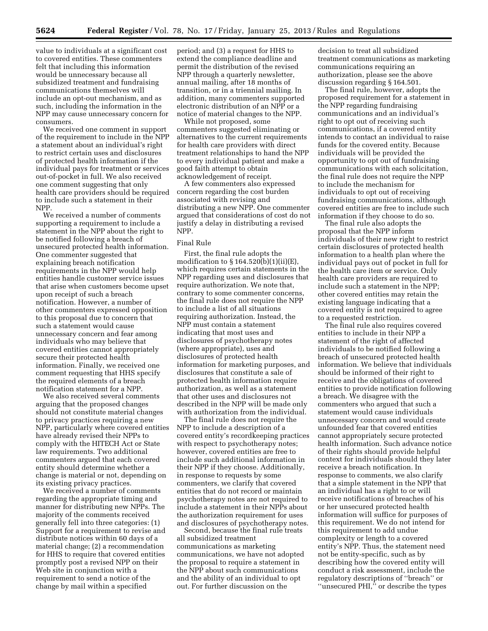value to individuals at a significant cost to covered entities. These commenters felt that including this information would be unnecessary because all subsidized treatment and fundraising communications themselves will include an opt-out mechanism, and as such, including the information in the NPP may cause unnecessary concern for consumers.

We received one comment in support of the requirement to include in the NPP a statement about an individual's right to restrict certain uses and disclosures of protected health information if the individual pays for treatment or services out-of-pocket in full. We also received one comment suggesting that only health care providers should be required to include such a statement in their NPP.

We received a number of comments supporting a requirement to include a statement in the NPP about the right to be notified following a breach of unsecured protected health information. One commenter suggested that explaining breach notification requirements in the NPP would help entities handle customer service issues that arise when customers become upset upon receipt of such a breach notification. However, a number of other commenters expressed opposition to this proposal due to concern that such a statement would cause unnecessary concern and fear among individuals who may believe that covered entities cannot appropriately secure their protected health information. Finally, we received one comment requesting that HHS specify the required elements of a breach notification statement for a NPP.

We also received several comments arguing that the proposed changes should not constitute material changes to privacy practices requiring a new NPP, particularly where covered entities have already revised their NPPs to comply with the HITECH Act or State law requirements. Two additional commenters argued that each covered entity should determine whether a change is material or not, depending on its existing privacy practices.

We received a number of comments regarding the appropriate timing and manner for distributing new NPPs. The majority of the comments received generally fell into three categories: (1) Support for a requirement to revise and distribute notices within 60 days of a material change; (2) a recommendation for HHS to require that covered entities promptly post a revised NPP on their Web site in conjunction with a requirement to send a notice of the change by mail within a specified

period; and (3) a request for HHS to extend the compliance deadline and permit the distribution of the revised NPP through a quarterly newsletter, annual mailing, after 18 months of transition, or in a triennial mailing. In addition, many commenters supported electronic distribution of an NPP or a notice of material changes to the NPP.

While not proposed, some commenters suggested eliminating or alternatives to the current requirements for health care providers with direct treatment relationships to hand the NPP to every individual patient and make a good faith attempt to obtain acknowledgement of receipt.

A few commenters also expressed concern regarding the cost burden associated with revising and distributing a new NPP. One commenter argued that considerations of cost do not justify a delay in distributing a revised NPP.

#### Final Rule

First, the final rule adopts the modification to  $\S 164.520(b)(1)(ii)(E)$ , which requires certain statements in the NPP regarding uses and disclosures that require authorization. We note that, contrary to some commenter concerns, the final rule does not require the NPP to include a list of all situations requiring authorization. Instead, the NPP must contain a statement indicating that most uses and disclosures of psychotherapy notes (where appropriate), uses and disclosures of protected health information for marketing purposes, and disclosures that constitute a sale of protected health information require authorization, as well as a statement that other uses and disclosures not described in the NPP will be made only with authorization from the individual.

The final rule does not require the NPP to include a description of a covered entity's recordkeeping practices with respect to psychotherapy notes; however, covered entities are free to include such additional information in their NPP if they choose. Additionally, in response to requests by some commenters, we clarify that covered entities that do not record or maintain psychotherapy notes are not required to include a statement in their NPPs about the authorization requirement for uses and disclosures of psychotherapy notes.

Second, because the final rule treats all subsidized treatment communications as marketing communications, we have not adopted the proposal to require a statement in the NPP about such communications and the ability of an individual to opt out. For further discussion on the

decision to treat all subsidized treatment communications as marketing communications requiring an authorization, please see the above discussion regarding § 164.501.

The final rule, however, adopts the proposed requirement for a statement in the NPP regarding fundraising communications and an individual's right to opt out of receiving such communications, if a covered entity intends to contact an individual to raise funds for the covered entity. Because individuals will be provided the opportunity to opt out of fundraising communications with each solicitation, the final rule does not require the NPP to include the mechanism for individuals to opt out of receiving fundraising communications, although covered entities are free to include such information if they choose to do so.

The final rule also adopts the proposal that the NPP inform individuals of their new right to restrict certain disclosures of protected health information to a health plan where the individual pays out of pocket in full for the health care item or service. Only health care providers are required to include such a statement in the NPP; other covered entities may retain the existing language indicating that a covered entity is not required to agree to a requested restriction.

The final rule also requires covered entities to include in their NPP a statement of the right of affected individuals to be notified following a breach of unsecured protected health information. We believe that individuals should be informed of their right to receive and the obligations of covered entities to provide notification following a breach. We disagree with the commenters who argued that such a statement would cause individuals unnecessary concern and would create unfounded fear that covered entities cannot appropriately secure protected health information. Such advance notice of their rights should provide helpful context for individuals should they later receive a breach notification. In response to comments, we also clarify that a simple statement in the NPP that an individual has a right to or will receive notifications of breaches of his or her unsecured protected health information will suffice for purposes of this requirement. We do not intend for this requirement to add undue complexity or length to a covered entity's NPP. Thus, the statement need not be entity-specific, such as by describing how the covered entity will conduct a risk assessment, include the regulatory descriptions of ''breach'' or ''unsecured PHI,'' or describe the types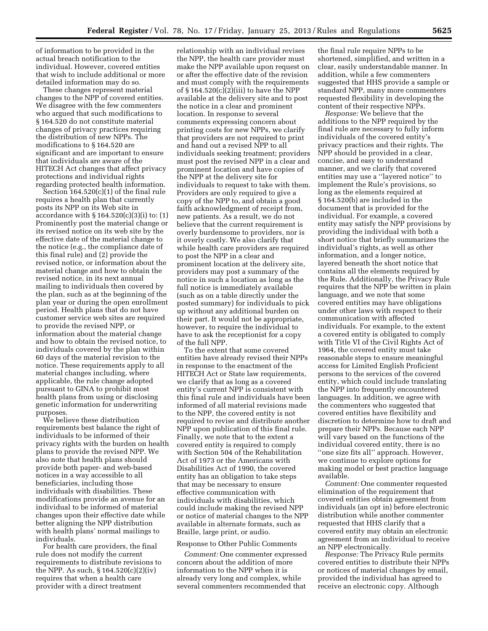of information to be provided in the actual breach notification to the individual. However, covered entities that wish to include additional or more detailed information may do so.

These changes represent material changes to the NPP of covered entities. We disagree with the few commenters who argued that such modifications to § 164.520 do not constitute material changes of privacy practices requiring the distribution of new NPPs. The modifications to § 164.520 are significant and are important to ensure that individuals are aware of the HITECH Act changes that affect privacy protections and individual rights regarding protected health information.

Section  $164.520(c)(1)$  of the final rule requires a health plan that currently posts its NPP on its Web site in accordance with  $\S 164.520(c)(3)(i)$  to: (1) Prominently post the material change or its revised notice on its web site by the effective date of the material change to the notice (e.g., the compliance date of this final rule) and (2) provide the revised notice, or information about the material change and how to obtain the revised notice, in its next annual mailing to individuals then covered by the plan, such as at the beginning of the plan year or during the open enrollment period. Health plans that do not have customer service web sites are required to provide the revised NPP, or information about the material change and how to obtain the revised notice, to individuals covered by the plan within 60 days of the material revision to the notice. These requirements apply to all material changes including, where applicable, the rule change adopted pursuant to GINA to prohibit most health plans from using or disclosing genetic information for underwriting purposes.

We believe these distribution requirements best balance the right of individuals to be informed of their privacy rights with the burden on health plans to provide the revised NPP. We also note that health plans should provide both paper- and web-based notices in a way accessible to all beneficiaries, including those individuals with disabilities. These modifications provide an avenue for an individual to be informed of material changes upon their effective date while better aligning the NPP distribution with health plans' normal mailings to individuals.

For health care providers, the final rule does not modify the current requirements to distribute revisions to the NPP. As such, § 164.520(c)(2)(iv) requires that when a health care provider with a direct treatment

relationship with an individual revises the NPP, the health care provider must make the NPP available upon request on or after the effective date of the revision and must comply with the requirements of  $§ 164.520(c)(2)(iii)$  to have the NPP available at the delivery site and to post the notice in a clear and prominent location. In response to several comments expressing concern about printing costs for new NPPs, we clarify that providers are not required to print and hand out a revised NPP to all individuals seeking treatment; providers must post the revised NPP in a clear and prominent location and have copies of the NPP at the delivery site for individuals to request to take with them. Providers are only required to give a copy of the NPP to, and obtain a good faith acknowledgment of receipt from, new patients. As a result, we do not believe that the current requirement is overly burdensome to providers, nor is it overly costly. We also clarify that while health care providers are required to post the NPP in a clear and prominent location at the delivery site, providers may post a summary of the notice in such a location as long as the full notice is immediately available (such as on a table directly under the posted summary) for individuals to pick up without any additional burden on their part. It would not be appropriate, however, to require the individual to have to ask the receptionist for a copy of the full NPP.

To the extent that some covered entities have already revised their NPPs in response to the enactment of the HITECH Act or State law requirements, we clarify that as long as a covered entity's current NPP is consistent with this final rule and individuals have been informed of all material revisions made to the NPP, the covered entity is not required to revise and distribute another NPP upon publication of this final rule. Finally, we note that to the extent a covered entity is required to comply with Section 504 of the Rehabilitation Act of 1973 or the Americans with Disabilities Act of 1990, the covered entity has an obligation to take steps that may be necessary to ensure effective communication with individuals with disabilities, which could include making the revised NPP or notice of material changes to the NPP available in alternate formats, such as Braille, large print, or audio.

### Response to Other Public Comments

*Comment:* One commenter expressed concern about the addition of more information to the NPP when it is already very long and complex, while several commenters recommended that

the final rule require NPPs to be shortened, simplified, and written in a clear, easily understandable manner. In addition, while a few commenters suggested that HHS provide a sample or standard NPP, many more commenters requested flexibility in developing the content of their respective NPPs.

*Response:* We believe that the additions to the NPP required by the final rule are necessary to fully inform individuals of the covered entity's privacy practices and their rights. The NPP should be provided in a clear, concise, and easy to understand manner, and we clarify that covered entities may use a ''layered notice'' to implement the Rule's provisions, so long as the elements required at § 164.520(b) are included in the document that is provided for the individual. For example, a covered entity may satisfy the NPP provisions by providing the individual with both a short notice that briefly summarizes the individual's rights, as well as other information, and a longer notice, layered beneath the short notice that contains all the elements required by the Rule. Additionally, the Privacy Rule requires that the NPP be written in plain language, and we note that some covered entities may have obligations under other laws with respect to their communication with affected individuals. For example, to the extent a covered entity is obligated to comply with Title VI of the Civil Rights Act of 1964, the covered entity must take reasonable steps to ensure meaningful access for Limited English Proficient persons to the services of the covered entity, which could include translating the NPP into frequently encountered languages. In addition, we agree with the commenters who suggested that covered entities have flexibility and discretion to determine how to draft and prepare their NPPs. Because each NPP will vary based on the functions of the individual covered entity, there is no ''one size fits all'' approach. However, we continue to explore options for making model or best practice language available.

*Comment:* One commenter requested elimination of the requirement that covered entities obtain agreement from individuals (an opt in) before electronic distribution while another commenter requested that HHS clarify that a covered entity may obtain an electronic agreement from an individual to receive an NPP electronically.

*Response:* The Privacy Rule permits covered entities to distribute their NPPs or notices of material changes by email, provided the individual has agreed to receive an electronic copy. Although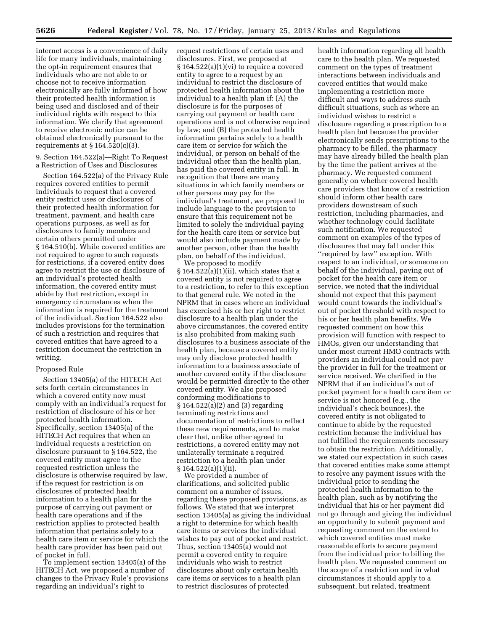internet access is a convenience of daily life for many individuals, maintaining the opt-in requirement ensures that individuals who are not able to or choose not to receive information electronically are fully informed of how their protected health information is being used and disclosed and of their individual rights with respect to this information. We clarify that agreement to receive electronic notice can be obtained electronically pursuant to the requirements at § 164.520(c)(3).

9. Section 164.522(a)—Right To Request a Restriction of Uses and Disclosures

Section 164.522(a) of the Privacy Rule requires covered entities to permit individuals to request that a covered entity restrict uses or disclosures of their protected health information for treatment, payment, and health care operations purposes, as well as for disclosures to family members and certain others permitted under § 164.510(b). While covered entities are not required to agree to such requests for restrictions, if a covered entity does agree to restrict the use or disclosure of an individual's protected health information, the covered entity must abide by that restriction, except in emergency circumstances when the information is required for the treatment of the individual. Section 164.522 also includes provisions for the termination of such a restriction and requires that covered entities that have agreed to a restriction document the restriction in writing.

### Proposed Rule

Section 13405(a) of the HITECH Act sets forth certain circumstances in which a covered entity now must comply with an individual's request for restriction of disclosure of his or her protected health information. Specifically, section 13405(a) of the HITECH Act requires that when an individual requests a restriction on disclosure pursuant to § 164.522, the covered entity must agree to the requested restriction unless the disclosure is otherwise required by law, if the request for restriction is on disclosures of protected health information to a health plan for the purpose of carrying out payment or health care operations and if the restriction applies to protected health information that pertains solely to a health care item or service for which the health care provider has been paid out of pocket in full.

To implement section 13405(a) of the HITECH Act, we proposed a number of changes to the Privacy Rule's provisions regarding an individual's right to

request restrictions of certain uses and disclosures. First, we proposed at  $§ 164.522(a)(1)(vi)$  to require a covered entity to agree to a request by an individual to restrict the disclosure of protected health information about the individual to a health plan if: (A) the disclosure is for the purposes of carrying out payment or health care operations and is not otherwise required by law; and (B) the protected health information pertains solely to a health care item or service for which the individual, or person on behalf of the individual other than the health plan, has paid the covered entity in full. In recognition that there are many situations in which family members or other persons may pay for the individual's treatment, we proposed to include language to the provision to ensure that this requirement not be limited to solely the individual paying for the health care item or service but would also include payment made by another person, other than the health plan, on behalf of the individual.

We proposed to modify § 164.522(a)(1)(ii), which states that a covered entity is not required to agree to a restriction, to refer to this exception to that general rule. We noted in the NPRM that in cases where an individual has exercised his or her right to restrict disclosure to a health plan under the above circumstances, the covered entity is also prohibited from making such disclosures to a business associate of the health plan, because a covered entity may only disclose protected health information to a business associate of another covered entity if the disclosure would be permitted directly to the other covered entity. We also proposed conforming modifications to § 164.522(a)(2) and (3) regarding terminating restrictions and documentation of restrictions to reflect these new requirements, and to make clear that, unlike other agreed to restrictions, a covered entity may not unilaterally terminate a required restriction to a health plan under § 164.522(a)(1)(ii).

We provided a number of clarifications, and solicited public comment on a number of issues, regarding these proposed provisions, as follows. We stated that we interpret section 13405(a) as giving the individual a right to determine for which health care items or services the individual wishes to pay out of pocket and restrict. Thus, section 13405(a) would not permit a covered entity to require individuals who wish to restrict disclosures about only certain health care items or services to a health plan to restrict disclosures of protected

health information regarding all health care to the health plan. We requested comment on the types of treatment interactions between individuals and covered entities that would make implementing a restriction more difficult and ways to address such difficult situations, such as where an individual wishes to restrict a disclosure regarding a prescription to a health plan but because the provider electronically sends prescriptions to the pharmacy to be filled, the pharmacy may have already billed the health plan by the time the patient arrives at the pharmacy. We requested comment generally on whether covered health care providers that know of a restriction should inform other health care providers downstream of such restriction, including pharmacies, and whether technology could facilitate such notification. We requested comment on examples of the types of disclosures that may fall under this ''required by law'' exception. With respect to an individual, or someone on behalf of the individual, paying out of pocket for the health care item or service, we noted that the individual should not expect that this payment would count towards the individual's out of pocket threshold with respect to his or her health plan benefits. We requested comment on how this provision will function with respect to HMOs, given our understanding that under most current HMO contracts with providers an individual could not pay the provider in full for the treatment or service received. We clarified in the NPRM that if an individual's out of pocket payment for a health care item or service is not honored (e.g., the individual's check bounces), the covered entity is not obligated to continue to abide by the requested restriction because the individual has not fulfilled the requirements necessary to obtain the restriction. Additionally, we stated our expectation in such cases that covered entities make some attempt to resolve any payment issues with the individual prior to sending the protected health information to the health plan, such as by notifying the individual that his or her payment did not go through and giving the individual an opportunity to submit payment and requesting comment on the extent to which covered entities must make reasonable efforts to secure payment from the individual prior to billing the health plan. We requested comment on the scope of a restriction and in what circumstances it should apply to a subsequent, but related, treatment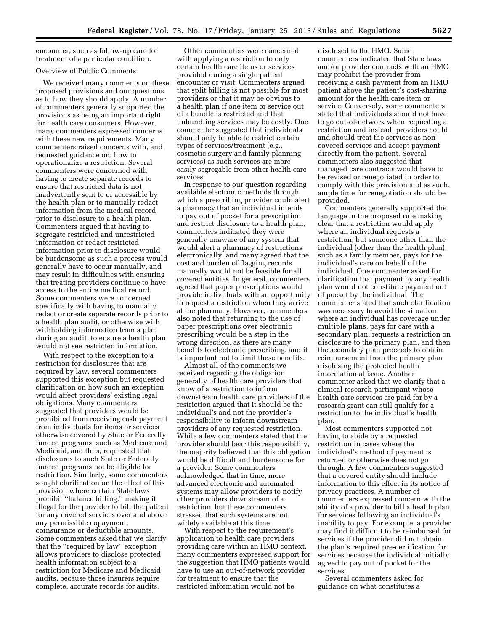encounter, such as follow-up care for treatment of a particular condition.

### Overview of Public Comments

We received many comments on these proposed provisions and our questions as to how they should apply. A number of commenters generally supported the provisions as being an important right for health care consumers. However, many commenters expressed concerns with these new requirements. Many commenters raised concerns with, and requested guidance on, how to operationalize a restriction. Several commenters were concerned with having to create separate records to ensure that restricted data is not inadvertently sent to or accessible by the health plan or to manually redact information from the medical record prior to disclosure to a health plan. Commenters argued that having to segregate restricted and unrestricted information or redact restricted information prior to disclosure would be burdensome as such a process would generally have to occur manually, and may result in difficulties with ensuring that treating providers continue to have access to the entire medical record. Some commenters were concerned specifically with having to manually redact or create separate records prior to a health plan audit, or otherwise with withholding information from a plan during an audit, to ensure a health plan would not see restricted information.

With respect to the exception to a restriction for disclosures that are required by law, several commenters supported this exception but requested clarification on how such an exception would affect providers' existing legal obligations. Many commenters suggested that providers would be prohibited from receiving cash payment from individuals for items or services otherwise covered by State or Federally funded programs, such as Medicare and Medicaid, and thus, requested that disclosures to such State or Federally funded programs not be eligible for restriction. Similarly, some commenters sought clarification on the effect of this provision where certain State laws prohibit ''balance billing,'' making it illegal for the provider to bill the patient for any covered services over and above any permissible copayment, coinsurance or deductible amounts. Some commenters asked that we clarify that the ''required by law'' exception allows providers to disclose protected health information subject to a restriction for Medicare and Medicaid audits, because those insurers require complete, accurate records for audits.

Other commenters were concerned with applying a restriction to only certain health care items or services provided during a single patient encounter or visit. Commenters argued that split billing is not possible for most providers or that it may be obvious to a health plan if one item or service out of a bundle is restricted and that unbundling services may be costly. One commenter suggested that individuals should only be able to restrict certain types of services/treatment (e.g., cosmetic surgery and family planning services) as such services are more easily segregable from other health care services.

In response to our question regarding available electronic methods through which a prescribing provider could alert a pharmacy that an individual intends to pay out of pocket for a prescription and restrict disclosure to a health plan, commenters indicated they were generally unaware of any system that would alert a pharmacy of restrictions electronically, and many agreed that the cost and burden of flagging records manually would not be feasible for all covered entities. In general, commenters agreed that paper prescriptions would provide individuals with an opportunity to request a restriction when they arrive at the pharmacy. However, commenters also noted that returning to the use of paper prescriptions over electronic prescribing would be a step in the wrong direction, as there are many benefits to electronic prescribing, and it is important not to limit these benefits.

Almost all of the comments we received regarding the obligation generally of health care providers that know of a restriction to inform downstream health care providers of the restriction argued that it should be the individual's and not the provider's responsibility to inform downstream providers of any requested restriction. While a few commenters stated that the provider should bear this responsibility, the majority believed that this obligation would be difficult and burdensome for a provider. Some commenters acknowledged that in time, more advanced electronic and automated systems may allow providers to notify other providers downstream of a restriction, but these commenters stressed that such systems are not widely available at this time.

With respect to the requirement's application to health care providers providing care within an HMO context, many commenters expressed support for the suggestion that HMO patients would have to use an out-of-network provider for treatment to ensure that the restricted information would not be

disclosed to the HMO. Some commenters indicated that State laws and/or provider contracts with an HMO may prohibit the provider from receiving a cash payment from an HMO patient above the patient's cost-sharing amount for the health care item or service. Conversely, some commenters stated that individuals should not have to go out-of-network when requesting a restriction and instead, providers could and should treat the services as noncovered services and accept payment directly from the patient. Several commenters also suggested that managed care contracts would have to be revised or renegotiated in order to comply with this provision and as such, ample time for renegotiation should be provided.

Commenters generally supported the language in the proposed rule making clear that a restriction would apply where an individual requests a restriction, but someone other than the individual (other than the health plan), such as a family member, pays for the individual's care on behalf of the individual. One commenter asked for clarification that payment by any health plan would not constitute payment out of pocket by the individual. The commenter stated that such clarification was necessary to avoid the situation where an individual has coverage under multiple plans, pays for care with a secondary plan, requests a restriction on disclosure to the primary plan, and then the secondary plan proceeds to obtain reimbursement from the primary plan disclosing the protected health information at issue. Another commenter asked that we clarify that a clinical research participant whose health care services are paid for by a research grant can still qualify for a restriction to the individual's health plan.

Most commenters supported not having to abide by a requested restriction in cases where the individual's method of payment is returned or otherwise does not go through. A few commenters suggested that a covered entity should include information to this effect in its notice of privacy practices. A number of commenters expressed concern with the ability of a provider to bill a health plan for services following an individual's inability to pay. For example, a provider may find it difficult to be reimbursed for services if the provider did not obtain the plan's required pre-certification for services because the individual initially agreed to pay out of pocket for the services.

Several commenters asked for guidance on what constitutes a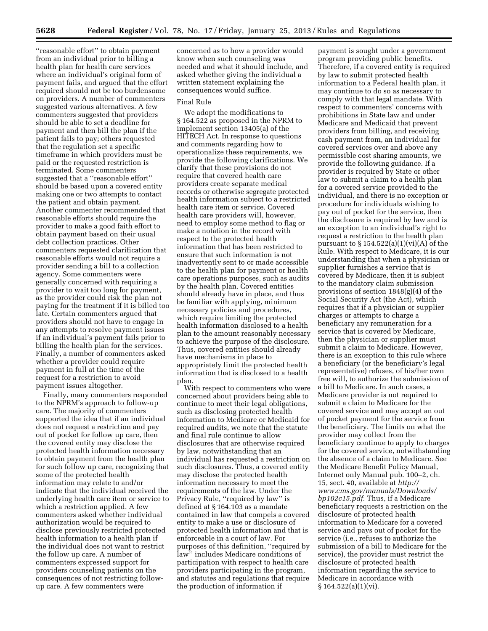**5628 Federal Register** / Vol. 78, No. 17 / Friday, January 25, 2013 / Rules and Regulations

''reasonable effort'' to obtain payment from an individual prior to billing a health plan for health care services where an individual's original form of payment fails, and argued that the effort required should not be too burdensome on providers. A number of commenters suggested various alternatives. A few commenters suggested that providers should be able to set a deadline for payment and then bill the plan if the patient fails to pay; others requested that the regulation set a specific timeframe in which providers must be paid or the requested restriction is terminated. Some commenters suggested that a ''reasonable effort'' should be based upon a covered entity making one or two attempts to contact the patient and obtain payment. Another commenter recommended that reasonable efforts should require the provider to make a good faith effort to obtain payment based on their usual debt collection practices. Other commenters requested clarification that reasonable efforts would not require a provider sending a bill to a collection agency. Some commenters were generally concerned with requiring a provider to wait too long for payment, as the provider could risk the plan not paying for the treatment if it is billed too late. Certain commenters argued that providers should not have to engage in any attempts to resolve payment issues if an individual's payment fails prior to billing the health plan for the services. Finally, a number of commenters asked whether a provider could require payment in full at the time of the request for a restriction to avoid payment issues altogether.

Finally, many commenters responded to the NPRM's approach to follow-up care. The majority of commenters supported the idea that if an individual does not request a restriction and pay out of pocket for follow up care, then the covered entity may disclose the protected health information necessary to obtain payment from the health plan for such follow up care, recognizing that some of the protected health information may relate to and/or indicate that the individual received the underlying health care item or service to which a restriction applied. A few commenters asked whether individual authorization would be required to disclose previously restricted protected health information to a health plan if the individual does not want to restrict the follow up care. A number of commenters expressed support for providers counseling patients on the consequences of not restricting followup care. A few commenters were

concerned as to how a provider would know when such counseling was needed and what it should include, and asked whether giving the individual a written statement explaining the consequences would suffice.

### Final Rule

We adopt the modifications to § 164.522 as proposed in the NPRM to implement section 13405(a) of the HITECH Act. In response to questions and comments regarding how to operationalize these requirements, we provide the following clarifications. We clarify that these provisions do not require that covered health care providers create separate medical records or otherwise segregate protected health information subject to a restricted health care item or service. Covered health care providers will, however, need to employ some method to flag or make a notation in the record with respect to the protected health information that has been restricted to ensure that such information is not inadvertently sent to or made accessible to the health plan for payment or health care operations purposes, such as audits by the health plan. Covered entities should already have in place, and thus be familiar with applying, minimum necessary policies and procedures, which require limiting the protected health information disclosed to a health plan to the amount reasonably necessary to achieve the purpose of the disclosure. Thus, covered entities should already have mechanisms in place to appropriately limit the protected health information that is disclosed to a health plan.

With respect to commenters who were concerned about providers being able to continue to meet their legal obligations, such as disclosing protected health information to Medicare or Medicaid for required audits, we note that the statute and final rule continue to allow disclosures that are otherwise required by law, notwithstanding that an individual has requested a restriction on such disclosures. Thus, a covered entity may disclose the protected health information necessary to meet the requirements of the law. Under the Privacy Rule, ''required by law'' is defined at § 164.103 as a mandate contained in law that compels a covered entity to make a use or disclosure of protected health information and that is enforceable in a court of law. For purposes of this definition, ''required by law'' includes Medicare conditions of participation with respect to health care providers participating in the program, and statutes and regulations that require the production of information if

payment is sought under a government program providing public benefits. Therefore, if a covered entity is required by law to submit protected health information to a Federal health plan, it may continue to do so as necessary to comply with that legal mandate. With respect to commenters' concerns with prohibitions in State law and under Medicare and Medicaid that prevent providers from billing, and receiving cash payment from, an individual for covered services over and above any permissible cost sharing amounts, we provide the following guidance. If a provider is required by State or other law to submit a claim to a health plan for a covered service provided to the individual, and there is no exception or procedure for individuals wishing to pay out of pocket for the service, then the disclosure is required by law and is an exception to an individual's right to request a restriction to the health plan pursuant to  $\S 154.522(a)(1)(vi)(A)$  of the Rule. With respect to Medicare, it is our understanding that when a physician or supplier furnishes a service that is covered by Medicare, then it is subject to the mandatory claim submission provisions of section 1848(g)(4) of the Social Security Act (the Act), which requires that if a physician or supplier charges or attempts to charge a beneficiary any remuneration for a service that is covered by Medicare, then the physician or supplier must submit a claim to Medicare. However, there is an exception to this rule where a beneficiary (or the beneficiary's legal representative) refuses, of his/her own free will, to authorize the submission of a bill to Medicare. In such cases, a Medicare provider is not required to submit a claim to Medicare for the covered service and may accept an out of pocket payment for the service from the beneficiary. The limits on what the provider may collect from the beneficiary continue to apply to charges for the covered service, notwithstanding the absence of a claim to Medicare. See the Medicare Benefit Policy Manual, Internet only Manual pub. 100–2, ch. 15, sect. 40, available at *[http://](http://www.cms.gov/manuals/Downloads/bp102c15.pdf)  [www.cms.gov/manuals/Downloads/](http://www.cms.gov/manuals/Downloads/bp102c15.pdf)  [bp102c15.pdf](http://www.cms.gov/manuals/Downloads/bp102c15.pdf)*. Thus, if a Medicare beneficiary requests a restriction on the disclosure of protected health information to Medicare for a covered service and pays out of pocket for the service (i.e., refuses to authorize the submission of a bill to Medicare for the service), the provider must restrict the disclosure of protected health information regarding the service to Medicare in accordance with § 164.522(a)(1)(vi).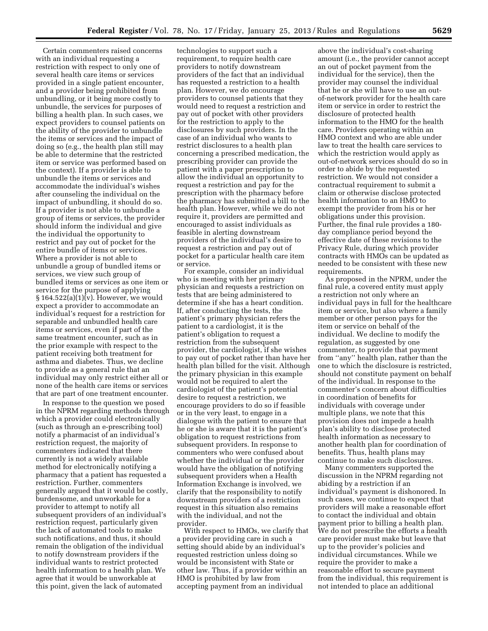Certain commenters raised concerns with an individual requesting a restriction with respect to only one of several health care items or services provided in a single patient encounter, and a provider being prohibited from unbundling, or it being more costly to unbundle, the services for purposes of billing a health plan. In such cases, we expect providers to counsel patients on the ability of the provider to unbundle the items or services and the impact of doing so (e.g., the health plan still may be able to determine that the restricted item or service was performed based on the context). If a provider is able to unbundle the items or services and accommodate the individual's wishes after counseling the individual on the impact of unbundling, it should do so. If a provider is not able to unbundle a group of items or services, the provider should inform the individual and give the individual the opportunity to restrict and pay out of pocket for the entire bundle of items or services. Where a provider is not able to unbundle a group of bundled items or services, we view such group of bundled items or services as one item or service for the purpose of applying § 164.522(a)(1)(v). However, we would expect a provider to accommodate an individual's request for a restriction for separable and unbundled health care items or services, even if part of the same treatment encounter, such as in the prior example with respect to the patient receiving both treatment for asthma and diabetes. Thus, we decline to provide as a general rule that an individual may only restrict either all or none of the health care items or services that are part of one treatment encounter.

In response to the question we posed in the NPRM regarding methods through which a provider could electronically (such as through an e-prescribing tool) notify a pharmacist of an individual's restriction request, the majority of commenters indicated that there currently is not a widely available method for electronically notifying a pharmacy that a patient has requested a restriction. Further, commenters generally argued that it would be costly, burdensome, and unworkable for a provider to attempt to notify all subsequent providers of an individual's restriction request, particularly given the lack of automated tools to make such notifications, and thus, it should remain the obligation of the individual to notify downstream providers if the individual wants to restrict protected health information to a health plan. We agree that it would be unworkable at this point, given the lack of automated

technologies to support such a requirement, to require health care providers to notify downstream providers of the fact that an individual has requested a restriction to a health plan. However, we do encourage providers to counsel patients that they would need to request a restriction and pay out of pocket with other providers for the restriction to apply to the disclosures by such providers. In the case of an individual who wants to restrict disclosures to a health plan concerning a prescribed medication, the prescribing provider can provide the patient with a paper prescription to allow the individual an opportunity to request a restriction and pay for the prescription with the pharmacy before the pharmacy has submitted a bill to the health plan. However, while we do not require it, providers are permitted and encouraged to assist individuals as feasible in alerting downstream providers of the individual's desire to request a restriction and pay out of pocket for a particular health care item or service.

For example, consider an individual who is meeting with her primary physician and requests a restriction on tests that are being administered to determine if she has a heart condition. If, after conducting the tests, the patient's primary physician refers the patient to a cardiologist, it is the patient's obligation to request a restriction from the subsequent provider, the cardiologist, if she wishes to pay out of pocket rather than have her health plan billed for the visit. Although the primary physician in this example would not be required to alert the cardiologist of the patient's potential desire to request a restriction, we encourage providers to do so if feasible or in the very least, to engage in a dialogue with the patient to ensure that he or she is aware that it is the patient's obligation to request restrictions from subsequent providers. In response to commenters who were confused about whether the individual or the provider would have the obligation of notifying subsequent providers when a Health Information Exchange is involved, we clarify that the responsibility to notify downstream providers of a restriction request in this situation also remains with the individual, and not the provider.

With respect to HMOs, we clarify that a provider providing care in such a setting should abide by an individual's requested restriction unless doing so would be inconsistent with State or other law. Thus, if a provider within an HMO is prohibited by law from accepting payment from an individual

above the individual's cost-sharing amount (i.e., the provider cannot accept an out of pocket payment from the individual for the service), then the provider may counsel the individual that he or she will have to use an outof-network provider for the health care item or service in order to restrict the disclosure of protected health information to the HMO for the health care. Providers operating within an HMO context and who are able under law to treat the health care services to which the restriction would apply as out-of-network services should do so in order to abide by the requested restriction. We would not consider a contractual requirement to submit a claim or otherwise disclose protected health information to an HMO to exempt the provider from his or her obligations under this provision. Further, the final rule provides a 180 day compliance period beyond the effective date of these revisions to the Privacy Rule, during which provider contracts with HMOs can be updated as needed to be consistent with these new requirements.

As proposed in the NPRM, under the final rule, a covered entity must apply a restriction not only where an individual pays in full for the healthcare item or service, but also where a family member or other person pays for the item or service on behalf of the individual. We decline to modify the regulation, as suggested by one commenter, to provide that payment from ''any'' health plan, rather than the one to which the disclosure is restricted, should not constitute payment on behalf of the individual. In response to the commenter's concern about difficulties in coordination of benefits for individuals with coverage under multiple plans, we note that this provision does not impede a health plan's ability to disclose protected health information as necessary to another health plan for coordination of benefits. Thus, health plans may continue to make such disclosures.

Many commenters supported the discussion in the NPRM regarding not abiding by a restriction if an individual's payment is dishonored. In such cases, we continue to expect that providers will make a reasonable effort to contact the individual and obtain payment prior to billing a health plan. We do not prescribe the efforts a health care provider must make but leave that up to the provider's policies and individual circumstances. While we require the provider to make a reasonable effort to secure payment from the individual, this requirement is not intended to place an additional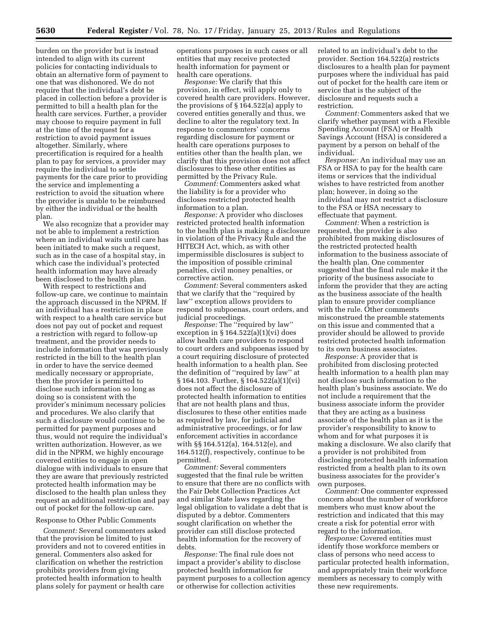burden on the provider but is instead intended to align with its current policies for contacting individuals to obtain an alternative form of payment to one that was dishonored. We do not require that the individual's debt be placed in collection before a provider is permitted to bill a health plan for the health care services. Further, a provider may choose to require payment in full at the time of the request for a restriction to avoid payment issues altogether. Similarly, where precertification is required for a health plan to pay for services, a provider may require the individual to settle payments for the care prior to providing the service and implementing a restriction to avoid the situation where the provider is unable to be reimbursed by either the individual or the health plan.

We also recognize that a provider may not be able to implement a restriction where an individual waits until care has been initiated to make such a request, such as in the case of a hospital stay, in which case the individual's protected health information may have already been disclosed to the health plan.

With respect to restrictions and follow-up care, we continue to maintain the approach discussed in the NPRM. If an individual has a restriction in place with respect to a health care service but does not pay out of pocket and request a restriction with regard to follow-up treatment, and the provider needs to include information that was previously restricted in the bill to the health plan in order to have the service deemed medically necessary or appropriate, then the provider is permitted to disclose such information so long as doing so is consistent with the provider's minimum necessary policies and procedures. We also clarify that such a disclosure would continue to be permitted for payment purposes and thus, would not require the individual's written authorization. However, as we did in the NPRM, we highly encourage covered entities to engage in open dialogue with individuals to ensure that they are aware that previously restricted protected health information may be disclosed to the health plan unless they request an additional restriction and pay out of pocket for the follow-up care.

## Response to Other Public Comments

*Comment:* Several commenters asked that the provision be limited to just providers and not to covered entities in general. Commenters also asked for clarification on whether the restriction prohibits providers from giving protected health information to health plans solely for payment or health care

operations purposes in such cases or all entities that may receive protected health information for payment or health care operations.

*Response:* We clarify that this provision, in effect, will apply only to covered health care providers. However, the provisions of § 164.522(a) apply to covered entities generally and thus, we decline to alter the regulatory text. In response to commenters' concerns regarding disclosure for payment or health care operations purposes to entities other than the health plan, we clarify that this provision does not affect disclosures to these other entities as permitted by the Privacy Rule.

*Comment:* Commenters asked what the liability is for a provider who discloses restricted protected health information to a plan.

*Response:* A provider who discloses restricted protected health information to the health plan is making a disclosure in violation of the Privacy Rule and the HITECH Act, which, as with other impermissible disclosures is subject to the imposition of possible criminal penalties, civil money penalties, or corrective action.

*Comment:* Several commenters asked that we clarify that the ''required by law'' exception allows providers to respond to subpoenas, court orders, and judicial proceedings.

*Response:* The ''required by law'' exception in  $\S 164.522(a)(1)(vi)$  does allow health care providers to respond to court orders and subpoenas issued by a court requiring disclosure of protected health information to a health plan. See the definition of ''required by law'' at § 164.103. Further, § 164.522(a)(1)(vi) does not affect the disclosure of protected health information to entities that are not health plans and thus, disclosures to these other entities made as required by law, for judicial and administrative proceedings, or for law enforcement activities in accordance with §§ 164.512(a), 164.512(e), and 164.512(f), respectively, continue to be permitted.

*Comment:* Several commenters suggested that the final rule be written to ensure that there are no conflicts with the Fair Debt Collection Practices Act and similar State laws regarding the legal obligation to validate a debt that is disputed by a debtor. Commenters sought clarification on whether the provider can still disclose protected health information for the recovery of debts.

*Response:* The final rule does not impact a provider's ability to disclose protected health information for payment purposes to a collection agency or otherwise for collection activities

related to an individual's debt to the provider. Section 164.522(a) restricts disclosures to a health plan for payment purposes where the individual has paid out of pocket for the health care item or service that is the subject of the disclosure and requests such a restriction.

*Comment:* Commenters asked that we clarify whether payment with a Flexible Spending Account (FSA) or Health Savings Account (HSA) is considered a payment by a person on behalf of the individual.

*Response:* An individual may use an FSA or HSA to pay for the health care items or services that the individual wishes to have restricted from another plan; however, in doing so the individual may not restrict a disclosure to the FSA or HSA necessary to effectuate that payment.

*Comment:* When a restriction is requested, the provider is also prohibited from making disclosures of the restricted protected health information to the business associate of the health plan. One commenter suggested that the final rule make it the priority of the business associate to inform the provider that they are acting as the business associate of the health plan to ensure provider compliance with the rule. Other comments misconstrued the preamble statements on this issue and commented that a provider should be allowed to provide restricted protected health information to its own business associates.

*Response:* A provider that is prohibited from disclosing protected health information to a health plan may not disclose such information to the health plan's business associate. We do not include a requirement that the business associate inform the provider that they are acting as a business associate of the health plan as it is the provider's responsibility to know to whom and for what purposes it is making a disclosure. We also clarify that a provider is not prohibited from disclosing protected health information restricted from a health plan to its own business associates for the provider's own purposes.

*Comment:* One commenter expressed concern about the number of workforce members who must know about the restriction and indicated that this may create a risk for potential error with regard to the information.

*Response:* Covered entities must identify those workforce members or class of persons who need access to particular protected health information, and appropriately train their workforce members as necessary to comply with these new requirements.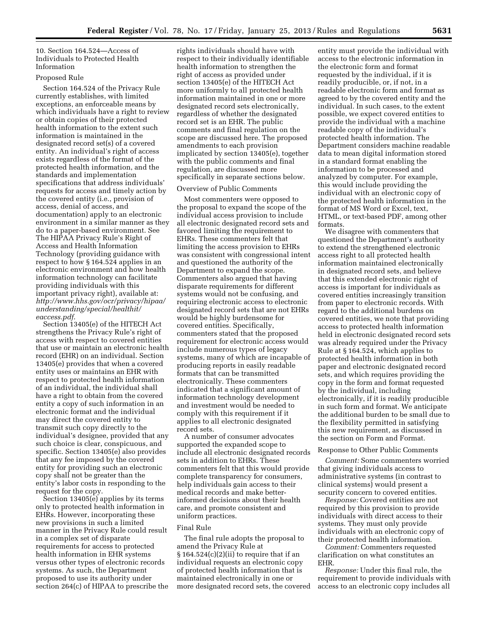10. Section 164.524—Access of Individuals to Protected Health Information

### Proposed Rule

Section 164.524 of the Privacy Rule currently establishes, with limited exceptions, an enforceable means by which individuals have a right to review or obtain copies of their protected health information to the extent such information is maintained in the designated record set(s) of a covered entity. An individual's right of access exists regardless of the format of the protected health information, and the standards and implementation specifications that address individuals' requests for access and timely action by the covered entity (i.e., provision of access, denial of access, and documentation) apply to an electronic environment in a similar manner as they do to a paper-based environment. See The HIPAA Privacy Rule's Right of Access and Health Information Technology (providing guidance with respect to how § 164.524 applies in an electronic environment and how health information technology can facilitate providing individuals with this important privacy right), available at: *[http://www.hhs.gov/ocr/privacy/hipaa/](http://www.hhs.gov/ocr/privacy/hipaa/understanding/special/healthit/eaccess.pdf)  [understanding/special/healthit/](http://www.hhs.gov/ocr/privacy/hipaa/understanding/special/healthit/eaccess.pdf) [eaccess.pdf](http://www.hhs.gov/ocr/privacy/hipaa/understanding/special/healthit/eaccess.pdf)*.

Section 13405(e) of the HITECH Act strengthens the Privacy Rule's right of access with respect to covered entities that use or maintain an electronic health record (EHR) on an individual. Section 13405(e) provides that when a covered entity uses or maintains an EHR with respect to protected health information of an individual, the individual shall have a right to obtain from the covered entity a copy of such information in an electronic format and the individual may direct the covered entity to transmit such copy directly to the individual's designee, provided that any such choice is clear, conspicuous, and specific. Section 13405(e) also provides that any fee imposed by the covered entity for providing such an electronic copy shall not be greater than the entity's labor costs in responding to the request for the copy.

Section 13405(e) applies by its terms only to protected health information in EHRs. However, incorporating these new provisions in such a limited manner in the Privacy Rule could result in a complex set of disparate requirements for access to protected health information in EHR systems versus other types of electronic records systems. As such, the Department proposed to use its authority under section 264(c) of HIPAA to prescribe the rights individuals should have with respect to their individually identifiable health information to strengthen the right of access as provided under section 13405(e) of the HITECH Act more uniformly to all protected health information maintained in one or more designated record sets electronically, regardless of whether the designated record set is an EHR. The public comments and final regulation on the scope are discussed here. The proposed amendments to each provision implicated by section 13405(e), together with the public comments and final regulation, are discussed more specifically in separate sections below.

### Overview of Public Comments

Most commenters were opposed to the proposal to expand the scope of the individual access provision to include all electronic designated record sets and favored limiting the requirement to EHRs. These commenters felt that limiting the access provision to EHRs was consistent with congressional intent and questioned the authority of the Department to expand the scope. Commenters also argued that having disparate requirements for different systems would not be confusing, and requiring electronic access to electronic designated record sets that are not EHRs would be highly burdensome for covered entities. Specifically, commenters stated that the proposed requirement for electronic access would include numerous types of legacy systems, many of which are incapable of producing reports in easily readable formats that can be transmitted electronically. These commenters indicated that a significant amount of information technology development and investment would be needed to comply with this requirement if it applies to all electronic designated record sets.

A number of consumer advocates supported the expanded scope to include all electronic designated records sets in addition to EHRs. These commenters felt that this would provide complete transparency for consumers, help individuals gain access to their medical records and make betterinformed decisions about their health care, and promote consistent and uniform practices.

### Final Rule

The final rule adopts the proposal to amend the Privacy Rule at  $\S 164.524(c)(2)(ii)$  to require that if an individual requests an electronic copy of protected health information that is maintained electronically in one or more designated record sets, the covered

entity must provide the individual with access to the electronic information in the electronic form and format requested by the individual, if it is readily producible, or, if not, in a readable electronic form and format as agreed to by the covered entity and the individual. In such cases, to the extent possible, we expect covered entities to provide the individual with a machine readable copy of the individual's protected health information. The Department considers machine readable data to mean digital information stored in a standard format enabling the information to be processed and analyzed by computer. For example, this would include providing the individual with an electronic copy of the protected health information in the format of MS Word or Excel, text, HTML, or text-based PDF, among other formats.

We disagree with commenters that questioned the Department's authority to extend the strengthened electronic access right to all protected health information maintained electronically in designated record sets, and believe that this extended electronic right of access is important for individuals as covered entities increasingly transition from paper to electronic records. With regard to the additional burdens on covered entities, we note that providing access to protected health information held in electronic designated record sets was already required under the Privacy Rule at § 164.524, which applies to protected health information in both paper and electronic designated record sets, and which requires providing the copy in the form and format requested by the individual, including electronically, if it is readily producible in such form and format. We anticipate the additional burden to be small due to the flexibility permitted in satisfying this new requirement, as discussed in the section on Form and Format.

### Response to Other Public Comments

*Comment:* Some commenters worried that giving individuals access to administrative systems (in contrast to clinical systems) would present a security concern to covered entities.

*Response:* Covered entities are not required by this provision to provide individuals with direct access to their systems. They must only provide individuals with an electronic copy of their protected health information.

*Comment:* Commenters requested clarification on what constitutes an EHR.

*Response:* Under this final rule, the requirement to provide individuals with access to an electronic copy includes all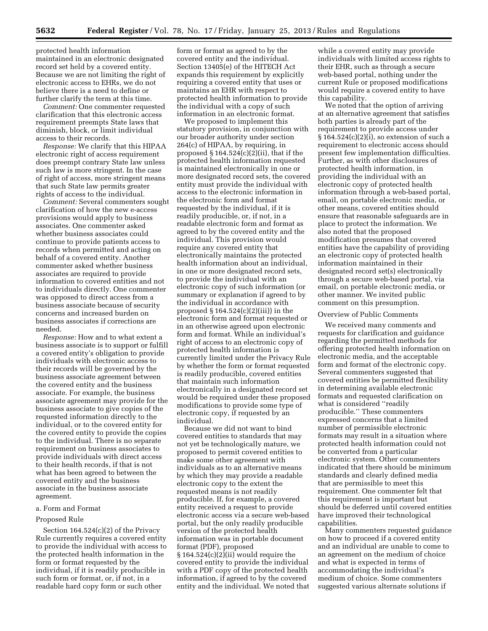protected health information maintained in an electronic designated record set held by a covered entity. Because we are not limiting the right of electronic access to EHRs, we do not believe there is a need to define or further clarify the term at this time.

*Comment:* One commenter requested clarification that this electronic access requirement preempts State laws that diminish, block, or limit individual access to their records.

*Response:* We clarify that this HIPAA electronic right of access requirement does preempt contrary State law unless such law is more stringent. In the case of right of access, more stringent means that such State law permits greater rights of access to the individual.

*Comment:* Several commenters sought clarification of how the new e-access provisions would apply to business associates. One commenter asked whether business associates could continue to provide patients access to records when permitted and acting on behalf of a covered entity. Another commenter asked whether business associates are required to provide information to covered entities and not to individuals directly. One commenter was opposed to direct access from a business associate because of security concerns and increased burden on business associates if corrections are needed.

*Response:* How and to what extent a business associate is to support or fulfill a covered entity's obligation to provide individuals with electronic access to their records will be governed by the business associate agreement between the covered entity and the business associate. For example, the business associate agreement may provide for the business associate to give copies of the requested information directly to the individual, or to the covered entity for the covered entity to provide the copies to the individual. There is no separate requirement on business associates to provide individuals with direct access to their health records, if that is not what has been agreed to between the covered entity and the business associate in the business associate agreement.

### a. Form and Format

### Proposed Rule

Section 164.524(c)(2) of the Privacy Rule currently requires a covered entity to provide the individual with access to the protected health information in the form or format requested by the individual, if it is readily producible in such form or format, or, if not, in a readable hard copy form or such other

form or format as agreed to by the covered entity and the individual. Section 13405(e) of the HITECH Act expands this requirement by explicitly requiring a covered entity that uses or maintains an EHR with respect to protected health information to provide the individual with a copy of such information in an electronic format.

We proposed to implement this statutory provision, in conjunction with our broader authority under section 264(c) of HIPAA, by requiring, in proposed  $\S 164.524(c)(2)(ii)$ , that if the protected health information requested is maintained electronically in one or more designated record sets, the covered entity must provide the individual with access to the electronic information in the electronic form and format requested by the individual, if it is readily producible, or, if not, in a readable electronic form and format as agreed to by the covered entity and the individual. This provision would require any covered entity that electronically maintains the protected health information about an individual, in one or more designated record sets, to provide the individual with an electronic copy of such information (or summary or explanation if agreed to by the individual in accordance with proposed  $§ 164.524(c)(2)(iii)$  in the electronic form and format requested or in an otherwise agreed upon electronic form and format. While an individual's right of access to an electronic copy of protected health information is currently limited under the Privacy Rule by whether the form or format requested is readily producible, covered entities that maintain such information electronically in a designated record set would be required under these proposed modifications to provide some type of electronic copy, if requested by an individual.

Because we did not want to bind covered entities to standards that may not yet be technologically mature, we proposed to permit covered entities to make some other agreement with individuals as to an alternative means by which they may provide a readable electronic copy to the extent the requested means is not readily producible. If, for example, a covered entity received a request to provide electronic access via a secure web-based portal, but the only readily producible version of the protected health information was in portable document format (PDF), proposed § 164.524(c)(2)(ii) would require the covered entity to provide the individual with a PDF copy of the protected health information, if agreed to by the covered entity and the individual. We noted that

while a covered entity may provide individuals with limited access rights to their EHR, such as through a secure web-based portal, nothing under the current Rule or proposed modifications would require a covered entity to have this capability.

We noted that the option of arriving at an alternative agreement that satisfies both parties is already part of the requirement to provide access under  $§ 164.524(c)(2)(i)$ , so extension of such a requirement to electronic access should present few implementation difficulties. Further, as with other disclosures of protected health information, in providing the individual with an electronic copy of protected health information through a web-based portal, email, on portable electronic media, or other means, covered entities should ensure that reasonable safeguards are in place to protect the information. We also noted that the proposed modification presumes that covered entities have the capability of providing an electronic copy of protected health information maintained in their designated record set(s) electronically through a secure web-based portal, via email, on portable electronic media, or other manner. We invited public comment on this presumption.

## Overview of Public Comments

We received many comments and requests for clarification and guidance regarding the permitted methods for offering protected health information on electronic media, and the acceptable form and format of the electronic copy. Several commenters suggested that covered entities be permitted flexibility in determining available electronic formats and requested clarification on what is considered ''readily producible.'' These commenters expressed concerns that a limited number of permissible electronic formats may result in a situation where protected health information could not be converted from a particular electronic system. Other commenters indicated that there should be minimum standards and clearly defined media that are permissible to meet this requirement. One commenter felt that this requirement is important but should be deferred until covered entities have improved their technological capabilities.

Many commenters requested guidance on how to proceed if a covered entity and an individual are unable to come to an agreement on the medium of choice and what is expected in terms of accommodating the individual's medium of choice. Some commenters suggested various alternate solutions if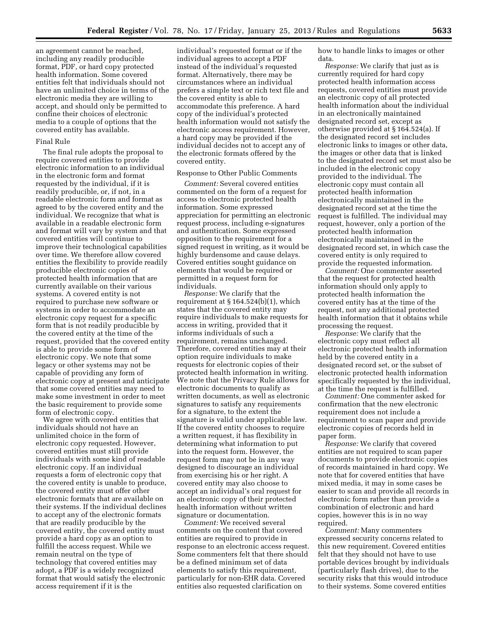an agreement cannot be reached, including any readily producible format, PDF, or hard copy protected health information. Some covered entities felt that individuals should not have an unlimited choice in terms of the electronic media they are willing to accept, and should only be permitted to confine their choices of electronic media to a couple of options that the covered entity has available.

#### Final Rule

The final rule adopts the proposal to require covered entities to provide electronic information to an individual in the electronic form and format requested by the individual, if it is readily producible, or, if not, in a readable electronic form and format as agreed to by the covered entity and the individual. We recognize that what is available in a readable electronic form and format will vary by system and that covered entities will continue to improve their technological capabilities over time. We therefore allow covered entities the flexibility to provide readily producible electronic copies of protected health information that are currently available on their various systems. A covered entity is not required to purchase new software or systems in order to accommodate an electronic copy request for a specific form that is not readily producible by the covered entity at the time of the request, provided that the covered entity is able to provide some form of electronic copy. We note that some legacy or other systems may not be capable of providing any form of electronic copy at present and anticipate that some covered entities may need to make some investment in order to meet the basic requirement to provide some form of electronic copy.

We agree with covered entities that individuals should not have an unlimited choice in the form of electronic copy requested. However, covered entities must still provide individuals with some kind of readable electronic copy. If an individual requests a form of electronic copy that the covered entity is unable to produce, the covered entity must offer other electronic formats that are available on their systems. If the individual declines to accept any of the electronic formats that are readily producible by the covered entity, the covered entity must provide a hard copy as an option to fulfill the access request. While we remain neutral on the type of technology that covered entities may adopt, a PDF is a widely recognized format that would satisfy the electronic access requirement if it is the

individual's requested format or if the individual agrees to accept a PDF instead of the individual's requested format. Alternatively, there may be circumstances where an individual prefers a simple text or rich text file and the covered entity is able to accommodate this preference. A hard copy of the individual's protected health information would not satisfy the electronic access requirement. However, a hard copy may be provided if the individual decides not to accept any of the electronic formats offered by the covered entity.

### Response to Other Public Comments

*Comment:* Several covered entities commented on the form of a request for access to electronic protected health information. Some expressed appreciation for permitting an electronic request process, including e-signatures and authentication. Some expressed opposition to the requirement for a signed request in writing, as it would be highly burdensome and cause delays. Covered entities sought guidance on elements that would be required or permitted in a request form for individuals.

*Response:* We clarify that the requirement at § 164.524(b)(1), which states that the covered entity may require individuals to make requests for access in writing, provided that it informs individuals of such a requirement, remains unchanged. Therefore, covered entities may at their option require individuals to make requests for electronic copies of their protected health information in writing. We note that the Privacy Rule allows for electronic documents to qualify as written documents, as well as electronic signatures to satisfy any requirements for a signature, to the extent the signature is valid under applicable law. If the covered entity chooses to require a written request, it has flexibility in determining what information to put into the request form. However, the request form may not be in any way designed to discourage an individual from exercising his or her right. A covered entity may also choose to accept an individual's oral request for an electronic copy of their protected health information without written signature or documentation.

*Comment:* We received several comments on the content that covered entities are required to provide in response to an electronic access request. Some commenters felt that there should be a defined minimum set of data elements to satisfy this requirement, particularly for non-EHR data. Covered entities also requested clarification on

how to handle links to images or other data.

*Response:* We clarify that just as is currently required for hard copy protected health information access requests, covered entities must provide an electronic copy of all protected health information about the individual in an electronically maintained designated record set, except as otherwise provided at § 164.524(a). If the designated record set includes electronic links to images or other data, the images or other data that is linked to the designated record set must also be included in the electronic copy provided to the individual. The electronic copy must contain all protected health information electronically maintained in the designated record set at the time the request is fulfilled. The individual may request, however, only a portion of the protected health information electronically maintained in the designated record set, in which case the covered entity is only required to provide the requested information.

*Comment:* One commenter asserted that the request for protected health information should only apply to protected health information the covered entity has at the time of the request, not any additional protected health information that it obtains while processing the request.

*Response:* We clarify that the electronic copy must reflect all electronic protected health information held by the covered entity in a designated record set, or the subset of electronic protected health information specifically requested by the individual, at the time the request is fulfilled.

*Comment:* One commenter asked for confirmation that the new electronic requirement does not include a requirement to scan paper and provide electronic copies of records held in paper form.

*Response:* We clarify that covered entities are not required to scan paper documents to provide electronic copies of records maintained in hard copy. We note that for covered entities that have mixed media, it may in some cases be easier to scan and provide all records in electronic form rather than provide a combination of electronic and hard copies, however this is in no way required.

*Comment:* Many commenters expressed security concerns related to this new requirement. Covered entities felt that they should not have to use portable devices brought by individuals (particularly flash drives), due to the security risks that this would introduce to their systems. Some covered entities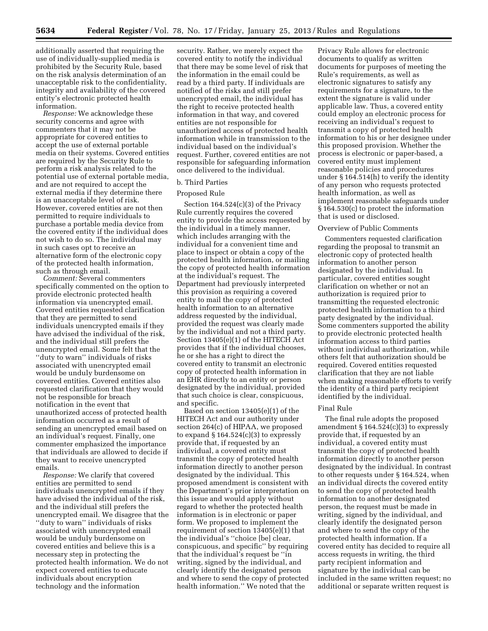additionally asserted that requiring the use of individually-supplied media is prohibited by the Security Rule, based on the risk analysis determination of an unacceptable risk to the confidentiality, integrity and availability of the covered entity's electronic protected health information.

*Response:* We acknowledge these security concerns and agree with commenters that it may not be appropriate for covered entities to accept the use of external portable media on their systems. Covered entities are required by the Security Rule to perform a risk analysis related to the potential use of external portable media, and are not required to accept the external media if they determine there is an unacceptable level of risk. However, covered entities are not then permitted to require individuals to purchase a portable media device from the covered entity if the individual does not wish to do so. The individual may in such cases opt to receive an alternative form of the electronic copy of the protected health information, such as through email.

*Comment:* Several commenters specifically commented on the option to provide electronic protected health information via unencrypted email. Covered entities requested clarification that they are permitted to send individuals unencrypted emails if they have advised the individual of the risk, and the individual still prefers the unencrypted email. Some felt that the ''duty to warn'' individuals of risks associated with unencrypted email would be unduly burdensome on covered entities. Covered entities also requested clarification that they would not be responsible for breach notification in the event that unauthorized access of protected health information occurred as a result of sending an unencrypted email based on an individual's request. Finally, one commenter emphasized the importance that individuals are allowed to decide if they want to receive unencrypted emails.

*Response:* We clarify that covered entities are permitted to send individuals unencrypted emails if they have advised the individual of the risk, and the individual still prefers the unencrypted email. We disagree that the ''duty to warn'' individuals of risks associated with unencrypted email would be unduly burdensome on covered entities and believe this is a necessary step in protecting the protected health information. We do not expect covered entities to educate individuals about encryption technology and the information

security. Rather, we merely expect the covered entity to notify the individual that there may be some level of risk that the information in the email could be read by a third party. If individuals are notified of the risks and still prefer unencrypted email, the individual has the right to receive protected health information in that way, and covered entities are not responsible for unauthorized access of protected health information while in transmission to the individual based on the individual's request. Further, covered entities are not responsible for safeguarding information once delivered to the individual.

### b. Third Parties

### Proposed Rule

Section 164.524(c)(3) of the Privacy Rule currently requires the covered entity to provide the access requested by the individual in a timely manner, which includes arranging with the individual for a convenient time and place to inspect or obtain a copy of the protected health information, or mailing the copy of protected health information at the individual's request. The Department had previously interpreted this provision as requiring a covered entity to mail the copy of protected health information to an alternative address requested by the individual, provided the request was clearly made by the individual and not a third party. Section 13405(e)(1) of the HITECH Act provides that if the individual chooses, he or she has a right to direct the covered entity to transmit an electronic copy of protected health information in an EHR directly to an entity or person designated by the individual, provided that such choice is clear, conspicuous, and specific.

Based on section 13405(e)(1) of the HITECH Act and our authority under section 264(c) of HIPAA, we proposed to expand  $\S 164.524(c)(3)$  to expressly provide that, if requested by an individual, a covered entity must transmit the copy of protected health information directly to another person designated by the individual. This proposed amendment is consistent with the Department's prior interpretation on this issue and would apply without regard to whether the protected health information is in electronic or paper form. We proposed to implement the requirement of section 13405(e)(1) that the individual's ''choice [be] clear, conspicuous, and specific'' by requiring that the individual's request be ''in writing, signed by the individual, and clearly identify the designated person and where to send the copy of protected health information.'' We noted that the

Privacy Rule allows for electronic documents to qualify as written documents for purposes of meeting the Rule's requirements, as well as electronic signatures to satisfy any requirements for a signature, to the extent the signature is valid under applicable law. Thus, a covered entity could employ an electronic process for receiving an individual's request to transmit a copy of protected health information to his or her designee under this proposed provision. Whether the process is electronic or paper-based, a covered entity must implement reasonable policies and procedures under § 164.514(h) to verify the identity of any person who requests protected health information, as well as implement reasonable safeguards under § 164.530(c) to protect the information that is used or disclosed.

#### Overview of Public Comments

Commenters requested clarification regarding the proposal to transmit an electronic copy of protected health information to another person designated by the individual. In particular, covered entities sought clarification on whether or not an authorization is required prior to transmitting the requested electronic protected health information to a third party designated by the individual. Some commenters supported the ability to provide electronic protected health information access to third parties without individual authorization, while others felt that authorization should be required. Covered entities requested clarification that they are not liable when making reasonable efforts to verify the identity of a third party recipient identified by the individual.

#### Final Rule

The final rule adopts the proposed amendment § 164.524(c)(3) to expressly provide that, if requested by an individual, a covered entity must transmit the copy of protected health information directly to another person designated by the individual. In contrast to other requests under § 164.524, when an individual directs the covered entity to send the copy of protected health information to another designated person, the request must be made in writing, signed by the individual, and clearly identify the designated person and where to send the copy of the protected health information. If a covered entity has decided to require all access requests in writing, the third party recipient information and signature by the individual can be included in the same written request; no additional or separate written request is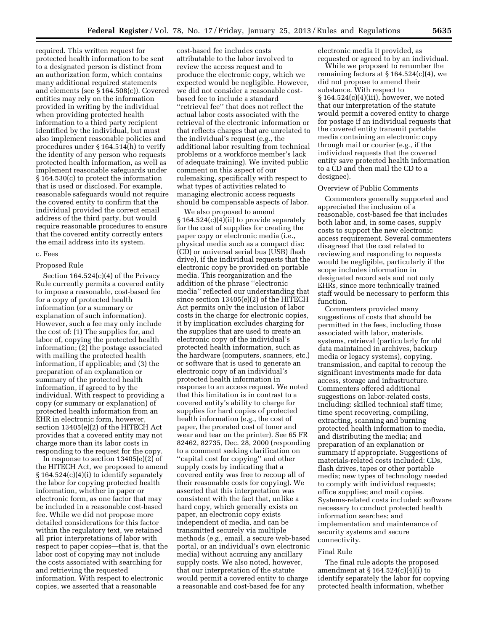required. This written request for protected health information to be sent to a designated person is distinct from an authorization form, which contains many additional required statements and elements (see § 164.508(c)). Covered entities may rely on the information provided in writing by the individual when providing protected health information to a third party recipient identified by the individual, but must also implement reasonable policies and procedures under § 164.514(h) to verify the identity of any person who requests protected health information, as well as implement reasonable safeguards under § 164.530(c) to protect the information that is used or disclosed. For example, reasonable safeguards would not require the covered entity to confirm that the individual provided the correct email address of the third party, but would require reasonable procedures to ensure that the covered entity correctly enters the email address into its system.

#### c. Fees

### Proposed Rule

Section 164.524(c)(4) of the Privacy Rule currently permits a covered entity to impose a reasonable, cost-based fee for a copy of protected health information (or a summary or explanation of such information). However, such a fee may only include the cost of: (1) The supplies for, and labor of, copying the protected health information; (2) the postage associated with mailing the protected health information, if applicable; and (3) the preparation of an explanation or summary of the protected health information, if agreed to by the individual. With respect to providing a copy (or summary or explanation) of protected health information from an EHR in electronic form, however, section 13405(e)(2) of the HITECH Act provides that a covered entity may not charge more than its labor costs in responding to the request for the copy.

In response to section  $13405(e)(2)$  of the HITECH Act, we proposed to amend § 164.524(c)(4)(i) to identify separately the labor for copying protected health information, whether in paper or electronic form, as one factor that may be included in a reasonable cost-based fee. While we did not propose more detailed considerations for this factor within the regulatory text, we retained all prior interpretations of labor with respect to paper copies—that is, that the labor cost of copying may not include the costs associated with searching for and retrieving the requested information. With respect to electronic copies, we asserted that a reasonable

cost-based fee includes costs attributable to the labor involved to review the access request and to produce the electronic copy, which we expected would be negligible. However, we did not consider a reasonable costbased fee to include a standard ''retrieval fee'' that does not reflect the actual labor costs associated with the retrieval of the electronic information or that reflects charges that are unrelated to the individual's request (e.g., the additional labor resulting from technical problems or a workforce member's lack of adequate training). We invited public comment on this aspect of our rulemaking, specifically with respect to what types of activities related to managing electronic access requests should be compensable aspects of labor.

We also proposed to amend § 164.524(c)(4)(ii) to provide separately for the cost of supplies for creating the paper copy or electronic media (i.e., physical media such as a compact disc (CD) or universal serial bus (USB) flash drive), if the individual requests that the electronic copy be provided on portable media. This reorganization and the addition of the phrase ''electronic media'' reflected our understanding that since section 13405(e)(2) of the HITECH Act permits only the inclusion of labor costs in the charge for electronic copies, it by implication excludes charging for the supplies that are used to create an electronic copy of the individual's protected health information, such as the hardware (computers, scanners, etc.) or software that is used to generate an electronic copy of an individual's protected health information in response to an access request. We noted that this limitation is in contrast to a covered entity's ability to charge for supplies for hard copies of protected health information (e.g., the cost of paper, the prorated cost of toner and wear and tear on the printer). See 65 FR 82462, 82735, Dec. 28, 2000 (responding to a comment seeking clarification on ''capital cost for copying'' and other supply costs by indicating that a covered entity was free to recoup all of their reasonable costs for copying). We asserted that this interpretation was consistent with the fact that, unlike a hard copy, which generally exists on paper, an electronic copy exists independent of media, and can be transmitted securely via multiple methods (e.g., email, a secure web-based portal, or an individual's own electronic media) without accruing any ancillary supply costs. We also noted, however, that our interpretation of the statute would permit a covered entity to charge a reasonable and cost-based fee for any

electronic media it provided, as requested or agreed to by an individual.

While we proposed to renumber the remaining factors at  $\S 164.524(c)(4)$ , we did not propose to amend their substance. With respect to  $§ 164.524(c)(4)(iii)$ , however, we noted that our interpretation of the statute would permit a covered entity to charge for postage if an individual requests that the covered entity transmit portable media containing an electronic copy through mail or courier (e.g., if the individual requests that the covered entity save protected health information to a CD and then mail the CD to a designee).

#### Overview of Public Comments

Commenters generally supported and appreciated the inclusion of a reasonable, cost-based fee that includes both labor and, in some cases, supply costs to support the new electronic access requirement. Several commenters disagreed that the cost related to reviewing and responding to requests would be negligible, particularly if the scope includes information in designated record sets and not only EHRs, since more technically trained staff would be necessary to perform this function.

Commenters provided many suggestions of costs that should be permitted in the fees, including those associated with labor, materials, systems, retrieval (particularly for old data maintained in archives, backup media or legacy systems), copying, transmission, and capital to recoup the significant investments made for data access, storage and infrastructure. Commenters offered additional suggestions on labor-related costs, including: skilled technical staff time; time spent recovering, compiling, extracting, scanning and burning protected health information to media, and distributing the media; and preparation of an explanation or summary if appropriate. Suggestions of materials-related costs included: CDs, flash drives, tapes or other portable media; new types of technology needed to comply with individual requests; office supplies; and mail copies. Systems-related costs included: software necessary to conduct protected health information searches; and implementation and maintenance of security systems and secure connectivity.

#### Final Rule

The final rule adopts the proposed amendment at  $\S 164.524(c)(4)(i)$  to identify separately the labor for copying protected health information, whether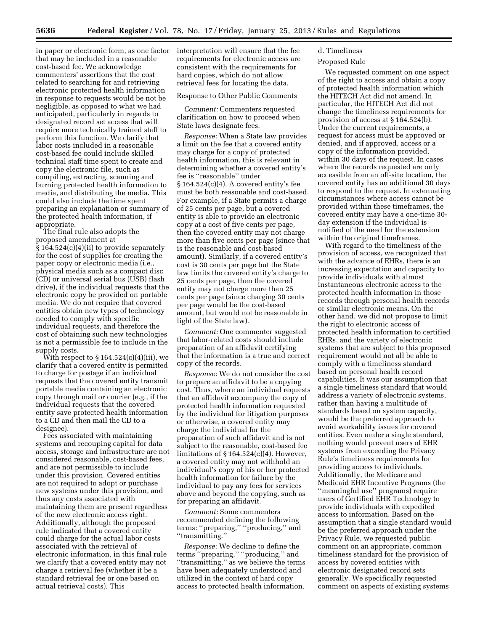in paper or electronic form, as one factor that may be included in a reasonable cost-based fee. We acknowledge commenters' assertions that the cost related to searching for and retrieving electronic protected health information in response to requests would be not be negligible, as opposed to what we had anticipated, particularly in regards to designated record set access that will require more technically trained staff to perform this function. We clarify that labor costs included in a reasonable cost-based fee could include skilled technical staff time spent to create and copy the electronic file, such as compiling, extracting, scanning and burning protected health information to media, and distributing the media. This could also include the time spent preparing an explanation or summary of the protected health information, if appropriate.

The final rule also adopts the proposed amendment at § 164.524(c)(4)(ii) to provide separately for the cost of supplies for creating the paper copy or electronic media (i.e., physical media such as a compact disc (CD) or universal serial bus (USB) flash drive), if the individual requests that the electronic copy be provided on portable media. We do not require that covered entities obtain new types of technology needed to comply with specific individual requests, and therefore the cost of obtaining such new technologies is not a permissible fee to include in the supply costs.

With respect to § 164.524(c)(4)(iii), we clarify that a covered entity is permitted to charge for postage if an individual requests that the covered entity transmit portable media containing an electronic copy through mail or courier (e.g., if the individual requests that the covered entity save protected health information to a CD and then mail the CD to a designee).

Fees associated with maintaining systems and recouping capital for data access, storage and infrastructure are not considered reasonable, cost-based fees, and are not permissible to include under this provision. Covered entities are not required to adopt or purchase new systems under this provision, and thus any costs associated with maintaining them are present regardless of the new electronic access right. Additionally, although the proposed rule indicated that a covered entity could charge for the actual labor costs associated with the retrieval of electronic information, in this final rule we clarify that a covered entity may not charge a retrieval fee (whether it be a standard retrieval fee or one based on actual retrieval costs). This

interpretation will ensure that the fee requirements for electronic access are consistent with the requirements for hard copies, which do not allow retrieval fees for locating the data.

### Response to Other Public Comments

*Comment:* Commenters requested clarification on how to proceed when State laws designate fees.

*Response:* When a State law provides a limit on the fee that a covered entity may charge for a copy of protected health information, this is relevant in determining whether a covered entity's fee is ''reasonable'' under  $§ 164.524(c)(4)$ . A covered entity's fee must be both reasonable and cost-based. For example, if a State permits a charge of 25 cents per page, but a covered entity is able to provide an electronic copy at a cost of five cents per page, then the covered entity may not charge more than five cents per page (since that is the reasonable and cost-based amount). Similarly, if a covered entity's cost is 30 cents per page but the State law limits the covered entity's charge to 25 cents per page, then the covered entity may not charge more than 25 cents per page (since charging 30 cents per page would be the cost-based amount, but would not be reasonable in light of the State law).

*Comment:* One commenter suggested that labor-related costs should include preparation of an affidavit certifying that the information is a true and correct copy of the records.

*Response:* We do not consider the cost to prepare an affidavit to be a copying cost. Thus, where an individual requests that an affidavit accompany the copy of protected health information requested by the individual for litigation purposes or otherwise, a covered entity may charge the individual for the preparation of such affidavit and is not subject to the reasonable, cost-based fee limitations of § 164.524(c)(4). However, a covered entity may not withhold an individual's copy of his or her protected health information for failure by the individual to pay any fees for services above and beyond the copying, such as for preparing an affidavit.

*Comment:* Some commenters recommended defining the following terms: ''preparing,'' ''producing,'' and ''transmitting.''

*Response:* We decline to define the terms ''preparing,'' ''producing,'' and ''transmitting,'' as we believe the terms have been adequately understood and utilized in the context of hard copy access to protected health information.

# d. Timeliness

### Proposed Rule

We requested comment on one aspect of the right to access and obtain a copy of protected health information which the HITECH Act did not amend. In particular, the HITECH Act did not change the timeliness requirements for provision of access at § 164.524(b). Under the current requirements, a request for access must be approved or denied, and if approved, access or a copy of the information provided, within 30 days of the request. In cases where the records requested are only accessible from an off-site location, the covered entity has an additional 30 days to respond to the request. In extenuating circumstances where access cannot be provided within these timeframes, the covered entity may have a one-time 30 day extension if the individual is notified of the need for the extension within the original timeframes.

With regard to the timeliness of the provision of access, we recognized that with the advance of EHRs, there is an increasing expectation and capacity to provide individuals with almost instantaneous electronic access to the protected health information in those records through personal health records or similar electronic means. On the other hand, we did not propose to limit the right to electronic access of protected health information to certified EHRs, and the variety of electronic systems that are subject to this proposed requirement would not all be able to comply with a timeliness standard based on personal health record capabilities. It was our assumption that a single timeliness standard that would address a variety of electronic systems, rather than having a multitude of standards based on system capacity, would be the preferred approach to avoid workability issues for covered entities. Even under a single standard, nothing would prevent users of EHR systems from exceeding the Privacy Rule's timeliness requirements for providing access to individuals. Additionally, the Medicare and Medicaid EHR Incentive Programs (the ''meaningful use'' programs) require users of Certified EHR Technology to provide individuals with expedited access to information. Based on the assumption that a single standard would be the preferred approach under the Privacy Rule, we requested public comment on an appropriate, common timeliness standard for the provision of access by covered entities with electronic designated record sets generally. We specifically requested comment on aspects of existing systems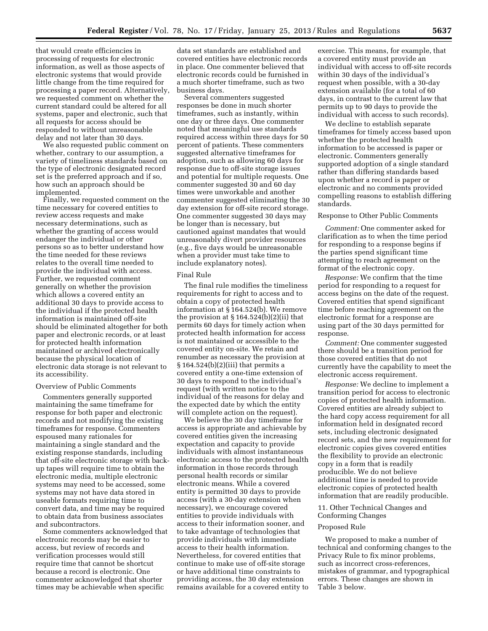that would create efficiencies in processing of requests for electronic information, as well as those aspects of electronic systems that would provide little change from the time required for processing a paper record. Alternatively, we requested comment on whether the current standard could be altered for all systems, paper and electronic, such that all requests for access should be responded to without unreasonable delay and not later than 30 days.

We also requested public comment on whether, contrary to our assumption, a variety of timeliness standards based on the type of electronic designated record set is the preferred approach and if so, how such an approach should be implemented.

Finally, we requested comment on the time necessary for covered entities to review access requests and make necessary determinations, such as whether the granting of access would endanger the individual or other persons so as to better understand how the time needed for these reviews relates to the overall time needed to provide the individual with access. Further, we requested comment generally on whether the provision which allows a covered entity an additional 30 days to provide access to the individual if the protected health information is maintained off-site should be eliminated altogether for both paper and electronic records, or at least for protected health information maintained or archived electronically because the physical location of electronic data storage is not relevant to its accessibility.

### Overview of Public Comments

Commenters generally supported maintaining the same timeframe for response for both paper and electronic records and not modifying the existing timeframes for response. Commenters espoused many rationales for maintaining a single standard and the existing response standards, including that off-site electronic storage with backup tapes will require time to obtain the electronic media, multiple electronic systems may need to be accessed, some systems may not have data stored in useable formats requiring time to convert data, and time may be required to obtain data from business associates and subcontractors.

Some commenters acknowledged that electronic records may be easier to access, but review of records and verification processes would still require time that cannot be shortcut because a record is electronic. One commenter acknowledged that shorter times may be achievable when specific

data set standards are established and covered entities have electronic records in place. One commenter believed that electronic records could be furnished in a much shorter timeframe, such as two business days.

Several commenters suggested responses be done in much shorter timeframes, such as instantly, within one day or three days. One commenter noted that meaningful use standards required access within three days for 50 percent of patients. These commenters suggested alternative timeframes for adoption, such as allowing 60 days for response due to off-site storage issues and potential for multiple requests. One commenter suggested 30 and 60 day times were unworkable and another commenter suggested eliminating the 30 day extension for off-site record storage. One commenter suggested 30 days may be longer than is necessary, but cautioned against mandates that would unreasonably divert provider resources (e.g., five days would be unreasonable when a provider must take time to include explanatory notes).

### Final Rule

The final rule modifies the timeliness requirements for right to access and to obtain a copy of protected health information at § 164.524(b). We remove the provision at  $\S 164.524(b)(2)(ii)$  that permits 60 days for timely action when protected health information for access is not maintained or accessible to the covered entity on-site. We retain and renumber as necessary the provision at § 164.524(b)(2)(iii) that permits a covered entity a one-time extension of 30 days to respond to the individual's request (with written notice to the individual of the reasons for delay and the expected date by which the entity will complete action on the request).

We believe the 30 day timeframe for access is appropriate and achievable by covered entities given the increasing expectation and capacity to provide individuals with almost instantaneous electronic access to the protected health information in those records through personal health records or similar electronic means. While a covered entity is permitted 30 days to provide access (with a 30-day extension when necessary), we encourage covered entities to provide individuals with access to their information sooner, and to take advantage of technologies that provide individuals with immediate access to their health information. Nevertheless, for covered entities that continue to make use of off-site storage or have additional time constraints to providing access, the 30 day extension remains available for a covered entity to

exercise. This means, for example, that a covered entity must provide an individual with access to off-site records within 30 days of the individual's request when possible, with a 30-day extension available (for a total of 60 days, in contrast to the current law that permits up to 90 days to provide the individual with access to such records).

We decline to establish separate timeframes for timely access based upon whether the protected health information to be accessed is paper or electronic. Commenters generally supported adoption of a single standard rather than differing standards based upon whether a record is paper or electronic and no comments provided compelling reasons to establish differing standards.

### Response to Other Public Comments

*Comment:* One commenter asked for clarification as to when the time period for responding to a response begins if the parties spend significant time attempting to reach agreement on the format of the electronic copy.

*Response:* We confirm that the time period for responding to a request for access begins on the date of the request. Covered entities that spend significant time before reaching agreement on the electronic format for a response are using part of the 30 days permitted for response.

*Comment:* One commenter suggested there should be a transition period for those covered entities that do not currently have the capability to meet the electronic access requirement.

*Response:* We decline to implement a transition period for access to electronic copies of protected health information. Covered entities are already subject to the hard copy access requirement for all information held in designated record sets, including electronic designated record sets, and the new requirement for electronic copies gives covered entities the flexibility to provide an electronic copy in a form that is readily producible. We do not believe additional time is needed to provide electronic copies of protected health information that are readily producible.

11. Other Technical Changes and Conforming Changes

### Proposed Rule

We proposed to make a number of technical and conforming changes to the Privacy Rule to fix minor problems, such as incorrect cross-references, mistakes of grammar, and typographical errors. These changes are shown in Table 3 below.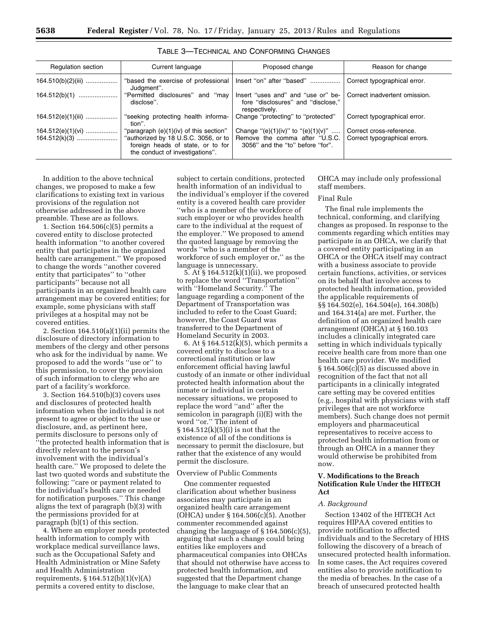| Regulation section   | Current language                                                                                                                                       | Proposed change                                                                                          | Reason for change                                         |
|----------------------|--------------------------------------------------------------------------------------------------------------------------------------------------------|----------------------------------------------------------------------------------------------------------|-----------------------------------------------------------|
| $164.510(b)(2)(iii)$ | "based the exercise of professional<br>Judgment".                                                                                                      | lnsert "on" after "based"                                                                                | Correct typographical error.                              |
|                      | "Permitted disclosures" and "may<br>disclose".                                                                                                         | lnsert "uses and" and "use or" be-<br>fore "disclosures" and "disclose."<br>respectively.                | Correct inadvertent omission.                             |
| $164.512(e)(1)(iii)$ | "seeking protecting health informa-<br>tion".                                                                                                          | Change "protecting" to "protected"                                                                       | Correct typographical error.                              |
| $164.512(e)(1)(vi)$  | "paragraph (e)(1)(iv) of this section"<br>"authorized by 18 U.S.C. 3056, or to<br>foreign heads of state, or to for<br>the conduct of investigations". | Change "(e)(1)(iv)" to "(e)(1)(v)"<br>Remove the comma after "U.S.C.<br>3056" and the "to" before "for". | Correct cross-reference.<br>Correct typographical errors. |

TABLE 3—TECHNICAL AND CONFORMING CHANGES

In addition to the above technical changes, we proposed to make a few clarifications to existing text in various provisions of the regulation not otherwise addressed in the above preamble. These are as follows.

1. Section 164.506(c)(5) permits a covered entity to disclose protected health information ''to another covered entity that participates in the organized health care arrangement.'' We proposed to change the words ''another covered entity that participates'' to ''other participants'' because not all participants in an organized health care arrangement may be covered entities; for example, some physicians with staff privileges at a hospital may not be covered entities.

2. Section 164.510(a)(1)(ii) permits the disclosure of directory information to members of the clergy and other persons who ask for the individual by name. We proposed to add the words ''use or'' to this permission, to cover the provision of such information to clergy who are part of a facility's workforce.

3. Section 164.510(b)(3) covers uses and disclosures of protected health information when the individual is not present to agree or object to the use or disclosure, and, as pertinent here, permits disclosure to persons only of ''the protected health information that is directly relevant to the person's involvement with the individual's health care.'' We proposed to delete the last two quoted words and substitute the following: ''care or payment related to the individual's health care or needed for notification purposes.'' This change aligns the text of paragraph (b)(3) with the permissions provided for at paragraph (b)(1) of this section.

4. Where an employer needs protected health information to comply with workplace medical surveillance laws, such as the Occupational Safety and Health Administration or Mine Safety and Health Administration requirements,  $§ 164.512(b)(1)(v)(A)$ permits a covered entity to disclose,

subject to certain conditions, protected health information of an individual to the individual's employer if the covered entity is a covered health care provider ''who is a member of the workforce of such employer or who provides health care to the individual at the request of the employer.'' We proposed to amend the quoted language by removing the words ''who is a member of the workforce of such employer or,'' as the language is unnecessary.

5. At  $\S 164.512(k)(1)(ii)$ , we proposed to replace the word ''Transportation'' with "Homeland Security." The language regarding a component of the Department of Transportation was included to refer to the Coast Guard; however, the Coast Guard was transferred to the Department of Homeland Security in 2003.

6. At  $\S 164.512(k)(5)$ , which permits a covered entity to disclose to a correctional institution or law enforcement official having lawful custody of an inmate or other individual protected health information about the inmate or individual in certain necessary situations, we proposed to replace the word ''and'' after the semicolon in paragraph (i)(E) with the word ''or.'' The intent of § 164.512(k)(5)(i) is not that the existence of all of the conditions is necessary to permit the disclosure, but rather that the existence of any would permit the disclosure.

# Overview of Public Comments

One commenter requested clarification about whether business associates may participate in an organized health care arrangement (OHCA) under § 164.506(c)(5). Another commenter recommended against changing the language of § 164.506(c)(5), arguing that such a change could bring entities like employers and pharmaceutical companies into OHCAs that should not otherwise have access to protected health information, and suggested that the Department change the language to make clear that an

OHCA may include only professional staff members.

# Final Rule

The final rule implements the technical, conforming, and clarifying changes as proposed. In response to the comments regarding which entities may participate in an OHCA, we clarify that a covered entity participating in an OHCA or the OHCA itself may contract with a business associate to provide certain functions, activities, or services on its behalf that involve access to protected health information, provided the applicable requirements of §§ 164.502(e), 164.504(e), 164.308(b) and 164.314(a) are met. Further, the definition of an organized health care arrangement (OHCA) at § 160.103 includes a clinically integrated care setting in which individuals typically receive health care from more than one health care provider. We modified  $§ 164.506(c)(5)$  as discussed above in recognition of the fact that not all participants in a clinically integrated care setting may be covered entities (e.g., hospital with physicians with staff privileges that are not workforce members). Such change does not permit employers and pharmaceutical representatives to receive access to protected health information from or through an OHCA in a manner they would otherwise be prohibited from now.

# **V. Modifications to the Breach Notification Rule Under the HITECH Act**

### *A. Background*

Section 13402 of the HITECH Act requires HIPAA covered entities to provide notification to affected individuals and to the Secretary of HHS following the discovery of a breach of unsecured protected health information. In some cases, the Act requires covered entities also to provide notification to the media of breaches. In the case of a breach of unsecured protected health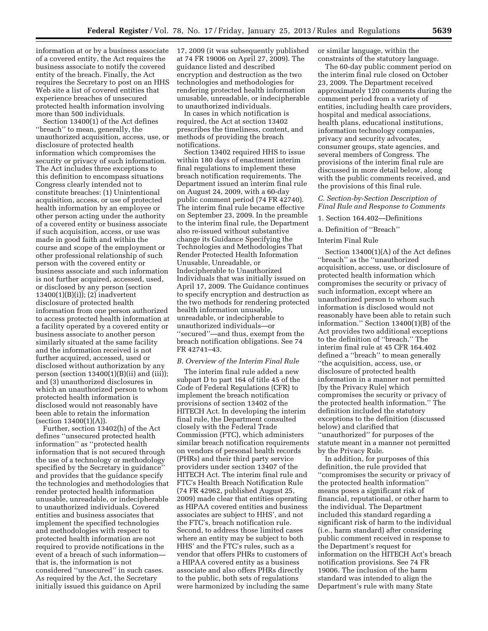information at or by a business associate of a covered entity, the Act requires the business associate to notify the covered entity of the breach. Finally, the Act requires the Secretary to post on an HHS Web site a list of covered entities that experience breaches of unsecured protected health information involving more than 500 individuals.

Section 13400(1) of the Act defines ''breach'' to mean, generally, the unauthorized acquisition, access, use, or disclosure of protected health information which compromises the security or privacy of such information. The Act includes three exceptions to this definition to encompass situations Congress clearly intended not to constitute breaches: (1) Unintentional acquisition, access, or use of protected health information by an employee or other person acting under the authority of a covered entity or business associate if such acquisition, access, or use was made in good faith and within the course and scope of the employment or other professional relationship of such person with the covered entity or business associate and such information is not further acquired, accessed, used, or disclosed by any person (section 13400(1)(B)(i)); (2) inadvertent disclosure of protected health information from one person authorized to access protected health information at a facility operated by a covered entity or business associate to another person similarly situated at the same facility and the information received is not further acquired, accessed, used or disclosed without authorization by any person (section  $13400(1)(B)(ii)$  and (iii)); and (3) unauthorized disclosures in which an unauthorized person to whom protected health information is disclosed would not reasonably have been able to retain the information (section 13400(1)(A)).

Further, section 13402(h) of the Act defines ''unsecured protected health information'' as ''protected health information that is not secured through the use of a technology or methodology specified by the Secretary in guidance'' and provides that the guidance specify the technologies and methodologies that render protected health information unusable, unreadable, or indecipherable to unauthorized individuals. Covered entities and business associates that implement the specified technologies and methodologies with respect to protected health information are not required to provide notifications in the event of a breach of such information that is, the information is not considered ''unsecured'' in such cases. As required by the Act, the Secretary initially issued this guidance on April

17, 2009 (it was subsequently published at 74 FR 19006 on April 27, 2009). The guidance listed and described encryption and destruction as the two technologies and methodologies for rendering protected health information unusable, unreadable, or indecipherable to unauthorized individuals.

In cases in which notification is required, the Act at section 13402 prescribes the timeliness, content, and methods of providing the breach notifications.

Section 13402 required HHS to issue within 180 days of enactment interim final regulations to implement these breach notification requirements. The Department issued an interim final rule on August 24, 2009, with a 60-day public comment period (74 FR 42740). The interim final rule became effective on September 23, 2009. In the preamble to the interim final rule, the Department also re-issued without substantive change its Guidance Specifying the Technologies and Methodologies That Render Protected Health Information Unusable, Unreadable, or Indecipherable to Unauthorized Individuals that was initially issued on April 17, 2009. The Guidance continues to specify encryption and destruction as the two methods for rendering protected health information unusable, unreadable, or indecipherable to unauthorized individuals—or ''secured''—and thus, exempt from the breach notification obligations. See 74 FR 42741–43.

# *B. Overview of the Interim Final Rule*

The interim final rule added a new subpart D to part 164 of title 45 of the Code of Federal Regulations (CFR) to implement the breach notification provisions of section 13402 of the HITECH Act. In developing the interim final rule, the Department consulted closely with the Federal Trade Commission (FTC), which administers similar breach notification requirements on vendors of personal health records (PHRs) and their third party service providers under section 13407 of the HITECH Act. The interim final rule and FTC's Health Breach Notification Rule (74 FR 42962, published August 25, 2009) made clear that entities operating as HIPAA covered entities and business associates are subject to HHS', and not the FTC's, breach notification rule. Second, to address those limited cases where an entity may be subject to both HHS' and the FTC's rules, such as a vendor that offers PHRs to customers of a HIPAA covered entity as a business associate and also offers PHRs directly to the public, both sets of regulations were harmonized by including the same

or similar language, within the constraints of the statutory language.

The 60-day public comment period on the interim final rule closed on October 23, 2009. The Department received approximately 120 comments during the comment period from a variety of entities, including health care providers, hospital and medical associations, health plans, educational institutions, information technology companies, privacy and security advocates, consumer groups, state agencies, and several members of Congress. The provisions of the interim final rule are discussed in more detail below, along with the public comments received, and the provisions of this final rule.

### *C. Section-by-Section Description of Final Rule and Response to Comments*

- 1. Section 164.402—Definitions
- a. Definition of ''Breach''

#### Interim Final Rule

Section 13400(1)(A) of the Act defines ''breach'' as the ''unauthorized acquisition, access, use, or disclosure of protected health information which compromises the security or privacy of such information, except where an unauthorized person to whom such information is disclosed would not reasonably have been able to retain such information.'' Section 13400(1)(B) of the Act provides two additional exceptions to the definition of ''breach.'' The interim final rule at 45 CFR 164.402 defined a ''breach'' to mean generally ''the acquisition, access, use, or disclosure of protected health information in a manner not permitted [by the Privacy Rule] which compromises the security or privacy of the protected health information.'' The definition included the statutory exceptions to the definition (discussed below) and clarified that ''unauthorized'' for purposes of the statute meant in a manner not permitted by the Privacy Rule.

In addition, for purposes of this definition, the rule provided that ''compromises the security or privacy of the protected health information'' means poses a significant risk of financial, reputational, or other harm to the individual. The Department included this standard regarding a significant risk of harm to the individual (i.e., harm standard) after considering public comment received in response to the Department's request for information on the HITECH Act's breach notification provisions. See 74 FR 19006. The inclusion of the harm standard was intended to align the Department's rule with many State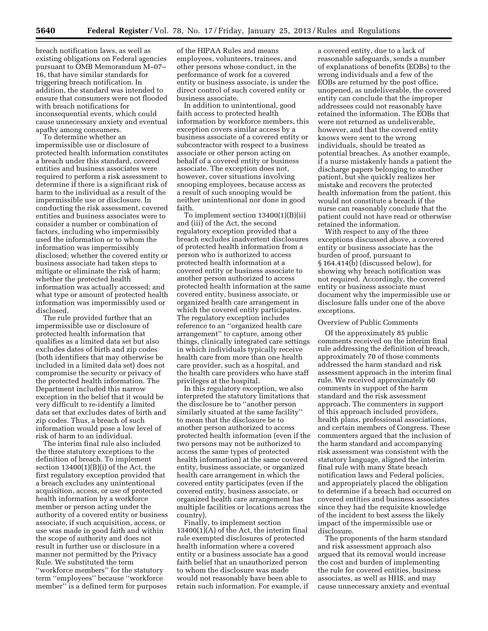breach notification laws, as well as existing obligations on Federal agencies pursuant to OMB Memorandum M–07– 16, that have similar standards for triggering breach notification. In addition, the standard was intended to ensure that consumers were not flooded with breach notifications for inconsequential events, which could cause unnecessary anxiety and eventual apathy among consumers.

To determine whether an impermissible use or disclosure of protected health information constitutes a breach under this standard, covered entities and business associates were required to perform a risk assessment to determine if there is a significant risk of harm to the individual as a result of the impermissible use or disclosure. In conducting the risk assessment, covered entities and business associates were to consider a number or combination of factors, including who impermissibly used the information or to whom the information was impermissibly disclosed; whether the covered entity or business associate had taken steps to mitigate or eliminate the risk of harm; whether the protected health information was actually accessed; and what type or amount of protected health information was impermissibly used or disclosed.

The rule provided further that an impermissible use or disclosure of protected health information that qualifies as a limited data set but also excludes dates of birth and zip codes (both identifiers that may otherwise be included in a limited data set) does not compromise the security or privacy of the protected health information. The Department included this narrow exception in the belief that it would be very difficult to re-identify a limited data set that excludes dates of birth and zip codes. Thus, a breach of such information would pose a low level of risk of harm to an individual.

The interim final rule also included the three statutory exceptions to the definition of breach. To implement section  $13400(1)(B)(i)$  of the Act, the first regulatory exception provided that a breach excludes any unintentional acquisition, access, or use of protected health information by a workforce member or person acting under the authority of a covered entity or business associate, if such acquisition, access, or use was made in good faith and within the scope of authority and does not result in further use or disclosure in a manner not permitted by the Privacy Rule. We substituted the term ''workforce members'' for the statutory term ''employees'' because ''workforce member'' is a defined term for purposes

of the HIPAA Rules and means employees, volunteers, trainees, and other persons whose conduct, in the performance of work for a covered entity or business associate, is under the direct control of such covered entity or business associate.

In addition to unintentional, good faith access to protected health information by workforce members, this exception covers similar access by a business associate of a covered entity or subcontractor with respect to a business associate or other person acting on behalf of a covered entity or business associate. The exception does not, however, cover situations involving snooping employees, because access as a result of such snooping would be neither unintentional nor done in good faith.

To implement section 13400(1)(B)(ii) and (iii) of the Act, the second regulatory exception provided that a breach excludes inadvertent disclosures of protected health information from a person who is authorized to access protected health information at a covered entity or business associate to another person authorized to access protected health information at the same covered entity, business associate, or organized health care arrangement in which the covered entity participates. The regulatory exception includes reference to an ''organized health care arrangement'' to capture, among other things, clinically integrated care settings in which individuals typically receive health care from more than one health care provider, such as a hospital, and the health care providers who have staff privileges at the hospital.

In this regulatory exception, we also interpreted the statutory limitations that the disclosure be to ''another person similarly situated at the same facility'' to mean that the disclosure be to another person authorized to access protected health information (even if the two persons may not be authorized to access the same types of protected health information) at the same covered entity, business associate, or organized health care arrangement in which the covered entity participates (even if the covered entity, business associate, or organized health care arrangement has multiple facilities or locations across the country).

Finally, to implement section 13400(1)(A) of the Act, the interim final rule exempted disclosures of protected health information where a covered entity or a business associate has a good faith belief that an unauthorized person to whom the disclosure was made would not reasonably have been able to retain such information. For example, if

a covered entity, due to a lack of reasonable safeguards, sends a number of explanations of benefits (EOBs) to the wrong individuals and a few of the EOBs are returned by the post office, unopened, as undeliverable, the covered entity can conclude that the improper addressees could not reasonably have retained the information. The EOBs that were not returned as undeliverable, however, and that the covered entity knows were sent to the wrong individuals, should be treated as potential breaches. As another example, if a nurse mistakenly hands a patient the discharge papers belonging to another patient, but she quickly realizes her mistake and recovers the protected health information from the patient, this would not constitute a breach if the nurse can reasonably conclude that the patient could not have read or otherwise retained the information.

With respect to any of the three exceptions discussed above, a covered entity or business associate has the burden of proof, pursuant to § 164.414(b) (discussed below), for showing why breach notification was not required. Accordingly, the covered entity or business associate must document why the impermissible use or disclosure falls under one of the above exceptions.

# Overview of Public Comments

Of the approximately 85 public comments received on the interim final rule addressing the definition of breach, approximately 70 of those comments addressed the harm standard and risk assessment approach in the interim final rule. We received approximately 60 comments in support of the harm standard and the risk assessment approach. The commenters in support of this approach included providers, health plans, professional associations, and certain members of Congress. These commenters argued that the inclusion of the harm standard and accompanying risk assessment was consistent with the statutory language, aligned the interim final rule with many State breach notification laws and Federal policies, and appropriately placed the obligation to determine if a breach had occurred on covered entities and business associates since they had the requisite knowledge of the incident to best assess the likely impact of the impermissible use or disclosure.

The proponents of the harm standard and risk assessment approach also argued that its removal would increase the cost and burden of implementing the rule for covered entities, business associates, as well as HHS, and may cause unnecessary anxiety and eventual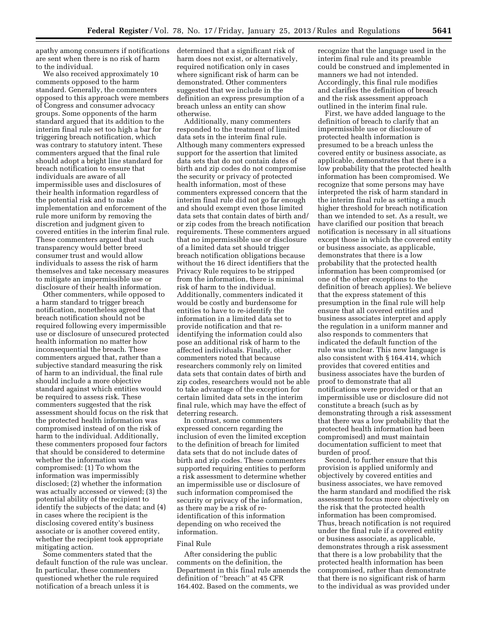apathy among consumers if notifications are sent when there is no risk of harm to the individual.

We also received approximately 10 comments opposed to the harm standard. Generally, the commenters opposed to this approach were members of Congress and consumer advocacy groups. Some opponents of the harm standard argued that its addition to the interim final rule set too high a bar for triggering breach notification, which was contrary to statutory intent. These commenters argued that the final rule should adopt a bright line standard for breach notification to ensure that individuals are aware of all impermissible uses and disclosures of their health information regardless of the potential risk and to make implementation and enforcement of the rule more uniform by removing the discretion and judgment given to covered entities in the interim final rule. These commenters argued that such transparency would better breed consumer trust and would allow individuals to assess the risk of harm themselves and take necessary measures to mitigate an impermissible use or disclosure of their health information.

Other commenters, while opposed to a harm standard to trigger breach notification, nonetheless agreed that breach notification should not be required following every impermissible use or disclosure of unsecured protected health information no matter how inconsequential the breach. These commenters argued that, rather than a subjective standard measuring the risk of harm to an individual, the final rule should include a more objective standard against which entities would be required to assess risk. These commenters suggested that the risk assessment should focus on the risk that the protected health information was compromised instead of on the risk of harm to the individual. Additionally, these commenters proposed four factors that should be considered to determine whether the information was compromised: (1) To whom the information was impermissibly disclosed; (2) whether the information was actually accessed or viewed; (3) the potential ability of the recipient to identify the subjects of the data; and (4) in cases where the recipient is the disclosing covered entity's business associate or is another covered entity, whether the recipient took appropriate mitigating action.

Some commenters stated that the default function of the rule was unclear. In particular, these commenters questioned whether the rule required notification of a breach unless it is

determined that a significant risk of harm does not exist, or alternatively, required notification only in cases where significant risk of harm can be demonstrated. Other commenters suggested that we include in the definition an express presumption of a breach unless an entity can show otherwise.

Additionally, many commenters responded to the treatment of limited data sets in the interim final rule. Although many commenters expressed support for the assertion that limited data sets that do not contain dates of birth and zip codes do not compromise the security or privacy of protected health information, most of these commenters expressed concern that the interim final rule did not go far enough and should exempt even those limited data sets that contain dates of birth and/ or zip codes from the breach notification requirements. These commenters argued that no impermissible use or disclosure of a limited data set should trigger breach notification obligations because without the 16 direct identifiers that the Privacy Rule requires to be stripped from the information, there is minimal risk of harm to the individual. Additionally, commenters indicated it would be costly and burdensome for entities to have to re-identify the information in a limited data set to provide notification and that reidentifying the information could also pose an additional risk of harm to the affected individuals. Finally, other commenters noted that because researchers commonly rely on limited data sets that contain dates of birth and zip codes, researchers would not be able to take advantage of the exception for certain limited data sets in the interim final rule, which may have the effect of deterring research.

In contrast, some commenters expressed concern regarding the inclusion of even the limited exception to the definition of breach for limited data sets that do not include dates of birth and zip codes. These commenters supported requiring entities to perform a risk assessment to determine whether an impermissible use or disclosure of such information compromised the security or privacy of the information, as there may be a risk of reidentification of this information depending on who received the information.

### Final Rule

After considering the public comments on the definition, the Department in this final rule amends the definition of ''breach'' at 45 CFR 164.402. Based on the comments, we

recognize that the language used in the interim final rule and its preamble could be construed and implemented in manners we had not intended. Accordingly, this final rule modifies and clarifies the definition of breach and the risk assessment approach outlined in the interim final rule.

First, we have added language to the definition of breach to clarify that an impermissible use or disclosure of protected health information is presumed to be a breach unless the covered entity or business associate, as applicable, demonstrates that there is a low probability that the protected health information has been compromised. We recognize that some persons may have interpreted the risk of harm standard in the interim final rule as setting a much higher threshold for breach notification than we intended to set. As a result, we have clarified our position that breach notification is necessary in all situations except those in which the covered entity or business associate, as applicable, demonstrates that there is a low probability that the protected health information has been compromised (or one of the other exceptions to the definition of breach applies). We believe that the express statement of this presumption in the final rule will help ensure that all covered entities and business associates interpret and apply the regulation in a uniform manner and also responds to commenters that indicated the default function of the rule was unclear. This new language is also consistent with § 164.414, which provides that covered entities and business associates have the burden of proof to demonstrate that all notifications were provided or that an impermissible use or disclosure did not constitute a breach (such as by demonstrating through a risk assessment that there was a low probability that the protected health information had been compromised) and must maintain documentation sufficient to meet that burden of proof.

Second, to further ensure that this provision is applied uniformly and objectively by covered entities and business associates, we have removed the harm standard and modified the risk assessment to focus more objectively on the risk that the protected health information has been compromised. Thus, breach notification is not required under the final rule if a covered entity or business associate, as applicable, demonstrates through a risk assessment that there is a low probability that the protected health information has been compromised, rather than demonstrate that there is no significant risk of harm to the individual as was provided under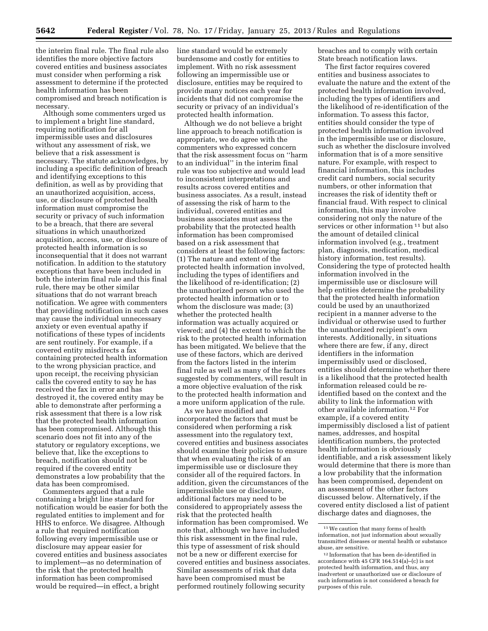the interim final rule. The final rule also identifies the more objective factors covered entities and business associates must consider when performing a risk assessment to determine if the protected health information has been compromised and breach notification is

necessary. Although some commenters urged us to implement a bright line standard, requiring notification for all impermissible uses and disclosures without any assessment of risk, we believe that a risk assessment is necessary. The statute acknowledges, by including a specific definition of breach and identifying exceptions to this definition, as well as by providing that an unauthorized acquisition, access, use, or disclosure of protected health information must compromise the security or privacy of such information to be a breach, that there are several situations in which unauthorized acquisition, access, use, or disclosure of protected health information is so inconsequential that it does not warrant notification. In addition to the statutory exceptions that have been included in both the interim final rule and this final rule, there may be other similar situations that do not warrant breach notification. We agree with commenters that providing notification in such cases may cause the individual unnecessary anxiety or even eventual apathy if notifications of these types of incidents are sent routinely. For example, if a covered entity misdirects a fax containing protected health information to the wrong physician practice, and upon receipt, the receiving physician calls the covered entity to say he has received the fax in error and has destroyed it, the covered entity may be able to demonstrate after performing a risk assessment that there is a low risk that the protected health information has been compromised. Although this scenario does not fit into any of the statutory or regulatory exceptions, we believe that, like the exceptions to breach, notification should not be required if the covered entity demonstrates a low probability that the data has been compromised.

Commenters argued that a rule containing a bright line standard for notification would be easier for both the regulated entities to implement and for HHS to enforce. We disagree. Although a rule that required notification following every impermissible use or disclosure may appear easier for covered entities and business associates to implement—as no determination of the risk that the protected health information has been compromised would be required—in effect, a bright

line standard would be extremely burdensome and costly for entities to implement. With no risk assessment following an impermissible use or disclosure, entities may be required to provide many notices each year for incidents that did not compromise the security or privacy of an individual's protected health information.

Although we do not believe a bright line approach to breach notification is appropriate, we do agree with the commenters who expressed concern that the risk assessment focus on ''harm to an individual'' in the interim final rule was too subjective and would lead to inconsistent interpretations and results across covered entities and business associates. As a result, instead of assessing the risk of harm to the individual, covered entities and business associates must assess the probability that the protected health information has been compromised based on a risk assessment that considers at least the following factors: (1) The nature and extent of the protected health information involved, including the types of identifiers and the likelihood of re-identification; (2) the unauthorized person who used the protected health information or to whom the disclosure was made; (3) whether the protected health information was actually acquired or viewed; and (4) the extent to which the risk to the protected health information has been mitigated. We believe that the use of these factors, which are derived from the factors listed in the interim final rule as well as many of the factors suggested by commenters, will result in a more objective evaluation of the risk to the protected health information and a more uniform application of the rule.

As we have modified and incorporated the factors that must be considered when performing a risk assessment into the regulatory text, covered entities and business associates should examine their policies to ensure that when evaluating the risk of an impermissible use or disclosure they consider all of the required factors. In addition, given the circumstances of the impermissible use or disclosure, additional factors may need to be considered to appropriately assess the risk that the protected health information has been compromised. We note that, although we have included this risk assessment in the final rule, this type of assessment of risk should not be a new or different exercise for covered entities and business associates. Similar assessments of risk that data have been compromised must be performed routinely following security

breaches and to comply with certain State breach notification laws.

The first factor requires covered entities and business associates to evaluate the nature and the extent of the protected health information involved, including the types of identifiers and the likelihood of re-identification of the information. To assess this factor, entities should consider the type of protected health information involved in the impermissible use or disclosure, such as whether the disclosure involved information that is of a more sensitive nature. For example, with respect to financial information, this includes credit card numbers, social security numbers, or other information that increases the risk of identity theft or financial fraud. With respect to clinical information, this may involve considering not only the nature of the services or other information <sup>11</sup> but also the amount of detailed clinical information involved (e.g., treatment plan, diagnosis, medication, medical history information, test results). Considering the type of protected health information involved in the impermissible use or disclosure will help entities determine the probability that the protected health information could be used by an unauthorized recipient in a manner adverse to the individual or otherwise used to further the unauthorized recipient's own interests. Additionally, in situations where there are few, if any, direct identifiers in the information impermissibly used or disclosed, entities should determine whether there is a likelihood that the protected health information released could be reidentified based on the context and the ability to link the information with other available information.12 For example, if a covered entity impermissibly disclosed a list of patient names, addresses, and hospital identification numbers, the protected health information is obviously identifiable, and a risk assessment likely would determine that there is more than a low probability that the information has been compromised, dependent on an assessment of the other factors discussed below. Alternatively, if the covered entity disclosed a list of patient discharge dates and diagnoses, the

<sup>11</sup>We caution that many forms of health information, not just information about sexually transmitted diseases or mental health or substance abuse, are sensitive.

<sup>12</sup> Information that has been de-identified in accordance with 45 CFR 164.514(a)–(c) is not protected health information, and thus, any inadvertent or unauthorized use or disclosure of such information is not considered a breach for purposes of this rule.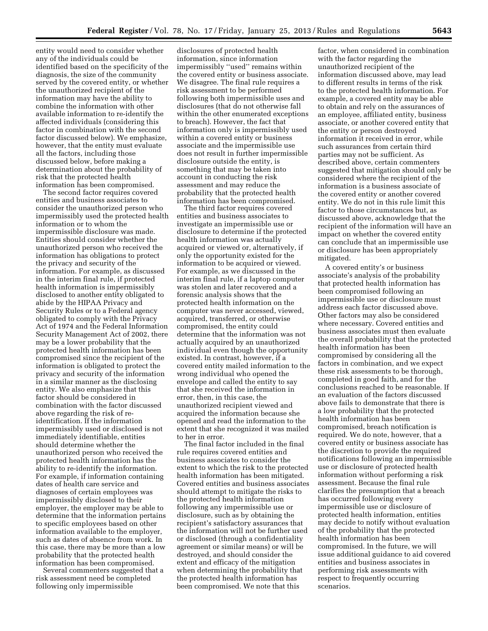entity would need to consider whether any of the individuals could be identified based on the specificity of the diagnosis, the size of the community served by the covered entity, or whether the unauthorized recipient of the information may have the ability to combine the information with other available information to re-identify the affected individuals (considering this factor in combination with the second factor discussed below). We emphasize, however, that the entity must evaluate all the factors, including those discussed below, before making a determination about the probability of risk that the protected health information has been compromised.

The second factor requires covered entities and business associates to consider the unauthorized person who impermissibly used the protected health information or to whom the impermissible disclosure was made. Entities should consider whether the unauthorized person who received the information has obligations to protect the privacy and security of the information. For example, as discussed in the interim final rule, if protected health information is impermissibly disclosed to another entity obligated to abide by the HIPAA Privacy and Security Rules or to a Federal agency obligated to comply with the Privacy Act of 1974 and the Federal Information Security Management Act of 2002, there may be a lower probability that the protected health information has been compromised since the recipient of the information is obligated to protect the privacy and security of the information in a similar manner as the disclosing entity. We also emphasize that this factor should be considered in combination with the factor discussed above regarding the risk of reidentification. If the information impermissibly used or disclosed is not immediately identifiable, entities should determine whether the unauthorized person who received the protected health information has the ability to re-identify the information. For example, if information containing dates of health care service and diagnoses of certain employees was impermissibly disclosed to their employer, the employer may be able to determine that the information pertains to specific employees based on other information available to the employer, such as dates of absence from work. In this case, there may be more than a low probability that the protected health information has been compromised.

Several commenters suggested that a risk assessment need be completed following only impermissible

disclosures of protected health information, since information impermissibly ''used'' remains within the covered entity or business associate. We disagree. The final rule requires a risk assessment to be performed following both impermissible uses and disclosures (that do not otherwise fall within the other enumerated exceptions to breach). However, the fact that information only is impermissibly used within a covered entity or business associate and the impermissible use does not result in further impermissible disclosure outside the entity, is something that may be taken into account in conducting the risk assessment and may reduce the probability that the protected health information has been compromised.

The third factor requires covered entities and business associates to investigate an impermissible use or disclosure to determine if the protected health information was actually acquired or viewed or, alternatively, if only the opportunity existed for the information to be acquired or viewed. For example, as we discussed in the interim final rule, if a laptop computer was stolen and later recovered and a forensic analysis shows that the protected health information on the computer was never accessed, viewed, acquired, transferred, or otherwise compromised, the entity could determine that the information was not actually acquired by an unauthorized individual even though the opportunity existed. In contrast, however, if a covered entity mailed information to the wrong individual who opened the envelope and called the entity to say that she received the information in error, then, in this case, the unauthorized recipient viewed and acquired the information because she opened and read the information to the extent that she recognized it was mailed to her in error.

The final factor included in the final rule requires covered entities and business associates to consider the extent to which the risk to the protected health information has been mitigated. Covered entities and business associates should attempt to mitigate the risks to the protected health information following any impermissible use or disclosure, such as by obtaining the recipient's satisfactory assurances that the information will not be further used or disclosed (through a confidentiality agreement or similar means) or will be destroyed, and should consider the extent and efficacy of the mitigation when determining the probability that the protected health information has been compromised. We note that this

factor, when considered in combination with the factor regarding the unauthorized recipient of the information discussed above, may lead to different results in terms of the risk to the protected health information. For example, a covered entity may be able to obtain and rely on the assurances of an employee, affiliated entity, business associate, or another covered entity that the entity or person destroyed information it received in error, while such assurances from certain third parties may not be sufficient. As described above, certain commenters suggested that mitigation should only be considered where the recipient of the information is a business associate of the covered entity or another covered entity. We do not in this rule limit this factor to those circumstances but, as discussed above, acknowledge that the recipient of the information will have an impact on whether the covered entity can conclude that an impermissible use or disclosure has been appropriately mitigated.

A covered entity's or business associate's analysis of the probability that protected health information has been compromised following an impermissible use or disclosure must address each factor discussed above. Other factors may also be considered where necessary. Covered entities and business associates must then evaluate the overall probability that the protected health information has been compromised by considering all the factors in combination, and we expect these risk assessments to be thorough, completed in good faith, and for the conclusions reached to be reasonable. If an evaluation of the factors discussed above fails to demonstrate that there is a low probability that the protected health information has been compromised, breach notification is required. We do note, however, that a covered entity or business associate has the discretion to provide the required notifications following an impermissible use or disclosure of protected health information without performing a risk assessment. Because the final rule clarifies the presumption that a breach has occurred following every impermissible use or disclosure of protected health information, entities may decide to notify without evaluation of the probability that the protected health information has been compromised. In the future, we will issue additional guidance to aid covered entities and business associates in performing risk assessments with respect to frequently occurring scenarios.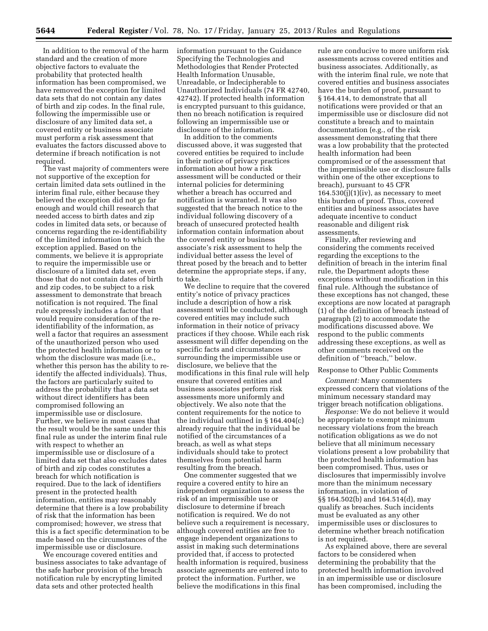In addition to the removal of the harm standard and the creation of more objective factors to evaluate the probability that protected health information has been compromised, we have removed the exception for limited data sets that do not contain any dates of birth and zip codes. In the final rule, following the impermissible use or disclosure of any limited data set, a covered entity or business associate must perform a risk assessment that evaluates the factors discussed above to determine if breach notification is not required.

The vast majority of commenters were not supportive of the exception for certain limited data sets outlined in the interim final rule, either because they believed the exception did not go far enough and would chill research that needed access to birth dates and zip codes in limited data sets, or because of concerns regarding the re-identifiability of the limited information to which the exception applied. Based on the comments, we believe it is appropriate to require the impermissible use or disclosure of a limited data set, even those that do not contain dates of birth and zip codes, to be subject to a risk assessment to demonstrate that breach notification is not required. The final rule expressly includes a factor that would require consideration of the reidentifiability of the information, as well a factor that requires an assessment of the unauthorized person who used the protected health information or to whom the disclosure was made (i.e., whether this person has the ability to reidentify the affected individuals). Thus, the factors are particularly suited to address the probability that a data set without direct identifiers has been compromised following an impermissible use or disclosure. Further, we believe in most cases that the result would be the same under this final rule as under the interim final rule with respect to whether an impermissible use or disclosure of a limited data set that also excludes dates of birth and zip codes constitutes a breach for which notification is required. Due to the lack of identifiers present in the protected health information, entities may reasonably determine that there is a low probability of risk that the information has been compromised; however, we stress that this is a fact specific determination to be made based on the circumstances of the impermissible use or disclosure.

We encourage covered entities and business associates to take advantage of the safe harbor provision of the breach notification rule by encrypting limited data sets and other protected health

information pursuant to the Guidance Specifying the Technologies and Methodologies that Render Protected Health Information Unusable, Unreadable, or Indecipherable to Unauthorized Individuals (74 FR 42740, 42742). If protected health information is encrypted pursuant to this guidance, then no breach notification is required following an impermissible use or disclosure of the information.

In addition to the comments discussed above, it was suggested that covered entities be required to include in their notice of privacy practices information about how a risk assessment will be conducted or their internal policies for determining whether a breach has occurred and notification is warranted. It was also suggested that the breach notice to the individual following discovery of a breach of unsecured protected health information contain information about the covered entity or business associate's risk assessment to help the individual better assess the level of threat posed by the breach and to better determine the appropriate steps, if any, to take.

We decline to require that the covered entity's notice of privacy practices include a description of how a risk assessment will be conducted, although covered entities may include such information in their notice of privacy practices if they choose. While each risk assessment will differ depending on the specific facts and circumstances surrounding the impermissible use or disclosure, we believe that the modifications in this final rule will help ensure that covered entities and business associates perform risk assessments more uniformly and objectively. We also note that the content requirements for the notice to the individual outlined in § 164.404(c) already require that the individual be notified of the circumstances of a breach, as well as what steps individuals should take to protect themselves from potential harm resulting from the breach.

One commenter suggested that we require a covered entity to hire an independent organization to assess the risk of an impermissible use or disclosure to determine if breach notification is required. We do not believe such a requirement is necessary, although covered entities are free to engage independent organizations to assist in making such determinations provided that, if access to protected health information is required, business associate agreements are entered into to protect the information. Further, we believe the modifications in this final

rule are conducive to more uniform risk assessments across covered entities and business associates. Additionally, as with the interim final rule, we note that covered entities and business associates have the burden of proof, pursuant to § 164.414, to demonstrate that all notifications were provided or that an impermissible use or disclosure did not constitute a breach and to maintain documentation (e.g., of the risk assessment demonstrating that there was a low probability that the protected health information had been compromised or of the assessment that the impermissible use or disclosure falls within one of the other exceptions to breach), pursuant to 45 CFR  $164.530(j)(1)(iv)$ , as necessary to meet this burden of proof. Thus, covered entities and business associates have adequate incentive to conduct reasonable and diligent risk assessments.

Finally, after reviewing and considering the comments received regarding the exceptions to the definition of breach in the interim final rule, the Department adopts these exceptions without modification in this final rule. Although the substance of these exceptions has not changed, these exceptions are now located at paragraph (1) of the definition of breach instead of paragraph (2) to accommodate the modifications discussed above. We respond to the public comments addressing these exceptions, as well as other comments received on the definition of ''breach,'' below.

### Response to Other Public Comments

*Comment:* Many commenters expressed concern that violations of the minimum necessary standard may trigger breach notification obligations.

*Response:* We do not believe it would be appropriate to exempt minimum necessary violations from the breach notification obligations as we do not believe that all minimum necessary violations present a low probability that the protected health information has been compromised. Thus, uses or disclosures that impermissibly involve more than the minimum necessary information, in violation of §§ 164.502(b) and 164.514(d), may qualify as breaches. Such incidents must be evaluated as any other impermissible uses or disclosures to determine whether breach notification is not required.

As explained above, there are several factors to be considered when determining the probability that the protected health information involved in an impermissible use or disclosure has been compromised, including the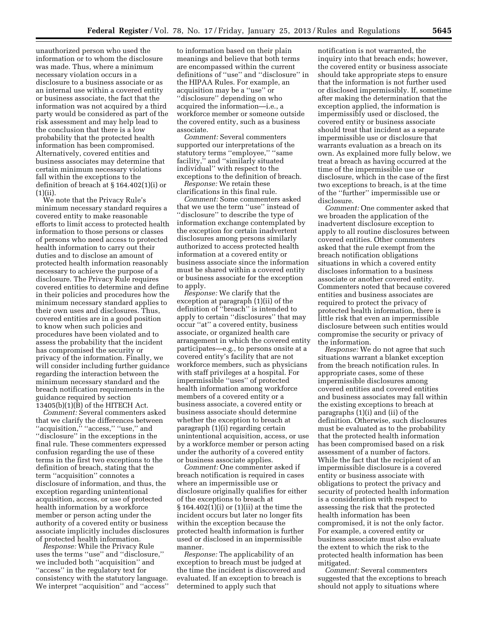unauthorized person who used the information or to whom the disclosure was made. Thus, where a minimum necessary violation occurs in a disclosure to a business associate or as an internal use within a covered entity or business associate, the fact that the information was not acquired by a third party would be considered as part of the risk assessment and may help lead to the conclusion that there is a low probability that the protected health information has been compromised. Alternatively, covered entities and business associates may determine that certain minimum necessary violations fall within the exceptions to the definition of breach at § 164.402(1)(i) or  $(1)(ii)$ .

We note that the Privacy Rule's minimum necessary standard requires a covered entity to make reasonable efforts to limit access to protected health information to those persons or classes of persons who need access to protected health information to carry out their duties and to disclose an amount of protected health information reasonably necessary to achieve the purpose of a disclosure. The Privacy Rule requires covered entities to determine and define in their policies and procedures how the minimum necessary standard applies to their own uses and disclosures. Thus, covered entities are in a good position to know when such policies and procedures have been violated and to assess the probability that the incident has compromised the security or privacy of the information. Finally, we will consider including further guidance regarding the interaction between the minimum necessary standard and the breach notification requirements in the guidance required by section 13405(b)(1)(B) of the HITECH Act.

*Comment:* Several commenters asked that we clarify the differences between ''acquisition,'' ''access,'' ''use,'' and ''disclosure'' in the exceptions in the final rule. These commenters expressed confusion regarding the use of these terms in the first two exceptions to the definition of breach, stating that the term ''acquisition'' connotes a disclosure of information, and thus, the exception regarding unintentional acquisition, access, or use of protected health information by a workforce member or person acting under the authority of a covered entity or business associate implicitly includes disclosures of protected health information.

*Response:* While the Privacy Rule uses the terms ''use'' and ''disclosure,'' we included both ''acquisition'' and ''access'' in the regulatory text for consistency with the statutory language. We interpret ''acquisition'' and ''access'' to information based on their plain meanings and believe that both terms are encompassed within the current definitions of ''use'' and ''disclosure'' in the HIPAA Rules. For example, an acquisition may be a ''use'' or ''disclosure'' depending on who acquired the information—i.e., a workforce member or someone outside the covered entity, such as a business associate.

*Comment:* Several commenters supported our interpretations of the statutory terms ''employee,'' ''same facility,'' and ''similarly situated individual'' with respect to the exceptions to the definition of breach.

*Response:* We retain these clarifications in this final rule.

*Comment:* Some commenters asked that we use the term ''use'' instead of ''disclosure'' to describe the type of information exchange contemplated by the exception for certain inadvertent disclosures among persons similarly authorized to access protected health information at a covered entity or business associate since the information must be shared within a covered entity or business associate for the exception to apply.

*Response:* We clarify that the exception at paragraph (1)(ii) of the definition of ''breach'' is intended to apply to certain ''disclosures'' that may occur ''at'' a covered entity, business associate, or organized health care arrangement in which the covered entity participates—e.g., to persons onsite at a covered entity's facility that are not workforce members, such as physicians with staff privileges at a hospital. For impermissible ''uses'' of protected health information among workforce members of a covered entity or a business associate, a covered entity or business associate should determine whether the exception to breach at paragraph (1)(i) regarding certain unintentional acquisition, access, or use by a workforce member or person acting under the authority of a covered entity or business associate applies.

*Comment:* One commenter asked if breach notification is required in cases where an impermissible use or disclosure originally qualifies for either of the exceptions to breach at § 164.402(1)(i) or (1)(ii) at the time the incident occurs but later no longer fits within the exception because the protected health information is further used or disclosed in an impermissible manner.

*Response:* The applicability of an exception to breach must be judged at the time the incident is discovered and evaluated. If an exception to breach is determined to apply such that

notification is not warranted, the inquiry into that breach ends; however, the covered entity or business associate should take appropriate steps to ensure that the information is not further used or disclosed impermissibly. If, sometime after making the determination that the exception applied, the information is impermissibly used or disclosed, the covered entity or business associate should treat that incident as a separate impermissible use or disclosure that warrants evaluation as a breach on its own. As explained more fully below, we treat a breach as having occurred at the time of the impermissible use or disclosure, which in the case of the first two exceptions to breach, is at the time of the ''further'' impermissible use or disclosure.

*Comment:* One commenter asked that we broaden the application of the inadvertent disclosure exception to apply to all routine disclosures between covered entities. Other commenters asked that the rule exempt from the breach notification obligations situations in which a covered entity discloses information to a business associate or another covered entity. Commenters noted that because covered entities and business associates are required to protect the privacy of protected health information, there is little risk that even an impermissible disclosure between such entities would compromise the security or privacy of the information.

*Response:* We do not agree that such situations warrant a blanket exception from the breach notification rules. In appropriate cases, some of these impermissible disclosures among covered entities and covered entities and business associates may fall within the existing exceptions to breach at paragraphs (1)(i) and (ii) of the definition. Otherwise, such disclosures must be evaluated as to the probability that the protected health information has been compromised based on a risk assessment of a number of factors. While the fact that the recipient of an impermissible disclosure is a covered entity or business associate with obligations to protect the privacy and security of protected health information is a consideration with respect to assessing the risk that the protected health information has been compromised, it is not the only factor. For example, a covered entity or business associate must also evaluate the extent to which the risk to the protected health information has been mitigated.

*Comment:* Several commenters suggested that the exceptions to breach should not apply to situations where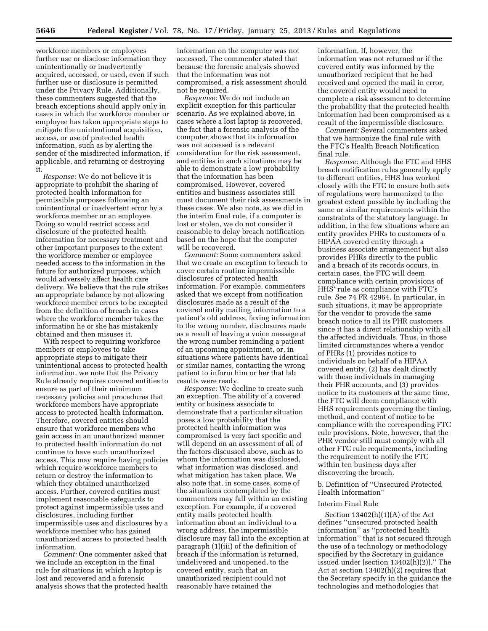workforce members or employees further use or disclose information they unintentionally or inadvertently acquired, accessed, or used, even if such further use or disclosure is permitted under the Privacy Rule. Additionally, these commenters suggested that the breach exceptions should apply only in cases in which the workforce member or employee has taken appropriate steps to mitigate the unintentional acquisition, access, or use of protected health information, such as by alerting the sender of the misdirected information, if applicable, and returning or destroying it.

*Response:* We do not believe it is appropriate to prohibit the sharing of protected health information for permissible purposes following an unintentional or inadvertent error by a workforce member or an employee. Doing so would restrict access and disclosure of the protected health information for necessary treatment and other important purposes to the extent the workforce member or employee needed access to the information in the future for authorized purposes, which would adversely affect health care delivery. We believe that the rule strikes an appropriate balance by not allowing workforce member errors to be excepted from the definition of breach in cases where the workforce member takes the information he or she has mistakenly obtained and then misuses it.

With respect to requiring workforce members or employees to take appropriate steps to mitigate their unintentional access to protected health information, we note that the Privacy Rule already requires covered entities to ensure as part of their minimum necessary policies and procedures that workforce members have appropriate access to protected health information. Therefore, covered entities should ensure that workforce members who gain access in an unauthorized manner to protected health information do not continue to have such unauthorized access. This may require having policies which require workforce members to return or destroy the information to which they obtained unauthorized access. Further, covered entities must implement reasonable safeguards to protect against impermissible uses and disclosures, including further impermissible uses and disclosures by a workforce member who has gained unauthorized access to protected health information.

*Comment:* One commenter asked that we include an exception in the final rule for situations in which a laptop is lost and recovered and a forensic analysis shows that the protected health

information on the computer was not accessed. The commenter stated that because the forensic analysis showed that the information was not compromised, a risk assessment should not be required.

*Response:* We do not include an explicit exception for this particular scenario. As we explained above, in cases where a lost laptop is recovered, the fact that a forensic analysis of the computer shows that its information was not accessed is a relevant consideration for the risk assessment, and entities in such situations may be able to demonstrate a low probability that the information has been compromised. However, covered entities and business associates still must document their risk assessments in these cases. We also note, as we did in the interim final rule, if a computer is lost or stolen, we do not consider it reasonable to delay breach notification based on the hope that the computer will be recovered.

*Comment:* Some commenters asked that we create an exception to breach to cover certain routine impermissible disclosures of protected health information. For example, commenters asked that we except from notification disclosures made as a result of the covered entity mailing information to a patient's old address, faxing information to the wrong number, disclosures made as a result of leaving a voice message at the wrong number reminding a patient of an upcoming appointment, or, in situations where patients have identical or similar names, contacting the wrong patient to inform him or her that lab results were ready.

*Response:* We decline to create such an exception. The ability of a covered entity or business associate to demonstrate that a particular situation poses a low probability that the protected health information was compromised is very fact specific and will depend on an assessment of all of the factors discussed above, such as to whom the information was disclosed, what information was disclosed, and what mitigation has taken place. We also note that, in some cases, some of the situations contemplated by the commenters may fall within an existing exception. For example, if a covered entity mails protected health information about an individual to a wrong address, the impermissible disclosure may fall into the exception at paragraph (1)(iii) of the definition of breach if the information is returned, undelivered and unopened, to the covered entity, such that an unauthorized recipient could not reasonably have retained the

information. If, however, the information was not returned or if the covered entity was informed by the unauthorized recipient that he had received and opened the mail in error, the covered entity would need to complete a risk assessment to determine the probability that the protected health information had been compromised as a result of the impermissible disclosure.

*Comment:* Several commenters asked that we harmonize the final rule with the FTC's Health Breach Notification final rule.

*Response:* Although the FTC and HHS breach notification rules generally apply to different entities, HHS has worked closely with the FTC to ensure both sets of regulations were harmonized to the greatest extent possible by including the same or similar requirements within the constraints of the statutory language. In addition, in the few situations where an entity provides PHRs to customers of a HIPAA covered entity through a business associate arrangement but also provides PHRs directly to the public and a breach of its records occurs, in certain cases, the FTC will deem compliance with certain provisions of HHS' rule as compliance with FTC's rule. See 74 FR 42964. In particular, in such situations, it may be appropriate for the vendor to provide the same breach notice to all its PHR customers since it has a direct relationship with all the affected individuals. Thus, in those limited circumstances where a vendor of PHRs (1) provides notice to individuals on behalf of a HIPAA covered entity, (2) has dealt directly with these individuals in managing their PHR accounts, and (3) provides notice to its customers at the same time, the FTC will deem compliance with HHS requirements governing the timing, method, and content of notice to be compliance with the corresponding FTC rule provisions. Note, however, that the PHR vendor still must comply with all other FTC rule requirements, including the requirement to notify the FTC within ten business days after discovering the breach.

b. Definition of ''Unsecured Protected Health Information''

# Interim Final Rule

Section 13402(h)(1)(A) of the Act defines ''unsecured protected health information'' as ''protected health information'' that is not secured through the use of a technology or methodology specified by the Secretary in guidance issued under [section 13402(h)(2)].'' The Act at section 13402(h)(2) requires that the Secretary specify in the guidance the technologies and methodologies that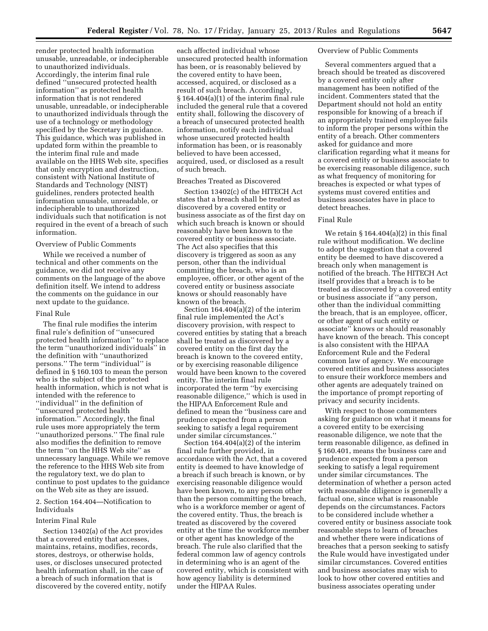render protected health information unusable, unreadable, or indecipherable to unauthorized individuals. Accordingly, the interim final rule defined ''unsecured protected health information'' as protected health information that is not rendered unusable, unreadable, or indecipherable to unauthorized individuals through the use of a technology or methodology specified by the Secretary in guidance. This guidance, which was published in updated form within the preamble to the interim final rule and made available on the HHS Web site, specifies that only encryption and destruction, consistent with National Institute of Standards and Technology (NIST) guidelines, renders protected health information unusable, unreadable, or indecipherable to unauthorized individuals such that notification is not required in the event of a breach of such information.

# Overview of Public Comments

While we received a number of technical and other comments on the guidance, we did not receive any comments on the language of the above definition itself. We intend to address the comments on the guidance in our next update to the guidance.

### Final Rule

The final rule modifies the interim final rule's definition of ''unsecured protected health information'' to replace the term ''unauthorized individuals'' in the definition with ''unauthorized persons.'' The term ''individual'' is defined in § 160.103 to mean the person who is the subject of the protected health information, which is not what is intended with the reference to ''individual'' in the definition of ''unsecured protected health information.'' Accordingly, the final rule uses more appropriately the term ''unauthorized persons.'' The final rule also modifies the definition to remove the term ''on the HHS Web site'' as unnecessary language. While we remove the reference to the HHS Web site from the regulatory text, we do plan to continue to post updates to the guidance on the Web site as they are issued.

2. Section 164.404—Notification to Individuals

### Interim Final Rule

Section 13402(a) of the Act provides that a covered entity that accesses, maintains, retains, modifies, records, stores, destroys, or otherwise holds, uses, or discloses unsecured protected health information shall, in the case of a breach of such information that is discovered by the covered entity, notify each affected individual whose unsecured protected health information has been, or is reasonably believed by the covered entity to have been, accessed, acquired, or disclosed as a result of such breach. Accordingly, § 164.404(a)(1) of the interim final rule included the general rule that a covered entity shall, following the discovery of a breach of unsecured protected health information, notify each individual whose unsecured protected health information has been, or is reasonably believed to have been accessed, acquired, used, or disclosed as a result of such breach.

### Breaches Treated as Discovered

Section 13402(c) of the HITECH Act states that a breach shall be treated as discovered by a covered entity or business associate as of the first day on which such breach is known or should reasonably have been known to the covered entity or business associate. The Act also specifies that this discovery is triggered as soon as any person, other than the individual committing the breach, who is an employee, officer, or other agent of the covered entity or business associate knows or should reasonably have known of the breach.

Section 164.404(a)(2) of the interim final rule implemented the Act's discovery provision, with respect to covered entities by stating that a breach shall be treated as discovered by a covered entity on the first day the breach is known to the covered entity, or by exercising reasonable diligence would have been known to the covered entity. The interim final rule incorporated the term ''by exercising reasonable diligence,'' which is used in the HIPAA Enforcement Rule and defined to mean the ''business care and prudence expected from a person seeking to satisfy a legal requirement under similar circumstances.''

Section 164.404(a)(2) of the interim final rule further provided, in accordance with the Act, that a covered entity is deemed to have knowledge of a breach if such breach is known, or by exercising reasonable diligence would have been known, to any person other than the person committing the breach, who is a workforce member or agent of the covered entity. Thus, the breach is treated as discovered by the covered entity at the time the workforce member or other agent has knowledge of the breach. The rule also clarified that the federal common law of agency controls in determining who is an agent of the covered entity, which is consistent with how agency liability is determined under the HIPAA Rules.

### Overview of Public Comments

Several commenters argued that a breach should be treated as discovered by a covered entity only after management has been notified of the incident. Commenters stated that the Department should not hold an entity responsible for knowing of a breach if an appropriately trained employee fails to inform the proper persons within the entity of a breach. Other commenters asked for guidance and more clarification regarding what it means for a covered entity or business associate to be exercising reasonable diligence, such as what frequency of monitoring for breaches is expected or what types of systems must covered entities and business associates have in place to detect breaches.

### Final Rule

We retain  $\S 164.404(a)(2)$  in this final rule without modification. We decline to adopt the suggestion that a covered entity be deemed to have discovered a breach only when management is notified of the breach. The HITECH Act itself provides that a breach is to be treated as discovered by a covered entity or business associate if ''any person, other than the individual committing the breach, that is an employee, officer, or other agent of such entity or associate'' knows or should reasonably have known of the breach. This concept is also consistent with the HIPAA Enforcement Rule and the Federal common law of agency. We encourage covered entities and business associates to ensure their workforce members and other agents are adequately trained on the importance of prompt reporting of privacy and security incidents.

With respect to those commenters asking for guidance on what it means for a covered entity to be exercising reasonable diligence, we note that the term reasonable diligence, as defined in § 160.401, means the business care and prudence expected from a person seeking to satisfy a legal requirement under similar circumstances. The determination of whether a person acted with reasonable diligence is generally a factual one, since what is reasonable depends on the circumstances. Factors to be considered include whether a covered entity or business associate took reasonable steps to learn of breaches and whether there were indications of breaches that a person seeking to satisfy the Rule would have investigated under similar circumstances. Covered entities and business associates may wish to look to how other covered entities and business associates operating under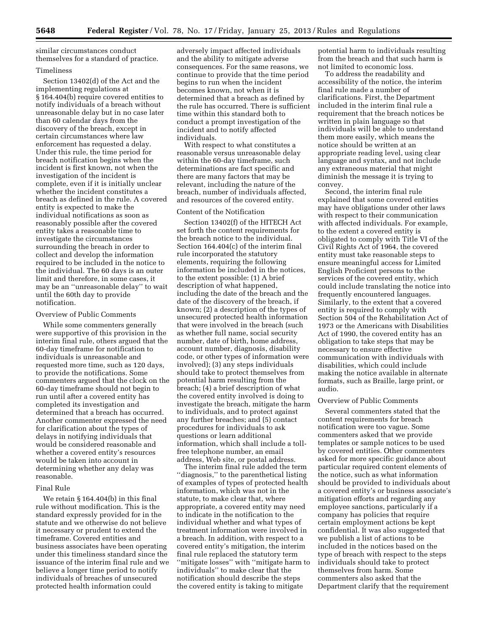similar circumstances conduct themselves for a standard of practice.

### Timeliness

Section 13402(d) of the Act and the implementing regulations at § 164.404(b) require covered entities to notify individuals of a breach without unreasonable delay but in no case later than 60 calendar days from the discovery of the breach, except in certain circumstances where law enforcement has requested a delay. Under this rule, the time period for breach notification begins when the incident is first known, not when the investigation of the incident is complete, even if it is initially unclear whether the incident constitutes a breach as defined in the rule. A covered entity is expected to make the individual notifications as soon as reasonably possible after the covered entity takes a reasonable time to investigate the circumstances surrounding the breach in order to collect and develop the information required to be included in the notice to the individual. The 60 days is an outer limit and therefore, in some cases, it may be an ''unreasonable delay'' to wait until the 60th day to provide notification.

# Overview of Public Comments

While some commenters generally were supportive of this provision in the interim final rule, others argued that the 60-day timeframe for notification to individuals is unreasonable and requested more time, such as 120 days, to provide the notifications. Some commenters argued that the clock on the 60-day timeframe should not begin to run until after a covered entity has completed its investigation and determined that a breach has occurred. Another commenter expressed the need for clarification about the types of delays in notifying individuals that would be considered reasonable and whether a covered entity's resources would be taken into account in determining whether any delay was reasonable.

### Final Rule

We retain § 164.404(b) in this final rule without modification. This is the standard expressly provided for in the statute and we otherwise do not believe it necessary or prudent to extend the timeframe. Covered entities and business associates have been operating under this timeliness standard since the issuance of the interim final rule and we believe a longer time period to notify individuals of breaches of unsecured protected health information could

adversely impact affected individuals and the ability to mitigate adverse consequences. For the same reasons, we continue to provide that the time period begins to run when the incident becomes known, not when it is determined that a breach as defined by the rule has occurred. There is sufficient time within this standard both to conduct a prompt investigation of the incident and to notify affected individuals.

With respect to what constitutes a reasonable versus unreasonable delay within the 60-day timeframe, such determinations are fact specific and there are many factors that may be relevant, including the nature of the breach, number of individuals affected, and resources of the covered entity.

# Content of the Notification

Section 13402(f) of the HITECH Act set forth the content requirements for the breach notice to the individual. Section 164.404(c) of the interim final rule incorporated the statutory elements, requiring the following information be included in the notices, to the extent possible: (1) A brief description of what happened, including the date of the breach and the date of the discovery of the breach, if known; (2) a description of the types of unsecured protected health information that were involved in the breach (such as whether full name, social security number, date of birth, home address, account number, diagnosis, disability code, or other types of information were involved); (3) any steps individuals should take to protect themselves from potential harm resulting from the breach; (4) a brief description of what the covered entity involved is doing to investigate the breach, mitigate the harm to individuals, and to protect against any further breaches; and (5) contact procedures for individuals to ask questions or learn additional information, which shall include a tollfree telephone number, an email address, Web site, or postal address.

The interim final rule added the term ''diagnosis,'' to the parenthetical listing of examples of types of protected health information, which was not in the statute, to make clear that, where appropriate, a covered entity may need to indicate in the notification to the individual whether and what types of treatment information were involved in a breach. In addition, with respect to a covered entity's mitigation, the interim final rule replaced the statutory term ''mitigate losses'' with ''mitigate harm to individuals'' to make clear that the notification should describe the steps the covered entity is taking to mitigate

potential harm to individuals resulting from the breach and that such harm is not limited to economic loss.

To address the readability and accessibility of the notice, the interim final rule made a number of clarifications. First, the Department included in the interim final rule a requirement that the breach notices be written in plain language so that individuals will be able to understand them more easily, which means the notice should be written at an appropriate reading level, using clear language and syntax, and not include any extraneous material that might diminish the message it is trying to convey.

Second, the interim final rule explained that some covered entities may have obligations under other laws with respect to their communication with affected individuals. For example, to the extent a covered entity is obligated to comply with Title VI of the Civil Rights Act of 1964, the covered entity must take reasonable steps to ensure meaningful access for Limited English Proficient persons to the services of the covered entity, which could include translating the notice into frequently encountered languages. Similarly, to the extent that a covered entity is required to comply with Section 504 of the Rehabilitation Act of 1973 or the Americans with Disabilities Act of 1990, the covered entity has an obligation to take steps that may be necessary to ensure effective communication with individuals with disabilities, which could include making the notice available in alternate formats, such as Braille, large print, or audio.

### Overview of Public Comments

Several commenters stated that the content requirements for breach notification were too vague. Some commenters asked that we provide templates or sample notices to be used by covered entities. Other commenters asked for more specific guidance about particular required content elements of the notice, such as what information should be provided to individuals about a covered entity's or business associate's mitigation efforts and regarding any employee sanctions, particularly if a company has policies that require certain employment actions be kept confidential. It was also suggested that we publish a list of actions to be included in the notices based on the type of breach with respect to the steps individuals should take to protect themselves from harm. Some commenters also asked that the Department clarify that the requirement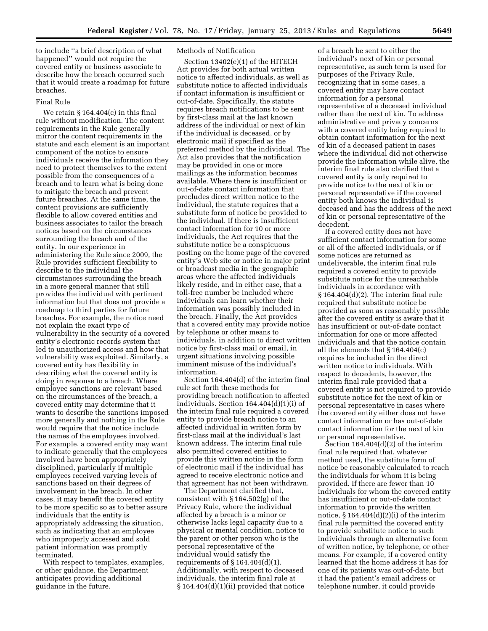to include ''a brief description of what happened'' would not require the covered entity or business associate to describe how the breach occurred such that it would create a roadmap for future breaches.

### Final Rule

We retain § 164.404(c) in this final rule without modification. The content requirements in the Rule generally mirror the content requirements in the statute and each element is an important component of the notice to ensure individuals receive the information they need to protect themselves to the extent possible from the consequences of a breach and to learn what is being done to mitigate the breach and prevent future breaches. At the same time, the content provisions are sufficiently flexible to allow covered entities and business associates to tailor the breach notices based on the circumstances surrounding the breach and of the entity. In our experience in administering the Rule since 2009, the Rule provides sufficient flexibility to describe to the individual the circumstances surrounding the breach in a more general manner that still provides the individual with pertinent information but that does not provide a roadmap to third parties for future breaches. For example, the notice need not explain the exact type of vulnerability in the security of a covered entity's electronic records system that led to unauthorized access and how that vulnerability was exploited. Similarly, a covered entity has flexibility in describing what the covered entity is doing in response to a breach. Where employee sanctions are relevant based on the circumstances of the breach, a covered entity may determine that it wants to describe the sanctions imposed more generally and nothing in the Rule would require that the notice include the names of the employees involved. For example, a covered entity may want to indicate generally that the employees involved have been appropriately disciplined, particularly if multiple employees received varying levels of sanctions based on their degrees of involvement in the breach. In other cases, it may benefit the covered entity to be more specific so as to better assure individuals that the entity is appropriately addressing the situation, such as indicating that an employee who improperly accessed and sold patient information was promptly terminated.

With respect to templates, examples, or other guidance, the Department anticipates providing additional guidance in the future.

# Methods of Notification

Section 13402(e)(1) of the HITECH Act provides for both actual written notice to affected individuals, as well as substitute notice to affected individuals if contact information is insufficient or out-of-date. Specifically, the statute requires breach notifications to be sent by first-class mail at the last known address of the individual or next of kin if the individual is deceased, or by electronic mail if specified as the preferred method by the individual. The Act also provides that the notification may be provided in one or more mailings as the information becomes available. Where there is insufficient or out-of-date contact information that precludes direct written notice to the individual, the statute requires that a substitute form of notice be provided to the individual. If there is insufficient contact information for 10 or more individuals, the Act requires that the substitute notice be a conspicuous posting on the home page of the covered entity's Web site or notice in major print or broadcast media in the geographic areas where the affected individuals likely reside, and in either case, that a toll-free number be included where individuals can learn whether their information was possibly included in the breach. Finally, the Act provides that a covered entity may provide notice by telephone or other means to individuals, in addition to direct written notice by first-class mail or email, in urgent situations involving possible imminent misuse of the individual's information.

Section 164.404(d) of the interim final rule set forth these methods for providing breach notification to affected individuals. Section 164.404(d)(1)(i) of the interim final rule required a covered entity to provide breach notice to an affected individual in written form by first-class mail at the individual's last known address. The interim final rule also permitted covered entities to provide this written notice in the form of electronic mail if the individual has agreed to receive electronic notice and that agreement has not been withdrawn.

The Department clarified that, consistent with § 164.502(g) of the Privacy Rule, where the individual affected by a breach is a minor or otherwise lacks legal capacity due to a physical or mental condition, notice to the parent or other person who is the personal representative of the individual would satisfy the requirements of § 164.404(d)(1). Additionally, with respect to deceased individuals, the interim final rule at § 164.404(d)(1)(ii) provided that notice

of a breach be sent to either the individual's next of kin or personal representative, as such term is used for purposes of the Privacy Rule, recognizing that in some cases, a covered entity may have contact information for a personal representative of a deceased individual rather than the next of kin. To address administrative and privacy concerns with a covered entity being required to obtain contact information for the next of kin of a deceased patient in cases where the individual did not otherwise provide the information while alive, the interim final rule also clarified that a covered entity is only required to provide notice to the next of kin or personal representative if the covered entity both knows the individual is deceased and has the address of the next of kin or personal representative of the decedent.

If a covered entity does not have sufficient contact information for some or all of the affected individuals, or if some notices are returned as undeliverable, the interim final rule required a covered entity to provide substitute notice for the unreachable individuals in accordance with § 164.404(d)(2). The interim final rule required that substitute notice be provided as soon as reasonably possible after the covered entity is aware that it has insufficient or out-of-date contact information for one or more affected individuals and that the notice contain all the elements that § 164.404(c) requires be included in the direct written notice to individuals. With respect to decedents, however, the interim final rule provided that a covered entity is not required to provide substitute notice for the next of kin or personal representative in cases where the covered entity either does not have contact information or has out-of-date contact information for the next of kin or personal representative.

Section  $164.404(d)(2)$  of the interim final rule required that, whatever method used, the substitute form of notice be reasonably calculated to reach the individuals for whom it is being provided. If there are fewer than 10 individuals for whom the covered entity has insufficient or out-of-date contact information to provide the written notice,  $$164.404(d)(2)(i)$  of the interim final rule permitted the covered entity to provide substitute notice to such individuals through an alternative form of written notice, by telephone, or other means. For example, if a covered entity learned that the home address it has for one of its patients was out-of-date, but it had the patient's email address or telephone number, it could provide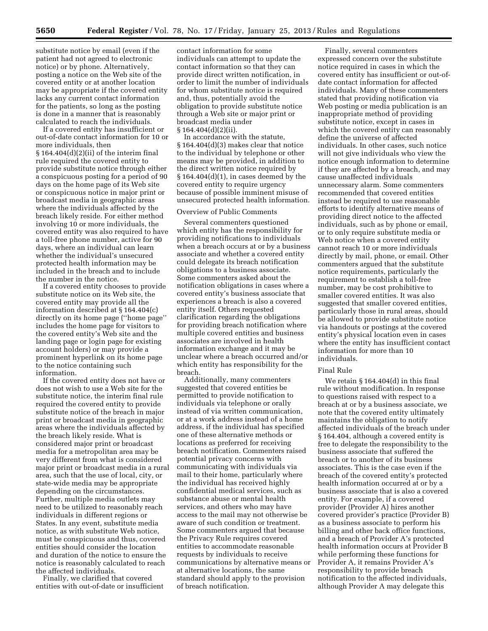substitute notice by email (even if the patient had not agreed to electronic notice) or by phone. Alternatively, posting a notice on the Web site of the covered entity or at another location may be appropriate if the covered entity lacks any current contact information for the patients, so long as the posting is done in a manner that is reasonably calculated to reach the individuals.

If a covered entity has insufficient or out-of-date contact information for 10 or more individuals, then  $§ 164.404(d)(2)(ii)$  of the interim final rule required the covered entity to provide substitute notice through either a conspicuous posting for a period of 90 days on the home page of its Web site or conspicuous notice in major print or broadcast media in geographic areas where the individuals affected by the breach likely reside. For either method involving 10 or more individuals, the covered entity was also required to have a toll-free phone number, active for 90 days, where an individual can learn whether the individual's unsecured protected health information may be included in the breach and to include the number in the notice.

If a covered entity chooses to provide substitute notice on its Web site, the covered entity may provide all the information described at § 164.404(c) directly on its home page (''home page'' includes the home page for visitors to the covered entity's Web site and the landing page or login page for existing account holders) or may provide a prominent hyperlink on its home page to the notice containing such information.

If the covered entity does not have or does not wish to use a Web site for the substitute notice, the interim final rule required the covered entity to provide substitute notice of the breach in major print or broadcast media in geographic areas where the individuals affected by the breach likely reside. What is considered major print or broadcast media for a metropolitan area may be very different from what is considered major print or broadcast media in a rural area, such that the use of local, city, or state-wide media may be appropriate depending on the circumstances. Further, multiple media outlets may need to be utilized to reasonably reach individuals in different regions or States. In any event, substitute media notice, as with substitute Web notice, must be conspicuous and thus, covered entities should consider the location and duration of the notice to ensure the notice is reasonably calculated to reach the affected individuals.

Finally, we clarified that covered entities with out-of-date or insufficient

contact information for some individuals can attempt to update the contact information so that they can provide direct written notification, in order to limit the number of individuals for whom substitute notice is required and, thus, potentially avoid the obligation to provide substitute notice through a Web site or major print or broadcast media under § 164.404(d)(2)(ii).

In accordance with the statute, § 164.404(d)(3) makes clear that notice to the individual by telephone or other means may be provided, in addition to the direct written notice required by  $§ 164.404(d)(1)$ , in cases deemed by the covered entity to require urgency because of possible imminent misuse of unsecured protected health information.

# Overview of Public Comments

Several commenters questioned which entity has the responsibility for providing notifications to individuals when a breach occurs at or by a business associate and whether a covered entity could delegate its breach notification obligations to a business associate. Some commenters asked about the notification obligations in cases where a covered entity's business associate that experiences a breach is also a covered entity itself. Others requested clarification regarding the obligations for providing breach notification where multiple covered entities and business associates are involved in health information exchange and it may be unclear where a breach occurred and/or which entity has responsibility for the breach.

Additionally, many commenters suggested that covered entities be permitted to provide notification to individuals via telephone or orally instead of via written communication, or at a work address instead of a home address, if the individual has specified one of these alternative methods or locations as preferred for receiving breach notification. Commenters raised potential privacy concerns with communicating with individuals via mail to their home, particularly where the individual has received highly confidential medical services, such as substance abuse or mental health services, and others who may have access to the mail may not otherwise be aware of such condition or treatment. Some commenters argued that because the Privacy Rule requires covered entities to accommodate reasonable requests by individuals to receive communications by alternative means or at alternative locations, the same standard should apply to the provision of breach notification.

Finally, several commenters expressed concern over the substitute notice required in cases in which the covered entity has insufficient or out-ofdate contact information for affected individuals. Many of these commenters stated that providing notification via Web posting or media publication is an inappropriate method of providing substitute notice, except in cases in which the covered entity can reasonably define the universe of affected individuals. In other cases, such notice will not give individuals who view the notice enough information to determine if they are affected by a breach, and may cause unaffected individuals unnecessary alarm. Some commenters recommended that covered entities instead be required to use reasonable efforts to identify alternative means of providing direct notice to the affected individuals, such as by phone or email, or to only require substitute media or Web notice when a covered entity cannot reach 10 or more individuals directly by mail, phone, or email. Other commenters argued that the substitute notice requirements, particularly the requirement to establish a toll-free number, may be cost prohibitive to smaller covered entities. It was also suggested that smaller covered entities, particularly those in rural areas, should be allowed to provide substitute notice via handouts or postings at the covered entity's physical location even in cases where the entity has insufficient contact information for more than 10 individuals.

## Final Rule

We retain § 164.404(d) in this final rule without modification. In response to questions raised with respect to a breach at or by a business associate, we note that the covered entity ultimately maintains the obligation to notify affected individuals of the breach under § 164.404, although a covered entity is free to delegate the responsibility to the business associate that suffered the breach or to another of its business associates. This is the case even if the breach of the covered entity's protected health information occurred at or by a business associate that is also a covered entity. For example, if a covered provider (Provider A) hires another covered provider's practice (Provider B) as a business associate to perform his billing and other back office functions, and a breach of Provider A's protected health information occurs at Provider B while performing these functions for Provider A, it remains Provider A's responsibility to provide breach notification to the affected individuals, although Provider A may delegate this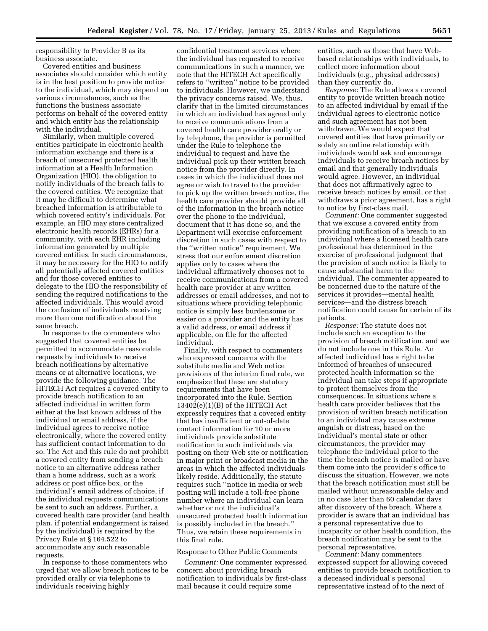responsibility to Provider B as its business associate.

Covered entities and business associates should consider which entity is in the best position to provide notice to the individual, which may depend on various circumstances, such as the functions the business associate performs on behalf of the covered entity and which entity has the relationship with the individual.

Similarly, when multiple covered entities participate in electronic health information exchange and there is a breach of unsecured protected health information at a Health Information Organization (HIO), the obligation to notify individuals of the breach falls to the covered entities. We recognize that it may be difficult to determine what breached information is attributable to which covered entity's individuals. For example, an HIO may store centralized electronic health records (EHRs) for a community, with each EHR including information generated by multiple covered entities. In such circumstances, it may be necessary for the HIO to notify all potentially affected covered entities and for those covered entities to delegate to the HIO the responsibility of sending the required notifications to the affected individuals. This would avoid the confusion of individuals receiving more than one notification about the same breach.

In response to the commenters who suggested that covered entities be permitted to accommodate reasonable requests by individuals to receive breach notifications by alternative means or at alternative locations, we provide the following guidance. The HITECH Act requires a covered entity to provide breach notification to an affected individual in written form either at the last known address of the individual or email address, if the individual agrees to receive notice electronically, where the covered entity has sufficient contact information to do so. The Act and this rule do not prohibit a covered entity from sending a breach notice to an alternative address rather than a home address, such as a work address or post office box, or the individual's email address of choice, if the individual requests communications be sent to such an address. Further, a covered health care provider (and health plan, if potential endangerment is raised by the individual) is required by the Privacy Rule at § 164.522 to accommodate any such reasonable requests.

In response to those commenters who urged that we allow breach notices to be provided orally or via telephone to individuals receiving highly

confidential treatment services where the individual has requested to receive communications in such a manner, we note that the HITECH Act specifically refers to ''written'' notice to be provided to individuals. However, we understand the privacy concerns raised. We, thus, clarify that in the limited circumstances in which an individual has agreed only to receive communications from a covered health care provider orally or by telephone, the provider is permitted under the Rule to telephone the individual to request and have the individual pick up their written breach notice from the provider directly. In cases in which the individual does not agree or wish to travel to the provider to pick up the written breach notice, the health care provider should provide all of the information in the breach notice over the phone to the individual, document that it has done so, and the Department will exercise enforcement discretion in such cases with respect to the ''written notice'' requirement. We stress that our enforcement discretion applies only to cases where the individual affirmatively chooses not to receive communications from a covered health care provider at any written addresses or email addresses, and not to situations where providing telephonic notice is simply less burdensome or easier on a provider and the entity has a valid address, or email address if applicable, on file for the affected individual.

Finally, with respect to commenters who expressed concerns with the substitute media and Web notice provisions of the interim final rule, we emphasize that these are statutory requirements that have been incorporated into the Rule. Section 13402(e)(1)(B) of the HITECH Act expressly requires that a covered entity that has insufficient or out-of-date contact information for 10 or more individuals provide substitute notification to such individuals via posting on their Web site or notification in major print or broadcast media in the areas in which the affected individuals likely reside. Additionally, the statute requires such ''notice in media or web posting will include a toll-free phone number where an individual can learn whether or not the individual's unsecured protected health information is possibly included in the breach.'' Thus, we retain these requirements in this final rule.

#### Response to Other Public Comments

*Comment:* One commenter expressed concern about providing breach notification to individuals by first-class mail because it could require some

entities, such as those that have Webbased relationships with individuals, to collect more information about individuals (e.g., physical addresses) than they currently do.

*Response:* The Rule allows a covered entity to provide written breach notice to an affected individual by email if the individual agrees to electronic notice and such agreement has not been withdrawn. We would expect that covered entities that have primarily or solely an online relationship with individuals would ask and encourage individuals to receive breach notices by email and that generally individuals would agree. However, an individual that does not affirmatively agree to receive breach notices by email, or that withdraws a prior agreement, has a right to notice by first-class mail.

*Comment:* One commenter suggested that we excuse a covered entity from providing notification of a breach to an individual where a licensed health care professional has determined in the exercise of professional judgment that the provision of such notice is likely to cause substantial harm to the individual. The commenter appeared to be concerned due to the nature of the services it provides—mental health services—and the distress breach notification could cause for certain of its patients.

*Response:* The statute does not include such an exception to the provision of breach notification, and we do not include one in this Rule. An affected individual has a right to be informed of breaches of unsecured protected health information so the individual can take steps if appropriate to protect themselves from the consequences. In situations where a health care provider believes that the provision of written breach notification to an individual may cause extreme anguish or distress, based on the individual's mental state or other circumstances, the provider may telephone the individual prior to the time the breach notice is mailed or have them come into the provider's office to discuss the situation. However, we note that the breach notification must still be mailed without unreasonable delay and in no case later than 60 calendar days after discovery of the breach. Where a provider is aware that an individual has a personal representative due to incapacity or other health condition, the breach notification may be sent to the personal representative.

*Comment:* Many commenters expressed support for allowing covered entities to provide breach notification to a deceased individual's personal representative instead of to the next of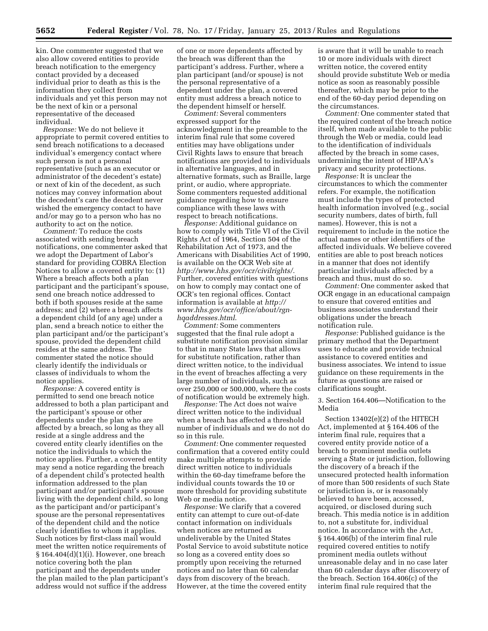kin. One commenter suggested that we also allow covered entities to provide breach notification to the emergency contact provided by a deceased individual prior to death as this is the information they collect from individuals and yet this person may not be the next of kin or a personal representative of the deceased individual.

*Response:* We do not believe it appropriate to permit covered entities to send breach notifications to a deceased individual's emergency contact where such person is not a personal representative (such as an executor or administrator of the decedent's estate) or next of kin of the decedent, as such notices may convey information about the decedent's care the decedent never wished the emergency contact to have and/or may go to a person who has no authority to act on the notice.

*Comment:* To reduce the costs associated with sending breach notifications, one commenter asked that we adopt the Department of Labor's standard for providing COBRA Election Notices to allow a covered entity to: (1) Where a breach affects both a plan participant and the participant's spouse, send one breach notice addressed to both if both spouses reside at the same address; and (2) where a breach affects a dependent child (of any age) under a plan, send a breach notice to either the plan participant and/or the participant's spouse, provided the dependent child resides at the same address. The commenter stated the notice should clearly identify the individuals or classes of individuals to whom the notice applies.

*Response:* A covered entity is permitted to send one breach notice addressed to both a plan participant and the participant's spouse or other dependents under the plan who are affected by a breach, so long as they all reside at a single address and the covered entity clearly identifies on the notice the individuals to which the notice applies. Further, a covered entity may send a notice regarding the breach of a dependent child's protected health information addressed to the plan participant and/or participant's spouse living with the dependent child, so long as the participant and/or participant's spouse are the personal representatives of the dependent child and the notice clearly identifies to whom it applies. Such notices by first-class mail would meet the written notice requirements of § 164.404(d)(1)(i). However, one breach notice covering both the plan participant and the dependents under the plan mailed to the plan participant's address would not suffice if the address

of one or more dependents affected by the breach was different than the participant's address. Further, where a plan participant (and/or spouse) is not the personal representative of a dependent under the plan, a covered entity must address a breach notice to the dependent himself or herself.

*Comment:* Several commenters expressed support for the acknowledgment in the preamble to the interim final rule that some covered entities may have obligations under Civil Rights laws to ensure that breach notifications are provided to individuals in alternative languages, and in alternative formats, such as Braille, large print, or audio, where appropriate. Some commenters requested additional guidance regarding how to ensure compliance with these laws with respect to breach notifications.

*Response:* Additional guidance on how to comply with Title VI of the Civil Rights Act of 1964, Section 504 of the Rehabilitation Act of 1973, and the Americans with Disabilities Act of 1990, is available on the OCR Web site at *<http://www.hhs.gov/ocr/civilrights/>*. Further, covered entities with questions on how to comply may contact one of OCR's ten regional offices. Contact information is available at *[http://](http://www.hhs.gov/ocr/office/about/rgn-hqaddresses.html)  [www.hhs.gov/ocr/office/about/rgn](http://www.hhs.gov/ocr/office/about/rgn-hqaddresses.html)[hqaddresses.html](http://www.hhs.gov/ocr/office/about/rgn-hqaddresses.html)*.

*Comment:* Some commenters suggested that the final rule adopt a substitute notification provision similar to that in many State laws that allows for substitute notification, rather than direct written notice, to the individual in the event of breaches affecting a very large number of individuals, such as over 250,000 or 500,000, where the costs of notification would be extremely high.

*Response:* The Act does not waive direct written notice to the individual when a breach has affected a threshold number of individuals and we do not do so in this rule.

*Comment:* One commenter requested confirmation that a covered entity could make multiple attempts to provide direct written notice to individuals within the 60-day timeframe before the individual counts towards the 10 or more threshold for providing substitute Web or media notice.

*Response:* We clarify that a covered entity can attempt to cure out-of-date contact information on individuals when notices are returned as undeliverable by the United States Postal Service to avoid substitute notice so long as a covered entity does so promptly upon receiving the returned notices and no later than 60 calendar days from discovery of the breach. However, at the time the covered entity

is aware that it will be unable to reach 10 or more individuals with direct written notice, the covered entity should provide substitute Web or media notice as soon as reasonably possible thereafter, which may be prior to the end of the 60-day period depending on the circumstances.

*Comment:* One commenter stated that the required content of the breach notice itself, when made available to the public through the Web or media, could lead to the identification of individuals affected by the breach in some cases, undermining the intent of HIPAA's privacy and security protections.

*Response:* It is unclear the circumstances to which the commenter refers. For example, the notification must include the types of protected health information involved (e.g., social security numbers, dates of birth, full names). However, this is not a requirement to include in the notice the actual names or other identifiers of the affected individuals. We believe covered entities are able to post breach notices in a manner that does not identify particular individuals affected by a breach and thus, must do so.

*Comment:* One commenter asked that OCR engage in an educational campaign to ensure that covered entities and business associates understand their obligations under the breach notification rule.

*Response:* Published guidance is the primary method that the Department uses to educate and provide technical assistance to covered entities and business associates. We intend to issue guidance on these requirements in the future as questions are raised or clarifications sought.

3. Section 164.406—Notification to the Media

Section 13402(e)(2) of the HITECH Act, implemented at § 164.406 of the interim final rule, requires that a covered entity provide notice of a breach to prominent media outlets serving a State or jurisdiction, following the discovery of a breach if the unsecured protected health information of more than 500 residents of such State or jurisdiction is, or is reasonably believed to have been, accessed, acquired, or disclosed during such breach. This media notice is in addition to, not a substitute for, individual notice. In accordance with the Act, § 164.406(b) of the interim final rule required covered entities to notify prominent media outlets without unreasonable delay and in no case later than 60 calendar days after discovery of the breach. Section 164.406(c) of the interim final rule required that the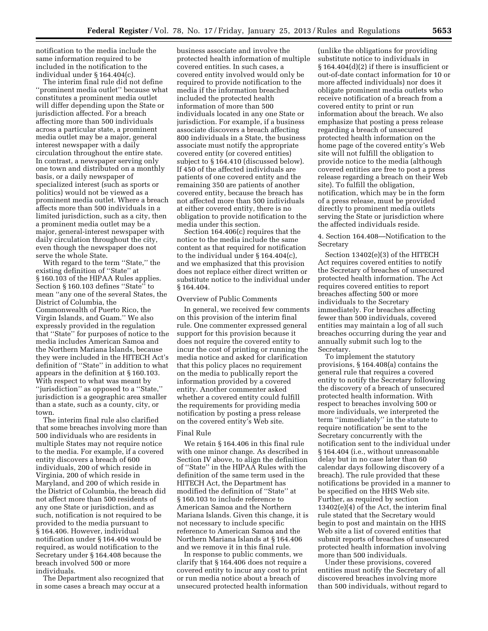notification to the media include the same information required to be included in the notification to the individual under § 164.404(c).

The interim final rule did not define ''prominent media outlet'' because what constitutes a prominent media outlet will differ depending upon the State or jurisdiction affected. For a breach affecting more than 500 individuals across a particular state, a prominent media outlet may be a major, general interest newspaper with a daily circulation throughout the entire state. In contrast, a newspaper serving only one town and distributed on a monthly basis, or a daily newspaper of specialized interest (such as sports or politics) would not be viewed as a prominent media outlet. Where a breach affects more than 500 individuals in a limited jurisdiction, such as a city, then a prominent media outlet may be a major, general-interest newspaper with daily circulation throughout the city, even though the newspaper does not serve the whole State.

With regard to the term ''State,'' the existing definition of ''State'' at § 160.103 of the HIPAA Rules applies. Section § 160.103 defines "State" to mean ''any one of the several States, the District of Columbia, the Commonwealth of Puerto Rico, the Virgin Islands, and Guam.'' We also expressly provided in the regulation that ''State'' for purposes of notice to the media includes American Samoa and the Northern Mariana Islands, because they were included in the HITECH Act's definition of ''State'' in addition to what appears in the definition at § 160.103. With respect to what was meant by ''jurisdiction'' as opposed to a ''State,'' jurisdiction is a geographic area smaller than a state, such as a county, city, or town.

The interim final rule also clarified that some breaches involving more than 500 individuals who are residents in multiple States may not require notice to the media. For example, if a covered entity discovers a breach of 600 individuals, 200 of which reside in Virginia, 200 of which reside in Maryland, and 200 of which reside in the District of Columbia, the breach did not affect more than 500 residents of any one State or jurisdiction, and as such, notification is not required to be provided to the media pursuant to § 164.406. However, individual notification under § 164.404 would be required, as would notification to the Secretary under § 164.408 because the breach involved 500 or more individuals.

The Department also recognized that in some cases a breach may occur at a

business associate and involve the protected health information of multiple covered entities. In such cases, a covered entity involved would only be required to provide notification to the media if the information breached included the protected health information of more than 500 individuals located in any one State or jurisdiction. For example, if a business associate discovers a breach affecting 800 individuals in a State, the business associate must notify the appropriate covered entity (or covered entities) subject to § 164.410 (discussed below). If 450 of the affected individuals are patients of one covered entity and the remaining 350 are patients of another covered entity, because the breach has not affected more than 500 individuals at either covered entity, there is no obligation to provide notification to the media under this section.

Section 164.406(c) requires that the notice to the media include the same content as that required for notification to the individual under § 164.404(c), and we emphasized that this provision does not replace either direct written or substitute notice to the individual under § 164.404.

### Overview of Public Comments

In general, we received few comments on this provision of the interim final rule. One commenter expressed general support for this provision because it does not require the covered entity to incur the cost of printing or running the media notice and asked for clarification that this policy places no requirement on the media to publically report the information provided by a covered entity. Another commenter asked whether a covered entity could fulfill the requirements for providing media notification by posting a press release on the covered entity's Web site.

# Final Rule

We retain § 164.406 in this final rule with one minor change. As described in Section IV above, to align the definition of ''State'' in the HIPAA Rules with the definition of the same term used in the HITECH Act, the Department has modified the definition of ''State'' at § 160.103 to include reference to American Samoa and the Northern Mariana Islands. Given this change, it is not necessary to include specific reference to American Samoa and the Northern Mariana Islands at § 164.406 and we remove it in this final rule.

In response to public comments, we clarify that § 164.406 does not require a covered entity to incur any cost to print or run media notice about a breach of unsecured protected health information

(unlike the obligations for providing substitute notice to individuals in § 164.404(d)(2) if there is insufficient or out-of-date contact information for 10 or more affected individuals) nor does it obligate prominent media outlets who receive notification of a breach from a covered entity to print or run information about the breach. We also emphasize that posting a press release regarding a breach of unsecured protected health information on the home page of the covered entity's Web site will not fulfill the obligation to provide notice to the media (although covered entities are free to post a press release regarding a breach on their Web site). To fulfill the obligation, notification, which may be in the form of a press release, must be provided directly to prominent media outlets serving the State or jurisdiction where the affected individuals reside.

4. Section 164.408—Notification to the Secretary

Section 13402(e)(3) of the HITECH Act requires covered entities to notify the Secretary of breaches of unsecured protected health information. The Act requires covered entities to report breaches affecting 500 or more individuals to the Secretary immediately. For breaches affecting fewer than 500 individuals, covered entities may maintain a log of all such breaches occurring during the year and annually submit such log to the Secretary.

To implement the statutory provisions, § 164.408(a) contains the general rule that requires a covered entity to notify the Secretary following the discovery of a breach of unsecured protected health information. With respect to breaches involving 500 or more individuals, we interpreted the term ''immediately'' in the statute to require notification be sent to the Secretary concurrently with the notification sent to the individual under § 164.404 (i.e., without unreasonable delay but in no case later than 60 calendar days following discovery of a breach). The rule provided that these notifications be provided in a manner to be specified on the HHS Web site. Further, as required by section 13402(e)(4) of the Act, the interim final rule stated that the Secretary would begin to post and maintain on the HHS Web site a list of covered entities that submit reports of breaches of unsecured protected health information involving more than 500 individuals.

Under these provisions, covered entities must notify the Secretary of all discovered breaches involving more than 500 individuals, without regard to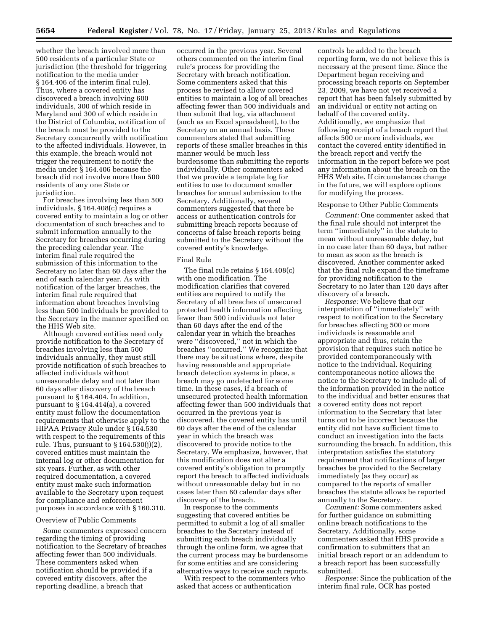whether the breach involved more than 500 residents of a particular State or jurisdiction (the threshold for triggering notification to the media under § 164.406 of the interim final rule). Thus, where a covered entity has discovered a breach involving 600 individuals, 300 of which reside in Maryland and 300 of which reside in the District of Columbia, notification of the breach must be provided to the Secretary concurrently with notification to the affected individuals. However, in this example, the breach would not trigger the requirement to notify the media under § 164.406 because the breach did not involve more than 500 residents of any one State or jurisdiction.

For breaches involving less than 500 individuals, § 164.408(c) requires a covered entity to maintain a log or other documentation of such breaches and to submit information annually to the Secretary for breaches occurring during the preceding calendar year. The interim final rule required the submission of this information to the Secretary no later than 60 days after the end of each calendar year. As with notification of the larger breaches, the interim final rule required that information about breaches involving less than 500 individuals be provided to the Secretary in the manner specified on the HHS Web site.

Although covered entities need only provide notification to the Secretary of breaches involving less than 500 individuals annually, they must still provide notification of such breaches to affected individuals without unreasonable delay and not later than 60 days after discovery of the breach pursuant to § 164.404. In addition, pursuant to § 164.414(a), a covered entity must follow the documentation requirements that otherwise apply to the HIPAA Privacy Rule under § 164.530 with respect to the requirements of this rule. Thus, pursuant to § 164.530(j)(2), covered entities must maintain the internal log or other documentation for six years. Further, as with other required documentation, a covered entity must make such information available to the Secretary upon request for compliance and enforcement purposes in accordance with § 160.310.

### Overview of Public Comments

Some commenters expressed concern regarding the timing of providing notification to the Secretary of breaches affecting fewer than 500 individuals. These commenters asked when notification should be provided if a covered entity discovers, after the reporting deadline, a breach that

occurred in the previous year. Several others commented on the interim final rule's process for providing the Secretary with breach notification. Some commenters asked that this process be revised to allow covered entities to maintain a log of all breaches affecting fewer than 500 individuals and then submit that log, via attachment (such as an Excel spreadsheet), to the Secretary on an annual basis. These commenters stated that submitting reports of these smaller breaches in this manner would be much less burdensome than submitting the reports individually. Other commenters asked that we provide a template log for entities to use to document smaller breaches for annual submission to the Secretary. Additionally, several commenters suggested that there be access or authentication controls for submitting breach reports because of concerns of false breach reports being submitted to the Secretary without the covered entity's knowledge.

### Final Rule

The final rule retains § 164.408(c) with one modification. The modification clarifies that covered entities are required to notify the Secretary of all breaches of unsecured protected health information affecting fewer than 500 individuals not later than 60 days after the end of the calendar year in which the breaches were ''discovered,'' not in which the breaches ''occurred.'' We recognize that there may be situations where, despite having reasonable and appropriate breach detection systems in place, a breach may go undetected for some time. In these cases, if a breach of unsecured protected health information affecting fewer than 500 individuals that occurred in the previous year is discovered, the covered entity has until 60 days after the end of the calendar year in which the breach was discovered to provide notice to the Secretary. We emphasize, however, that this modification does not alter a covered entity's obligation to promptly report the breach to affected individuals without unreasonable delay but in no cases later than 60 calendar days after discovery of the breach.

In response to the comments suggesting that covered entities be permitted to submit a log of all smaller breaches to the Secretary instead of submitting each breach individually through the online form, we agree that the current process may be burdensome for some entities and are considering alternative ways to receive such reports.

With respect to the commenters who asked that access or authentication

controls be added to the breach reporting form, we do not believe this is necessary at the present time. Since the Department began receiving and processing breach reports on September 23, 2009, we have not yet received a report that has been falsely submitted by an individual or entity not acting on behalf of the covered entity. Additionally, we emphasize that following receipt of a breach report that affects 500 or more individuals, we contact the covered entity identified in the breach report and verify the information in the report before we post any information about the breach on the HHS Web site. If circumstances change in the future, we will explore options for modifying the process.

### Response to Other Public Comments

*Comment:* One commenter asked that the final rule should not interpret the term ''immediately'' in the statute to mean without unreasonable delay, but in no case later than 60 days, but rather to mean as soon as the breach is discovered. Another commenter asked that the final rule expand the timeframe for providing notification to the Secretary to no later than 120 days after discovery of a breach.

*Response:* We believe that our interpretation of ''immediately'' with respect to notification to the Secretary for breaches affecting 500 or more individuals is reasonable and appropriate and thus, retain the provision that requires such notice be provided contemporaneously with notice to the individual. Requiring contemporaneous notice allows the notice to the Secretary to include all of the information provided in the notice to the individual and better ensures that a covered entity does not report information to the Secretary that later turns out to be incorrect because the entity did not have sufficient time to conduct an investigation into the facts surrounding the breach. In addition, this interpretation satisfies the statutory requirement that notifications of larger breaches be provided to the Secretary immediately (as they occur) as compared to the reports of smaller breaches the statute allows be reported annually to the Secretary.

*Comment:* Some commenters asked for further guidance on submitting online breach notifications to the Secretary. Additionally, some commenters asked that HHS provide a confirmation to submitters that an initial breach report or an addendum to a breach report has been successfully submitted.

*Response:* Since the publication of the interim final rule, OCR has posted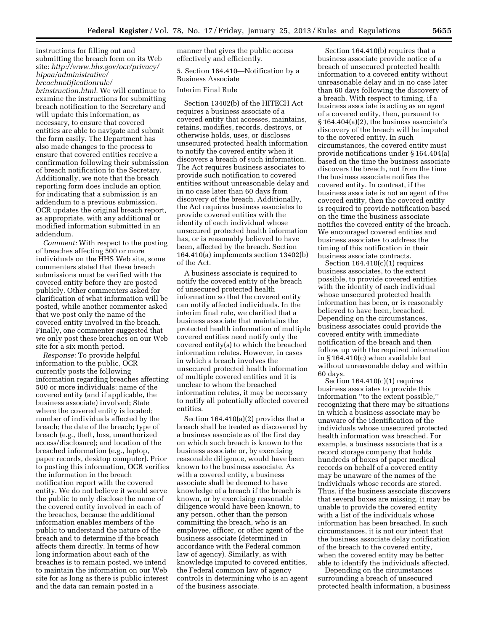instructions for filling out and submitting the breach form on its Web site: *[http://www.hhs.gov/ocr/privacy/](http://www.hhs.gov/ocr/privacy/hipaa/administrative/breachnotificationrule/brinstruction.html)  [hipaa/administrative/](http://www.hhs.gov/ocr/privacy/hipaa/administrative/breachnotificationrule/brinstruction.html) [breachnotificationrule/](http://www.hhs.gov/ocr/privacy/hipaa/administrative/breachnotificationrule/brinstruction.html)* 

*[brinstruction.html.](http://www.hhs.gov/ocr/privacy/hipaa/administrative/breachnotificationrule/brinstruction.html)* We will continue to examine the instructions for submitting breach notification to the Secretary and will update this information, as necessary, to ensure that covered entities are able to navigate and submit the form easily. The Department has also made changes to the process to ensure that covered entities receive a confirmation following their submission of breach notification to the Secretary. Additionally, we note that the breach reporting form does include an option for indicating that a submission is an addendum to a previous submission. OCR updates the original breach report, as appropriate, with any additional or modified information submitted in an addendum.

*Comment:* With respect to the posting of breaches affecting 500 or more individuals on the HHS Web site, some commenters stated that these breach submissions must be verified with the covered entity before they are posted publicly. Other commenters asked for clarification of what information will be posted, while another commenter asked that we post only the name of the covered entity involved in the breach. Finally, one commenter suggested that we only post these breaches on our Web site for a six month period.

*Response:* To provide helpful information to the public, OCR currently posts the following information regarding breaches affecting 500 or more individuals: name of the covered entity (and if applicable, the business associate) involved; State where the covered entity is located; number of individuals affected by the breach; the date of the breach; type of breach (e.g., theft, loss, unauthorized access/disclosure); and location of the breached information (e.g., laptop, paper records, desktop computer). Prior to posting this information, OCR verifies the information in the breach notification report with the covered entity. We do not believe it would serve the public to only disclose the name of the covered entity involved in each of the breaches, because the additional information enables members of the public to understand the nature of the breach and to determine if the breach affects them directly. In terms of how long information about each of the breaches is to remain posted, we intend to maintain the information on our Web site for as long as there is public interest and the data can remain posted in a

manner that gives the public access effectively and efficiently.

5. Section 164.410—Notification by a Business Associate

### Interim Final Rule

Section 13402(b) of the HITECH Act requires a business associate of a covered entity that accesses, maintains, retains, modifies, records, destroys, or otherwise holds, uses, or discloses unsecured protected health information to notify the covered entity when it discovers a breach of such information. The Act requires business associates to provide such notification to covered entities without unreasonable delay and in no case later than 60 days from discovery of the breach. Additionally, the Act requires business associates to provide covered entities with the identity of each individual whose unsecured protected health information has, or is reasonably believed to have been, affected by the breach. Section 164.410(a) implements section 13402(b) of the Act.

A business associate is required to notify the covered entity of the breach of unsecured protected health information so that the covered entity can notify affected individuals. In the interim final rule, we clarified that a business associate that maintains the protected health information of multiple covered entities need notify only the covered entity(s) to which the breached information relates. However, in cases in which a breach involves the unsecured protected health information of multiple covered entities and it is unclear to whom the breached information relates, it may be necessary to notify all potentially affected covered entities.

Section  $164.410(a)(2)$  provides that a breach shall be treated as discovered by a business associate as of the first day on which such breach is known to the business associate or, by exercising reasonable diligence, would have been known to the business associate. As with a covered entity, a business associate shall be deemed to have knowledge of a breach if the breach is known, or by exercising reasonable diligence would have been known, to any person, other than the person committing the breach, who is an employee, officer, or other agent of the business associate (determined in accordance with the Federal common law of agency). Similarly, as with knowledge imputed to covered entities, the Federal common law of agency controls in determining who is an agent of the business associate.

Section 164.410(b) requires that a business associate provide notice of a breach of unsecured protected health information to a covered entity without unreasonable delay and in no case later than 60 days following the discovery of a breach. With respect to timing, if a business associate is acting as an agent of a covered entity, then, pursuant to § 164.404(a)(2), the business associate's discovery of the breach will be imputed to the covered entity. In such circumstances, the covered entity must provide notifications under § 164.404(a) based on the time the business associate discovers the breach, not from the time the business associate notifies the covered entity. In contrast, if the business associate is not an agent of the covered entity, then the covered entity is required to provide notification based on the time the business associate notifies the covered entity of the breach. We encouraged covered entities and business associates to address the timing of this notification in their business associate contracts.

Section 164.410(c)(1) requires business associates, to the extent possible, to provide covered entities with the identity of each individual whose unsecured protected health information has been, or is reasonably believed to have been, breached. Depending on the circumstances, business associates could provide the covered entity with immediate notification of the breach and then follow up with the required information in § 164.410(c) when available but without unreasonable delay and within 60 days.

Section 164.410(c)(1) requires business associates to provide this information ''to the extent possible,'' recognizing that there may be situations in which a business associate may be unaware of the identification of the individuals whose unsecured protected health information was breached. For example, a business associate that is a record storage company that holds hundreds of boxes of paper medical records on behalf of a covered entity may be unaware of the names of the individuals whose records are stored. Thus, if the business associate discovers that several boxes are missing, it may be unable to provide the covered entity with a list of the individuals whose information has been breached. In such circumstances, it is not our intent that the business associate delay notification of the breach to the covered entity, when the covered entity may be better able to identify the individuals affected.

Depending on the circumstances surrounding a breach of unsecured protected health information, a business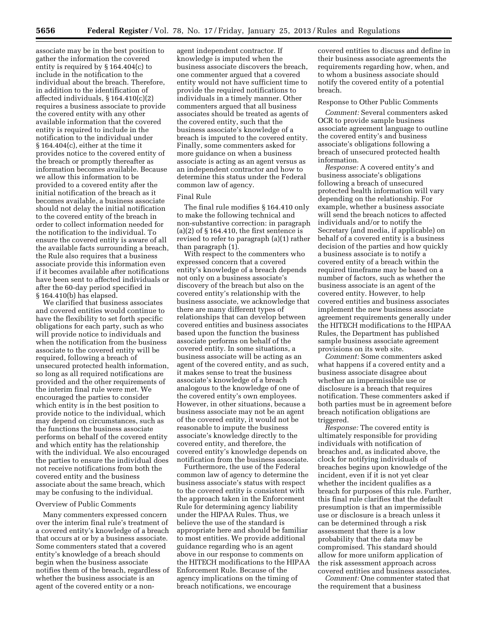associate may be in the best position to gather the information the covered entity is required by § 164.404(c) to include in the notification to the individual about the breach. Therefore, in addition to the identification of affected individuals, § 164.410(c)(2) requires a business associate to provide the covered entity with any other available information that the covered entity is required to include in the notification to the individual under § 164.404(c), either at the time it provides notice to the covered entity of the breach or promptly thereafter as information becomes available. Because we allow this information to be provided to a covered entity after the initial notification of the breach as it becomes available, a business associate should not delay the initial notification to the covered entity of the breach in order to collect information needed for the notification to the individual. To ensure the covered entity is aware of all the available facts surrounding a breach, the Rule also requires that a business associate provide this information even if it becomes available after notifications have been sent to affected individuals or after the 60-day period specified in § 164.410(b) has elapsed.

We clarified that business associates and covered entities would continue to have the flexibility to set forth specific obligations for each party, such as who will provide notice to individuals and when the notification from the business associate to the covered entity will be required, following a breach of unsecured protected health information, so long as all required notifications are provided and the other requirements of the interim final rule were met. We encouraged the parties to consider which entity is in the best position to provide notice to the individual, which may depend on circumstances, such as the functions the business associate performs on behalf of the covered entity and which entity has the relationship with the individual. We also encouraged the parties to ensure the individual does not receive notifications from both the covered entity and the business associate about the same breach, which may be confusing to the individual.

### Overview of Public Comments

Many commenters expressed concern over the interim final rule's treatment of a covered entity's knowledge of a breach that occurs at or by a business associate. Some commenters stated that a covered entity's knowledge of a breach should begin when the business associate notifies them of the breach, regardless of whether the business associate is an agent of the covered entity or a non-

agent independent contractor. If knowledge is imputed when the business associate discovers the breach, one commenter argued that a covered entity would not have sufficient time to provide the required notifications to individuals in a timely manner. Other commenters argued that all business associates should be treated as agents of the covered entity, such that the business associate's knowledge of a breach is imputed to the covered entity. Finally, some commenters asked for more guidance on when a business associate is acting as an agent versus as an independent contractor and how to determine this status under the Federal common law of agency.

# Final Rule

The final rule modifies § 164.410 only to make the following technical and non-substantive correction: in paragraph (a) $(2)$  of  $\S$  164.410, the first sentence is revised to refer to paragraph (a)(1) rather than paragraph (1).

With respect to the commenters who expressed concern that a covered entity's knowledge of a breach depends not only on a business associate's discovery of the breach but also on the covered entity's relationship with the business associate, we acknowledge that there are many different types of relationships that can develop between covered entities and business associates based upon the function the business associate performs on behalf of the covered entity. In some situations, a business associate will be acting as an agent of the covered entity, and as such, it makes sense to treat the business associate's knowledge of a breach analogous to the knowledge of one of the covered entity's own employees. However, in other situations, because a business associate may not be an agent of the covered entity, it would not be reasonable to impute the business associate's knowledge directly to the covered entity, and therefore, the covered entity's knowledge depends on notification from the business associate.

Furthermore, the use of the Federal common law of agency to determine the business associate's status with respect to the covered entity is consistent with the approach taken in the Enforcement Rule for determining agency liability under the HIPAA Rules. Thus, we believe the use of the standard is appropriate here and should be familiar to most entities. We provide additional guidance regarding who is an agent above in our response to comments on the HITECH modifications to the HIPAA Enforcement Rule. Because of the agency implications on the timing of breach notifications, we encourage

covered entities to discuss and define in their business associate agreements the requirements regarding how, when, and to whom a business associate should notify the covered entity of a potential breach.

#### Response to Other Public Comments

*Comment:* Several commenters asked OCR to provide sample business associate agreement language to outline the covered entity's and business associate's obligations following a breach of unsecured protected health information.

*Response:* A covered entity's and business associate's obligations following a breach of unsecured protected health information will vary depending on the relationship. For example, whether a business associate will send the breach notices to affected individuals and/or to notify the Secretary (and media, if applicable) on behalf of a covered entity is a business decision of the parties and how quickly a business associate is to notify a covered entity of a breach within the required timeframe may be based on a number of factors, such as whether the business associate is an agent of the covered entity. However, to help covered entities and business associates implement the new business associate agreement requirements generally under the HITECH modifications to the HIPAA Rules, the Department has published sample business associate agreement provisions on its web site.

*Comment:* Some commenters asked what happens if a covered entity and a business associate disagree about whether an impermissible use or disclosure is a breach that requires notification. These commenters asked if both parties must be in agreement before breach notification obligations are triggered.

*Response:* The covered entity is ultimately responsible for providing individuals with notification of breaches and, as indicated above, the clock for notifying individuals of breaches begins upon knowledge of the incident, even if it is not yet clear whether the incident qualifies as a breach for purposes of this rule. Further, this final rule clarifies that the default presumption is that an impermissible use or disclosure is a breach unless it can be determined through a risk assessment that there is a low probability that the data may be compromised. This standard should allow for more uniform application of the risk assessment approach across covered entities and business associates.

*Comment:* One commenter stated that the requirement that a business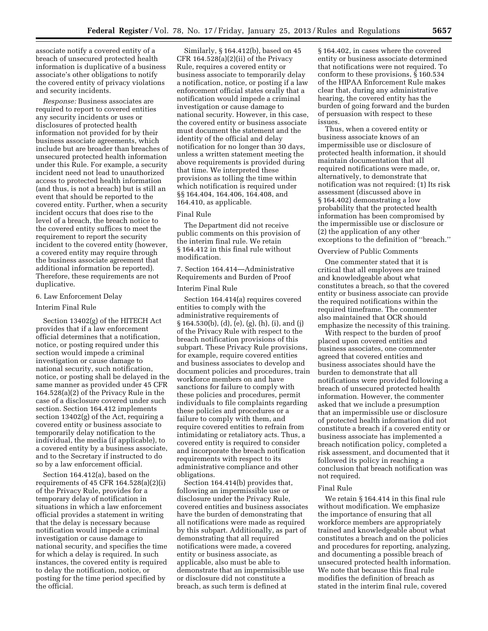associate notify a covered entity of a breach of unsecured protected health information is duplicative of a business associate's other obligations to notify the covered entity of privacy violations and security incidents.

*Response:* Business associates are required to report to covered entities any security incidents or uses or disclosures of protected health information not provided for by their business associate agreements, which include but are broader than breaches of unsecured protected health information under this Rule. For example, a security incident need not lead to unauthorized access to protected health information (and thus, is not a breach) but is still an event that should be reported to the covered entity. Further, when a security incident occurs that does rise to the level of a breach, the breach notice to the covered entity suffices to meet the requirement to report the security incident to the covered entity (however, a covered entity may require through the business associate agreement that additional information be reported). Therefore, these requirements are not duplicative.

### 6. Law Enforcement Delay

# Interim Final Rule

Section 13402(g) of the HITECH Act provides that if a law enforcement official determines that a notification, notice, or posting required under this section would impede a criminal investigation or cause damage to national security, such notification, notice, or posting shall be delayed in the same manner as provided under 45 CFR 164.528(a)(2) of the Privacy Rule in the case of a disclosure covered under such section. Section 164.412 implements section 13402(g) of the Act, requiring a covered entity or business associate to temporarily delay notification to the individual, the media (if applicable), to a covered entity by a business associate, and to the Secretary if instructed to do so by a law enforcement official.

Section 164.412(a), based on the requirements of 45 CFR 164.528(a)(2)(i) of the Privacy Rule, provides for a temporary delay of notification in situations in which a law enforcement official provides a statement in writing that the delay is necessary because notification would impede a criminal investigation or cause damage to national security, and specifies the time for which a delay is required. In such instances, the covered entity is required to delay the notification, notice, or posting for the time period specified by the official.

Similarly, § 164.412(b), based on 45 CFR  $164.528(a)(2)(ii)$  of the Privacy Rule, requires a covered entity or business associate to temporarily delay a notification, notice, or posting if a law enforcement official states orally that a notification would impede a criminal investigation or cause damage to national security. However, in this case, the covered entity or business associate must document the statement and the identity of the official and delay notification for no longer than 30 days, unless a written statement meeting the above requirements is provided during that time. We interpreted these provisions as tolling the time within which notification is required under §§ 164.404, 164.406, 164.408, and 164.410, as applicable.

### Final Rule

The Department did not receive public comments on this provision of the interim final rule. We retain § 164.412 in this final rule without modification.

7. Section 164.414—Administrative Requirements and Burden of Proof

# Interim Final Rule

Section 164.414(a) requires covered entities to comply with the administrative requirements of § 164.530(b), (d), (e), (g), (h), (i), and (j) of the Privacy Rule with respect to the breach notification provisions of this subpart. These Privacy Rule provisions, for example, require covered entities and business associates to develop and document policies and procedures, train workforce members on and have sanctions for failure to comply with these policies and procedures, permit individuals to file complaints regarding these policies and procedures or a failure to comply with them, and require covered entities to refrain from intimidating or retaliatory acts. Thus, a covered entity is required to consider and incorporate the breach notification requirements with respect to its administrative compliance and other obligations.

Section 164.414(b) provides that, following an impermissible use or disclosure under the Privacy Rule, covered entities and business associates have the burden of demonstrating that all notifications were made as required by this subpart. Additionally, as part of demonstrating that all required notifications were made, a covered entity or business associate, as applicable, also must be able to demonstrate that an impermissible use or disclosure did not constitute a breach, as such term is defined at

§ 164.402, in cases where the covered entity or business associate determined that notifications were not required. To conform to these provisions, § 160.534 of the HIPAA Enforcement Rule makes clear that, during any administrative hearing, the covered entity has the burden of going forward and the burden of persuasion with respect to these issues.

Thus, when a covered entity or business associate knows of an impermissible use or disclosure of protected health information, it should maintain documentation that all required notifications were made, or, alternatively, to demonstrate that notification was not required: (1) Its risk assessment (discussed above in § 164.402) demonstrating a low probability that the protected health information has been compromised by the impermissible use or disclosure or (2) the application of any other exceptions to the definition of ''breach.''

#### Overview of Public Comments

One commenter stated that it is critical that all employees are trained and knowledgeable about what constitutes a breach, so that the covered entity or business associate can provide the required notifications within the required timeframe. The commenter also maintained that OCR should emphasize the necessity of this training.

With respect to the burden of proof placed upon covered entities and business associates, one commenter agreed that covered entities and business associates should have the burden to demonstrate that all notifications were provided following a breach of unsecured protected health information. However, the commenter asked that we include a presumption that an impermissible use or disclosure of protected health information did not constitute a breach if a covered entity or business associate has implemented a breach notification policy, completed a risk assessment, and documented that it followed its policy in reaching a conclusion that breach notification was not required.

### Final Rule

We retain § 164.414 in this final rule without modification. We emphasize the importance of ensuring that all workforce members are appropriately trained and knowledgeable about what constitutes a breach and on the policies and procedures for reporting, analyzing, and documenting a possible breach of unsecured protected health information. We note that because this final rule modifies the definition of breach as stated in the interim final rule, covered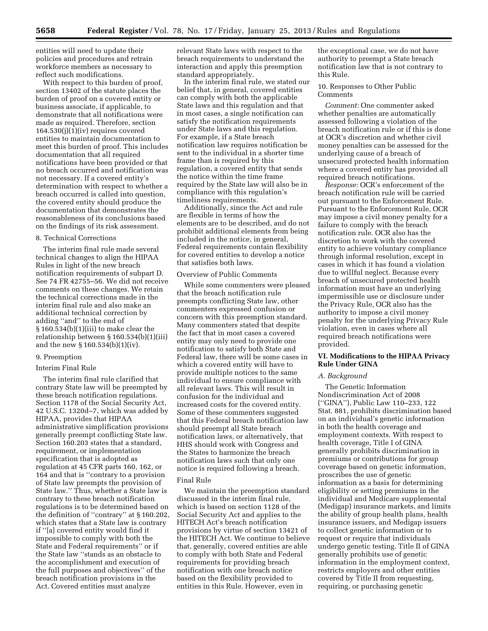entities will need to update their policies and procedures and retrain workforce members as necessary to reflect such modifications.

With respect to this burden of proof, section 13402 of the statute places the burden of proof on a covered entity or business associate, if applicable, to demonstrate that all notifications were made as required. Therefore, section  $164.530(j)(1)(iv)$  requires covered entities to maintain documentation to meet this burden of proof. This includes documentation that all required notifications have been provided or that no breach occurred and notification was not necessary. If a covered entity's determination with respect to whether a breach occurred is called into question, the covered entity should produce the documentation that demonstrates the reasonableness of its conclusions based on the findings of its risk assessment.

# 8. Technical Corrections

The interim final rule made several technical changes to align the HIPAA Rules in light of the new breach notification requirements of subpart D. See 74 FR 42755–56. We did not receive comments on these changes. We retain the technical corrections made in the interim final rule and also make an additional technical correction by adding ''and'' to the end of § 160.534(b)(1)(iii) to make clear the relationship between § 160.534(b)(1)(iii) and the new § 160.534(b)(1)(iv).

### 9. Preemption

# Interim Final Rule

The interim final rule clarified that contrary State law will be preempted by these breach notification regulations. Section 1178 of the Social Security Act, 42 U.S.C. 1320d–7, which was added by HIPAA, provides that HIPAA administrative simplification provisions generally preempt conflicting State law. Section 160.203 states that a standard, requirement, or implementation specification that is adopted as regulation at 45 CFR parts 160, 162, or 164 and that is ''contrary to a provision of State law preempts the provision of State law.'' Thus, whether a State law is contrary to these breach notification regulations is to be determined based on the definition of ''contrary'' at § 160.202, which states that a State law is contrary if ''[a] covered entity would find it impossible to comply with both the State and Federal requirements'' or if the State law ''stands as an obstacle to the accomplishment and execution of the full purposes and objectives'' of the breach notification provisions in the Act. Covered entities must analyze

relevant State laws with respect to the breach requirements to understand the interaction and apply this preemption standard appropriately.

In the interim final rule, we stated our belief that, in general, covered entities can comply with both the applicable State laws and this regulation and that in most cases, a single notification can satisfy the notification requirements under State laws and this regulation. For example, if a State breach notification law requires notification be sent to the individual in a shorter time frame than is required by this regulation, a covered entity that sends the notice within the time frame required by the State law will also be in compliance with this regulation's timeliness requirements.

Additionally, since the Act and rule are flexible in terms of how the elements are to be described, and do not prohibit additional elements from being included in the notice, in general, Federal requirements contain flexibility for covered entities to develop a notice that satisfies both laws.

# Overview of Public Comments

While some commenters were pleased that the breach notification rule preempts conflicting State law, other commenters expressed confusion or concern with this preemption standard. Many commenters stated that despite the fact that in most cases a covered entity may only need to provide one notification to satisfy both State and Federal law, there will be some cases in which a covered entity will have to provide multiple notices to the same individual to ensure compliance with all relevant laws. This will result in confusion for the individual and increased costs for the covered entity. Some of these commenters suggested that this Federal breach notification law should preempt all State breach notification laws, or alternatively, that HHS should work with Congress and the States to harmonize the breach notification laws such that only one notice is required following a breach.

# Final Rule

We maintain the preemption standard discussed in the interim final rule, which is based on section 1128 of the Social Security Act and applies to the HITECH Act's breach notification provisions by virtue of section 13421 of the HITECH Act. We continue to believe that, generally, covered entities are able to comply with both State and Federal requirements for providing breach notification with one breach notice based on the flexibility provided to entities in this Rule. However, even in

the exceptional case, we do not have authority to preempt a State breach notification law that is not contrary to this Rule.

# 10. Responses to Other Public Comments

*Comment:* One commenter asked whether penalties are automatically assessed following a violation of the breach notification rule or if this is done at OCR's discretion and whether civil money penalties can be assessed for the underlying cause of a breach of unsecured protected health information where a covered entity has provided all required breach notifications.

*Response:* OCR's enforcement of the breach notification rule will be carried out pursuant to the Enforcement Rule. Pursuant to the Enforcement Rule, OCR may impose a civil money penalty for a failure to comply with the breach notification rule. OCR also has the discretion to work with the covered entity to achieve voluntary compliance through informal resolution, except in cases in which it has found a violation due to willful neglect. Because every breach of unsecured protected health information must have an underlying impermissible use or disclosure under the Privacy Rule, OCR also has the authority to impose a civil money penalty for the underlying Privacy Rule violation, even in cases where all required breach notifications were provided.

# **VI. Modifications to the HIPAA Privacy Rule Under GINA**

# *A. Background*

The Genetic Information Nondiscrimination Act of 2008 (''GINA''), Public Law 110–233, 122 Stat. 881, prohibits discrimination based on an individual's genetic information in both the health coverage and employment contexts. With respect to health coverage, Title I of GINA generally prohibits discrimination in premiums or contributions for group coverage based on genetic information, proscribes the use of genetic information as a basis for determining eligibility or setting premiums in the individual and Medicare supplemental (Medigap) insurance markets, and limits the ability of group health plans, health insurance issuers, and Medigap issuers to collect genetic information or to request or require that individuals undergo genetic testing. Title II of GINA generally prohibits use of genetic information in the employment context, restricts employers and other entities covered by Title II from requesting, requiring, or purchasing genetic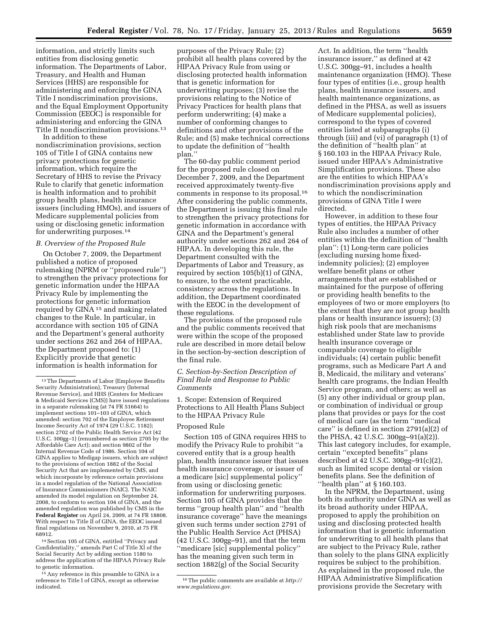information, and strictly limits such entities from disclosing genetic information. The Departments of Labor, Treasury, and Health and Human Services (HHS) are responsible for administering and enforcing the GINA Title I nondiscrimination provisions, and the Equal Employment Opportunity Commission (EEOC) is responsible for administering and enforcing the GINA Title II nondiscrimination provisions.13

In addition to these nondiscrimination provisions, section 105 of Title I of GINA contains new privacy protections for genetic information, which require the Secretary of HHS to revise the Privacy Rule to clarify that genetic information is health information and to prohibit group health plans, health insurance issuers (including HMOs), and issuers of Medicare supplemental policies from using or disclosing genetic information for underwriting purposes.14

# *B. Overview of the Proposed Rule*

On October 7, 2009, the Department published a notice of proposed rulemaking (NPRM or ''proposed rule'') to strengthen the privacy protections for genetic information under the HIPAA Privacy Rule by implementing the protections for genetic information required by GINA 15 and making related changes to the Rule. In particular, in accordance with section 105 of GINA and the Department's general authority under sections 262 and 264 of HIPAA, the Department proposed to: (1) Explicitly provide that genetic information is health information for

14Section 105 of GINA, entitled ''Privacy and Confidentiality,'' amends Part C of Title XI of the Social Security Act by adding section 1180 to address the application of the HIPAA Privacy Rule to genetic information.

<sup>15</sup> Any reference in this preamble to GINA is a reference to Title I of GINA, except as otherwise indicated.

purposes of the Privacy Rule; (2) prohibit all health plans covered by the HIPAA Privacy Rule from using or disclosing protected health information that is genetic information for underwriting purposes; (3) revise the provisions relating to the Notice of Privacy Practices for health plans that perform underwriting; (4) make a number of conforming changes to definitions and other provisions of the Rule; and (5) make technical corrections to update the definition of ''health plan.''

The 60-day public comment period for the proposed rule closed on December 7, 2009, and the Department received approximately twenty-five comments in response to its proposal.16 After considering the public comments, the Department is issuing this final rule to strengthen the privacy protections for genetic information in accordance with GINA and the Department's general authority under sections 262 and 264 of HIPAA. In developing this rule, the Department consulted with the Departments of Labor and Treasury, as required by section 105(b)(1) of GINA, to ensure, to the extent practicable, consistency across the regulations. In addition, the Department coordinated with the EEOC in the development of these regulations.

The provisions of the proposed rule and the public comments received that were within the scope of the proposed rule are described in more detail below in the section-by-section description of the final rule.

*C. Section-by-Section Description of Final Rule and Response to Public Comments* 

1. Scope: Extension of Required Protections to All Health Plans Subject to the HIPAA Privacy Rule

### Proposed Rule

Section 105 of GINA requires HHS to modify the Privacy Rule to prohibit ''a covered entity that is a group health plan, health insurance issuer that issues health insurance coverage, or issuer of a medicare [sic] supplemental policy'' from using or disclosing genetic information for underwriting purposes. Section 105 of GINA provides that the terms ''group health plan'' and ''health insurance coverage'' have the meanings given such terms under section 2791 of the Public Health Service Act (PHSA) (42 U.S.C. 300gg–91), and that the term ''medicare [sic] supplemental policy'' has the meaning given such term in section 1882(g) of the Social Security

Act. In addition, the term ''health insurance issuer,'' as defined at 42 U.S.C. 300gg–91, includes a health maintenance organization (HMO). These four types of entities (i.e., group health plans, health insurance issuers, and health maintenance organizations, as defined in the PHSA, as well as issuers of Medicare supplemental policies), correspond to the types of covered entities listed at subparagraphs (i) through (iii) and (vi) of paragraph (1) of the definition of ''health plan'' at § 160.103 in the HIPAA Privacy Rule, issued under HIPAA's Administrative Simplification provisions. These also are the entities to which HIPAA's nondiscrimination provisions apply and to which the nondiscrimination provisions of GINA Title I were directed.

However, in addition to these four types of entities, the HIPAA Privacy Rule also includes a number of other entities within the definition of ''health plan'': (1) Long-term care policies (excluding nursing home fixedindemnity policies); (2) employee welfare benefit plans or other arrangements that are established or maintained for the purpose of offering or providing health benefits to the employees of two or more employers (to the extent that they are not group health plans or health insurance issuers); (3) high risk pools that are mechanisms established under State law to provide health insurance coverage or comparable coverage to eligible individuals; (4) certain public benefit programs, such as Medicare Part A and B, Medicaid, the military and veterans' health care programs, the Indian Health Service program, and others; as well as (5) any other individual or group plan, or combination of individual or group plans that provides or pays for the cost of medical care (as the term ''medical care'' is defined in section 2791(a)(2) of the PHSA, 42 U.S.C. 300gg–91(a)(2)). This last category includes, for example, certain ''excepted benefits'' plans described at 42 U.S.C. 300gg–91(c)(2), such as limited scope dental or vision benefits plans. See the definition of ''health plan'' at § 160.103.

In the NPRM, the Department, using both its authority under GINA as well as its broad authority under HIPAA, proposed to apply the prohibition on using and disclosing protected health information that is genetic information for underwriting to all health plans that are subject to the Privacy Rule, rather than solely to the plans GINA explicitly requires be subject to the prohibition. As explained in the proposed rule, the HIPAA Administrative Simplification provisions provide the Secretary with

<sup>13</sup>The Departments of Labor (Employee Benefits Security Administration), Treasury (Internal Revenue Service), and HHS (Centers for Medicare & Medicaid Services (CMS)) have issued regulations in a separate rulemaking (at 74 FR 51664) to implement sections 101–103 of GINA, which amended: section 702 of the Employee Retirement Income Security Act of 1974 (29 U.S.C. 1182); section 2702 of the Public Health Service Act (42 U.S.C. 300gg–1) (renumbered as section 2705 by the Affordable Care Act); and section 9802 of the Internal Revenue Code of 1986. Section 104 of GINA applies to Medigap issuers, which are subject to the provisions of section 1882 of the Social Security Act that are implemented by CMS, and which incorporate by reference certain provisions in a model regulation of the National Association of Insurance Commissioners (NAIC). The NAIC amended its model regulation on September 24, 2008, to conform to section 104 of GINA, and the amended regulation was published by CMS in the **Federal Register** on April 24, 2009, at 74 FR 18808. With respect to Title II of GINA, the EEOC issued final regulations on November 9, 2010, at 75 FR 68912.

<sup>16</sup>The public comments are available at *[http://](http://www.regulations.gov)  [www.regulations.gov](http://www.regulations.gov)*.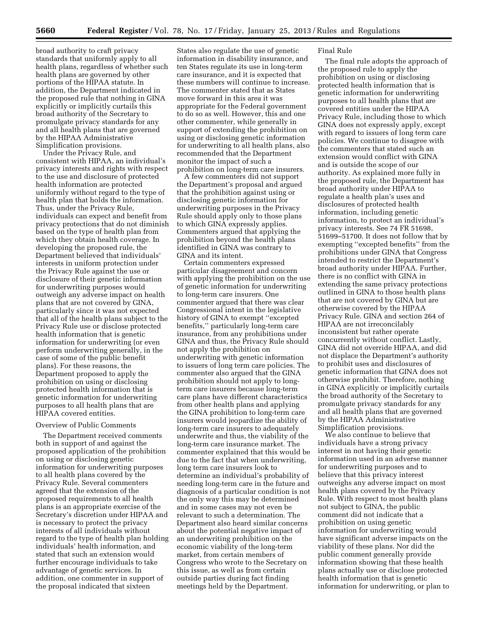broad authority to craft privacy standards that uniformly apply to all health plans, regardless of whether such health plans are governed by other portions of the HIPAA statute. In addition, the Department indicated in the proposed rule that nothing in GINA explicitly or implicitly curtails this broad authority of the Secretary to promulgate privacy standards for any and all health plans that are governed by the HIPAA Administrative Simplification provisions.

Under the Privacy Rule, and consistent with HIPAA, an individual's privacy interests and rights with respect to the use and disclosure of protected health information are protected uniformly without regard to the type of health plan that holds the information. Thus, under the Privacy Rule, individuals can expect and benefit from privacy protections that do not diminish based on the type of health plan from which they obtain health coverage. In developing the proposed rule, the Department believed that individuals' interests in uniform protection under the Privacy Rule against the use or disclosure of their genetic information for underwriting purposes would outweigh any adverse impact on health plans that are not covered by GINA, particularly since it was not expected that all of the health plans subject to the Privacy Rule use or disclose protected health information that is genetic information for underwriting (or even perform underwriting generally, in the case of some of the public benefit plans). For these reasons, the Department proposed to apply the prohibition on using or disclosing protected health information that is genetic information for underwriting purposes to all health plans that are HIPAA covered entities.

### Overview of Public Comments

The Department received comments both in support of and against the proposed application of the prohibition on using or disclosing genetic information for underwriting purposes to all health plans covered by the Privacy Rule. Several commenters agreed that the extension of the proposed requirements to all health plans is an appropriate exercise of the Secretary's discretion under HIPAA and is necessary to protect the privacy interests of all individuals without regard to the type of health plan holding individuals' health information, and stated that such an extension would further encourage individuals to take advantage of genetic services. In addition, one commenter in support of the proposal indicated that sixteen

States also regulate the use of genetic information in disability insurance, and ten States regulate its use in long-term care insurance, and it is expected that these numbers will continue to increase. The commenter stated that as States move forward in this area it was appropriate for the Federal government to do so as well. However, this and one other commenter, while generally in support of extending the prohibition on using or disclosing genetic information for underwriting to all health plans, also recommended that the Department monitor the impact of such a prohibition on long-term care insurers.

A few commenters did not support the Department's proposal and argued that the prohibition against using or disclosing genetic information for underwriting purposes in the Privacy Rule should apply only to those plans to which GINA expressly applies. Commenters argued that applying the prohibition beyond the health plans identified in GINA was contrary to GINA and its intent.

Certain commenters expressed particular disagreement and concern with applying the prohibition on the use of genetic information for underwriting to long-term care insurers. One commenter argued that there was clear Congressional intent in the legislative history of GINA to exempt ''excepted benefits,'' particularly long-term care insurance, from any prohibitions under GINA and thus, the Privacy Rule should not apply the prohibition on underwriting with genetic information to issuers of long term care policies. The commenter also argued that the GINA prohibition should not apply to longterm care insurers because long-term care plans have different characteristics from other health plans and applying the GINA prohibition to long-term care insurers would jeopardize the ability of long-term care insurers to adequately underwrite and thus, the viability of the long-term care insurance market. The commenter explained that this would be due to the fact that when underwriting, long term care insurers look to determine an individual's probability of needing long-term care in the future and diagnosis of a particular condition is not the only way this may be determined and in some cases may not even be relevant to such a determination. The Department also heard similar concerns about the potential negative impact of an underwriting prohibition on the economic viability of the long-term market, from certain members of Congress who wrote to the Secretary on this issue, as well as from certain outside parties during fact finding meetings held by the Department.

### Final Rule

The final rule adopts the approach of the proposed rule to apply the prohibition on using or disclosing protected health information that is genetic information for underwriting purposes to all health plans that are covered entities under the HIPAA Privacy Rule, including those to which GINA does not expressly apply, except with regard to issuers of long term care policies. We continue to disagree with the commenters that stated such an extension would conflict with GINA and is outside the scope of our authority. As explained more fully in the proposed rule, the Department has broad authority under HIPAA to regulate a health plan's uses and disclosures of protected health information, including genetic information, to protect an individual's privacy interests. See 74 FR 51698, 51699–51700. It does not follow that by exempting ''excepted benefits'' from the prohibitions under GINA that Congress intended to restrict the Department's broad authority under HIPAA. Further, there is no conflict with GINA in extending the same privacy protections outlined in GINA to those health plans that are not covered by GINA but are otherwise covered by the HIPAA Privacy Rule. GINA and section 264 of HIPAA are not irreconcilably inconsistent but rather operate concurrently without conflict. Lastly, GINA did not override HIPAA, and did not displace the Department's authority to prohibit uses and disclosures of genetic information that GINA does not otherwise prohibit. Therefore, nothing in GINA explicitly or implicitly curtails the broad authority of the Secretary to promulgate privacy standards for any and all health plans that are governed by the HIPAA Administrative Simplification provisions.

We also continue to believe that individuals have a strong privacy interest in not having their genetic information used in an adverse manner for underwriting purposes and to believe that this privacy interest outweighs any adverse impact on most health plans covered by the Privacy Rule. With respect to most health plans not subject to GINA, the public comment did not indicate that a prohibition on using genetic information for underwriting would have significant adverse impacts on the viability of these plans. Nor did the public comment generally provide information showing that these health plans actually use or disclose protected health information that is genetic information for underwriting, or plan to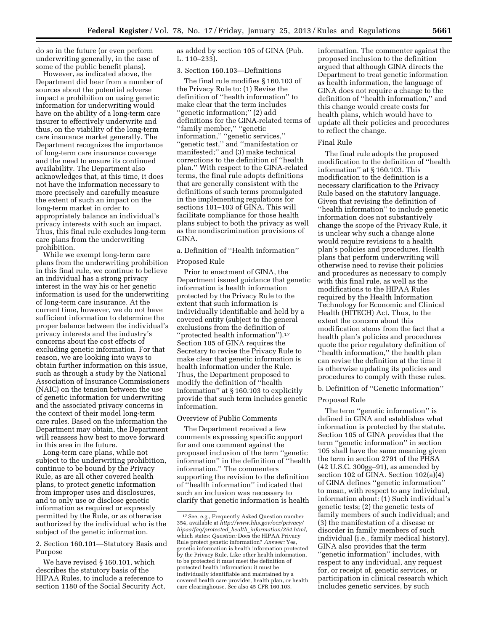do so in the future (or even perform underwriting generally, in the case of some of the public benefit plans).

However, as indicated above, the Department did hear from a number of sources about the potential adverse impact a prohibition on using genetic information for underwriting would have on the ability of a long-term care insurer to effectively underwrite and thus, on the viability of the long-term care insurance market generally. The Department recognizes the importance of long-term care insurance coverage and the need to ensure its continued availability. The Department also acknowledges that, at this time, it does not have the information necessary to more precisely and carefully measure the extent of such an impact on the long-term market in order to appropriately balance an individual's privacy interests with such an impact. Thus, this final rule excludes long-term care plans from the underwriting prohibition.

While we exempt long-term care plans from the underwriting prohibition in this final rule, we continue to believe an individual has a strong privacy interest in the way his or her genetic information is used for the underwriting of long-term care insurance. At the current time, however, we do not have sufficient information to determine the proper balance between the individual's privacy interests and the industry's concerns about the cost effects of excluding genetic information. For that reason, we are looking into ways to obtain further information on this issue, such as through a study by the National Association of Insurance Commissioners (NAIC) on the tension between the use of genetic information for underwriting and the associated privacy concerns in the context of their model long-term care rules. Based on the information the Department may obtain, the Department will reassess how best to move forward in this area in the future.

Long-term care plans, while not subject to the underwriting prohibition, continue to be bound by the Privacy Rule, as are all other covered health plans, to protect genetic information from improper uses and disclosures, and to only use or disclose genetic information as required or expressly permitted by the Rule, or as otherwise authorized by the individual who is the subject of the genetic information.

2. Section 160.101—Statutory Basis and Purpose

We have revised § 160.101, which describes the statutory basis of the HIPAA Rules, to include a reference to section 1180 of the Social Security Act, as added by section 105 of GINA (Pub. L. 110–233).

3. Section 160.103—Definitions

The final rule modifies § 160.103 of the Privacy Rule to: (1) Revise the definition of ''health information'' to make clear that the term includes ''genetic information;'' (2) add definitions for the GINA-related terms of ''family member,'' ''genetic information,'' ''genetic services,'' ''genetic test,'' and ''manifestation or manifested;'' and (3) make technical corrections to the definition of ''health plan.'' With respect to the GINA-related terms, the final rule adopts definitions that are generally consistent with the definitions of such terms promulgated in the implementing regulations for sections 101–103 of GINA. This will facilitate compliance for those health plans subject to both the privacy as well as the nondiscrimination provisions of GINA.

# a. Definition of ''Health information''

Proposed Rule

Prior to enactment of GINA, the Department issued guidance that genetic information is health information protected by the Privacy Rule to the extent that such information is individually identifiable and held by a covered entity (subject to the general exclusions from the definition of ''protected health information'').17 Section 105 of GINA requires the Secretary to revise the Privacy Rule to make clear that genetic information is health information under the Rule. Thus, the Department proposed to modify the definition of ''health information'' at § 160.103 to explicitly provide that such term includes genetic information.

# Overview of Public Comments

The Department received a few comments expressing specific support for and one comment against the proposed inclusion of the term ''genetic information'' in the definition of ''health information.'' The commenters supporting the revision to the definition of ''health information'' indicated that such an inclusion was necessary to clarify that genetic information is health

information. The commenter against the proposed inclusion to the definition argued that although GINA directs the Department to treat genetic information as health information, the language of GINA does not require a change to the definition of ''health information,'' and this change would create costs for health plans, which would have to update all their policies and procedures to reflect the change.

### Final Rule

The final rule adopts the proposed modification to the definition of ''health information'' at § 160.103. This modification to the definition is a necessary clarification to the Privacy Rule based on the statutory language. Given that revising the definition of ''health information'' to include genetic information does not substantively change the scope of the Privacy Rule, it is unclear why such a change alone would require revisions to a health plan's policies and procedures. Health plans that perform underwriting will otherwise need to revise their policies and procedures as necessary to comply with this final rule, as well as the modifications to the HIPAA Rules required by the Health Information Technology for Economic and Clinical Health (HITECH) Act. Thus, to the extent the concern about this modification stems from the fact that a health plan's policies and procedures quote the prior regulatory definition of ''health information,'' the health plan can revise the definition at the time it is otherwise updating its policies and procedures to comply with these rules.

b. Definition of ''Genetic Information''

### Proposed Rule

The term ''genetic information'' is defined in GINA and establishes what information is protected by the statute. Section 105 of GINA provides that the term ''genetic information'' in section 105 shall have the same meaning given the term in section 2791 of the PHSA (42 U.S.C. 300gg–91), as amended by section 102 of GINA. Section 102(a)(4) of GINA defines ''genetic information'' to mean, with respect to any individual, information about: (1) Such individual's genetic tests; (2) the genetic tests of family members of such individual; and (3) the manifestation of a disease or disorder in family members of such individual (i.e., family medical history). GINA also provides that the term ''genetic information'' includes, with respect to any individual, any request for, or receipt of, genetic services, or participation in clinical research which includes genetic services, by such

 $^{\rm 17}$  See, e.g., Frequently Asked Question number 354, available at *[http://www.hhs.gov/ocr/privacy/](http://www.hhs.gov/ocr/privacy/hipaa/faq/protected_health_information/354.html) hipaa/faq/protected*\_*health*\_*[information/354.html](http://www.hhs.gov/ocr/privacy/hipaa/faq/protected_health_information/354.html)*, which states: *Question:* Does the HIPAA Privacy Rule protect genetic information? *Answer:* Yes, genetic information is health information protected by the Privacy Rule. Like other health information, to be protected it must meet the definition of protected health information: it must be individually identifiable and maintained by a covered health care provider, health plan, or health care clearinghouse. See also 45 CFR 160.103.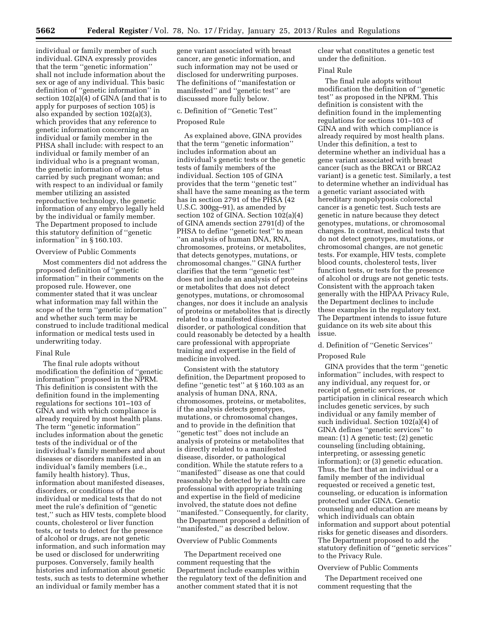individual or family member of such individual. GINA expressly provides that the term ''genetic information'' shall not include information about the sex or age of any individual. This basic definition of ''genetic information'' in section 102(a)(4) of GINA (and that is to apply for purposes of section 105) is also expanded by section 102(a)(3), which provides that any reference to genetic information concerning an individual or family member in the PHSA shall include: with respect to an individual or family member of an individual who is a pregnant woman, the genetic information of any fetus carried by such pregnant woman; and with respect to an individual or family member utilizing an assisted reproductive technology, the genetic information of any embryo legally held by the individual or family member. The Department proposed to include this statutory definition of ''genetic information'' in § 160.103.

# Overview of Public Comments

Most commenters did not address the proposed definition of ''genetic information'' in their comments on the proposed rule. However, one commenter stated that it was unclear what information may fall within the scope of the term ''genetic information'' and whether such term may be construed to include traditional medical information or medical tests used in underwriting today.

### Final Rule

The final rule adopts without modification the definition of ''genetic information'' proposed in the NPRM. This definition is consistent with the definition found in the implementing regulations for sections 101–103 of GINA and with which compliance is already required by most health plans. The term ''genetic information'' includes information about the genetic tests of the individual or of the individual's family members and about diseases or disorders manifested in an individual's family members (i.e., family health history). Thus, information about manifested diseases, disorders, or conditions of the individual or medical tests that do not meet the rule's definition of ''genetic test,'' such as HIV tests, complete blood counts, cholesterol or liver function tests, or tests to detect for the presence of alcohol or drugs, are not genetic information, and such information may be used or disclosed for underwriting purposes. Conversely, family health histories and information about genetic tests, such as tests to determine whether an individual or family member has a

gene variant associated with breast cancer, are genetic information, and such information may not be used or disclosed for underwriting purposes. The definitions of ''manifestation or manifested'' and ''genetic test'' are discussed more fully below.

# c. Definition of ''Genetic Test''

# Proposed Rule

As explained above, GINA provides that the term ''genetic information'' includes information about an individual's genetic tests or the genetic tests of family members of the individual. Section 105 of GINA provides that the term ''genetic test'' shall have the same meaning as the term has in section 2791 of the PHSA (42 U.S.C. 300gg–91), as amended by section 102 of GINA. Section 102(a)(4) of GINA amends section 2791(d) of the PHSA to define ''genetic test'' to mean ''an analysis of human DNA, RNA, chromosomes, proteins, or metabolites, that detects genotypes, mutations, or chromosomal changes.'' GINA further clarifies that the term ''genetic test'' does not include an analysis of proteins or metabolites that does not detect genotypes, mutations, or chromosomal changes, nor does it include an analysis of proteins or metabolites that is directly related to a manifested disease, disorder, or pathological condition that could reasonably be detected by a health care professional with appropriate training and expertise in the field of medicine involved.

Consistent with the statutory definition, the Department proposed to define ''genetic test'' at § 160.103 as an analysis of human DNA, RNA, chromosomes, proteins, or metabolites, if the analysis detects genotypes, mutations, or chromosomal changes, and to provide in the definition that ''genetic test'' does not include an analysis of proteins or metabolites that is directly related to a manifested disease, disorder, or pathological condition. While the statute refers to a ''manifested'' disease as one that could reasonably be detected by a health care professional with appropriate training and expertise in the field of medicine involved, the statute does not define ''manifested.'' Consequently, for clarity, the Department proposed a definition of ''manifested,'' as described below.

# Overview of Public Comments

The Department received one comment requesting that the Department include examples within the regulatory text of the definition and another comment stated that it is not

clear what constitutes a genetic test under the definition.

# Final Rule

The final rule adopts without modification the definition of ''genetic test'' as proposed in the NPRM. This definition is consistent with the definition found in the implementing regulations for sections 101–103 of GINA and with which compliance is already required by most health plans. Under this definition, a test to determine whether an individual has a gene variant associated with breast cancer (such as the BRCA1 or BRCA2 variant) is a genetic test. Similarly, a test to determine whether an individual has a genetic variant associated with hereditary nonpolyposis colorectal cancer is a genetic test. Such tests are genetic in nature because they detect genotypes, mutations, or chromosomal changes. In contrast, medical tests that do not detect genotypes, mutations, or chromosomal changes, are not genetic tests. For example, HIV tests, complete blood counts, cholesterol tests, liver function tests, or tests for the presence of alcohol or drugs are not genetic tests. Consistent with the approach taken generally with the HIPAA Privacy Rule, the Department declines to include these examples in the regulatory text. The Department intends to issue future guidance on its web site about this issue.

# d. Definition of ''Genetic Services'' Proposed Rule

GINA provides that the term ''genetic information'' includes, with respect to any individual, any request for, or receipt of, genetic services, or participation in clinical research which includes genetic services, by such individual or any family member of such individual. Section 102(a)(4) of GINA defines ''genetic services'' to mean: (1) A genetic test; (2) genetic counseling (including obtaining, interpreting, or assessing genetic information); or (3) genetic education. Thus, the fact that an individual or a family member of the individual requested or received a genetic test, counseling, or education is information protected under GINA. Genetic counseling and education are means by which individuals can obtain information and support about potential risks for genetic diseases and disorders. The Department proposed to add the statutory definition of ''genetic services'' to the Privacy Rule.

### Overview of Public Comments

The Department received one comment requesting that the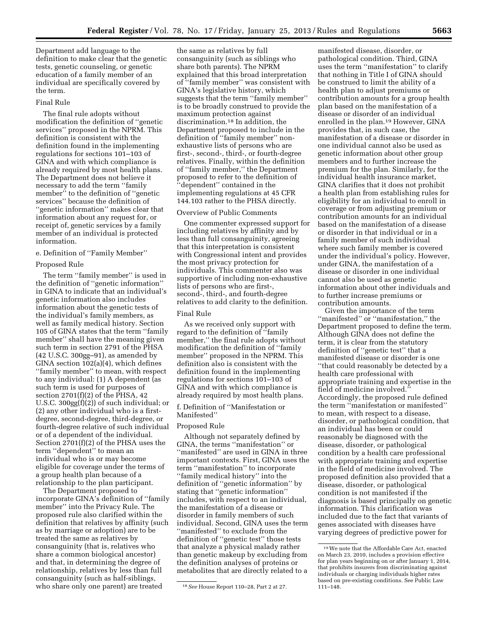Department add language to the definition to make clear that the genetic tests, genetic counseling, or genetic education of a family member of an individual are specifically covered by the term.

### Final Rule

The final rule adopts without modification the definition of ''genetic services'' proposed in the NPRM. This definition is consistent with the definition found in the implementing regulations for sections 101–103 of GINA and with which compliance is already required by most health plans. The Department does not believe it necessary to add the term ''family member'' to the definition of ''genetic services'' because the definition of ''genetic information'' makes clear that information about any request for, or receipt of, genetic services by a family member of an individual is protected information.

# e. Definition of ''Family Member''

### Proposed Rule

The term ''family member'' is used in the definition of ''genetic information'' in GINA to indicate that an individual's genetic information also includes information about the genetic tests of the individual's family members, as well as family medical history. Section 105 of GINA states that the term ''family member'' shall have the meaning given such term in section 2791 of the PHSA (42 U.S.C. 300gg–91), as amended by GINA section 102(a)(4), which defines ''family member'' to mean, with respect to any individual: (1) A dependent (as such term is used for purposes of section 2701(f)(2) of the PHSA, 42 U.S.C. 300gg(f)(2)) of such individual; or (2) any other individual who is a firstdegree, second-degree, third-degree, or fourth-degree relative of such individual or of a dependent of the individual. Section 2701(f)(2) of the PHSA uses the term ''dependent'' to mean an individual who is or may become eligible for coverage under the terms of a group health plan because of a relationship to the plan participant.

The Department proposed to incorporate GINA's definition of ''family member'' into the Privacy Rule. The proposed rule also clarified within the definition that relatives by affinity (such as by marriage or adoption) are to be treated the same as relatives by consanguinity (that is, relatives who share a common biological ancestor) and that, in determining the degree of relationship, relatives by less than full consanguinity (such as half-siblings, who share only one parent) are treated

the same as relatives by full consanguinity (such as siblings who share both parents). The NPRM explained that this broad interpretation of ''family member'' was consistent with GINA's legislative history, which suggests that the term ''family member'' is to be broadly construed to provide the maximum protection against discrimination.18 In addition, the Department proposed to include in the definition of ''family member'' nonexhaustive lists of persons who are first-, second-, third-, or fourth-degree relatives. Finally, within the definition of ''family member,'' the Department proposed to refer to the definition of ''dependent'' contained in the implementing regulations at 45 CFR 144.103 rather to the PHSA directly.

# Overview of Public Comments

One commenter expressed support for including relatives by affinity and by less than full consanguinity, agreeing that this interpretation is consistent with Congressional intent and provides the most privacy protection for individuals. This commenter also was supportive of including non-exhaustive lists of persons who are first-, second-, third-, and fourth-degree relatives to add clarity to the definition.

# Final Rule

As we received only support with regard to the definition of ''family member,'' the final rule adopts without modification the definition of ''family member'' proposed in the NPRM. This definition also is consistent with the definition found in the implementing regulations for sections 101–103 of GINA and with which compliance is already required by most health plans.

# f. Definition of ''Manifestation or Manifested''

### Proposed Rule

Although not separately defined by GINA, the terms ''manifestation'' or ''manifested'' are used in GINA in three important contexts. First, GINA uses the term ''manifestation'' to incorporate ''family medical history'' into the definition of ''genetic information'' by stating that ''genetic information'' includes, with respect to an individual, the manifestation of a disease or disorder in family members of such individual. Second, GINA uses the term ''manifested'' to exclude from the definition of ''genetic test'' those tests that analyze a physical malady rather than genetic makeup by excluding from the definition analyses of proteins or metabolites that are directly related to a

manifested disease, disorder, or pathological condition. Third, GINA uses the term ''manifestation'' to clarify that nothing in Title I of GINA should be construed to limit the ability of a health plan to adjust premiums or contribution amounts for a group health plan based on the manifestation of a disease or disorder of an individual enrolled in the plan.19 However, GINA provides that, in such case, the manifestation of a disease or disorder in one individual cannot also be used as genetic information about other group members and to further increase the premium for the plan. Similarly, for the individual health insurance market, GINA clarifies that it does not prohibit a health plan from establishing rules for eligibility for an individual to enroll in coverage or from adjusting premium or contribution amounts for an individual based on the manifestation of a disease or disorder in that individual or in a family member of such individual where such family member is covered under the individual's policy. However, under GINA, the manifestation of a disease or disorder in one individual cannot also be used as genetic information about other individuals and to further increase premiums or contribution amounts.

Given the importance of the term ''manifested'' or ''manifestation,'' the Department proposed to define the term. Although GINA does not define the term, it is clear from the statutory definition of ''genetic test'' that a manifested disease or disorder is one ''that could reasonably be detected by a health care professional with appropriate training and expertise in the field of medicine involved.'' Accordingly, the proposed rule defined the term ''manifestation or manifested'' to mean, with respect to a disease, disorder, or pathological condition, that an individual has been or could reasonably be diagnosed with the disease, disorder, or pathological condition by a health care professional with appropriate training and expertise in the field of medicine involved. The proposed definition also provided that a disease, disorder, or pathological condition is not manifested if the diagnosis is based principally on genetic information. This clarification was included due to the fact that variants of genes associated with diseases have varying degrees of predictive power for

<sup>18</sup>*See* House Report 110–28, Part 2 at 27.

<sup>19</sup>We note that the Affordable Care Act, enacted on March 23, 2010, includes a provision effective for plan years beginning on or after January 1, 2014, that prohibits insurers from discriminating against individuals or charging individuals higher rates based on pre-existing conditions. See Public Law 111–148.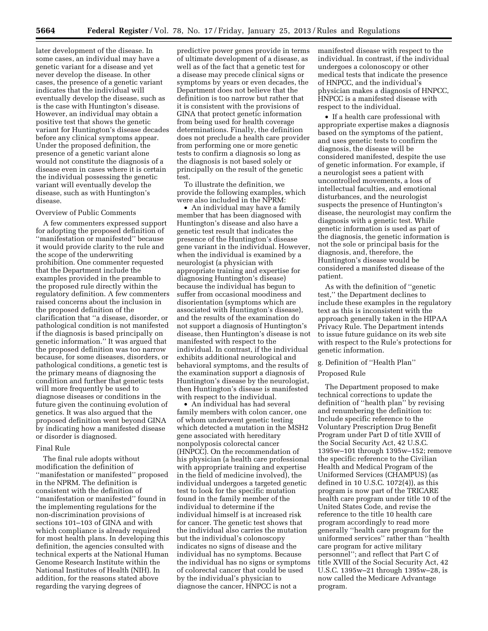later development of the disease. In some cases, an individual may have a genetic variant for a disease and yet never develop the disease. In other cases, the presence of a genetic variant indicates that the individual will eventually develop the disease, such as is the case with Huntington's disease. However, an individual may obtain a positive test that shows the genetic variant for Huntington's disease decades before any clinical symptoms appear. Under the proposed definition, the presence of a genetic variant alone would not constitute the diagnosis of a disease even in cases where it is certain the individual possessing the genetic variant will eventually develop the disease, such as with Huntington's disease.

### Overview of Public Comments

A few commenters expressed support for adopting the proposed definition of ''manifestation or manifested'' because it would provide clarity to the rule and the scope of the underwriting prohibition. One commenter requested that the Department include the examples provided in the preamble to the proposed rule directly within the regulatory definition. A few commenters raised concerns about the inclusion in the proposed definition of the clarification that ''a disease, disorder, or pathological condition is not manifested if the diagnosis is based principally on genetic information.'' It was argued that the proposed definition was too narrow because, for some diseases, disorders, or pathological conditions, a genetic test is the primary means of diagnosing the condition and further that genetic tests will more frequently be used to diagnose diseases or conditions in the future given the continuing evolution of genetics. It was also argued that the proposed definition went beyond GINA by indicating how a manifested disease or disorder is diagnosed.

### Final Rule

The final rule adopts without modification the definition of ''manifestation or manifested'' proposed in the NPRM. The definition is consistent with the definition of ''manifestation or manifested'' found in the implementing regulations for the non-discrimination provisions of sections 101–103 of GINA and with which compliance is already required for most health plans. In developing this definition, the agencies consulted with technical experts at the National Human Genome Research Institute within the National Institutes of Health (NIH). In addition, for the reasons stated above regarding the varying degrees of

predictive power genes provide in terms of ultimate development of a disease, as well as of the fact that a genetic test for a disease may precede clinical signs or symptoms by years or even decades, the Department does not believe that the definition is too narrow but rather that it is consistent with the provisions of GINA that protect genetic information from being used for health coverage determinations. Finally, the definition does not preclude a health care provider from performing one or more genetic tests to confirm a diagnosis so long as the diagnosis is not based solely or principally on the result of the genetic test.

To illustrate the definition, we provide the following examples, which were also included in the NPRM:

• An individual may have a family member that has been diagnosed with Huntington's disease and also have a genetic test result that indicates the presence of the Huntington's disease gene variant in the individual. However, when the individual is examined by a neurologist (a physician with appropriate training and expertise for diagnosing Huntington's disease) because the individual has begun to suffer from occasional moodiness and disorientation (symptoms which are associated with Huntington's disease), and the results of the examination do not support a diagnosis of Huntington's disease, then Huntington's disease is not manifested with respect to the individual. In contrast, if the individual exhibits additional neurological and behavioral symptoms, and the results of the examination support a diagnosis of Huntington's disease by the neurologist, then Huntington's disease is manifested with respect to the individual.

• An individual has had several family members with colon cancer, one of whom underwent genetic testing which detected a mutation in the MSH2 gene associated with hereditary nonpolyposis colorectal cancer (HNPCC). On the recommendation of his physician (a health care professional with appropriate training and expertise in the field of medicine involved), the individual undergoes a targeted genetic test to look for the specific mutation found in the family member of the individual to determine if the individual himself is at increased risk for cancer. The genetic test shows that the individual also carries the mutation but the individual's colonoscopy indicates no signs of disease and the individual has no symptoms. Because the individual has no signs or symptoms of colorectal cancer that could be used by the individual's physician to diagnose the cancer, HNPCC is not a

manifested disease with respect to the individual. In contrast, if the individual undergoes a colonoscopy or other medical tests that indicate the presence of HNPCC, and the individual's physician makes a diagnosis of HNPCC, HNPCC is a manifested disease with respect to the individual.

• If a health care professional with appropriate expertise makes a diagnosis based on the symptoms of the patient, and uses genetic tests to confirm the diagnosis, the disease will be considered manifested, despite the use of genetic information. For example, if a neurologist sees a patient with uncontrolled movements, a loss of intellectual faculties, and emotional disturbances, and the neurologist suspects the presence of Huntington's disease, the neurologist may confirm the diagnosis with a genetic test. While genetic information is used as part of the diagnosis, the genetic information is not the sole or principal basis for the diagnosis, and, therefore, the Huntington's disease would be considered a manifested disease of the patient.

As with the definition of ''genetic test,'' the Department declines to include these examples in the regulatory text as this is inconsistent with the approach generally taken in the HIPAA Privacy Rule. The Department intends to issue future guidance on its web site with respect to the Rule's protections for genetic information.

### g. Definition of ''Health Plan''

### Proposed Rule

The Department proposed to make technical corrections to update the definition of ''health plan'' by revising and renumbering the definition to: Include specific reference to the Voluntary Prescription Drug Benefit Program under Part D of title XVIII of the Social Security Act, 42 U.S.C. 1395w–101 through 1395w–152; remove the specific reference to the Civilian Health and Medical Program of the Uniformed Services (CHAMPUS) (as defined in 10 U.S.C. 1072(4)), as this program is now part of the TRICARE health care program under title 10 of the United States Code, and revise the reference to the title 10 health care program accordingly to read more generally ''health care program for the uniformed services'' rather than ''health care program for active military personnel''; and reflect that Part C of title XVIII of the Social Security Act, 42 U.S.C. 1395w–21 through 1395w–28, is now called the Medicare Advantage program.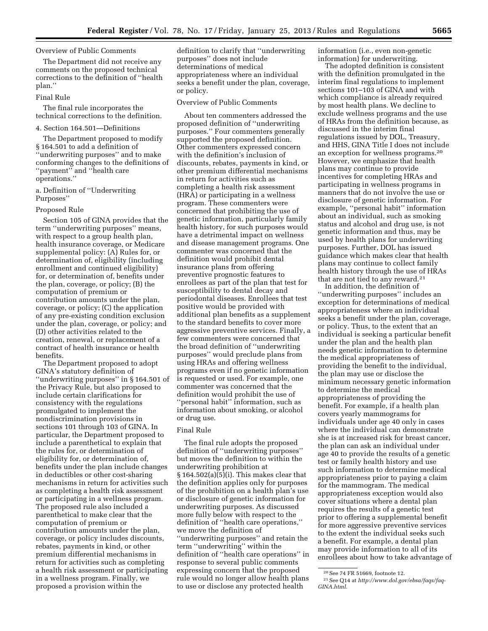### Overview of Public Comments

The Department did not receive any comments on the proposed technical corrections to the definition of ''health plan.''

### Final Rule

The final rule incorporates the technical corrections to the definition.

### 4. Section 164.501—Definitions

The Department proposed to modify § 164.501 to add a definition of ''underwriting purposes'' and to make conforming changes to the definitions of ''payment'' and ''health care operations.''

### a. Definition of ''Underwriting Purposes''

### Proposed Rule

Section 105 of GINA provides that the term ''underwriting purposes'' means, with respect to a group health plan, health insurance coverage, or Medicare supplemental policy: (A) Rules for, or determination of, eligibility (including enrollment and continued eligibility) for, or determination of, benefits under the plan, coverage, or policy; (B) the computation of premium or contribution amounts under the plan, coverage, or policy; (C) the application of any pre-existing condition exclusion under the plan, coverage, or policy; and (D) other activities related to the creation, renewal, or replacement of a contract of health insurance or health benefits.

The Department proposed to adopt GINA's statutory definition of ''underwriting purposes'' in § 164.501 of the Privacy Rule, but also proposed to include certain clarifications for consistency with the regulations promulgated to implement the nondiscrimination provisions in sections 101 through 103 of GINA. In particular, the Department proposed to include a parenthetical to explain that the rules for, or determination of eligibility for, or determination of, benefits under the plan include changes in deductibles or other cost-sharing mechanisms in return for activities such as completing a health risk assessment or participating in a wellness program. The proposed rule also included a parenthetical to make clear that the computation of premium or contribution amounts under the plan, coverage, or policy includes discounts, rebates, payments in kind, or other premium differential mechanisms in return for activities such as completing a health risk assessment or participating in a wellness program. Finally, we proposed a provision within the

definition to clarify that ''underwriting purposes'' does not include determinations of medical appropriateness where an individual seeks a benefit under the plan, coverage, or policy.

### Overview of Public Comments

About ten commenters addressed the proposed definition of ''underwriting purposes.'' Four commenters generally supported the proposed definition. Other commenters expressed concern with the definition's inclusion of discounts, rebates, payments in kind, or other premium differential mechanisms in return for activities such as completing a health risk assessment (HRA) or participating in a wellness program. These commenters were concerned that prohibiting the use of genetic information, particularly family health history, for such purposes would have a detrimental impact on wellness and disease management programs. One commenter was concerned that the definition would prohibit dental insurance plans from offering preventive prognostic features to enrollees as part of the plan that test for susceptibility to dental decay and periodontal diseases. Enrollees that test positive would be provided with additional plan benefits as a supplement to the standard benefits to cover more aggressive preventive services. Finally, a few commenters were concerned that the broad definition of ''underwriting purposes'' would preclude plans from using HRAs and offering wellness programs even if no genetic information is requested or used. For example, one commenter was concerned that the definition would prohibit the use of ''personal habit'' information, such as information about smoking, or alcohol or drug use.

# Final Rule

The final rule adopts the proposed definition of ''underwriting purposes'' but moves the definition to within the underwriting prohibition at § 164.502(a)(5)(i). This makes clear that the definition applies only for purposes of the prohibition on a health plan's use or disclosure of genetic information for underwriting purposes. As discussed more fully below with respect to the definition of ''health care operations,'' we move the definition of ''underwriting purposes'' and retain the term ''underwriting'' within the definition of ''health care operations'' in response to several public comments expressing concern that the proposed rule would no longer allow health plans to use or disclose any protected health

information (i.e., even non-genetic information) for underwriting.

The adopted definition is consistent with the definition promulgated in the interim final regulations to implement sections 101–103 of GINA and with which compliance is already required by most health plans. We decline to exclude wellness programs and the use of HRAs from the definition because, as discussed in the interim final regulations issued by DOL, Treasury, and HHS, GINA Title I does not include an exception for wellness programs.20 However, we emphasize that health plans may continue to provide incentives for completing HRAs and participating in wellness programs in manners that do not involve the use or disclosure of genetic information. For example, ''personal habit'' information about an individual, such as smoking status and alcohol and drug use, is not genetic information and thus, may be used by health plans for underwriting purposes. Further, DOL has issued guidance which makes clear that health plans may continue to collect family health history through the use of HRAs that are not tied to any reward.21

In addition, the definition of ''underwriting purposes'' includes an exception for determinations of medical appropriateness where an individual seeks a benefit under the plan, coverage, or policy. Thus, to the extent that an individual is seeking a particular benefit under the plan and the health plan needs genetic information to determine the medical appropriateness of providing the benefit to the individual, the plan may use or disclose the minimum necessary genetic information to determine the medical appropriateness of providing the benefit. For example, if a health plan covers yearly mammograms for individuals under age 40 only in cases where the individual can demonstrate she is at increased risk for breast cancer, the plan can ask an individual under age 40 to provide the results of a genetic test or family health history and use such information to determine medical appropriateness prior to paying a claim for the mammogram. The medical appropriateness exception would also cover situations where a dental plan requires the results of a genetic test prior to offering a supplemental benefit for more aggressive preventive services to the extent the individual seeks such a benefit. For example, a dental plan may provide information to all of its enrollees about how to take advantage of

<sup>20</sup>See 74 FR 51669, footnote 12.

<sup>21</sup>See Q14 at *[http://www.dol.gov/ebsa/faqs/faq-](http://www.dol.gov/ebsa/faqs/faq-GINA.html)[GINA.html.](http://www.dol.gov/ebsa/faqs/faq-GINA.html)*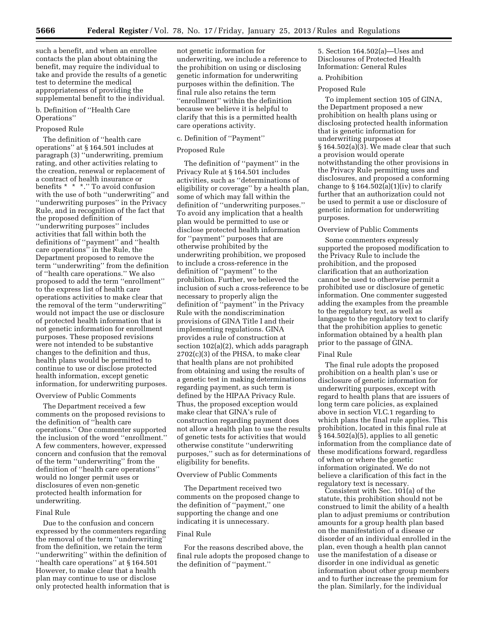such a benefit, and when an enrollee contacts the plan about obtaining the benefit, may require the individual to take and provide the results of a genetic test to determine the medical appropriateness of providing the supplemental benefit to the individual.

# b. Definition of ''Health Care Operations''

### Proposed Rule

The definition of ''health care operations'' at § 164.501 includes at paragraph (3) ''underwriting, premium rating, and other activities relating to the creation, renewal or replacement of a contract of health insurance or benefits \* \* \*.'' To avoid confusion with the use of both ''underwriting'' and ''underwriting purposes'' in the Privacy Rule, and in recognition of the fact that the proposed definition of ''underwriting purposes'' includes activities that fall within both the definitions of ''payment'' and ''health care operations'' in the Rule, the Department proposed to remove the term ''underwriting'' from the definition of ''health care operations.'' We also proposed to add the term ''enrollment'' to the express list of health care operations activities to make clear that the removal of the term ''underwriting'' would not impact the use or disclosure of protected health information that is not genetic information for enrollment purposes. These proposed revisions were not intended to be substantive changes to the definition and thus, health plans would be permitted to continue to use or disclose protected health information, except genetic information, for underwriting purposes.

### Overview of Public Comments

The Department received a few comments on the proposed revisions to the definition of ''health care operations.'' One commenter supported the inclusion of the word ''enrollment.'' A few commenters, however, expressed concern and confusion that the removal of the term ''underwriting'' from the definition of ''health care operations'' would no longer permit uses or disclosures of even non-genetic protected health information for underwriting.

### Final Rule

Due to the confusion and concern expressed by the commenters regarding the removal of the term ''underwriting'' from the definition, we retain the term ''underwriting'' within the definition of ''health care operations'' at § 164.501 However, to make clear that a health plan may continue to use or disclose only protected health information that is not genetic information for underwriting, we include a reference to the prohibition on using or disclosing genetic information for underwriting purposes within the definition. The final rule also retains the term ''enrollment'' within the definition because we believe it is helpful to clarify that this is a permitted health care operations activity.

#### c. Definition of ''Payment''

# Proposed Rule

The definition of ''payment'' in the Privacy Rule at § 164.501 includes activities, such as ''determinations of eligibility or coverage'' by a health plan, some of which may fall within the definition of ''underwriting purposes.'' To avoid any implication that a health plan would be permitted to use or disclose protected health information for ''payment'' purposes that are otherwise prohibited by the underwriting prohibition, we proposed to include a cross-reference in the definition of ''payment'' to the prohibition. Further, we believed the inclusion of such a cross-reference to be necessary to properly align the definition of ''payment'' in the Privacy Rule with the nondiscrimination provisions of GINA Title I and their implementing regulations. GINA provides a rule of construction at section 102(a)(2), which adds paragraph 2702(c)(3) of the PHSA, to make clear that health plans are not prohibited from obtaining and using the results of a genetic test in making determinations regarding payment, as such term is defined by the HIPAA Privacy Rule. Thus, the proposed exception would make clear that GINA's rule of construction regarding payment does not allow a health plan to use the results of genetic tests for activities that would otherwise constitute ''underwriting purposes,'' such as for determinations of eligibility for benefits.

# Overview of Public Comments

The Department received two comments on the proposed change to the definition of ''payment,'' one supporting the change and one indicating it is unnecessary.

# Final Rule

For the reasons described above, the final rule adopts the proposed change to the definition of ''payment.''

5. Section 164.502(a)—Uses and Disclosures of Protected Health Information: General Rules

# a. Prohibition

# Proposed Rule

To implement section 105 of GINA, the Department proposed a new prohibition on health plans using or disclosing protected health information that is genetic information for underwriting purposes at § 164.502(a)(3). We made clear that such a provision would operate notwithstanding the other provisions in the Privacy Rule permitting uses and disclosures, and proposed a conforming change to  $\S 164.502(a)(1)(iv)$  to clarify further that an authorization could not be used to permit a use or disclosure of genetic information for underwriting purposes.

### Overview of Public Comments

Some commenters expressly supported the proposed modification to the Privacy Rule to include the prohibition, and the proposed clarification that an authorization cannot be used to otherwise permit a prohibited use or disclosure of genetic information. One commenter suggested adding the examples from the preamble to the regulatory text, as well as language to the regulatory text to clarify that the prohibition applies to genetic information obtained by a health plan prior to the passage of GINA.

### Final Rule

The final rule adopts the proposed prohibition on a health plan's use or disclosure of genetic information for underwriting purposes, except with regard to health plans that are issuers of long term care policies, as explained above in section VI.C.1 regarding to which plans the final rule applies. This prohibition, located in this final rule at  $\S 164.502(a)(5)$ , applies to all genetic information from the compliance date of these modifications forward, regardless of when or where the genetic information originated. We do not believe a clarification of this fact in the regulatory text is necessary.

Consistent with Sec. 101(a) of the statute, this prohibition should not be construed to limit the ability of a health plan to adjust premiums or contribution amounts for a group health plan based on the manifestation of a disease or disorder of an individual enrolled in the plan, even though a health plan cannot use the manifestation of a disease or disorder in one individual as genetic information about other group members and to further increase the premium for the plan. Similarly, for the individual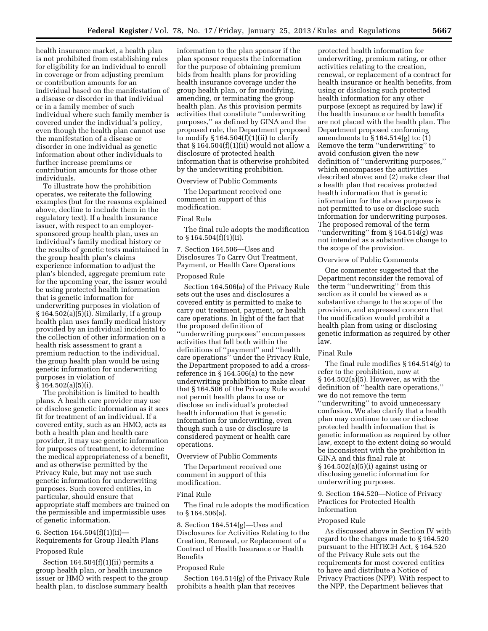health insurance market, a health plan is not prohibited from establishing rules for eligibility for an individual to enroll in coverage or from adjusting premium or contribution amounts for an individual based on the manifestation of a disease or disorder in that individual or in a family member of such individual where such family member is covered under the individual's policy, even though the health plan cannot use the manifestation of a disease or disorder in one individual as genetic information about other individuals to further increase premiums or contribution amounts for those other individuals.

To illustrate how the prohibition operates, we reiterate the following examples (but for the reasons explained above, decline to include them in the regulatory text). If a health insurance issuer, with respect to an employersponsored group health plan, uses an individual's family medical history or the results of genetic tests maintained in the group health plan's claims experience information to adjust the plan's blended, aggregate premium rate for the upcoming year, the issuer would be using protected health information that is genetic information for underwriting purposes in violation of  $§ 164.502(a)(5)(i)$ . Similarly, if a group health plan uses family medical history provided by an individual incidental to the collection of other information on a health risk assessment to grant a premium reduction to the individual, the group health plan would be using genetic information for underwriting purposes in violation of § 164.502(a)(5)(i).

The prohibition is limited to health plans. A health care provider may use or disclose genetic information as it sees fit for treatment of an individual. If a covered entity, such as an HMO, acts as both a health plan and health care provider, it may use genetic information for purposes of treatment, to determine the medical appropriateness of a benefit, and as otherwise permitted by the Privacy Rule, but may not use such genetic information for underwriting purposes. Such covered entities, in particular, should ensure that appropriate staff members are trained on the permissible and impermissible uses of genetic information.

### 6. Section 164.504(f)(1)(ii)— Requirements for Group Health Plans

### Proposed Rule

Section  $164.504(f)(1)(ii)$  permits a group health plan, or health insurance issuer or HMO with respect to the group health plan, to disclose summary health

information to the plan sponsor if the plan sponsor requests the information for the purpose of obtaining premium bids from health plans for providing health insurance coverage under the group health plan, or for modifying, amending, or terminating the group health plan. As this provision permits activities that constitute ''underwriting purposes,'' as defined by GINA and the proposed rule, the Department proposed to modify  $\S 164.504(f)(1)(ii)$  to clarify that  $\S 164.504(f)(1)(ii)$  would not allow a disclosure of protected health information that is otherwise prohibited by the underwriting prohibition.

### Overview of Public Comments

The Department received one comment in support of this modification.

# Final Rule

The final rule adopts the modification to § 164.504(f)(1)(ii).

7. Section 164.506—Uses and Disclosures To Carry Out Treatment, Payment, or Health Care Operations

### Proposed Rule

Section 164.506(a) of the Privacy Rule sets out the uses and disclosures a covered entity is permitted to make to carry out treatment, payment, or health care operations. In light of the fact that the proposed definition of ''underwriting purposes'' encompasses activities that fall both within the definitions of ''payment'' and ''health care operations'' under the Privacy Rule, the Department proposed to add a crossreference in § 164.506(a) to the new underwriting prohibition to make clear that § 164.506 of the Privacy Rule would not permit health plans to use or disclose an individual's protected health information that is genetic information for underwriting, even though such a use or disclosure is considered payment or health care operations.

# Overview of Public Comments

The Department received one comment in support of this modification.

### Final Rule

The final rule adopts the modification to § 164.506(a).

8. Section 164.514(g)—Uses and Disclosures for Activities Relating to the Creation, Renewal, or Replacement of a Contract of Health Insurance or Health Benefits

### Proposed Rule

Section 164.514(g) of the Privacy Rule prohibits a health plan that receives

protected health information for underwriting, premium rating, or other activities relating to the creation, renewal, or replacement of a contract for health insurance or health benefits, from using or disclosing such protected health information for any other purpose (except as required by law) if the health insurance or health benefits are not placed with the health plan. The Department proposed conforming amendments to § 164.514(g) to: (1) Remove the term ''underwriting'' to avoid confusion given the new definition of ''underwriting purposes,'' which encompasses the activities described above; and (2) make clear that a health plan that receives protected health information that is genetic information for the above purposes is not permitted to use or disclose such information for underwriting purposes. The proposed removal of the term ''underwriting'' from § 164.514(g) was not intended as a substantive change to the scope of the provision.

#### Overview of Public Comments

One commenter suggested that the Department reconsider the removal of the term ''underwriting'' from this section as it could be viewed as a substantive change to the scope of the provision, and expressed concern that the modification would prohibit a health plan from using or disclosing genetic information as required by other law.

### Final Rule

The final rule modifies § 164.514(g) to refer to the prohibition, now at § 164.502(a)(5). However, as with the definition of ''health care operations,'' we do not remove the term ''underwriting'' to avoid unnecessary confusion. We also clarify that a health plan may continue to use or disclose protected health information that is genetic information as required by other law, except to the extent doing so would be inconsistent with the prohibition in GINA and this final rule at § 164.502(a)(5)(i) against using or disclosing genetic information for underwriting purposes.

9. Section 164.520—Notice of Privacy Practices for Protected Health Information

### Proposed Rule

As discussed above in Section IV with regard to the changes made to § 164.520 pursuant to the HITECH Act, § 164.520 of the Privacy Rule sets out the requirements for most covered entities to have and distribute a Notice of Privacy Practices (NPP). With respect to the NPP, the Department believes that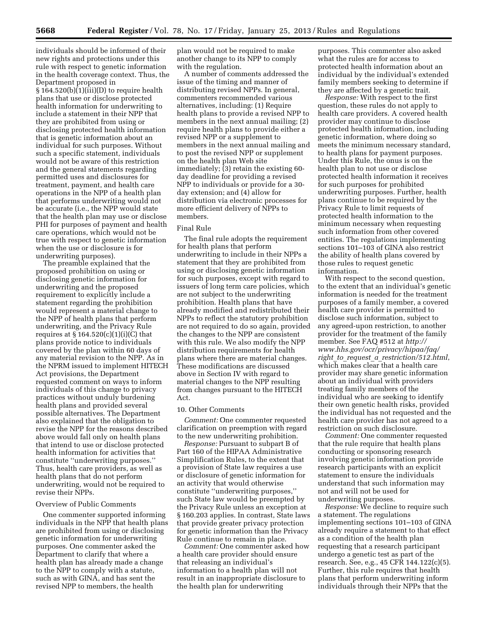individuals should be informed of their new rights and protections under this rule with respect to genetic information in the health coverage context. Thus, the Department proposed in § 164.520(b)(1)(iii)(D) to require health plans that use or disclose protected health information for underwriting to include a statement in their NPP that they are prohibited from using or disclosing protected health information that is genetic information about an individual for such purposes. Without such a specific statement, individuals would not be aware of this restriction and the general statements regarding permitted uses and disclosures for treatment, payment, and health care operations in the NPP of a health plan that performs underwriting would not be accurate (i.e., the NPP would state that the health plan may use or disclose PHI for purposes of payment and health care operations, which would not be true with respect to genetic information when the use or disclosure is for underwriting purposes).

The preamble explained that the proposed prohibition on using or disclosing genetic information for underwriting and the proposed requirement to explicitly include a statement regarding the prohibition would represent a material change to the NPP of health plans that perform underwriting, and the Privacy Rule requires at  $\S 164.520(c)(1)(i)(C)$  that plans provide notice to individuals covered by the plan within 60 days of any material revision to the NPP. As in the NPRM issued to implement HITECH Act provisions, the Department requested comment on ways to inform individuals of this change to privacy practices without unduly burdening health plans and provided several possible alternatives. The Department also explained that the obligation to revise the NPP for the reasons described above would fall only on health plans that intend to use or disclose protected health information for activities that constitute ''underwriting purposes.'' Thus, health care providers, as well as health plans that do not perform underwriting, would not be required to revise their NPPs.

### Overview of Public Comments

One commenter supported informing individuals in the NPP that health plans are prohibited from using or disclosing genetic information for underwriting purposes. One commenter asked the Department to clarify that where a health plan has already made a change to the NPP to comply with a statute, such as with GINA, and has sent the revised NPP to members, the health

plan would not be required to make another change to its NPP to comply with the regulation.

A number of comments addressed the issue of the timing and manner of distributing revised NPPs. In general, commenters recommended various alternatives, including: (1) Require health plans to provide a revised NPP to members in the next annual mailing; (2) require health plans to provide either a revised NPP or a supplement to members in the next annual mailing and to post the revised NPP or supplement on the health plan Web site immediately; (3) retain the existing 60 day deadline for providing a revised NPP to individuals or provide for a 30 day extension; and (4) allow for distribution via electronic processes for more efficient delivery of NPPs to members.

### Final Rule

The final rule adopts the requirement for health plans that perform underwriting to include in their NPPs a statement that they are prohibited from using or disclosing genetic information for such purposes, except with regard to issuers of long term care policies, which are not subject to the underwriting prohibition. Health plans that have already modified and redistributed their NPPs to reflect the statutory prohibition are not required to do so again, provided the changes to the NPP are consistent with this rule. We also modify the NPP distribution requirements for health plans where there are material changes. These modifications are discussed above in Section IV with regard to material changes to the NPP resulting from changes pursuant to the HITECH Act.

### 10. Other Comments

*Comment:* One commenter requested clarification on preemption with regard to the new underwriting prohibition.

*Response:* Pursuant to subpart B of Part 160 of the HIPAA Administrative Simplification Rules, to the extent that a provision of State law requires a use or disclosure of genetic information for an activity that would otherwise constitute ''underwriting purposes,'' such State law would be preempted by the Privacy Rule unless an exception at § 160.203 applies. In contrast, State laws that provide greater privacy protection for genetic information than the Privacy Rule continue to remain in place.

*Comment:* One commenter asked how a health care provider should ensure that releasing an individual's information to a health plan will not result in an inappropriate disclosure to the health plan for underwriting

purposes. This commenter also asked what the rules are for access to protected health information about an individual by the individual's extended family members seeking to determine if they are affected by a genetic trait.

*Response:* With respect to the first question, these rules do not apply to health care providers. A covered health provider may continue to disclose protected health information, including genetic information, where doing so meets the minimum necessary standard, to health plans for payment purposes. Under this Rule, the onus is on the health plan to not use or disclose protected health information it receives for such purposes for prohibited underwriting purposes. Further, health plans continue to be required by the Privacy Rule to limit requests of protected health information to the minimum necessary when requesting such information from other covered entities. The regulations implementing sections 101–103 of GINA also restrict the ability of health plans covered by those rules to request genetic information.

With respect to the second question, to the extent that an individual's genetic information is needed for the treatment purposes of a family member, a covered health care provider is permitted to disclose such information, subject to any agreed-upon restriction, to another provider for the treatment of the family member. See FAQ #512 at *[http://](http://www.hhs.gov/ocr/privacy/hipaa/faq/right_to_request_a_restriction/512.html) [www.hhs.gov/ocr/privacy/hipaa/faq/](http://www.hhs.gov/ocr/privacy/hipaa/faq/right_to_request_a_restriction/512.html)  right*\_*to*\_*request*\_*a*\_*[restriction/512.html](http://www.hhs.gov/ocr/privacy/hipaa/faq/right_to_request_a_restriction/512.html)*, which makes clear that a health care provider may share genetic information about an individual with providers treating family members of the individual who are seeking to identify their own genetic health risks, provided the individual has not requested and the health care provider has not agreed to a restriction on such disclosure.

*Comment:* One commenter requested that the rule require that health plans conducting or sponsoring research involving genetic information provide research participants with an explicit statement to ensure the individuals understand that such information may not and will not be used for underwriting purposes.

*Response:* We decline to require such a statement. The regulations implementing sections 101–103 of GINA already require a statement to that effect as a condition of the health plan requesting that a research participant undergo a genetic test as part of the research. See, e.g., 45 CFR 144.122(c)(5). Further, this rule requires that health plans that perform underwriting inform individuals through their NPPs that the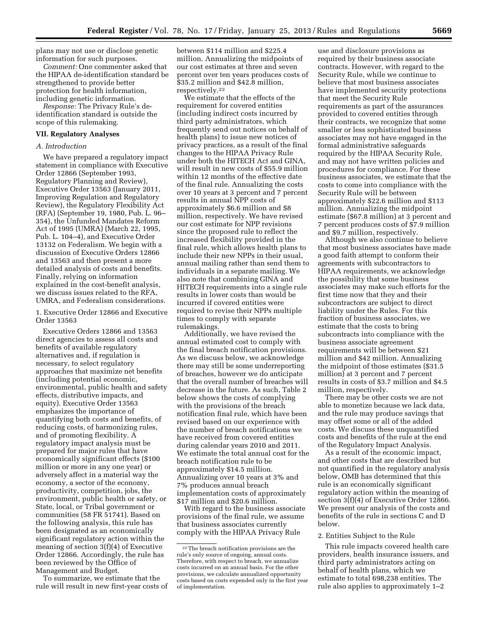plans may not use or disclose genetic information for such purposes.

*Comment:* One commenter asked that the HIPAA de-identification standard be strengthened to provide better protection for health information, including genetic information.

*Response:* The Privacy Rule's deidentification standard is outside the scope of this rulemaking.

# **VII. Regulatory Analyses**

### *A. Introduction*

We have prepared a regulatory impact statement in compliance with Executive Order 12866 (September 1993, Regulatory Planning and Review), Executive Order 13563 (January 2011, Improving Regulation and Regulatory Review), the Regulatory Flexibility Act (RFA) (September 19, 1980, Pub. L. 96– 354), the Unfunded Mandates Reform Act of 1995 (UMRA) (March 22, 1995, Pub. L. 104–4), and Executive Order 13132 on Federalism. We begin with a discussion of Executive Orders 12866 and 13563 and then present a more detailed analysis of costs and benefits. Finally, relying on information explained in the cost-benefit analysis, we discuss issues related to the RFA, UMRA, and Federalism considerations.

1. Executive Order 12866 and Executive Order 13563

Executive Orders 12866 and 13563 direct agencies to assess all costs and benefits of available regulatory alternatives and, if regulation is necessary, to select regulatory approaches that maximize net benefits (including potential economic, environmental, public health and safety effects, distributive impacts, and equity). Executive Order 13563 emphasizes the importance of quantifying both costs and benefits, of reducing costs, of harmonizing rules, and of promoting flexibility. A regulatory impact analysis must be prepared for major rules that have economically significant effects (\$100 million or more in any one year) or adversely affect in a material way the economy, a sector of the economy, productivity, competition, jobs, the environment, public health or safety, or State, local, or Tribal government or communities (58 FR 51741). Based on the following analysis, this rule has been designated as an economically significant regulatory action within the meaning of section 3(f)(4) of Executive Order 12866. Accordingly, the rule has been reviewed by the Office of Management and Budget.

To summarize, we estimate that the rule will result in new first-year costs of

between \$114 million and \$225.4 million. Annualizing the midpoints of our cost estimates at three and seven percent over ten years produces costs of \$35.2 million and \$42.8 million, respectively.22

We estimate that the effects of the requirement for covered entities (including indirect costs incurred by third party administrators, which frequently send out notices on behalf of health plans) to issue new notices of privacy practices, as a result of the final changes to the HIPAA Privacy Rule under both the HITECH Act and GINA, will result in new costs of \$55.9 million within 12 months of the effective date of the final rule. Annualizing the costs over 10 years at 3 percent and 7 percent results in annual NPP costs of approximately \$6.6 million and \$8 million, respectively. We have revised our cost estimate for NPP revisions since the proposed rule to reflect the increased flexibility provided in the final rule, which allows health plans to include their new NPPs in their usual, annual mailing rather than send them to individuals in a separate mailing. We also note that combining GINA and HITECH requirements into a single rule results in lower costs than would be incurred if covered entities were required to revise their NPPs multiple times to comply with separate rulemakings.

Additionally, we have revised the annual estimated cost to comply with the final breach notification provisions. As we discuss below, we acknowledge there may still be some underreporting of breaches, however we do anticipate that the overall number of breaches will decrease in the future. As such, Table 2 below shows the costs of complying with the provisions of the breach notification final rule, which have been revised based on our experience with the number of breach notifications we have received from covered entities during calendar years 2010 and 2011. We estimate the total annual cost for the breach notification rule to be approximately \$14.5 million. Annualizing over 10 years at 3% and 7% produces annual breach implementation costs of approximately \$17 million and \$20.6 million.

With regard to the business associate provisions of the final rule, we assume that business associates currently comply with the HIPAA Privacy Rule

use and disclosure provisions as required by their business associate contracts. However, with regard to the Security Rule, while we continue to believe that most business associates have implemented security protections that meet the Security Rule requirements as part of the assurances provided to covered entities through their contracts, we recognize that some smaller or less sophisticated business associates may not have engaged in the formal administrative safeguards required by the HIPAA Security Rule, and may not have written policies and procedures for compliance. For these business associates, we estimate that the costs to come into compliance with the Security Rule will be between approximately \$22.6 million and \$113 million. Annualizing the midpoint estimate (\$67.8 million) at 3 percent and 7 percent produces costs of \$7.9 million and \$9.7 million, respectively.

Although we also continue to believe that most business associates have made a good faith attempt to conform their agreements with subcontractors to HIPAA requirements, we acknowledge the possibility that some business associates may make such efforts for the first time now that they and their subcontractors are subject to direct liability under the Rules. For this fraction of business associates, we estimate that the costs to bring subcontracts into compliance with the business associate agreement requirements will be between \$21 million and \$42 million. Annualizing the midpoint of those estimates (\$31.5 million) at 3 percent and 7 percent results in costs of \$3.7 million and \$4.5 million, respectively.

There may be other costs we are not able to monetize because we lack data, and the rule may produce savings that may offset some or all of the added costs. We discuss these unquantified costs and benefits of the rule at the end of the Regulatory Impact Analysis.

As a result of the economic impact, and other costs that are described but not quantified in the regulatory analysis below, OMB has determined that this rule is an economically significant regulatory action within the meaning of section 3(f)(4) of Executive Order 12866. We present our analysis of the costs and benefits of the rule in sections C and D below.

### 2. Entities Subject to the Rule

This rule impacts covered health care providers, health insurance issuers, and third party administrators acting on behalf of health plans, which we estimate to total 698,238 entities. The rule also applies to approximately 1–2

<sup>22</sup>The breach notification provisions are the rule's only source of ongoing, annual costs. Therefore, with respect to breach, we annualize costs incurred on an annual basis. For the other provisions, we calculate annualized opportunity costs based on costs expended only in the first year of implementation.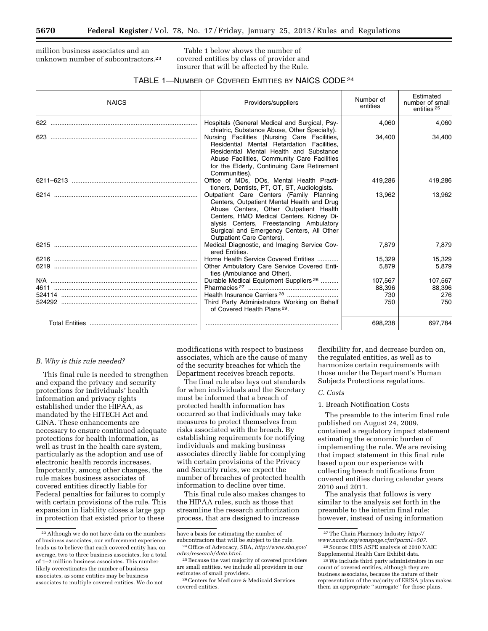million business associates and an

unknown number of subcontractors.23

Table 1 below shows the number of covered entities by class of provider and insurer that will be affected by the Rule.

| TABLE 1-NUMBER OF COVERED ENTITIES BY NAICS CODE 24 |  |  |
|-----------------------------------------------------|--|--|
|-----------------------------------------------------|--|--|

| <b>NAICS</b> | Providers/suppliers                                                                                                                                                                                                                                                                               | Number of<br>entities | Estimated<br>number of small<br>entities <sup>25</sup> |
|--------------|---------------------------------------------------------------------------------------------------------------------------------------------------------------------------------------------------------------------------------------------------------------------------------------------------|-----------------------|--------------------------------------------------------|
|              | Hospitals (General Medical and Surgical, Psy-<br>chiatric, Substance Abuse, Other Specialty).                                                                                                                                                                                                     | 4.060                 | 4,060                                                  |
|              | Nursing Facilities (Nursing Care Facilities,<br>Residential Mental Retardation Facilities.<br>Residential Mental Health and Substance<br>Abuse Facilities, Community Care Facilities<br>for the Elderly, Continuing Care Retirement<br>Communities).                                              | 34,400                | 34,400                                                 |
|              | Office of MDs, DOs, Mental Health Practi-<br>tioners, Dentists, PT, OT, ST, Audiologists.                                                                                                                                                                                                         | 419,286               | 419,286                                                |
|              | Outpatient Care Centers (Family Planning<br>Centers, Outpatient Mental Health and Drug<br>Abuse Centers, Other Outpatient Health<br>Centers, HMO Medical Centers, Kidney Di-<br>alysis Centers, Freestanding Ambulatory<br>Surgical and Emergency Centers, All Other<br>Outpatient Care Centers). | 13,962                | 13,962                                                 |
|              | Medical Diagnostic, and Imaging Service Cov-<br>ered Entities.                                                                                                                                                                                                                                    | 7.879                 | 7.879                                                  |
|              | Home Health Service Covered Entities<br>Other Ambulatory Care Service Covered Enti-<br>ties (Ambulance and Other).                                                                                                                                                                                | 15,329<br>5,879       | 15,329<br>5,879                                        |
|              | Durable Medical Equipment Suppliers <sup>26</sup>                                                                                                                                                                                                                                                 | 107.567               | 107,567                                                |
|              |                                                                                                                                                                                                                                                                                                   | 88,396                | 88,396                                                 |
|              |                                                                                                                                                                                                                                                                                                   | 730                   | 276                                                    |
|              | Third Party Administrators Working on Behalf<br>of Covered Health Plans <sup>29</sup> .                                                                                                                                                                                                           | 750                   | 750                                                    |
|              |                                                                                                                                                                                                                                                                                                   | 698,238               | 697.784                                                |

### *B. Why is this rule needed?*

This final rule is needed to strengthen and expand the privacy and security protections for individuals' health information and privacy rights established under the HIPAA, as mandated by the HITECH Act and GINA. These enhancements are necessary to ensure continued adequate protections for health information, as well as trust in the health care system, particularly as the adoption and use of electronic health records increases. Importantly, among other changes, the rule makes business associates of covered entities directly liable for Federal penalties for failures to comply with certain provisions of the rule. This expansion in liability closes a large gap in protection that existed prior to these

modifications with respect to business associates, which are the cause of many of the security breaches for which the Department receives breach reports.

The final rule also lays out standards for when individuals and the Secretary must be informed that a breach of protected health information has occurred so that individuals may take measures to protect themselves from risks associated with the breach. By establishing requirements for notifying individuals and making business associates directly liable for complying with certain provisions of the Privacy and Security rules, we expect the number of breaches of protected health information to decline over time.

This final rule also makes changes to the HIPAA rules, such as those that streamline the research authorization process, that are designed to increase

flexibility for, and decrease burden on, the regulated entities, as well as to harmonize certain requirements with those under the Department's Human Subjects Protections regulations.

# *C. Costs*

### 1. Breach Notification Costs

The preamble to the interim final rule published on August 24, 2009, contained a regulatory impact statement estimating the economic burden of implementing the rule. We are revising that impact statement in this final rule based upon our experience with collecting breach notifications from covered entities during calendar years 2010 and 2011.

The analysis that follows is very similar to the analysis set forth in the preamble to the interim final rule; however, instead of using information

<sup>23</sup>Although we do not have data on the numbers of business associates, our enforcement experience leads us to believe that each covered entity has, on average, two to three business associates, for a total of 1–2 million business associates. This number likely overestimates the number of business associates, as some entities may be business associates to multiple covered entities. We do not

have a basis for estimating the number of subcontractors that will be subject to the rule.

<sup>24</sup>Office of Advocacy, SBA, *[http://www.sba.gov/](http://www.sba.gov/advo/research/data.html)  [advo/research/data.html](http://www.sba.gov/advo/research/data.html)*.

<sup>25</sup>Because the vast majority of covered providers are small entities, we include all providers in our estimates of small providers.

<sup>26</sup>Centers for Medicare & Medicaid Services covered entities.

<sup>27</sup>The Chain Pharmacy Industry *[http://](http://www.nacds.org/wmspage.cfm?parm1=507)*

*[www.nacds.org/wmspage.cfm?parm1=507](http://www.nacds.org/wmspage.cfm?parm1=507)*. 28Source: HHS ASPE analysis of 2010 NAIC

Supplemental Health Care Exhibit data. 29We include third party administrators in our

count of covered entities, although they are business associates, because the nature of their representation of the majority of ERISA plans makes them an appropriate ''surrogate'' for those plans.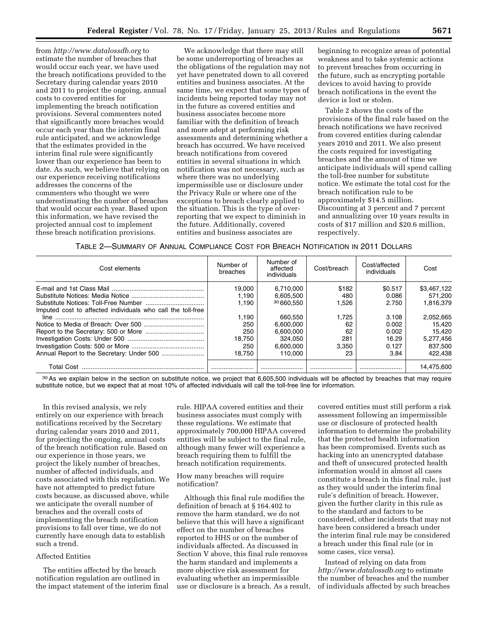from *<http://www.datalossdb.org>*to estimate the number of breaches that would occur each year, we have used the breach notifications provided to the Secretary during calendar years 2010 and 2011 to project the ongoing, annual costs to covered entities for implementing the breach notification provisions. Several commenters noted that significantly more breaches would occur each year than the interim final rule anticipated, and we acknowledge that the estimates provided in the interim final rule were significantly lower than our experience has been to date. As such, we believe that relying on our experience receiving notifications addresses the concerns of the commenters who thought we were underestimating the number of breaches that would occur each year. Based upon this information, we have revised the projected annual cost to implement these breach notification provisions.

We acknowledge that there may still be some underreporting of breaches as the obligations of the regulation may not yet have penetrated down to all covered entities and business associates. At the same time, we expect that some types of incidents being reported today may not in the future as covered entities and business associates become more familiar with the definition of breach and more adept at performing risk assessments and determining whether a breach has occurred. We have received breach notifications from covered entities in several situations in which notification was not necessary, such as where there was no underlying impermissible use or disclosure under the Privacy Rule or where one of the exceptions to breach clearly applied to the situation. This is the type of overreporting that we expect to diminish in the future. Additionally, covered entities and business associates are

beginning to recognize areas of potential weakness and to take systemic actions to prevent breaches from occurring in the future, such as encrypting portable devices to avoid having to provide breach notifications in the event the device is lost or stolen.

Table 2 shows the costs of the provisions of the final rule based on the breach notifications we have received from covered entities during calendar years 2010 and 2011. We also present the costs required for investigating breaches and the amount of time we anticipate individuals will spend calling the toll-free number for substitute notice. We estimate the total cost for the breach notification rule to be approximately \$14.5 million. Discounting at 3 percent and 7 percent and annualizing over 10 years results in costs of \$17 million and \$20.6 million, respectively.

# TABLE 2—SUMMARY OF ANNUAL COMPLIANCE COST FOR BREACH NOTIFICATION IN 2011 DOLLARS

| Cost elements                                               | Number of<br>breaches | Number of<br>affected<br>individuals | Cost/breach | Cost/affected<br>individuals | Cost        |
|-------------------------------------------------------------|-----------------------|--------------------------------------|-------------|------------------------------|-------------|
|                                                             | 19.000                | 6.710.000                            | \$182       | \$0.517                      | \$3,467.122 |
|                                                             | .190                  | 6.605.500                            | 480         | 0.086                        | 571.200     |
|                                                             | 1.190                 | 30 660.550                           | 1.526       | 2.750                        | 1.816.379   |
| Imputed cost to affected individuals who call the toll-free |                       |                                      |             |                              |             |
|                                                             | 1.190                 | 660.550                              | 1.725       | 3.108                        | 2,052,665   |
|                                                             | 250                   | 6.600.000                            | 62          | 0.002                        | 15.420      |
|                                                             | 250                   | 6.600.000                            | 62          | 0.002                        | 15.420      |
|                                                             | 18.750                | 324.050                              | 281         | 16.29                        | 5.277.456   |
|                                                             | 250                   | 6.600.000                            | 3.350       | 0.127                        | 837.500     |
|                                                             | 18.750                | 110.000                              | 23          | 3.84                         | 422.438     |
| Total Cost                                                  |                       |                                      |             |                              | 14.475.600  |

30 As we explain below in the section on substitute notice, we project that 6,605,500 individuals will be affected by breaches that may require substitute notice, but we expect that at most 10% of affected individuals will call the toll-free line for information.

In this revised analysis, we rely entirely on our experience with breach notifications received by the Secretary during calendar years 2010 and 2011, for projecting the ongoing, annual costs of the breach notification rule. Based on our experience in those years, we project the likely number of breaches, number of affected individuals, and costs associated with this regulation. We have not attempted to predict future costs because, as discussed above, while we anticipate the overall number of breaches and the overall costs of implementing the breach notification provisions to fall over time, we do not currently have enough data to establish such a trend.

### Affected Entities

The entities affected by the breach notification regulation are outlined in the impact statement of the interim final rule. HIPAA covered entities and their business associates must comply with these regulations. We estimate that approximately 700,000 HIPAA covered entities will be subject to the final rule, although many fewer will experience a breach requiring them to fulfill the breach notification requirements.

# How many breaches will require notification?

Although this final rule modifies the definition of breach at § 164.402 to remove the harm standard, we do not believe that this will have a significant effect on the number of breaches reported to HHS or on the number of individuals affected. As discussed in Section V above, this final rule removes the harm standard and implements a more objective risk assessment for evaluating whether an impermissible use or disclosure is a breach. As a result, covered entities must still perform a risk assessment following an impermissible use or disclosure of protected health information to determine the probability that the protected health information has been compromised. Events such as hacking into an unencrypted database and theft of unsecured protected health information would in almost all cases constitute a breach in this final rule, just as they would under the interim final rule's definition of breach. However, given the further clarity in this rule as to the standard and factors to be considered, other incidents that may not have been considered a breach under the interim final rule may be considered a breach under this final rule (or in some cases, vice versa).

Instead of relying on data from *<http://www.datalossdb.org>*to estimate the number of breaches and the number of individuals affected by such breaches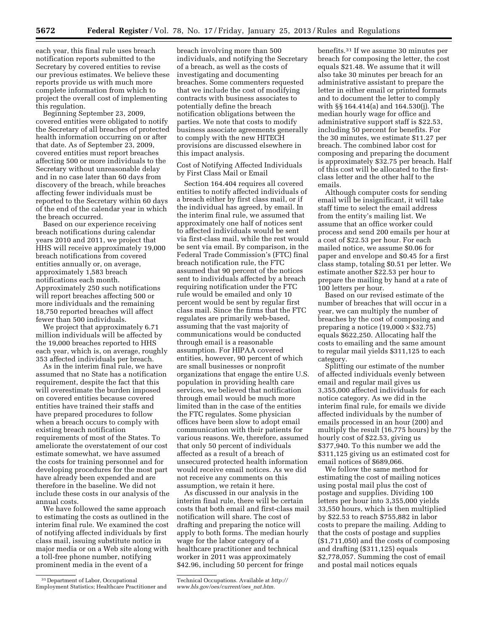each year, this final rule uses breach notification reports submitted to the Secretary by covered entities to revise our previous estimates. We believe these reports provide us with much more complete information from which to project the overall cost of implementing this regulation.

Beginning September 23, 2009, covered entities were obligated to notify the Secretary of all breaches of protected health information occurring on or after that date. As of September 23, 2009, covered entities must report breaches affecting 500 or more individuals to the Secretary without unreasonable delay and in no case later than 60 days from discovery of the breach, while breaches affecting fewer individuals must be reported to the Secretary within 60 days of the end of the calendar year in which the breach occurred.

Based on our experience receiving breach notifications during calendar years 2010 and 2011, we project that HHS will receive approximately 19,000 breach notifications from covered entities annually or, on average, approximately 1,583 breach notifications each month. Approximately 250 such notifications will report breaches affecting 500 or more individuals and the remaining 18,750 reported breaches will affect fewer than 500 individuals.

We project that approximately 6.71 million individuals will be affected by the 19,000 breaches reported to HHS each year, which is, on average, roughly 353 affected individuals per breach.

As in the interim final rule, we have assumed that no State has a notification requirement, despite the fact that this will overestimate the burden imposed on covered entities because covered entities have trained their staffs and have prepared procedures to follow when a breach occurs to comply with existing breach notification requirements of most of the States. To ameliorate the overstatement of our cost estimate somewhat, we have assumed the costs for training personnel and for developing procedures for the most part have already been expended and are therefore in the baseline. We did not include these costs in our analysis of the annual costs.

We have followed the same approach to estimating the costs as outlined in the interim final rule. We examined the cost of notifying affected individuals by first class mail, issuing substitute notice in major media or on a Web site along with a toll-free phone number, notifying prominent media in the event of a

breach involving more than 500 individuals, and notifying the Secretary of a breach, as well as the costs of investigating and documenting breaches. Some commenters requested that we include the cost of modifying contracts with business associates to potentially define the breach notification obligations between the parties. We note that costs to modify business associate agreements generally to comply with the new HITECH provisions are discussed elsewhere in this impact analysis.

Cost of Notifying Affected Individuals by First Class Mail or Email

Section 164.404 requires all covered entities to notify affected individuals of a breach either by first class mail, or if the individual has agreed, by email. In the interim final rule, we assumed that approximately one half of notices sent to affected individuals would be sent via first-class mail, while the rest would be sent via email. By comparison, in the Federal Trade Commission's (FTC) final breach notification rule, the FTC assumed that 90 percent of the notices sent to individuals affected by a breach requiring notification under the FTC rule would be emailed and only 10 percent would be sent by regular first class mail. Since the firms that the FTC regulates are primarily web-based, assuming that the vast majority of communications would be conducted through email is a reasonable assumption. For HIPAA covered entities, however, 90 percent of which are small businesses or nonprofit organizations that engage the entire U.S. population in providing health care services, we believed that notification through email would be much more limited than in the case of the entities the FTC regulates. Some physician offices have been slow to adopt email communication with their patients for various reasons. We, therefore, assumed that only 50 percent of individuals affected as a result of a breach of unsecured protected health information would receive email notices. As we did not receive any comments on this assumption, we retain it here.

As discussed in our analysis in the interim final rule, there will be certain costs that both email and first-class mail notification will share. The cost of drafting and preparing the notice will apply to both forms. The median hourly wage for the labor category of a healthcare practitioner and technical worker in 2011 was approximately \$42.96, including 50 percent for fringe

benefits.31 If we assume 30 minutes per breach for composing the letter, the cost equals \$21.48. We assume that it will also take 30 minutes per breach for an administrative assistant to prepare the letter in either email or printed formats and to document the letter to comply with §§ 164.414(a) and 164.530(j). The median hourly wage for office and administrative support staff is \$22.53, including 50 percent for benefits. For the 30 minutes, we estimate \$11.27 per breach. The combined labor cost for composing and preparing the document is approximately \$32.75 per breach. Half of this cost will be allocated to the firstclass letter and the other half to the emails.

Although computer costs for sending email will be insignificant, it will take staff time to select the email address from the entity's mailing list. We assume that an office worker could process and send 200 emails per hour at a cost of \$22.53 per hour. For each mailed notice, we assume \$0.06 for paper and envelope and \$0.45 for a first class stamp, totaling \$0.51 per letter. We estimate another \$22.53 per hour to prepare the mailing by hand at a rate of 100 letters per hour.

Based on our revised estimate of the number of breaches that will occur in a year, we can multiply the number of breaches by the cost of composing and preparing a notice  $(19,000 \times $32.75)$ equals \$622,250. Allocating half the costs to emailing and the same amount to regular mail yields \$311,125 to each category.

Splitting our estimate of the number of affected individuals evenly between email and regular mail gives us 3,355,000 affected individuals for each notice category. As we did in the interim final rule, for emails we divide affected individuals by the number of emails processed in an hour (200) and multiply the result (16,775 hours) by the hourly cost of \$22.53, giving us \$377,940. To this number we add the \$311,125 giving us an estimated cost for email notices of \$689,066.

We follow the same method for estimating the cost of mailing notices using postal mail plus the cost of postage and supplies. Dividing 100 letters per hour into 3,355,000 yields 33,550 hours, which is then multiplied by \$22.53 to reach \$755,882 in labor costs to prepare the mailing. Adding to that the costs of postage and supplies (\$1,711,050) and the costs of composing and drafting (\$311,125) equals \$2,778,057. Summing the cost of email and postal mail notices equals

<sup>31</sup> Department of Labor, Occupational Employment Statistics; Healthcare Practitioner and

Technical Occupations. Available at *[http://](http://www.bls.gov/oes/current/oes_nat.htm) [www.bls.gov/oes/current/oes](http://www.bls.gov/oes/current/oes_nat.htm)*\_*nat.htm.*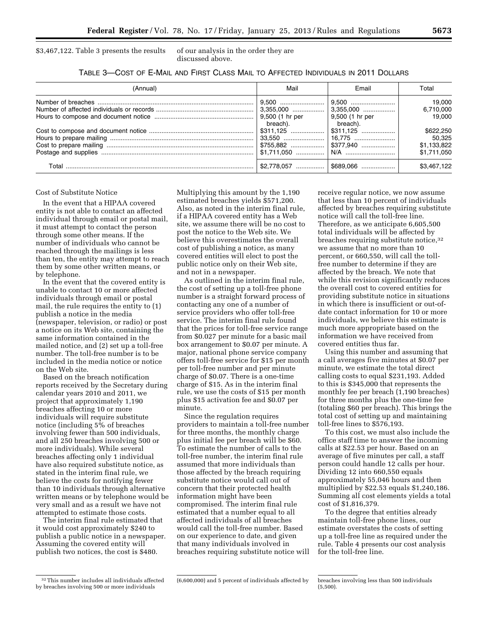\$3,467,122. Table 3 presents the results of our analysis in the order they are

discussed above.

|--|

| (Annual) | Mail                        | Email                       | Total       |
|----------|-----------------------------|-----------------------------|-------------|
|          | 9,500                       |                             | 19,000      |
|          |                             | $\vert$ 3,355,000           | 6,710,000   |
|          | 9,500 (1 hr per<br>breach). | 9,500 (1 hr per<br>breach). | 19.000      |
|          | \$311,125                   | \$311,125                   | \$622,250   |
|          |                             | 33.550    16.775            | 50.325      |
|          |                             |                             | \$1,133,822 |
|          |                             |                             | \$1,711,050 |
| Total    |                             |                             | \$3,467,122 |

# Cost of Substitute Notice

In the event that a HIPAA covered entity is not able to contact an affected individual through email or postal mail, it must attempt to contact the person through some other means. If the number of individuals who cannot be reached through the mailings is less than ten, the entity may attempt to reach them by some other written means, or by telephone.

In the event that the covered entity is unable to contact 10 or more affected individuals through email or postal mail, the rule requires the entity to (1) publish a notice in the media (newspaper, television, or radio) or post a notice on its Web site, containing the same information contained in the mailed notice, and (2) set up a toll-free number. The toll-free number is to be included in the media notice or notice on the Web site.

Based on the breach notification reports received by the Secretary during calendar years 2010 and 2011, we project that approximately 1,190 breaches affecting 10 or more individuals will require substitute notice (including 5% of breaches involving fewer than 500 individuals, and all 250 breaches involving 500 or more individuals). While several breaches affecting only 1 individual have also required substitute notice, as stated in the interim final rule, we believe the costs for notifying fewer than 10 individuals through alternative written means or by telephone would be very small and as a result we have not attempted to estimate those costs.

The interim final rule estimated that it would cost approximately \$240 to publish a public notice in a newspaper. Assuming the covered entity will publish two notices, the cost is \$480.

Multiplying this amount by the 1,190 estimated breaches yields \$571,200. Also, as noted in the interim final rule, if a HIPAA covered entity has a Web site, we assume there will be no cost to post the notice to the Web site. We believe this overestimates the overall cost of publishing a notice, as many covered entities will elect to post the public notice only on their Web site, and not in a newspaper.

As outlined in the interim final rule, the cost of setting up a toll-free phone number is a straight forward process of contacting any one of a number of service providers who offer toll-free service. The interim final rule found that the prices for toll-free service range from \$0.027 per minute for a basic mail box arrangement to \$0.07 per minute. A major, national phone service company offers toll-free service for \$15 per month per toll-free number and per minute charge of \$0.07. There is a one-time charge of \$15. As in the interim final rule, we use the costs of \$15 per month plus \$15 activation fee and \$0.07 per minute.

Since the regulation requires providers to maintain a toll-free number for three months, the monthly charge plus initial fee per breach will be \$60. To estimate the number of calls to the toll-free number, the interim final rule assumed that more individuals than those affected by the breach requiring substitute notice would call out of concern that their protected health information might have been compromised. The interim final rule estimated that a number equal to all affected individuals of all breaches would call the toll-free number. Based on our experience to date, and given that many individuals involved in breaches requiring substitute notice will

receive regular notice, we now assume that less than 10 percent of individuals affected by breaches requiring substitute notice will call the toll-free line. Therefore, as we anticipate 6,605,500 total individuals will be affected by breaches requiring substitute notice,32 we assume that no more than 10 percent, or 660,550, will call the tollfree number to determine if they are affected by the breach. We note that while this revision significantly reduces the overall cost to covered entities for providing substitute notice in situations in which there is insufficient or out-ofdate contact information for 10 or more individuals, we believe this estimate is much more appropriate based on the information we have received from covered entities thus far.

Using this number and assuming that a call averages five minutes at \$0.07 per minute, we estimate the total direct calling costs to equal \$231,193. Added to this is \$345,000 that represents the monthly fee per breach (1,190 breaches) for three months plus the one-time fee (totaling \$60 per breach). This brings the total cost of setting up and maintaining toll-free lines to \$576,193.

To this cost, we must also include the office staff time to answer the incoming calls at \$22.53 per hour. Based on an average of five minutes per call, a staff person could handle 12 calls per hour. Dividing 12 into 660,550 equals approximately 55,046 hours and then multiplied by \$22.53 equals \$1,240,186. Summing all cost elements yields a total cost of \$1,816,379.

To the degree that entities already maintain toll-free phone lines, our estimate overstates the costs of setting up a toll-free line as required under the rule. Table 4 presents our cost analysis for the toll-free line.

<sup>32</sup>This number includes all individuals affected by breaches involving 500 or more individuals

<sup>(6,600,000)</sup> and 5 percent of individuals affected by breaches involving less than 500 individuals

<sup>(5,500).</sup>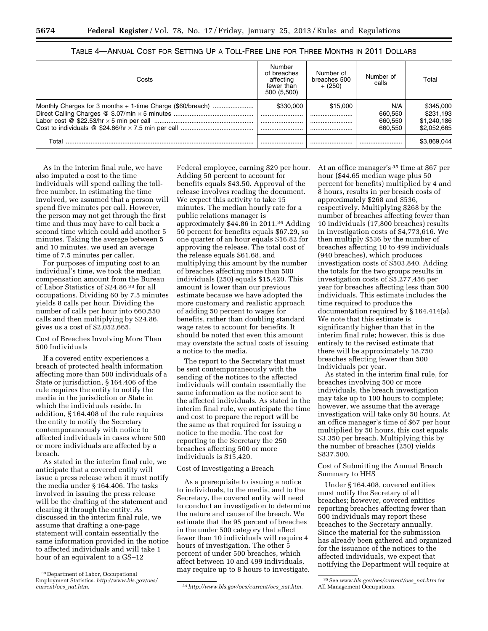| Costs                                                      | Number<br>of breaches<br>affecting<br>fewer than<br>500 (5,500) | Number of<br>breaches 500<br>$+ (250)$ | Number of<br>calls | Total       |
|------------------------------------------------------------|-----------------------------------------------------------------|----------------------------------------|--------------------|-------------|
| Monthly Charges for 3 months + 1-time Charge (\$60/breach) | \$330,000                                                       | \$15,000                               | N/A                | \$345,000   |
|                                                            |                                                                 |                                        | 660,550            | \$231.193   |
|                                                            |                                                                 |                                        | 660.550            | \$1,240,186 |
|                                                            |                                                                 |                                        | 660.550            | \$2,052,665 |
| Total                                                      |                                                                 |                                        |                    | \$3.869.044 |

# TABLE 4—ANNUAL COST FOR SETTING UP A TOLL-FREE LINE FOR THREE MONTHS IN 2011 DOLLARS

As in the interim final rule, we have also imputed a cost to the time individuals will spend calling the tollfree number. In estimating the time involved, we assumed that a person will spend five minutes per call. However, the person may not get through the first time and thus may have to call back a second time which could add another 5 minutes. Taking the average between 5 and 10 minutes, we used an average time of 7.5 minutes per caller.

For purposes of imputing cost to an individual's time, we took the median compensation amount from the Bureau of Labor Statistics of \$24.86 33 for all occupations. Dividing 60 by 7.5 minutes yields 8 calls per hour. Dividing the number of calls per hour into 660,550 calls and then multiplying by \$24.86, gives us a cost of \$2,052,665.

# Cost of Breaches Involving More Than 500 Individuals

If a covered entity experiences a breach of protected health information affecting more than 500 individuals of a State or jurisdiction, § 164.406 of the rule requires the entity to notify the media in the jurisdiction or State in which the individuals reside. In addition, § 164.408 of the rule requires the entity to notify the Secretary contemporaneously with notice to affected individuals in cases where 500 or more individuals are affected by a breach.

As stated in the interim final rule, we anticipate that a covered entity will issue a press release when it must notify the media under § 164.406. The tasks involved in issuing the press release will be the drafting of the statement and clearing it through the entity. As discussed in the interim final rule, we assume that drafting a one-page statement will contain essentially the same information provided in the notice to affected individuals and will take 1 hour of an equivalent to a GS–12

Federal employee, earning \$29 per hour. Adding 50 percent to account for benefits equals \$43.50. Approval of the release involves reading the document. We expect this activity to take 15 minutes. The median hourly rate for a public relations manager is approximately \$44.86 in 2011.34 Adding 50 percent for benefits equals \$67.29, so one quarter of an hour equals \$16.82 for approving the release. The total cost of the release equals \$61.68, and multiplying this amount by the number of breaches affecting more than 500 individuals (250) equals \$15,420. This amount is lower than our previous estimate because we have adopted the more customary and realistic approach of adding 50 percent to wages for benefits, rather than doubling standard wage rates to account for benefits. It should be noted that even this amount may overstate the actual costs of issuing a notice to the media.

The report to the Secretary that must be sent contemporaneously with the sending of the notices to the affected individuals will contain essentially the same information as the notice sent to the affected individuals. As stated in the interim final rule, we anticipate the time and cost to prepare the report will be the same as that required for issuing a notice to the media. The cost for reporting to the Secretary the 250 breaches affecting 500 or more individuals is \$15,420.

### Cost of Investigating a Breach

As a prerequisite to issuing a notice to individuals, to the media, and to the Secretary, the covered entity will need to conduct an investigation to determine the nature and cause of the breach. We estimate that the 95 percent of breaches in the under 500 category that affect fewer than 10 individuals will require 4 hours of investigation. The other 5 percent of under 500 breaches, which affect between 10 and 499 individuals, may require up to 8 hours to investigate.

At an office manager's 35 time at \$67 per hour (\$44.65 median wage plus 50 percent for benefits) multiplied by 4 and 8 hours, results in per breach costs of approximately \$268 and \$536, respectively. Multiplying \$268 by the number of breaches affecting fewer than 10 individuals (17,800 breaches) results in investigation costs of \$4,773,616. We then multiply \$536 by the number of breaches affecting 10 to 499 individuals (940 breaches), which produces investigation costs of \$503,840. Adding the totals for the two groups results in investigation costs of \$5,277,456 per year for breaches affecting less than 500 individuals. This estimate includes the time required to produce the documentation required by § 164.414(a). We note that this estimate is significantly higher than that in the interim final rule; however, this is due entirely to the revised estimate that there will be approximately 18,750 breaches affecting fewer than 500 individuals per year.

As stated in the interim final rule, for breaches involving 500 or more individuals, the breach investigation may take up to 100 hours to complete; however, we assume that the average investigation will take only 50 hours. At an office manager's time of \$67 per hour multiplied by 50 hours, this cost equals \$3,350 per breach. Multiplying this by the number of breaches (250) yields \$837,500.

# Cost of Submitting the Annual Breach Summary to HHS

Under § 164.408, covered entities must notify the Secretary of all breaches; however, covered entities reporting breaches affecting fewer than 500 individuals may report these breaches to the Secretary annually. Since the material for the submission has already been gathered and organized for the issuance of the notices to the affected individuals, we expect that notifying the Department will require at

<sup>33</sup> Department of Labor, Occupational Employment Statistics. *[http://www.bls.gov/oes/](http://www.bls.gov/oes/current/oes_nat.htm)* 

*[current/oes](http://www.bls.gov/oes/current/oes_nat.htm)*\_*nat.htm*. 34*[http://www.bls.gov/oes/current/oes](http://www.bls.gov/oes/current/oes_nat.htm)*\_*nat.htm.* 

<sup>35</sup>See *[www.bls.gov/oes/current/oes](http://www.bls.gov/oes/current/oes_nat.htm)*\_*nat.htm* for All Management Occupations.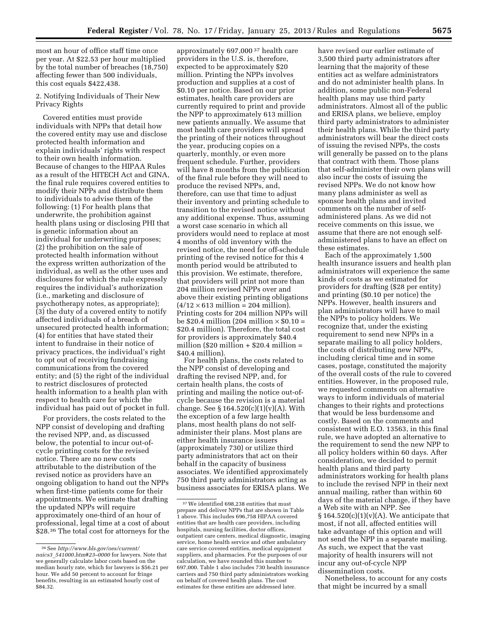most an hour of office staff time once per year. At \$22.53 per hour multiplied by the total number of breaches (18,750) affecting fewer than 500 individuals, this cost equals \$422,438.

2. Notifying Individuals of Their New Privacy Rights

Covered entities must provide individuals with NPPs that detail how the covered entity may use and disclose protected health information and explain individuals' rights with respect to their own health information. Because of changes to the HIPAA Rules as a result of the HITECH Act and GINA, the final rule requires covered entities to modify their NPPs and distribute them to individuals to advise them of the following: (1) For health plans that underwrite, the prohibition against health plans using or disclosing PHI that is genetic information about an individual for underwriting purposes; (2) the prohibition on the sale of protected health information without the express written authorization of the individual, as well as the other uses and disclosures for which the rule expressly requires the individual's authorization (i.e., marketing and disclosure of psychotherapy notes, as appropriate); (3) the duty of a covered entity to notify affected individuals of a breach of unsecured protected health information; (4) for entities that have stated their intent to fundraise in their notice of privacy practices, the individual's right to opt out of receiving fundraising communications from the covered entity; and (5) the right of the individual to restrict disclosures of protected health information to a health plan with respect to health care for which the individual has paid out of pocket in full.

For providers, the costs related to the NPP consist of developing and drafting the revised NPP, and, as discussed below, the potential to incur out-ofcycle printing costs for the revised notice. There are no new costs attributable to the distribution of the revised notice as providers have an ongoing obligation to hand out the NPPs when first-time patients come for their appointments. We estimate that drafting the updated NPPs will require approximately one-third of an hour of professional, legal time at a cost of about \$28.<sup>36</sup> The total cost for attorneys for the

approximately 697,000 37 health care providers in the U.S. is, therefore, expected to be approximately \$20 million. Printing the NPPs involves production and supplies at a cost of \$0.10 per notice. Based on our prior estimates, health care providers are currently required to print and provide the NPP to approximately 613 million new patients annually. We assume that most health care providers will spread the printing of their notices throughout the year, producing copies on a quarterly, monthly, or even more frequent schedule. Further, providers will have 8 months from the publication of the final rule before they will need to produce the revised NPPs, and, therefore, can use that time to adjust their inventory and printing schedule to transition to the revised notice without any additional expense. Thus, assuming a worst case scenario in which all providers would need to replace at most 4 months of old inventory with the revised notice, the need for off-schedule printing of the revised notice for this 4 month period would be attributed to this provision. We estimate, therefore, that providers will print not more than 204 million revised NPPs over and above their existing printing obligations  $(4/12 \times 613$  million = 204 million). Printing costs for 204 million NPPs will be \$20.4 million (204 million  $\times$  \$0.10 = \$20.4 million). Therefore, the total cost for providers is approximately \$40.4 million  $(\$20$  million +  $\$20.4$  million = \$40.4 million).

For health plans, the costs related to the NPP consist of developing and drafting the revised NPP, and, for certain health plans, the costs of printing and mailing the notice out-ofcycle because the revision is a material change. See  $§ 164.520(c)(1)(v)(A)$ . With the exception of a few large health plans, most health plans do not selfadminister their plans. Most plans are either health insurance issuers (approximately 730) or utilize third party administrators that act on their behalf in the capacity of business associates. We identified approximately 750 third party administrators acting as business associates for ERISA plans. We

have revised our earlier estimate of 3,500 third party administrators after learning that the majority of these entities act as welfare administrators and do not administer health plans. In addition, some public non-Federal health plans may use third party administrators. Almost all of the public and ERISA plans, we believe, employ third party administrators to administer their health plans. While the third party administrators will bear the direct costs of issuing the revised NPPs, the costs will generally be passed on to the plans that contract with them. Those plans that self-administer their own plans will also incur the costs of issuing the revised NPPs. We do not know how many plans administer as well as sponsor health plans and invited comments on the number of selfadministered plans. As we did not receive comments on this issue, we assume that there are not enough selfadministered plans to have an effect on these estimates.

Each of the approximately 1,500 health insurance issuers and health plan administrators will experience the same kinds of costs as we estimated for providers for drafting (\$28 per entity) and printing (\$0.10 per notice) the NPPs. However, health insurers and plan administrators will have to mail the NPPs to policy holders. We recognize that, under the existing requirement to send new NPPs in a separate mailing to all policy holders, the costs of distributing new NPPs, including clerical time and in some cases, postage, constituted the majority of the overall costs of the rule to covered entities. However, in the proposed rule, we requested comments on alternative ways to inform individuals of material changes to their rights and protections that would be less burdensome and costly. Based on the comments and consistent with E.O. 13563, in this final rule, we have adopted an alternative to the requirement to send the new NPP to all policy holders within 60 days. After consideration, we decided to permit health plans and third party administrators working for health plans to include the revised NPP in their next annual mailing, rather than within 60 days of the material change, if they have a Web site with an NPP. See  $§ 164.520(c)(1)(v)(A)$ . We anticipate that most, if not all, affected entities will take advantage of this option and will not send the NPP in a separate mailing. As such, we expect that the vast majority of health insurers will not incur any out-of-cycle NPP dissemination costs.

Nonetheless, to account for any costs that might be incurred by a small

<sup>36</sup>See *[http://www.bls.gov/oes/current/](http://www.bls.gov/oes/current/naics3_541000.htm#23-0000) naics3*\_*[541000.htm#23–0000](http://www.bls.gov/oes/current/naics3_541000.htm#23-0000)* for lawyers. Note that we generally calculate labor costs based on the median hourly rate, which for lawyers is \$56.21 per hour. We add 50 percent to account for fringe benefits, resulting in an estimated hourly cost of \$84.32.

 $^{\rm 37}\!$  We identified 698,238 entities that must prepare and deliver NPPs that are shown in Table 1 above. This includes 696,758 HIPAA covered entities that are health care providers, including hospitals, nursing facilities, doctor offices, outpatient care centers, medical diagnostic, imaging service, home health service and other ambulatory care service covered entities, medical equipment suppliers, and pharmacies. For the purposes of our calculation, we have rounded this number to 697,000. Table 1 also includes 730 health insurance carriers and 750 third party administrators working on behalf of covered health plans. The cost estimates for these entities are addressed later.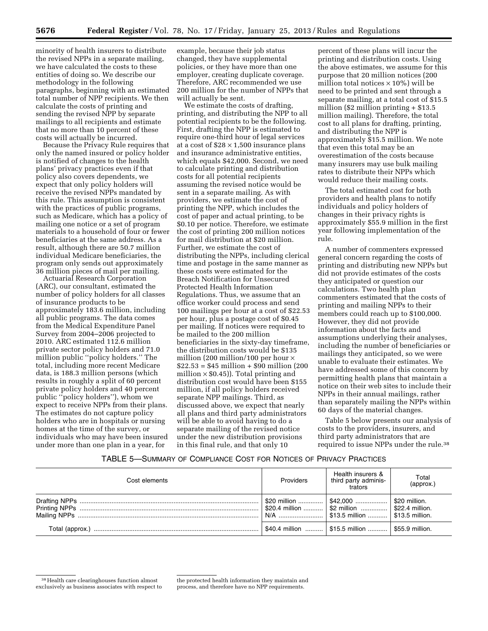minority of health insurers to distribute the revised NPPs in a separate mailing, we have calculated the costs to these entities of doing so. We describe our methodology in the following paragraphs, beginning with an estimated total number of NPP recipients. We then calculate the costs of printing and sending the revised NPP by separate mailings to all recipients and estimate that no more than 10 percent of these costs will actually be incurred.

Because the Privacy Rule requires that only the named insured or policy holder is notified of changes to the health plans' privacy practices even if that policy also covers dependents, we expect that only policy holders will receive the revised NPPs mandated by this rule. This assumption is consistent with the practices of public programs, such as Medicare, which has a policy of mailing one notice or a set of program materials to a household of four or fewer beneficiaries at the same address. As a result, although there are 50.7 million individual Medicare beneficiaries, the program only sends out approximately 36 million pieces of mail per mailing.

Actuarial Research Corporation (ARC), our consultant, estimated the number of policy holders for all classes of insurance products to be approximately 183.6 million, including all public programs. The data comes from the Medical Expenditure Panel Survey from 2004–2006 projected to 2010. ARC estimated 112.6 million private sector policy holders and 71.0 million public ''policy holders.'' The total, including more recent Medicare data, is 188.3 million persons (which results in roughly a split of 60 percent private policy holders and 40 percent public ''policy holders''), whom we expect to receive NPPs from their plans. The estimates do not capture policy holders who are in hospitals or nursing homes at the time of the survey, or individuals who may have been insured under more than one plan in a year, for

example, because their job status changed, they have supplemental policies, or they have more than one employer, creating duplicate coverage. Therefore, ARC recommended we use 200 million for the number of NPPs that will actually be sent.

We estimate the costs of drafting, printing, and distributing the NPP to all potential recipients to be the following. First, drafting the NPP is estimated to require one-third hour of legal services at a cost of  $$28 \times 1,500$  insurance plans and insurance administrative entities, which equals \$42,000. Second, we need to calculate printing and distribution costs for all potential recipients assuming the revised notice would be sent in a separate mailing. As with providers, we estimate the cost of printing the NPP, which includes the cost of paper and actual printing, to be \$0.10 per notice. Therefore, we estimate the cost of printing 200 million notices for mail distribution at \$20 million. Further, we estimate the cost of distributing the NPPs, including clerical time and postage in the same manner as these costs were estimated for the Breach Notification for Unsecured Protected Health Information Regulations. Thus, we assume that an office worker could process and send 100 mailings per hour at a cost of \$22.53 per hour, plus a postage cost of \$0.45 per mailing. If notices were required to be mailed to the 200 million beneficiaries in the sixty-day timeframe, the distribution costs would be \$135 million (200 million/100 per hour  $\times$  $$22.53 = $45$  million + \$90 million (200) million  $\times$  \$0.45)). Total printing and distribution cost would have been \$155 million, if all policy holders received separate NPP mailings. Third, as discussed above, we expect that nearly all plans and third party administrators will be able to avoid having to do a separate mailing of the revised notice under the new distribution provisions in this final rule, and that only 10

percent of these plans will incur the printing and distribution costs. Using the above estimates, we assume for this purpose that 20 million notices (200 million total notices  $\times$  10%) will be need to be printed and sent through a separate mailing, at a total cost of \$15.5 million (\$2 million printing + \$13.5 million mailing). Therefore, the total cost to all plans for drafting, printing, and distributing the NPP is approximately \$15.5 million. We note that even this total may be an overestimation of the costs because many insurers may use bulk mailing rates to distribute their NPPs which would reduce their mailing costs.

The total estimated cost for both providers and health plans to notify individuals and policy holders of changes in their privacy rights is approximately \$55.9 million in the first year following implementation of the rule.

A number of commenters expressed general concern regarding the costs of printing and distributing new NPPs but did not provide estimates of the costs they anticipated or question our calculations. Two health plan commenters estimated that the costs of printing and mailing NPPs to their members could reach up to \$100,000. However, they did not provide information about the facts and assumptions underlying their analyses, including the number of beneficiaries or mailings they anticipated, so we were unable to evaluate their estimates. We have addressed some of this concern by permitting health plans that maintain a notice on their web sites to include their NPPs in their annual mailings, rather than separately mailing the NPPs within 60 days of the material changes.

Table 5 below presents our analysis of costs to the providers, insurers, and third party administrators that are required to issue NPPs under the rule.38

# TABLE 5—SUMMARY OF COMPLIANCE COST FOR NOTICES OF PRIVACY PRACTICES

| Cost elements | Providers                                                                                                         | Health insurers &<br>third party adminis-<br>trators         | Total<br>$\left($ approx. $\right)$ |
|---------------|-------------------------------------------------------------------------------------------------------------------|--------------------------------------------------------------|-------------------------------------|
|               | $\frac{1}{20}$ million    \$42,000    \$20 million.<br>$\frac{1}{2}$ \$20.4 million  \$2 million  \$22.4 million. | $\mid$ N/A ………………………   \$13.5 million …………   \$13.5 million. |                                     |
|               | $\vert$ \$40.4 million $\vert$ \$15.5 million $\vert$ \$55.9 million.                                             |                                                              |                                     |

<sup>38</sup>Health care clearinghouses function almost exclusively as business associates with respect to

the protected health information they maintain and process, and therefore have no NPP requirements.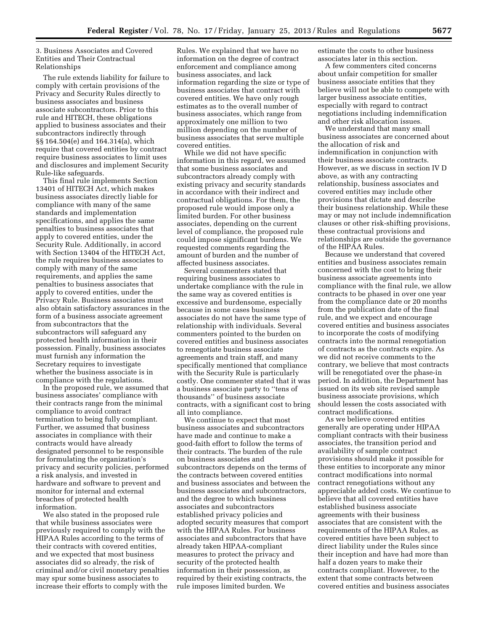3. Business Associates and Covered Entities and Their Contractual Relationships

The rule extends liability for failure to comply with certain provisions of the Privacy and Security Rules directly to business associates and business associate subcontractors. Prior to this rule and HITECH, these obligations applied to business associates and their subcontractors indirectly through §§ 164.504(e) and 164.314(a), which require that covered entities by contract require business associates to limit uses and disclosures and implement Security Rule-like safeguards.

This final rule implements Section 13401 of HITECH Act, which makes business associates directly liable for compliance with many of the same standards and implementation specifications, and applies the same penalties to business associates that apply to covered entities, under the Security Rule. Additionally, in accord with Section 13404 of the HITECH Act, the rule requires business associates to comply with many of the same requirements, and applies the same penalties to business associates that apply to covered entities, under the Privacy Rule. Business associates must also obtain satisfactory assurances in the form of a business associate agreement from subcontractors that the subcontractors will safeguard any protected health information in their possession. Finally, business associates must furnish any information the Secretary requires to investigate whether the business associate is in compliance with the regulations.

In the proposed rule, we assumed that business associates' compliance with their contracts range from the minimal compliance to avoid contract termination to being fully compliant. Further, we assumed that business associates in compliance with their contracts would have already designated personnel to be responsible for formulating the organization's privacy and security policies, performed a risk analysis, and invested in hardware and software to prevent and monitor for internal and external breaches of protected health information.

We also stated in the proposed rule that while business associates were previously required to comply with the HIPAA Rules according to the terms of their contracts with covered entities, and we expected that most business associates did so already, the risk of criminal and/or civil monetary penalties may spur some business associates to increase their efforts to comply with the

Rules. We explained that we have no information on the degree of contract enforcement and compliance among business associates, and lack information regarding the size or type of business associates that contract with covered entities. We have only rough estimates as to the overall number of business associates, which range from approximately one million to two million depending on the number of business associates that serve multiple covered entities.

While we did not have specific information in this regard, we assumed that some business associates and subcontractors already comply with existing privacy and security standards in accordance with their indirect and contractual obligations. For them, the proposed rule would impose only a limited burden. For other business associates, depending on the current level of compliance, the proposed rule could impose significant burdens. We requested comments regarding the amount of burden and the number of affected business associates.

Several commenters stated that requiring business associates to undertake compliance with the rule in the same way as covered entities is excessive and burdensome, especially because in some cases business associates do not have the same type of relationship with individuals. Several commenters pointed to the burden on covered entities and business associates to renegotiate business associate agreements and train staff, and many specifically mentioned that compliance with the Security Rule is particularly costly. One commenter stated that it was a business associate party to ''tens of thousands'' of business associate contracts, with a significant cost to bring all into compliance.

We continue to expect that most business associates and subcontractors have made and continue to make a good-faith effort to follow the terms of their contracts. The burden of the rule on business associates and subcontractors depends on the terms of the contracts between covered entities and business associates and between the business associates and subcontractors, and the degree to which business associates and subcontractors established privacy policies and adopted security measures that comport with the HIPAA Rules. For business associates and subcontractors that have already taken HIPAA-compliant measures to protect the privacy and security of the protected health information in their possession, as required by their existing contracts, the rule imposes limited burden. We

estimate the costs to other business associates later in this section.

A few commenters cited concerns about unfair competition for smaller business associate entities that they believe will not be able to compete with larger business associate entities, especially with regard to contract negotiations including indemnification and other risk allocation issues.

We understand that many small business associates are concerned about the allocation of risk and indemnification in conjunction with their business associate contracts. However, as we discuss in section IV D above, as with any contracting relationship, business associates and covered entities may include other provisions that dictate and describe their business relationship. While these may or may not include indemnification clauses or other risk-shifting provisions, these contractual provisions and relationships are outside the governance of the HIPAA Rules.

Because we understand that covered entities and business associates remain concerned with the cost to bring their business associate agreements into compliance with the final rule, we allow contracts to be phased in over one year from the compliance date or 20 months from the publication date of the final rule, and we expect and encourage covered entities and business associates to incorporate the costs of modifying contracts into the normal renegotiation of contracts as the contracts expire. As we did not receive comments to the contrary, we believe that most contracts will be renegotiated over the phase-in period. In addition, the Department has issued on its web site revised sample business associate provisions, which should lessen the costs associated with contract modifications.

As we believe covered entities generally are operating under HIPAA compliant contracts with their business associates, the transition period and availability of sample contract provisions should make it possible for these entities to incorporate any minor contract modifications into normal contract renegotiations without any appreciable added costs. We continue to believe that all covered entities have established business associate agreements with their business associates that are consistent with the requirements of the HIPAA Rules, as covered entities have been subject to direct liability under the Rules since their inception and have had more than half a dozen years to make their contracts compliant. However, to the extent that some contracts between covered entities and business associates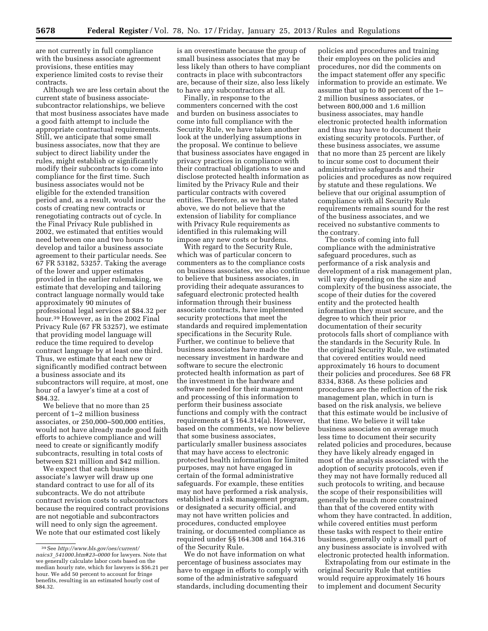are not currently in full compliance with the business associate agreement provisions, these entities may experience limited costs to revise their contracts.

Although we are less certain about the current state of business associatesubcontractor relationships, we believe that most business associates have made a good faith attempt to include the appropriate contractual requirements. Still, we anticipate that some small business associates, now that they are subject to direct liability under the rules, might establish or significantly modify their subcontracts to come into compliance for the first time. Such business associates would not be eligible for the extended transition period and, as a result, would incur the costs of creating new contracts or renegotiating contracts out of cycle. In the Final Privacy Rule published in 2002, we estimated that entities would need between one and two hours to develop and tailor a business associate agreement to their particular needs. See 67 FR 53182, 53257. Taking the average of the lower and upper estimates provided in the earlier rulemaking, we estimate that developing and tailoring contract language normally would take approximately 90 minutes of professional legal services at \$84.32 per hour.39 However, as in the 2002 Final Privacy Rule (67 FR 53257), we estimate that providing model language will reduce the time required to develop contract language by at least one third. Thus, we estimate that each new or significantly modified contract between a business associate and its subcontractors will require, at most, one hour of a lawyer's time at a cost of \$84.32.

We believe that no more than 25 percent of 1–2 million business associates, or 250,000–500,000 entities, would not have already made good faith efforts to achieve compliance and will need to create or significantly modify subcontracts, resulting in total costs of between \$21 million and \$42 million.

We expect that each business associate's lawyer will draw up one standard contract to use for all of its subcontracts. We do not attribute contract revision costs to subcontractors because the required contract provisions are not negotiable and subcontractors will need to only sign the agreement. We note that our estimated cost likely

is an overestimate because the group of small business associates that may be less likely than others to have compliant contracts in place with subcontractors are, because of their size, also less likely to have any subcontractors at all.

Finally, in response to the commenters concerned with the cost and burden on business associates to come into full compliance with the Security Rule, we have taken another look at the underlying assumptions in the proposal. We continue to believe that business associates have engaged in privacy practices in compliance with their contractual obligations to use and disclose protected health information as limited by the Privacy Rule and their particular contracts with covered entities. Therefore, as we have stated above, we do not believe that the extension of liability for compliance with Privacy Rule requirements as identified in this rulemaking will impose any new costs or burdens.

With regard to the Security Rule, which was of particular concern to commenters as to the compliance costs on business associates, we also continue to believe that business associates, in providing their adequate assurances to safeguard electronic protected health information through their business associate contracts, have implemented security protections that meet the standards and required implementation specifications in the Security Rule. Further, we continue to believe that business associates have made the necessary investment in hardware and software to secure the electronic protected health information as part of the investment in the hardware and software needed for their management and processing of this information to perform their business associate functions and comply with the contract requirements at § 164.314(a). However, based on the comments, we now believe that some business associates, particularly smaller business associates that may have access to electronic protected health information for limited purposes, may not have engaged in certain of the formal administrative safeguards. For example, these entities may not have performed a risk analysis, established a risk management program, or designated a security official, and may not have written policies and procedures, conducted employee training, or documented compliance as required under §§ 164.308 and 164.316 of the Security Rule.

We do not have information on what percentage of business associates may have to engage in efforts to comply with some of the administrative safeguard standards, including documenting their

policies and procedures and training their employees on the policies and procedures, nor did the comments on the impact statement offer any specific information to provide an estimate. We assume that up to 80 percent of the 1– 2 million business associates, or between 800,000 and 1.6 million business associates, may handle electronic protected health information and thus may have to document their existing security protocols. Further, of these business associates, we assume that no more than 25 percent are likely to incur some cost to document their administrative safeguards and their policies and procedures as now required by statute and these regulations. We believe that our original assumption of compliance with all Security Rule requirements remains sound for the rest of the business associates, and we received no substantive comments to the contrary.

The costs of coming into full compliance with the administrative safeguard procedures, such as performance of a risk analysis and development of a risk management plan, will vary depending on the size and complexity of the business associate, the scope of their duties for the covered entity and the protected health information they must secure, and the degree to which their prior documentation of their security protocols falls short of compliance with the standards in the Security Rule. In the original Security Rule, we estimated that covered entities would need approximately 16 hours to document their policies and procedures. See 68 FR 8334, 8368. As these policies and procedures are the reflection of the risk management plan, which in turn is based on the risk analysis, we believe that this estimate would be inclusive of that time. We believe it will take business associates on average much less time to document their security related policies and procedures, because they have likely already engaged in most of the analysis associated with the adoption of security protocols, even if they may not have formally reduced all such protocols to writing, and because the scope of their responsibilities will generally be much more constrained than that of the covered entity with whom they have contracted. In addition, while covered entities must perform these tasks with respect to their entire business, generally only a small part of any business associate is involved with electronic protected health information.

Extrapolating from our estimate in the original Security Rule that entities would require approximately 16 hours to implement and document Security

<sup>39</sup>See *[http://www.bls.gov/oes/current/](http://www.bls.gov/oes/current/naics3_541000.htm#23-0000) naics3*\_*[541000.htm#23–0000](http://www.bls.gov/oes/current/naics3_541000.htm#23-0000)* for lawyers. Note that we generally calculate labor costs based on the median hourly rate, which for lawyers is \$56.21 per hour. We add 50 percent to account for fringe benefits, resulting in an estimated hourly cost of \$84.32.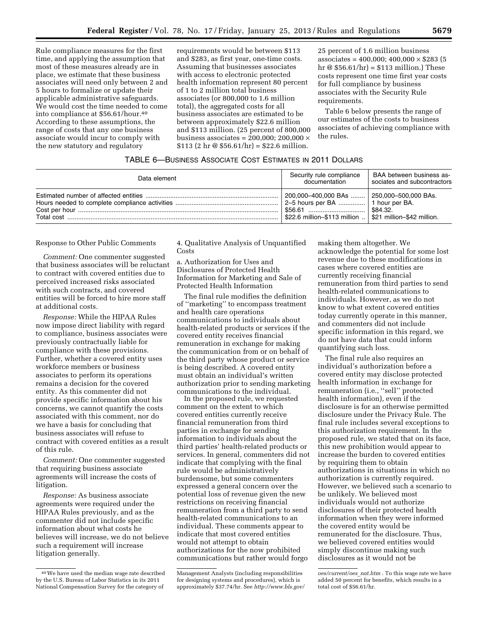Rule compliance measures for the first time, and applying the assumption that most of these measures already are in place, we estimate that these business associates will need only between 2 and 5 hours to formalize or update their applicable administrative safeguards. We would cost the time needed to come into compliance at \$56.61/hour.40 According to these assumptions, the range of costs that any one business associate would incur to comply with the new statutory and regulatory

requirements would be between \$113 and \$283, as first year, one-time costs. Assuming that businesses associates with access to electronic protected health information represent 80 percent of 1 to 2 million total business associates (or 800,000 to 1.6 million total), the aggregated costs for all business associates are estimated to be between approximately \$22.6 million and \$113 million. (25 percent of 800,000 business associates =  $200,000$ ;  $200,000 \times$  $$113$  (2 hr @  $$56.61/hr$ ) = \$22.6 million.

25 percent of 1.6 million business associates =  $400,000; 400,000 \times $283$  (5 hr  $\circledcirc$  \$56.61/hr) = \$113 million.) These costs represent one time first year costs for full compliance by business associates with the Security Rule requirements.

Table 6 below presents the range of our estimates of the costs to business associates of achieving compliance with the rules.

# TABLE 6—BUSINESS ASSOCIATE COST ESTIMATES IN 2011 DOLLARS

| Data element | Security rule compliance<br>documentation                                                                         | BAA between business as-<br>sociates and subcontractors |
|--------------|-------------------------------------------------------------------------------------------------------------------|---------------------------------------------------------|
|              | 200,000-400,000 BAs    250,000-500,000 BAs.<br>\$22.6 million-\$113 million $\ldots$   \$21 million-\$42 million. | \$84.32.                                                |

Response to Other Public Comments

*Comment:* One commenter suggested that business associates will be reluctant to contract with covered entities due to perceived increased risks associated with such contracts, and covered entities will be forced to hire more staff at additional costs.

*Response:* While the HIPAA Rules now impose direct liability with regard to compliance, business associates were previously contractually liable for compliance with these provisions. Further, whether a covered entity uses workforce members or business associates to perform its operations remains a decision for the covered entity. As this commenter did not provide specific information about his concerns, we cannot quantify the costs associated with this comment, nor do we have a basis for concluding that business associates will refuse to contract with covered entities as a result of this rule.

*Comment:* One commenter suggested that requiring business associate agreements will increase the costs of litigation.

*Response:* As business associate agreements were required under the HIPAA Rules previously, and as the commenter did not include specific information about what costs he believes will increase, we do not believe such a requirement will increase litigation generally.

4. Qualitative Analysis of Unquantified Costs

a. Authorization for Uses and Disclosures of Protected Health Information for Marketing and Sale of Protected Health Information

The final rule modifies the definition of ''marketing'' to encompass treatment and health care operations communications to individuals about health-related products or services if the covered entity receives financial remuneration in exchange for making the communication from or on behalf of the third party whose product or service is being described. A covered entity must obtain an individual's written authorization prior to sending marketing communications to the individual.

In the proposed rule, we requested comment on the extent to which covered entities currently receive financial remuneration from third parties in exchange for sending information to individuals about the third parties' health-related products or services. In general, commenters did not indicate that complying with the final rule would be administratively burdensome, but some commenters expressed a general concern over the potential loss of revenue given the new restrictions on receiving financial remuneration from a third party to send health-related communications to an individual. These comments appear to indicate that most covered entities would not attempt to obtain authorizations for the now prohibited communications but rather would forgo

making them altogether. We acknowledge the potential for some lost revenue due to these modifications in cases where covered entities are currently receiving financial remuneration from third parties to send health-related communications to individuals. However, as we do not know to what extent covered entities today currently operate in this manner, and commenters did not include specific information in this regard, we do not have data that could inform quantifying such loss.

The final rule also requires an individual's authorization before a covered entity may disclose protected health information in exchange for remuneration (i.e., ''sell'' protected health information), even if the disclosure is for an otherwise permitted disclosure under the Privacy Rule. The final rule includes several exceptions to this authorization requirement. In the proposed rule, we stated that on its face, this new prohibition would appear to increase the burden to covered entities by requiring them to obtain authorizations in situations in which no authorization is currently required. However, we believed such a scenario to be unlikely. We believed most individuals would not authorize disclosures of their protected health information when they were informed the covered entity would be remunerated for the disclosure. Thus, we believed covered entities would simply discontinue making such disclosures as it would not be

<sup>40</sup>We have used the median wage rate described by the U.S. Bureau of Labor Statistics in its 2011 National Compensation Survey for the category of

Management Analysts (including responsibilities for designing systems and procedures), which is approximately \$37.74/hr. See *[http://www.bls.gov/](http://www.bls.gov/oes/current/oes_nat.htm)* 

*[oes/current/oes](http://www.bls.gov/oes/current/oes_nat.htm)*\_*nat.htm* . To this wage rate we have added 50 percent for benefits, which results in a total cost of \$56.61/hr.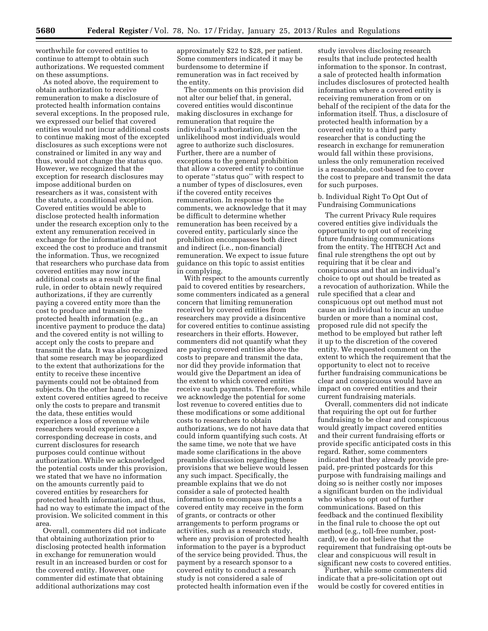worthwhile for covered entities to continue to attempt to obtain such authorizations. We requested comment on these assumptions.

As noted above, the requirement to obtain authorization to receive remuneration to make a disclosure of protected health information contains several exceptions. In the proposed rule, we expressed our belief that covered entities would not incur additional costs to continue making most of the excepted disclosures as such exceptions were not constrained or limited in any way and thus, would not change the status quo. However, we recognized that the exception for research disclosures may impose additional burden on researchers as it was, consistent with the statute, a conditional exception. Covered entities would be able to disclose protected health information under the research exception only to the extent any remuneration received in exchange for the information did not exceed the cost to produce and transmit the information. Thus, we recognized that researchers who purchase data from covered entities may now incur additional costs as a result of the final rule, in order to obtain newly required authorizations, if they are currently paying a covered entity more than the cost to produce and transmit the protected health information (e.g., an incentive payment to produce the data) and the covered entity is not willing to accept only the costs to prepare and transmit the data. It was also recognized that some research may be jeopardized to the extent that authorizations for the entity to receive these incentive payments could not be obtained from subjects. On the other hand, to the extent covered entities agreed to receive only the costs to prepare and transmit the data, these entities would experience a loss of revenue while researchers would experience a corresponding decrease in costs, and current disclosures for research purposes could continue without authorization. While we acknowledged the potential costs under this provision, we stated that we have no information on the amounts currently paid to covered entities by researchers for protected health information, and thus, had no way to estimate the impact of the provision. We solicited comment in this area.

Overall, commenters did not indicate that obtaining authorization prior to disclosing protected health information in exchange for remuneration would result in an increased burden or cost for the covered entity. However, one commenter did estimate that obtaining additional authorizations may cost

approximately \$22 to \$28, per patient. Some commenters indicated it may be burdensome to determine if remuneration was in fact received by the entity.

The comments on this provision did not alter our belief that, in general, covered entities would discontinue making disclosures in exchange for remuneration that require the individual's authorization, given the unlikelihood most individuals would agree to authorize such disclosures. Further, there are a number of exceptions to the general prohibition that allow a covered entity to continue to operate ''status quo'' with respect to a number of types of disclosures, even if the covered entity receives remuneration. In response to the comments, we acknowledge that it may be difficult to determine whether remuneration has been received by a covered entity, particularly since the prohibition encompasses both direct and indirect (i.e., non-financial) remuneration. We expect to issue future guidance on this topic to assist entities in complying.

With respect to the amounts currently paid to covered entities by researchers, some commenters indicated as a general concern that limiting remuneration received by covered entities from researchers may provide a disincentive for covered entities to continue assisting researchers in their efforts. However, commenters did not quantify what they are paying covered entities above the costs to prepare and transmit the data, nor did they provide information that would give the Department an idea of the extent to which covered entities receive such payments. Therefore, while we acknowledge the potential for some lost revenue to covered entities due to these modifications or some additional costs to researchers to obtain authorizations, we do not have data that could inform quantifying such costs. At the same time, we note that we have made some clarifications in the above preamble discussion regarding these provisions that we believe would lessen any such impact. Specifically, the preamble explains that we do not consider a sale of protected health information to encompass payments a covered entity may receive in the form of grants, or contracts or other arrangements to perform programs or activities, such as a research study, where any provision of protected health information to the payer is a byproduct of the service being provided. Thus, the payment by a research sponsor to a covered entity to conduct a research study is not considered a sale of protected health information even if the

study involves disclosing research results that include protected health information to the sponsor. In contrast, a sale of protected health information includes disclosures of protected health information where a covered entity is receiving remuneration from or on behalf of the recipient of the data for the information itself. Thus, a disclosure of protected health information by a covered entity to a third party researcher that is conducting the research in exchange for remuneration would fall within these provisions, unless the only remuneration received is a reasonable, cost-based fee to cover the cost to prepare and transmit the data for such purposes.

b. Individual Right To Opt Out of Fundraising Communications

The current Privacy Rule requires covered entities give individuals the opportunity to opt out of receiving future fundraising communications from the entity. The HITECH Act and final rule strengthens the opt out by requiring that it be clear and conspicuous and that an individual's choice to opt out should be treated as a revocation of authorization. While the rule specified that a clear and conspicuous opt out method must not cause an individual to incur an undue burden or more than a nominal cost, proposed rule did not specify the method to be employed but rather left it up to the discretion of the covered entity. We requested comment on the extent to which the requirement that the opportunity to elect not to receive further fundraising communications be clear and conspicuous would have an impact on covered entities and their current fundraising materials.

Overall, commenters did not indicate that requiring the opt out for further fundraising to be clear and conspicuous would greatly impact covered entities and their current fundraising efforts or provide specific anticipated costs in this regard. Rather, some commenters indicated that they already provide prepaid, pre-printed postcards for this purpose with fundraising mailings and doing so is neither costly nor imposes a significant burden on the individual who wishes to opt out of further communications. Based on this feedback and the continued flexibility in the final rule to choose the opt out method (e.g., toll-free number, postcard), we do not believe that the requirement that fundraising opt-outs be clear and conspicuous will result in significant new costs to covered entities.

Further, while some commenters did indicate that a pre-solicitation opt out would be costly for covered entities in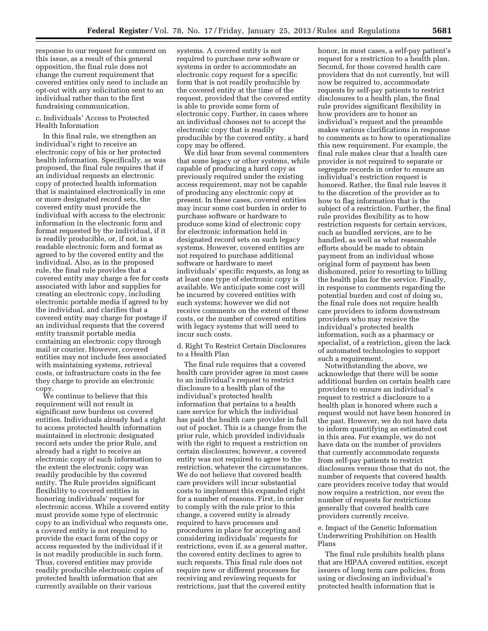response to our request for comment on this issue, as a result of this general opposition, the final rule does not change the current requirement that covered entities only need to include an opt-out with any solicitation sent to an individual rather than to the first fundraising communication.

# c. Individuals' Access to Protected Health Information

In this final rule, we strengthen an individual's right to receive an electronic copy of his or her protected health information. Specifically, as was proposed, the final rule requires that if an individual requests an electronic copy of protected health information that is maintained electronically in one or more designated record sets, the covered entity must provide the individual with access to the electronic information in the electronic form and format requested by the individual, if it is readily producible, or, if not, in a readable electronic form and format as agreed to by the covered entity and the individual. Also, as in the proposed rule, the final rule provides that a covered entity may charge a fee for costs associated with labor and supplies for creating an electronic copy, including electronic portable media if agreed to by the individual, and clarifies that a covered entity may charge for postage if an individual requests that the covered entity transmit portable media containing an electronic copy through mail or courier. However, covered entities may not include fees associated with maintaining systems, retrieval costs, or infrastructure costs in the fee they charge to provide an electronic copy.

We continue to believe that this requirement will not result in significant new burdens on covered entities. Individuals already had a right to access protected health information maintained in electronic designated record sets under the prior Rule, and already had a right to receive an electronic copy of such information to the extent the electronic copy was readily producible by the covered entity. The Rule provides significant flexibility to covered entities in honoring individuals' request for electronic access. While a covered entity must provide some type of electronic copy to an individual who requests one, a covered entity is not required to provide the exact form of the copy or access requested by the individual if it is not readily producible in such form. Thus, covered entities may provide readily producible electronic copies of protected health information that are currently available on their various

systems. A covered entity is not required to purchase new software or systems in order to accommodate an electronic copy request for a specific form that is not readily producible by the covered entity at the time of the request, provided that the covered entity is able to provide some form of electronic copy. Further, in cases where an individual chooses not to accept the electronic copy that is readily producible by the covered entity, a hard copy may be offered.

We did hear from several commenters that some legacy or other systems, while capable of producing a hard copy as previously required under the existing access requirement, may not be capable of producing any electronic copy at present. In these cases, covered entities may incur some cost burden in order to purchase software or hardware to produce some kind of electronic copy for electronic information held in designated record sets on such legacy systems. However, covered entities are not required to purchase additional software or hardware to meet individuals' specific requests, as long as at least one type of electronic copy is available. We anticipate some cost will be incurred by covered entities with such systems; however we did not receive comments on the extent of these costs, or the number of covered entities with legacy systems that will need to incur such costs.

d. Right To Restrict Certain Disclosures to a Health Plan

The final rule requires that a covered health care provider agree in most cases to an individual's request to restrict disclosure to a health plan of the individual's protected health information that pertains to a health care service for which the individual has paid the health care provider in full out of pocket. This is a change from the prior rule, which provided individuals with the right to request a restriction on certain disclosures; however, a covered entity was not required to agree to the restriction, whatever the circumstances. We do not believe that covered health care providers will incur substantial costs to implement this expanded right for a number of reasons. First, in order to comply with the rule prior to this change, a covered entity is already required to have processes and procedures in place for accepting and considering individuals' requests for restrictions, even if, as a general matter, the covered entity declines to agree to such requests. This final rule does not require new or different processes for receiving and reviewing requests for restrictions, just that the covered entity

honor, in most cases, a self-pay patient's request for a restriction to a health plan. Second, for those covered health care providers that do not currently, but will now be required to, accommodate requests by self-pay patients to restrict disclosures to a health plan, the final rule provides significant flexibility in how providers are to honor an individual's request and the preamble makes various clarifications in response to comments as to how to operationalize this new requirement. For example, the final rule makes clear that a health care provider is not required to separate or segregate records in order to ensure an individual's restriction request is honored. Rather, the final rule leaves it to the discretion of the provider as to how to flag information that is the subject of a restriction. Further, the final rule provides flexibility as to how restriction requests for certain services, such as bundled services, are to be handled, as well as what reasonable efforts should be made to obtain payment from an individual whose original form of payment has been dishonored, prior to resorting to billing the health plan for the service. Finally, in response to comments regarding the potential burden and cost of doing so, the final rule does not require health care providers to inform downstream providers who may receive the individual's protected health information, such as a pharmacy or specialist, of a restriction, given the lack of automated technologies to support such a requirement.

Notwithstanding the above, we acknowledge that there will be some additional burden on certain health care providers to ensure an individual's request to restrict a disclosure to a health plan is honored where such a request would not have been honored in the past. However, we do not have data to inform quantifying an estimated cost in this area. For example, we do not have data on the number of providers that currently accommodate requests from self-pay patients to restrict disclosures versus those that do not, the number of requests that covered health care providers receive today that would now require a restriction, nor even the number of requests for restrictions generally that covered health care providers currently receive.

# e. Impact of the Genetic Information Underwriting Prohibition on Health Plans

The final rule prohibits health plans that are HIPAA covered entities, except issuers of long term care policies, from using or disclosing an individual's protected health information that is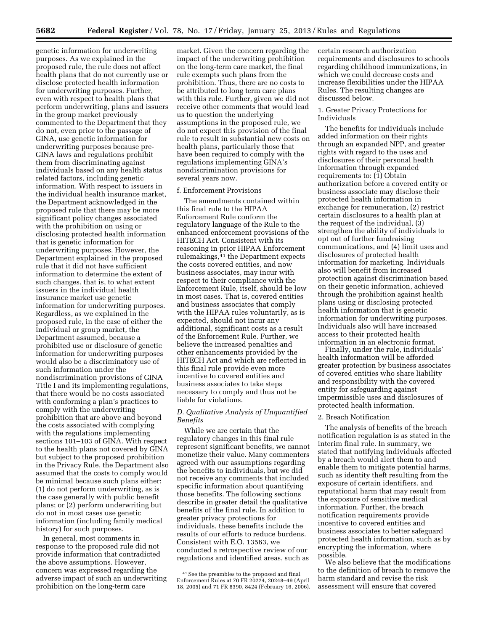genetic information for underwriting purposes. As we explained in the proposed rule, the rule does not affect health plans that do not currently use or disclose protected health information for underwriting purposes. Further, even with respect to health plans that perform underwriting, plans and issuers in the group market previously commented to the Department that they do not, even prior to the passage of GINA, use genetic information for underwriting purposes because pre-GINA laws and regulations prohibit them from discriminating against individuals based on any health status related factors, including genetic information. With respect to issuers in the individual health insurance market, the Department acknowledged in the proposed rule that there may be more significant policy changes associated with the prohibition on using or disclosing protected health information that is genetic information for underwriting purposes. However, the Department explained in the proposed rule that it did not have sufficient information to determine the extent of such changes, that is, to what extent issuers in the individual health insurance market use genetic information for underwriting purposes. Regardless, as we explained in the proposed rule, in the case of either the individual or group market, the Department assumed, because a prohibited use or disclosure of genetic information for underwriting purposes would also be a discriminatory use of such information under the nondiscrimination provisions of GINA Title I and its implementing regulations, that there would be no costs associated with conforming a plan's practices to comply with the underwriting prohibition that are above and beyond the costs associated with complying with the regulations implementing sections 101–103 of GINA. With respect to the health plans not covered by GINA but subject to the proposed prohibition in the Privacy Rule, the Department also assumed that the costs to comply would be minimal because such plans either: (1) do not perform underwriting, as is the case generally with public benefit plans; or (2) perform underwriting but do not in most cases use genetic information (including family medical history) for such purposes.

In general, most comments in response to the proposed rule did not provide information that contradicted the above assumptions. However, concern was expressed regarding the adverse impact of such an underwriting prohibition on the long-term care

market. Given the concern regarding the impact of the underwriting prohibition on the long-term care market, the final rule exempts such plans from the prohibition. Thus, there are no costs to be attributed to long term care plans with this rule. Further, given we did not receive other comments that would lead us to question the underlying assumptions in the proposed rule, we do not expect this provision of the final rule to result in substantial new costs on health plans, particularly those that have been required to comply with the regulations implementing GINA's nondiscrimination provisions for several years now.

#### f. Enforcement Provisions

The amendments contained within this final rule to the HIPAA Enforcement Rule conform the regulatory language of the Rule to the enhanced enforcement provisions of the HITECH Act. Consistent with its reasoning in prior HIPAA Enforcement rulemakings,41 the Department expects the costs covered entities, and now business associates, may incur with respect to their compliance with the Enforcement Rule, itself, should be low in most cases. That is, covered entities and business associates that comply with the HIPAA rules voluntarily, as is expected, should not incur any additional, significant costs as a result of the Enforcement Rule. Further, we believe the increased penalties and other enhancements provided by the HITECH Act and which are reflected in this final rule provide even more incentive to covered entities and business associates to take steps necessary to comply and thus not be liable for violations.

# *D. Qualitative Analysis of Unquantified Benefits*

While we are certain that the regulatory changes in this final rule represent significant benefits, we cannot monetize their value. Many commenters agreed with our assumptions regarding the benefits to individuals, but we did not receive any comments that included specific information about quantifying those benefits. The following sections describe in greater detail the qualitative benefits of the final rule. In addition to greater privacy protections for individuals, these benefits include the results of our efforts to reduce burdens. Consistent with E.O. 13563, we conducted a retrospective review of our regulations and identified areas, such as

certain research authorization requirements and disclosures to schools regarding childhood immunizations, in which we could decrease costs and increase flexibilities under the HIPAA Rules. The resulting changes are discussed below.

# 1. Greater Privacy Protections for Individuals

The benefits for individuals include added information on their rights through an expanded NPP, and greater rights with regard to the uses and disclosures of their personal health information through expanded requirements to: (1) Obtain authorization before a covered entity or business associate may disclose their protected health information in exchange for remuneration, (2) restrict certain disclosures to a health plan at the request of the individual, (3) strengthen the ability of individuals to opt out of further fundraising communications, and (4) limit uses and disclosures of protected health information for marketing. Individuals also will benefit from increased protection against discrimination based on their genetic information, achieved through the prohibition against health plans using or disclosing protected health information that is genetic information for underwriting purposes. Individuals also will have increased access to their protected health information in an electronic format.

Finally, under the rule, individuals' health information will be afforded greater protection by business associates of covered entities who share liability and responsibility with the covered entity for safeguarding against impermissible uses and disclosures of protected health information.

### 2. Breach Notification

The analysis of benefits of the breach notification regulation is as stated in the interim final rule. In summary, we stated that notifying individuals affected by a breach would alert them to and enable them to mitigate potential harms, such as identity theft resulting from the exposure of certain identifiers, and reputational harm that may result from the exposure of sensitive medical information. Further, the breach notification requirements provide incentive to covered entities and business associates to better safeguard protected health information, such as by encrypting the information, where possible.

We also believe that the modifications to the definition of breach to remove the harm standard and revise the risk assessment will ensure that covered

<sup>41</sup>See the preambles to the proposed and final Enforcement Rules at 70 FR 20224, 20248–49 (April 18, 2005) and 71 FR 8390, 8424 (February 16, 2006).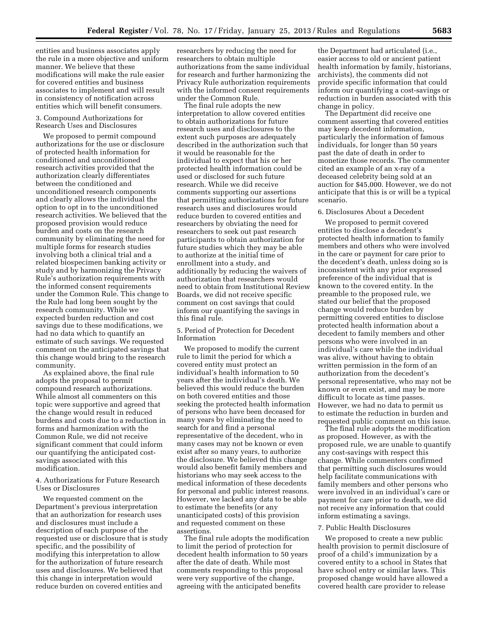entities and business associates apply the rule in a more objective and uniform manner. We believe that these modifications will make the rule easier for covered entities and business associates to implement and will result in consistency of notification across entities which will benefit consumers.

# 3. Compound Authorizations for Research Uses and Disclosures

We proposed to permit compound authorizations for the use or disclosure of protected health information for conditioned and unconditioned research activities provided that the authorization clearly differentiates between the conditioned and unconditioned research components and clearly allows the individual the option to opt in to the unconditioned research activities. We believed that the proposed provision would reduce burden and costs on the research community by eliminating the need for multiple forms for research studies involving both a clinical trial and a related biospecimen banking activity or study and by harmonizing the Privacy Rule's authorization requirements with the informed consent requirements under the Common Rule. This change to the Rule had long been sought by the research community. While we expected burden reduction and cost savings due to these modifications, we had no data which to quantify an estimate of such savings. We requested comment on the anticipated savings that this change would bring to the research community.

As explained above, the final rule adopts the proposal to permit compound research authorizations. While almost all commenters on this topic were supportive and agreed that the change would result in reduced burdens and costs due to a reduction in forms and harmonization with the Common Rule, we did not receive significant comment that could inform our quantifying the anticipated costsavings associated with this modification.

# 4. Authorizations for Future Research Uses or Disclosures

We requested comment on the Department's previous interpretation that an authorization for research uses and disclosures must include a description of each purpose of the requested use or disclosure that is study specific, and the possibility of modifying this interpretation to allow for the authorization of future research uses and disclosures. We believed that this change in interpretation would reduce burden on covered entities and

researchers by reducing the need for researchers to obtain multiple authorizations from the same individual for research and further harmonizing the Privacy Rule authorization requirements with the informed consent requirements under the Common Rule.

The final rule adopts the new interpretation to allow covered entities to obtain authorizations for future research uses and disclosures to the extent such purposes are adequately described in the authorization such that it would be reasonable for the individual to expect that his or her protected health information could be used or disclosed for such future research. While we did receive comments supporting our assertions that permitting authorizations for future research uses and disclosures would reduce burden to covered entities and researchers by obviating the need for researchers to seek out past research participants to obtain authorization for future studies which they may be able to authorize at the initial time of enrollment into a study, and additionally by reducing the waivers of authorization that researchers would need to obtain from Institutional Review Boards, we did not receive specific comment on cost savings that could inform our quantifying the savings in this final rule.

5. Period of Protection for Decedent Information

We proposed to modify the current rule to limit the period for which a covered entity must protect an individual's health information to 50 years after the individual's death. We believed this would reduce the burden on both covered entities and those seeking the protected health information of persons who have been deceased for many years by eliminating the need to search for and find a personal representative of the decedent, who in many cases may not be known or even exist after so many years, to authorize the disclosure. We believed this change would also benefit family members and historians who may seek access to the medical information of these decedents for personal and public interest reasons. However, we lacked any data to be able to estimate the benefits (or any unanticipated costs) of this provision and requested comment on these assertions.

The final rule adopts the modification to limit the period of protection for decedent health information to 50 years after the date of death. While most comments responding to this proposal were very supportive of the change, agreeing with the anticipated benefits

the Department had articulated (i.e., easier access to old or ancient patient health information by family, historians, archivists), the comments did not provide specific information that could inform our quantifying a cost-savings or reduction in burden associated with this change in policy.

The Department did receive one comment asserting that covered entities may keep decedent information, particularly the information of famous individuals, for longer than 50 years past the date of death in order to monetize those records. The commenter cited an example of an x-ray of a deceased celebrity being sold at an auction for \$45,000. However, we do not anticipate that this is or will be a typical scenario.

#### 6. Disclosures About a Decedent

We proposed to permit covered entities to disclose a decedent's protected health information to family members and others who were involved in the care or payment for care prior to the decedent's death, unless doing so is inconsistent with any prior expressed preference of the individual that is known to the covered entity. In the preamble to the proposed rule, we stated our belief that the proposed change would reduce burden by permitting covered entities to disclose protected health information about a decedent to family members and other persons who were involved in an individual's care while the individual was alive, without having to obtain written permission in the form of an authorization from the decedent's personal representative, who may not be known or even exist, and may be more difficult to locate as time passes. However, we had no data to permit us to estimate the reduction in burden and requested public comment on this issue.

The final rule adopts the modification as proposed. However, as with the proposed rule, we are unable to quantify any cost-savings with respect this change. While commenters confirmed that permitting such disclosures would help facilitate communications with family members and other persons who were involved in an individual's care or payment for care prior to death, we did not receive any information that could inform estimating a savings.

### 7. Public Health Disclosures

We proposed to create a new public health provision to permit disclosure of proof of a child's immunization by a covered entity to a school in States that have school entry or similar laws. This proposed change would have allowed a covered health care provider to release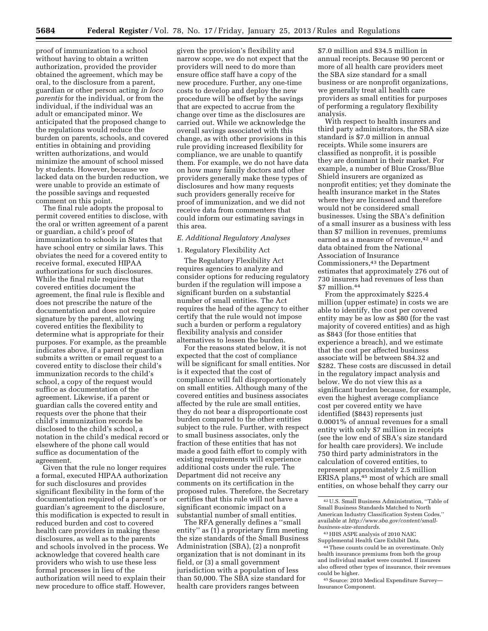proof of immunization to a school without having to obtain a written authorization, provided the provider obtained the agreement, which may be oral, to the disclosure from a parent, guardian or other person acting *in loco parentis* for the individual, or from the individual, if the individual was an adult or emancipated minor. We anticipated that the proposed change to the regulations would reduce the burden on parents, schools, and covered entities in obtaining and providing written authorizations, and would minimize the amount of school missed by students. However, because we lacked data on the burden reduction, we were unable to provide an estimate of the possible savings and requested comment on this point.

The final rule adopts the proposal to permit covered entities to disclose, with the oral or written agreement of a parent or guardian, a child's proof of immunization to schools in States that have school entry or similar laws. This obviates the need for a covered entity to receive formal, executed HIPAA authorizations for such disclosures. While the final rule requires that covered entities document the agreement, the final rule is flexible and does not prescribe the nature of the documentation and does not require signature by the parent, allowing covered entities the flexibility to determine what is appropriate for their purposes. For example, as the preamble indicates above, if a parent or guardian submits a written or email request to a covered entity to disclose their child's immunization records to the child's school, a copy of the request would suffice as documentation of the agreement. Likewise, if a parent or guardian calls the covered entity and requests over the phone that their child's immunization records be disclosed to the child's school, a notation in the child's medical record or elsewhere of the phone call would suffice as documentation of the agreement.

Given that the rule no longer requires a formal, executed HIPAA authorization for such disclosures and provides significant flexibility in the form of the documentation required of a parent's or guardian's agreement to the disclosure, this modification is expected to result in reduced burden and cost to covered health care providers in making these disclosures, as well as to the parents and schools involved in the process. We acknowledge that covered health care providers who wish to use these less formal processes in lieu of the authorization will need to explain their new procedure to office staff. However,

given the provision's flexibility and narrow scope, we do not expect that the providers will need to do more than ensure office staff have a copy of the new procedure. Further, any one-time costs to develop and deploy the new procedure will be offset by the savings that are expected to accrue from the change over time as the disclosures are carried out. While we acknowledge the overall savings associated with this change, as with other provisions in this rule providing increased flexibility for compliance, we are unable to quantify them. For example, we do not have data on how many family doctors and other providers generally make these types of disclosures and how many requests such providers generally receive for proof of immunization, and we did not receive data from commenters that could inform our estimating savings in this area.

# *E. Additional Regulatory Analyses*

### 1. Regulatory Flexibility Act

The Regulatory Flexibility Act requires agencies to analyze and consider options for reducing regulatory burden if the regulation will impose a significant burden on a substantial number of small entities. The Act requires the head of the agency to either certify that the rule would not impose such a burden or perform a regulatory flexibility analysis and consider alternatives to lessen the burden.

For the reasons stated below, it is not expected that the cost of compliance will be significant for small entities. Nor is it expected that the cost of compliance will fall disproportionately on small entities. Although many of the covered entities and business associates affected by the rule are small entities, they do not bear a disproportionate cost burden compared to the other entities subject to the rule. Further, with respect to small business associates, only the fraction of these entities that has not made a good faith effort to comply with existing requirements will experience additional costs under the rule. The Department did not receive any comments on its certification in the proposed rules. Therefore, the Secretary certifies that this rule will not have a significant economic impact on a substantial number of small entities.

The RFA generally defines a ''small entity'' as (1) a proprietary firm meeting the size standards of the Small Business Administration (SBA), (2) a nonprofit organization that is not dominant in its field, or (3) a small government jurisdiction with a population of less than 50,000. The SBA size standard for health care providers ranges between

\$7.0 million and \$34.5 million in annual receipts. Because 90 percent or more of all health care providers meet the SBA size standard for a small business or are nonprofit organizations, we generally treat all health care providers as small entities for purposes of performing a regulatory flexibility analysis.

With respect to health insurers and third party administrators, the SBA size standard is \$7.0 million in annual receipts. While some insurers are classified as nonprofit, it is possible they are dominant in their market. For example, a number of Blue Cross/Blue Shield insurers are organized as nonprofit entities; yet they dominate the health insurance market in the States where they are licensed and therefore would not be considered small businesses. Using the SBA's definition of a small insurer as a business with less than \$7 million in revenues, premiums earned as a measure of revenue,<sup>42</sup> and data obtained from the National Association of Insurance Commissioners,43 the Department estimates that approximately 276 out of 730 insurers had revenues of less than \$7 million.44

From the approximately \$225.4 million (upper estimate) in costs we are able to identify, the cost per covered entity may be as low as \$80 (for the vast majority of covered entities) and as high as \$843 (for those entities that experience a breach), and we estimate that the cost per affected business associate will be between \$84.32 and \$282. These costs are discussed in detail in the regulatory impact analysis and below. We do not view this as a significant burden because, for example, even the highest average compliance cost per covered entity we have identified (\$843) represents just 0.0001% of annual revenues for a small entity with only \$7 million in receipts (see the low end of SBA's size standard for health care providers). We include 750 third party administrators in the calculation of covered entities, to represent approximately 2.5 million ERISA plans,45 most of which are small entities, on whose behalf they carry our

43HHS ASPE analysis of 2010 NAIC Supplemental Health Care Exhibit Data.

45Source: 2010 Medical Expenditure Survey— Insurance Component.

<sup>42</sup>U.S. Small Business Administration, ''Table of Small Business Standards Matched to North American Industry Classification System Codes,'' available at *[http://www.sba.gov/content/small](http://www.sba.gov/content/small-business-size-standards)[business-size-standards](http://www.sba.gov/content/small-business-size-standards)*.

<sup>44</sup>These counts could be an overestimate. Only health insurance premiums from both the group and individual market were counted. If insurers also offered other types of insurance, their revenues could be higher.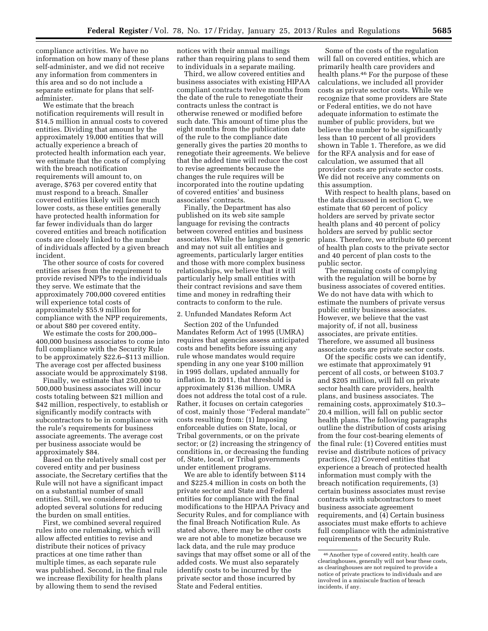compliance activities. We have no information on how many of these plans self-administer, and we did not receive any information from commenters in this area and so do not include a separate estimate for plans that selfadminister.

We estimate that the breach notification requirements will result in \$14.5 million in annual costs to covered entities. Dividing that amount by the approximately 19,000 entities that will actually experience a breach of protected health information each year, we estimate that the costs of complying with the breach notification requirements will amount to, on average, \$763 per covered entity that must respond to a breach. Smaller covered entities likely will face much lower costs, as these entities generally have protected health information for far fewer individuals than do larger covered entities and breach notification costs are closely linked to the number of individuals affected by a given breach incident.

The other source of costs for covered entities arises from the requirement to provide revised NPPs to the individuals they serve. We estimate that the approximately 700,000 covered entities will experience total costs of approximately \$55.9 million for compliance with the NPP requirements, or about \$80 per covered entity.

We estimate the costs for 200,000– 400,000 business associates to come into full compliance with the Security Rule to be approximately \$22.6–\$113 million. The average cost per affected business associate would be approximately \$198.

Finally, we estimate that 250,000 to 500,000 business associates will incur costs totaling between \$21 million and \$42 million, respectively, to establish or significantly modify contracts with subcontractors to be in compliance with the rule's requirements for business associate agreements. The average cost per business associate would be approximately \$84.

Based on the relatively small cost per covered entity and per business associate, the Secretary certifies that the Rule will not have a significant impact on a substantial number of small entities. Still, we considered and adopted several solutions for reducing the burden on small entities.

First, we combined several required rules into one rulemaking, which will allow affected entities to revise and distribute their notices of privacy practices at one time rather than multiple times, as each separate rule was published. Second, in the final rule we increase flexibility for health plans by allowing them to send the revised

notices with their annual mailings rather than requiring plans to send them to individuals in a separate mailing.

Third, we allow covered entities and business associates with existing HIPAA compliant contracts twelve months from the date of the rule to renegotiate their contracts unless the contract is otherwise renewed or modified before such date. This amount of time plus the eight months from the publication date of the rule to the compliance date generally gives the parties 20 months to renegotiate their agreements. We believe that the added time will reduce the cost to revise agreements because the changes the rule requires will be incorporated into the routine updating of covered entities' and business associates' contracts.

Finally, the Department has also published on its web site sample language for revising the contracts between covered entities and business associates. While the language is generic and may not suit all entities and agreements, particularly larger entities and those with more complex business relationships, we believe that it will particularly help small entities with their contract revisions and save them time and money in redrafting their contracts to conform to the rule.

# 2. Unfunded Mandates Reform Act

Section 202 of the Unfunded Mandates Reform Act of 1995 (UMRA) requires that agencies assess anticipated costs and benefits before issuing any rule whose mandates would require spending in any one year \$100 million in 1995 dollars, updated annually for inflation. In 2011, that threshold is approximately \$136 million. UMRA does not address the total cost of a rule. Rather, it focuses on certain categories of cost, mainly those ''Federal mandate'' costs resulting from: (1) Imposing enforceable duties on State, local, or Tribal governments, or on the private sector; or (2) increasing the stringency of conditions in, or decreasing the funding of, State, local, or Tribal governments under entitlement programs.

We are able to identify between \$114 and \$225.4 million in costs on both the private sector and State and Federal entities for compliance with the final modifications to the HIPAA Privacy and Security Rules, and for compliance with the final Breach Notification Rule. As stated above, there may be other costs we are not able to monetize because we lack data, and the rule may produce savings that may offset some or all of the added costs. We must also separately identify costs to be incurred by the private sector and those incurred by State and Federal entities.

Some of the costs of the regulation will fall on covered entities, which are primarily health care providers and health plans.<sup>46</sup> For the purpose of these calculations, we included all provider costs as private sector costs. While we recognize that some providers are State or Federal entities, we do not have adequate information to estimate the number of public providers, but we believe the number to be significantly less than 10 percent of all providers shown in Table 1. Therefore, as we did for the RFA analysis and for ease of calculation, we assumed that all provider costs are private sector costs. We did not receive any comments on this assumption.

With respect to health plans, based on the data discussed in section C, we estimate that 60 percent of policy holders are served by private sector health plans and 40 percent of policy holders are served by public sector plans. Therefore, we attribute 60 percent of health plan costs to the private sector and 40 percent of plan costs to the public sector.

The remaining costs of complying with the regulation will be borne by business associates of covered entities. We do not have data with which to estimate the numbers of private versus public entity business associates. However, we believe that the vast majority of, if not all, business associates, are private entities. Therefore, we assumed all business associate costs are private sector costs.

Of the specific costs we can identify, we estimate that approximately 91 percent of all costs, or between \$103.7 and \$205 million, will fall on private sector health care providers, health plans, and business associates. The remaining costs, approximately \$10.3– 20.4 million, will fall on public sector health plans. The following paragraphs outline the distribution of costs arising from the four cost-bearing elements of the final rule: (1) Covered entities must revise and distribute notices of privacy practices, (2) Covered entities that experience a breach of protected health information must comply with the breach notification requirements, (3) certain business associates must revise contracts with subcontractors to meet business associate agreement requirements, and (4) Certain business associates must make efforts to achieve full compliance with the administrative requirements of the Security Rule.

<sup>46</sup>Another type of covered entity, health care clearinghouses, generally will not bear these costs, as clearinghouses are not required to provide a notice of private practices to individuals and are involved in a miniscule fraction of breach incidents, if any.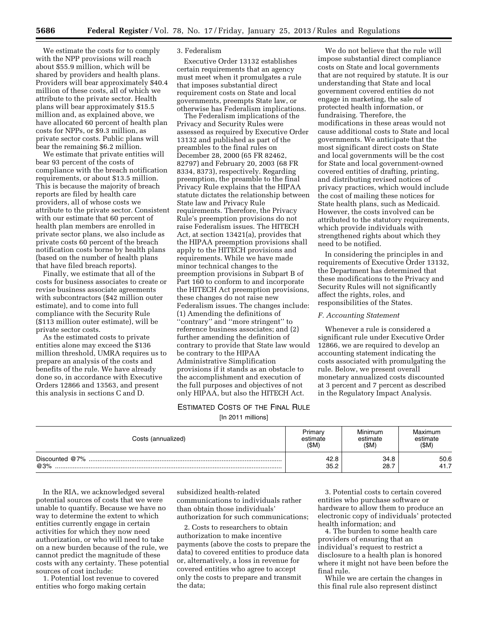We estimate the costs for to comply with the NPP provisions will reach about \$55.9 million, which will be shared by providers and health plans. Providers will bear approximately \$40.4 million of these costs, all of which we attribute to the private sector. Health plans will bear approximately \$15.5 million and, as explained above, we have allocated 60 percent of health plan costs for NPPs, or \$9.3 million, as private sector costs. Public plans will bear the remaining \$6.2 million.

We estimate that private entities will bear 93 percent of the costs of compliance with the breach notification requirements, or about \$13.5 million. This is because the majority of breach reports are filed by health care providers, all of whose costs we attribute to the private sector. Consistent with our estimate that 60 percent of health plan members are enrolled in private sector plans, we also include as private costs 60 percent of the breach notification costs borne by health plans (based on the number of health plans that have filed breach reports).

Finally, we estimate that all of the costs for business associates to create or revise business associate agreements with subcontractors (\$42 million outer estimate), and to come into full compliance with the Security Rule (\$113 million outer estimate), will be private sector costs.

As the estimated costs to private entities alone may exceed the \$136 million threshold, UMRA requires us to prepare an analysis of the costs and benefits of the rule. We have already done so, in accordance with Executive Orders 12866 and 13563, and present this analysis in sections C and D.

# 3. Federalism

Executive Order 13132 establishes certain requirements that an agency must meet when it promulgates a rule that imposes substantial direct requirement costs on State and local governments, preempts State law, or otherwise has Federalism implications.

The Federalism implications of the Privacy and Security Rules were assessed as required by Executive Order 13132 and published as part of the preambles to the final rules on December 28, 2000 (65 FR 82462, 82797) and February 20, 2003 (68 FR 8334, 8373), respectively. Regarding preemption, the preamble to the final Privacy Rule explains that the HIPAA statute dictates the relationship between State law and Privacy Rule requirements. Therefore, the Privacy Rule's preemption provisions do not raise Federalism issues. The HITECH Act, at section 13421(a), provides that the HIPAA preemption provisions shall apply to the HITECH provisions and requirements. While we have made minor technical changes to the preemption provisions in Subpart B of Part 160 to conform to and incorporate the HITECH Act preemption provisions, these changes do not raise new Federalism issues. The changes include: (1) Amending the definitions of ''contrary'' and ''more stringent'' to reference business associates; and (2) further amending the definition of contrary to provide that State law would be contrary to the HIPAA Administrative Simplification provisions if it stands as an obstacle to the accomplishment and execution of the full purposes and objectives of not only HIPAA, but also the HITECH Act.

We do not believe that the rule will impose substantial direct compliance costs on State and local governments that are not required by statute. It is our understanding that State and local government covered entities do not engage in marketing, the sale of protected health information, or fundraising. Therefore, the modifications in these areas would not cause additional costs to State and local governments. We anticipate that the most significant direct costs on State and local governments will be the cost for State and local government-owned covered entities of drafting, printing, and distributing revised notices of privacy practices, which would include the cost of mailing these notices for State health plans, such as Medicaid. However, the costs involved can be attributed to the statutory requirements, which provide individuals with strengthened rights about which they need to be notified.

In considering the principles in and requirements of Executive Order 13132, the Department has determined that these modifications to the Privacy and Security Rules will not significantly affect the rights, roles, and responsibilities of the States.

# *F. Accounting Statement*

Whenever a rule is considered a significant rule under Executive Order 12866, we are required to develop an accounting statement indicating the costs associated with promulgating the rule. Below, we present overall monetary annualized costs discounted at 3 percent and 7 percent as described in the Regulatory Impact Analysis.

# ESTIMATED COSTS OF THE FINAL RULE

[In 2011 millions]

| Costs (annualized)    | Primary      | Minimum     | Maximum      |
|-----------------------|--------------|-------------|--------------|
|                       | estimate     | estimate    | estimate     |
|                       | (SM)         | (SM)        | (SM)         |
| Discounted @7%<br>@3% | 42.8<br>35.2 | 34.8<br>28. | 50.6<br>41.7 |

In the RIA, we acknowledged several potential sources of costs that we were unable to quantify. Because we have no way to determine the extent to which entities currently engage in certain activities for which they now need authorization, or who will need to take on a new burden because of the rule, we cannot predict the magnitude of these costs with any certainty. These potential sources of cost include:

1. Potential lost revenue to covered entities who forgo making certain

subsidized health-related communications to individuals rather than obtain those individuals' authorization for such communications;

2. Costs to researchers to obtain authorization to make incentive payments (above the costs to prepare the data) to covered entities to produce data or, alternatively, a loss in revenue for covered entities who agree to accept only the costs to prepare and transmit the data;

3. Potential costs to certain covered entities who purchase software or hardware to allow them to produce an electronic copy of individuals' protected health information; and

4. The burden to some health care providers of ensuring that an individual's request to restrict a disclosure to a health plan is honored where it might not have been before the final rule.

While we are certain the changes in this final rule also represent distinct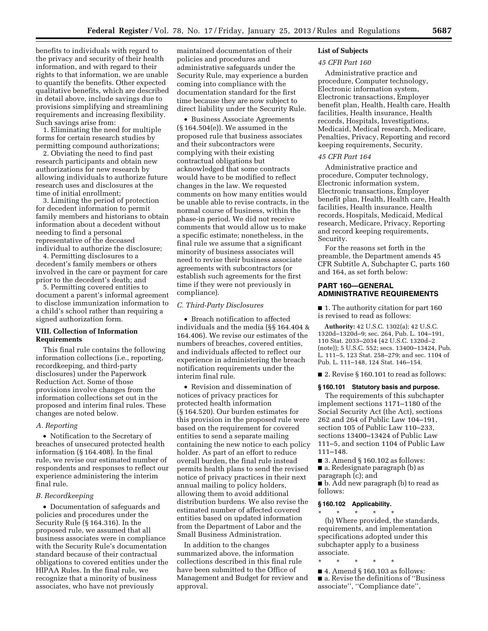benefits to individuals with regard to the privacy and security of their health information, and with regard to their rights to that information, we are unable to quantify the benefits. Other expected qualitative benefits, which are described in detail above, include savings due to provisions simplifying and streamlining requirements and increasing flexibility. Such savings arise from:

1. Eliminating the need for multiple forms for certain research studies by permitting compound authorizations;

2. Obviating the need to find past research participants and obtain new authorizations for new research by allowing individuals to authorize future research uses and disclosures at the time of initial enrollment;

3. Limiting the period of protection for decedent information to permit family members and historians to obtain information about a decedent without needing to find a personal representative of the deceased individual to authorize the disclosure;

4. Permitting disclosures to a decedent's family members or others involved in the care or payment for care prior to the decedent's death; and

5. Permitting covered entities to document a parent's informal agreement to disclose immunization information to a child's school rather than requiring a signed authorization form.

# **VIII. Collection of Information Requirements**

This final rule contains the following information collections (i.e., reporting, recordkeeping, and third-party disclosures) under the Paperwork Reduction Act. Some of those provisions involve changes from the information collections set out in the proposed and interim final rules. These changes are noted below.

### *A. Reporting*

• Notification to the Secretary of breaches of unsecured protected health information (§ 164.408). In the final rule, we revise our estimated number of respondents and responses to reflect our experience administering the interim final rule.

### *B. Recordkeeping*

• Documentation of safeguards and policies and procedures under the Security Rule (§ 164.316). In the proposed rule, we assumed that all business associates were in compliance with the Security Rule's documentation standard because of their contractual obligations to covered entities under the HIPAA Rules. In the final rule, we recognize that a minority of business associates, who have not previously

maintained documentation of their policies and procedures and administrative safeguards under the Security Rule, may experience a burden coming into compliance with the documentation standard for the first time because they are now subject to direct liability under the Security Rule.

• Business Associate Agreements (§ 164.504(e)). We assumed in the proposed rule that business associates and their subcontractors were complying with their existing contractual obligations but acknowledged that some contracts would have to be modified to reflect changes in the law. We requested comments on how many entities would be unable able to revise contracts, in the normal course of business, within the phase-in period. We did not receive comments that would allow us to make a specific estimate; nonetheless, in the final rule we assume that a significant minority of business associates will need to revise their business associate agreements with subcontractors (or establish such agreements for the first time if they were not previously in compliance).

### *C. Third-Party Disclosures*

• Breach notification to affected individuals and the media (§§ 164.404 & 164.406). We revise our estimates of the numbers of breaches, covered entities, and individuals affected to reflect our experience in administering the breach notification requirements under the interim final rule.

• Revision and dissemination of notices of privacy practices for protected health information (§ 164.520). Our burden estimates for this provision in the proposed rule were based on the requirement for covered entities to send a separate mailing containing the new notice to each policy holder. As part of an effort to reduce overall burden, the final rule instead permits health plans to send the revised notice of privacy practices in their next annual mailing to policy holders, allowing them to avoid additional distribution burdens. We also revise the estimated number of affected covered entities based on updated information from the Department of Labor and the Small Business Administration.

In addition to the changes summarized above, the information collections described in this final rule have been submitted to the Office of Management and Budget for review and approval.

# **List of Subjects**

# *45 CFR Part 160*

Administrative practice and procedure, Computer technology, Electronic information system, Electronic transactions, Employer benefit plan, Health, Health care, Health facilities, Health insurance, Health records, Hospitals, Investigations, Medicaid, Medical research, Medicare, Penalties, Privacy, Reporting and record keeping requirements, Security.

### *45 CFR Part 164*

Administrative practice and procedure, Computer technology, Electronic information system, Electronic transactions, Employer benefit plan, Health, Health care, Health facilities, Health insurance, Health records, Hospitals, Medicaid, Medical research, Medicare, Privacy, Reporting and record keeping requirements, Security.

For the reasons set forth in the preamble, the Department amends 45 CFR Subtitle A, Subchapter C, parts 160 and 164, as set forth below:

# **PART 160—GENERAL ADMINISTRATIVE REQUIREMENTS**

■ 1. The authority citation for part 160 is revised to read as follows:

**Authority:** 42 U.S.C. 1302(a); 42 U.S.C. 1320d–1320d–9; sec. 264, Pub. L. 104–191, 110 Stat. 2033–2034 (42 U.S.C. 1320d–2 (note)); 5 U.S.C. 552; secs. 13400–13424, Pub. L. 111–5, 123 Stat. 258–279; and sec. 1104 of Pub. L. 111–148, 124 Stat. 146–154.

■ 2. Revise § 160.101 to read as follows:

### **§ 160.101 Statutory basis and purpose.**

The requirements of this subchapter implement sections 1171–1180 of the Social Security Act (the Act), sections 262 and 264 of Public Law 104–191, section 105 of Public Law 110–233, sections 13400–13424 of Public Law 111–5, and section 1104 of Public Law 111–148.

- 3. Amend § 160.102 as follows:
- a. Redesignate paragraph (b) as
- paragraph (c); and

■ b. Add new paragraph (b) to read as follows:

# **§ 160.102 Applicability.**

\* \* \* \* \* (b) Where provided, the standards, requirements, and implementation specifications adopted under this subchapter apply to a business associate.

\* \* \* \* \*

■ 4. Amend § 160.103 as follows: ■ a. Revise the definitions of "Business" associate'', ''Compliance date'',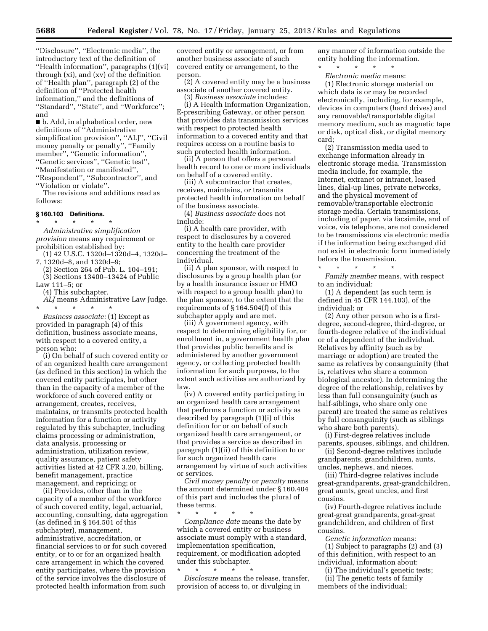''Disclosure'', ''Electronic media'', the introductory text of the definition of ''Health information'', paragraphs (1)(vi) through (xi), and (xv) of the definition of ''Health plan'', paragraph (2) of the definition of ''Protected health information,'' and the definitions of ''Standard'', ''State'', and ''Workforce''; and

■ b. Add, in alphabetical order, new definitions of ''Administrative simplification provision'', ''ALJ'', ''Civil money penalty or penalty'', ''Family member'', ''Genetic information'', ''Genetic services'', ''Genetic test'', ''Manifestation or manifested'', ''Respondent'', ''Subcontractor'', and

''Violation or violate''.

The revisions and additions read as follows:

### **§ 160.103 Definitions.**

\* \* \* \* \* *Administrative simplification provision* means any requirement or prohibition established by:

(1) 42 U.S.C. 1320d–1320d–4, 1320d– 7, 1320d–8, and 1320d–9;

(2) Section 264 of Pub. L. 104–191; (3) Sections 13400–13424 of Public

Law 111–5; or

(4) This subchapter.

*ALJ* means Administrative Law Judge.

\* \* \* \* \* *Business associate:* (1) Except as provided in paragraph (4) of this definition, business associate means, with respect to a covered entity, a person who:

(i) On behalf of such covered entity or of an organized health care arrangement (as defined in this section) in which the covered entity participates, but other than in the capacity of a member of the workforce of such covered entity or arrangement, creates, receives, maintains, or transmits protected health information for a function or activity regulated by this subchapter, including claims processing or administration, data analysis, processing or administration, utilization review, quality assurance, patient safety activities listed at 42 CFR 3.20, billing, benefit management, practice management, and repricing; or

(ii) Provides, other than in the capacity of a member of the workforce of such covered entity, legal, actuarial, accounting, consulting, data aggregation (as defined in § 164.501 of this subchapter), management, administrative, accreditation, or financial services to or for such covered entity, or to or for an organized health care arrangement in which the covered entity participates, where the provision of the service involves the disclosure of protected health information from such

covered entity or arrangement, or from another business associate of such covered entity or arrangement, to the person.

(2) A covered entity may be a business associate of another covered entity.

(3) *Business associate* includes:

(i) A Health Information Organization, E-prescribing Gateway, or other person that provides data transmission services with respect to protected health information to a covered entity and that requires access on a routine basis to such protected health information.

(ii) A person that offers a personal health record to one or more individuals on behalf of a covered entity.

(iii) A subcontractor that creates, receives, maintains, or transmits protected health information on behalf of the business associate.

(4) *Business associate* does not include:

(i) A health care provider, with respect to disclosures by a covered entity to the health care provider concerning the treatment of the individual.

(ii) A plan sponsor, with respect to disclosures by a group health plan (or by a health insurance issuer or HMO with respect to a group health plan) to the plan sponsor, to the extent that the requirements of § 164.504(f) of this subchapter apply and are met.

(iii) A government agency, with respect to determining eligibility for, or enrollment in, a government health plan that provides public benefits and is administered by another government agency, or collecting protected health information for such purposes, to the extent such activities are authorized by law.

(iv) A covered entity participating in an organized health care arrangement that performs a function or activity as described by paragraph (1)(i) of this definition for or on behalf of such organized health care arrangement, or that provides a service as described in paragraph (1)(ii) of this definition to or for such organized health care arrangement by virtue of such activities or services.

*Civil money penalty* or *penalty* means the amount determined under § 160.404 of this part and includes the plural of these terms.

\* \* \* \* \* *Compliance date* means the date by which a covered entity or business associate must comply with a standard, implementation specification, requirement, or modification adopted under this subchapter.

\* \* \* \* \* *Disclosure* means the release, transfer, provision of access to, or divulging in

any manner of information outside the entity holding the information.

\* \* \* \* \* *Electronic media* means:

(1) Electronic storage material on which data is or may be recorded electronically, including, for example, devices in computers (hard drives) and any removable/transportable digital memory medium, such as magnetic tape or disk, optical disk, or digital memory card;

(2) Transmission media used to exchange information already in electronic storage media. Transmission media include, for example, the Internet, extranet or intranet, leased lines, dial-up lines, private networks, and the physical movement of removable/transportable electronic storage media. Certain transmissions, including of paper, via facsimile, and of voice, via telephone, are not considered to be transmissions via electronic media if the information being exchanged did not exist in electronic form immediately before the transmission.

\* \* \* \* \* *Family member* means, with respect to an individual:

(1) A dependent (as such term is defined in 45 CFR 144.103), of the individual; or

(2) Any other person who is a firstdegree, second-degree, third-degree, or fourth-degree relative of the individual or of a dependent of the individual. Relatives by affinity (such as by marriage or adoption) are treated the same as relatives by consanguinity (that is, relatives who share a common biological ancestor). In determining the degree of the relationship, relatives by less than full consanguinity (such as half-siblings, who share only one parent) are treated the same as relatives by full consanguinity (such as siblings who share both parents).

(i) First-degree relatives include parents, spouses, siblings, and children.

(ii) Second-degree relatives include grandparents, grandchildren, aunts, uncles, nephews, and nieces.

(iii) Third-degree relatives include great-grandparents, great-grandchildren, great aunts, great uncles, and first cousins.

(iv) Fourth-degree relatives include great-great grandparents, great-great grandchildren, and children of first cousins.

*Genetic information* means: (1) Subject to paragraphs (2) and (3) of this definition, with respect to an

individual, information about: (i) The individual's genetic tests;

(ii) The genetic tests of family members of the individual;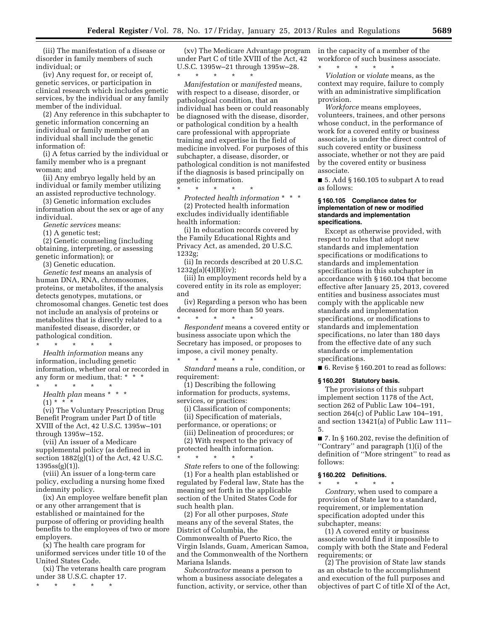(iii) The manifestation of a disease or disorder in family members of such individual; or

(iv) Any request for, or receipt of, genetic services, or participation in clinical research which includes genetic services, by the individual or any family member of the individual.

(2) Any reference in this subchapter to genetic information concerning an individual or family member of an individual shall include the genetic information of:

(i) A fetus carried by the individual or family member who is a pregnant woman; and

(ii) Any embryo legally held by an individual or family member utilizing an assisted reproductive technology.

(3) Genetic information excludes information about the sex or age of any individual.

*Genetic services* means:

(1) A genetic test;

(2) Genetic counseling (including obtaining, interpreting, or assessing genetic information); or

(3) Genetic education.

*Genetic test* means an analysis of human DNA, RNA, chromosomes, proteins, or metabolites, if the analysis detects genotypes, mutations, or chromosomal changes. Genetic test does not include an analysis of proteins or metabolites that is directly related to a manifested disease, disorder, or pathological condition.

\* \* \* \* \* *Health information* means any information, including genetic information, whether oral or recorded in any form or medium, that: \* \* \* \* \*

\* \* \* \* \* *Health plan* means \* \* \*  $(1) * * \cdot^{\sim}$ 

(vi) The Voluntary Prescription Drug Benefit Program under Part D of title XVIII of the Act, 42 U.S.C. 1395w–101 through 1395w–152.

(vii) An issuer of a Medicare supplemental policy (as defined in section  $1882(g)(1)$  of the Act, 42 U.S.C.  $1395ss(g)(1)$ ).

(viii) An issuer of a long-term care policy, excluding a nursing home fixed indemnity policy.

(ix) An employee welfare benefit plan or any other arrangement that is established or maintained for the purpose of offering or providing health benefits to the employees of two or more employers.

(x) The health care program for uniformed services under title 10 of the United States Code.

(xi) The veterans health care program under 38 U.S.C. chapter 17.

\* \* \* \* \*

(xv) The Medicare Advantage program under Part C of title XVIII of the Act, 42 U.S.C. 1395w–21 through 1395w–28.

\* \* \* \* \* *Manifestation* or *manifested* means, with respect to a disease, disorder, or pathological condition, that an individual has been or could reasonably be diagnosed with the disease, disorder, or pathological condition by a health care professional with appropriate training and expertise in the field of medicine involved. For purposes of this subchapter, a disease, disorder, or pathological condition is not manifested if the diagnosis is based principally on genetic information. \* \* \* \* \*

*Protected health information* \* \* \* (2) Protected health information excludes individually identifiable health information:

(i) In education records covered by the Family Educational Rights and Privacy Act, as amended, 20 U.S.C. 1232g;

(ii) In records described at 20 U.S.C. 1232g(a)(4)(B)(iv);

(iii) In employment records held by a covered entity in its role as employer; and

(iv) Regarding a person who has been deceased for more than 50 years.

\* \* \* \* \* *Respondent* means a covered entity or business associate upon which the Secretary has imposed, or proposes to impose, a civil money penalty. \* \* \* \* \*

*Standard* means a rule, condition, or requirement:

(1) Describing the following information for products, systems, services, or practices:

(i) Classification of components; (ii) Specification of materials,

performance, or operations; or

(iii) Delineation of procedures; or (2) With respect to the privacy of protected health information.

\* \* \* \* \* *State* refers to one of the following: (1) For a health plan established or regulated by Federal law, State has the meaning set forth in the applicable section of the United States Code for such health plan.

(2) For all other purposes, *State*  means any of the several States, the District of Columbia, the Commonwealth of Puerto Rico, the Virgin Islands, Guam, American Samoa, and the Commonwealth of the Northern Mariana Islands.

*Subcontractor* means a person to whom a business associate delegates a function, activity, or service, other than in the capacity of a member of the workforce of such business associate. \* \* \* \* \*

*Violation* or *violate* means, as the context may require, failure to comply with an administrative simplification provision.

*Workforce* means employees, volunteers, trainees, and other persons whose conduct, in the performance of work for a covered entity or business associate, is under the direct control of such covered entity or business associate, whether or not they are paid by the covered entity or business associate.

■ 5. Add § 160.105 to subpart A to read as follows:

# **§ 160.105 Compliance dates for implementation of new or modified standards and implementation specifications.**

Except as otherwise provided, with respect to rules that adopt new standards and implementation specifications or modifications to standards and implementation specifications in this subchapter in accordance with § 160.104 that become effective after January 25, 2013, covered entities and business associates must comply with the applicable new standards and implementation specifications, or modifications to standards and implementation specifications, no later than 180 days from the effective date of any such standards or implementation specifications.

■ 6. Revise § 160.201 to read as follows:

# **§ 160.201 Statutory basis.**

The provisions of this subpart implement section 1178 of the Act, section 262 of Public Law 104–191, section 264(c) of Public Law 104–191, and section 13421(a) of Public Law 111– 5.

■ 7. In § 160.202, revise the definition of ''Contrary'' and paragraph (1)(i) of the definition of ''More stringent'' to read as follows:

### **§ 160.202 Definitions.**

 $\star$   $\qquad$   $\star$   $\qquad$   $\star$ *Contrary,* when used to compare a provision of State law to a standard, requirement, or implementation specification adopted under this subchapter, means:

(1) A covered entity or business associate would find it impossible to comply with both the State and Federal requirements; or

(2) The provision of State law stands as an obstacle to the accomplishment and execution of the full purposes and objectives of part C of title XI of the Act,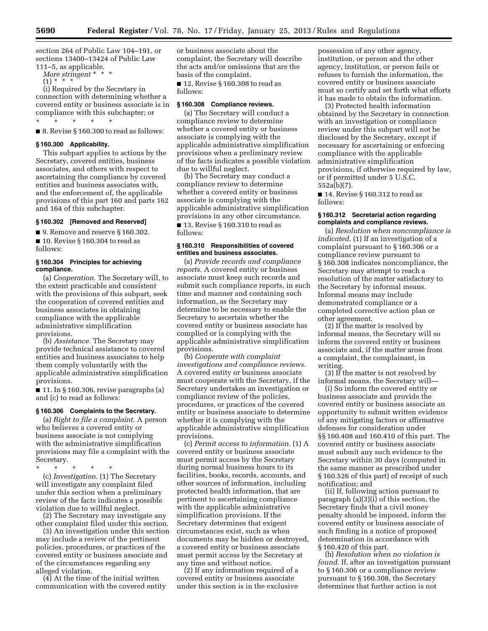section 264 of Public Law 104–191, or sections 13400–13424 of Public Law 111–5, as applicable.

- *More stringent* \* \* \*
- $(1) * * * *$

(i) Required by the Secretary in connection with determining whether a covered entity or business associate is in compliance with this subchapter; or \* \* \* \* \*

■ 8. Revise § 160.300 to read as follows:

### **§ 160.300 Applicability.**

This subpart applies to actions by the Secretary, covered entities, business associates, and others with respect to ascertaining the compliance by covered entities and business associates with, and the enforcement of, the applicable provisions of this part 160 and parts 162 and 164 of this subchapter.

# **§ 160.302 [Removed and Reserved]**

■ 9. Remove and reserve § 160.302. ■ 10. Revise § 160.304 to read as follows:

# **§ 160.304 Principles for achieving compliance.**

(a) *Cooperation.* The Secretary will, to the extent practicable and consistent with the provisions of this subpart, seek the cooperation of covered entities and business associates in obtaining compliance with the applicable administrative simplification provisions.

(b) *Assistance.* The Secretary may provide technical assistance to covered entities and business associates to help them comply voluntarily with the applicable administrative simplification provisions.

■ 11. In § 160.306, revise paragraphs (a) and (c) to read as follows:

# **§ 160.306 Complaints to the Secretary.**

(a) *Right to file a complaint.* A person who believes a covered entity or business associate is not complying with the administrative simplification provisions may file a complaint with the Secretary.

\* \* \* \* \* (c) *Investigation.* (1) The Secretary will investigate any complaint filed under this section when a preliminary review of the facts indicates a possible violation due to willful neglect.

(2) The Secretary may investigate any other complaint filed under this section.

(3) An investigation under this section may include a review of the pertinent policies, procedures, or practices of the covered entity or business associate and of the circumstances regarding any alleged violation.

(4) At the time of the initial written communication with the covered entity or business associate about the complaint, the Secretary will describe the acts and/or omissions that are the basis of the complaint.

■ 12. Revise § 160.308 to read as follows:

### **§ 160.308 Compliance reviews.**

(a) The Secretary will conduct a compliance review to determine whether a covered entity or business associate is complying with the applicable administrative simplification provisions when a preliminary review of the facts indicates a possible violation due to willful neglect.

(b) The Secretary may conduct a compliance review to determine whether a covered entity or business associate is complying with the applicable administrative simplification provisions in any other circumstance. ■ 13. Revise § 160.310 to read as follows:

### **§ 160.310 Responsibilities of covered entities and business associates.**

(a) *Provide records and compliance reports.* A covered entity or business associate must keep such records and submit such compliance reports, in such time and manner and containing such information, as the Secretary may determine to be necessary to enable the Secretary to ascertain whether the covered entity or business associate has complied or is complying with the applicable administrative simplification provisions.

(b) *Cooperate with complaint investigations and compliance reviews.*  A covered entity or business associate must cooperate with the Secretary, if the Secretary undertakes an investigation or compliance review of the policies, procedures, or practices of the covered entity or business associate to determine whether it is complying with the applicable administrative simplification provisions.

(c) *Permit access to information.* (1) A covered entity or business associate must permit access by the Secretary during normal business hours to its facilities, books, records, accounts, and other sources of information, including protected health information, that are pertinent to ascertaining compliance with the applicable administrative simplification provisions. If the Secretary determines that exigent circumstances exist, such as when documents may be hidden or destroyed, a covered entity or business associate must permit access by the Secretary at any time and without notice.

(2) If any information required of a covered entity or business associate under this section is in the exclusive

possession of any other agency, institution, or person and the other agency, institution, or person fails or refuses to furnish the information, the covered entity or business associate must so certify and set forth what efforts it has made to obtain the information.

(3) Protected health information obtained by the Secretary in connection with an investigation or compliance review under this subpart will not be disclosed by the Secretary, except if necessary for ascertaining or enforcing compliance with the applicable administrative simplification provisions, if otherwise required by law, or if permitted under 5 U.S.C. 552a(b)(7).

■ 14. Revise § 160.312 to read as follows:

### **§ 160.312 Secretarial action regarding complaints and compliance reviews.**

(a) *Resolution when noncompliance is indicated.* (1) If an investigation of a complaint pursuant to § 160.306 or a compliance review pursuant to § 160.308 indicates noncompliance, the Secretary may attempt to reach a resolution of the matter satisfactory to the Secretary by informal means. Informal means may include demonstrated compliance or a completed corrective action plan or other agreement.

(2) If the matter is resolved by informal means, the Secretary will so inform the covered entity or business associate and, if the matter arose from a complaint, the complainant, in writing.

(3) If the matter is not resolved by informal means, the Secretary will—

(i) So inform the covered entity or business associate and provide the covered entity or business associate an opportunity to submit written evidence of any mitigating factors or affirmative defenses for consideration under §§ 160.408 and 160.410 of this part. The covered entity or business associate must submit any such evidence to the Secretary within 30 days (computed in the same manner as prescribed under § 160.526 of this part) of receipt of such notification; and

(ii) If, following action pursuant to paragraph (a)(3)(i) of this section, the Secretary finds that a civil money penalty should be imposed, inform the covered entity or business associate of such finding in a notice of proposed determination in accordance with § 160.420 of this part.

(b) *Resolution when no violation is found.* If, after an investigation pursuant to § 160.306 or a compliance review pursuant to § 160.308, the Secretary determines that further action is not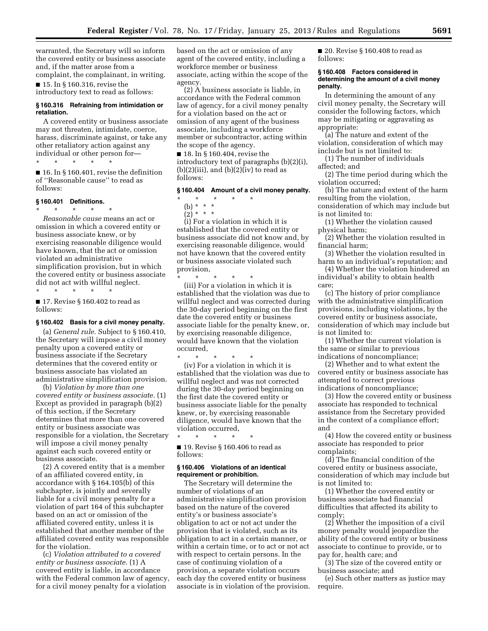warranted, the Secretary will so inform the covered entity or business associate and, if the matter arose from a complaint, the complainant, in writing. ■ 15. In § 160.316, revise the

introductory text to read as follows:

### **§ 160.316 Refraining from intimidation or retaliation.**

A covered entity or business associate may not threaten, intimidate, coerce, harass, discriminate against, or take any other retaliatory action against any individual or other person for—

\* \* \* \* \*

 $\blacksquare$  16. In § 160.401, revise the definition of ''Reasonable cause'' to read as follows:

# **§ 160.401 Definitions.**

\* \* \* \* \*

*Reasonable cause* means an act or omission in which a covered entity or business associate knew, or by exercising reasonable diligence would have known, that the act or omission violated an administrative simplification provision, but in which the covered entity or business associate did not act with willful neglect.

\* \* \* \* \*

■ 17. Revise § 160.402 to read as follows:

### **§ 160.402 Basis for a civil money penalty.**

(a) *General rule.* Subject to § 160.410, the Secretary will impose a civil money penalty upon a covered entity or business associate if the Secretary determines that the covered entity or business associate has violated an administrative simplification provision.

(b) *Violation by more than one covered entity or business associate.* (1) Except as provided in paragraph (b)(2) of this section, if the Secretary determines that more than one covered entity or business associate was responsible for a violation, the Secretary will impose a civil money penalty against each such covered entity or business associate.

(2) A covered entity that is a member of an affiliated covered entity, in accordance with § 164.105(b) of this subchapter, is jointly and severally liable for a civil money penalty for a violation of part 164 of this subchapter based on an act or omission of the affiliated covered entity, unless it is established that another member of the affiliated covered entity was responsible for the violation.

(c) *Violation attributed to a covered entity or business associate.* (1) A covered entity is liable, in accordance with the Federal common law of agency, for a civil money penalty for a violation

based on the act or omission of any agent of the covered entity, including a workforce member or business associate, acting within the scope of the agency.

(2) A business associate is liable, in accordance with the Federal common law of agency, for a civil money penalty for a violation based on the act or omission of any agent of the business associate, including a workforce member or subcontractor, acting within the scope of the agency.

■ 18. In § 160.404, revise the introductory text of paragraphs (b)(2)(i),  $(b)(2)(iii)$ , and  $(b)(2)(iv)$  to read as follows:

# **§ 160.404 Amount of a civil money penalty.**

\* \* \* \* \* (b) \* \* \*

\* \* \* \* \*

 $(2)^* * * *$ 

(i) For a violation in which it is established that the covered entity or business associate did not know and, by exercising reasonable diligence, would not have known that the covered entity or business associate violated such provision,

\* \* \* \* \* (iii) For a violation in which it is established that the violation was due to willful neglect and was corrected during the 30-day period beginning on the first date the covered entity or business associate liable for the penalty knew, or, by exercising reasonable diligence, would have known that the violation occurred,

(iv) For a violation in which it is established that the violation was due to willful neglect and was not corrected during the 30-day period beginning on the first date the covered entity or business associate liable for the penalty knew, or, by exercising reasonable diligence, would have known that the violation occurred,

\* \* \* \* \* ■ 19. Revise § 160.406 to read as follows:

### **§ 160.406 Violations of an identical requirement or prohibition.**

The Secretary will determine the number of violations of an administrative simplification provision based on the nature of the covered entity's or business associate's obligation to act or not act under the provision that is violated, such as its obligation to act in a certain manner, or within a certain time, or to act or not act with respect to certain persons. In the case of continuing violation of a provision, a separate violation occurs each day the covered entity or business associate is in violation of the provision. ■ 20. Revise § 160.408 to read as follows:

### **§ 160.408 Factors considered in determining the amount of a civil money penalty.**

In determining the amount of any civil money penalty, the Secretary will consider the following factors, which may be mitigating or aggravating as appropriate:

(a) The nature and extent of the violation, consideration of which may include but is not limited to:

(1) The number of individuals affected; and

(2) The time period during which the violation occurred;

(b) The nature and extent of the harm resulting from the violation, consideration of which may include but is not limited to:

(1) Whether the violation caused physical harm;

(2) Whether the violation resulted in financial harm;

(3) Whether the violation resulted in harm to an individual's reputation; and

(4) Whether the violation hindered an individual's ability to obtain health care;

(c) The history of prior compliance with the administrative simplification provisions, including violations, by the covered entity or business associate, consideration of which may include but is not limited to:

(1) Whether the current violation is the same or similar to previous indications of noncompliance;

(2) Whether and to what extent the covered entity or business associate has attempted to correct previous indications of noncompliance;

(3) How the covered entity or business associate has responded to technical assistance from the Secretary provided in the context of a compliance effort; and

(4) How the covered entity or business associate has responded to prior complaints;

(d) The financial condition of the covered entity or business associate, consideration of which may include but is not limited to:

(1) Whether the covered entity or business associate had financial difficulties that affected its ability to comply;

(2) Whether the imposition of a civil money penalty would jeopardize the ability of the covered entity or business associate to continue to provide, or to pay for, health care; and

(3) The size of the covered entity or business associate; and

(e) Such other matters as justice may require.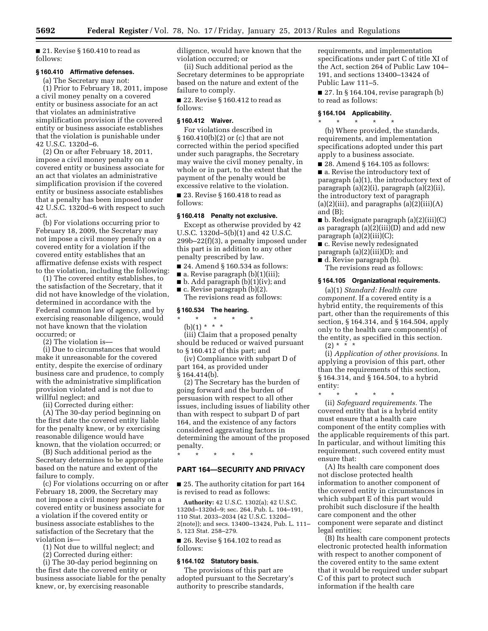■ 21. Revise § 160.410 to read as follows:

### **§ 160.410 Affirmative defenses.**

(a) The Secretary may not:

(1) Prior to February 18, 2011, impose a civil money penalty on a covered entity or business associate for an act that violates an administrative simplification provision if the covered entity or business associate establishes that the violation is punishable under 42 U.S.C. 1320d–6.

(2) On or after February 18, 2011, impose a civil money penalty on a covered entity or business associate for an act that violates an administrative simplification provision if the covered entity or business associate establishes that a penalty has been imposed under 42 U.S.C. 1320d–6 with respect to such act.

(b) For violations occurring prior to February 18, 2009, the Secretary may not impose a civil money penalty on a covered entity for a violation if the covered entity establishes that an affirmative defense exists with respect to the violation, including the following:

(1) The covered entity establishes, to the satisfaction of the Secretary, that it did not have knowledge of the violation, determined in accordance with the Federal common law of agency, and by exercising reasonable diligence, would not have known that the violation occurred; or

(2) The violation is—

(i) Due to circumstances that would make it unreasonable for the covered entity, despite the exercise of ordinary business care and prudence, to comply with the administrative simplification provision violated and is not due to willful neglect; and

(ii) Corrected during either:

(A) The 30-day period beginning on the first date the covered entity liable for the penalty knew, or by exercising reasonable diligence would have known, that the violation occurred; or

(B) Such additional period as the Secretary determines to be appropriate based on the nature and extent of the failure to comply.

(c) For violations occurring on or after February 18, 2009, the Secretary may not impose a civil money penalty on a covered entity or business associate for a violation if the covered entity or business associate establishes to the satisfaction of the Secretary that the violation is—

(1) Not due to willful neglect; and

(2) Corrected during either:

(i) The 30-day period beginning on the first date the covered entity or business associate liable for the penalty knew, or, by exercising reasonable

diligence, would have known that the violation occurred; or

(ii) Such additional period as the Secretary determines to be appropriate based on the nature and extent of the failure to comply.

■ 22. Revise § 160.412 to read as follows:

#### **§ 160.412 Waiver.**

For violations described in § 160.410(b)(2) or (c) that are not corrected within the period specified under such paragraphs, the Secretary may waive the civil money penalty, in whole or in part, to the extent that the payment of the penalty would be excessive relative to the violation.

■ 23. Revise § 160.418 to read as follows:

#### **§ 160.418 Penalty not exclusive.**

Except as otherwise provided by 42 U.S.C. 1320d–5(b)(1) and 42 U.S.C. 299b–22(f)(3), a penalty imposed under this part is in addition to any other penalty prescribed by law.

■ 24. Amend § 160.534 as follows:

■ a. Revise paragraph (b)(1)(iii);

 $\blacksquare$  b. Add paragraph (b)(1)(iv); and

■ c. Revise paragraph (b)(2). The revisions read as follows:

# **§ 160.534 The hearing.**

\* \* \* \* \*

 $(b)(1) * * * *$ 

(iii) Claim that a proposed penalty should be reduced or waived pursuant to § 160.412 of this part; and

(iv) Compliance with subpart D of part 164, as provided under  $§ 164.414(b).$ 

(2) The Secretary has the burden of going forward and the burden of persuasion with respect to all other issues, including issues of liability other than with respect to subpart D of part 164, and the existence of any factors considered aggravating factors in determining the amount of the proposed penalty.

\* \* \* \* \*

# **PART 164—SECURITY AND PRIVACY**

■ 25. The authority citation for part 164 is revised to read as follows:

**Authority:** 42 U.S.C. 1302(a); 42 U.S.C. 1320d–1320d–9; sec. 264, Pub. L. 104–191, 110 Stat. 2033–2034 (42 U.S.C. 1320d– 2(note)); and secs. 13400–13424, Pub. L. 111– 5, 123 Stat. 258–279.

■ 26. Revise § 164.102 to read as follows:

# **§ 164.102 Statutory basis.**

The provisions of this part are adopted pursuant to the Secretary's authority to prescribe standards,

requirements, and implementation specifications under part C of title XI of the Act, section 264 of Public Law 104– 191, and sections 13400–13424 of Public Law 111–5.

■ 27. In § 164.104, revise paragraph (b) to read as follows:

### **§ 164.104 Applicability.**  \* \* \* \* \*

(b) Where provided, the standards, requirements, and implementation specifications adopted under this part apply to a business associate.

■ 28. Amend § 164.105 as follows: ■ a. Revise the introductory text of paragraph (a)(1), the introductory text of paragraph (a)(2)(i), paragraph (a)(2)(ii), the introductory text of paragraph  $(a)(2)(iii)$ , and paragraphs  $(a)(2)(iii)(A)$ and (B);

■ b. Redesignate paragraph (a)(2)(iii)(C) as paragraph (a)(2)(iii)(D) and add new paragraph (a)(2)(iii)(C);

- c. Revise newly redesignated paragraph (a)(2)(iii)(D); and
- d. Revise paragraph (b).

The revisions read as follows:

### **§ 164.105 Organizational requirements.**

(a)(1) *Standard: Health care component.* If a covered entity is a hybrid entity, the requirements of this part, other than the requirements of this section, § 164.314, and § 164.504, apply only to the health care component(s) of the entity, as specified in this section.

 $(2) * * * *$ 

(i) *Application of other provisions.* In applying a provision of this part, other than the requirements of this section, § 164.314, and § 164.504, to a hybrid entity:

\* \* \* \* \*

(ii) *Safeguard requirements.* The covered entity that is a hybrid entity must ensure that a health care component of the entity complies with the applicable requirements of this part. In particular, and without limiting this requirement, such covered entity must ensure that:

(A) Its health care component does not disclose protected health information to another component of the covered entity in circumstances in which subpart E of this part would prohibit such disclosure if the health care component and the other component were separate and distinct legal entities;

(B) Its health care component protects electronic protected health information with respect to another component of the covered entity to the same extent that it would be required under subpart C of this part to protect such information if the health care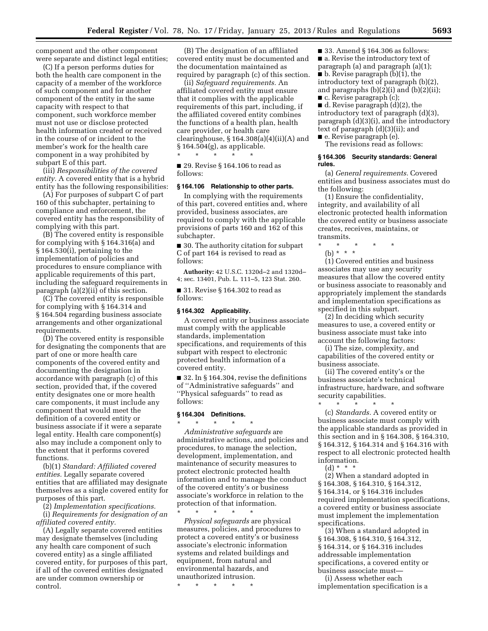component and the other component were separate and distinct legal entities;

(C) If a person performs duties for both the health care component in the capacity of a member of the workforce of such component and for another component of the entity in the same capacity with respect to that component, such workforce member must not use or disclose protected health information created or received in the course of or incident to the member's work for the health care component in a way prohibited by subpart E of this part.

(iii) *Responsibilities of the covered entity.* A covered entity that is a hybrid entity has the following responsibilities:

(A) For purposes of subpart C of part 160 of this subchapter, pertaining to compliance and enforcement, the covered entity has the responsibility of complying with this part.

(B) The covered entity is responsible for complying with § 164.316(a) and § 164.530(i), pertaining to the implementation of policies and procedures to ensure compliance with applicable requirements of this part, including the safeguard requirements in paragraph (a)(2)(ii) of this section.

(C) The covered entity is responsible for complying with § 164.314 and § 164.504 regarding business associate arrangements and other organizational requirements.

(D) The covered entity is responsible for designating the components that are part of one or more health care components of the covered entity and documenting the designation in accordance with paragraph (c) of this section, provided that, if the covered entity designates one or more health care components, it must include any component that would meet the definition of a covered entity or business associate if it were a separate legal entity. Health care component(s) also may include a component only to the extent that it performs covered functions.

(b)(1) *Standard: Affiliated covered entities.* Legally separate covered entities that are affiliated may designate themselves as a single covered entity for purposes of this part.

(2) *Implementation specifications.*  (i) *Requirements for designation of an* 

*affiliated covered entity.* 

(A) Legally separate covered entities may designate themselves (including any health care component of such covered entity) as a single affiliated covered entity, for purposes of this part, if all of the covered entities designated are under common ownership or control.

(B) The designation of an affiliated covered entity must be documented and the documentation maintained as required by paragraph (c) of this section.

(ii) *Safeguard requirements.* An affiliated covered entity must ensure that it complies with the applicable requirements of this part, including, if the affiliated covered entity combines the functions of a health plan, health care provider, or health care clearinghouse,  $$164.308(a)(4)(ii)(A)$  and § 164.504(g), as applicable.

\* \* \* \* \* ■ 29. Revise § 164.106 to read as

follows:

# **§ 164.106 Relationship to other parts.**

In complying with the requirements of this part, covered entities and, where provided, business associates, are required to comply with the applicable provisions of parts 160 and 162 of this subchapter.

■ 30. The authority citation for subpart C of part 164 is revised to read as follows:

**Authority:** 42 U.S.C. 1320d–2 and 1320d– 4; sec. 13401, Pub. L. 111–5, 123 Stat. 260.

■ 31. Revise § 164.302 to read as follows:

### **§ 164.302 Applicability.**

A covered entity or business associate must comply with the applicable standards, implementation specifications, and requirements of this subpart with respect to electronic protected health information of a covered entity.

■ 32. In § 164.304, revise the definitions of ''Administrative safeguards'' and ''Physical safeguards'' to read as follows:

### **§ 164.304 Definitions.**

\* \* \* \* \* *Administrative safeguards* are administrative actions, and policies and procedures, to manage the selection, development, implementation, and maintenance of security measures to protect electronic protected health information and to manage the conduct of the covered entity's or business associate's workforce in relation to the protection of that information.

\* \* \* \* \* *Physical safeguards* are physical measures, policies, and procedures to protect a covered entity's or business associate's electronic information systems and related buildings and equipment, from natural and environmental hazards, and unauthorized intrusion.

\* \* \* \* \*

■ 33. Amend § 164.306 as follows: ■ a. Revise the introductory text of paragraph (a) and paragraph (a)(1);  $\blacksquare$  b. Revise paragraph (b)(1), the introductory text of paragraph (b)(2), and paragraphs (b)(2)(i) and (b)(2)(ii); ■ c. Revise paragraph (c);

■ d. Revise paragraph (d)(2), the introductory text of paragraph (d)(3), paragraph (d)(3)(i), and the introductory text of paragraph (d)(3)(ii); and ■ e. Revise paragraph (e).

The revisions read as follows:

#### **§ 164.306 Security standards: General rules.**

(a) *General requirements.* Covered entities and business associates must do the following:

(1) Ensure the confidentiality, integrity, and availability of all electronic protected health information the covered entity or business associate creates, receives, maintains, or transmits.

- \* \* \* \* \*
- (b) \* \* \*

(1) Covered entities and business associates may use any security measures that allow the covered entity or business associate to reasonably and appropriately implement the standards and implementation specifications as specified in this subpart.

(2) In deciding which security measures to use, a covered entity or business associate must take into account the following factors:

(i) The size, complexity, and capabilities of the covered entity or business associate.

(ii) The covered entity's or the business associate's technical infrastructure, hardware, and software security capabilities.

\* \* \* \* \* (c) *Standards.* A covered entity or business associate must comply with the applicable standards as provided in this section and in § 164.308, § 164.310, § 164.312, § 164.314 and § 164.316 with respect to all electronic protected health information.

(d) \* \* \*

(2) When a standard adopted in § 164.308, § 164.310, § 164.312, § 164.314, or § 164.316 includes required implementation specifications, a covered entity or business associate must implement the implementation specifications.

(3) When a standard adopted in § 164.308, § 164.310, § 164.312, § 164.314, or § 164.316 includes addressable implementation specifications, a covered entity or business associate must—

(i) Assess whether each implementation specification is a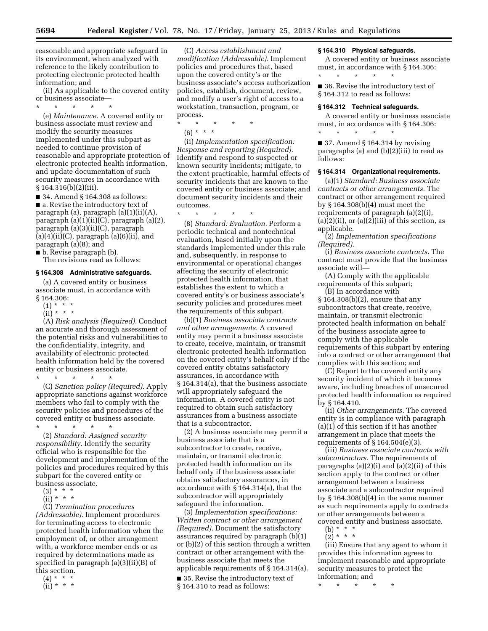reasonable and appropriate safeguard in its environment, when analyzed with reference to the likely contribution to protecting electronic protected health information; and

(ii) As applicable to the covered entity or business associate—

\* \* \* \* \*

(e) *Maintenance.* A covered entity or business associate must review and modify the security measures implemented under this subpart as needed to continue provision of reasonable and appropriate protection of electronic protected health information, and update documentation of such security measures in accordance with § 164.316(b)(2)(iii).

■ 34. Amend § 164.308 as follows: ■ a. Revise the introductory text of paragraph (a), paragraph (a)(1)(ii)(A), paragraph (a)(1)(ii)(C), paragraph (a)(2), paragraph (a)(3)(ii)(C), paragraph  $(a)(4)(ii)(C)$ , paragraph  $(a)(6)(ii)$ , and paragraph (a)(8); and

■ b. Revise paragraph (b). The revisions read as follows:

### **§ 164.308 Administrative safeguards.**

(a) A covered entity or business associate must, in accordance with § 164.306:

- $(1) * * * *$
- $(ii) * * * *$

(A) *Risk analysis (Required).* Conduct an accurate and thorough assessment of the potential risks and vulnerabilities to the confidentiality, integrity, and availability of electronic protected health information held by the covered entity or business associate.

\* \* \* \* \*

(C) *Sanction policy (Required).* Apply appropriate sanctions against workforce members who fail to comply with the security policies and procedures of the covered entity or business associate.

\* \* \* \* \*

(2) *Standard: Assigned security responsibility.* Identify the security official who is responsible for the development and implementation of the policies and procedures required by this subpart for the covered entity or business associate.

- $(3) * * * *$
- $(ii)* **$

(C) *Termination procedures (Addressable).* Implement procedures for terminating access to electronic protected health information when the employment of, or other arrangement with, a workforce member ends or as required by determinations made as specified in paragraph (a)(3)(ii)(B) of this section.

 $(4) * * * *$ 

 $(ii) * * * *$ 

(C) *Access establishment and modification (Addressable).* Implement policies and procedures that, based upon the covered entity's or the business associate's access authorization policies, establish, document, review, and modify a user's right of access to a workstation, transaction, program, or process.

\* \* \* \* \*

(6) \* \* \*

(ii) *Implementation specification: Response and reporting (Required).*  Identify and respond to suspected or known security incidents; mitigate, to the extent practicable, harmful effects of security incidents that are known to the covered entity or business associate; and document security incidents and their outcomes.

\* \* \* \* \*

(8) *Standard: Evaluation.* Perform a periodic technical and nontechnical evaluation, based initially upon the standards implemented under this rule and, subsequently, in response to environmental or operational changes affecting the security of electronic protected health information, that establishes the extent to which a covered entity's or business associate's security policies and procedures meet the requirements of this subpart.

(b)(1) *Business associate contracts and other arrangements.* A covered entity may permit a business associate to create, receive, maintain, or transmit electronic protected health information on the covered entity's behalf only if the covered entity obtains satisfactory assurances, in accordance with § 164.314(a), that the business associate will appropriately safeguard the information. A covered entity is not required to obtain such satisfactory assurances from a business associate that is a subcontractor.

(2) A business associate may permit a business associate that is a subcontractor to create, receive, maintain, or transmit electronic protected health information on its behalf only if the business associate obtains satisfactory assurances, in accordance with § 164.314(a), that the subcontractor will appropriately safeguard the information.

(3) *Implementation specifications: Written contract or other arrangement (Required).* Document the satisfactory assurances required by paragraph (b)(1) or (b)(2) of this section through a written contract or other arrangement with the business associate that meets the applicable requirements of § 164.314(a).

■ 35. Revise the introductory text of

### **§ 164.310 Physical safeguards.**

A covered entity or business associate must, in accordance with § 164.306:

\* \* \* \* \* ■ 36. Revise the introductory text of § 164.312 to read as follows:

#### **§ 164.312 Technical safeguards.**

A covered entity or business associate must, in accordance with § 164.306: \* \* \* \* \*

■ 37. Amend § 164.314 by revising paragraphs (a) and (b)(2)(iii) to read as follows:

#### **§ 164.314 Organizational requirements.**

(a)(1) *Standard: Business associate contracts or other arrangements.* The contract or other arrangement required by § 164.308(b)(4) must meet the requirements of paragraph (a)(2)(i),  $(a)(2)(ii)$ , or  $(a)(2)(iii)$  of this section, as applicable.

(2) *Implementation specifications (Required).* 

(i) *Business associate contracts.* The contract must provide that the business associate will—

(A) Comply with the applicable requirements of this subpart;

(B) In accordance with § 164.308(b)(2), ensure that any subcontractors that create, receive, maintain, or transmit electronic protected health information on behalf of the business associate agree to comply with the applicable requirements of this subpart by entering into a contract or other arrangement that complies with this section; and

(C) Report to the covered entity any security incident of which it becomes aware, including breaches of unsecured protected health information as required by § 164.410.

(ii) *Other arrangements.* The covered entity is in compliance with paragraph (a)(1) of this section if it has another arrangement in place that meets the requirements of  $\S 164.504(e)(3)$ .

(iii) *Business associate contracts with subcontractors.* The requirements of paragraphs (a)(2)(i) and (a)(2)(ii) of this section apply to the contract or other arrangement between a business associate and a subcontractor required by  $\S 164.308(b)(4)$  in the same manner as such requirements apply to contracts or other arrangements between a covered entity and business associate.

(b)  $* * * *$  $(2) * * * *$ 

(iii) Ensure that any agent to whom it provides this information agrees to implement reasonable and appropriate security measures to protect the information; and

\* \* \* \* \*

<sup>§ 164.310</sup> to read as follows: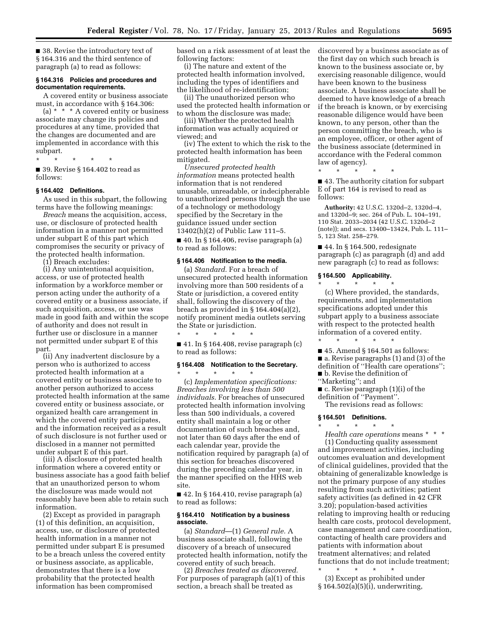■ 38. Revise the introductory text of § 164.316 and the third sentence of paragraph (a) to read as follows:

### **§ 164.316 Policies and procedures and documentation requirements.**

A covered entity or business associate must, in accordance with § 164.306:

(a)  $* * * A$  covered entity or business associate may change its policies and procedures at any time, provided that the changes are documented and are implemented in accordance with this subpart.

\* \* \* \* \*

■ 39. Revise § 164.402 to read as follows:

### **§ 164.402 Definitions.**

As used in this subpart, the following terms have the following meanings:

*Breach* means the acquisition, access, use, or disclosure of protected health information in a manner not permitted under subpart E of this part which compromises the security or privacy of the protected health information.

(1) Breach excludes:

(i) Any unintentional acquisition, access, or use of protected health information by a workforce member or person acting under the authority of a covered entity or a business associate, if such acquisition, access, or use was made in good faith and within the scope of authority and does not result in further use or disclosure in a manner not permitted under subpart E of this part.

(ii) Any inadvertent disclosure by a person who is authorized to access protected health information at a covered entity or business associate to another person authorized to access protected health information at the same covered entity or business associate, or organized health care arrangement in which the covered entity participates, and the information received as a result of such disclosure is not further used or disclosed in a manner not permitted under subpart E of this part.

(iii) A disclosure of protected health information where a covered entity or business associate has a good faith belief that an unauthorized person to whom the disclosure was made would not reasonably have been able to retain such information.

(2) Except as provided in paragraph (1) of this definition, an acquisition, access, use, or disclosure of protected health information in a manner not permitted under subpart E is presumed to be a breach unless the covered entity or business associate, as applicable, demonstrates that there is a low probability that the protected health information has been compromised

based on a risk assessment of at least the following factors:

(i) The nature and extent of the protected health information involved, including the types of identifiers and the likelihood of re-identification;

(ii) The unauthorized person who used the protected health information or to whom the disclosure was made;

(iii) Whether the protected health information was actually acquired or viewed; and

(iv) The extent to which the risk to the protected health information has been mitigated.

*Unsecured protected health information* means protected health information that is not rendered unusable, unreadable, or indecipherable to unauthorized persons through the use of a technology or methodology specified by the Secretary in the guidance issued under section 13402(h)(2) of Public Law 111–5.

■ 40. In § 164.406, revise paragraph (a) to read as follows:

### **§ 164.406 Notification to the media.**

(a) *Standard.* For a breach of unsecured protected health information involving more than 500 residents of a State or jurisdiction, a covered entity shall, following the discovery of the breach as provided in § 164.404(a)(2), notify prominent media outlets serving the State or jurisdiction.

\* \* \* \* \* ■ 41. In § 164.408, revise paragraph (c) to read as follows:

### **§ 164.408 Notification to the Secretary.**  \* \* \* \* \*

(c) *Implementation specifications: Breaches involving less than 500 individuals.* For breaches of unsecured protected health information involving less than 500 individuals, a covered entity shall maintain a log or other documentation of such breaches and, not later than 60 days after the end of each calendar year, provide the notification required by paragraph (a) of this section for breaches discovered during the preceding calendar year, in the manner specified on the HHS web site.

■ 42. In § 164.410, revise paragraph (a) to read as follows:

#### **§ 164.410 Notification by a business associate.**

(a) *Standard*—(1) *General rule.* A business associate shall, following the discovery of a breach of unsecured protected health information, notify the covered entity of such breach.

(2) *Breaches treated as discovered.*  For purposes of paragraph (a)(1) of this section, a breach shall be treated as

discovered by a business associate as of the first day on which such breach is known to the business associate or, by exercising reasonable diligence, would have been known to the business associate. A business associate shall be deemed to have knowledge of a breach if the breach is known, or by exercising reasonable diligence would have been known, to any person, other than the person committing the breach, who is an employee, officer, or other agent of the business associate (determined in accordance with the Federal common law of agency).

\* \* \* \* \*

■ 43. The authority citation for subpart E of part 164 is revised to read as follows:

**Authority:** 42 U.S.C. 1320d–2, 1320d–4, and 1320d–9; sec. 264 of Pub. L. 104–191, 110 Stat. 2033–2034 (42 U.S.C. 1320d–2 (note)); and secs. 13400–13424, Pub. L. 111– 5, 123 Stat. 258–279.

■ 44. In § 164.500, redesignate paragraph (c) as paragraph (d) and add new paragraph (c) to read as follows:

### **§ 164.500 Applicability.**

\* \* \* \* \* (c) Where provided, the standards, requirements, and implementation specifications adopted under this subpart apply to a business associate with respect to the protected health information of a covered entity. \* \* \* \* \*

■ 45. Amend § 164.501 as follows:

■ a. Revise paragraphs (1) and (3) of the

definition of ''Health care operations'';

■ b. Revise the definition of

''Marketing''; and

■ c. Revise paragraph (1)(i) of the definition of ''Payment''.

The revisions read as follows:

### **§ 164.501 Definitions.**  \* \* \* \* \*

*Health care operations* means \* \* \* (1) Conducting quality assessment and improvement activities, including outcomes evaluation and development of clinical guidelines, provided that the obtaining of generalizable knowledge is not the primary purpose of any studies resulting from such activities; patient safety activities (as defined in 42 CFR 3.20); population-based activities relating to improving health or reducing health care costs, protocol development, case management and care coordination, contacting of health care providers and patients with information about treatment alternatives; and related functions that do not include treatment;

\* \* \* \* \* (3) Except as prohibited under § 164.502(a)(5)(i), underwriting,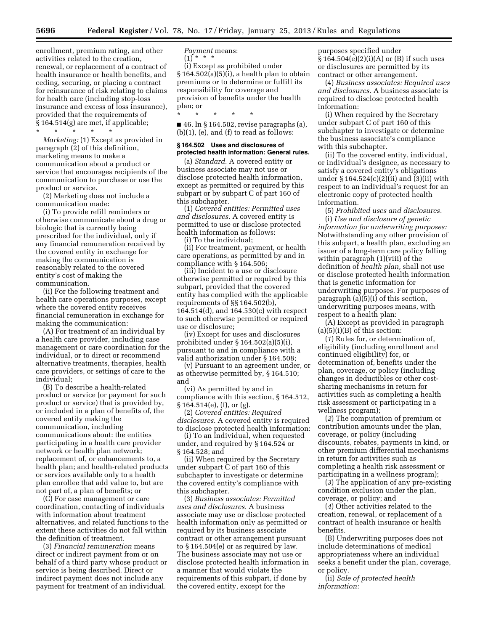enrollment, premium rating, and other activities related to the creation, renewal, or replacement of a contract of health insurance or health benefits, and ceding, securing, or placing a contract for reinsurance of risk relating to claims for health care (including stop-loss insurance and excess of loss insurance), provided that the requirements of § 164.514(g) are met, if applicable; \* \* \* \* \*

*Marketing:* (1) Except as provided in paragraph (2) of this definition, marketing means to make a communication about a product or service that encourages recipients of the communication to purchase or use the product or service.

(2) Marketing does not include a communication made:

(i) To provide refill reminders or otherwise communicate about a drug or biologic that is currently being prescribed for the individual, only if any financial remuneration received by the covered entity in exchange for making the communication is reasonably related to the covered entity's cost of making the communication.

(ii) For the following treatment and health care operations purposes, except where the covered entity receives financial remuneration in exchange for making the communication:

(A) For treatment of an individual by a health care provider, including case management or care coordination for the individual, or to direct or recommend alternative treatments, therapies, health care providers, or settings of care to the individual;

(B) To describe a health-related product or service (or payment for such product or service) that is provided by, or included in a plan of benefits of, the covered entity making the communication, including communications about: the entities participating in a health care provider network or health plan network; replacement of, or enhancements to, a health plan; and health-related products or services available only to a health plan enrollee that add value to, but are not part of, a plan of benefits; or

(C) For case management or care coordination, contacting of individuals with information about treatment alternatives, and related functions to the extent these activities do not fall within the definition of treatment.

(3) *Financial remuneration* means direct or indirect payment from or on behalf of a third party whose product or service is being described. Direct or indirect payment does not include any payment for treatment of an individual.

*Payment* means:  $(1) * * * *$ 

(i) Except as prohibited under  $\S 164.502(a)(5)(i)$ , a health plan to obtain premiums or to determine or fulfill its responsibility for coverage and provision of benefits under the health plan; or

\* \* \* \* \*  $\blacksquare$  46. In § 164.502, revise paragraphs (a), (b)(1), (e), and (f) to read as follows:

### **§ 164.502 Uses and disclosures of protected health information: General rules.**

(a) *Standard.* A covered entity or business associate may not use or disclose protected health information, except as permitted or required by this subpart or by subpart C of part 160 of this subchapter.

(1) *Covered entities: Permitted uses and disclosures.* A covered entity is permitted to use or disclose protected health information as follows:

(i) To the individual;

(ii) For treatment, payment, or health care operations, as permitted by and in compliance with § 164.506;

(iii) Incident to a use or disclosure otherwise permitted or required by this subpart, provided that the covered entity has complied with the applicable requirements of §§ 164.502(b), 164.514(d), and 164.530(c) with respect to such otherwise permitted or required use or disclosure;

(iv) Except for uses and disclosures prohibited under § 164.502(a)(5)(i), pursuant to and in compliance with a valid authorization under § 164.508;

(v) Pursuant to an agreement under, or as otherwise permitted by, § 164.510; and

(vi) As permitted by and in compliance with this section, § 164.512,  $\S 164.514(e)$ , (f), or (g).

(2) *Covered entities: Required disclosures.* A covered entity is required to disclose protected health information:

(i) To an individual, when requested under, and required by § 164.524 or § 164.528; and

(ii) When required by the Secretary under subpart C of part 160 of this subchapter to investigate or determine the covered entity's compliance with this subchapter.

(3) *Business associates: Permitted uses and disclosures.* A business associate may use or disclose protected health information only as permitted or required by its business associate contract or other arrangement pursuant to § 164.504(e) or as required by law. The business associate may not use or disclose protected health information in a manner that would violate the requirements of this subpart, if done by the covered entity, except for the

purposes specified under § 164.504(e)(2)(i)(A) or (B) if such uses or disclosures are permitted by its contract or other arrangement.

(4) *Business associates: Required uses and disclosures.* A business associate is required to disclose protected health information:

(i) When required by the Secretary under subpart C of part 160 of this subchapter to investigate or determine the business associate's compliance with this subchapter.

(ii) To the covered entity, individual, or individual's designee, as necessary to satisfy a covered entity's obligations under  $\S 164.524(c)(2)(ii)$  and  $(3)(ii)$  with respect to an individual's request for an electronic copy of protected health information.

(5) *Prohibited uses and disclosures.*  (i) *Use and disclosure of genetic information for underwriting purposes:*  Notwithstanding any other provision of this subpart, a health plan, excluding an issuer of a long-term care policy falling within paragraph (1)(viii) of the definition of *health plan,* shall not use or disclose protected health information that is genetic information for underwriting purposes. For purposes of paragraph (a)(5)(i) of this section, underwriting purposes means, with respect to a health plan:

(A) Except as provided in paragraph  $(a)(5)(i)(B)$  of this section:

(*1*) Rules for, or determination of, eligibility (including enrollment and continued eligibility) for, or determination of, benefits under the plan, coverage, or policy (including changes in deductibles or other costsharing mechanisms in return for activities such as completing a health risk assessment or participating in a wellness program);

(*2*) The computation of premium or contribution amounts under the plan, coverage, or policy (including discounts, rebates, payments in kind, or other premium differential mechanisms in return for activities such as completing a health risk assessment or participating in a wellness program);

(*3*) The application of any pre-existing condition exclusion under the plan, coverage, or policy; and

(*4*) Other activities related to the creation, renewal, or replacement of a contract of health insurance or health benefits.

(B) Underwriting purposes does not include determinations of medical appropriateness where an individual seeks a benefit under the plan, coverage, or policy.

(ii) *Sale of protected health information:*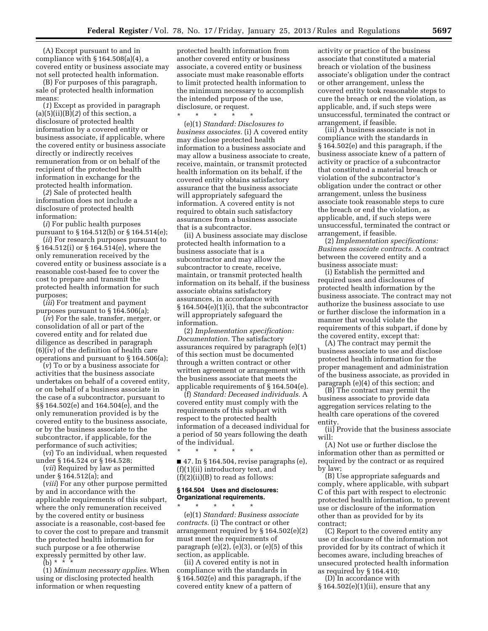(A) Except pursuant to and in compliance with  $\S 164.508(a)(4)$ , a covered entity or business associate may not sell protected health information.

(B) For purposes of this paragraph, sale of protected health information means:

(*1*) Except as provided in paragraph  $(a)(5)(ii)(B)(2)$  of this section, a disclosure of protected health information by a covered entity or business associate, if applicable, where the covered entity or business associate directly or indirectly receives remuneration from or on behalf of the recipient of the protected health information in exchange for the protected health information.

(*2*) Sale of protected health information does not include a disclosure of protected health information:

(*i*) For public health purposes pursuant to § 164.512(b) or § 164.514(e);

(*ii*) For research purposes pursuant to § 164.512(i) or § 164.514(e), where the only remuneration received by the covered entity or business associate is a reasonable cost-based fee to cover the cost to prepare and transmit the protected health information for such purposes;

(*iii*) For treatment and payment purposes pursuant to § 164.506(a);

(*iv*) For the sale, transfer, merger, or consolidation of all or part of the covered entity and for related due diligence as described in paragraph (6)(iv) of the definition of health care operations and pursuant to § 164.506(a);

(*v*) To or by a business associate for activities that the business associate undertakes on behalf of a covered entity, or on behalf of a business associate in the case of a subcontractor, pursuant to §§ 164.502(e) and 164.504(e), and the only remuneration provided is by the covered entity to the business associate, or by the business associate to the subcontractor, if applicable, for the performance of such activities;

(*vi*) To an individual, when requested under § 164.524 or § 164.528;

(*vii*) Required by law as permitted under § 164.512(a); and

(*viii*) For any other purpose permitted by and in accordance with the applicable requirements of this subpart, where the only remuneration received by the covered entity or business associate is a reasonable, cost-based fee to cover the cost to prepare and transmit the protected health information for such purpose or a fee otherwise expressly permitted by other law. (b)  $*^{-\frac{1}{x}}$ 

(1) *Minimum necessary applies.* When using or disclosing protected health information or when requesting

protected health information from another covered entity or business associate, a covered entity or business associate must make reasonable efforts to limit protected health information to the minimum necessary to accomplish the intended purpose of the use, disclosure, or request.

\* \* \* \* \* (e)(1) *Standard: Disclosures to business associates.* (i) A covered entity may disclose protected health information to a business associate and may allow a business associate to create, receive, maintain, or transmit protected health information on its behalf, if the covered entity obtains satisfactory assurance that the business associate will appropriately safeguard the information. A covered entity is not required to obtain such satisfactory assurances from a business associate that is a subcontractor.

(ii) A business associate may disclose protected health information to a business associate that is a subcontractor and may allow the subcontractor to create, receive, maintain, or transmit protected health information on its behalf, if the business associate obtains satisfactory assurances, in accordance with  $§ 164.504(e)(1)(i)$ , that the subcontractor will appropriately safeguard the information.

(2) *Implementation specification: Documentation.* The satisfactory assurances required by paragraph (e)(1) of this section must be documented through a written contract or other written agreement or arrangement with the business associate that meets the applicable requirements of § 164.504(e).

(f) *Standard: Deceased individuals.* A covered entity must comply with the requirements of this subpart with respect to the protected health information of a deceased individual for a period of 50 years following the death of the individual.

 $\blacksquare$  47. In § 164.504, revise paragraphs (e), (f)(1)(ii) introductory text, and  $(f)(2)(ii)(B)$  to read as follows:

### **§ 164.504 Uses and disclosures: Organizational requirements.**

\* \* \* \* \*

\* \* \* \* \* (e)(1) *Standard: Business associate contracts.* (i) The contract or other arrangement required by § 164.502(e)(2) must meet the requirements of paragraph  $(e)(2)$ ,  $(e)(3)$ , or  $(e)(5)$  of this section, as applicable.

(ii) A covered entity is not in compliance with the standards in § 164.502(e) and this paragraph, if the covered entity knew of a pattern of

activity or practice of the business associate that constituted a material breach or violation of the business associate's obligation under the contract or other arrangement, unless the covered entity took reasonable steps to cure the breach or end the violation, as applicable, and, if such steps were unsuccessful, terminated the contract or arrangement, if feasible.

(iii) A business associate is not in compliance with the standards in § 164.502(e) and this paragraph, if the business associate knew of a pattern of activity or practice of a subcontractor that constituted a material breach or violation of the subcontractor's obligation under the contract or other arrangement, unless the business associate took reasonable steps to cure the breach or end the violation, as applicable, and, if such steps were unsuccessful, terminated the contract or arrangement, if feasible.

(2) *Implementation specifications: Business associate contracts.* A contract between the covered entity and a business associate must:

(i) Establish the permitted and required uses and disclosures of protected health information by the business associate. The contract may not authorize the business associate to use or further disclose the information in a manner that would violate the requirements of this subpart, if done by the covered entity, except that:

(A) The contract may permit the business associate to use and disclose protected health information for the proper management and administration of the business associate, as provided in paragraph (e)(4) of this section; and

(B) The contract may permit the business associate to provide data aggregation services relating to the health care operations of the covered entity.

(ii) Provide that the business associate will:

(A) Not use or further disclose the information other than as permitted or required by the contract or as required by law;

(B) Use appropriate safeguards and comply, where applicable, with subpart C of this part with respect to electronic protected health information, to prevent use or disclosure of the information other than as provided for by its contract;

(C) Report to the covered entity any use or disclosure of the information not provided for by its contract of which it becomes aware, including breaches of unsecured protected health information as required by § 164.410;

(D) In accordance with

§ 164.502(e)(1)(ii), ensure that any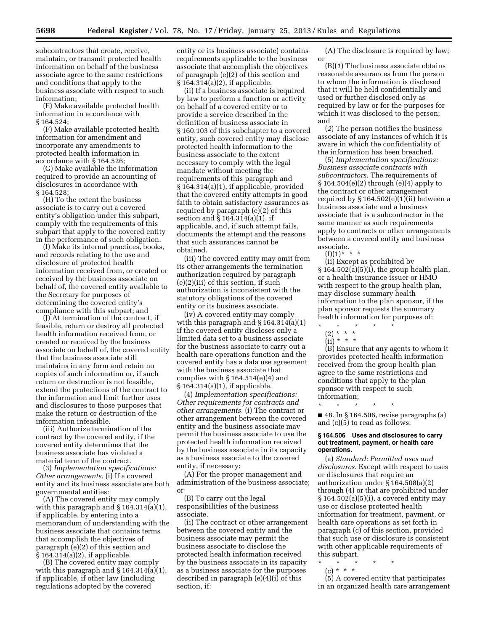subcontractors that create, receive, maintain, or transmit protected health information on behalf of the business associate agree to the same restrictions and conditions that apply to the business associate with respect to such information;

(E) Make available protected health information in accordance with § 164.524;

(F) Make available protected health information for amendment and incorporate any amendments to protected health information in accordance with § 164.526;

(G) Make available the information required to provide an accounting of disclosures in accordance with § 164.528;

(H) To the extent the business associate is to carry out a covered entity's obligation under this subpart, comply with the requirements of this subpart that apply to the covered entity in the performance of such obligation.

(I) Make its internal practices, books, and records relating to the use and disclosure of protected health information received from, or created or received by the business associate on behalf of, the covered entity available to the Secretary for purposes of determining the covered entity's compliance with this subpart; and

(J) At termination of the contract, if feasible, return or destroy all protected health information received from, or created or received by the business associate on behalf of, the covered entity that the business associate still maintains in any form and retain no copies of such information or, if such return or destruction is not feasible, extend the protections of the contract to the information and limit further uses and disclosures to those purposes that make the return or destruction of the information infeasible.

(iii) Authorize termination of the contract by the covered entity, if the covered entity determines that the business associate has violated a material term of the contract.

(3) *Implementation specifications: Other arrangements.* (i) If a covered entity and its business associate are both governmental entities:

(A) The covered entity may comply with this paragraph and  $\S 164.314(a)(1)$ , if applicable, by entering into a memorandum of understanding with the business associate that contains terms that accomplish the objectives of paragraph (e)(2) of this section and § 164.314(a)(2), if applicable.

(B) The covered entity may comply with this paragraph and § 164.314(a)(1), if applicable, if other law (including regulations adopted by the covered

entity or its business associate) contains requirements applicable to the business associate that accomplish the objectives of paragraph (e)(2) of this section and § 164.314(a)(2), if applicable.

(ii) If a business associate is required by law to perform a function or activity on behalf of a covered entity or to provide a service described in the definition of business associate in § 160.103 of this subchapter to a covered entity, such covered entity may disclose protected health information to the business associate to the extent necessary to comply with the legal mandate without meeting the requirements of this paragraph and § 164.314(a)(1), if applicable, provided that the covered entity attempts in good faith to obtain satisfactory assurances as required by paragraph (e)(2) of this section and § 164.314(a)(1), if applicable, and, if such attempt fails, documents the attempt and the reasons that such assurances cannot be obtained.

(iii) The covered entity may omit from its other arrangements the termination authorization required by paragraph (e)(2)(iii) of this section, if such authorization is inconsistent with the statutory obligations of the covered entity or its business associate.

(iv) A covered entity may comply with this paragraph and § 164.314(a)(1) if the covered entity discloses only a limited data set to a business associate for the business associate to carry out a health care operations function and the covered entity has a data use agreement with the business associate that complies with  $§ 164.514(e)(4)$  and § 164.314(a)(1), if applicable.

(4) *Implementation specifications: Other requirements for contracts and other arrangements.* (i) The contract or other arrangement between the covered entity and the business associate may permit the business associate to use the protected health information received by the business associate in its capacity as a business associate to the covered entity, if necessary:

(A) For the proper management and administration of the business associate; or

(B) To carry out the legal responsibilities of the business associate.

(ii) The contract or other arrangement between the covered entity and the business associate may permit the business associate to disclose the protected health information received by the business associate in its capacity as a business associate for the purposes described in paragraph (e)(4)(i) of this section, if:

(A) The disclosure is required by law;

(B)(*1*) The business associate obtains reasonable assurances from the person to whom the information is disclosed that it will be held confidentially and used or further disclosed only as required by law or for the purposes for which it was disclosed to the person; and

(*2*) The person notifies the business associate of any instances of which it is aware in which the confidentiality of the information has been breached.

(5) *Implementation specifications: Business associate contracts with subcontractors.* The requirements of § 164.504(e)(2) through (e)(4) apply to the contract or other arrangement required by  $\S 164.502(e)(1)(ii)$  between a business associate and a business associate that is a subcontractor in the same manner as such requirements apply to contracts or other arrangements between a covered entity and business associate.

 $(f)(1)$ \* \* \*

or

(ii) Except as prohibited by § 164.502(a)(5)(i), the group health plan, or a health insurance issuer or HMO with respect to the group health plan, may disclose summary health information to the plan sponsor, if the plan sponsor requests the summary health information for purposes of:

 $\star$   $\star$   $\star$   $\star$  $(2) * * * *$ 

 $\overrightarrow{iii}$  \* \* \*

(B) Ensure that any agents to whom it provides protected health information received from the group health plan agree to the same restrictions and conditions that apply to the plan sponsor with respect to such information;

\* \* \* \* \*  $\blacksquare$  48. In § 164.506, revise paragraphs (a) and (c)(5) to read as follows:

### **§ 164.506 Uses and disclosures to carry out treatment, payment, or health care operations.**

(a) *Standard: Permitted uses and disclosures.* Except with respect to uses or disclosures that require an authorization under § 164.508(a)(2) through (4) or that are prohibited under  $§ 164.502(a)(5)(i)$ , a covered entity may use or disclose protected health information for treatment, payment, or health care operations as set forth in paragraph (c) of this section, provided that such use or disclosure is consistent with other applicable requirements of this subpart.

- \* \* \* \* \*
- (c) \* \* \*

(5) A covered entity that participates in an organized health care arrangement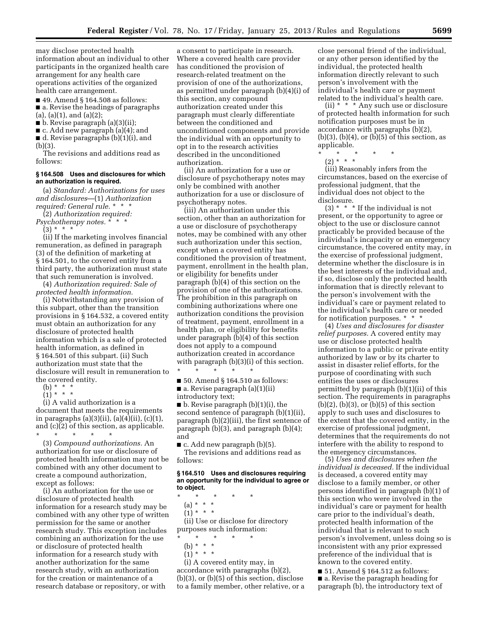may disclose protected health information about an individual to other participants in the organized health care arrangement for any health care operations activities of the organized health care arrangement.

■ 49. Amend § 164.508 as follows:

■ a. Revise the headings of paragraphs (a), (a)(1), and (a)(2);

■ b. Revise paragraph (a)(3)(ii);

■ c. Add new paragraph (a)(4); and

■ d. Revise paragraphs (b)(1)(i), and

(b)(3).

The revisions and additions read as follows:

# **§ 164.508 Uses and disclosures for which an authorization is required.**

(a) *Standard: Authorizations for uses and disclosures*—(1) *Authorization required: General rule.* \* \* \*

(2) *Authorization required: Psychotherapy notes.* \* \* \*

 $(3) * * * *$ 

(ii) If the marketing involves financial remuneration, as defined in paragraph (3) of the definition of marketing at § 164.501, to the covered entity from a third party, the authorization must state that such remuneration is involved.

(4) *Authorization required: Sale of protected health information.* 

(i) Notwithstanding any provision of this subpart, other than the transition provisions in § 164.532, a covered entity must obtain an authorization for any disclosure of protected health information which is a sale of protected health information, as defined in § 164.501 of this subpart. (ii) Such authorization must state that the disclosure will result in remuneration to the covered entity.

(b)  $* * * *$ 

 $(1) * * * *$ 

(i) A valid authorization is a document that meets the requirements in paragraphs  $(a)(3)(ii)$ ,  $(a)(4)(ii)$ ,  $(c)(1)$ , and (c)(2) of this section, as applicable. \* \* \* \* \*

(3) *Compound authorizations.* An authorization for use or disclosure of protected health information may not be combined with any other document to create a compound authorization, except as follows:

(i) An authorization for the use or disclosure of protected health information for a research study may be combined with any other type of written permission for the same or another research study. This exception includes combining an authorization for the use or disclosure of protected health information for a research study with another authorization for the same research study, with an authorization for the creation or maintenance of a research database or repository, or with

a consent to participate in research. Where a covered health care provider has conditioned the provision of research-related treatment on the provision of one of the authorizations, as permitted under paragraph (b)(4)(i) of this section, any compound authorization created under this paragraph must clearly differentiate between the conditioned and unconditioned components and provide the individual with an opportunity to opt in to the research activities described in the unconditioned authorization.

(ii) An authorization for a use or disclosure of psychotherapy notes may only be combined with another authorization for a use or disclosure of psychotherapy notes.

(iii) An authorization under this section, other than an authorization for a use or disclosure of psychotherapy notes, may be combined with any other such authorization under this section, except when a covered entity has conditioned the provision of treatment, payment, enrollment in the health plan, or eligibility for benefits under paragraph (b)(4) of this section on the provision of one of the authorizations. The prohibition in this paragraph on combining authorizations where one authorization conditions the provision of treatment, payment, enrollment in a health plan, or eligibility for benefits under paragraph (b)(4) of this section does not apply to a compound authorization created in accordance with paragraph (b)(3)(i) of this section. \* \* \* \* \*

■ 50. Amend § 164.510 as follows: ■ a. Revise paragraph (a)(1)(ii)

introductory text;

 $\blacksquare$  b. Revise paragraph (b)(1)(i), the second sentence of paragraph (b)(1)(ii), paragraph (b)(2)(iii), the first sentence of paragraph (b)(3), and paragraph (b)(4); and

 $\blacksquare$  c. Add new paragraph (b)(5).

The revisions and additions read as follows:

### **§ 164.510 Uses and disclosures requiring an opportunity for the individual to agree or to object.**

\* \* \* \* \* (a) \* \* \*  $(1) * * * *$ (ii) Use or disclose for directory purposes such information: \* \* \* \* \*

- (b) \* \* \*
- $(1) * * * *$

(i) A covered entity may, in accordance with paragraphs (b)(2), (b)(3), or (b)(5) of this section, disclose to a family member, other relative, or a close personal friend of the individual, or any other person identified by the individual, the protected health information directly relevant to such person's involvement with the individual's health care or payment related to the individual's health care.

(ii) \* \* \* Any such use or disclosure of protected health information for such notification purposes must be in accordance with paragraphs (b)(2),  $(b)(3)$ ,  $(b)(4)$ , or  $(b)(5)$  of this section, as applicable.

- \* \* \* \* \*
	- (2) \* \* \*

(iii) Reasonably infers from the circumstances, based on the exercise of professional judgment, that the individual does not object to the disclosure.

 $(3)$  \* \* \* If the individual is not present, or the opportunity to agree or object to the use or disclosure cannot practicably be provided because of the individual's incapacity or an emergency circumstance, the covered entity may, in the exercise of professional judgment, determine whether the disclosure is in the best interests of the individual and, if so, disclose only the protected health information that is directly relevant to the person's involvement with the individual's care or payment related to the individual's health care or needed for notification purposes. \* \* \*

(4) *Uses and disclosures for disaster relief purposes.* A covered entity may use or disclose protected health information to a public or private entity authorized by law or by its charter to assist in disaster relief efforts, for the purpose of coordinating with such entities the uses or disclosures permitted by paragraph (b)(1)(ii) of this section. The requirements in paragraphs  $(b)(2)$ ,  $(b)(3)$ , or  $(b)(5)$  of this section apply to such uses and disclosures to the extent that the covered entity, in the exercise of professional judgment, determines that the requirements do not interfere with the ability to respond to the emergency circumstances.

(5) *Uses and disclosures when the individual is deceased.* If the individual is deceased, a covered entity may disclose to a family member, or other persons identified in paragraph (b)(1) of this section who were involved in the individual's care or payment for health care prior to the individual's death, protected health information of the individual that is relevant to such person's involvement, unless doing so is inconsistent with any prior expressed preference of the individual that is known to the covered entity.

■ 51. Amend § 164.512 as follows: ■ a. Revise the paragraph heading for paragraph (b), the introductory text of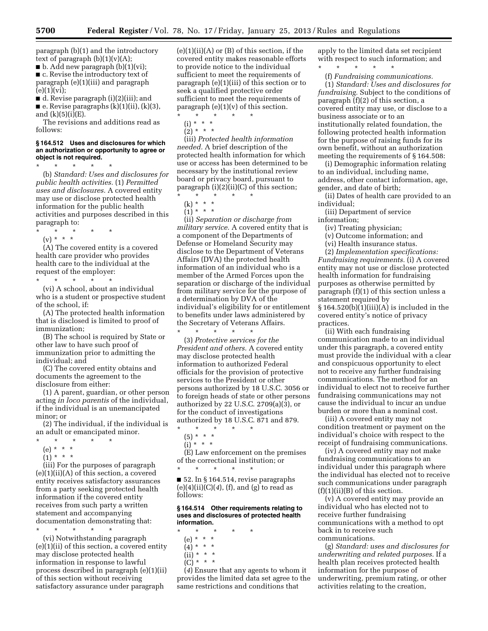paragraph (b)(1) and the introductory text of paragraph  $(b)(1)(v)(A);$ 

 $\blacksquare$  b. Add new paragraph (b)(1)(vi); ■ c. Revise the introductory text of paragraph (e)(1)(iii) and paragraph  $(e)(1)(vi)$ ;

■ d. Revise paragraph (i)(2)(iii); and  $\blacksquare$  e. Revise paragraphs  $(k)(1)(ii)$ ,  $(k)(3)$ , and  $(k)(5)(i)(E)$ .

The revisions and additions read as follows:

### **§ 164.512 Uses and disclosures for which an authorization or opportunity to agree or object is not required.**

\* \* \* \* \*

(b) *Standard: Uses and disclosures for public health activities.* (1) *Permitted uses and disclosures.* A covered entity may use or disclose protected health information for the public health activities and purposes described in this paragraph to:

 $*$  \*  $(v) * * * *$ 

(A) The covered entity is a covered health care provider who provides health care to the individual at the request of the employer:

\* \* \* \* \* (vi) A school, about an individual who is a student or prospective student of the school, if:

(A) The protected health information that is disclosed is limited to proof of immunization;

(B) The school is required by State or other law to have such proof of immunization prior to admitting the individual; and

(C) The covered entity obtains and documents the agreement to the disclosure from either:

(1) A parent, guardian, or other person acting *in loco parentis* of the individual, if the individual is an unemancipated minor; or

(2) The individual, if the individual is an adult or emancipated minor.

- \* \* \* \* \*
- (e) \* \* \*
- $(1) * * * *$

(iii) For the purposes of paragraph  $(e)(1)(ii)(A)$  of this section, a covered entity receives satisfactory assurances from a party seeking protected health information if the covered entity receives from such party a written statement and accompanying documentation demonstrating that:

\* \* \* \* \* (vi) Notwithstanding paragraph (e)(1)(ii) of this section, a covered entity may disclose protected health information in response to lawful process described in paragraph (e)(1)(ii) of this section without receiving satisfactory assurance under paragraph

 $(e)(1)(ii)(A)$  or  $(B)$  of this section, if the covered entity makes reasonable efforts to provide notice to the individual sufficient to meet the requirements of paragraph (e)(1)(iii) of this section or to seek a qualified protective order sufficient to meet the requirements of paragraph  $(e)(1)(v)$  of this section.

\* \* \* \* \*

- $(i) * * * *$
- $(2) * * * *$

(iii) *Protected health information needed.* A brief description of the protected health information for which use or access has been determined to be necessary by the institutional review board or privacy board, pursuant to paragraph  $(i)(2)(ii)(C)$  of this section;

\* \* \* \* \*

(k) \* \* \*  $(1)^{\ast}$  \* \*

(ii) *Separation or discharge from military service.* A covered entity that is a component of the Departments of Defense or Homeland Security may disclose to the Department of Veterans Affairs (DVA) the protected health information of an individual who is a member of the Armed Forces upon the separation or discharge of the individual from military service for the purpose of a determination by DVA of the individual's eligibility for or entitlement to benefits under laws administered by the Secretary of Veterans Affairs.

(3) *Protective services for the President and others.* A covered entity may disclose protected health information to authorized Federal officials for the provision of protective services to the President or other persons authorized by 18 U.S.C. 3056 or to foreign heads of state or other persons authorized by 22 U.S.C. 2709(a)(3), or for the conduct of investigations authorized by 18 U.S.C. 871 and 879.

\* \* \* \* \* (5) \* \* \*

\* \* \* \* \*

(i) \* \* \*

(E) Law enforcement on the premises of the correctional institution; or

\* \* \* \* \*

 $\blacksquare$  52. In § 164.514, revise paragraphs (e)(4)(ii)(C)(*4*), (f), and (g) to read as follows:

**§ 164.514 Other requirements relating to uses and disclosures of protected health information.** 

- \* \* \* \* \* (e) \* \* \*
	- $(4) * * * *$
	- $(ii) * * * *$
	- (C) \* \* \*

(*4*) Ensure that any agents to whom it provides the limited data set agree to the same restrictions and conditions that

apply to the limited data set recipient with respect to such information; and \* \* \* \* \*

(f) *Fundraising communications.* 

(1) *Standard: Uses and disclosures for fundraising.* Subject to the conditions of paragraph (f)(2) of this section, a covered entity may use, or disclose to a business associate or to an institutionally related foundation, the following protected health information for the purpose of raising funds for its own benefit, without an authorization meeting the requirements of § 164.508:

(i) Demographic information relating to an individual, including name, address, other contact information, age, gender, and date of birth;

(ii) Dates of health care provided to an individual;

(iii) Department of service information;

(iv) Treating physician;

(v) Outcome information; and

(vi) Health insurance status.

(2) *Implementation specifications: Fundraising requirements.* (i) A covered entity may not use or disclose protected health information for fundraising purposes as otherwise permitted by paragraph (f)(1) of this section unless a statement required by § 164.520(b)(1)(iii)(A) is included in the covered entity's notice of privacy practices.

(ii) With each fundraising communication made to an individual under this paragraph, a covered entity must provide the individual with a clear and conspicuous opportunity to elect not to receive any further fundraising communications. The method for an individual to elect not to receive further fundraising communications may not cause the individual to incur an undue burden or more than a nominal cost.

(iii) A covered entity may not condition treatment or payment on the individual's choice with respect to the receipt of fundraising communications.

(iv) A covered entity may not make fundraising communications to an individual under this paragraph where the individual has elected not to receive such communications under paragraph  $(f)(1)(ii)(B)$  of this section.

(v) A covered entity may provide an individual who has elected not to receive further fundraising communications with a method to opt back in to receive such communications.

(g) *Standard: uses and disclosures for underwriting and related purposes.* If a health plan receives protected health information for the purpose of underwriting, premium rating, or other activities relating to the creation,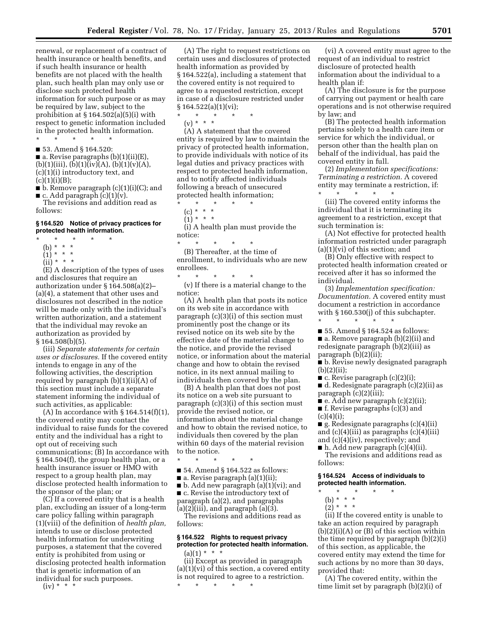renewal, or replacement of a contract of health insurance or health benefits, and if such health insurance or health benefits are not placed with the health plan, such health plan may only use or disclose such protected health information for such purpose or as may be required by law, subject to the prohibition at § 164.502(a)(5)(i) with respect to genetic information included in the protected health information.

\* \* \* \* \* ■ 53. Amend § 164.520:

 $\blacksquare$  a. Revise paragraphs  $(b)(1)(ii)(E)$ ,  $(b)(1)(iii)$ ,  $(b)(1)(iv)(A)$ ,  $(b)(1)(v)(A)$ , (c)(1)(i) introductory text, and  $(c)(1)(i)(B);$ 

■ b. Remove paragraph (c)(1)(i)(C); and  $\blacksquare$  c. Add paragraph  $(c)(1)(v)$ .

The revisions and addition read as follows:

# **§ 164.520 Notice of privacy practices for protected health information.**

- \* \* \* \* \*
	- (b) \* \* \*
	- $(1)^*$  \* \* \*
	- $(ii) * * * *$

(E) A description of the types of uses and disclosures that require an authorization under § 164.508(a)(2)– (a)(4), a statement that other uses and disclosures not described in the notice will be made only with the individual's written authorization, and a statement that the individual may revoke an authorization as provided by § 164.508(b)(5).

(iii) *Separate statements for certain uses or disclosures.* If the covered entity intends to engage in any of the following activities, the description required by paragraph  $(b)(1)(ii)(A)$  of this section must include a separate statement informing the individual of such activities, as applicable:

(A) In accordance with  $\S 164.514(f)(1)$ , the covered entity may contact the individual to raise funds for the covered entity and the individual has a right to opt out of receiving such communications; (B) In accordance with § 164.504(f), the group health plan, or a health insurance issuer or HMO with respect to a group health plan, may disclose protected health information to the sponsor of the plan; or

(C) If a covered entity that is a health plan, excluding an issuer of a long-term care policy falling within paragraph (1)(viii) of the definition of *health plan,*  intends to use or disclose protected health information for underwriting purposes, a statement that the covered entity is prohibited from using or disclosing protected health information that is genetic information of an individual for such purposes.

(iv) \* \* \*

(A) The right to request restrictions on certain uses and disclosures of protected health information as provided by § 164.522(a), including a statement that the covered entity is not required to agree to a requested restriction, except in case of a disclosure restricted under § 164.522(a)(1)(vi);

\* \* \* \* \*

(v) \* \* \* (A) A statement that the covered entity is required by law to maintain the privacy of protected health information, to provide individuals with notice of its legal duties and privacy practices with respect to protected health information, and to notify affected individuals following a breach of unsecured protected health information;

- \* \* \* \* \*
	- (c) \* \* \*
	- $(1) * * * *$

(i) A health plan must provide the notice:

\* \* \* \* \*

(B) Thereafter, at the time of enrollment, to individuals who are new enrollees.

\* \* \* \* \* (v) If there is a material change to the notice:

(A) A health plan that posts its notice on its web site in accordance with paragraph (c)(3)(i) of this section must prominently post the change or its revised notice on its web site by the effective date of the material change to the notice, and provide the revised notice, or information about the material change and how to obtain the revised notice, in its next annual mailing to individuals then covered by the plan.

(B) A health plan that does not post its notice on a web site pursuant to paragraph (c)(3)(i) of this section must provide the revised notice, or information about the material change and how to obtain the revised notice, to individuals then covered by the plan within 60 days of the material revision to the notice.

- \* \* \* \* \*
- 54. Amend § 164.522 as follows:
- $\blacksquare$  a. Revise paragraph (a)(1)(ii);
- b. Add new paragraph (a)(1)(vi); and

■ c. Revise the introductory text of paragraph (a)(2), and paragraphs  $(a)(2)(iii)$ , and paragraph  $(a)(3)$ .

The revisions and additions read as follows:

# **§ 164.522 Rights to request privacy protection for protected health information.**   $(a)(1) * * * *$

(ii) Except as provided in paragraph  $(a)(1)(vi)$  of this section, a covered entity is not required to agree to a restriction.

\* \* \* \* \*

(vi) A covered entity must agree to the request of an individual to restrict disclosure of protected health information about the individual to a health plan if:

(A) The disclosure is for the purpose of carrying out payment or health care operations and is not otherwise required by law; and

(B) The protected health information pertains solely to a health care item or service for which the individual, or person other than the health plan on behalf of the individual, has paid the covered entity in full.

(2) *Implementation specifications: Terminating a restriction.* A covered entity may terminate a restriction, if:

\* \* \* \* \* (iii) The covered entity informs the individual that it is terminating its agreement to a restriction, except that such termination is:

(A) Not effective for protected health information restricted under paragraph (a)(1)(vi) of this section; and

(B) Only effective with respect to protected health information created or received after it has so informed the individual.

(3) *Implementation specification: Documentation.* A covered entity must document a restriction in accordance with § 160.530(j) of this subchapter. \* \* \* \* \*

■ 55. Amend § 164.524 as follows:

■ a. Remove paragraph (b)(2)(ii) and redesignate paragraph (b)(2)(iii) as paragraph (b)(2)(ii);

■ b. Revise newly designated paragraph  $(b)(2)(ii)$ ;

 $\blacksquare$  c. Revise paragraph (c)(2)(i);

■ d. Redesignate paragraph (c)(2)(ii) as paragraph (c)(2)(iii);

 $\blacksquare$  e. Add new paragraph (c)(2)(ii); ■ f. Revise paragraphs (c)(3) and

 $(c)(4)(i)$ ;

■ g. Redesignate paragraphs (c)(4)(ii) and  $(c)(4)(iii)$  as paragraphs  $(c)(4)(iii)$ and (c)(4)(iv), respectively; and

■ h. Add new paragraph (c)(4)(ii). The revisions and additions read as follows:

### **§ 164.524 Access of individuals to protected health information.**

- \* \* \* \* \*
	- (b) \* \* \*
- $(2)^* * * *$

(ii) If the covered entity is unable to take an action required by paragraph (b)(2)(i)(A) or (B) of this section within the time required by paragraph (b)(2)(i) of this section, as applicable, the covered entity may extend the time for such actions by no more than 30 days, provided that:

(A) The covered entity, within the time limit set by paragraph (b)(2)(i) of